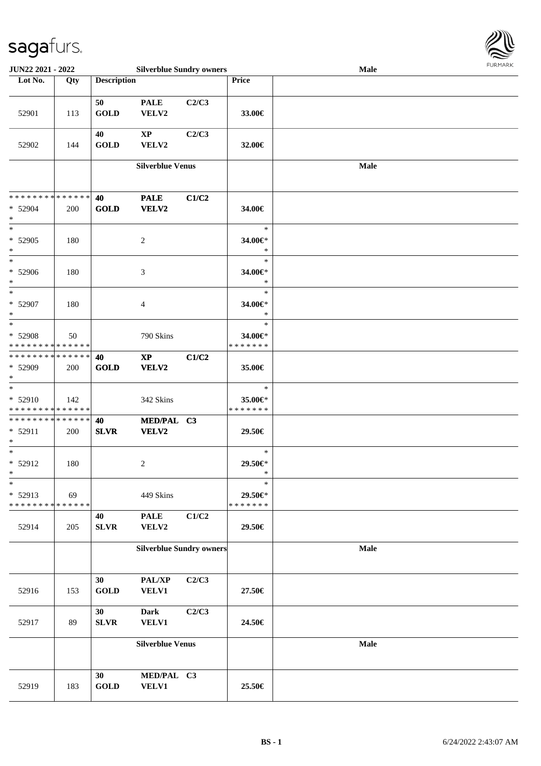

| <b>JUN22 2021 - 2022</b>                                        |     |                    | <b>Silverblue Sundry owners</b> |       |                                    | Male        |  |
|-----------------------------------------------------------------|-----|--------------------|---------------------------------|-------|------------------------------------|-------------|--|
| Lot No.                                                         | Qty | <b>Description</b> |                                 |       | Price                              |             |  |
| 52901                                                           | 113 | 50<br><b>GOLD</b>  | <b>PALE</b><br>VELV2            | C2/C3 | 33.00€                             |             |  |
| 52902                                                           | 144 | 40<br><b>GOLD</b>  | $\mathbf{X}\mathbf{P}$<br>VELV2 | C2/C3 | 32.00€                             |             |  |
|                                                                 |     |                    | <b>Silverblue Venus</b>         |       |                                    | <b>Male</b> |  |
| * * * * * * * * <mark>* * * * * * *</mark><br>* 52904<br>$*$    | 200 | 40<br><b>GOLD</b>  | <b>PALE</b><br>VELV2            | C1/C2 | 34.00€                             |             |  |
| $\ast$<br>* 52905<br>$\ast$                                     | 180 |                    | $\overline{2}$                  |       | $\ast$<br>34.00€*<br>$\ast$        |             |  |
| $\ast$<br>* 52906<br>$\ast$                                     | 180 |                    | 3                               |       | $\ast$<br>34.00€*<br>$\ast$        |             |  |
| $\ddot{x}$<br>* 52907<br>$*$                                    | 180 |                    | $\overline{4}$                  |       | $\ast$<br>34.00€*<br>$\ast$        |             |  |
| * 52908<br>* * * * * * * * <mark>* * * * * * *</mark>           | 50  |                    | 790 Skins                       |       | $\ast$<br>34.00€*<br>* * * * * * * |             |  |
| * * * * * * * * * * * * * * <mark>*</mark><br>* 52909<br>$\ast$ | 200 | 40<br><b>GOLD</b>  | $\mathbf{X}\mathbf{P}$<br>VELV2 | C1/C2 | 35.00€                             |             |  |
| $\ast$<br>$* 52910$<br>* * * * * * * * * * * * * * *            | 142 |                    | 342 Skins                       |       | $\ast$<br>35.00€*<br>* * * * * * * |             |  |
| * * * * * * * * * * * * * * *<br>$* 52911$<br>$\ast$            | 200 | 40<br><b>SLVR</b>  | MED/PAL C3<br>VELV2             |       | 29.50€                             |             |  |
| $*$<br>$* 52912$<br>$*$                                         | 180 |                    | 2                               |       | $\ast$<br>29.50€*<br>$\ast$        |             |  |
| $\ast$<br>* 52913<br>* * * * * * * * <mark>* * * * * *</mark>   | 69  |                    | 449 Skins                       |       | $\ast$<br>29.50€*<br>* * * * * * * |             |  |
| 52914                                                           | 205 | 40<br><b>SLVR</b>  | <b>PALE</b><br>VELV2            | C1/C2 | 29.50€                             |             |  |
|                                                                 |     |                    | <b>Silverblue Sundry owners</b> |       |                                    | Male        |  |
| 52916                                                           | 153 | 30<br>GOLD         | PAL/XP<br>VELV1                 | C2/C3 | 27.50€                             |             |  |
| 52917                                                           | 89  | 30<br>${\bf SLVR}$ | <b>Dark</b><br><b>VELV1</b>     | C2/C3 | 24.50€                             |             |  |
|                                                                 |     |                    | <b>Silverblue Venus</b>         |       |                                    | Male        |  |
| 52919                                                           | 183 | 30<br><b>GOLD</b>  | MED/PAL C3<br>VELV1             |       | 25.50€                             |             |  |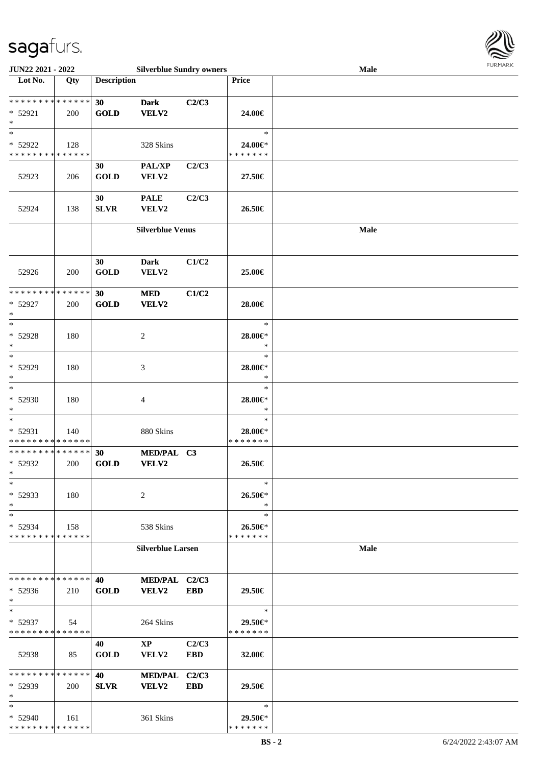

| JUN22 2021 - 2022           |       |                    | <b>Silverblue Sundry owners</b> |            |               | Male |  |
|-----------------------------|-------|--------------------|---------------------------------|------------|---------------|------|--|
| Lot No.                     | Qty   | <b>Description</b> |                                 |            | Price         |      |  |
|                             |       |                    |                                 |            |               |      |  |
| **************              |       | 30                 | <b>Dark</b>                     | C2/C3      |               |      |  |
| * 52921                     | 200   | <b>GOLD</b>        | VELV2                           |            | 24.00€        |      |  |
| $\ast$                      |       |                    |                                 |            |               |      |  |
| $\ast$                      |       |                    |                                 |            | $\ast$        |      |  |
| * 52922                     | 128   |                    | 328 Skins                       |            | 24.00€*       |      |  |
| * * * * * * * * * * * * * * |       |                    |                                 |            | * * * * * * * |      |  |
|                             |       | 30                 | PAL/XP                          | C2/C3      |               |      |  |
| 52923                       | 206   | <b>GOLD</b>        | VELV2                           |            | 27.50€        |      |  |
|                             |       |                    |                                 |            |               |      |  |
|                             |       | 30                 | <b>PALE</b>                     | C2/C3      |               |      |  |
| 52924                       | 138   | <b>SLVR</b>        | VELV2                           |            | 26.50€        |      |  |
|                             |       |                    |                                 |            |               |      |  |
|                             |       |                    | <b>Silverblue Venus</b>         |            |               | Male |  |
|                             |       |                    |                                 |            |               |      |  |
|                             |       |                    |                                 |            |               |      |  |
|                             |       | 30                 | <b>Dark</b>                     | C1/C2      |               |      |  |
| 52926                       | 200   | <b>GOLD</b>        | VELV2                           |            | 25.00€        |      |  |
|                             |       |                    |                                 |            |               |      |  |
| * * * * * * * * * * * * * * |       | 30                 | <b>MED</b>                      | C1/C2      |               |      |  |
| * 52927                     | 200   | GOLD               | VELV2                           |            | 28.00€        |      |  |
| $\ast$                      |       |                    |                                 |            |               |      |  |
| $\ast$                      |       |                    |                                 |            | $\ast$        |      |  |
| * 52928                     | 180   |                    | $\overline{2}$                  |            | 28.00€*       |      |  |
| $\ast$                      |       |                    |                                 |            | $\ast$        |      |  |
| $\ast$                      |       |                    |                                 |            | $\ast$        |      |  |
| * 52929                     | 180   |                    | 3                               |            | 28.00€*       |      |  |
| $\ast$                      |       |                    |                                 |            | $\ast$        |      |  |
| $\ast$                      |       |                    |                                 |            | $\ast$        |      |  |
| * 52930                     | 180   |                    | 4                               |            | 28.00€*       |      |  |
| $\ast$                      |       |                    |                                 |            | $\ast$        |      |  |
| $\ast$                      |       |                    |                                 |            | $\ast$        |      |  |
| * 52931                     | 140   |                    | 880 Skins                       |            | 28.00€*       |      |  |
| * * * * * * * * * * * * * * |       |                    |                                 |            | * * * * * * * |      |  |
| **************              |       | 30                 | MED/PAL C3                      |            |               |      |  |
| * 52932                     | 200   | <b>GOLD</b>        | VELV2                           |            | 26.50€        |      |  |
| $\ast$                      |       |                    |                                 |            |               |      |  |
| $\ast$                      |       |                    |                                 |            | ∗             |      |  |
| * 52933                     | 180   |                    | 2                               |            | 26.50€*       |      |  |
| $\ast$                      |       |                    |                                 |            | $\ast$        |      |  |
| $\ast$                      |       |                    |                                 |            | $\ast$        |      |  |
| * 52934                     | 158   |                    | 538 Skins                       |            | 26.50€*       |      |  |
| * * * * * * * * * * * * * * |       |                    |                                 |            | * * * * * * * |      |  |
|                             |       |                    | <b>Silverblue Larsen</b>        |            |               | Male |  |
|                             |       |                    |                                 |            |               |      |  |
| * * * * * * * * * * * * * * |       | 40                 | MED/PAL C2/C3                   |            |               |      |  |
| $* 52936$                   | 210   | <b>GOLD</b>        | VELV2                           | <b>EBD</b> | 29.50€        |      |  |
| $\ast$                      |       |                    |                                 |            |               |      |  |
| $\ast$                      |       |                    |                                 |            | $\ast$        |      |  |
| * 52937                     | 54    |                    | 264 Skins                       |            | 29.50€*       |      |  |
| * * * * * * * * * * * * * * |       |                    |                                 |            | * * * * * * * |      |  |
|                             |       | 40                 | $\mathbf{X}\mathbf{P}$          | C2/C3      |               |      |  |
| 52938                       | 85    | <b>GOLD</b>        | VELV2                           | <b>EBD</b> | 32.00€        |      |  |
|                             |       |                    |                                 |            |               |      |  |
| * * * * * * * * * * * * * * |       | 40                 | <b>MED/PAL</b>                  | C2/C3      |               |      |  |
| * 52939                     | 200   | <b>SLVR</b>        | <b>VELV2</b>                    | <b>EBD</b> | 29.50€        |      |  |
| $\ast$                      |       |                    |                                 |            |               |      |  |
| $\ast$                      |       |                    |                                 |            | $\ast$        |      |  |
| * 52940                     | - 161 |                    | 361 Skins                       |            | 29.50€*       |      |  |
| * * * * * * * * * * * * * * |       |                    |                                 |            | * * * * * * * |      |  |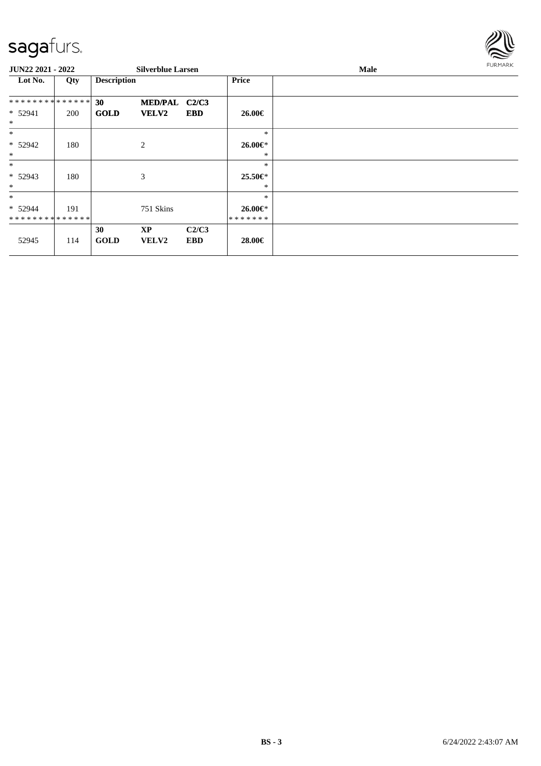

| JUN22 2021 - 2022 |     |                    | <b>Silverblue Larsen</b> |            |              | Male | <b>FURMARK</b> |
|-------------------|-----|--------------------|--------------------------|------------|--------------|------|----------------|
| Lot No.           | Qty | <b>Description</b> |                          |            | <b>Price</b> |      |                |
| **************    |     | 30                 | MED/PAL C2/C3            |            |              |      |                |
| $* 52941$         | 200 | <b>GOLD</b>        | <b>VELV2</b>             | <b>EBD</b> | 26.00€       |      |                |
| $\ast$            |     |                    |                          |            |              |      |                |
| $\ast$            |     |                    |                          |            | $\ast$       |      |                |
| * 52942           | 180 |                    | 2                        |            | 26.00€*      |      |                |
| $*$               |     |                    |                          |            | $\ast$       |      |                |
| $*$               |     |                    |                          |            | $\ast$       |      |                |
| $* 52943$         | 180 |                    | 3                        |            | 25.50€*      |      |                |
| $\ast$            |     |                    |                          |            | $\ast$       |      |                |
| $\ast$            |     |                    |                          |            | $\ast$       |      |                |
| $* 52944$         | 191 |                    | 751 Skins                |            | 26.00€*      |      |                |
| **************    |     |                    |                          |            | *******      |      |                |
|                   |     | 30                 | <b>XP</b>                | C2/C3      |              |      |                |
| 52945             | 114 | <b>GOLD</b>        | <b>VELV2</b>             | <b>EBD</b> | 28.00€       |      |                |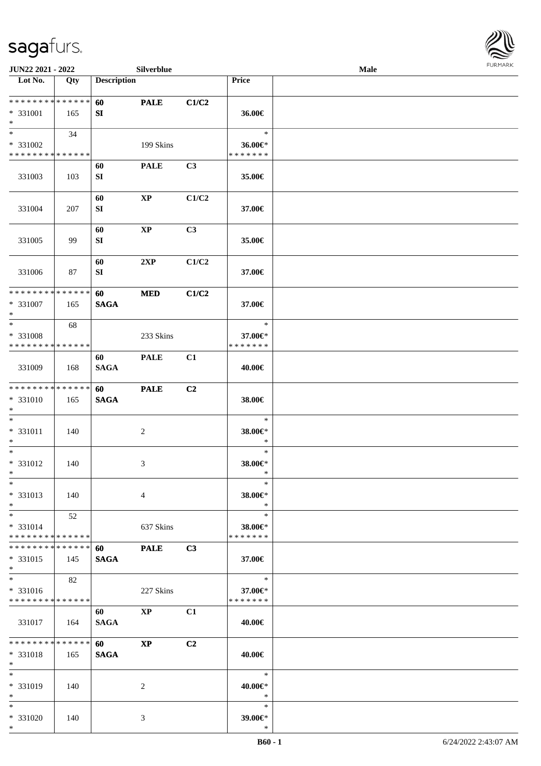

| <b>JUN22 2021 - 2022</b>                  |     |                    | Silverblue             |                |                   | Male |  |
|-------------------------------------------|-----|--------------------|------------------------|----------------|-------------------|------|--|
| Lot No.                                   | Qty | <b>Description</b> |                        |                | Price             |      |  |
|                                           |     |                    |                        |                |                   |      |  |
| ******** <mark>******</mark>              |     | 60                 | <b>PALE</b>            | C1/C2          |                   |      |  |
| * 331001                                  | 165 | SI                 |                        |                | 36.00€            |      |  |
| $*$                                       |     |                    |                        |                |                   |      |  |
| $*$                                       | 34  |                    |                        |                | $\ast$            |      |  |
| * 331002                                  |     |                    | 199 Skins              |                | 36.00€*           |      |  |
| * * * * * * * * * * * * * *               |     |                    |                        |                | * * * * * * *     |      |  |
|                                           |     | 60                 | <b>PALE</b>            | C3             |                   |      |  |
| 331003                                    | 103 | ${\bf SI}$         |                        |                | 35.00€            |      |  |
|                                           |     |                    |                        |                |                   |      |  |
|                                           |     | 60                 | $\mathbf{XP}$          | C1/C2          |                   |      |  |
| 331004                                    | 207 | SI                 |                        |                | 37.00€            |      |  |
|                                           |     |                    |                        |                |                   |      |  |
|                                           |     | 60                 | $\mathbf{XP}$          | C <sub>3</sub> |                   |      |  |
| 331005                                    | 99  | SI                 |                        |                | 35.00€            |      |  |
|                                           |     |                    |                        |                |                   |      |  |
|                                           |     | 60                 | 2XP                    | C1/C2          |                   |      |  |
| 331006                                    | 87  | SI                 |                        |                | 37.00€            |      |  |
|                                           |     |                    |                        |                |                   |      |  |
| * * * * * * * * * * * * * *               |     | 60                 | $\bf MED$              | C1/C2          |                   |      |  |
| $* 331007$                                | 165 | <b>SAGA</b>        |                        |                | 37.00€            |      |  |
| $*$                                       |     |                    |                        |                |                   |      |  |
| $*$                                       | 68  |                    |                        |                | $\ast$            |      |  |
| * 331008                                  |     |                    | 233 Skins              |                | 37.00€*           |      |  |
| * * * * * * * * * * * * * *               |     |                    |                        |                | * * * * * * *     |      |  |
|                                           |     | 60                 | <b>PALE</b>            | C1             |                   |      |  |
| 331009                                    | 168 | <b>SAGA</b>        |                        |                | 40.00€            |      |  |
|                                           |     |                    |                        |                |                   |      |  |
| * * * * * * * * * * * * * *               |     | 60                 | <b>PALE</b>            | C <sub>2</sub> |                   |      |  |
| * 331010                                  | 165 | <b>SAGA</b>        |                        |                | 38.00€            |      |  |
| $*$                                       |     |                    |                        |                |                   |      |  |
| $*$                                       |     |                    |                        |                | $\ast$            |      |  |
| * 331011                                  | 140 |                    |                        |                | 38.00€*           |      |  |
| $*$                                       |     |                    | $\overline{c}$         |                | $\ast$            |      |  |
| $*$                                       |     |                    |                        |                | $\ast$            |      |  |
| * 331012                                  |     |                    |                        |                |                   |      |  |
| $*$                                       | 140 |                    | 3                      |                | 38.00€*<br>$\ast$ |      |  |
| $*$                                       |     |                    |                        |                | $\ast$            |      |  |
|                                           |     |                    |                        |                |                   |      |  |
| * 331013                                  | 140 |                    | 4                      |                | 38.00€*           |      |  |
| $*$                                       |     |                    |                        |                | $\ast$<br>$\ast$  |      |  |
| $*$                                       | 52  |                    |                        |                |                   |      |  |
| * 331014<br>* * * * * * * * * * * * * * * |     |                    | 637 Skins              |                | 38.00€*           |      |  |
|                                           |     |                    |                        |                | * * * * * * *     |      |  |
| * * * * * * * * * * * * * * *             |     | 60                 | <b>PALE</b>            | C3             |                   |      |  |
| * 331015                                  | 145 | <b>SAGA</b>        |                        |                | 37.00€            |      |  |
| $*$<br>$*$                                |     |                    |                        |                |                   |      |  |
|                                           | 82  |                    |                        |                | $\ast$            |      |  |
| * 331016                                  |     |                    | 227 Skins              |                | 37.00€*           |      |  |
| * * * * * * * * * * * * * *               |     |                    |                        |                | * * * * * * *     |      |  |
|                                           |     | 60                 | $\mathbf{X}\mathbf{P}$ | C1             |                   |      |  |
| 331017                                    | 164 | <b>SAGA</b>        |                        |                | 40.00€            |      |  |
|                                           |     |                    |                        |                |                   |      |  |
| * * * * * * * * * * * * * * *             |     | <b>60</b>          | $\mathbf{X}\mathbf{P}$ | C2             |                   |      |  |
| * 331018                                  | 165 | <b>SAGA</b>        |                        |                | 40.00€            |      |  |
| $*$                                       |     |                    |                        |                |                   |      |  |
| $*$                                       |     |                    |                        |                | $\ast$            |      |  |
| * 331019                                  | 140 |                    | 2                      |                | 40.00€*           |      |  |
| $*$                                       |     |                    |                        |                | $\ast$            |      |  |
| $*$                                       |     |                    |                        |                | $\ast$            |      |  |
| * 331020                                  | 140 |                    | 3                      |                | 39.00€*           |      |  |
| $*$                                       |     |                    |                        |                | $\ast$            |      |  |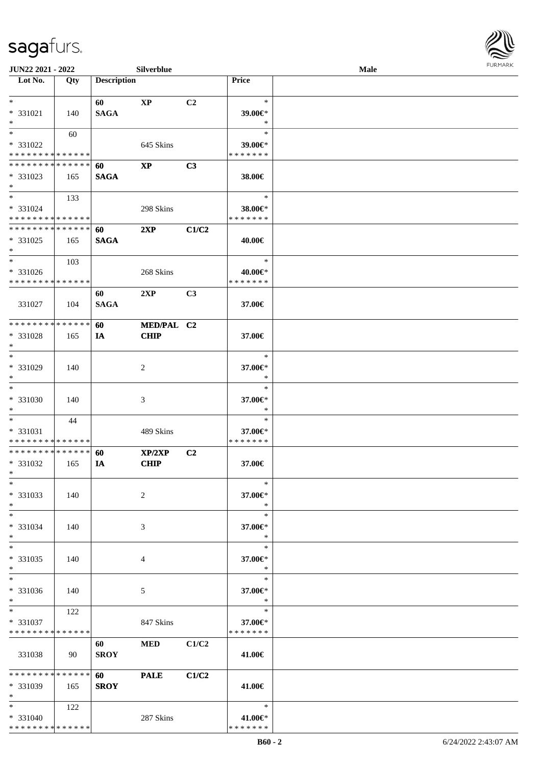

| JUN22 2021 - 2022                                                   |     |                    | Silverblue                |                |                                    | Male | <b>FURMARK</b> |
|---------------------------------------------------------------------|-----|--------------------|---------------------------|----------------|------------------------------------|------|----------------|
| $\overline{\phantom{1}}$ Lot No.                                    | Qty | <b>Description</b> |                           |                | Price                              |      |                |
| $*$<br>* 331021<br>$\ast$                                           | 140 | 60<br><b>SAGA</b>  | $\mathbf{X}\mathbf{P}$    | C2             | $\ast$<br>39.00€*<br>$\ast$        |      |                |
| $\ast$<br>* 331022<br>* * * * * * * * * * * * * *                   | 60  |                    | 645 Skins                 |                | $\ast$<br>39.00€*<br>* * * * * * * |      |                |
| * * * * * * * * * * * * * *<br>* 331023<br>$*$                      | 165 | 60<br><b>SAGA</b>  | $\mathbf{XP}$             | C3             | 38.00€                             |      |                |
| $*$<br>* 331024<br>* * * * * * * * * * * * * *                      | 133 |                    | 298 Skins                 |                | $\ast$<br>38.00€*<br>* * * * * * * |      |                |
| **************<br>* 331025<br>$*$                                   | 165 | 60<br><b>SAGA</b>  | 2XP                       | C1/C2          | 40.00€                             |      |                |
| $\overline{\phantom{0}}$<br>* 331026<br>* * * * * * * * * * * * * * | 103 |                    | 268 Skins                 |                | $\ast$<br>40.00€*<br>* * * * * * * |      |                |
| 331027                                                              | 104 | 60<br><b>SAGA</b>  | 2XP                       | C3             | 37.00€                             |      |                |
| * * * * * * * * * * * * * *<br>* 331028<br>$\ast$                   | 165 | 60<br>IA           | MED/PAL C2<br><b>CHIP</b> |                | 37.00€                             |      |                |
| $\overline{\phantom{a}^*}$<br>* 331029<br>$\ast$                    | 140 |                    | 2                         |                | $\ast$<br>37.00€*<br>$\ast$        |      |                |
| $\ast$<br>* 331030<br>$\ast$                                        | 140 |                    | 3                         |                | $\ast$<br>37.00€*<br>$\ast$        |      |                |
| $*$<br>* 331031<br>* * * * * * * * * * * * * *                      | 44  |                    | 489 Skins                 |                | $\ast$<br>37.00€*<br>* * * * * * * |      |                |
| **************<br>* 331032<br>$\ast$                                | 165 | 60<br>IA           | XP/2XP<br><b>CHIP</b>     | C <sub>2</sub> | 37.00€                             |      |                |
| $\ast$<br>* 331033<br>$\ast$                                        | 140 |                    | $\overline{c}$            |                | $\ast$<br>37.00€*<br>$\ast$        |      |                |
| $\ast$<br>* 331034<br>$\ast$                                        | 140 |                    | 3                         |                | $\ast$<br>37.00€*<br>$\ast$        |      |                |
| $\overline{\phantom{a}^*}$<br>$* 331035$<br>$\ast$                  | 140 |                    | $\overline{4}$            |                | $\ast$<br>37.00€*<br>$\ast$        |      |                |
| $\ast$<br>* 331036<br>$\ast$                                        | 140 |                    | $5\,$                     |                | $\ast$<br>37.00€*<br>$\ast$        |      |                |
| $\ast$<br>* 331037<br>* * * * * * * * * * * * * *                   | 122 |                    | 847 Skins                 |                | $\ast$<br>37.00€*<br>* * * * * * * |      |                |
| 331038                                                              | 90  | 60<br><b>SROY</b>  | <b>MED</b>                | C1/C2          | 41.00€                             |      |                |
| * * * * * * * * * * * * * *<br>* 331039<br>$\ast$                   | 165 | 60<br><b>SROY</b>  | <b>PALE</b>               | C1/C2          | 41.00€                             |      |                |
| $*$<br>* 331040<br>******** <mark>******</mark>                     | 122 |                    | 287 Skins                 |                | $\ast$<br>41.00€*<br>* * * * * * * |      |                |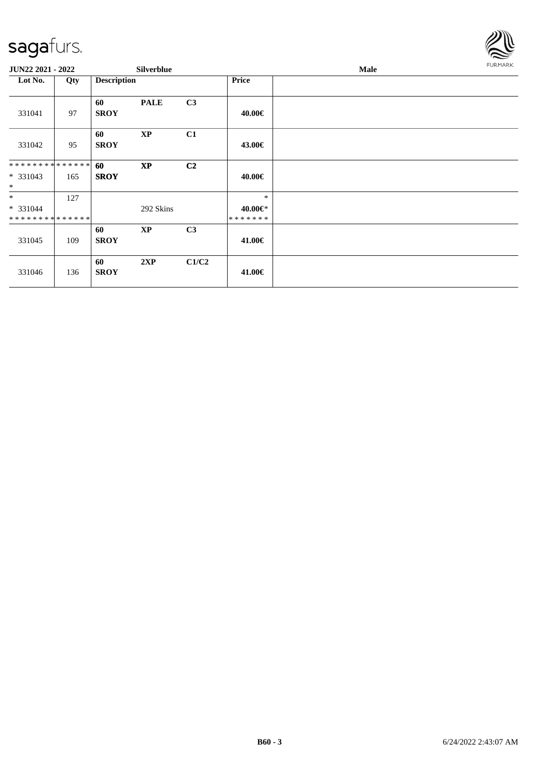

| JUN22 2021 - 2022                                |     |                    | Silverblue  |                |                              | Male | <b>FURMARK</b> |
|--------------------------------------------------|-----|--------------------|-------------|----------------|------------------------------|------|----------------|
| Lot No.                                          | Qty | <b>Description</b> |             |                | <b>Price</b>                 |      |                |
| 331041                                           | 97  | 60<br><b>SROY</b>  | <b>PALE</b> | C3             | 40.00€                       |      |                |
| 331042                                           | 95  | 60<br><b>SROY</b>  | <b>XP</b>   | C1             | 43.00€                       |      |                |
| * * * * * * * * * * * * * * *<br>* 331043<br>$*$ | 165 | 60<br><b>SROY</b>  | <b>XP</b>   | C <sub>2</sub> | 40.00€                       |      |                |
| $*$<br>* 331044<br>* * * * * * * * * * * * * *   | 127 |                    | 292 Skins   |                | $\ast$<br>40.00€*<br>******* |      |                |
| 331045                                           | 109 | 60<br><b>SROY</b>  | $\bold{XP}$ | C3             | 41.00€                       |      |                |
| 331046                                           | 136 | 60<br><b>SROY</b>  | 2XP         | C1/C2          | 41.00€                       |      |                |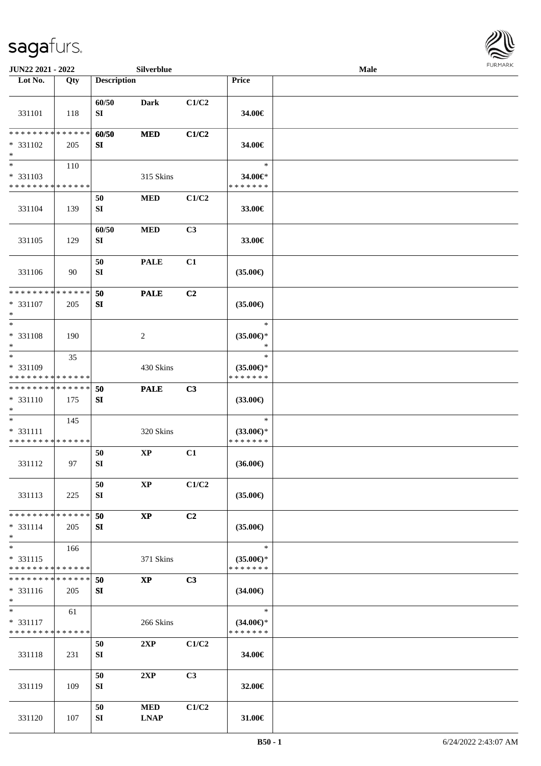

| JUN22 2021 - 2022                                                   |                    |                           | Silverblue                |                |                                                | Male |  |
|---------------------------------------------------------------------|--------------------|---------------------------|---------------------------|----------------|------------------------------------------------|------|--|
| Lot No.                                                             | Qty                | <b>Description</b>        |                           |                | Price                                          |      |  |
| 331101                                                              | 118                | 60/50<br>${\bf S}{\bf I}$ | <b>Dark</b>               | C1/C2          | 34.00€                                         |      |  |
| ********<br>* 331102<br>$\ast$                                      | * * * * * *<br>205 | 60/50<br>SI               | <b>MED</b>                | C1/C2          | 34.00€                                         |      |  |
| $\overline{\phantom{a}}$<br>* 331103<br>* * * * * * * * * * * * * * | 110                |                           | 315 Skins                 |                | $\ast$<br>34.00€*<br>* * * * * * *             |      |  |
| 331104                                                              | 139                | 50<br>${\bf S}{\bf I}$    | <b>MED</b>                | C1/C2          | 33.00€                                         |      |  |
| 331105                                                              | 129                | 60/50<br>SI               | <b>MED</b>                | C3             | 33.00€                                         |      |  |
| 331106                                                              | 90                 | 50<br>${\bf SI}$          | <b>PALE</b>               | C1             | $(35.00\epsilon)$                              |      |  |
| * * * * * * * * * * * * * *<br>* 331107<br>$\ast$                   | 205                | 50<br>SI                  | <b>PALE</b>               | C2             | $(35.00\epsilon)$                              |      |  |
| $\ast$<br>* 331108<br>$\ast$                                        | 190                |                           | $\sqrt{2}$                |                | $\ast$<br>$(35.00\epsilon)$ *<br>$\ast$        |      |  |
| $\ast$<br>* 331109<br>* * * * * * * * * * * * * *                   | 35                 |                           | 430 Skins                 |                | $\ast$<br>$(35.00\epsilon)$ *<br>* * * * * * * |      |  |
| * * * * * * * * * * * * * *<br>$* 331110$<br>$\ast$                 | 175                | 50<br>SI                  | <b>PALE</b>               | C3             | $(33.00\epsilon)$                              |      |  |
| $\ast$<br>* 331111<br>* * * * * * * * * * * * * *                   | 145                |                           | 320 Skins                 |                | $\ast$<br>$(33.00\epsilon)$ *<br>* * * * * * * |      |  |
| 331112                                                              | 97                 | 50<br>${\bf SI}$          | $\mathbf{XP}$             | C1             | $(36.00\epsilon)$                              |      |  |
| 331113                                                              | 225                | 50<br>${\bf SI}$          | $\bold{XP}$               | C1/C2          | $(35.00\epsilon)$                              |      |  |
| * * * * * * * * * * * * * *<br>$* 331114$<br>$*$                    | 205                | 50<br>SI                  | $\mathbf{XP}$             | C <sub>2</sub> | $(35.00\epsilon)$                              |      |  |
| $\ast$<br>$* 331115$<br>* * * * * * * * * * * * * *                 | 166                |                           | 371 Skins                 |                | $\ast$<br>$(35.00\epsilon)$ *<br>* * * * * * * |      |  |
| * * * * * * * * * * * * * *<br>$* 331116$<br>$*$                    | 205                | 50<br>SI                  | $\mathbf{XP}$             | C3             | $(34.00\epsilon)$                              |      |  |
| $\ast$<br>$* 331117$<br>* * * * * * * * * * * * * *                 | 61                 |                           | 266 Skins                 |                | $\ast$<br>$(34.00\epsilon)$ *<br>* * * * * * * |      |  |
| 331118                                                              | 231                | 50<br>${\bf SI}$          | 2XP                       | C1/C2          | 34.00€                                         |      |  |
| 331119                                                              | 109                | 50<br>SI                  | 2XP                       | C3             | 32.00€                                         |      |  |
| 331120                                                              | 107                | 50<br>SI                  | <b>MED</b><br><b>LNAP</b> | C1/C2          | 31.00€                                         |      |  |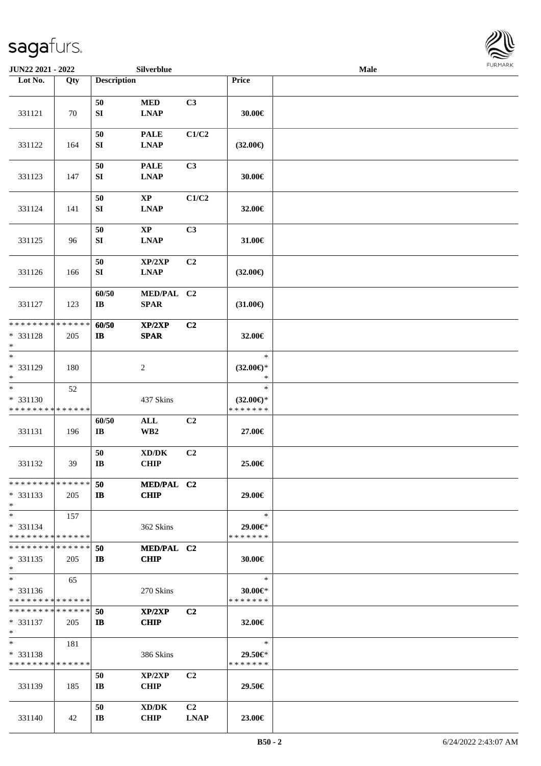

| JUN22 2021 - 2022             |             |                              | Silverblue              |                |                     | Male |  |
|-------------------------------|-------------|------------------------------|-------------------------|----------------|---------------------|------|--|
| Lot No.                       | Qty         | <b>Description</b>           |                         |                | Price               |      |  |
|                               |             |                              |                         |                |                     |      |  |
|                               |             | 50                           | $\bf MED$               | C3             |                     |      |  |
| 331121                        | 70          | ${\bf S}{\bf I}$             | <b>LNAP</b>             |                | 30.00€              |      |  |
|                               |             |                              |                         |                |                     |      |  |
|                               |             | 50                           | <b>PALE</b>             | C1/C2          |                     |      |  |
| 331122                        | 164         | SI                           | <b>LNAP</b>             |                | $(32.00\epsilon)$   |      |  |
|                               |             |                              |                         |                |                     |      |  |
|                               |             | 50                           | <b>PALE</b>             | C3             |                     |      |  |
| 331123                        | 147         | ${\bf S}{\bf I}$             | <b>LNAP</b>             |                | 30.00€              |      |  |
|                               |             |                              |                         |                |                     |      |  |
|                               |             | 50                           | $\bold{XP}$             | C1/C2          |                     |      |  |
| 331124                        | 141         | ${\bf S}{\bf I}$             | <b>LNAP</b>             |                | 32.00€              |      |  |
|                               |             |                              |                         |                |                     |      |  |
|                               |             | 50                           | $\mathbf{XP}$           | C3             |                     |      |  |
| 331125                        | 96          | SI                           | <b>LNAP</b>             |                | 31.00€              |      |  |
|                               |             |                              |                         |                |                     |      |  |
|                               |             | 50                           | XP/2XP                  | C2             |                     |      |  |
| 331126                        | 166         | SI                           | <b>LNAP</b>             |                | $(32.00\epsilon)$   |      |  |
|                               |             | 60/50                        | MED/PAL C2              |                |                     |      |  |
| 331127                        | 123         | $\bf{IB}$                    | <b>SPAR</b>             |                | $(31.00\epsilon)$   |      |  |
|                               |             |                              |                         |                |                     |      |  |
| * * * * * * * *               | * * * * * * | 60/50                        | XP/2XP                  | C <sub>2</sub> |                     |      |  |
| * 331128                      | 205         | $\mathbf{I}$                 | <b>SPAR</b>             |                | 32.00€              |      |  |
| $\ast$                        |             |                              |                         |                |                     |      |  |
| $*$                           |             |                              |                         |                | $\ast$              |      |  |
| * 331129                      | 180         |                              | $\boldsymbol{2}$        |                | $(32.00\epsilon)$ * |      |  |
| $*$                           |             |                              |                         |                | $\ast$              |      |  |
| $\overline{\phantom{1}}$      | 52          |                              |                         |                | $\ast$              |      |  |
| * 331130                      |             |                              | 437 Skins               |                | $(32.00\epsilon)$ * |      |  |
| * * * * * * * * * * * * * *   |             |                              |                         |                | * * * * * * *       |      |  |
|                               |             | 60/50                        | $\mathbf{ALL}$          | C <sub>2</sub> |                     |      |  |
| 331131                        | 196         | $\mathbf{I}\mathbf{B}$       | $\mathbf{W}\mathbf{B2}$ |                | 27.00€              |      |  |
|                               |             |                              |                         |                |                     |      |  |
| 331132                        | 39          | 50<br>$\mathbf{I}\mathbf{B}$ | XD/DK<br><b>CHIP</b>    | C2             | 25.00€              |      |  |
|                               |             |                              |                         |                |                     |      |  |
| * * * * * * * * * * * * * * * |             | 50                           | MED/PAL C2              |                |                     |      |  |
| $* 331133$                    | 205         | $\mathbf{I}$                 | <b>CHIP</b>             |                | 29.00€              |      |  |
| $*$                           |             |                              |                         |                |                     |      |  |
| $*$                           | 157         |                              |                         |                | $\ast$              |      |  |
| * 331134                      |             |                              | 362 Skins               |                | 29.00€*             |      |  |
| * * * * * * * * * * * * * * * |             |                              |                         |                | * * * * * * *       |      |  |
| * * * * * * * * * * * * * * * |             | 50                           | MED/PAL C2              |                |                     |      |  |
| $* 331135$                    | 205         | IB                           | <b>CHIP</b>             |                | 30.00€              |      |  |
| $*$                           |             |                              |                         |                |                     |      |  |
| $*$                           | 65          |                              |                         |                | $\ast$              |      |  |
| $* 331136$                    |             |                              | 270 Skins               |                | $30.00 \in$         |      |  |
| * * * * * * * * * * * * * *   |             |                              |                         |                | * * * * * * *       |      |  |
| * * * * * * * * * * * * * *   |             | 50                           | XP/2XP                  | C <sub>2</sub> |                     |      |  |
| $* 331137$<br>$*$             | 205         | $\mathbf{I}$                 | <b>CHIP</b>             |                | 32.00€              |      |  |
| $*$                           | 181         |                              |                         |                | $\ast$              |      |  |
| * 331138                      |             |                              | 386 Skins               |                | 29.50€*             |      |  |
| * * * * * * * * * * * * * *   |             |                              |                         |                | * * * * * * *       |      |  |
|                               |             | 50                           | XP/2XP                  | C <sub>2</sub> |                     |      |  |
| 331139                        | 185         | $\mathbf{I}$ <b>B</b>        | <b>CHIP</b>             |                | 29.50€              |      |  |
|                               |             |                              |                         |                |                     |      |  |
|                               |             | 50                           | XD/DK                   | C <sub>2</sub> |                     |      |  |
| 331140                        | 42          | $\mathbf{I}\mathbf{B}$       | <b>CHIP</b>             | <b>LNAP</b>    | 23.00€              |      |  |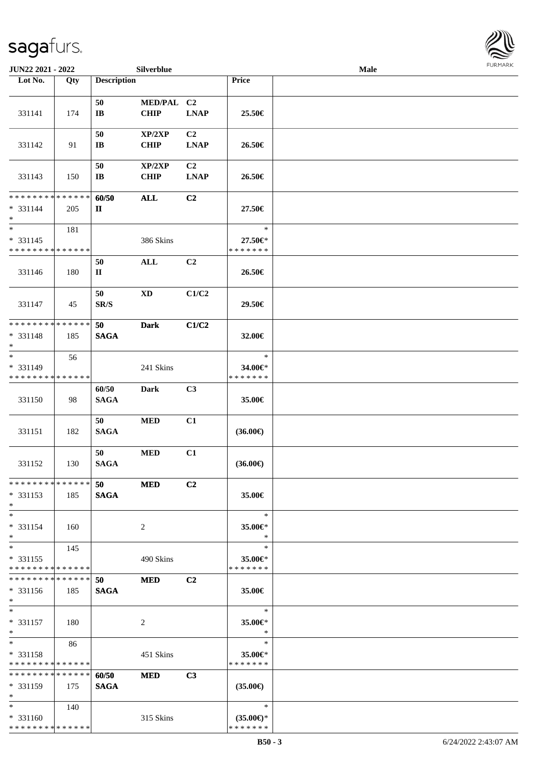| JUN22 2021 - 2022                                               |                   |                                | Silverblue                |                               |                                                | Male |  |
|-----------------------------------------------------------------|-------------------|--------------------------------|---------------------------|-------------------------------|------------------------------------------------|------|--|
| Lot No.                                                         | Qty               | <b>Description</b>             |                           |                               | Price                                          |      |  |
| 331141                                                          | 174               | 50<br>$\mathbf{I}\mathbf{B}$   | MED/PAL C2<br><b>CHIP</b> | <b>LNAP</b>                   | 25.50€                                         |      |  |
| 331142                                                          | 91                | 50<br>$\mathbf{I}\mathbf{B}$   | XP/2XP<br><b>CHIP</b>     | C <sub>2</sub><br><b>LNAP</b> | 26.50€                                         |      |  |
| 331143                                                          | 150               | 50<br>$\mathbf{I}\mathbf{B}$   | XP/2XP<br><b>CHIP</b>     | C <sub>2</sub><br><b>LNAP</b> | 26.50€                                         |      |  |
| * * * * * * * * <mark>* * * * * * *</mark><br>$* 331144$<br>$*$ | 205               | 60/50<br>$\mathbf{I}$          | <b>ALL</b>                | C <sub>2</sub>                | 27.50€                                         |      |  |
| $*$<br>$* 331145$<br>* * * * * * * * * * * * * *                | 181               |                                | 386 Skins                 |                               | $\ast$<br>27.50€*<br>* * * * * * *             |      |  |
| 331146                                                          | 180               | 50<br>$\mathbf I$              | $\mathbf{ALL}$            | C <sub>2</sub>                | 26.50€                                         |      |  |
| 331147                                                          | 45                | 50<br>$\mathbf{SR}/\mathbf{S}$ | $\mathbf{X}\mathbf{D}$    | C1/C2                         | 29.50€                                         |      |  |
| * * * * * * * * * * * * * *<br>* 331148<br>$*$                  | 185               | 50<br><b>SAGA</b>              | <b>Dark</b>               | C1/C2                         | 32.00€                                         |      |  |
| $*$<br>* 331149<br>* * * * * * * *                              | 56<br>* * * * * * |                                | 241 Skins                 |                               | $\ast$<br>34.00€*<br>* * * * * * *             |      |  |
| 331150                                                          | 98                | 60/50<br><b>SAGA</b>           | <b>Dark</b>               | C3                            | 35.00€                                         |      |  |
| 331151                                                          | 182               | 50<br><b>SAGA</b>              | <b>MED</b>                | C1                            | $(36.00\epsilon)$                              |      |  |
| 331152                                                          | 130               | 50<br><b>SAGA</b>              | <b>MED</b>                | C1                            | $(36.00\epsilon)$                              |      |  |
| * * * * * * * * * * * * * *<br>* 331153<br>$*$                  | 185               | 50<br><b>SAGA</b>              | <b>MED</b>                | C <sub>2</sub>                | 35.00€                                         |      |  |
| $*$<br>* 331154<br>$*$                                          | 160               |                                | 2                         |                               | $\ast$<br>35.00€*<br>$\ast$                    |      |  |
| $*$<br>$* 331155$<br>* * * * * * * * * * * * * *                | 145               |                                | 490 Skins                 |                               | $\ast$<br>35.00€*<br>* * * * * * *             |      |  |
| * * * * * * * * * * * * * *<br>$* 331156$<br>$*$                | 185               | 50<br><b>SAGA</b>              | <b>MED</b>                | C <sub>2</sub>                | 35.00€                                         |      |  |
| $*$<br>$* 331157$<br>$*$                                        | 180               |                                | 2                         |                               | $\ast$<br>35.00€*<br>$\ast$                    |      |  |
| $*$<br>* 331158<br>* * * * * * * * * * * * * *                  | 86                |                                | 451 Skins                 |                               | $\ast$<br>35.00€*<br>* * * * * * *             |      |  |
| * * * * * * * * * * * * * *<br>$* 331159$<br>$*$                | 175               | 60/50<br><b>SAGA</b>           | <b>MED</b>                | C3                            | $(35.00\epsilon)$                              |      |  |
| $*$<br>$* 331160$<br>* * * * * * * * * * * * * *                | 140               |                                | 315 Skins                 |                               | $\ast$<br>$(35.00\epsilon)$ *<br>* * * * * * * |      |  |

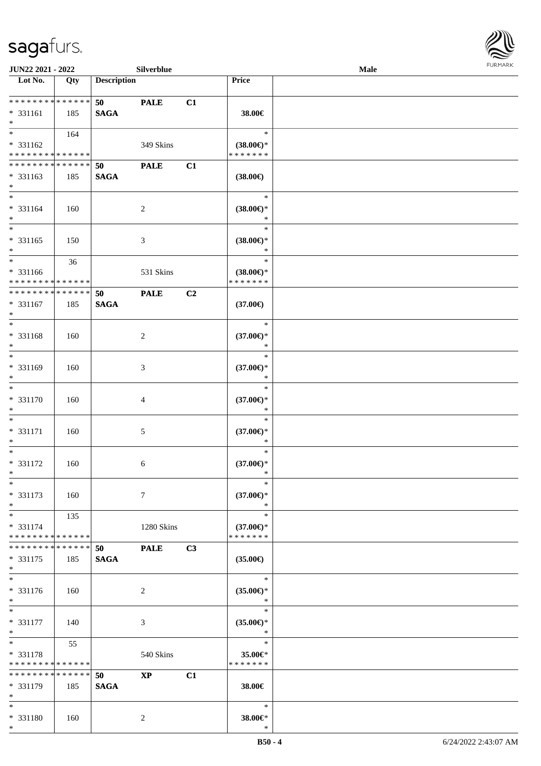\*



| <b>JUN22 2021 - 2022</b>                   |     |                    | Silverblue    |                |                               | Male |  |
|--------------------------------------------|-----|--------------------|---------------|----------------|-------------------------------|------|--|
| Lot No.                                    | Qty | <b>Description</b> |               |                | Price                         |      |  |
|                                            |     |                    |               |                |                               |      |  |
| ******** <mark>******</mark>               |     | 50                 | <b>PALE</b>   | C1             |                               |      |  |
| * 331161<br>$\ast$                         | 185 | <b>SAGA</b>        |               |                | 38.00€                        |      |  |
|                                            | 164 |                    |               |                | $\ast$                        |      |  |
| * 331162                                   |     |                    | 349 Skins     |                | $(38.00\epsilon)$ *           |      |  |
| * * * * * * * * * * * * * *                |     |                    |               |                | * * * * * * *                 |      |  |
| ******** <mark>******</mark>               |     | 50                 | <b>PALE</b>   | C1             |                               |      |  |
| * 331163                                   | 185 | <b>SAGA</b>        |               |                | $(38.00\epsilon)$             |      |  |
| $*$                                        |     |                    |               |                |                               |      |  |
| $*$                                        |     |                    |               |                | $\ast$                        |      |  |
| * 331164                                   | 160 |                    | 2             |                | $(38.00\epsilon)$ *           |      |  |
| $*$<br>$\overline{\ast}$                   |     |                    |               |                | $\ast$                        |      |  |
|                                            |     |                    |               |                | $\ast$                        |      |  |
| $* 331165$<br>$*$                          | 150 |                    | 3             |                | $(38.00\epsilon)$ *<br>$\ast$ |      |  |
|                                            | 36  |                    |               |                | $\ast$                        |      |  |
| * 331166                                   |     |                    | 531 Skins     |                | $(38.00\epsilon)$ *           |      |  |
| * * * * * * * * <mark>* * * * * * *</mark> |     |                    |               |                | * * * * * * *                 |      |  |
| * * * * * * * * * * * * * *                |     | 50                 | <b>PALE</b>   | C <sub>2</sub> |                               |      |  |
| * 331167                                   | 185 | <b>SAGA</b>        |               |                | $(37.00\epsilon)$             |      |  |
| $*$                                        |     |                    |               |                |                               |      |  |
| $*$                                        |     |                    |               |                | $\ast$                        |      |  |
| * 331168                                   | 160 |                    | 2             |                | $(37.00\epsilon)$ *           |      |  |
| $*$<br>$*$                                 |     |                    |               |                | $\ast$                        |      |  |
|                                            |     |                    |               |                | $\ast$                        |      |  |
| * 331169<br>$*$                            | 160 |                    | 3             |                | $(37.00\epsilon)$ *<br>$\ast$ |      |  |
| $*$                                        |     |                    |               |                | $\ast$                        |      |  |
| * 331170                                   | 160 |                    | 4             |                | $(37.00\epsilon)$ *           |      |  |
| $*$                                        |     |                    |               |                | $\ast$                        |      |  |
| $*$                                        |     |                    |               |                | $\ast$                        |      |  |
| * 331171                                   | 160 |                    | 5             |                | $(37.00\epsilon)$ *           |      |  |
| $*$                                        |     |                    |               |                | $\ast$                        |      |  |
| $*$                                        |     |                    |               |                | $\ast$                        |      |  |
| * 331172                                   | 160 |                    | 6             |                | $(37.00\epsilon)$ *           |      |  |
| $*$<br>$*$                                 |     |                    |               |                | $\ast$<br>$\ast$              |      |  |
| * 331173                                   | 160 |                    | $\tau$        |                | $(37.00\epsilon)$ *           |      |  |
| $*$                                        |     |                    |               |                | $\ast$                        |      |  |
| $*$                                        | 135 |                    |               |                | $\ast$                        |      |  |
| * 331174                                   |     |                    | 1280 Skins    |                | $(37.00\epsilon)$ *           |      |  |
| * * * * * * * * * * * * * * *              |     |                    |               |                | * * * * * * *                 |      |  |
| * * * * * * * * * * * * * * *              |     | 50                 | <b>PALE</b>   | C3             |                               |      |  |
| * 331175                                   | 185 | <b>SAGA</b>        |               |                | $(35.00\epsilon)$             |      |  |
| $*$                                        |     |                    |               |                |                               |      |  |
| $*$                                        |     |                    |               |                | $\ast$                        |      |  |
| * 331176                                   | 160 |                    | 2             |                | $(35.00\epsilon)$ *<br>$\ast$ |      |  |
| $*$<br>$*$                                 |     |                    |               |                | $\ast$                        |      |  |
| * 331177                                   | 140 |                    | 3             |                | $(35.00\epsilon)$ *           |      |  |
| $*$                                        |     |                    |               |                | $\ast$                        |      |  |
| $*$                                        | 55  |                    |               |                | $\ast$                        |      |  |
| * 331178                                   |     |                    | 540 Skins     |                | 35.00€*                       |      |  |
| * * * * * * * * * * * * * *                |     |                    |               |                | * * * * * * *                 |      |  |
| ******** <mark>******</mark>               |     | 50                 | $\mathbf{XP}$ | C1             |                               |      |  |
| * 331179                                   | 185 | <b>SAGA</b>        |               |                | 38.00€                        |      |  |
| $*$                                        |     |                    |               |                |                               |      |  |
| $*$                                        |     |                    |               |                | $\ast$                        |      |  |
| * 331180                                   | 160 |                    | 2             |                | 38.00€*                       |      |  |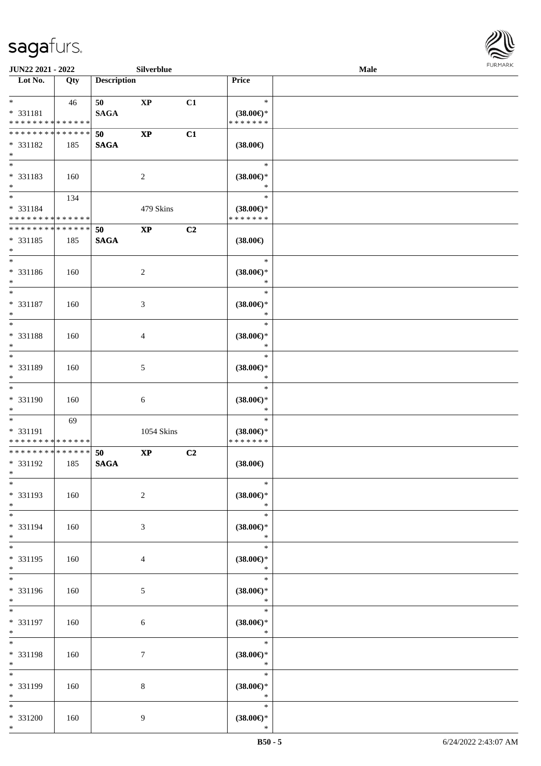

| <b>JUN22 2021 - 2022</b>                   |     |                    | Silverblue             |    |                               | <b>Male</b> |  |
|--------------------------------------------|-----|--------------------|------------------------|----|-------------------------------|-------------|--|
| Lot No.                                    | Qty | <b>Description</b> |                        |    | Price                         |             |  |
|                                            |     |                    |                        |    |                               |             |  |
| $*$                                        | 46  | 50                 | $\mathbf{X}\mathbf{P}$ | C1 | $\ast$                        |             |  |
| * 331181                                   |     | <b>SAGA</b>        |                        |    | $(38.00\epsilon)$ *           |             |  |
| * * * * * * * * * * * * * *                |     |                    |                        |    | * * * * * * *                 |             |  |
| * * * * * * * * * * * * * * *              |     | 50                 | $\mathbf{X}\mathbf{P}$ | C1 |                               |             |  |
|                                            |     |                    |                        |    |                               |             |  |
| * 331182                                   | 185 | <b>SAGA</b>        |                        |    | $(38.00\epsilon)$             |             |  |
| $*$                                        |     |                    |                        |    |                               |             |  |
|                                            |     |                    |                        |    | $\ast$                        |             |  |
| * 331183                                   | 160 |                    | 2                      |    | $(38.00\epsilon)$ *           |             |  |
| $*$                                        |     |                    |                        |    | *                             |             |  |
| $*$                                        | 134 |                    |                        |    | $\ast$                        |             |  |
| * 331184                                   |     |                    | 479 Skins              |    | $(38.00\epsilon)$ *           |             |  |
| * * * * * * * * * * * * * *                |     |                    |                        |    | * * * * * * *                 |             |  |
| * * * * * * * * * * * * * *                |     |                    |                        |    |                               |             |  |
|                                            |     | 50                 | $\mathbf{X}\mathbf{P}$ | C2 |                               |             |  |
| * 331185                                   | 185 | <b>SAGA</b>        |                        |    | $(38.00\epsilon)$             |             |  |
| $*$                                        |     |                    |                        |    |                               |             |  |
| $*$                                        |     |                    |                        |    | $\ast$                        |             |  |
| * 331186                                   | 160 |                    | 2                      |    | $(38.00\epsilon)$ *           |             |  |
| $*$                                        |     |                    |                        |    | $\ast$                        |             |  |
| $*$                                        |     |                    |                        |    | $\ast$                        |             |  |
| * 331187                                   | 160 |                    |                        |    | $(38.00\epsilon)$ *           |             |  |
| $*$                                        |     |                    | 3                      |    | $\ast$                        |             |  |
|                                            |     |                    |                        |    |                               |             |  |
|                                            |     |                    |                        |    | $\ast$                        |             |  |
| * 331188                                   | 160 |                    | 4                      |    | $(38.00\epsilon)$ *           |             |  |
| $\ast$                                     |     |                    |                        |    | $\ast$                        |             |  |
| $*$                                        |     |                    |                        |    | $\ast$                        |             |  |
| * 331189                                   | 160 |                    | 5                      |    | $(38.00\epsilon)$ *           |             |  |
| $*$                                        |     |                    |                        |    | *                             |             |  |
| $*$                                        |     |                    |                        |    | $\ast$                        |             |  |
| * 331190                                   |     |                    |                        |    |                               |             |  |
|                                            | 160 |                    | 6                      |    | $(38.00\epsilon)$ *<br>$\ast$ |             |  |
| $*$                                        |     |                    |                        |    |                               |             |  |
| $*$                                        | 69  |                    |                        |    | $\ast$                        |             |  |
| * 331191                                   |     |                    | 1054 Skins             |    | $(38.00\epsilon)$ *           |             |  |
| * * * * * * * * <mark>* * * * * * *</mark> |     |                    |                        |    | * * * * * * *                 |             |  |
| * * * * * * * * * * * * * * *              |     | 50                 | $\mathbf{X}\mathbf{P}$ | C2 |                               |             |  |
| * 331192                                   | 185 | <b>SAGA</b>        |                        |    | $(38.00\epsilon)$             |             |  |
| $*$                                        |     |                    |                        |    |                               |             |  |
| $\ast$                                     |     |                    |                        |    | $\ast$                        |             |  |
| * 331193                                   | 160 |                    | $\overline{c}$         |    | $(38.00\epsilon)$ *           |             |  |
| $*$                                        |     |                    |                        |    | $\ast$                        |             |  |
| $*$                                        |     |                    |                        |    | $\ast$                        |             |  |
|                                            |     |                    |                        |    |                               |             |  |
| * 331194                                   | 160 |                    | 3                      |    | $(38.00\epsilon)$ *           |             |  |
| $*$                                        |     |                    |                        |    | $\ast$                        |             |  |
| $*$                                        |     |                    |                        |    | $\ast$                        |             |  |
| * 331195                                   | 160 |                    | 4                      |    | $(38.00\in)\!\!^*$            |             |  |
| $*$                                        |     |                    |                        |    | $\ast$                        |             |  |
| $\overline{\ }$                            |     |                    |                        |    | $\ast$                        |             |  |
| * 331196                                   | 160 |                    | 5                      |    | $(38.00\epsilon)$ *           |             |  |
| $*$                                        |     |                    |                        |    | $\ast$                        |             |  |
| $*$                                        |     |                    |                        |    | $\ast$                        |             |  |
|                                            |     |                    |                        |    |                               |             |  |
| * 331197                                   | 160 |                    | 6                      |    | $(38.00\epsilon)$ *           |             |  |
| $*$                                        |     |                    |                        |    | $\ast$                        |             |  |
| $*$                                        |     |                    |                        |    | $\ast$                        |             |  |
| * 331198                                   | 160 |                    | $\tau$                 |    | $(38.00\epsilon)$ *           |             |  |
| $\ast$                                     |     |                    |                        |    | $\ast$                        |             |  |
| $*$                                        |     |                    |                        |    | $\ast$                        |             |  |
| * 331199                                   | 160 |                    | 8                      |    | $(38.00\epsilon)$ *           |             |  |
| $*$                                        |     |                    |                        |    | $\ast$                        |             |  |
|                                            |     |                    |                        |    |                               |             |  |
| $*$                                        |     |                    |                        |    | $\ast$                        |             |  |
| * 331200                                   | 160 |                    | 9                      |    | $(38.00\epsilon)$ *           |             |  |
| $*$                                        |     |                    |                        |    | $\ast$                        |             |  |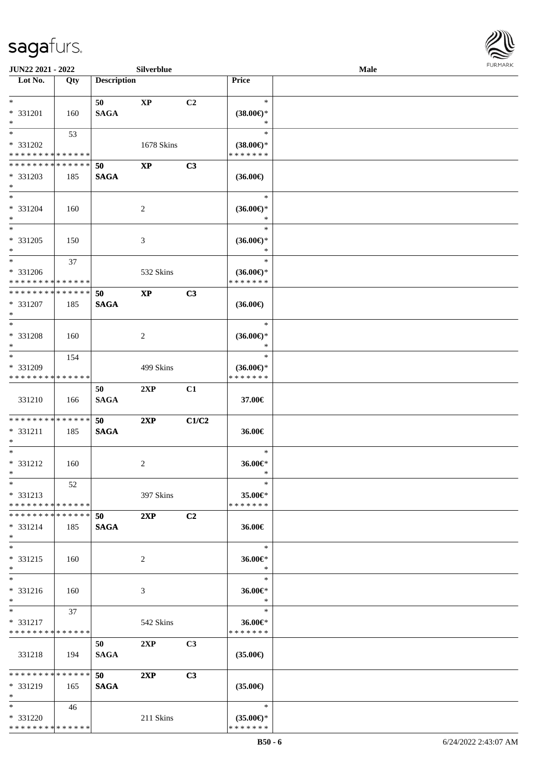

| JUN22 2021 - 2022                                                                  |     |                    | Silverblue             |                |                                                | Male | <b>FURMARK</b> |
|------------------------------------------------------------------------------------|-----|--------------------|------------------------|----------------|------------------------------------------------|------|----------------|
| $\overline{\phantom{1}}$ Lot No.                                                   | Qty | <b>Description</b> |                        |                | Price                                          |      |                |
| $*$<br>* 331201<br>$\ast$                                                          | 160 | 50<br><b>SAGA</b>  | $\mathbf{X}\mathbf{P}$ | C2             | $\ast$<br>$(38.00\epsilon)$ *<br>$\ast$        |      |                |
| $\ast$<br>* 331202<br>* * * * * * * * * * * * * *                                  | 53  |                    | 1678 Skins             |                | $\ast$<br>$(38.00\epsilon)$ *<br>* * * * * * * |      |                |
| * * * * * * * * * * * * * *<br>* 331203<br>$*$                                     | 185 | 50<br><b>SAGA</b>  | $\mathbf{XP}$          | C3             | $(36.00\epsilon)$                              |      |                |
| $\ast$<br>* 331204<br>$\ast$                                                       | 160 |                    | $\sqrt{2}$             |                | $\ast$<br>$(36.00\epsilon)$ *<br>$\ast$        |      |                |
| $\ast$<br>* 331205<br>$\ast$                                                       | 150 |                    | 3                      |                | $\ast$<br>$(36.00\epsilon)$ *<br>$\ast$        |      |                |
| $\overline{\phantom{0}}$<br>* 331206<br>* * * * * * * * * * * * * *                | 37  |                    | 532 Skins              |                | $\ast$<br>$(36.00\epsilon)$ *<br>* * * * * * * |      |                |
| * * * * * * * * * * * * * *<br>* 331207<br>$\ast$                                  | 185 | 50<br><b>SAGA</b>  | $\bold{XP}$            | C3             | $(36.00\epsilon)$                              |      |                |
| $\ast$<br>* 331208<br>$\ast$                                                       | 160 |                    | $\overline{c}$         |                | $\ast$<br>$(36.00\epsilon)$ *<br>*             |      |                |
| $\overline{\phantom{0}}$<br>* 331209<br>* * * * * * * * <mark>* * * * * * *</mark> | 154 |                    | 499 Skins              |                | $\ast$<br>$(36.00\epsilon)$ *<br>* * * * * * * |      |                |
| 331210                                                                             | 166 | 50<br><b>SAGA</b>  | 2XP                    | C1             | 37.00€                                         |      |                |
| **************<br>$* 331211$<br>$\ast$<br>$\overline{\phantom{a}^*}$               | 185 | 50<br><b>SAGA</b>  | 2XP                    | C1/C2          | 36.00€                                         |      |                |
| $* 331212$<br>$\ast$                                                               | 160 |                    | $\overline{c}$         |                | $\ast$<br>36.00€*<br>$\ast$                    |      |                |
| $\ast$<br>* 331213<br>* * * * * * * * * * * * * *                                  | 52  |                    | 397 Skins              |                | $\ast$<br>35.00€*<br>* * * * * * *             |      |                |
| * * * * * * * * * * * * * *<br>$* 331214$<br>$\ast$                                | 185 | 50<br><b>SAGA</b>  | 2XP                    | C <sub>2</sub> | 36.00€                                         |      |                |
| $\ast$<br>* 331215<br>$\ast$                                                       | 160 |                    | 2                      |                | $\ast$<br>36.00€*<br>$\ast$                    |      |                |
| $\ast$<br>* 331216<br>$\ast$                                                       | 160 |                    | 3                      |                | $\ast$<br>36.00€*<br>$\ast$                    |      |                |
| $\ast$<br>* 331217<br>* * * * * * * * * * * * * *                                  | 37  |                    | 542 Skins              |                | $\ast$<br>$36.00 \in$<br>* * * * * * *         |      |                |
| 331218                                                                             | 194 | 50<br><b>SAGA</b>  | 2XP                    | C3             | $(35.00\epsilon)$                              |      |                |
| * * * * * * * * * * * * * *<br>* 331219<br>$\ast$                                  | 165 | 50<br><b>SAGA</b>  | 2XP                    | C3             | $(35.00\epsilon)$                              |      |                |
| $*$<br>* 331220<br>* * * * * * * * * * * * * *                                     | 46  |                    | 211 Skins              |                | $\ast$<br>$(35.00\epsilon)$ *<br>* * * * * * * |      |                |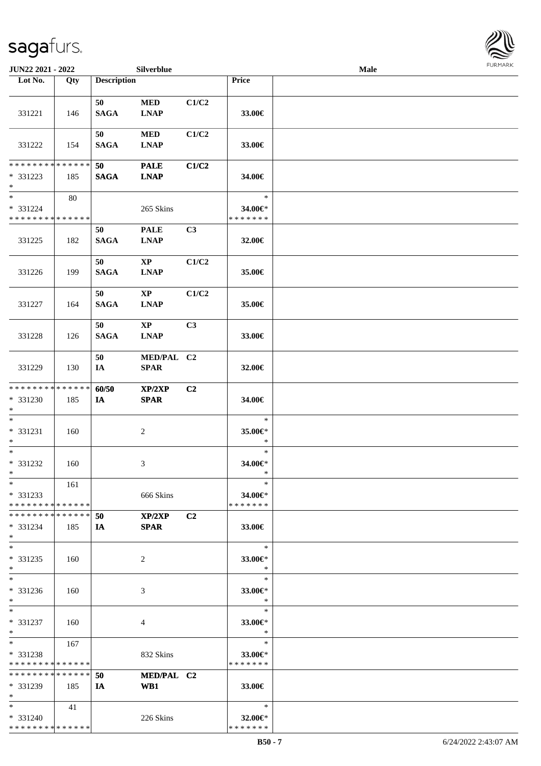| JUN22 2021 - 2022                                  |     |                    | Silverblue                            |                |                                    | Male |  |
|----------------------------------------------------|-----|--------------------|---------------------------------------|----------------|------------------------------------|------|--|
| Lot No.                                            | Qty | <b>Description</b> |                                       |                | Price                              |      |  |
|                                                    |     |                    |                                       |                |                                    |      |  |
| 331221                                             | 146 | 50<br><b>SAGA</b>  | $\bf MED$<br><b>LNAP</b>              | C1/C2          | 33.00€                             |      |  |
| 331222                                             | 154 | 50<br><b>SAGA</b>  | $\bf MED$<br><b>LNAP</b>              | C1/C2          | 33.00€                             |      |  |
| * * * * * * * * * * * * * *                        |     |                    |                                       |                |                                    |      |  |
| * 331223<br>$*$                                    | 185 | 50<br><b>SAGA</b>  | <b>PALE</b><br><b>LNAP</b>            | C1/C2          | 34.00€                             |      |  |
| $*$<br>* 331224<br>* * * * * * * * * * * * * *     | 80  |                    | 265 Skins                             |                | $\ast$<br>34.00€*<br>* * * * * * * |      |  |
| 331225                                             | 182 | 50<br><b>SAGA</b>  | <b>PALE</b><br><b>LNAP</b>            | C3             | 32.00€                             |      |  |
| 331226                                             | 199 | 50<br><b>SAGA</b>  | $\mathbf{XP}$<br><b>LNAP</b>          | C1/C2          | 35.00€                             |      |  |
| 331227                                             | 164 | 50<br><b>SAGA</b>  | $\mathbf{X}\mathbf{P}$<br><b>LNAP</b> | C1/C2          | 35.00€                             |      |  |
| 331228                                             | 126 | 50<br><b>SAGA</b>  | $\mathbf{X}\mathbf{P}$<br><b>LNAP</b> | C3             | 33.00€                             |      |  |
| 331229                                             | 130 | 50<br>IA           | MED/PAL C2<br><b>SPAR</b>             |                | 32.00€                             |      |  |
| * * * * * * * * * * * * * *<br>* 331230<br>$*$     | 185 | 60/50<br>IA        | XP/2XP<br><b>SPAR</b>                 | C <sub>2</sub> | 34.00€                             |      |  |
| $*$<br>$* 331231$<br>$*$                           | 160 |                    | $\sqrt{2}$                            |                | $\ast$<br>35.00€*<br>$\ast$        |      |  |
| $*$<br>$* 331232$<br>$*$                           | 160 |                    | 3                                     |                | $\ast$<br>34.00€*<br>$\ast$        |      |  |
| $*$<br>* 331233<br>* * * * * * * * * * * * * *     | 161 |                    | 666 Skins                             |                | $\ast$<br>34.00€*<br>* * * * * * * |      |  |
| * * * * * * * * * * * * * * *<br>$* 331234$<br>$*$ | 185 | 50<br>IA           | XP/2XP<br><b>SPAR</b>                 | C <sub>2</sub> | 33.00€                             |      |  |
| $*$<br>* 331235<br>$*$                             | 160 |                    | 2                                     |                | $\ast$<br>33.00€*<br>$\ast$        |      |  |
| $*$<br>* 331236<br>$*$                             | 160 |                    | 3                                     |                | $\ast$<br>33.00€*<br>$\ast$        |      |  |
| $*$<br>* 331237<br>$*$                             | 160 |                    | 4                                     |                | $\ast$<br>33.00€*<br>$\ast$        |      |  |
| $*$<br>* 331238<br>* * * * * * * * * * * * * *     | 167 |                    | 832 Skins                             |                | $\ast$<br>33.00€*<br>* * * * * * * |      |  |
| * * * * * * * * * * * * * *<br>* 331239<br>$*$     | 185 | 50<br>IA           | MED/PAL C2<br>WB1                     |                | 33.00€                             |      |  |
| $*$<br>* 331240<br>* * * * * * * * * * * * * *     | 41  |                    | 226 Skins                             |                | $\ast$<br>32.00€*<br>* * * * * * * |      |  |

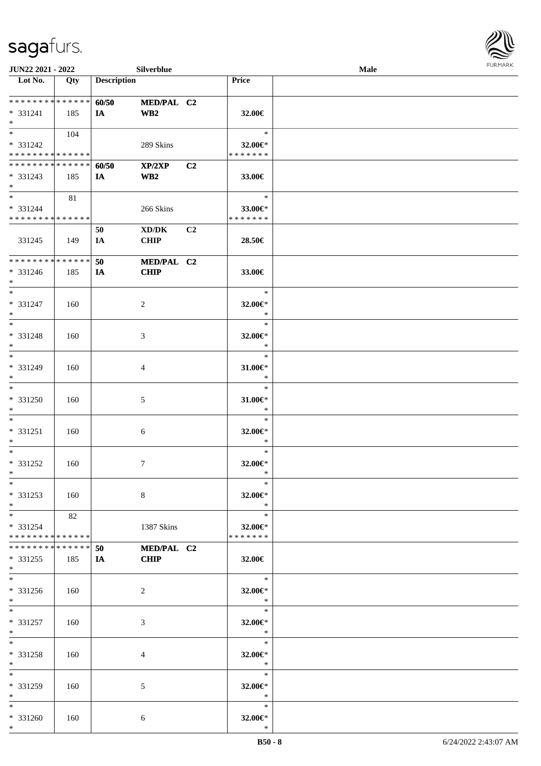

| JUN22 2021 - 2022                                              |     |                    | Silverblue                                         |    |                                    | Male |  |
|----------------------------------------------------------------|-----|--------------------|----------------------------------------------------|----|------------------------------------|------|--|
| Lot No.                                                        | Qty | <b>Description</b> |                                                    |    | Price                              |      |  |
| * * * * * * * * * * * * * * *<br>* 331241<br>$*$               | 185 | 60/50<br>IA        | MED/PAL C2<br>WB <sub>2</sub>                      |    | 32.00€                             |      |  |
| $\overline{\ast}$<br>* 331242<br>* * * * * * * * * * * * * *   | 104 |                    | 289 Skins                                          |    | $\ast$<br>32.00€*<br>* * * * * * * |      |  |
| * * * * * * * * * * * * * *<br>$* 331243$<br>$*$               | 185 | 60/50<br>IA        | XP/2XP<br>WB2                                      | C2 | 33.00€                             |      |  |
| $\overline{\ast}$<br>* 331244<br>* * * * * * * * * * * * * * * | 81  |                    | 266 Skins                                          |    | $\ast$<br>33.00€*<br>* * * * * * * |      |  |
| 331245                                                         | 149 | 50<br>IA           | $\bold{X}\bold{D}/\bold{D}\bold{K}$<br><b>CHIP</b> | C2 | 28.50€                             |      |  |
| **************<br>* 331246<br>$\ast$                           | 185 | 50<br>IA           | MED/PAL C2<br><b>CHIP</b>                          |    | 33.00€                             |      |  |
| $\ast$<br>* 331247<br>$\ast$                                   | 160 |                    | 2                                                  |    | $\ast$<br>32.00€*<br>$\ast$        |      |  |
| $\ast$<br>* 331248<br>$\ast$                                   | 160 |                    | 3                                                  |    | $\ast$<br>32.00€*<br>$\ast$        |      |  |
| $\overline{\ast}$<br>* 331249<br>$\ast$                        | 160 |                    | 4                                                  |    | $\ast$<br>31.00€*<br>$\ast$        |      |  |
| $\ast$<br>* 331250<br>$\ast$                                   | 160 |                    | $\sqrt{5}$                                         |    | $\ast$<br>$31.00 \in$ *<br>$\ast$  |      |  |
| $\ast$<br>* 331251<br>$\ast$                                   | 160 |                    | $6\phantom{.}6$                                    |    | $\ast$<br>32.00€*<br>$\ast$        |      |  |
| $\ast$<br>* 331252<br>$*$                                      | 160 |                    | $\tau$                                             |    | $\ast$<br>32.00€*<br>$\ast$        |      |  |
| $*$<br>* 331253<br>$*$                                         | 160 |                    | 8                                                  |    | $\ast$<br>32.00€*<br>$\ast$        |      |  |
| $*$<br>* 331254<br>* * * * * * * * * * * * * *                 | 82  |                    | 1387 Skins                                         |    | $\ast$<br>32.00€*<br>* * * * * * * |      |  |
| * * * * * * * * * * * * * * *<br>* 331255<br>$*$               | 185 | 50<br>IA           | MED/PAL C2<br><b>CHIP</b>                          |    | 32.00€                             |      |  |
| $\overline{\phantom{0}}$<br>$* 331256$<br>$*$                  | 160 |                    | 2                                                  |    | $\ast$<br>32.00€*<br>$\ast$        |      |  |
| $*$<br>* 331257<br>$*$                                         | 160 |                    | 3                                                  |    | $\ast$<br>32.00€*<br>$\ast$        |      |  |
| $\ast$<br>* 331258<br>$*$                                      | 160 |                    | 4                                                  |    | $\ast$<br>32.00€*<br>$\ast$        |      |  |
| $\ast$<br>* 331259<br>$*$                                      | 160 |                    | 5                                                  |    | $\ast$<br>32.00€*<br>$\ast$        |      |  |
| $*$<br>* 331260<br>$*$                                         | 160 |                    | 6                                                  |    | $\ast$<br>32.00€*<br>$\ast$        |      |  |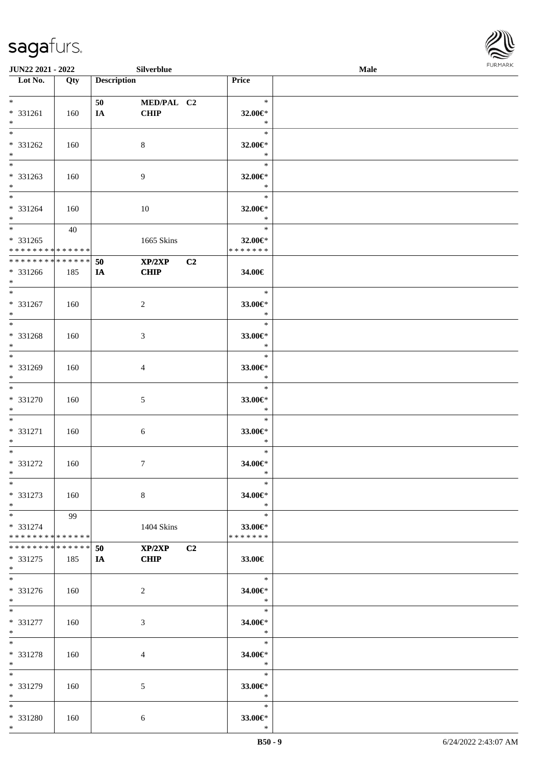\*

\* 331280 | 160 | 6

| $*$                             |       | 50 | MED/PAL C2                   |    | $\ast$                              |  |
|---------------------------------|-------|----|------------------------------|----|-------------------------------------|--|
| * 331261                        | 160   | IA | <b>CHIP</b>                  |    | 32.00€*                             |  |
| $*$<br>$*$                      |       |    |                              |    | $\ast$<br>$*$                       |  |
| * 331262                        | 160   |    | $8\,$                        |    | 32.00 $\in$ *                       |  |
| $*$                             |       |    |                              |    | $\ast$                              |  |
| $\overline{\phantom{0}}$        |       |    |                              |    | $\ast$                              |  |
| $* 331263$                      | 160   |    | 9                            |    | 32.00€*                             |  |
| $*$ $-$<br>$*$                  |       |    |                              |    | $\ast$<br>$\ast$                    |  |
| * 331264                        | - 160 |    | 10                           |    | 32.00 $\in$ *                       |  |
| $*$                             |       |    |                              |    | $\ast$                              |  |
| $*$ $*$                         | 40    |    |                              |    | $\ast$                              |  |
| $* 331265$                      |       |    | 1665 Skins                   |    | 32.00€*                             |  |
| ******** <mark>******</mark>    |       |    |                              |    | * * * * * * *                       |  |
| **************                  |       | 50 | $XP/2XP$ $C2$<br><b>CHIP</b> |    |                                     |  |
| $* 331266$<br>$*$ $*$           | 185   | IA |                              |    | 34.00€                              |  |
| $*$                             |       |    |                              |    | $\ddot{x}$                          |  |
| $* 331267$                      | 160   |    | $\overline{2}$               |    | 33.00 $\epsilon$ *                  |  |
| $*$ $-$                         |       |    |                              |    | $\ast$                              |  |
| $*$                             |       |    |                              |    |                                     |  |
| $* 331268$<br>$*$ $-$           | 160   |    | $\mathfrak{Z}$               |    | 33.00€*<br>$\overline{\phantom{a}}$ |  |
| $*$                             |       |    |                              |    | $\overline{\phantom{a}}$            |  |
| * 331269                        | 160   |    | 4                            |    | 33.00 $\in$ *                       |  |
| $*$                             |       |    |                              |    | $\ast$                              |  |
| $*$                             |       |    |                              |    | $\ast$                              |  |
| * 331270                        | 160   |    | 5                            |    | 33.00 $\in$ *                       |  |
| $*$<br>$*$                      |       |    |                              |    | $\mathbb{R}^n$<br>$\ast$            |  |
| * 331271                        | 160   |    | $6\phantom{.}6$              |    | 33.00€*                             |  |
| $*$                             |       |    |                              |    | $\ast$                              |  |
| $*$                             |       |    |                              |    | $\ast$                              |  |
| * 331272                        | 160   |    | $\tau$                       |    | 34.00€*                             |  |
| $*$<br>$\overline{\phantom{0}}$ |       |    |                              |    | $\ast$<br>$\ast$                    |  |
| * 331273                        | 160   |    | 8                            |    | 34.00€*                             |  |
| $\ast$                          |       |    |                              |    | $\ast$                              |  |
| $*$                             | 99    |    |                              |    | $\ast$                              |  |
| * 331274                        |       |    | 1404 Skins                   |    | 33.00€*                             |  |
| * * * * * * * * * * * * * *     |       |    |                              |    | * * * * * * *                       |  |
| * * * * * * * * * * * * * *     |       | 50 | XP/2XP                       | C2 |                                     |  |
| $* 331275$<br>$*$               | 185   | IA | <b>CHIP</b>                  |    | 33.00€                              |  |
| $\ast$                          |       |    |                              |    | $\ast$                              |  |
| * 331276                        | 160   |    | $\overline{c}$               |    | 34.00€*                             |  |
| $*$                             |       |    |                              |    | $\ast$                              |  |
| $*$                             |       |    |                              |    | $\ast$                              |  |
| * 331277<br>$\ast$              | 160   |    | 3                            |    | 34.00€*<br>$\ast$                   |  |
| $*$                             |       |    |                              |    | $\ast$                              |  |
| * 331278                        | 160   |    | 4                            |    | 34.00€*                             |  |
| $\ast$                          |       |    |                              |    | $\ast$                              |  |
| $\overline{\ast}$               |       |    |                              |    | $\ast$                              |  |
| * 331279                        | 160   |    | 5                            |    | 33.00€*                             |  |
| $\ast$<br>$\ast$                |       |    |                              |    | $\ast$<br>$\ast$                    |  |
|                                 |       |    |                              |    |                                     |  |

**JUN22 2021 - 2022 Silverblue Male**

**Lot No. Qty Description Price**

\* **33.00€**

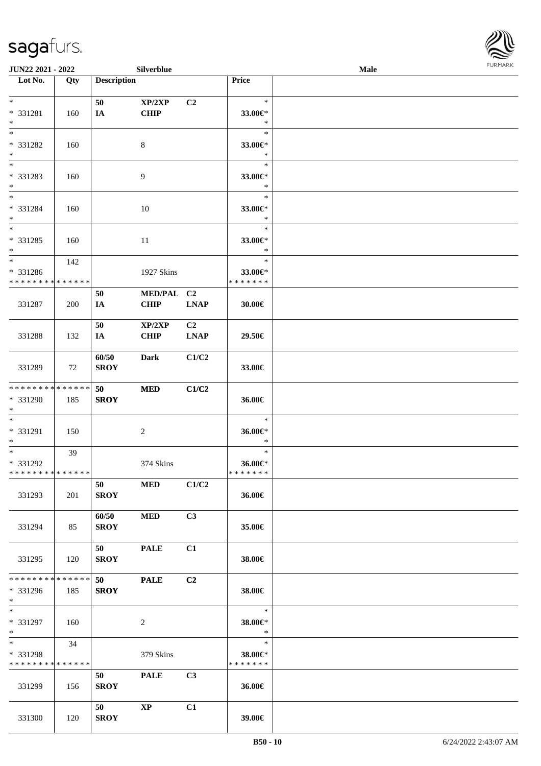

| <b>JUN22 2021 - 2022</b>      |     |                    | Silverblue             |                |                   | <b>Male</b> |  |
|-------------------------------|-----|--------------------|------------------------|----------------|-------------------|-------------|--|
| Lot No.                       | Qty | <b>Description</b> |                        |                | Price             |             |  |
|                               |     |                    |                        |                |                   |             |  |
| $*$                           |     | 50                 | XP/2XP                 | C <sub>2</sub> | $\ast$            |             |  |
| * 331281                      | 160 | IA                 | <b>CHIP</b>            |                | 33.00€*           |             |  |
| $*$<br>$*$                    |     |                    |                        |                | $\ast$<br>$\ast$  |             |  |
|                               |     |                    |                        |                |                   |             |  |
| * 331282<br>$*$               | 160 |                    | 8                      |                | 33.00€*<br>$\ast$ |             |  |
|                               |     |                    |                        |                | $\ast$            |             |  |
| * 331283                      | 160 |                    | 9                      |                | 33.00€*           |             |  |
| $*$                           |     |                    |                        |                | $\ast$            |             |  |
| $*$                           |     |                    |                        |                | $\ast$            |             |  |
| * 331284                      | 160 |                    | 10                     |                | 33.00€*           |             |  |
| $*$                           |     |                    |                        |                | $\ast$            |             |  |
| $\overline{\ast}$             |     |                    |                        |                | $\ast$            |             |  |
| * 331285                      | 160 |                    | 11                     |                | 33.00€*           |             |  |
| $*$                           |     |                    |                        |                | $\ast$            |             |  |
| $\ast$                        | 142 |                    |                        |                | $\ast$            |             |  |
| * 331286                      |     |                    | 1927 Skins             |                | 33.00€*           |             |  |
| * * * * * * * * * * * * * *   |     |                    |                        |                | * * * * * * *     |             |  |
|                               |     | 50                 | MED/PAL C2             |                |                   |             |  |
| 331287                        | 200 | IA                 | <b>CHIP</b>            | <b>LNAP</b>    | 30.00€            |             |  |
|                               |     |                    |                        |                |                   |             |  |
|                               |     | 50                 | XP/2XP                 | C2             |                   |             |  |
| 331288                        | 132 | IA                 | <b>CHIP</b>            | <b>LNAP</b>    | 29.50€            |             |  |
|                               |     |                    |                        |                |                   |             |  |
|                               |     | 60/50              | <b>Dark</b>            | C1/C2          |                   |             |  |
| 331289                        | 72  | <b>SROY</b>        |                        |                | 33.00€            |             |  |
| * * * * * * * * * * * * * * * |     | 50                 |                        | C1/C2          |                   |             |  |
| * 331290                      | 185 | <b>SROY</b>        | <b>MED</b>             |                | 36.00€            |             |  |
| $*$                           |     |                    |                        |                |                   |             |  |
| $*$                           |     |                    |                        |                | $\ast$            |             |  |
| * 331291                      | 150 |                    | $\sqrt{2}$             |                | 36.00€*           |             |  |
| $*$                           |     |                    |                        |                | $\ast$            |             |  |
| $*$                           | 39  |                    |                        |                | $\ast$            |             |  |
| * 331292                      |     |                    | 374 Skins              |                | 36.00€*           |             |  |
| * * * * * * * * * * * * * * * |     |                    |                        |                | *******           |             |  |
|                               |     | 50                 | <b>MED</b>             | C1/C2          |                   |             |  |
| 331293                        | 201 | <b>SROY</b>        |                        |                | 36.00€            |             |  |
|                               |     |                    |                        |                |                   |             |  |
|                               |     | 60/50              | <b>MED</b>             | C3             |                   |             |  |
| 331294                        | 85  | <b>SROY</b>        |                        |                | 35.00€            |             |  |
|                               |     |                    |                        |                |                   |             |  |
|                               |     | 50                 | <b>PALE</b>            | C1             |                   |             |  |
| 331295                        | 120 | <b>SROY</b>        |                        |                | 38.00€            |             |  |
| * * * * * * * * * * * * * * * |     |                    |                        |                |                   |             |  |
| * 331296                      |     | 50<br><b>SROY</b>  | <b>PALE</b>            | C2             |                   |             |  |
| $*$                           | 185 |                    |                        |                | 38.00€            |             |  |
| $*$                           |     |                    |                        |                | $\ast$            |             |  |
| * 331297                      | 160 |                    | $\overline{2}$         |                | 38.00€*           |             |  |
| $*$                           |     |                    |                        |                | $\ast$            |             |  |
| $*$ and $*$                   | 34  |                    |                        |                | $\ast$            |             |  |
| * 331298                      |     |                    | 379 Skins              |                | 38.00€*           |             |  |
| * * * * * * * * * * * * * *   |     |                    |                        |                | * * * * * * *     |             |  |
|                               |     | 50                 | <b>PALE</b>            | C3             |                   |             |  |
| 331299                        | 156 | <b>SROY</b>        |                        |                | 36.00€            |             |  |
|                               |     |                    |                        |                |                   |             |  |
|                               |     | 50                 | $\mathbf{X}\mathbf{P}$ | C1             |                   |             |  |
| 331300                        | 120 | <b>SROY</b>        |                        |                | 39.00€            |             |  |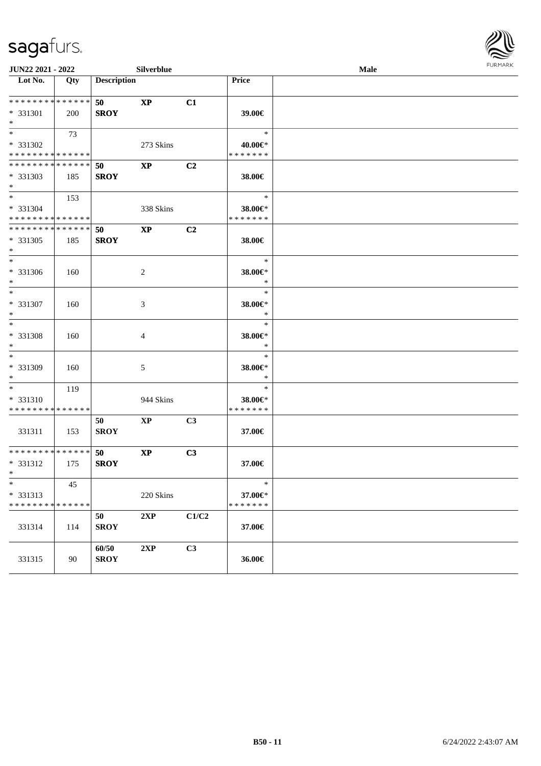

| JUN22 2021 - 2022                                  |     |                          | Silverblue    |                |                                    | Male | 1.91111111 |
|----------------------------------------------------|-----|--------------------------|---------------|----------------|------------------------------------|------|------------|
| $\overline{\phantom{1}}$ Lot No.                   | Qty | <b>Description</b>       |               |                | Price                              |      |            |
| * * * * * * * * * * * * * *<br>* 331301<br>$*$     | 200 | <b>50</b><br><b>SROY</b> | <b>XP</b>     | C1             | 39.00€                             |      |            |
| * 331302<br>* * * * * * * * * * * * * *            | 73  |                          | 273 Skins     |                | $\ast$<br>40.00€*<br>* * * * * * * |      |            |
| * * * * * * * * * * * * * *<br>* 331303<br>$*$     | 185 | 50<br><b>SROY</b>        | <b>XP</b>     | C <sub>2</sub> | 38.00€                             |      |            |
| $*$<br>* 331304<br>* * * * * * * * * * * * * *     | 153 |                          | 338 Skins     |                | $\ast$<br>38.00€*<br>* * * * * * * |      |            |
| * * * * * * * * * * * * * *<br>* 331305<br>$*$     | 185 | 50<br><b>SROY</b>        | $\bold{XP}$   | C2             | 38.00€                             |      |            |
| $*$<br>* 331306<br>$*$                             | 160 |                          | 2             |                | $\ast$<br>38.00€*<br>$\ast$        |      |            |
| $*$<br>* 331307<br>$*$                             | 160 |                          | 3             |                | $\ast$<br>38.00€*<br>$\ast$        |      |            |
| $\overline{\phantom{0}}$<br>* 331308<br>$*$        | 160 |                          | 4             |                | $\ast$<br>38.00€*<br>$\ast$        |      |            |
| $*$<br>* 331309<br>$*$                             | 160 |                          | 5             |                | $\ast$<br>38.00€*<br>$\ast$        |      |            |
| $*$<br>* 331310<br>* * * * * * * * * * * * * *     | 119 |                          | 944 Skins     |                | $\ast$<br>38.00€*<br>* * * * * * * |      |            |
| 331311                                             | 153 | 50<br><b>SROY</b>        | $\mathbf{XP}$ | C3             | 37.00€                             |      |            |
| * * * * * * * * * * * * * *<br>* 331312<br>$*$ $-$ | 175 | 50<br><b>SROY</b>        | $\bold{XP}$   | C3             | 37.00€                             |      |            |
| $*$<br>* 331313<br>******** <mark>******</mark>    | 45  |                          | 220 Skins     |                | $\ast$<br>37.00€*<br>* * * * * * * |      |            |
| 331314                                             | 114 | 50<br><b>SROY</b>        | 2XP           | C1/C2          | 37.00€                             |      |            |
| 331315                                             | 90  | 60/50<br><b>SROY</b>     | 2XP           | C3             | 36.00€                             |      |            |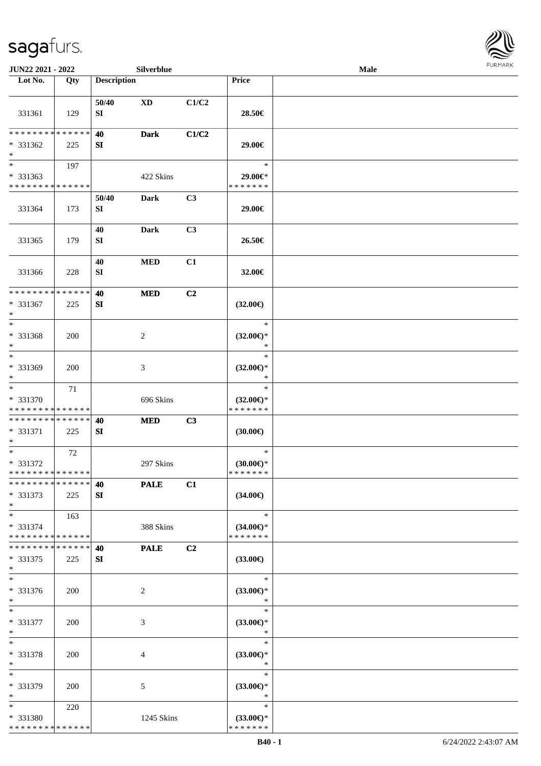

| JUN22 2021 - 2022                                                   |            |                           | Silverblue             |                |                                                | Male |  |
|---------------------------------------------------------------------|------------|---------------------------|------------------------|----------------|------------------------------------------------|------|--|
| Lot No.                                                             | Qty        | <b>Description</b>        |                        |                | Price                                          |      |  |
| 331361                                                              | 129        | 50/40<br>SI               | $\mathbf{X}\mathbf{D}$ | C1/C2          | 28.50€                                         |      |  |
| * * * * * * * * * * * * * *<br>* 331362<br>$\ast$                   | 225        | 40<br>SI                  | <b>Dark</b>            | C1/C2          | 29.00€                                         |      |  |
| $\overline{\phantom{0}}$<br>* 331363<br>* * * * * * * * * * * * * * | 197        |                           | 422 Skins              |                | $\ast$<br>29.00€*<br>* * * * * * *             |      |  |
| 331364                                                              | 173        | 50/40<br>${\bf S}{\bf I}$ | <b>Dark</b>            | C3             | 29.00€                                         |      |  |
| 331365                                                              | 179        | 40<br>SI                  | <b>Dark</b>            | C <sub>3</sub> | 26.50€                                         |      |  |
| 331366                                                              | 228        | 40<br>SI                  | <b>MED</b>             | C1             | 32.00€                                         |      |  |
| * * * * * * * * * * * * * *<br>* 331367<br>$\ast$                   | 225        | 40<br>SI                  | $\bf MED$              | C2             | $(32.00\epsilon)$                              |      |  |
| $\ast$<br>* 331368<br>$\ast$                                        | 200        |                           | $\overline{c}$         |                | $\ast$<br>$(32.00\epsilon)$ *<br>$\ast$        |      |  |
| $\ast$<br>* 331369<br>$\ast$<br>$\overline{\phantom{1}}$            | 200        |                           | $\mathfrak{Z}$         |                | $\ast$<br>$(32.00\epsilon)$ *<br>$\ast$        |      |  |
| * 331370<br>* * * * * * * * * * * * * *                             | 71         |                           | 696 Skins              |                | $\ast$<br>$(32.00\epsilon)$ *<br>* * * * * * * |      |  |
| * * * * * * * * * * * * * *<br>* 331371<br>$\ast$                   | 225        | 40<br>SI                  | <b>MED</b>             | C3             | $(30.00\epsilon)$                              |      |  |
| $\ast$<br>* 331372<br>**************                                | 72         |                           | 297 Skins              |                | $\ast$<br>$(30.00\epsilon)$ *<br>*******       |      |  |
| * * * * * * * * * * * * * * *<br>$* 331373$<br>$*$                  | 225        | 40<br>SI                  | <b>PALE</b>            | C1             | $(34.00\epsilon)$                              |      |  |
| $*$<br>* 331374<br>* * * * * * * * * * * * * *                      | 163        |                           | 388 Skins              |                | $\ast$<br>$(34.00\epsilon)$ *<br>* * * * * * * |      |  |
| **************<br>$* 331375$<br>$*$                                 | 225        | 40<br>SI                  | <b>PALE</b>            | C2             | $(33.00\epsilon)$                              |      |  |
| $\ast$<br>* 331376<br>$*$                                           | <b>200</b> |                           | $\overline{c}$         |                | $\ast$<br>$(33.00\epsilon)$ *<br>$\ast$        |      |  |
| $\ast$<br>* 331377<br>$*$                                           | 200        |                           | $\mathfrak{Z}$         |                | $\ast$<br>$(33.00\epsilon)$ *<br>$\ast$        |      |  |
| $\ast$<br>* 331378<br>$*$                                           | <b>200</b> |                           | $\overline{4}$         |                | $\ast$<br>$(33.00\epsilon)$ *<br>$\ast$        |      |  |
| $\ast$<br>* 331379<br>$*$                                           | 200        |                           | 5                      |                | $\ast$<br>$(33.00\epsilon)$ *<br>$\ast$        |      |  |
| $*$<br>* 331380<br>* * * * * * * * * * * * * *                      | 220        |                           | 1245 Skins             |                | $\ast$<br>$(33.00\epsilon)$ *<br>* * * * * * * |      |  |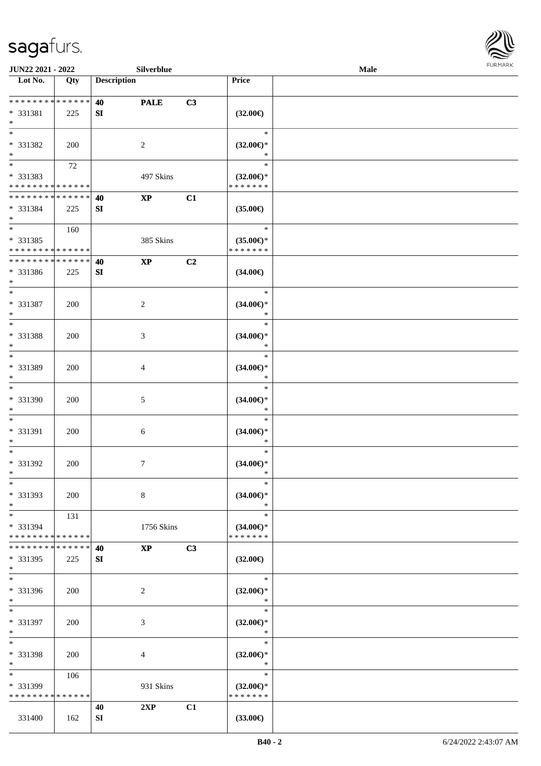

| JUN22 2021 - 2022            |            |                    | Silverblue       |    |                     | Male |  |
|------------------------------|------------|--------------------|------------------|----|---------------------|------|--|
| Lot No.                      | Qty        | <b>Description</b> |                  |    | <b>Price</b>        |      |  |
|                              |            |                    |                  |    |                     |      |  |
| ******** <mark>******</mark> |            | 40                 | <b>PALE</b>      | C3 |                     |      |  |
| * 331381                     | 225        | SI                 |                  |    | $(32.00\epsilon)$   |      |  |
| $\ast$                       |            |                    |                  |    |                     |      |  |
| $\overline{\phantom{0}}$     |            |                    |                  |    | $\ast$              |      |  |
| * 331382                     | 200        |                    | 2                |    | $(32.00\epsilon)$ * |      |  |
| $\ast$                       |            |                    |                  |    | $\ast$              |      |  |
| $\overline{\phantom{a}^*}$   | 72         |                    |                  |    | $\ast$              |      |  |
| * 331383                     |            |                    | 497 Skins        |    | $(32.00\epsilon)$ * |      |  |
| * * * * * * * * * * * * * *  |            |                    |                  |    | * * * * * * *       |      |  |
| **************               |            |                    |                  |    |                     |      |  |
|                              |            | 40                 | $\bold{XP}$      | C1 |                     |      |  |
| * 331384                     | 225        | SI                 |                  |    | $(35.00\epsilon)$   |      |  |
| $*$<br>$*$                   |            |                    |                  |    |                     |      |  |
|                              | 160        |                    |                  |    | $\ast$              |      |  |
| * 331385                     |            |                    | 385 Skins        |    | $(35.00\epsilon)$ * |      |  |
| * * * * * * * * * * * * * *  |            |                    |                  |    | * * * * * * *       |      |  |
| * * * * * * * * * * * * * *  |            | 40                 | $\mathbf{XP}$    | C2 |                     |      |  |
| * 331386                     | 225        | SI                 |                  |    | $(34.00\epsilon)$   |      |  |
| $\ast$                       |            |                    |                  |    |                     |      |  |
| $\ast$                       |            |                    |                  |    | $\ast$              |      |  |
| * 331387                     | 200        |                    | $\boldsymbol{2}$ |    | $(34.00\epsilon)$ * |      |  |
| $\ast$                       |            |                    |                  |    | $\ast$              |      |  |
| $\ast$                       |            |                    |                  |    | $\ast$              |      |  |
| * 331388                     | 200        |                    | $\mathfrak{Z}$   |    | $(34.00\epsilon)$ * |      |  |
| $\ast$                       |            |                    |                  |    | $\ast$              |      |  |
| $\ast$                       |            |                    |                  |    | $\ast$              |      |  |
| * 331389                     | 200        |                    | 4                |    | $(34.00\epsilon)$ * |      |  |
| $\ast$                       |            |                    |                  |    | $\ast$              |      |  |
| $\overline{\phantom{1}}$     |            |                    |                  |    | $\ast$              |      |  |
|                              |            |                    |                  |    |                     |      |  |
| * 331390                     | 200        |                    | $5\,$            |    | $(34.00\epsilon)$ * |      |  |
| $\ast$<br>$\ast$             |            |                    |                  |    | $\ast$              |      |  |
|                              |            |                    |                  |    | $\ast$              |      |  |
| * 331391                     | 200        |                    | $\sqrt{6}$       |    | $(34.00\epsilon)$ * |      |  |
| $\ast$                       |            |                    |                  |    | $\ast$              |      |  |
| $\ast$                       |            |                    |                  |    | $\ast$              |      |  |
| * 331392                     | 200        |                    | $7\phantom{.0}$  |    | $(34.00\epsilon)$ * |      |  |
| $*$                          |            |                    |                  |    | $\ast$              |      |  |
| $\ast$                       |            |                    |                  |    | $\ast$              |      |  |
| * 331393                     | 200        |                    | $8\,$            |    | $(34.00\epsilon)$ * |      |  |
| $\ast$                       |            |                    |                  |    | $\ast$              |      |  |
| $*$                          | 131        |                    |                  |    | $\ast$              |      |  |
| * 331394                     |            |                    | 1756 Skins       |    | $(34.00\epsilon)$ * |      |  |
| * * * * * * * * * * * * * *  |            |                    |                  |    | * * * * * * *       |      |  |
| * * * * * * * * * * * * * *  |            | 40                 | <b>XP</b>        | C3 |                     |      |  |
| * 331395                     | 225        | SI                 |                  |    | $(32.00\epsilon)$   |      |  |
| $*$                          |            |                    |                  |    |                     |      |  |
| $\overline{\phantom{1}}$     |            |                    |                  |    | $\ast$              |      |  |
| * 331396                     | 200        |                    | $\overline{c}$   |    | $(32.00\epsilon)$ * |      |  |
| $*$                          |            |                    |                  |    | $\ast$              |      |  |
| $*$                          |            |                    |                  |    | $\ast$              |      |  |
|                              |            |                    |                  |    |                     |      |  |
| * 331397                     | 200        |                    | 3                |    | $(32.00\epsilon)$ * |      |  |
| $*$                          |            |                    |                  |    | $\ast$              |      |  |
| $\ast$                       |            |                    |                  |    | $\ast$              |      |  |
| * 331398                     | <b>200</b> |                    | 4                |    | $(32.00\epsilon)$ * |      |  |
| $\ast$                       |            |                    |                  |    | $\ast$              |      |  |
| $\ast$                       | 106        |                    |                  |    | $\ast$              |      |  |
| * 331399                     |            |                    | 931 Skins        |    | $(32.00\epsilon)$ * |      |  |
| * * * * * * * * * * * * * *  |            |                    |                  |    | * * * * * * *       |      |  |
|                              |            | 40                 | 2XP              | C1 |                     |      |  |
| 331400                       | 162        | <b>SI</b>          |                  |    | $(33.00\epsilon)$   |      |  |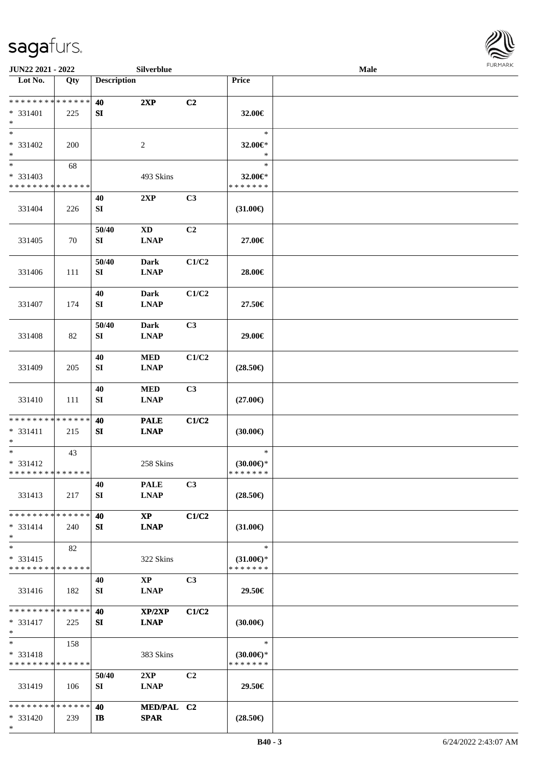\*



| JUN22 2021 - 2022             |     |                    | Silverblue             |                |                     | Male |  |
|-------------------------------|-----|--------------------|------------------------|----------------|---------------------|------|--|
| Lot No.                       | Qty | <b>Description</b> |                        |                | Price               |      |  |
| ******** <mark>******</mark>  |     | 40                 | 2XP                    | C2             |                     |      |  |
|                               |     |                    |                        |                |                     |      |  |
| * 331401                      | 225 | SI                 |                        |                | 32.00€              |      |  |
| $\ast$                        |     |                    |                        |                |                     |      |  |
| $*$                           |     |                    |                        |                | $\ast$              |      |  |
| * 331402                      | 200 |                    | 2                      |                | 32.00€*             |      |  |
| $\ast$                        |     |                    |                        |                | $\ast$              |      |  |
| $\overline{\phantom{0}}$      | 68  |                    |                        |                | $\ast$              |      |  |
| * 331403                      |     |                    | 493 Skins              |                | 32.00€*             |      |  |
| * * * * * * * * * * * * * *   |     |                    |                        |                | * * * * * * *       |      |  |
|                               |     | 40                 | 2XP                    | C3             |                     |      |  |
|                               |     |                    |                        |                |                     |      |  |
| 331404                        | 226 | SI                 |                        |                | $(31.00\epsilon)$   |      |  |
|                               |     |                    |                        |                |                     |      |  |
|                               |     | 50/40              | <b>XD</b>              | C2             |                     |      |  |
| 331405                        | 70  | SI                 | <b>LNAP</b>            |                | 27.00€              |      |  |
|                               |     |                    |                        |                |                     |      |  |
|                               |     | 50/40              | <b>Dark</b>            | C1/C2          |                     |      |  |
| 331406                        | 111 | SI                 | <b>LNAP</b>            |                | 28.00€              |      |  |
|                               |     |                    |                        |                |                     |      |  |
|                               |     | 40                 | <b>Dark</b>            | C1/C2          |                     |      |  |
| 331407                        | 174 | SI                 | <b>LNAP</b>            |                | 27.50€              |      |  |
|                               |     |                    |                        |                |                     |      |  |
|                               |     |                    |                        |                |                     |      |  |
|                               |     | 50/40              | <b>Dark</b>            | C3             |                     |      |  |
| 331408                        | 82  | SI                 | <b>LNAP</b>            |                | 29.00€              |      |  |
|                               |     |                    |                        |                |                     |      |  |
|                               |     | 40                 | <b>MED</b>             | C1/C2          |                     |      |  |
| 331409                        | 205 | ${\bf SI}$         | <b>LNAP</b>            |                | $(28.50\epsilon)$   |      |  |
|                               |     |                    |                        |                |                     |      |  |
|                               |     | 40                 | $\bf MED$              | C3             |                     |      |  |
| 331410                        | 111 | SI                 | <b>LNAP</b>            |                | $(27.00\epsilon)$   |      |  |
|                               |     |                    |                        |                |                     |      |  |
| * * * * * * * * * * * * * * * |     | 40                 | <b>PALE</b>            | C1/C2          |                     |      |  |
|                               |     |                    |                        |                |                     |      |  |
| $* 331411$<br>$*$             | 215 | SI                 | <b>LNAP</b>            |                | (30.00)             |      |  |
| $\ast$                        |     |                    |                        |                | $\ast$              |      |  |
|                               | 43  |                    |                        |                |                     |      |  |
| $* 331412$                    |     |                    | 258 Skins              |                | $(30.00\epsilon)$ * |      |  |
| **************                |     |                    |                        |                | * * * * * * *       |      |  |
|                               |     | 40                 | <b>PALE</b>            | C3             |                     |      |  |
| 331413                        | 217 | SI                 | <b>LNAP</b>            |                | $(28.50\epsilon)$   |      |  |
|                               |     |                    |                        |                |                     |      |  |
| * * * * * * * * * * * * * * * |     | 40                 | $\mathbf{X}\mathbf{P}$ | C1/C2          |                     |      |  |
| $* 331414$                    | 240 | SI                 | <b>LNAP</b>            |                | $(31.00\epsilon)$   |      |  |
| $*$                           |     |                    |                        |                |                     |      |  |
| $*$                           | 82  |                    |                        |                | $\ast$              |      |  |
| $* 331415$                    |     |                    | 322 Skins              |                | $(31.00\epsilon)$ * |      |  |
| * * * * * * * * * * * * * *   |     |                    |                        |                | * * * * * * *       |      |  |
|                               |     |                    |                        |                |                     |      |  |
|                               |     | 40                 | $\mathbf{X}\mathbf{P}$ | C <sub>3</sub> |                     |      |  |
| 331416                        | 182 | SI                 | <b>LNAP</b>            |                | 29.50€              |      |  |
|                               |     |                    |                        |                |                     |      |  |
| * * * * * * * * * * * * * * * |     | 40                 | XP/2XP                 | C1/C2          |                     |      |  |
| $* 331417$                    | 225 | SI                 | <b>LNAP</b>            |                | $(30.00\epsilon)$   |      |  |
| $*$                           |     |                    |                        |                |                     |      |  |
| $*$                           | 158 |                    |                        |                | $\ast$              |      |  |
| $* 331418$                    |     |                    | 383 Skins              |                | $(30.00\epsilon)$ * |      |  |
| * * * * * * * * * * * * * *   |     |                    |                        |                | * * * * * * *       |      |  |
|                               |     | 50/40              | 2XP                    | C <sub>2</sub> |                     |      |  |
|                               | 106 | SI                 |                        |                | 29.50€              |      |  |
| 331419                        |     |                    | <b>LNAP</b>            |                |                     |      |  |
| * * * * * * * * * * * * * * * |     |                    |                        |                |                     |      |  |
|                               |     | 40                 | MED/PAL C2             |                |                     |      |  |
| * 331420                      | 239 | IB                 | <b>SPAR</b>            |                | $(28.50\epsilon)$   |      |  |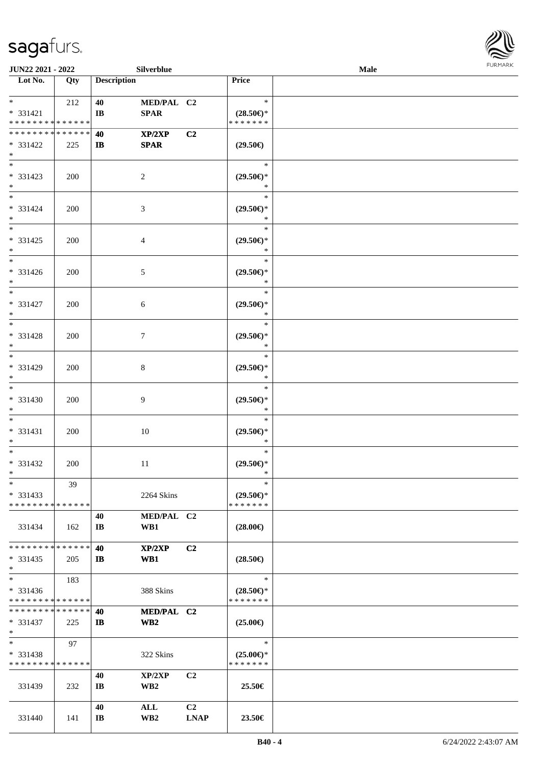

| JUN22 2021 - 2022             |     |                       | <b>Silverblue</b> |                |                               | <b>Male</b> |  |
|-------------------------------|-----|-----------------------|-------------------|----------------|-------------------------------|-------------|--|
| Lot No.                       | Qty | <b>Description</b>    |                   |                | Price                         |             |  |
|                               |     |                       |                   |                |                               |             |  |
| $*$ and $*$                   | 212 | 40                    | MED/PAL C2        |                | $\ast$                        |             |  |
| * 331421                      |     | $\mathbf{I}$ <b>B</b> | <b>SPAR</b>       |                | $(28.50\epsilon)$ *           |             |  |
| * * * * * * * * * * * * * *   |     |                       |                   |                | * * * * * * *                 |             |  |
| * * * * * * * * * * * * * *   |     | 40                    | XP/2XP            | C <sub>2</sub> |                               |             |  |
| * 331422<br>$*$               | 225 | $\mathbf{I}$          | <b>SPAR</b>       |                | $(29.50\epsilon)$             |             |  |
|                               |     |                       |                   |                | $\ast$                        |             |  |
| * 331423                      | 200 |                       | $\overline{2}$    |                | $(29.50\epsilon)$ *           |             |  |
| $*$                           |     |                       |                   |                | $\ast$                        |             |  |
| $\overline{\phantom{0}}$      |     |                       |                   |                | $\ast$                        |             |  |
| $* 331424$                    | 200 |                       | $\mathfrak{Z}$    |                | $(29.50\epsilon)$ *           |             |  |
| $*$                           |     |                       |                   |                | $\ast$                        |             |  |
| $*$                           |     |                       |                   |                | $\ast$                        |             |  |
| $* 331425$                    | 200 |                       | 4                 |                | $(29.50\epsilon)$ *           |             |  |
| $*$                           |     |                       |                   |                | $\ast$                        |             |  |
| $\ast$                        |     |                       |                   |                | $\ast$                        |             |  |
| $* 331426$                    | 200 |                       | $\mathfrak{S}$    |                | $(29.50\epsilon)$ *           |             |  |
| $*$                           |     |                       |                   |                | $\ast$                        |             |  |
| $*$                           |     |                       |                   |                | $\ast$                        |             |  |
| $* 331427$                    | 200 |                       | 6                 |                | $(29.50\epsilon)$ *           |             |  |
| $*$<br>$*$                    |     |                       |                   |                | $\ast$                        |             |  |
|                               |     |                       |                   |                | $\ast$                        |             |  |
| * 331428<br>$*$               | 200 |                       | $\tau$            |                | $(29.50\epsilon)$ *<br>$\ast$ |             |  |
| $*$                           |     |                       |                   |                | $\ast$                        |             |  |
| * 331429                      | 200 |                       | 8                 |                | $(29.50\epsilon)$ *           |             |  |
| $*$                           |     |                       |                   |                | $\ast$                        |             |  |
| $\overline{\ast}$             |     |                       |                   |                | $\ast$                        |             |  |
| $* 331430$                    | 200 |                       | $\overline{9}$    |                | $(29.50\epsilon)$ *           |             |  |
| $*$                           |     |                       |                   |                | $\ast$                        |             |  |
| $*$                           |     |                       |                   |                | $\ast$                        |             |  |
| $* 331431$                    | 200 |                       | $10\,$            |                | $(29.50\epsilon)$ *           |             |  |
| $*$                           |     |                       |                   |                | $\ast$                        |             |  |
| $*$                           |     |                       |                   |                | $\ast$                        |             |  |
| $* 331432$                    | 200 |                       | 11                |                | $(29.50\epsilon)$ *           |             |  |
| $*$ $-$                       |     |                       |                   |                | $\ast$                        |             |  |
| $*$                           | 39  |                       |                   |                | $\ast$                        |             |  |
| $* 331433$                    |     |                       | 2264 Skins        |                | $(29.50\epsilon)$ *           |             |  |
| * * * * * * * * * * * * * *   |     |                       |                   |                | * * * * * * *                 |             |  |
|                               |     | 40                    | MED/PAL C2        |                | $(28.00\epsilon)$             |             |  |
| 331434                        | 162 | IB                    | WB1               |                |                               |             |  |
| * * * * * * * * * * * * * *   |     | 40                    | XP/2XP            | C <sub>2</sub> |                               |             |  |
| $* 331435$                    | 205 | $\mathbf{I}$          | WB1               |                | $(28.50\in)$                  |             |  |
| $*$                           |     |                       |                   |                |                               |             |  |
| $\ast$                        | 183 |                       |                   |                | $\ast$                        |             |  |
| * 331436                      |     |                       | 388 Skins         |                | $(28.50\epsilon)$ *           |             |  |
| * * * * * * * * * * * * * *   |     |                       |                   |                | * * * * * * *                 |             |  |
| * * * * * * * * * * * * * * * |     | 40                    | MED/PAL C2        |                |                               |             |  |
| * 331437                      | 225 | IB                    | WB2               |                | $(25.00\epsilon)$             |             |  |
| $*$                           |     |                       |                   |                |                               |             |  |
| $*$                           | 97  |                       |                   |                | $\ast$                        |             |  |
| $* 331438$                    |     |                       | 322 Skins         |                | $(25.00\epsilon)$ *           |             |  |
| * * * * * * * * * * * * * *   |     |                       |                   |                | * * * * * * *                 |             |  |
|                               |     | 40                    | XP/2XP            | C <sub>2</sub> |                               |             |  |
| 331439                        | 232 | IB                    | WB <sub>2</sub>   |                | 25.50€                        |             |  |
|                               |     | 40                    | ALL               | C <sub>2</sub> |                               |             |  |
| 331440                        | 141 | IB                    | WB <sub>2</sub>   | <b>LNAP</b>    | 23.50€                        |             |  |
|                               |     |                       |                   |                |                               |             |  |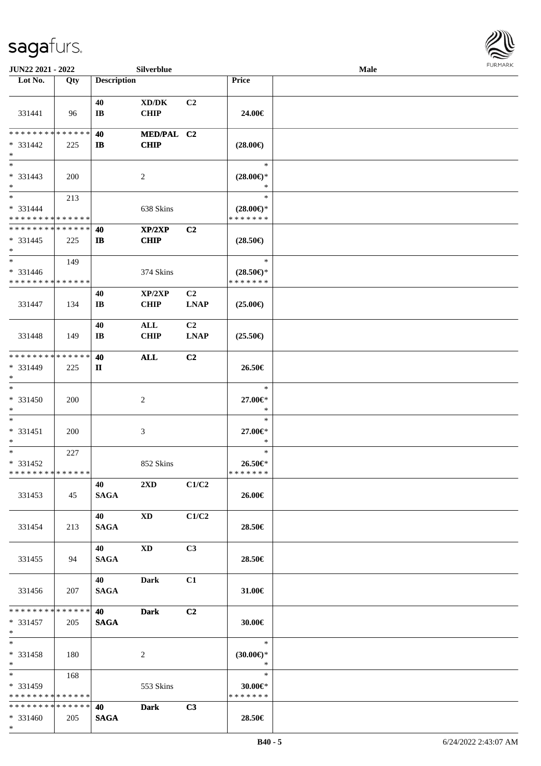

| JUN22 2021 - 2022                                    |     |                              | Silverblue                                         |                               |                                                | <b>Male</b> |  |
|------------------------------------------------------|-----|------------------------------|----------------------------------------------------|-------------------------------|------------------------------------------------|-------------|--|
| Lot No.                                              | Qty | <b>Description</b>           |                                                    |                               | Price                                          |             |  |
| 331441                                               | 96  | 40<br>$\mathbf{I}$ <b>B</b>  | $\bold{X}\bold{D}/\bold{D}\bold{K}$<br><b>CHIP</b> | C2                            | 24.00€                                         |             |  |
| * * * * * * * * * * * * * *<br>$* 331442$<br>$*$     | 225 | 40<br>$\mathbf{I}$           | MED/PAL C2<br><b>CHIP</b>                          |                               | $(28.00\epsilon)$                              |             |  |
| $\overline{\ast}$<br>$* 331443$<br>$*$               | 200 |                              | 2                                                  |                               | $\ast$<br>$(28.00\epsilon)$ *<br>*             |             |  |
| $*$<br>$* 331444$<br>* * * * * * * * * * * * * *     | 213 |                              | 638 Skins                                          |                               | $\ast$<br>$(28.00\epsilon)$ *<br>* * * * * * * |             |  |
| * * * * * * * * * * * * * *<br>$* 331445$<br>$*$     | 225 | 40<br>$\mathbf{I}$           | XP/2XP<br><b>CHIP</b>                              | C2                            | $(28.50\epsilon)$                              |             |  |
| $\ast$<br>$* 331446$<br>* * * * * * * * * * * * * *  | 149 |                              | 374 Skins                                          |                               | $\ast$<br>$(28.50\epsilon)$ *<br>* * * * * * * |             |  |
| 331447                                               | 134 | 40<br>$\mathbf{I}\mathbf{B}$ | XP/2XP<br><b>CHIP</b>                              | C <sub>2</sub><br><b>LNAP</b> | $(25.00\epsilon)$                              |             |  |
| 331448                                               | 149 | 40<br>IB                     | ALL<br><b>CHIP</b>                                 | C <sub>2</sub><br><b>LNAP</b> | $(25.50\epsilon)$                              |             |  |
| * * * * * * * * * * * * * *<br>* 331449<br>$*$       | 225 | 40<br>$\mathbf{I}$           | <b>ALL</b>                                         | C2                            | 26.50€                                         |             |  |
| $\ast$<br>$* 331450$<br>$*$                          | 200 |                              | $\sqrt{2}$                                         |                               | $\ast$<br>27.00€*<br>$\ast$                    |             |  |
| $*$<br>$* 331451$<br>$*$                             | 200 |                              | $\mathfrak{Z}$                                     |                               | $\ast$<br>27.00€*<br>$\ast$                    |             |  |
| $*$<br>$* 331452$<br>* * * * * * * * * * * * * *     | 227 |                              | 852 Skins                                          |                               | $\ast$<br>26.50€*<br>* * * * * * *             |             |  |
| 331453                                               | 45  | 40 — 20<br><b>SAGA</b>       | 2XD                                                | C1/C2                         | 26.00€                                         |             |  |
| 331454                                               | 213 | 40<br><b>SAGA</b>            | <b>XD</b>                                          | C1/C2                         | 28.50€                                         |             |  |
| 331455                                               | 94  | 40<br><b>SAGA</b>            | <b>XD</b>                                          | C3                            | 28.50€                                         |             |  |
| 331456                                               | 207 | 40<br><b>SAGA</b>            | <b>Dark</b>                                        | C1                            | 31.00€                                         |             |  |
| * * * * * * * * * * * * * * *<br>* 331457<br>$*$ $*$ | 205 | 40<br><b>SAGA</b>            | <b>Dark</b>                                        | C2                            | 30.00€                                         |             |  |
| $*$<br>* 331458<br>$*$                               | 180 |                              | 2                                                  |                               | $\ast$<br>$(30.00\epsilon)$ *<br>$\ast$        |             |  |
| * 331459<br>* * * * * * * * * * * * * *              | 168 |                              | 553 Skins                                          |                               | $\ast$<br>$30.00 \in$ *<br>* * * * * * *       |             |  |
| * * * * * * * * * * * * * * *<br>* 331460<br>$*$     | 205 | 40<br><b>SAGA</b>            | Dark                                               | C3                            | 28.50€                                         |             |  |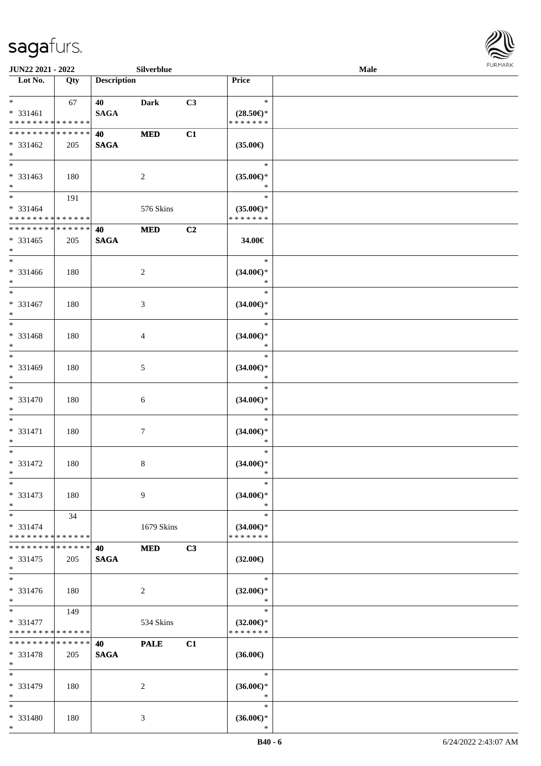

| <b>JUN22 2021 - 2022</b>                             |                    |                    | Silverblue     |    |                                                | Male |  |
|------------------------------------------------------|--------------------|--------------------|----------------|----|------------------------------------------------|------|--|
| Lot No.                                              | Qty                | <b>Description</b> |                |    | Price                                          |      |  |
| $*$<br>* 331461<br>* * * * * * * * * * * * * *       | 67                 | 40<br><b>SAGA</b>  | <b>Dark</b>    | C3 | $\ast$<br>$(28.50\epsilon)$ *<br>* * * * * * * |      |  |
| * * * * * * * * * * * * * *<br>* 331462<br>$*$       | 205                | 40<br><b>SAGA</b>  | <b>MED</b>     | C1 | $(35.00\epsilon)$                              |      |  |
| * 331463<br>$*$                                      | 180                |                    | 2              |    | $\ast$<br>$(35.00ε)$ *<br>*                    |      |  |
| $*$<br>$* 331464$<br>* * * * * * * * * * * * * *     | 191                |                    | 576 Skins      |    | $\ast$<br>$(35.00\epsilon)$ *<br>* * * * * * * |      |  |
| * * * * * * * * * * * * * *<br>* 331465<br>$*$       | 205                | 40<br><b>SAGA</b>  | <b>MED</b>     | C2 | 34.00€                                         |      |  |
| $*$<br>* 331466<br>$*$                               | 180                |                    | 2              |    | $\ast$<br>$(34.00\epsilon)$ *<br>$\ast$        |      |  |
| $*$<br>$* 331467$<br>$*$                             | 180                |                    | 3              |    | $\ast$<br>$(34.00\epsilon)$ *<br>$\ast$        |      |  |
| $\overline{\ast}$<br>* 331468<br>$*$                 | 180                |                    | $\overline{4}$ |    | $\ast$<br>$(34.00\epsilon)$ *<br>$\ast$        |      |  |
| $*$<br>* 331469<br>$*$                               | 180                |                    | $\mathfrak{S}$ |    | $\ast$<br>$(34.00\epsilon)$ *<br>$\ast$        |      |  |
| $*$<br>$* 331470$<br>$*$                             | 180                |                    | 6              |    | $\ast$<br>$(34.00\epsilon)$ *<br>$\ast$        |      |  |
| $*$<br>* 331471<br>$*$                               | 180                |                    | $\tau$         |    | $\ast$<br>$(34.00\epsilon)$ *<br>$\ast$        |      |  |
| $*$<br>$* 331472$<br>$*$                             | 180                |                    | $\,8\,$        |    | $\ast$<br>$(34.00\epsilon)$ *<br>$\ast$        |      |  |
| $\ast$<br>* 331473<br>$*$                            | 180                |                    | 9              |    | $\ast$<br>$(34.00\epsilon)$ *<br>$\ast$        |      |  |
| $*$<br>* 331474<br>* * * * * * * * * * * * * *       | 34                 |                    | 1679 Skins     |    | $\ast$<br>$(34.00\epsilon)$ *<br>* * * * * * * |      |  |
| * * * * * * * *<br>* 331475<br>$*$                   | * * * * * *<br>205 | 40<br><b>SAGA</b>  | <b>MED</b>     | C3 | $(32.00\epsilon)$                              |      |  |
| $\ast$<br>* 331476<br>$*$                            | 180                |                    | 2              |    | $\ast$<br>$(32.00\epsilon)$ *<br>$\ast$        |      |  |
| $*$ $*$<br>$* 331477$<br>* * * * * * * * * * * * * * | 149                |                    | 534 Skins      |    | $\ast$<br>$(32.00\epsilon)$ *<br>* * * * * * * |      |  |
| * * * * * * * *<br>$* 331478$<br>$*$                 | * * * * * *<br>205 | 40<br><b>SAGA</b>  | <b>PALE</b>    | C1 | $(36.00\epsilon)$                              |      |  |
| $*$<br>* 331479<br>$*$                               | 180                |                    | 2              |    | $\ast$<br>$(36.00\epsilon)$ *<br>$\ast$        |      |  |
| $*$<br>* 331480<br>$*$                               | 180                |                    | 3              |    | $\ast$<br>$(36.00\epsilon)$ *<br>$\ast$        |      |  |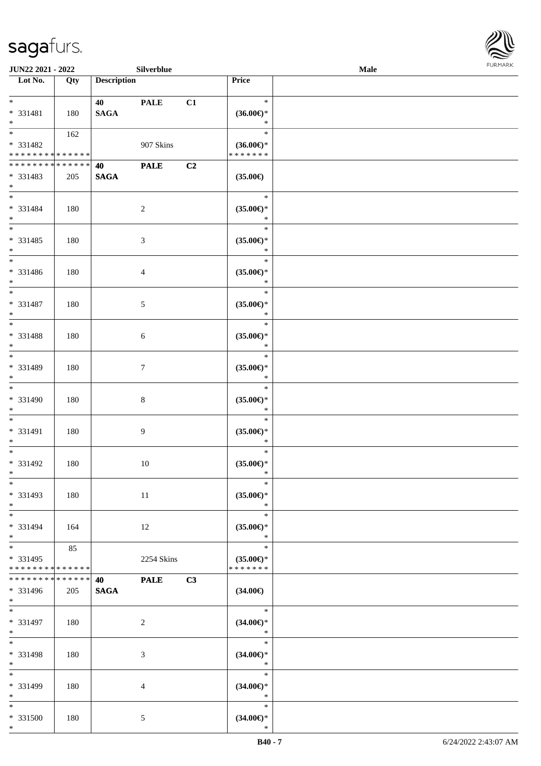\*



| <b>JUN22 2021 - 2022</b>                   |     |                    | Silverblue     |    |                                | <b>Male</b> |  |
|--------------------------------------------|-----|--------------------|----------------|----|--------------------------------|-------------|--|
| Lot No.                                    | Qty | <b>Description</b> |                |    | Price                          |             |  |
|                                            |     |                    |                |    |                                |             |  |
| $*$                                        |     | 40                 | <b>PALE</b>    | C1 | $\ast$                         |             |  |
| * 331481                                   | 180 | <b>SAGA</b>        |                |    | $(36.00\epsilon)$ *            |             |  |
| $*$                                        |     |                    |                |    | $\ast$                         |             |  |
|                                            | 162 |                    |                |    | $\ast$                         |             |  |
| * 331482                                   |     |                    | 907 Skins      |    | $(36.00\epsilon)$ *            |             |  |
| * * * * * * * * <mark>* * * * * * *</mark> |     |                    |                |    | * * * * * * *                  |             |  |
| * * * * * * * * * * * * * * *              |     | 40                 | <b>PALE</b>    | C2 |                                |             |  |
| * 331483                                   | 205 | <b>SAGA</b>        |                |    | $(35.00\epsilon)$              |             |  |
| $*$                                        |     |                    |                |    |                                |             |  |
| $*$                                        |     |                    |                |    | $\ast$                         |             |  |
| * 331484                                   | 180 |                    | $\overline{c}$ |    | $(35.00\epsilon)$ *            |             |  |
| $*$                                        |     |                    |                |    | $\ast$                         |             |  |
| $*$                                        |     |                    |                |    | $\ast$                         |             |  |
| * 331485                                   | 180 |                    | 3              |    | $(35.00\mathnormal{\infty})^*$ |             |  |
| $*$                                        |     |                    |                |    | $\ast$                         |             |  |
| $*$                                        |     |                    |                |    | $\ast$                         |             |  |
| * 331486                                   | 180 |                    | 4              |    | $(35.00\epsilon)$ *            |             |  |
| $*$                                        |     |                    |                |    | $\ast$                         |             |  |
| $*$                                        |     |                    |                |    | $\ast$                         |             |  |
| $* 331487$                                 | 180 |                    | 5              |    | $(35.00\epsilon)$ *            |             |  |
| $*$                                        |     |                    |                |    | $\ast$<br>$\ast$               |             |  |
|                                            |     |                    |                |    |                                |             |  |
| * 331488<br>$*$                            | 180 |                    | 6              |    | $(35.00\epsilon)$ *<br>$\ast$  |             |  |
|                                            |     |                    |                |    | $\ast$                         |             |  |
| * 331489                                   |     |                    |                |    |                                |             |  |
| $*$                                        | 180 |                    | $\tau$         |    | $(35.00\epsilon)$ *<br>$\ast$  |             |  |
| $*$                                        |     |                    |                |    | $\ast$                         |             |  |
| * 331490                                   | 180 |                    | 8              |    | $(35.00\epsilon)$ *            |             |  |
| $*$                                        |     |                    |                |    | $\ast$                         |             |  |
| $*$                                        |     |                    |                |    | $\ast$                         |             |  |
| * 331491                                   | 180 |                    | 9              |    | $(35.00\epsilon)$ *            |             |  |
| $*$                                        |     |                    |                |    | $\ast$                         |             |  |
| $*$                                        |     |                    |                |    | $\ast$                         |             |  |
| * 331492                                   | 180 |                    | $10\,$         |    | $(35.00\epsilon)$ *            |             |  |
| $*$                                        |     |                    |                |    | $\ast$                         |             |  |
| $*$                                        |     |                    |                |    | $\ast$                         |             |  |
| * 331493                                   | 180 |                    | 11             |    | $(35.00\epsilon)$ *            |             |  |
| $*$                                        |     |                    |                |    | $\ast$                         |             |  |
| $*$                                        |     |                    |                |    | $\ast$                         |             |  |
| * 331494                                   | 164 |                    | 12             |    | $(35.00\epsilon)$ *            |             |  |
| $*$                                        |     |                    |                |    | $\ast$                         |             |  |
| $*$                                        | 85  |                    |                |    | $\ast$                         |             |  |
| * 331495                                   |     |                    | 2254 Skins     |    | $(35.00\epsilon)$ *            |             |  |
| * * * * * * * * * * * * * *                |     |                    |                |    | * * * * * * *                  |             |  |
| * * * * * * * * * * * * * * *              |     | 40                 | <b>PALE</b>    | C3 |                                |             |  |
| * 331496                                   | 205 | <b>SAGA</b>        |                |    | $(34.00\epsilon)$              |             |  |
| $*$                                        |     |                    |                |    |                                |             |  |
| $*$                                        |     |                    |                |    | $\ast$                         |             |  |
| * 331497                                   | 180 |                    | 2              |    | $(34.00\epsilon)$ *            |             |  |
| $*$                                        |     |                    |                |    | $\ast$                         |             |  |
| $*$                                        |     |                    |                |    | $\ast$                         |             |  |
| * 331498                                   | 180 |                    | 3              |    | $(34.00\epsilon)$ *            |             |  |
| $*$                                        |     |                    |                |    | $\ast$                         |             |  |
| $*$                                        |     |                    |                |    | $\ast$                         |             |  |
| * 331499                                   | 180 |                    | 4              |    | $(34.00\epsilon)$ *            |             |  |
| $*$                                        |     |                    |                |    | $\ast$                         |             |  |
| $*$                                        |     |                    |                |    | $\ast$                         |             |  |
| * 331500                                   | 180 |                    | 5              |    | $(34.00\epsilon)$ *            |             |  |
| $*$                                        |     |                    |                |    | $\ast$                         |             |  |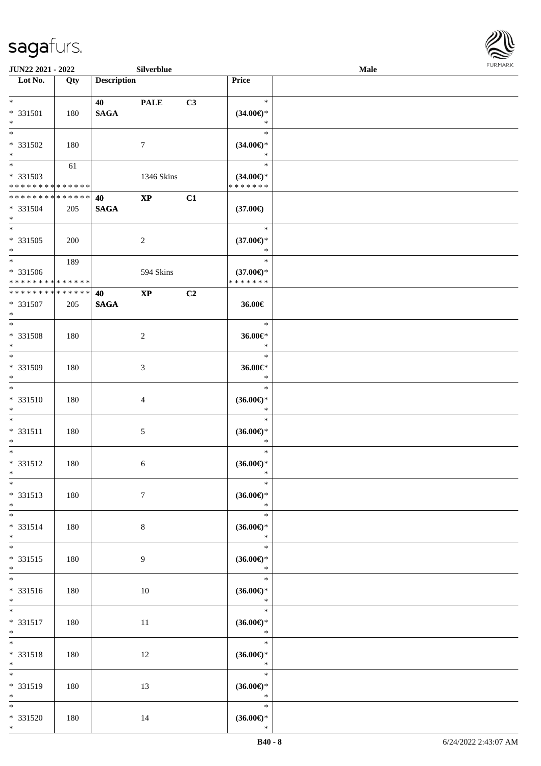

| <b>JUN22 2021 - 2022</b>        |     |                    | Silverblue      |    |                                      | Male |  |
|---------------------------------|-----|--------------------|-----------------|----|--------------------------------------|------|--|
| Lot No.                         | Qty | <b>Description</b> |                 |    | Price                                |      |  |
|                                 |     |                    |                 |    |                                      |      |  |
| $*$                             |     | 40                 | <b>PALE</b>     | C3 | $\ast$                               |      |  |
| * 331501                        | 180 | <b>SAGA</b>        |                 |    | $(34.00\epsilon)$ *                  |      |  |
| $\ast$                          |     |                    |                 |    | $\ast$                               |      |  |
|                                 |     |                    |                 |    | $\ast$                               |      |  |
| * 331502<br>$\ast$              | 180 |                    | 7               |    | $(34.00\epsilon)$ *<br>$\ast$        |      |  |
|                                 |     |                    |                 |    | $\ast$                               |      |  |
| * 331503                        | 61  |                    | 1346 Skins      |    |                                      |      |  |
| * * * * * * * * * * * * * *     |     |                    |                 |    | $(34.00\epsilon)$ *<br>* * * * * * * |      |  |
| ******** <mark>******</mark>    |     | 40                 | $\bold{XP}$     | C1 |                                      |      |  |
| * 331504                        | 205 | <b>SAGA</b>        |                 |    | $(37.00\epsilon)$                    |      |  |
| $*$                             |     |                    |                 |    |                                      |      |  |
| $\overline{\ast}$               |     |                    |                 |    | $\ast$                               |      |  |
| $* 331505$                      | 200 |                    | $\overline{c}$  |    | $(37.00\epsilon)$ *                  |      |  |
| $*$                             |     |                    |                 |    | $\ast$                               |      |  |
| $*$                             | 189 |                    |                 |    | $\ast$                               |      |  |
| * 331506                        |     |                    | 594 Skins       |    | $(37.00\epsilon)$ *                  |      |  |
| ******** <mark>******</mark>    |     |                    |                 |    | * * * * * * *                        |      |  |
| * * * * * * * * * * * * * *     |     | 40                 | $\bold{XP}$     | C2 |                                      |      |  |
| $* 331507$                      | 205 | <b>SAGA</b>        |                 |    | 36.00€                               |      |  |
| $*$<br>$\overline{\phantom{0}}$ |     |                    |                 |    | $\ast$                               |      |  |
|                                 |     |                    |                 |    |                                      |      |  |
| * 331508<br>$*$                 | 180 |                    | $\sqrt{2}$      |    | 36.00€*<br>$\ast$                    |      |  |
| $*$                             |     |                    |                 |    | $\ast$                               |      |  |
| * 331509                        | 180 |                    | 3               |    | $36.00 \text{E}$                     |      |  |
| $*$                             |     |                    |                 |    | $\ast$                               |      |  |
| $*$                             |     |                    |                 |    | $\ast$                               |      |  |
| $* 331510$                      | 180 |                    | 4               |    | $(36.00\epsilon)$ *                  |      |  |
| $*$                             |     |                    |                 |    | $\ast$                               |      |  |
| $*$                             |     |                    |                 |    | $\ast$                               |      |  |
| * 331511                        | 180 |                    | $\mathfrak{S}$  |    | $(36.00\epsilon)$ *                  |      |  |
| $*$                             |     |                    |                 |    | $\ast$                               |      |  |
| $*$                             |     |                    |                 |    | $\ast$                               |      |  |
| * 331512<br>$*$                 | 180 |                    | 6               |    | $(36.00\epsilon)$ *<br>$\ast$        |      |  |
| $*$                             |     |                    |                 |    | $\ast$                               |      |  |
| * 331513                        | 180 |                    | $7\phantom{.0}$ |    | (36.00)                              |      |  |
| $*$                             |     |                    |                 |    | $\ast$                               |      |  |
| $*$                             |     |                    |                 |    | $\ast$                               |      |  |
| * 331514                        | 180 |                    | 8               |    | $(36.00\epsilon)$ *                  |      |  |
| $*$                             |     |                    |                 |    | $\ast$                               |      |  |
| $*$                             |     |                    |                 |    | $\ast$                               |      |  |
| * 331515                        | 180 |                    | 9               |    | $(36.00\epsilon)$ *                  |      |  |
| $*$                             |     |                    |                 |    | $\ast$                               |      |  |
|                                 |     |                    |                 |    | $\ast$                               |      |  |
| * 331516                        | 180 |                    | 10              |    | $(36.00\epsilon)$ *                  |      |  |
| $*$ $-$<br>$*$                  |     |                    |                 |    | $\ast$<br>$\ast$                     |      |  |
|                                 |     |                    |                 |    |                                      |      |  |
| * 331517<br>$*$                 | 180 |                    | $11\,$          |    | $(36.00\epsilon)$ *<br>$\ast$        |      |  |
| $*$                             |     |                    |                 |    | $\ast$                               |      |  |
| * 331518                        | 180 |                    | 12              |    | $(36.00\epsilon)$ *                  |      |  |
| $*$                             |     |                    |                 |    | $\ast$                               |      |  |
| $\overline{\phantom{0}}$        |     |                    |                 |    | $\ast$                               |      |  |
| * 331519                        | 180 |                    | 13              |    | $(36.00\epsilon)$ *                  |      |  |
| $*$                             |     |                    |                 |    | $\ast$                               |      |  |
| $*$                             |     |                    |                 |    | $\ast$                               |      |  |
| * 331520                        | 180 |                    | 14              |    | $(36.00\epsilon)$ *                  |      |  |
| $*$                             |     |                    |                 |    | $\ast$                               |      |  |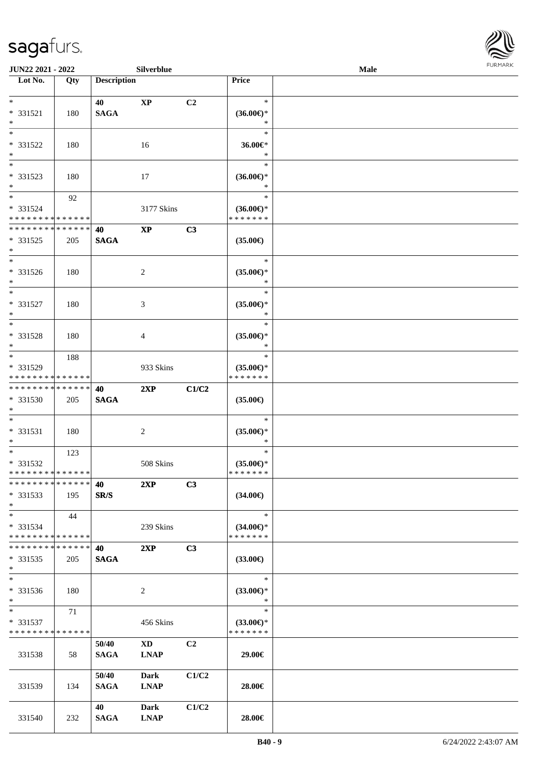

| JUN22 2021 - 2022                                                   |     |                      | Silverblue                            |                |                                                | Male | <b>FURMARK</b> |
|---------------------------------------------------------------------|-----|----------------------|---------------------------------------|----------------|------------------------------------------------|------|----------------|
| $\overline{\phantom{1}}$ Lot No.                                    | Qty | <b>Description</b>   |                                       |                | Price                                          |      |                |
| $*$<br>$* 331521$<br>$\ast$                                         | 180 | 40<br><b>SAGA</b>    | $\bold{XP}$                           | C2             | $\ast$<br>$(36.00\epsilon)$ *<br>$\ast$        |      |                |
| $*$<br>* 331522<br>$*$                                              | 180 |                      | 16                                    |                | $\ast$<br>36.00€*<br>$\ast$                    |      |                |
| $\overline{\phantom{0}}$<br>* 331523<br>$*$                         | 180 |                      | 17                                    |                | $\ast$<br>$(36.00\epsilon)$ *<br>$\ast$        |      |                |
| $*$<br>* 331524<br>* * * * * * * * * * * * * *                      | 92  |                      | 3177 Skins                            |                | $\ast$<br>$(36.00\epsilon)$ *<br>* * * * * * * |      |                |
| * * * * * * * * * * * * * *<br>* 331525<br>$*$                      | 205 | 40<br><b>SAGA</b>    | $\mathbf{X}\mathbf{P}$                | C3             | $(35.00\epsilon)$                              |      |                |
| $*$<br>* 331526<br>$*$                                              | 180 |                      | 2                                     |                | $\ast$<br>$(35.00\epsilon)$ *<br>$\ast$        |      |                |
| $*$<br>* 331527<br>$\ast$                                           | 180 |                      | 3                                     |                | $\ast$<br>$(35.00\epsilon)$ *<br>∗             |      |                |
| $*$<br>* 331528<br>$\ast$                                           | 180 |                      | 4                                     |                | $\ast$<br>$(35.00\epsilon)$ *<br>∗             |      |                |
| $\overline{\phantom{0}}$<br>* 331529<br>* * * * * * * * * * * * * * | 188 |                      | 933 Skins                             |                | $\ast$<br>$(35.00\epsilon)$ *<br>* * * * * * * |      |                |
| * * * * * * * * * * * * * *<br>* 331530<br>$*$                      | 205 | 40<br><b>SAGA</b>    | 2XP                                   | C1/C2          | $(35.00\epsilon)$                              |      |                |
| $*$<br>$* 331531$<br>$*$                                            | 180 |                      | $\overline{c}$                        |                | $\ast$<br>$(35.00\epsilon)$ *<br>$\ast$        |      |                |
| $\overline{\ast}$<br>* 331532<br>* * * * * * * * * * * * * *        | 123 |                      | 508 Skins                             |                | $\ast$<br>$(35.00\epsilon)$ *<br>* * * * * * * |      |                |
| * * * * * * * * * * * * * *<br>* 331533<br>$*$                      | 195 | 40<br>SR/S           | 2XP                                   | C3             | $(34.00\epsilon)$                              |      |                |
| $*$<br>* 331534<br>* * * * * * * * * * * * * *                      | 44  |                      | 239 Skins                             |                | $\ast$<br>$(34.00€)$ *<br>* * * * * * *        |      |                |
| * * * * * * * * * * * * * *<br>$*331535$<br>$*$                     | 205 | 40<br><b>SAGA</b>    | 2XP                                   | C3             | $(33.00\epsilon)$                              |      |                |
| $\ast$<br>* 331536<br>$*$                                           | 180 |                      | 2                                     |                | $\ast$<br>$(33.00\epsilon)$ *<br>$\ast$        |      |                |
| $*$<br>* 331537<br>* * * * * * * * * * * * * *                      | 71  |                      | 456 Skins                             |                | $\ast$<br>$(33.00\epsilon)$ *<br>* * * * * * * |      |                |
| 331538                                                              | 58  | 50/40<br><b>SAGA</b> | $\mathbf{X}\mathbf{D}$<br><b>LNAP</b> | C <sub>2</sub> | 29.00€                                         |      |                |
| 331539                                                              | 134 | 50/40<br><b>SAGA</b> | Dark<br><b>LNAP</b>                   | C1/C2          | 28.00€                                         |      |                |
| 331540                                                              | 232 | 40<br><b>SAGA</b>    | <b>Dark</b><br><b>LNAP</b>            | C1/C2          | 28.00€                                         |      |                |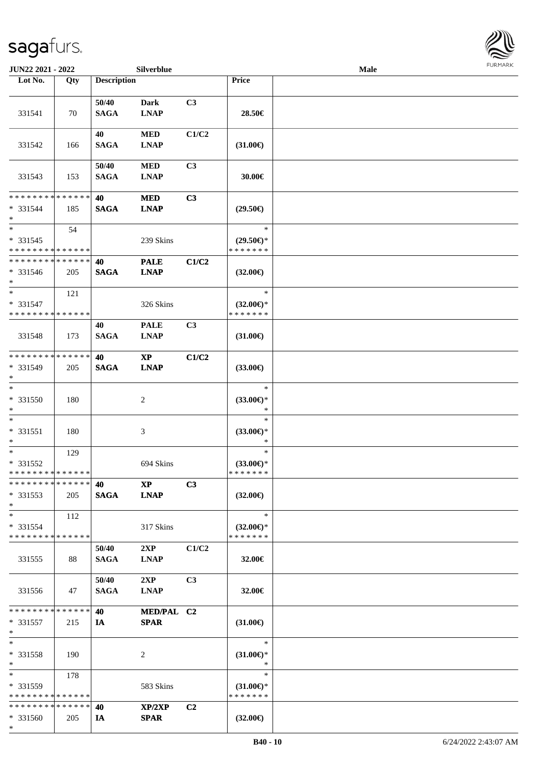

| JUN22 2021 - 2022            |     |                    | Silverblue             |                |                                      | Male |  |
|------------------------------|-----|--------------------|------------------------|----------------|--------------------------------------|------|--|
| Lot No.                      | Qty | <b>Description</b> |                        |                | Price                                |      |  |
|                              |     |                    |                        |                |                                      |      |  |
|                              |     | 50/40              | <b>Dark</b>            | C3             |                                      |      |  |
| 331541                       | 70  | <b>SAGA</b>        | <b>LNAP</b>            |                | 28.50€                               |      |  |
|                              |     |                    |                        |                |                                      |      |  |
|                              |     | 40                 | $\bf MED$              | C1/C2          |                                      |      |  |
| 331542                       | 166 | <b>SAGA</b>        | <b>LNAP</b>            |                | $(31.00\epsilon)$                    |      |  |
|                              |     |                    |                        |                |                                      |      |  |
|                              |     | 50/40              | <b>MED</b>             | C3             |                                      |      |  |
| 331543                       | 153 | <b>SAGA</b>        | <b>LNAP</b>            |                | 30.00€                               |      |  |
|                              |     |                    |                        |                |                                      |      |  |
| * * * * * * * * * * * * * *  |     | 40                 | <b>MED</b>             | C3             |                                      |      |  |
| * 331544                     | 185 | <b>SAGA</b>        | <b>LNAP</b>            |                | $(29.50\epsilon)$                    |      |  |
| $\ast$                       |     |                    |                        |                |                                      |      |  |
| $\ast$                       | 54  |                    |                        |                | $\ast$                               |      |  |
| * 331545                     |     |                    | 239 Skins              |                | $(29.50\epsilon)$ *                  |      |  |
| * * * * * * * * * * * * * *  |     |                    |                        |                | * * * * * * *                        |      |  |
| ******** <mark>******</mark> |     | 40                 | <b>PALE</b>            | C1/C2          |                                      |      |  |
| $* 331546$                   | 205 | <b>SAGA</b>        | <b>LNAP</b>            |                | $(32.00\epsilon)$                    |      |  |
| $*$                          |     |                    |                        |                |                                      |      |  |
| $\ast$                       | 121 |                    |                        |                | $\ast$                               |      |  |
| * 331547                     |     |                    | 326 Skins              |                | $(32.00\epsilon)$ *<br>* * * * * * * |      |  |
| * * * * * * * * * * * * * *  |     |                    |                        |                |                                      |      |  |
|                              |     | 40                 | <b>PALE</b>            | C3             |                                      |      |  |
| 331548                       | 173 | <b>SAGA</b>        | <b>LNAP</b>            |                | $(31.00\epsilon)$                    |      |  |
| * * * * * * * * * * * * * *  |     | 40                 | $\mathbf{X}\mathbf{P}$ | C1/C2          |                                      |      |  |
| * 331549                     | 205 | <b>SAGA</b>        | <b>LNAP</b>            |                | $(33.00\epsilon)$                    |      |  |
| $\ast$                       |     |                    |                        |                |                                      |      |  |
| $\ast$                       |     |                    |                        |                | $\ast$                               |      |  |
| * 331550                     | 180 |                    | $\boldsymbol{2}$       |                | $(33.00\epsilon)$ *                  |      |  |
| $\ast$                       |     |                    |                        |                | $\ast$                               |      |  |
| $\ast$                       |     |                    |                        |                | $\ast$                               |      |  |
| $* 331551$                   | 180 |                    | 3                      |                | $(33.00\epsilon)$ *                  |      |  |
| $\ast$                       |     |                    |                        |                | $\ast$                               |      |  |
| $\ast$                       | 129 |                    |                        |                | $\ast$                               |      |  |
| * 331552                     |     |                    | 694 Skins              |                | $(33.00\epsilon)$ *                  |      |  |
| * * * * * * * * * * * * * *  |     |                    |                        |                | * * * * * * *                        |      |  |
| * * * * * * * * * * * * * *  |     | 40                 | $\bold{XP}$            | C3             |                                      |      |  |
| $*331553$                    | 205 | <b>SAGA</b>        | <b>LNAP</b>            |                | $(32.00\epsilon)$                    |      |  |
| $*$                          |     |                    |                        |                |                                      |      |  |
| $*$                          | 112 |                    |                        |                | $\ast$                               |      |  |
| * 331554                     |     |                    | 317 Skins              |                | $(32.00\epsilon)$ *                  |      |  |
| * * * * * * * * * * * * * *  |     |                    |                        |                | * * * * * * *                        |      |  |
|                              |     | 50/40              | 2XP                    | C1/C2          |                                      |      |  |
| 331555                       | 88  | <b>SAGA</b>        | <b>LNAP</b>            |                | 32.00€                               |      |  |
|                              |     |                    |                        |                |                                      |      |  |
|                              |     | 50/40              | 2XP                    | C <sub>3</sub> |                                      |      |  |
| 331556                       | 47  | <b>SAGA</b>        | <b>LNAP</b>            |                | 32.00€                               |      |  |
|                              |     |                    |                        |                |                                      |      |  |
| * * * * * * * * * * * * * *  |     | 40                 | MED/PAL C2             |                |                                      |      |  |
| * 331557                     | 215 | IA                 | <b>SPAR</b>            |                | $(31.00\epsilon)$                    |      |  |
| $\ast$<br>$\ast$             |     |                    |                        |                | $\ast$                               |      |  |
| * 331558                     | 190 |                    | 2                      |                | $(31.00\epsilon)$ *                  |      |  |
| $*$                          |     |                    |                        |                | *                                    |      |  |
| $*$                          | 178 |                    |                        |                | $\ast$                               |      |  |
| * 331559                     |     |                    | 583 Skins              |                | $(31.00\epsilon)$ *                  |      |  |
| * * * * * * * * * * * * * *  |     |                    |                        |                | * * * * * * *                        |      |  |
| * * * * * * * * * * * * * *  |     | 40                 | XP/2XP                 | C <sub>2</sub> |                                      |      |  |
| * 331560                     | 205 | IA                 | <b>SPAR</b>            |                | $(32.00\epsilon)$                    |      |  |
| $*$                          |     |                    |                        |                |                                      |      |  |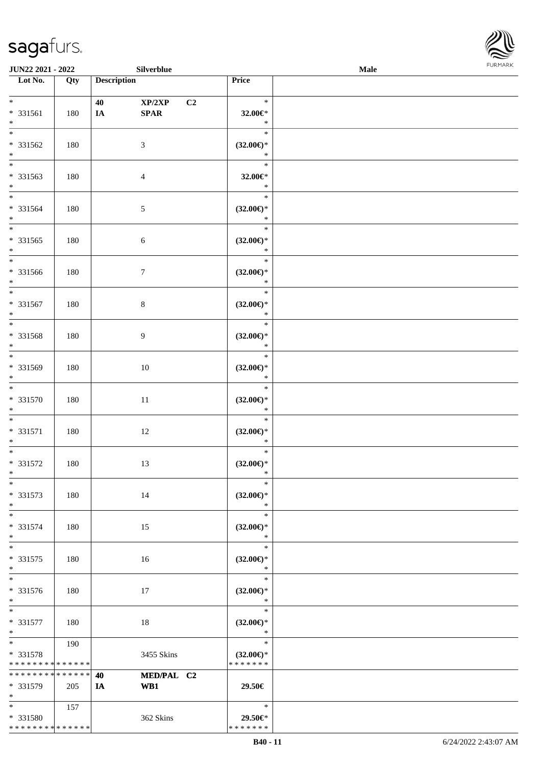

| JUN22 2021 - 2022                                        |     |                    | Silverblue                                      |                                                | <b>Male</b> | <b>FURMARK</b> |
|----------------------------------------------------------|-----|--------------------|-------------------------------------------------|------------------------------------------------|-------------|----------------|
| $\overline{\phantom{1}}$ Lot No.                         | Qty | <b>Description</b> |                                                 | Price                                          |             |                |
| $*$<br>$* 331561$<br>$\ast$                              | 180 | 40<br>IA           | XP/2XP<br>C2<br>$\pmb{\quad \text{SPAR} \quad}$ | $\ast$<br>32.00€*<br>$\ast$                    |             |                |
| $\overline{\phantom{1}}$<br>* 331562<br>$\ast$           | 180 |                    | $\mathfrak{Z}$                                  | $\ast$<br>$(32.00\epsilon)$ *<br>$\ast$        |             |                |
| $_{\ast}^{-}$<br>* 331563<br>$*$                         | 180 |                    | $\overline{4}$                                  | $\ast$<br>32.00€*<br>$\ast$                    |             |                |
| $\ast$<br>$* 331564$<br>$\ast$                           | 180 |                    | $5\,$                                           | $\ast$<br>$(32.00\in)^\ast$<br>$\ast$          |             |                |
| $\ast$<br>* 331565<br>$\ast$<br>$\overline{\phantom{0}}$ | 180 |                    | $\sqrt{6}$                                      | $\ast$<br>$(32.00\epsilon)$ *<br>$\ast$        |             |                |
| * 331566<br>$\ast$                                       | 180 |                    | $\tau$                                          | $\ast$<br>$(32.00\epsilon)$ *<br>$\ast$        |             |                |
| $\overline{\phantom{a}^*}$<br>* 331567<br>$\ast$         | 180 |                    | $\,8\,$                                         | $\ast$<br>$(32.00\epsilon)$ *<br>$\ast$        |             |                |
| $\overline{\phantom{a}^*}$<br>* 331568<br>$\ast$         | 180 |                    | $\overline{9}$                                  | $\ast$<br>$(32.00\epsilon)$ *<br>$\ast$        |             |                |
| $\overline{\phantom{0}}$<br>* 331569<br>$\ast$           | 180 |                    | 10                                              | $\ast$<br>$(32.00\epsilon)$ *<br>$\ast$        |             |                |
| $\overline{\phantom{0}}$<br>$* 331570$<br>$\ast$         | 180 |                    | 11                                              | $\ast$<br>$(32.00\epsilon)$ *<br>$\ast$        |             |                |
| $\ast$<br>$* 331571$<br>$\ast$                           | 180 |                    | 12                                              | $\ast$<br>$(32.00\epsilon)$ *<br>$\ast$        |             |                |
| $\overline{\phantom{0}}$<br>* 331572<br>$\ast$           | 180 |                    | 13                                              | $\ast$<br>$(32.00\epsilon)$ *<br>$\ast$        |             |                |
| $\overline{\ast}$<br>* 331573<br>$\ast$                  | 180 |                    | 14                                              | $\ast$<br>$(32.00\epsilon)$ *<br>$\ast$        |             |                |
| $\ast$<br>* 331574<br>$\ast$                             | 180 |                    | 15                                              | $\ast$<br>$(32.00\epsilon)$ *<br>$\ast$        |             |                |
| $_{\ast}^{-}$<br>$* 331575$<br>$\ast$                    | 180 |                    | 16                                              | $\ast$<br>$(32.00\epsilon)$ *<br>$\ast$        |             |                |
| $\overline{\ast}$<br>* 331576<br>$\ast$                  | 180 |                    | 17                                              | $\ast$<br>$(32.00\epsilon)$ *<br>$\ast$        |             |                |
| $\ast$<br>* 331577<br>$\ast$                             | 180 |                    | 18                                              | $\ast$<br>$(32.00\epsilon)$ *<br>$\ast$        |             |                |
| $\ast$<br>* 331578<br>* * * * * * * * * * * * * *        | 190 |                    | 3455 Skins                                      | $\ast$<br>$(32.00\epsilon)$ *<br>* * * * * * * |             |                |
| * * * * * * * * * * * * * *<br>* 331579<br>$\ast$        | 205 | 40<br>IA           | MED/PAL C2<br>WB1                               | 29.50€                                         |             |                |
| $*$<br>* 331580<br>******** <mark>******</mark>          | 157 |                    | 362 Skins                                       | $\ast$<br>29.50€*<br>* * * * * * *             |             |                |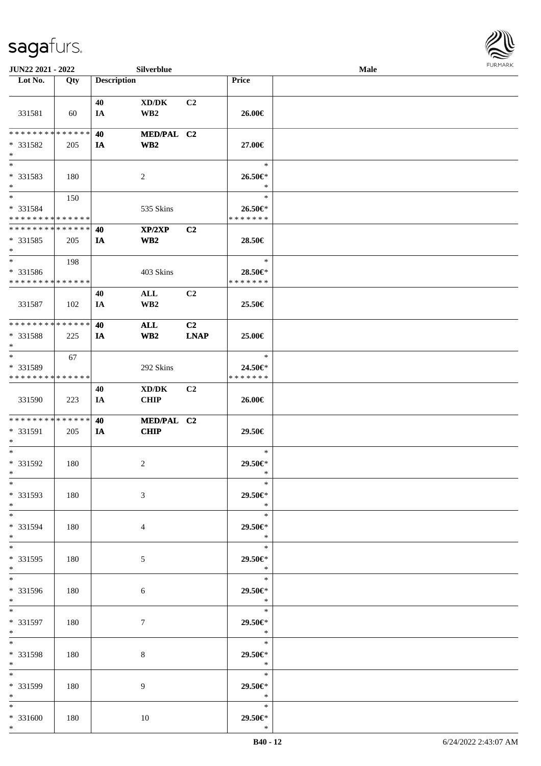

| JUN22 2021 - 2022           |     |                    | Silverblue                          |             |                       | Male |  |
|-----------------------------|-----|--------------------|-------------------------------------|-------------|-----------------------|------|--|
| Lot No.                     | Qty | <b>Description</b> |                                     |             | Price                 |      |  |
|                             |     |                    |                                     |             |                       |      |  |
|                             |     | 40                 | $\bold{X}\bold{D}/\bold{D}\bold{K}$ | C2          |                       |      |  |
| 331581                      | 60  | IA                 | WB <sub>2</sub>                     |             | 26.00€                |      |  |
|                             |     |                    |                                     |             |                       |      |  |
| * * * * * * * * * * * * * * |     | 40                 | MED/PAL C2                          |             |                       |      |  |
| * 331582                    | 205 | IA                 | WB <sub>2</sub>                     |             | 27.00€                |      |  |
| $\ast$                      |     |                    |                                     |             |                       |      |  |
| $\overline{\phantom{0}}$    |     |                    |                                     |             | $\ast$                |      |  |
| * 331583                    | 180 |                    | 2                                   |             | 26.50€*               |      |  |
| $\ast$                      |     |                    |                                     |             | $\ast$                |      |  |
| $\overline{\ }$             | 150 |                    |                                     |             | $\ast$                |      |  |
| * 331584                    |     |                    | 535 Skins                           |             | 26.50€*               |      |  |
| * * * * * * * * * * * * * * |     |                    |                                     |             | * * * * * * *         |      |  |
| **************              |     | 40                 | XP/2XP                              | C2          |                       |      |  |
| * 331585                    | 205 | IA                 | WB <sub>2</sub>                     |             | 28.50€                |      |  |
| $\ast$                      |     |                    |                                     |             |                       |      |  |
| $\ast$                      | 198 |                    |                                     |             | $\ast$                |      |  |
| * 331586                    |     |                    | 403 Skins                           |             | 28.50€*               |      |  |
| * * * * * * * * * * * * * * |     |                    |                                     |             | * * * * * * *         |      |  |
|                             |     | 40                 | ALL                                 | C2          |                       |      |  |
| 331587                      | 102 | IA                 | WB <sub>2</sub>                     |             | 25.50€                |      |  |
|                             |     |                    |                                     |             |                       |      |  |
| **************              |     | 40                 | <b>ALL</b>                          | C2          |                       |      |  |
| * 331588                    | 225 | IA                 | WB <sub>2</sub>                     | <b>LNAP</b> | 25.00€                |      |  |
| $\ast$                      |     |                    |                                     |             |                       |      |  |
| $\ast$                      | 67  |                    |                                     |             | $\ast$                |      |  |
| * 331589                    |     |                    | 292 Skins                           |             | 24.50€*               |      |  |
| * * * * * * * * * * * * * * |     |                    |                                     |             | * * * * * * *         |      |  |
|                             |     | 40                 | XD/DK                               | C2          |                       |      |  |
| 331590                      | 223 | IA                 | <b>CHIP</b>                         |             | 26.00€                |      |  |
|                             |     |                    |                                     |             |                       |      |  |
| **************              |     | 40                 | MED/PAL C2                          |             |                       |      |  |
| * 331591                    | 205 | IA                 | <b>CHIP</b>                         |             | 29.50€                |      |  |
| $\ast$                      |     |                    |                                     |             |                       |      |  |
| $\ast$                      |     |                    |                                     |             | $\ast$                |      |  |
| $* 331592$                  | 180 |                    | 2                                   |             | 29.50€*               |      |  |
| $*$                         |     |                    |                                     |             | $\ast$                |      |  |
| $*$                         |     |                    |                                     |             | $\ast$                |      |  |
| * 331593                    | 180 |                    | 3                                   |             | 29.50€*               |      |  |
| $\ast$<br>$*$               |     |                    |                                     |             | $\ast$                |      |  |
|                             |     |                    |                                     |             | $\ast$                |      |  |
| * 331594                    | 180 |                    | 4                                   |             | 29.50€*<br>$\ast$     |      |  |
| $*$<br>$*$                  |     |                    |                                     |             | $\ast$                |      |  |
|                             |     |                    |                                     |             |                       |      |  |
| * 331595<br>$*$             | 180 |                    | $5\overline{)}$                     |             | 29.50€*<br>$\ast$     |      |  |
| $\overline{\phantom{0}}$    |     |                    |                                     |             | $\ast$                |      |  |
| * 331596                    |     |                    |                                     |             |                       |      |  |
| $*$ $-$                     | 180 |                    | 6                                   |             | 29.50€*<br>$\ddot{x}$ |      |  |
| $*$                         |     |                    |                                     |             | $\ast$                |      |  |
| * 331597                    | 180 |                    | $\tau$                              |             | 29.50€*               |      |  |
| $*$                         |     |                    |                                     |             | $\ast$                |      |  |
| $\ast$                      |     |                    |                                     |             | $\ast$                |      |  |
| * 331598                    | 180 |                    |                                     |             | 29.50€*               |      |  |
| $*$                         |     |                    | 8                                   |             | $\ast$                |      |  |
| $*$                         |     |                    |                                     |             | $\ast$                |      |  |
| * 331599                    | 180 |                    | 9                                   |             | 29.50€*               |      |  |
| $*$                         |     |                    |                                     |             | $\ast$                |      |  |
| $*$                         |     |                    |                                     |             | $\ast$                |      |  |
| * 331600                    | 180 |                    | 10                                  |             | 29.50€*               |      |  |
| $*$                         |     |                    |                                     |             | $\ast$                |      |  |
|                             |     |                    |                                     |             |                       |      |  |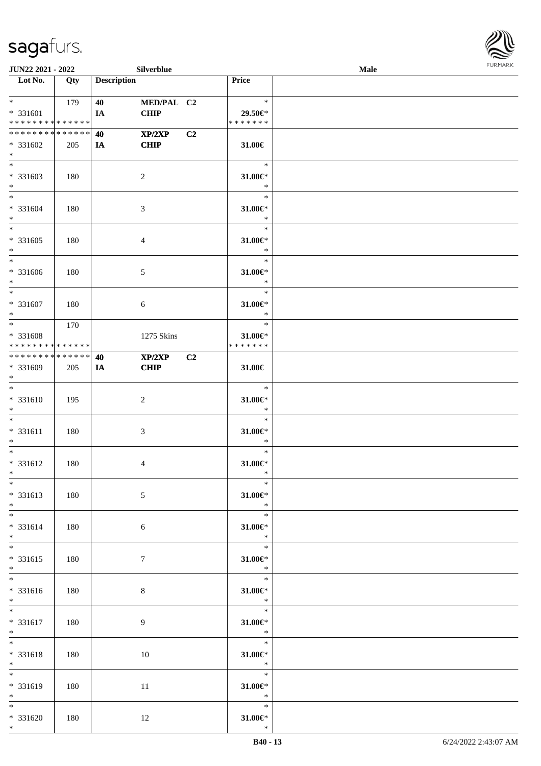

| JUN22 2021 - 2022                                                           |     |                    | Silverblue                |                |                                             | Male | <b>FURMARK</b> |
|-----------------------------------------------------------------------------|-----|--------------------|---------------------------|----------------|---------------------------------------------|------|----------------|
| $\overline{\phantom{1}}$ Lot No.                                            | Qty | <b>Description</b> |                           |                | Price                                       |      |                |
| $*$ and $*$<br>* 331601                                                     | 179 | 40<br>IA           | MED/PAL C2<br><b>CHIP</b> |                | $\ast$<br>29.50€*                           |      |                |
| ******** <mark>******</mark>                                                |     |                    |                           |                | * * * * * * *                               |      |                |
| * * * * * * * * * * * * * *                                                 |     | 40                 | XP/2XP                    | C2             |                                             |      |                |
| $* 331602$<br>$*$                                                           | 205 | IA                 | <b>CHIP</b>               |                | 31.00€                                      |      |                |
| $\overline{\phantom{a}^*}$<br>$* 331603$<br>$*$                             | 180 |                    | $\sqrt{2}$                |                | $\ast$<br>$31.00 \in$ *<br>$\ast$           |      |                |
| $\ast$<br>* 331604<br>$\ast$<br>$\ast$                                      | 180 |                    | $\mathfrak{Z}$            |                | $\ast$<br>$31.00 \in$ *<br>$\ast$<br>$\ast$ |      |                |
| $* 331605$<br>$\ast$                                                        | 180 |                    | $\overline{4}$            |                | $31.00 \in$ *<br>$\ast$                     |      |                |
| $\overline{\phantom{0}}$<br>* 331606<br>$*$                                 | 180 |                    | $\mathfrak{S}$            |                | $\ast$<br>$31.00 \in$ *<br>$\ast$           |      |                |
| $*$<br>* 331607<br>$\ast$                                                   | 180 |                    | $\sqrt{6}$                |                | $\ast$<br>31.00€*<br>$\ast$                 |      |                |
| $\overline{\ast}$<br>* 331608<br>* * * * * * * * <mark>* * * * * * *</mark> | 170 |                    | 1275 Skins                |                | $\ast$<br>31.00€*<br>* * * * * * *          |      |                |
| ******** <mark>******</mark><br>$* 331609$<br>$\ast$                        | 205 | 40<br>IA           | XP/2XP<br><b>CHIP</b>     | C <sub>2</sub> | 31.00€                                      |      |                |
| $\ast$<br>$* 331610$<br>$\ast$                                              | 195 |                    | $\sqrt{2}$                |                | $\ast$<br>$31.00 \in$ *<br>$\ast$           |      |                |
| $*$<br>$* 331611$<br>$\ast$<br>$\overline{\phantom{0}}$                     | 180 |                    | $\mathfrak{Z}$            |                | $\ast$<br>$31.00 \in$ *<br>$\ast$           |      |                |
| * 331612<br>$\ast$                                                          | 180 |                    | $\overline{4}$            |                | $\ast$<br>$31.00 \in$ *<br>∗                |      |                |
| $\ast$<br>* 331613<br>$\ast$                                                | 180 |                    | $\sqrt{5}$                |                | $\ast$<br>$31.00 \in$<br>$\ast$             |      |                |
| $*$<br>* 331614<br>$\ast$                                                   | 180 |                    | $\sqrt{6}$                |                | $\ast$<br>$31.00 \in$ *<br>$\ast$           |      |                |
| $\overline{\phantom{a}^*}$<br>$* 331615$<br>$\ast$                          | 180 |                    | $\tau$                    |                | $\ast$<br>$31.00 \in$<br>$\ast$             |      |                |
| $\overline{\phantom{a}^*}$<br>* 331616<br>$*$                               | 180 |                    | $\,8\,$                   |                | $\ast$<br>$31.00 \in$<br>$\ast$             |      |                |
| $\ast$<br>* 331617<br>$\ast$                                                | 180 |                    | $\overline{9}$            |                | $\ast$<br>$31.00 \in$<br>$\ast$             |      |                |
| $\ast$<br>* 331618<br>$\ast$                                                | 180 |                    | 10                        |                | $\ast$<br>$31.00 \in$ *<br>$\ast$           |      |                |
| $\overline{\phantom{1}}$<br>* 331619<br>$\ast$                              | 180 |                    | 11                        |                | $\ast$<br>$31.00 \in$ *<br>$\ast$           |      |                |
| $*$<br>$* 331620$<br>$\ast$                                                 | 180 |                    | 12                        |                | $\ast$<br>$31.00 \text{E}^*$<br>$\ast$      |      |                |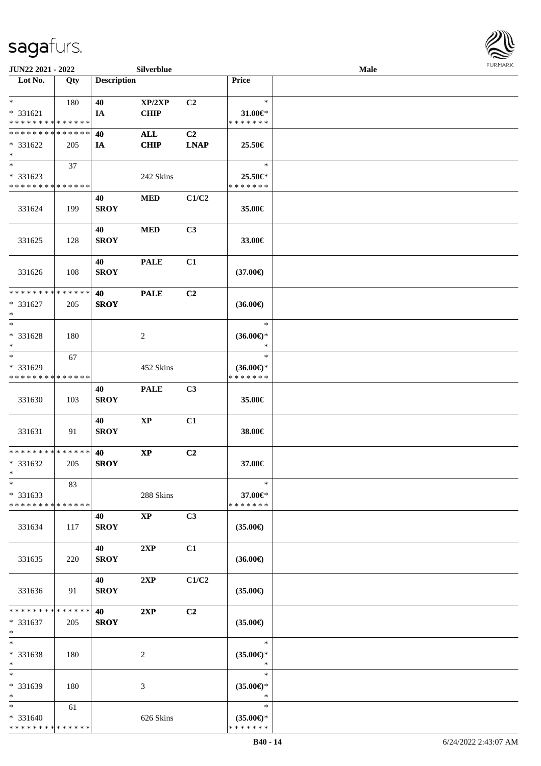| JUN22 2021 - 2022                                   |     |                    | Silverblue            |             |                                                | Male |  |
|-----------------------------------------------------|-----|--------------------|-----------------------|-------------|------------------------------------------------|------|--|
| Lot No.                                             | Qty | <b>Description</b> |                       |             | Price                                          |      |  |
|                                                     |     |                    |                       |             |                                                |      |  |
| $\ast$<br>* 331621                                  | 180 | 40                 | XP/2XP<br><b>CHIP</b> | C2          | $\ast$<br>31.00€*                              |      |  |
| * * * * * * * * * * * * * *                         |     | IA                 |                       |             | *******                                        |      |  |
| * * * * * * * * * * * * * *                         |     | 40                 | <b>ALL</b>            | C2          |                                                |      |  |
| $* 331622$<br>$\ast$                                | 205 | IA                 | <b>CHIP</b>           | <b>LNAP</b> | 25.50€                                         |      |  |
| $\overline{\ast}$                                   | 37  |                    |                       |             | $\ast$                                         |      |  |
| * 331623<br>* * * * * * * * * * * * * *             |     |                    | 242 Skins             |             | 25.50€*<br>* * * * * * *                       |      |  |
| 331624                                              | 199 | 40<br><b>SROY</b>  | $\bf MED$             | C1/C2       | 35.00€                                         |      |  |
| 331625                                              | 128 | 40<br><b>SROY</b>  | $\bf MED$             | C3          | 33.00€                                         |      |  |
| 331626                                              | 108 | 40<br><b>SROY</b>  | <b>PALE</b>           | C1          | $(37.00\epsilon)$                              |      |  |
| * * * * * * * * * * * * * *<br>* 331627<br>$\ast$   | 205 | 40<br><b>SROY</b>  | <b>PALE</b>           | C2          | $(36.00\epsilon)$                              |      |  |
| $\ast$<br>* 331628<br>$\ast$                        | 180 |                    | $\overline{2}$        |             | $\ast$<br>$(36.00\epsilon)$ *<br>$\ast$        |      |  |
| $\ast$<br>* 331629<br>* * * * * * * * * * * * * *   | 67  |                    | 452 Skins             |             | $\ast$<br>$(36.00\epsilon)$ *<br>* * * * * * * |      |  |
| 331630                                              | 103 | 40<br><b>SROY</b>  | <b>PALE</b>           | C3          | 35.00€                                         |      |  |
| 331631                                              | 91  | 40<br><b>SROY</b>  | $\bold{XP}$           | C1          | 38.00€                                         |      |  |
| **************<br>* 331632<br>$*$                   | 205 | 40<br><b>SROY</b>  | $\bold{XP}$           | C2          | 37.00€                                         |      |  |
| $\ast$<br>* 331633<br>* * * * * * * * * * * * * *   | 83  |                    | 288 Skins             |             | $\ast$<br>37.00€*<br>* * * * * * *             |      |  |
| 331634                                              | 117 | 40<br><b>SROY</b>  | $\mathbf{XP}$         | C3          | $(35.00\epsilon)$                              |      |  |
| 331635                                              | 220 | 40<br><b>SROY</b>  | 2XP                   | C1          | $(36.00\epsilon)$                              |      |  |
| 331636                                              | 91  | 40<br><b>SROY</b>  | 2XP                   | C1/C2       | $(35.00\epsilon)$                              |      |  |
| * * * * * * * * * * * * * * *<br>* 331637<br>$\ast$ | 205 | 40<br><b>SROY</b>  | 2XP                   | C2          | $(35.00\epsilon)$                              |      |  |
| $\ast$<br>* 331638<br>$\ast$                        | 180 |                    | $\overline{2}$        |             | $\ast$<br>$(35.00\epsilon)$ *<br>$\ast$        |      |  |
| $\ast$<br>* 331639<br>$\ast$                        | 180 |                    | 3                     |             | $\ast$<br>$(35.00\epsilon)$ *<br>$\ast$        |      |  |
| $*$<br>* 331640<br>* * * * * * * * * * * * * *      | 61  |                    | 626 Skins             |             | $\ast$<br>$(35.00\epsilon)$ *<br>* * * * * * * |      |  |

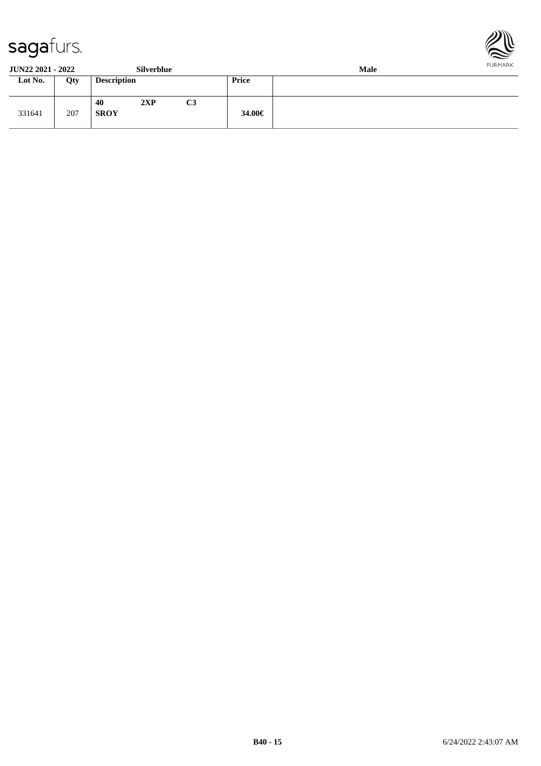



**JUN22 2021 - 2022 Silverblue Male**

| JUI <i>nee E</i> VAI - <i>EVAE</i> |     |                    | <b>DITTEL DIUV</b> |                |        | waar |
|------------------------------------|-----|--------------------|--------------------|----------------|--------|------|
| Lot No.                            | Qty | <b>Description</b> |                    |                | Price  |      |
| 331641                             | 207 | 40<br><b>SROY</b>  | 2XP                | C <sub>3</sub> | 34.00€ |      |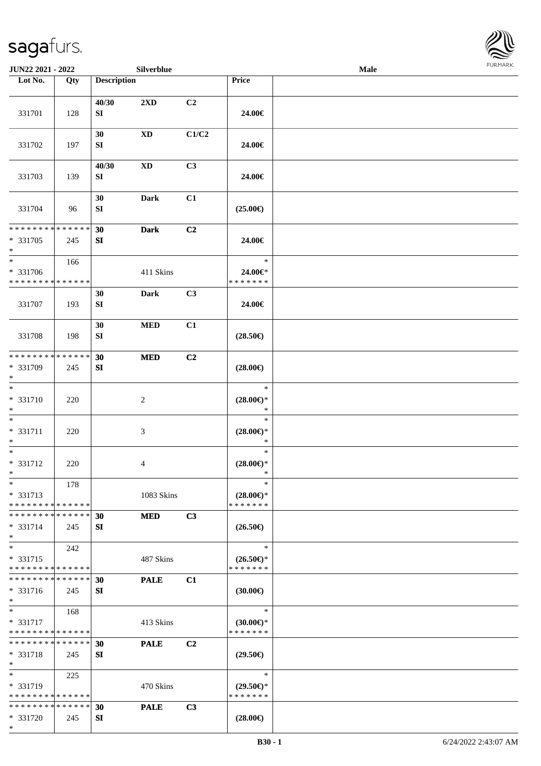\*



| JUN22 2021 - 2022                                 |     |                    | Silverblue     |                |                                                   | Male | <b>FURMARK</b> |
|---------------------------------------------------|-----|--------------------|----------------|----------------|---------------------------------------------------|------|----------------|
| Lot No.                                           | Qty | <b>Description</b> |                |                | Price                                             |      |                |
| 331701                                            | 128 | 40/30<br>SI        | 2XD            | C2             | 24.00€                                            |      |                |
| 331702                                            | 197 | 30<br>SI           | <b>XD</b>      | C1/C2          | 24.00€                                            |      |                |
| 331703                                            | 139 | 40/30<br>SI        | <b>XD</b>      | C <sub>3</sub> | 24.00€                                            |      |                |
| 331704                                            | 96  | 30<br>${\bf SI}$   | <b>Dark</b>    | C1             | $(25.00\epsilon)$                                 |      |                |
| * * * * * * * * * * * * * *<br>* 331705<br>$*$    | 245 | 30<br>SI           | <b>Dark</b>    | C2             | 24.00€                                            |      |                |
| * 331706<br>* * * * * * * * * * * * * *           | 166 |                    | 411 Skins      |                | $\ast$<br>24.00€*<br>* * * * * * *                |      |                |
| 331707                                            | 193 | 30<br>SI           | Dark           | C3             | 24.00€                                            |      |                |
| 331708                                            | 198 | 30<br>${\bf SI}$   | <b>MED</b>     | C1             | $(28.50\epsilon)$                                 |      |                |
| * * * * * * * * * * * * * *<br>* 331709<br>$*$    | 245 | 30<br>SI           | <b>MED</b>     | C2             | $(28.00\epsilon)$                                 |      |                |
| $*$<br>* 331710<br>$\ast$                         | 220 |                    | $\overline{c}$ |                | $\ast$<br>$(28.00\epsilon)$ *<br>$\ast$           |      |                |
| $*$<br>* 331711<br>$*$                            | 220 |                    | 3              |                | $\ast$<br>$(28.00\epsilon)$ *<br>$\ast$           |      |                |
| $\ast$<br>* 331712<br>$\ast$                      | 220 |                    | 4              |                | $\ast$<br>$(28.00\epsilon)$ *<br>$\ast$           |      |                |
| $\ast$<br>* 331713<br>* * * * * * * * * * * * * * | 178 |                    | 1083 Skins     |                | $\ast$<br>$(28.00\epsilon)$ *<br>* * * * * * *    |      |                |
| * * * * * * * * * * * * * *<br>* 331714<br>$\ast$ | 245 | 30<br>SI           | <b>MED</b>     | C3             | $(26.50\epsilon)$                                 |      |                |
| $*$<br>* 331715<br>* * * * * * * * * * * * * *    | 242 |                    | 487 Skins      |                | $\ast$<br>$(26.50\epsilon)$ *<br>* * * * * * *    |      |                |
| * * * * * * * * * * * * * *<br>$* 331716$<br>$*$  | 245 | 30<br>SI           | <b>PALE</b>    | C1             | (30.00)                                           |      |                |
| $*$<br>* 331717<br>* * * * * * * * * * * * * *    | 168 |                    | 413 Skins      |                | $\ast$<br>$(30.00\varepsilon)$ *<br>* * * * * * * |      |                |
| * * * * * * * * * * * * * *<br>* 331718<br>$*$    | 245 | 30<br>SI           | <b>PALE</b>    | C <sub>2</sub> | $(29.50\epsilon)$                                 |      |                |
| $\ast$<br>* 331719<br>* * * * * * * * * * * * * * | 225 |                    | 470 Skins      |                | $\ast$<br>$(29.50\epsilon)$ *<br>* * * * * * *    |      |                |
| * * * * * * * * * * * * * *<br>* 331720           | 245 | 30<br>SI           | <b>PALE</b>    | C3             | $(28.00\epsilon)$                                 |      |                |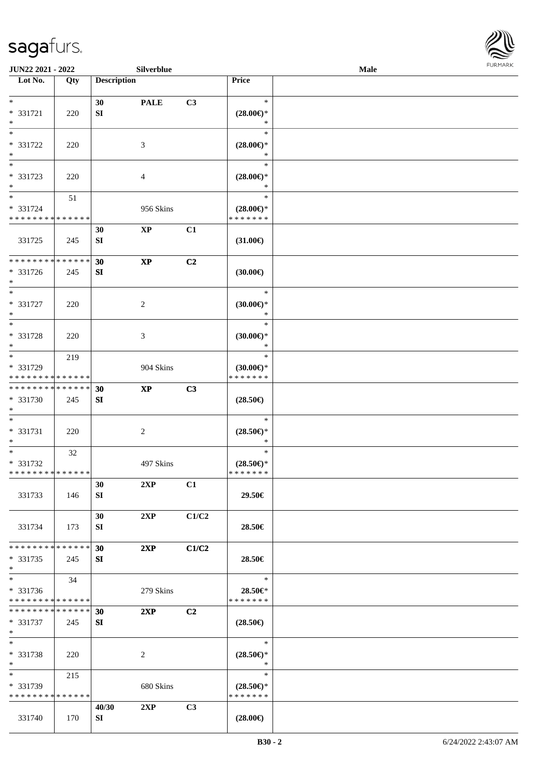

| JUN22 2021 - 2022                                                   |     |                    | Silverblue             |       |                                                | Male |  |
|---------------------------------------------------------------------|-----|--------------------|------------------------|-------|------------------------------------------------|------|--|
| Lot No.                                                             | Qty | <b>Description</b> |                        |       | Price                                          |      |  |
| $\ast$<br>* 331721<br>$\ast$                                        | 220 | 30<br>SI           | <b>PALE</b>            | C3    | $\ast$<br>$(28.00\epsilon)$ *<br>∗             |      |  |
| $*$<br>* 331722<br>$\ast$                                           | 220 |                    | 3                      |       | $\ast$<br>$(28.00\epsilon)$ *<br>∗             |      |  |
| $\overline{\phantom{0}}$<br>* 331723<br>$\ast$                      | 220 |                    | $\overline{4}$         |       | $\ast$<br>$(28.00\epsilon)$ *                  |      |  |
| $\overline{\ast}$<br>* 331724<br>* * * * * * * * * * * * * *        | 51  |                    | 956 Skins              |       | $\ast$<br>$(28.00\epsilon)$ *<br>* * * * * * * |      |  |
| 331725                                                              | 245 | 30<br>SI           | $\mathbf{X}\mathbf{P}$ | C1    | $(31.00\epsilon)$                              |      |  |
| * * * * * * * * * * * * * *<br>* 331726<br>$\ast$                   | 245 | 30<br>${\bf SI}$   | $\bold{XP}$            | C2    | (30.00)                                        |      |  |
| $\ast$<br>$* 331727$<br>$\ast$                                      | 220 |                    | $\sqrt{2}$             |       | $\ast$<br>$(30.00\epsilon)$ *<br>$\ast$        |      |  |
| $*$<br>* 331728<br>$\ast$                                           | 220 |                    | 3                      |       | $\ast$<br>$(30.00\epsilon)$ *<br>$\ast$        |      |  |
| $*$<br>* 331729<br>* * * * * * * * * * * * * *                      | 219 |                    | 904 Skins              |       | $\ast$<br>$(30.00\epsilon)$ *<br>* * * * * * * |      |  |
| * * * * * * * * * * * * * *<br>* 331730<br>$*$                      | 245 | 30<br>SI           | $\mathbf{X}\mathbf{P}$ | C3    | $(28.50\epsilon)$                              |      |  |
| $*$<br>$* 331731$<br>$*$                                            | 220 |                    | $\sqrt{2}$             |       | $\ast$<br>$(28.50\epsilon)$ *<br>$\ast$        |      |  |
| $*$<br>* 331732<br>* * * * * * * * * * * * * *                      | 32  |                    | 497 Skins              |       | $\ast$<br>$(28.50\epsilon)$ *<br>*******       |      |  |
| 331733                                                              | 146 | 30<br>SI           | 2XP                    | C1    | 29.50€                                         |      |  |
| 331734                                                              | 173 | 30<br>SI           | 2XP                    | C1/C2 | 28.50€                                         |      |  |
| * * * * * * * * * * * * * *<br>* 331735<br>$*$                      | 245 | 30<br>SI           | 2XP                    | C1/C2 | 28.50€                                         |      |  |
| $\overline{\phantom{0}}$<br>* 331736<br>* * * * * * * * * * * * * * | 34  |                    | 279 Skins              |       | $\ast$<br>28.50€*<br>* * * * * * *             |      |  |
| * * * * * * * * * * * * * * *<br>* 331737<br>$*$                    | 245 | 30<br>SI           | 2XP                    | C2    | $(28.50\epsilon)$                              |      |  |
| $*$<br>* 331738<br>$*$                                              | 220 |                    | $\overline{c}$         |       | $\ast$<br>$(28.50\epsilon)$ *<br>$\ast$        |      |  |
| $*$<br>* 331739<br>* * * * * * * * * * * * * *                      | 215 |                    | 680 Skins              |       | $\ast$<br>$(28.50\epsilon)$ *<br>* * * * * * * |      |  |
| 331740                                                              | 170 | 40/30<br>SI        | 2XP                    | C3    | $(28.00\epsilon)$                              |      |  |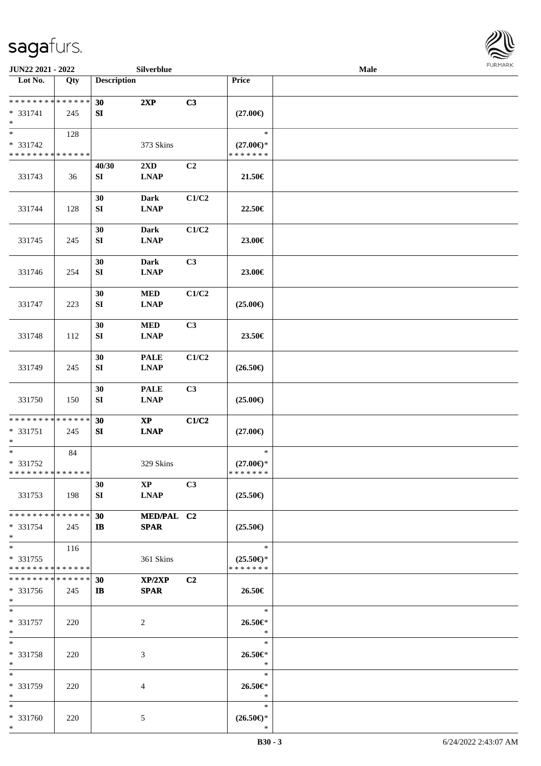\*



| <b>JUN22 2021 - 2022</b>                                                             |     |                         | Silverblue              |                |                     | Male |  |
|--------------------------------------------------------------------------------------|-----|-------------------------|-------------------------|----------------|---------------------|------|--|
| Lot No.                                                                              | Qty | <b>Description</b>      |                         |                | <b>Price</b>        |      |  |
|                                                                                      |     |                         |                         |                |                     |      |  |
| ******** <mark>******</mark>                                                         |     | 30                      | 2XP                     | C3             |                     |      |  |
| * 331741                                                                             | 245 | SI                      |                         |                | $(27.00\epsilon)$   |      |  |
| $\ast$                                                                               |     |                         |                         |                |                     |      |  |
| $\overline{\ast}$                                                                    | 128 |                         |                         |                | $\ast$              |      |  |
| * 331742                                                                             |     |                         | 373 Skins               |                | $(27.00\epsilon)$ * |      |  |
| * * * * * * * * <mark>* * * * * * *</mark>                                           |     |                         |                         |                | * * * * * * *       |      |  |
|                                                                                      |     | 40/30                   | $2\mathbf{X}\mathbf{D}$ | C2             |                     |      |  |
| 331743                                                                               | 36  | SI                      | <b>LNAP</b>             |                | 21.50€              |      |  |
|                                                                                      |     |                         | Dark                    | C1/C2          |                     |      |  |
| 331744                                                                               |     | 30<br>SI                | <b>LNAP</b>             |                |                     |      |  |
|                                                                                      | 128 |                         |                         |                | 22.50€              |      |  |
|                                                                                      |     | 30                      | <b>Dark</b>             | C1/C2          |                     |      |  |
| 331745                                                                               | 245 | ${\bf SI}$              | <b>LNAP</b>             |                | 23.00€              |      |  |
|                                                                                      |     |                         |                         |                |                     |      |  |
|                                                                                      |     | 30                      | <b>Dark</b>             | C3             |                     |      |  |
| 331746                                                                               | 254 | ${\bf SI}$              | <b>LNAP</b>             |                | 23.00€              |      |  |
|                                                                                      |     |                         |                         |                |                     |      |  |
|                                                                                      |     | 30                      | <b>MED</b>              | C1/C2          |                     |      |  |
| 331747                                                                               | 223 | ${\bf SI}$              | <b>LNAP</b>             |                | $(25.00\epsilon)$   |      |  |
|                                                                                      |     |                         |                         |                |                     |      |  |
|                                                                                      |     | 30                      | <b>MED</b>              | C3             |                     |      |  |
| 331748                                                                               | 112 | SI                      | <b>LNAP</b>             |                | 23.50€              |      |  |
|                                                                                      |     |                         |                         |                |                     |      |  |
|                                                                                      |     | 30                      | <b>PALE</b>             | C1/C2          |                     |      |  |
| 331749                                                                               | 245 | SI                      | <b>LNAP</b>             |                | $(26.50\epsilon)$   |      |  |
|                                                                                      |     |                         |                         |                |                     |      |  |
|                                                                                      |     | 30                      | <b>PALE</b>             | C3             |                     |      |  |
| 331750                                                                               | 150 | ${\bf SI}$              | <b>LNAP</b>             |                | $(25.00\epsilon)$   |      |  |
|                                                                                      |     |                         |                         |                |                     |      |  |
| * * * * * * * * <mark>* * * * * *</mark>                                             |     | 30                      | $\mathbf{XP}$           | C1/C2          |                     |      |  |
| * 331751                                                                             | 245 | SI                      | <b>LNAP</b>             |                | $(27.00\epsilon)$   |      |  |
| $\ast$                                                                               |     |                         |                         |                |                     |      |  |
| $\ast$                                                                               | 84  |                         |                         |                | $\ast$              |      |  |
| * 331752                                                                             |     |                         | 329 Skins               |                | $(27.00\epsilon)$ * |      |  |
| * * * * * * * * <mark>* * * * * * *</mark>                                           |     |                         |                         |                | * * * * * * *       |      |  |
|                                                                                      |     | 30                      | $\mathbf{X}\mathbf{P}$  | C3             |                     |      |  |
| 331753                                                                               | 198 | SI                      | <b>LNAP</b>             |                | $(25.50\epsilon)$   |      |  |
|                                                                                      |     |                         |                         |                |                     |      |  |
| * * * * * * * * <mark>* * * * * * *</mark>                                           |     | 30                      | MED/PAL C2              |                |                     |      |  |
| * 331754                                                                             | 245 | $\mathbf{I} \mathbf{B}$ | <b>SPAR</b>             |                | $(25.50\epsilon)$   |      |  |
| $\ast$                                                                               |     |                         |                         |                |                     |      |  |
| $*$                                                                                  | 116 |                         |                         |                | $\ast$              |      |  |
| * 331755                                                                             |     |                         | 361 Skins               |                | $(25.50\epsilon)$ * |      |  |
| * * * * * * * * <mark>* * * * * *</mark><br>* * * * * * * * <mark>* * * * * *</mark> |     |                         |                         |                | * * * * * * *       |      |  |
|                                                                                      |     | 30                      | XP/2XP                  | C <sub>2</sub> |                     |      |  |
| * 331756                                                                             | 245 | $\mathbf{I}$            | <b>SPAR</b>             |                | 26.50€              |      |  |
| $*$<br>$\ddot{x}$                                                                    |     |                         |                         |                | $\ast$              |      |  |
| * 331757                                                                             |     |                         |                         |                | 26.50€*             |      |  |
| $*$                                                                                  | 220 |                         | 2                       |                | $\ast$              |      |  |
| $*$                                                                                  |     |                         |                         |                | $\ast$              |      |  |
| * 331758                                                                             | 220 |                         | 3                       |                | 26.50€*             |      |  |
| $\ast$                                                                               |     |                         |                         |                | $\ast$              |      |  |
| $\ast$                                                                               |     |                         |                         |                | $\ast$              |      |  |
| * 331759                                                                             | 220 |                         | $\overline{4}$          |                | 26.50€*             |      |  |
| $\ast$                                                                               |     |                         |                         |                | $\ast$              |      |  |
| $*$                                                                                  |     |                         |                         |                | $\ast$              |      |  |
| * 331760                                                                             | 220 |                         | 5                       |                | $(26.50\epsilon)$ * |      |  |
| $\ast$                                                                               |     |                         |                         |                | $\ast$              |      |  |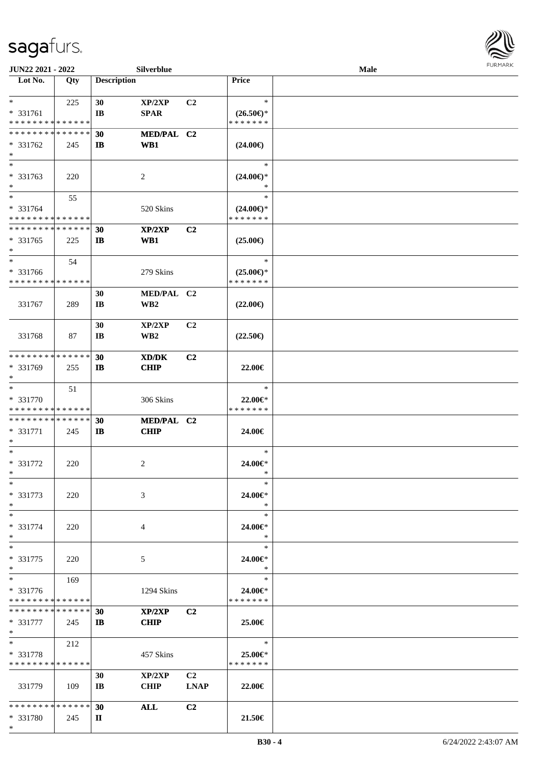

| JUN22 2021 - 2022             |     |                        | Silverblue                 |                |                     | Male |  |
|-------------------------------|-----|------------------------|----------------------------|----------------|---------------------|------|--|
| Lot No.                       | Qty | <b>Description</b>     |                            |                | Price               |      |  |
|                               |     |                        |                            |                |                     |      |  |
| $*$                           | 225 | 30                     | $\mathbf{XP}/2\mathbf{XP}$ | C <sub>2</sub> | $\ast$              |      |  |
| * 331761                      |     | $\mathbf{I}$ <b>B</b>  | <b>SPAR</b>                |                | $(26.50\epsilon)$ * |      |  |
| * * * * * * * * * * * * * *   |     |                        |                            |                | * * * * * * *       |      |  |
| * * * * * * * * * * * * * *   |     | 30                     | MED/PAL C2                 |                |                     |      |  |
| $* 331762$                    | 245 | $\mathbf{I}$           | WB1                        |                | $(24.00\epsilon)$   |      |  |
| $\ast$                        |     |                        |                            |                |                     |      |  |
| $\overline{\ast}$             |     |                        |                            |                | $\ast$              |      |  |
| * 331763                      |     |                        |                            |                | $(24.00\epsilon)$ * |      |  |
| $\ast$                        | 220 |                        | 2                          |                |                     |      |  |
| $\ast$                        |     |                        |                            |                | $\ast$              |      |  |
|                               | 55  |                        |                            |                |                     |      |  |
| * 331764                      |     |                        | 520 Skins                  |                | $(24.00\epsilon)$ * |      |  |
| * * * * * * * * * * * * * *   |     |                        |                            |                | * * * * * * *       |      |  |
| * * * * * * * * * * * * * *   |     | 30                     | XP/2XP                     | C <sub>2</sub> |                     |      |  |
| $* 331765$                    | 225 | $\mathbf{I}$           | WB1                        |                | $(25.00\epsilon)$   |      |  |
| $\ast$                        |     |                        |                            |                |                     |      |  |
| $\ast$                        | 54  |                        |                            |                | $\ast$              |      |  |
| * 331766                      |     |                        | 279 Skins                  |                | $(25.00\epsilon)$ * |      |  |
| * * * * * * * * * * * * * *   |     |                        |                            |                | * * * * * * *       |      |  |
|                               |     | 30                     | MED/PAL C2                 |                |                     |      |  |
| 331767                        | 289 | $\mathbf{I}$ <b>B</b>  | WB <sub>2</sub>            |                | $(22.00\epsilon)$   |      |  |
|                               |     |                        |                            |                |                     |      |  |
|                               |     | 30                     | XP/2XP                     | C2             |                     |      |  |
| 331768                        | 87  | $\mathbf{I}\mathbf{B}$ | WB <sub>2</sub>            |                | $(22.50\epsilon)$   |      |  |
|                               |     |                        |                            |                |                     |      |  |
| * * * * * * * * * * * * * *   |     | 30                     | XD/DK                      | C <sub>2</sub> |                     |      |  |
| * 331769                      | 255 | $\mathbf{I}$           | <b>CHIP</b>                |                | 22.00€              |      |  |
| $\ast$                        |     |                        |                            |                |                     |      |  |
| $\ast$                        | 51  |                        |                            |                | $\ast$              |      |  |
| * 331770                      |     |                        | 306 Skins                  |                | 22.00€*             |      |  |
| * * * * * * * * * * * * * *   |     |                        |                            |                | * * * * * * *       |      |  |
| **************                |     |                        |                            |                |                     |      |  |
|                               |     | 30                     | MED/PAL C2                 |                |                     |      |  |
| * 331771<br>*                 | 245 | $\mathbf{I}$           | <b>CHIP</b>                |                | 24.00€              |      |  |
| $\ast$                        |     |                        |                            |                | $\ast$              |      |  |
|                               |     |                        |                            |                |                     |      |  |
| * 331772                      | 220 |                        | 2                          |                | 24.00€*             |      |  |
| $*$                           |     |                        |                            |                | *                   |      |  |
| $*$                           |     |                        |                            |                | $\ast$              |      |  |
| * 331773                      | 220 |                        | 3                          |                | 24.00 $\in$ *       |      |  |
| $\ast$                        |     |                        |                            |                | ∗                   |      |  |
| $*$                           |     |                        |                            |                | $\ast$              |      |  |
| * 331774                      | 220 |                        | 4                          |                | 24.00€*             |      |  |
| $\ast$                        |     |                        |                            |                | ∗                   |      |  |
| $\ast$                        |     |                        |                            |                | $\ast$              |      |  |
| * 331775                      | 220 |                        | 5                          |                | 24.00€*             |      |  |
| $*$                           |     |                        |                            |                | $\ast$              |      |  |
| $\ast$                        | 169 |                        |                            |                | $\ast$              |      |  |
| * 331776                      |     |                        | 1294 Skins                 |                | 24.00€*             |      |  |
| * * * * * * * * * * * * * *   |     |                        |                            |                | * * * * * * *       |      |  |
| * * * * * * * * * * * * * * * |     | 30                     | XP/2XP                     | C <sub>2</sub> |                     |      |  |
| * 331777                      | 245 | IB                     | <b>CHIP</b>                |                | 25.00€              |      |  |
| $*$                           |     |                        |                            |                |                     |      |  |
| $\ast$                        | 212 |                        |                            |                | $\ast$              |      |  |
| * 331778                      |     |                        | 457 Skins                  |                | 25.00€*             |      |  |
| * * * * * * * * * * * * * *   |     |                        |                            |                | * * * * * * *       |      |  |
|                               |     | 30                     | XP/2XP                     | C <sub>2</sub> |                     |      |  |
| 331779                        | 109 | $\mathbf{I}$ <b>B</b>  | <b>CHIP</b>                | <b>LNAP</b>    | 22.00€              |      |  |
|                               |     |                        |                            |                |                     |      |  |
| * * * * * * * * * * * * * * * |     | 30                     | <b>ALL</b>                 | C <sub>2</sub> |                     |      |  |
| * 331780                      | 245 | П                      |                            |                | 21.50€              |      |  |
| $*$                           |     |                        |                            |                |                     |      |  |
|                               |     |                        |                            |                |                     |      |  |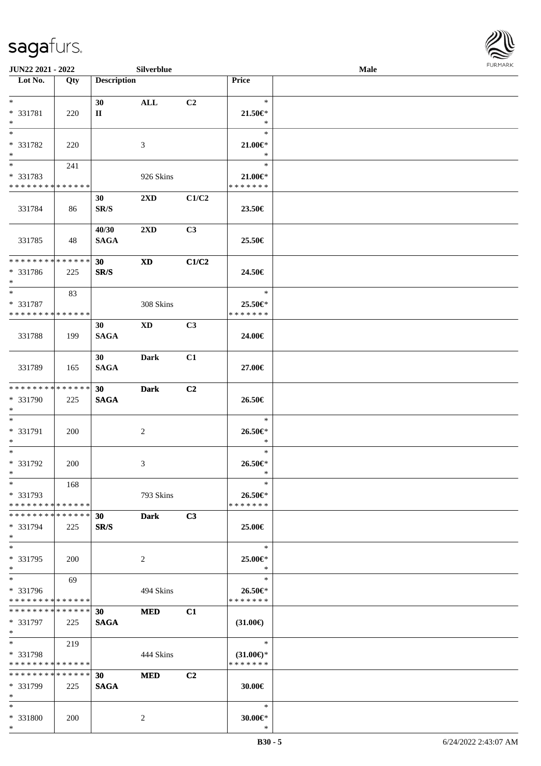**Lot No. Qty Description** 

| $\ast$<br>* 331781<br>$\ast$                                            | 220                | 30<br>$\mathbf{I}$                          | ALL                     | C <sub>2</sub> | $\ast$<br>$21.50 \in$<br>$\ast$                |  |
|-------------------------------------------------------------------------|--------------------|---------------------------------------------|-------------------------|----------------|------------------------------------------------|--|
| $\ast$<br>* 331782<br>$\ast$                                            | 220                |                                             | 3                       |                | $\ast$<br>$21.00 \in$ *<br>$\ast$              |  |
| $\ast$<br>* 331783<br>* * * * * * * * * * * * * *                       | 241                |                                             | 926 Skins               |                | $\ast$<br>$21.00 \in$<br>* * * * * * *         |  |
| 331784                                                                  | 86                 | 30 <sup>°</sup><br>$\mathbf{SR}/\mathbf{S}$ | $2\mathbf{X}\mathbf{D}$ | C1/C2          | 23.50€                                         |  |
| 331785                                                                  | - 48               | 40/30<br><b>SAGA</b>                        | $2\mathbf{X}\mathbf{D}$ | C3             | 25.50€                                         |  |
| * * * * * * * * * * * * * *<br>$* 331786$<br>$*$                        | 225                | 30 <sup>°</sup><br>SR/S                     | <b>XD</b>               | C1/C2          | 24.50€                                         |  |
| $\ast$<br>* 331787<br>* * * * * * * * * * * * * *                       | 83                 |                                             | 308 Skins               |                | $\ast$<br>25.50€*<br>* * * * * * *             |  |
| 331788                                                                  | 199                | 30<br><b>SAGA</b>                           | $\mathbf{X}\mathbf{D}$  | C <sub>3</sub> | 24.00€                                         |  |
| 331789                                                                  | 165                | 30 <sup>2</sup><br><b>SAGA</b>              | <b>Dark</b>             | C1             | 27.00€                                         |  |
| **************<br>* 331790<br>$*$                                       | 225                | 30 <sup>°</sup><br><b>SAGA</b>              | <b>Dark</b>             | C2             | 26.50€                                         |  |
| $\ast$<br>* 331791<br>$\ast$                                            | <b>200</b>         |                                             | $\overline{2}$          |                | $\ast$<br>26.50€*<br>$\ast$                    |  |
| $*$<br>* 331792<br>$*$                                                  | 200                |                                             | 3                       |                | $\ast$<br>26.50€*<br>$\ast$                    |  |
| $\overline{\phantom{a}^*}$<br>$* 331793$<br>* * * * * * * * * * * * * * | 168                |                                             | 793 Skins               |                | $\ast$<br>$26.50 \in$<br>* * * * * * *         |  |
| * * * * * * * *<br>* 331794<br>$\ast$                                   | * * * * * *<br>225 | 30<br>$\mathbf{SR}/\mathbf{S}$              | <b>Dark</b>             | C3             | 25.00€                                         |  |
| $\ast$<br>* 331795<br>$\ast$                                            | 200                |                                             | $\sqrt{2}$              |                | $\ast$<br>25.00€*<br>$\ast$                    |  |
| $\ast$<br>* 331796<br>* * * * * * * * * * * * * *                       | 69                 |                                             | 494 Skins               |                | $\ast$<br>26.50€*<br>* * * * * * *             |  |
| * * * * * * * * * * * * * *<br>$* 331797$<br>$\ast$                     | 225                | 30<br><b>SAGA</b>                           | <b>MED</b>              | C1             | $(31.00\epsilon)$                              |  |
| $\ast$<br>* 331798<br>* * * * * * * * * * * * * *                       | 219                |                                             | 444 Skins               |                | $\ast$<br>$(31.00\epsilon)$ *<br>* * * * * * * |  |
| * * * * * * * * * * * * * *<br>* 331799<br>$\ast$                       | 225                | 30<br><b>SAGA</b>                           | <b>MED</b>              | C2             | 30.00€                                         |  |
| $\ast$<br>* 331800<br>$*$                                               | 200                |                                             | $\sqrt{2}$              |                | $\ast$<br>$30.00 \in$ *<br>$\ast$              |  |

 $\overline{\phantom{a}}$ 

**JUN22 2021 - 2022 Silverblue Male Male Male Male Male Male Male Male Male Male Male Male Male Male Male Male Male Male Male Male Male Male Male Male Male Male Male**

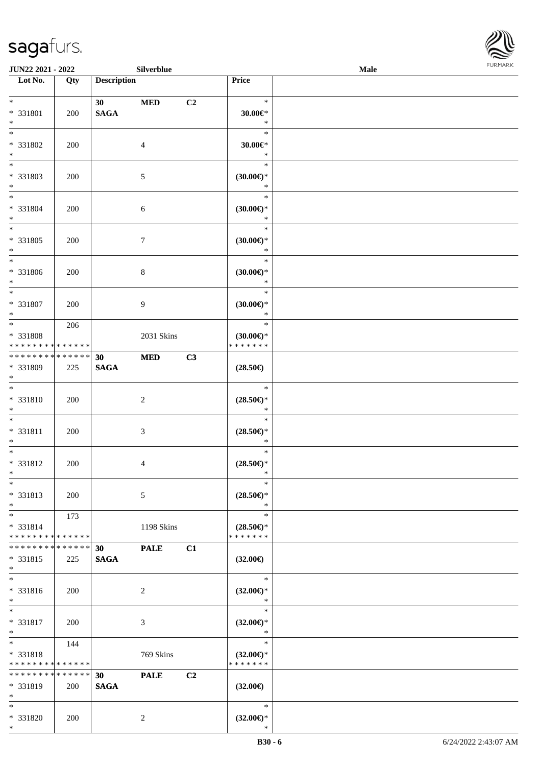\*



| JUN22 2021 - 2022                       |     |                    | Silverblue       |    |                                      | Male | FURMARK |
|-----------------------------------------|-----|--------------------|------------------|----|--------------------------------------|------|---------|
| $\overline{\phantom{1}}$ Lot No.        | Qty | <b>Description</b> |                  |    | Price                                |      |         |
| $\ast$                                  |     | 30 <sup>1</sup>    | <b>MED</b>       | C2 | $\ast$                               |      |         |
| * 331801                                | 200 | <b>SAGA</b>        |                  |    | $30.00 \in$ *                        |      |         |
| $\ast$                                  |     |                    |                  |    | $\ast$                               |      |         |
| $\ast$                                  |     |                    |                  |    | $\ast$                               |      |         |
| * 331802<br>$\ast$                      | 200 |                    | $\overline{4}$   |    | $30.00 \in$ *<br>$\ast$              |      |         |
| $\overline{\phantom{a}}$                |     |                    |                  |    | $\ast$                               |      |         |
| * 331803                                | 200 |                    | $\sqrt{5}$       |    | (30.00)                              |      |         |
| $\ast$<br>$\ast$                        |     |                    |                  |    | $\ast$<br>$\ast$                     |      |         |
| * 331804                                | 200 |                    | $\sqrt{6}$       |    | $(30.00\epsilon)$ *                  |      |         |
| $\ast$                                  |     |                    |                  |    | $\ast$                               |      |         |
| $\ast$<br>* 331805                      | 200 |                    | $\boldsymbol{7}$ |    | $\ast$<br>$(30.00\epsilon)$ *        |      |         |
| $\ast$                                  |     |                    |                  |    | $\ast$                               |      |         |
| $\overline{\phantom{0}}$                |     |                    |                  |    | $\ast$                               |      |         |
| * 331806<br>$\ast$                      | 200 |                    | $8\,$            |    | $(30.00\epsilon)$ *<br>$\ast$        |      |         |
| $\overline{\ }$                         |     |                    |                  |    | $\ast$                               |      |         |
| * 331807                                | 200 |                    | 9                |    | $(30.00\epsilon)$ *                  |      |         |
| $\ast$<br>$\overline{\phantom{0}}$      | 206 |                    |                  |    | $\ast$<br>$\ast$                     |      |         |
| * 331808                                |     |                    | 2031 Skins       |    | $(30.00\epsilon)$ *                  |      |         |
| * * * * * * * * * * * * * *             |     |                    |                  |    | * * * * * * *                        |      |         |
| **************<br>* 331809              | 225 | 30<br><b>SAGA</b>  | $\bf MED$        | C3 | $(28.50\epsilon)$                    |      |         |
| $\ast$                                  |     |                    |                  |    |                                      |      |         |
| $\overline{\phantom{1}}$                |     |                    |                  |    | $\ast$                               |      |         |
| * 331810<br>$\ast$                      | 200 |                    | $\sqrt{2}$       |    | $(28.50\epsilon)$ *<br>$\ast$        |      |         |
| $\ast$                                  |     |                    |                  |    | $\ast$                               |      |         |
| $* 331811$                              | 200 |                    | $\mathfrak{Z}$   |    | $(28.50\epsilon)$ *                  |      |         |
| $\ast$<br>$\overline{\phantom{0}}$      |     |                    |                  |    | $\ast$<br>$\ast$                     |      |         |
| * 331812                                | 200 |                    | $\overline{4}$   |    | $(28.50\epsilon)$ *                  |      |         |
| $\ast$<br>$\overline{\phantom{a}^*}$    |     |                    |                  |    | $\ast$                               |      |         |
| * 331813                                | 200 |                    | $\sqrt{5}$       |    | $\ast$<br>$(28.50\epsilon)$ *        |      |         |
| $\ast$                                  |     |                    |                  |    | $\ast$                               |      |         |
| $\ast$                                  | 173 |                    |                  |    | $\ast$                               |      |         |
| * 331814<br>* * * * * * * * * * * * * * |     |                    | 1198 Skins       |    | $(28.50\epsilon)$ *<br>* * * * * * * |      |         |
| * * * * * * * * * * * * * *             |     | 30                 | <b>PALE</b>      | C1 |                                      |      |         |
| * 331815                                | 225 | <b>SAGA</b>        |                  |    | $(32.00\epsilon)$                    |      |         |
| $\ast$<br>$\overline{\phantom{a}}$      |     |                    |                  |    | $\ast$                               |      |         |
| * 331816                                | 200 |                    | $\sqrt{2}$       |    | $(32.00\epsilon)$ *                  |      |         |
| $\ast$                                  |     |                    |                  |    | $\ast$                               |      |         |
| $\ast$<br>* 331817                      |     |                    |                  |    | $\ast$                               |      |         |
| $\ast$                                  | 200 |                    | $\mathfrak{Z}$   |    | $(32.00\epsilon)$ *<br>$\ast$        |      |         |
| $\ast$                                  | 144 |                    |                  |    | $\ast$                               |      |         |
| * 331818<br>* * * * * * * * * * * * * * |     |                    | 769 Skins        |    | $(32.00\epsilon)$ *<br>* * * * * * * |      |         |
| * * * * * * * * * * * * * *             |     | 30                 | <b>PALE</b>      | C2 |                                      |      |         |
| * 331819                                | 200 | <b>SAGA</b>        |                  |    | $(32.00\epsilon)$                    |      |         |
| $\ast$<br>$\ast$                        |     |                    |                  |    | $\ast$                               |      |         |
| $* 331820$                              | 200 |                    | $\overline{2}$   |    | $(32.00\epsilon)$ *                  |      |         |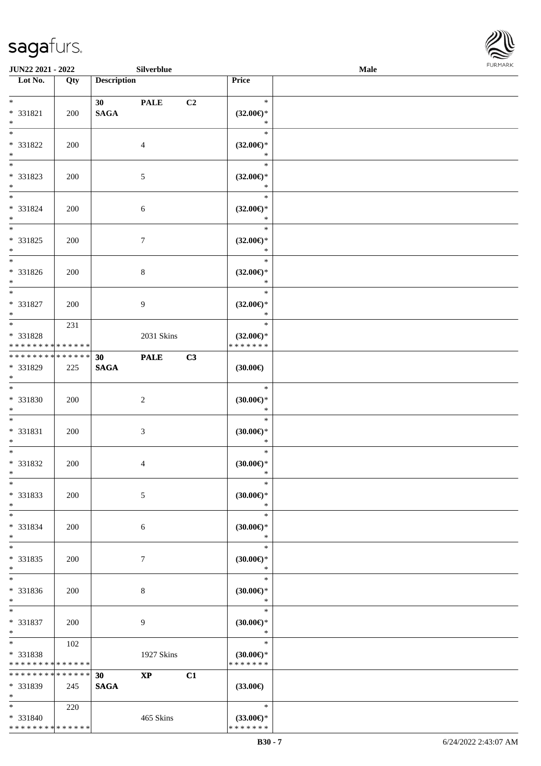\* \* \* \* \* \* \* \* \* \* \* \* \* \*



| JUN22 2021 - 2022                                                   |     | Silverblue                                        |    |                                                | Male | FURMARK |
|---------------------------------------------------------------------|-----|---------------------------------------------------|----|------------------------------------------------|------|---------|
| $\overline{\phantom{1}}$ Lot No.                                    | Qty | <b>Description</b>                                |    | Price                                          |      |         |
| $*$<br>* 331821<br>$\ast$                                           | 200 | 30 <sub>o</sub><br><b>PALE</b><br>$\mathbf{SAGA}$ | C2 | $\ast$<br>$(32.00\epsilon)$ *<br>$\ast$        |      |         |
| $\overline{\phantom{a}^*}$<br>* 331822<br>$*$                       | 200 | $\overline{4}$                                    |    | $\ast$<br>$(32.00\epsilon)$ *<br>$\ast$        |      |         |
| $_{\ast}^{-}$<br>* 331823<br>$*$                                    | 200 | $\sqrt{5}$                                        |    | $\ast$<br>$(32.00\epsilon)$ *<br>$\ast$        |      |         |
| $\ast$<br>* 331824<br>$*$<br>$\overline{\phantom{0}}$               | 200 | $\sqrt{6}$                                        |    | $\ast$<br>$(32.00\epsilon)$ *<br>$\ast$        |      |         |
| $* 331825$<br>$\ast$<br>$\overline{\phantom{a}^*}$                  | 200 | $\boldsymbol{7}$                                  |    | $\ast$<br>$(32.00\epsilon)$ *<br>$\ast$        |      |         |
| * 331826<br>$\ast$                                                  | 200 | $\,8\,$                                           |    | $\ast$<br>$(32.00\epsilon)$ *<br>$\ast$        |      |         |
| $*$<br>* 331827<br>$\ast$                                           | 200 | $\overline{9}$                                    |    | $\ast$<br>$(32.00\epsilon)$ *<br>$\ast$        |      |         |
| $\overline{\phantom{0}}$<br>* 331828<br>* * * * * * * * * * * * * * | 231 | 2031 Skins                                        |    | $\ast$<br>$(32.00\epsilon)$ *<br>* * * * * * * |      |         |
| **************<br>* 331829<br>$*$                                   | 225 | <b>PALE</b><br>30<br><b>SAGA</b>                  | C3 | (30.00)                                        |      |         |
| $\overline{\phantom{0}}$<br>$* 331830$<br>$\ast$                    | 200 | $\sqrt{2}$                                        |    | $\ast$<br>(30.00)<br>$\ast$                    |      |         |
| $\overline{\phantom{0}}$<br>* 331831<br>$\ast$                      | 200 | $\mathfrak{Z}$                                    |    | $\ast$<br>$(30.00\epsilon)$ *<br>$\ast$        |      |         |
| $\overline{\phantom{0}}$<br>* 331832<br>$*$                         | 200 | $\overline{4}$                                    |    | $\ast$<br>(30.00)<br>$\ast$                    |      |         |
| $\ast$<br>* 331833<br>$\ast$                                        | 200 | $\mathfrak{S}$                                    |    | $\ast$<br>(30.00)<br>$\ast$                    |      |         |
| $_{\ast}^{-}$<br>* 331834<br>$\ast$                                 | 200 | $\sqrt{6}$                                        |    | $\ast$<br>(30.00)<br>$\ast$                    |      |         |
| $_{\ast}$<br>* 331835<br>$\ast$                                     | 200 | $\boldsymbol{7}$                                  |    | $\ast$<br>$(30.00\epsilon)$ *<br>$\ast$        |      |         |
| $_{\ast}^{-}$<br>$* 331836$<br>$\ast$                               | 200 | $\,8\,$                                           |    | $\ast$<br>$(30.00\epsilon)$ *<br>$\ast$        |      |         |
| $\overline{\phantom{a}^*}$<br>* 331837<br>$\ast$                    | 200 | 9                                                 |    | $\ast$<br>$(30.00\epsilon)$ *<br>$\ast$        |      |         |
| $\ast$<br>* 331838<br>* * * * * * * * * * * * * *                   | 102 | 1927 Skins                                        |    | $\ast$<br>$(30.00\epsilon)$ *<br>* * * * * * * |      |         |
| * * * * * * * * * * * * * *<br>* 331839<br>$\ast$                   | 245 | 30<br>$\mathbf{XP}$<br><b>SAGA</b>                | C1 | $(33.00\epsilon)$                              |      |         |
| $\ast$<br>* 331840                                                  | 220 | 465 Skins                                         |    | $\ast$<br>$(33.00\epsilon)$ *                  |      |         |

\* \* \* \* \* \* \*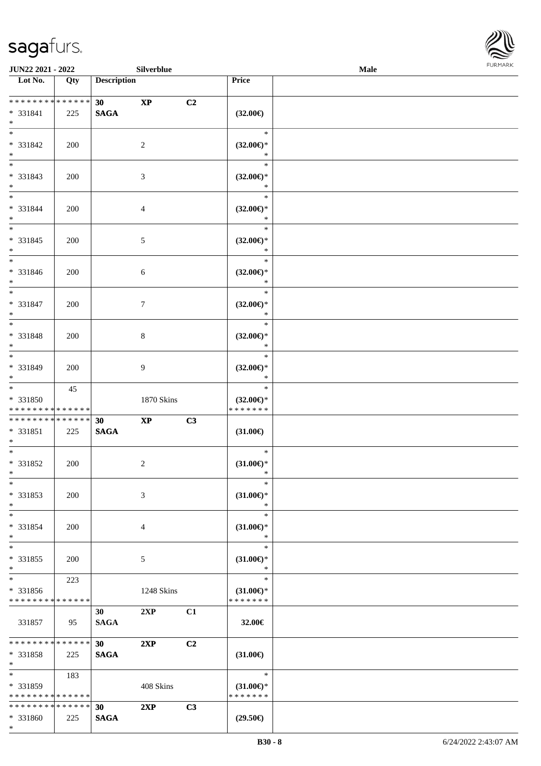\*



| JUN22 2021 - 2022<br>Silverblue                    |     |                    |                        |    |                                                | Male | FURMARK |
|----------------------------------------------------|-----|--------------------|------------------------|----|------------------------------------------------|------|---------|
| Lot No.                                            | Qty | <b>Description</b> |                        |    | Price                                          |      |         |
| ******** <mark>******</mark><br>* 331841<br>$\ast$ | 225 | 30<br><b>SAGA</b>  | $\mathbf{X}\mathbf{P}$ | C2 | $(32.00\in)$                                   |      |         |
| $\overline{\phantom{a}^*}$<br>$* 331842$<br>$*$    | 200 |                    | $\overline{c}$         |    | $\ast$<br>$(32.00\epsilon)$ *<br>$\ast$        |      |         |
| $_{\ast}^{-}$<br>* 331843<br>$*$                   | 200 |                    | $\mathfrak{Z}$         |    | $\ast$<br>$(32.00\epsilon)$ *<br>$\ast$        |      |         |
| $*$<br>* 331844<br>$*$                             | 200 |                    | $\overline{4}$         |    | $\ast$<br>$(32.00\epsilon)$ *<br>$\ast$        |      |         |
| $\frac{1}{*}$<br>* 331845<br>$*$                   | 200 |                    | $\mathfrak{S}$         |    | $\ast$<br>$(32.00\epsilon)$ *<br>$\ast$        |      |         |
| $\overline{\phantom{0}}$<br>* 331846<br>$\ast$     | 200 |                    | $\sqrt{6}$             |    | $\ast$<br>$(32.00\epsilon)$ *<br>$\ast$        |      |         |
| $\ast$<br>* 331847<br>$\ast$                       | 200 |                    | $\tau$                 |    | $\ast$<br>$(32.00\epsilon)$ *<br>$\ast$        |      |         |
| $\overline{\phantom{0}}$<br>* 331848<br>$*$        | 200 |                    | $\,8\,$                |    | $\ast$<br>$(32.00\epsilon)$ *<br>$\ast$        |      |         |
| $\overline{\ast}$<br>* 331849<br>$*$               | 200 |                    | 9                      |    | $\ast$<br>$(32.00\epsilon)$ *<br>$\ast$        |      |         |
| $*$<br>* 331850<br>* * * * * * * * * * * * * *     | 45  |                    | 1870 Skins             |    | $\ast$<br>$(32.00\epsilon)$ *<br>* * * * * * * |      |         |
| * * * * * * * * * * * * * *                        |     | 30                 | $\bold{XP}$            | C3 |                                                |      |         |
| $* 331851$<br>$*$                                  | 225 | <b>SAGA</b>        |                        |    | $(31.00\epsilon)$                              |      |         |
| $*$<br>* 331852<br>$\ast$                          | 200 |                    | $\sqrt{2}$             |    | $\ast$<br>$(31.00\epsilon)$ *<br>$\ast$        |      |         |
| $\ast$<br>* 331853<br>$\ast$                       | 200 |                    | 3                      |    | $\ast$<br>$(31.00\epsilon)$ *<br>$\ast$        |      |         |
| $\overline{\phantom{a}^*}$<br>* 331854<br>$\ast$   | 200 |                    | $\overline{4}$         |    | $\ast$<br>$(31.00\epsilon)$ *<br>$\ast$        |      |         |
| $\overline{\phantom{a}^*}$<br>* 331855<br>$\ast$   | 200 |                    | $\mathfrak{S}$         |    | $\ast$<br>$(31.00\epsilon)$ *<br>$\ast$        |      |         |
| $\ast$<br>* 331856<br>* * * * * * * * * * * * * *  | 223 |                    | 1248 Skins             |    | $\ast$<br>$(31.00\epsilon)$ *<br>* * * * * * * |      |         |
| 331857                                             | 95  | 30<br><b>SAGA</b>  | 2XP                    | C1 | 32.00€                                         |      |         |
| * * * * * * * * * * * * * *<br>* 331858<br>$\ast$  | 225 | 30<br><b>SAGA</b>  | 2XP                    | C2 | $(31.00\epsilon)$                              |      |         |
| $\ast$<br>* 331859<br>* * * * * * * * * * * * * *  | 183 |                    | 408 Skins              |    | $\ast$<br>$(31.00\epsilon)$ *<br>* * * * * * * |      |         |
| * * * * * * * * * * * * * * *                      |     | 30                 | 2XP                    | C3 |                                                |      |         |
| * 331860                                           | 225 | <b>SAGA</b>        |                        |    | $(29.50\epsilon)$                              |      |         |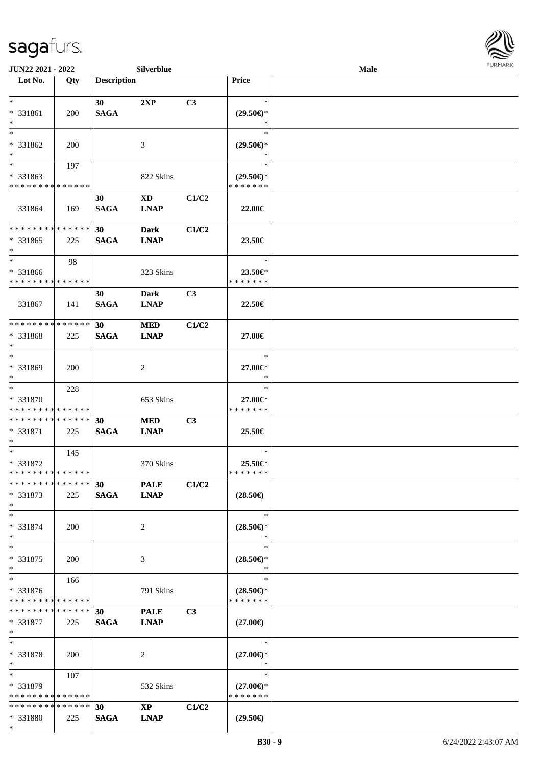

| JUN22 2021 - 2022             |            |                    | Silverblue             |       |                     | Male |  |
|-------------------------------|------------|--------------------|------------------------|-------|---------------------|------|--|
| Lot No.                       | Qty        | <b>Description</b> |                        |       | Price               |      |  |
|                               |            |                    |                        |       |                     |      |  |
| $\ast$                        |            | 30                 | 2XP                    | C3    | $\ast$              |      |  |
| * 331861                      | 200        | <b>SAGA</b>        |                        |       | $(29.50\epsilon)$ * |      |  |
| $\ast$                        |            |                    |                        |       | $\ast$              |      |  |
| $\ast$                        |            |                    |                        |       | $\ast$              |      |  |
|                               |            |                    |                        |       |                     |      |  |
| * 331862                      | 200        |                    | 3                      |       | $(29.50\epsilon)$ * |      |  |
| $\ast$                        |            |                    |                        |       | *                   |      |  |
| $\overline{\phantom{0}}$      | 197        |                    |                        |       | $\ast$              |      |  |
| * 331863                      |            |                    | 822 Skins              |       | $(29.50\epsilon)$ * |      |  |
| * * * * * * * * * * * * * *   |            |                    |                        |       | * * * * * * *       |      |  |
|                               |            | 30                 | $\mathbf{X}\mathbf{D}$ | C1/C2 |                     |      |  |
| 331864                        | 169        | <b>SAGA</b>        | <b>LNAP</b>            |       | 22.00€              |      |  |
|                               |            |                    |                        |       |                     |      |  |
| **************                |            | 30                 | <b>Dark</b>            | C1/C2 |                     |      |  |
| * 331865                      | 225        | <b>SAGA</b>        | <b>LNAP</b>            |       | 23.50€              |      |  |
| $\ast$                        |            |                    |                        |       |                     |      |  |
| $\ast$                        |            |                    |                        |       |                     |      |  |
|                               | 98         |                    |                        |       | $\ast$              |      |  |
| * 331866                      |            |                    | 323 Skins              |       | 23.50€*             |      |  |
| * * * * * * * * * * * * * *   |            |                    |                        |       | * * * * * * *       |      |  |
|                               |            | 30                 | <b>Dark</b>            | C3    |                     |      |  |
| 331867                        | 141        | <b>SAGA</b>        | <b>LNAP</b>            |       | 22.50€              |      |  |
|                               |            |                    |                        |       |                     |      |  |
| * * * * * * * * * * * * * *   |            | 30                 | <b>MED</b>             | C1/C2 |                     |      |  |
| * 331868                      | 225        | <b>SAGA</b>        | <b>LNAP</b>            |       | 27.00€              |      |  |
| $\ast$                        |            |                    |                        |       |                     |      |  |
| $\ast$                        |            |                    |                        |       | $\ast$              |      |  |
| * 331869                      |            |                    |                        |       |                     |      |  |
| $\ast$                        | 200        |                    | $\overline{c}$         |       | 27.00€*<br>$\ast$   |      |  |
| $\overline{\ast}$             |            |                    |                        |       |                     |      |  |
|                               | 228        |                    |                        |       | $\ast$              |      |  |
| * 331870                      |            |                    | 653 Skins              |       | 27.00€*             |      |  |
| * * * * * * * * * * * * * *   |            |                    |                        |       | * * * * * * *       |      |  |
| **************                |            | 30                 | <b>MED</b>             | C3    |                     |      |  |
| $* 331871$                    | 225        | <b>SAGA</b>        | <b>LNAP</b>            |       | 25.50€              |      |  |
| $\ast$                        |            |                    |                        |       |                     |      |  |
| $\ast$                        | 145        |                    |                        |       | $\ast$              |      |  |
| * 331872                      |            |                    | 370 Skins              |       | 25.50€*             |      |  |
| **************                |            |                    |                        |       | * * * * * * *       |      |  |
| * * * * * * * * * * * * * *   |            | 30                 | <b>PALE</b>            | C1/C2 |                     |      |  |
|                               |            |                    |                        |       |                     |      |  |
| * 331873                      | 225        | <b>SAGA</b>        | <b>LNAP</b>            |       | $(28.50\epsilon)$   |      |  |
| $*$                           |            |                    |                        |       |                     |      |  |
| $*$                           |            |                    |                        |       | $\ast$              |      |  |
| * 331874                      | 200        |                    | 2                      |       | $(28.50\epsilon)$ * |      |  |
| $\ast$                        |            |                    |                        |       | ∗                   |      |  |
| $\ast$                        |            |                    |                        |       | $\ast$              |      |  |
| * 331875                      | 200        |                    | 3                      |       | $(28.50\epsilon)$ * |      |  |
| $*$                           |            |                    |                        |       | $\ast$              |      |  |
| $*$                           | 166        |                    |                        |       | $\ast$              |      |  |
| * 331876                      |            |                    | 791 Skins              |       | $(28.50\epsilon)$ * |      |  |
| * * * * * * * * * * * * * *   |            |                    |                        |       | * * * * * * *       |      |  |
| * * * * * * * * * * * * * * * |            | 30                 |                        | C3    |                     |      |  |
|                               |            |                    | <b>PALE</b>            |       |                     |      |  |
| * 331877                      | 225        | <b>SAGA</b>        | <b>LNAP</b>            |       | $(27.00\epsilon)$   |      |  |
| $\ast$                        |            |                    |                        |       |                     |      |  |
| $\ast$                        |            |                    |                        |       | $\ast$              |      |  |
| * 331878                      | <b>200</b> |                    | 2                      |       | $(27.00\epsilon)$ * |      |  |
| $*$                           |            |                    |                        |       | $\ast$              |      |  |
| $*$                           | 107        |                    |                        |       | $\ast$              |      |  |
| * 331879                      |            |                    | 532 Skins              |       | $(27.00\epsilon)$ * |      |  |
| * * * * * * * * * * * * * *   |            |                    |                        |       | * * * * * * *       |      |  |
| * * * * * * * * * * * * * *   |            | 30                 | $\mathbf{X}\mathbf{P}$ | C1/C2 |                     |      |  |
| * 331880                      | 225        | <b>SAGA</b>        | <b>LNAP</b>            |       | $(29.50\epsilon)$   |      |  |
| $\ast$                        |            |                    |                        |       |                     |      |  |
|                               |            |                    |                        |       |                     |      |  |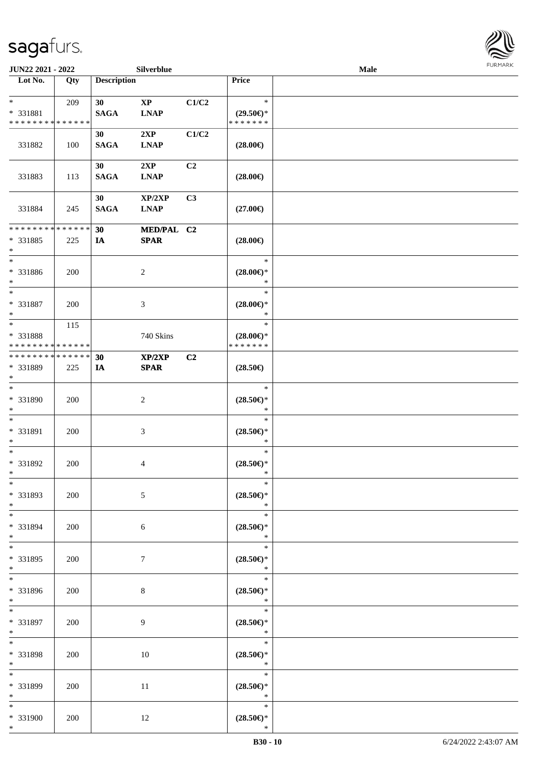

| <b>JUN22 2021 - 2022</b>                                       |               |                    | Silverblue                            |                |                                                | Male |  |
|----------------------------------------------------------------|---------------|--------------------|---------------------------------------|----------------|------------------------------------------------|------|--|
| Lot No.                                                        | Qty           | <b>Description</b> |                                       |                | Price                                          |      |  |
| $*$<br>* 331881<br>* * * * * * * * <mark>* * * * * * *</mark>  | 209           | 30<br><b>SAGA</b>  | $\mathbf{X}\mathbf{P}$<br><b>LNAP</b> | C1/C2          | $\ast$<br>$(29.50\epsilon)$ *<br>* * * * * * * |      |  |
| 331882                                                         | 100           | 30<br><b>SAGA</b>  | 2XP<br><b>LNAP</b>                    | C1/C2          | $(28.00\epsilon)$                              |      |  |
| 331883                                                         | 113           | 30<br><b>SAGA</b>  | 2XP<br><b>LNAP</b>                    | C <sub>2</sub> | $(28.00\epsilon)$                              |      |  |
| 331884                                                         | 245           | 30<br><b>SAGA</b>  | XP/2XP<br><b>LNAP</b>                 | C3             | $(27.00\epsilon)$                              |      |  |
| * * * * * * * *<br>* 331885<br>$\ast$                          | ******<br>225 | 30<br>IA           | MED/PAL C2<br><b>SPAR</b>             |                | $(28.00\epsilon)$                              |      |  |
| $\ast$<br>* 331886<br>$\ast$                                   | 200           |                    | 2                                     |                | $\ast$<br>$(28.00\epsilon)$ *<br>$\ast$        |      |  |
| $*$<br>* 331887<br>$\ast$                                      | 200           |                    | 3                                     |                | $\ast$<br>$(28.00\epsilon)$ *<br>$\ast$        |      |  |
| $*$<br>* 331888<br>* * * * * * * * <mark>* * * * * * *</mark>  | 115           |                    | 740 Skins                             |                | $\ast$<br>$(28.00\epsilon)$ *<br>* * * * * * * |      |  |
| * * * * * * * * <mark>* * * * * *</mark><br>* 331889<br>$\ast$ | 225           | 30<br>IA           | XP/2XP<br><b>SPAR</b>                 | C <sub>2</sub> | $(28.50\in)$                                   |      |  |
| $\overline{\ast}$<br>* 331890<br>$\ast$                        | 200           |                    | 2                                     |                | $\ast$<br>$(28.50\epsilon)$ *<br>$\ast$        |      |  |
| $\ast$<br>* 331891<br>$\ast$                                   | 200           |                    | $\mathfrak{Z}$                        |                | $\ast$<br>$(28.50\epsilon)$ *<br>$\ast$        |      |  |
| $\ast$<br>* 331892<br>$\ast$                                   | 200           |                    | 4                                     |                | $\ast$<br>$(28.50\epsilon)$ *<br>$\ast$        |      |  |
| $\ast$<br>* 331893<br>$*$                                      | 200           |                    | 5                                     |                | $\ast$<br>$(28.50\epsilon)$ *<br>$\ast$        |      |  |
| $\ddot{x}$<br>* 331894<br>$*$                                  | 200           |                    | 6                                     |                | $\ast$<br>$(28.50\epsilon)$ *<br>$\ast$        |      |  |
| $*$<br>* 331895<br>$*$                                         | 200           |                    | $\tau$                                |                | $\ast$<br>$(28.50\epsilon)$ *<br>$\ast$        |      |  |
| $\ddot{x}$<br>* 331896<br>$*$                                  | 200           |                    | 8                                     |                | $\ast$<br>$(28.50\epsilon)$ *<br>$\ast$        |      |  |
| $*$<br>* 331897<br>$*$                                         | 200           |                    | 9                                     |                | $\ast$<br>$(28.50\epsilon)$ *<br>$\ast$        |      |  |
| $*$<br>* 331898<br>$*$                                         | 200           |                    | 10                                    |                | $\ast$<br>$(28.50\epsilon)$ *<br>$\ast$        |      |  |
| * 331899<br>$*$                                                | 200           |                    | 11                                    |                | $\ast$<br>$(28.50\epsilon)$ *<br>$\ast$        |      |  |
| $\ddot{x}$<br>* 331900<br>$\ast$                               | 200           |                    | 12                                    |                | $\ast$<br>$(28.50\epsilon)$ *<br>$\ast$        |      |  |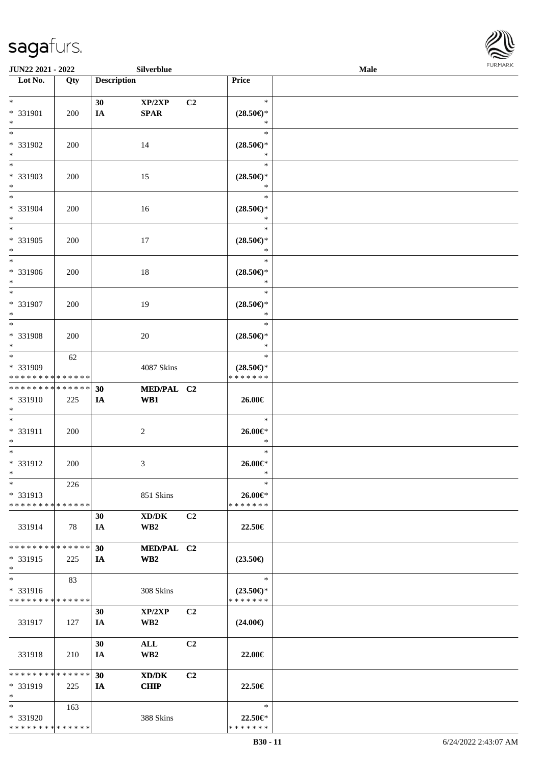

| <b>JUN22 2021 - 2022</b>                |     |                    | Silverblue      |                |                          | <b>Male</b> |  |
|-----------------------------------------|-----|--------------------|-----------------|----------------|--------------------------|-------------|--|
| Lot No.                                 | Qty | <b>Description</b> |                 |                | Price                    |             |  |
|                                         |     |                    |                 |                |                          |             |  |
| $*$                                     |     | 30                 | XP/2XP          | C2             | $\ast$                   |             |  |
| * 331901                                | 200 | IA                 | <b>SPAR</b>     |                | $(28.50\epsilon)$ *      |             |  |
| $*$                                     |     |                    |                 |                | $\ast$                   |             |  |
| $*$                                     |     |                    |                 |                | $\ast$                   |             |  |
| * 331902                                | 200 |                    | 14              |                | $(28.50\epsilon)$ *      |             |  |
| $*$                                     |     |                    |                 |                | $\ast$                   |             |  |
|                                         |     |                    |                 |                | $\ast$                   |             |  |
| * 331903                                | 200 |                    | 15              |                | $(28.50\epsilon)$ *      |             |  |
| $*$                                     |     |                    |                 |                | $\ast$                   |             |  |
| $*$                                     |     |                    |                 |                | $\ast$                   |             |  |
| * 331904                                | 200 |                    | 16              |                | $(28.50\epsilon)$ *      |             |  |
| $*$                                     |     |                    |                 |                | $\ast$                   |             |  |
| $*$                                     |     |                    |                 |                | $\ast$                   |             |  |
| * 331905                                | 200 |                    | 17              |                | $(28.50\epsilon)$ *      |             |  |
| $*$                                     |     |                    |                 |                | $\ast$                   |             |  |
| $*$                                     |     |                    |                 |                | $\ast$                   |             |  |
| * 331906                                | 200 |                    | 18              |                | $(28.50\epsilon)$ *      |             |  |
| $*$                                     |     |                    |                 |                | $\ast$                   |             |  |
| $*$                                     |     |                    |                 |                | $\ast$                   |             |  |
| * 331907                                | 200 |                    | 19              |                | $(28.50\epsilon)$ *      |             |  |
| $*$                                     |     |                    |                 |                | $\ast$                   |             |  |
| $*$                                     |     |                    |                 |                | $\ast$                   |             |  |
| * 331908                                | 200 |                    | 20              |                | $(28.50\epsilon)$ *      |             |  |
| $*$                                     |     |                    |                 |                | $\ast$                   |             |  |
| $*$                                     | 62  |                    |                 |                | $\ast$                   |             |  |
| * 331909                                |     |                    | 4087 Skins      |                | $(28.50\epsilon)$ *      |             |  |
| * * * * * * * * * * * * * *             |     |                    |                 |                | * * * * * * *            |             |  |
| * * * * * * * * * * * * * *             |     | 30                 | MED/PAL C2      |                |                          |             |  |
| * 331910                                | 225 | IA                 | WB1             |                | 26.00€                   |             |  |
| $*$<br>$*$                              |     |                    |                 |                | $\ast$                   |             |  |
|                                         |     |                    |                 |                |                          |             |  |
| * 331911<br>$*$                         | 200 |                    | $\overline{c}$  |                | 26.00€*<br>$\ast$        |             |  |
| $*$                                     |     |                    |                 |                | $\ast$                   |             |  |
| $* 331912$                              | 200 |                    | 3               |                | 26.00€*                  |             |  |
| $*$                                     |     |                    |                 |                | $\ast$                   |             |  |
| $*$                                     | 226 |                    |                 |                | $\ast$                   |             |  |
| * 331913                                |     |                    | 851 Skins       |                | 26.00€*                  |             |  |
| * * * * * * * * * * * * * *             |     |                    |                 |                | * * * * * * *            |             |  |
|                                         |     | 30                 | XD/DK           | C2             |                          |             |  |
| 331914                                  | 78  | IA                 | WB <sub>2</sub> |                | 22.50€                   |             |  |
|                                         |     |                    |                 |                |                          |             |  |
| * * * * * * * * * * * * * * *           |     | 30                 | MED/PAL C2      |                |                          |             |  |
| * 331915                                | 225 | IA                 | WB <sub>2</sub> |                | $(23.50\epsilon)$        |             |  |
| $*$                                     |     |                    |                 |                |                          |             |  |
| $*$                                     | 83  |                    |                 |                | $\ast$                   |             |  |
| * 331916                                |     |                    | 308 Skins       |                | $(23.50\epsilon)$ *      |             |  |
| * * * * * * * * * * * * * *             |     |                    |                 |                | * * * * * * *            |             |  |
|                                         |     | 30                 | XP/2XP          | C2             |                          |             |  |
| 331917                                  | 127 | IA                 | WB <sub>2</sub> |                | $(24.00\epsilon)$        |             |  |
|                                         |     |                    |                 |                |                          |             |  |
|                                         |     | 30                 | ALL             | C <sub>2</sub> |                          |             |  |
| 331918                                  | 210 | IA                 | WB <sub>2</sub> |                | 22.00€                   |             |  |
|                                         |     |                    |                 |                |                          |             |  |
| * * * * * * * * * * * * * *             |     | 30                 | XD/DK           | C2             |                          |             |  |
| * 331919<br>$*$                         | 225 | IA                 | <b>CHIP</b>     |                | 22.50€                   |             |  |
| $*$                                     |     |                    |                 |                | $\ast$                   |             |  |
|                                         | 163 |                    |                 |                |                          |             |  |
| * 331920<br>* * * * * * * * * * * * * * |     |                    | 388 Skins       |                | 22.50€*<br>* * * * * * * |             |  |
|                                         |     |                    |                 |                |                          |             |  |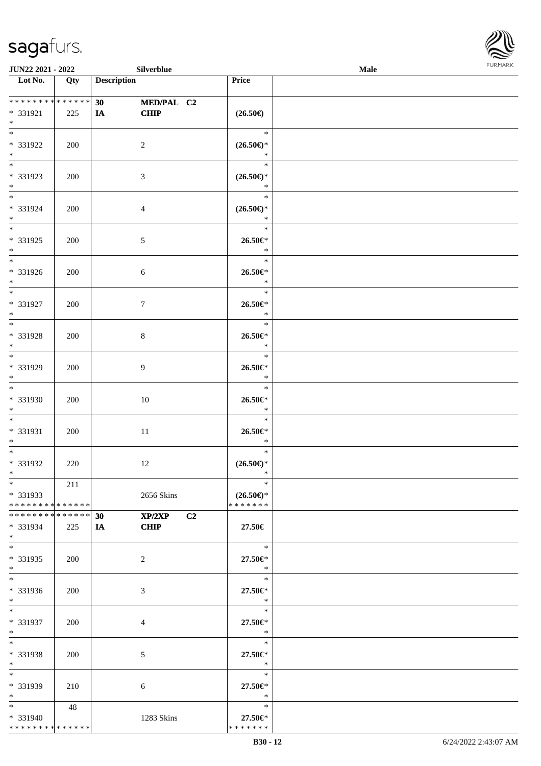

| JUN22 2021 - 2022             |            | Silverblue               |                       | Male |
|-------------------------------|------------|--------------------------|-----------------------|------|
| Lot No.                       | Qty        | <b>Description</b>       | Price                 |      |
|                               |            |                          |                       |      |
| ******** <mark>******</mark>  |            | 30<br>MED/PAL C2         |                       |      |
| * 331921                      | 225        | CHIP<br><b>IA</b>        | $(26.50\epsilon)$     |      |
| $*$                           |            |                          |                       |      |
|                               |            |                          | $\ast$                |      |
| * 331922                      | 200        | $\overline{c}$           | $(26.50\epsilon)$ *   |      |
| $\ast$                        |            |                          | $\ast$                |      |
|                               |            |                          | $\ast$                |      |
| * 331923                      | 200        | $\mathfrak{Z}$           | $(26.50\epsilon)$ *   |      |
| $*$                           |            |                          | $\ast$                |      |
| $\overline{\phantom{0}}$      |            |                          | $\ast$                |      |
| * 331924                      | 200        | $\overline{4}$           | $(26.50\epsilon)$ *   |      |
| $\ast$                        |            |                          | $\ast$                |      |
| $\overline{\phantom{0}}$      |            |                          | $\ast$                |      |
| * 331925                      |            |                          | $26.50 \in$           |      |
| $*$                           | 200        | $\mathfrak{S}$           | $\ast$                |      |
| $\overline{\ast}$             |            |                          | $\ast$                |      |
|                               |            |                          |                       |      |
| * 331926                      | 200        | 6                        | $26.50 \in$<br>$\ast$ |      |
| $*$<br>$\overline{\ast}$      |            |                          | $\ast$                |      |
|                               |            |                          |                       |      |
| * 331927                      | 200        | $\tau$                   | 26.50€*               |      |
| $\ast$                        |            |                          | $\ast$                |      |
| $\ast$                        |            |                          | $\ast$                |      |
| * 331928                      | 200        | $\,8\,$                  | 26.50€*               |      |
| $\ast$                        |            |                          | $\ast$                |      |
| $\overline{\phantom{0}}$      |            |                          | $\ast$                |      |
| * 331929                      | 200        | 9                        | $26.50 \text{E}^*$    |      |
| $*$                           |            |                          | $\ast$                |      |
| $\overline{\ast}$             |            |                          | $\ast$                |      |
| * 331930                      | 200        | 10                       | $26.50 \text{E}^*$    |      |
| $*$                           |            |                          | $\ast$                |      |
| $*$                           |            |                          | $\ast$                |      |
| * 331931                      | 200        | 11                       | 26.50€*               |      |
| $*$                           |            |                          | $\ast$                |      |
| $*$                           |            |                          | $\ast$                |      |
| * 331932                      | 220        | 12                       | $(26.50\epsilon)$ *   |      |
| $*$                           |            |                          | $\ast$                |      |
| $*$                           | 211        |                          | $\ast$                |      |
| * 331933                      |            | 2656 Skins               | $(26.50\epsilon)$ *   |      |
| * * * * * * * * * * * * * * * |            |                          | * * * * * * *         |      |
| * * * * * * * * * * * * * * * |            | XP/2XP<br>30             | C <sub>2</sub>        |      |
| * 331934                      | 225        | <b>CHIP</b><br><b>IA</b> | 27.50€                |      |
| $*$                           |            |                          |                       |      |
| $\overline{\ast}$             |            |                          | $\ast$                |      |
| * 331935                      | 200        | 2                        | 27.50€*               |      |
| $*$                           |            |                          | $\ast$                |      |
| $\overline{\phantom{0}}$      |            |                          | $\ast$                |      |
| * 331936                      | 200        | 3                        | 27.50€*               |      |
| $*$                           |            |                          | $\bullet$ $\bullet$   |      |
| $*$                           |            |                          | $\ast$                |      |
| * 331937                      | 200        | 4                        | 27.50€*               |      |
| $*$                           |            |                          | $\ast$                |      |
| $*$                           |            |                          | $\ast$                |      |
| * 331938                      | <b>200</b> | $\mathfrak{S}$           | 27.50€*               |      |
| $*$                           |            |                          | $\ast$                |      |
| $*$                           |            |                          | $\ast$                |      |
| * 331939                      | 210        | 6                        | 27.50€*               |      |
| $*$                           |            |                          | $\ast$                |      |
| $*$                           | 48         |                          | $\ast$                |      |
| * 331940                      |            | 1283 Skins               | 27.50€*               |      |
| **************                |            |                          | * * * * * * *         |      |
|                               |            |                          |                       |      |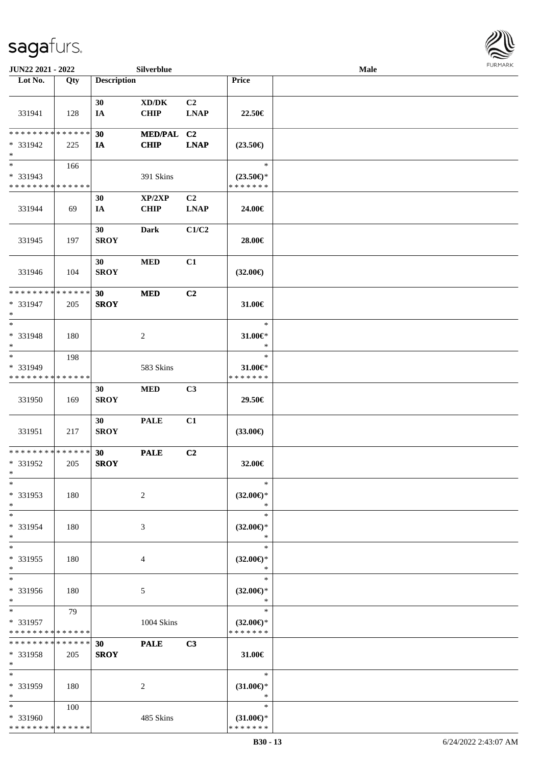

| JUN22 2021 - 2022                                                   |     |                    | Silverblue                                  |                               |                                                | <b>Male</b> |  |
|---------------------------------------------------------------------|-----|--------------------|---------------------------------------------|-------------------------------|------------------------------------------------|-------------|--|
| Lot No.                                                             | Qty | <b>Description</b> |                                             |                               | Price                                          |             |  |
| 331941                                                              | 128 | 30<br>IA           | $\bold{X}\bold{D}/\bold{D}\bold{K}$<br>CHIP | C <sub>2</sub><br><b>LNAP</b> | 22.50€                                         |             |  |
| * * * * * * * * * * * * * *<br>* 331942<br>$\ast$                   | 225 | 30<br><b>IA</b>    | MED/PAL C2<br><b>CHIP</b>                   | <b>LNAP</b>                   | $(23.50\epsilon)$                              |             |  |
| $\overline{\phantom{0}}$<br>* 331943<br>* * * * * * * * * * * * * * | 166 |                    | 391 Skins                                   |                               | $\ast$<br>$(23.50\epsilon)$ *<br>* * * * * * * |             |  |
| 331944                                                              | 69  | 30<br>IA           | XP/2XP<br><b>CHIP</b>                       | C2<br><b>LNAP</b>             | 24.00€                                         |             |  |
| 331945                                                              | 197 | 30<br><b>SROY</b>  | <b>Dark</b>                                 | C1/C2                         | 28.00€                                         |             |  |
| 331946                                                              | 104 | 30<br><b>SROY</b>  | <b>MED</b>                                  | C1                            | $(32.00\epsilon)$                              |             |  |
| ******** <mark>*****</mark> *<br>* 331947<br>$\ast$                 | 205 | 30<br><b>SROY</b>  | <b>MED</b>                                  | C2                            | 31.00€                                         |             |  |
| $\ast$<br>* 331948<br>$\ast$                                        | 180 |                    | $\sqrt{2}$                                  |                               | $\ast$<br>31.00€*<br>$\ast$                    |             |  |
| $_{\ast}$<br>* 331949<br>* * * * * * * * * * * * * *                | 198 |                    | 583 Skins                                   |                               | $\ast$<br>$31.00 \in$<br>* * * * * * *         |             |  |
| 331950                                                              | 169 | 30<br><b>SROY</b>  | <b>MED</b>                                  | C3                            | 29.50€                                         |             |  |
| 331951                                                              | 217 | 30<br><b>SROY</b>  | <b>PALE</b>                                 | C1                            | $(33.00\epsilon)$                              |             |  |
| ******** <mark>*****</mark> *<br>* 331952<br>$*$                    | 205 | 30<br><b>SROY</b>  | <b>PALE</b>                                 | C2                            | 32.00€                                         |             |  |
| $\ast$<br>* 331953<br>$\ast$                                        | 180 |                    | $\overline{c}$                              |                               | $\ast$<br>$(32.00\epsilon)$ *<br>$\ast$        |             |  |
| $\ast$<br>* 331954<br>$\ast$                                        | 180 |                    | 3                                           |                               | $\ast$<br>$(32.00\epsilon)$ *<br>$\ast$        |             |  |
| $\ast$<br>* 331955<br>$\ast$                                        | 180 |                    | 4                                           |                               | $\ast$<br>$(32.00\epsilon)$ *<br>$\ast$        |             |  |
| $\overline{\phantom{a}^*}$<br>* 331956<br>$*$                       | 180 |                    | 5                                           |                               | $\ast$<br>$(32.00\epsilon)$ *<br>$\ast$        |             |  |
| $*$<br>* 331957<br>* * * * * * * * * * * * * *                      | 79  |                    | 1004 Skins                                  |                               | $\ast$<br>$(32.00\epsilon)$ *<br>* * * * * * * |             |  |
| * * * * * * * * * * * * * *<br>* 331958<br>$*$                      | 205 | 30<br><b>SROY</b>  | <b>PALE</b>                                 | C3                            | 31.00€                                         |             |  |
| $\ast$<br>* 331959<br>$\ast$                                        | 180 |                    | 2                                           |                               | $\ast$<br>$(31.00\epsilon)$ *<br>$\ast$        |             |  |
| $*$<br>* 331960<br>* * * * * * * * * * * * * *                      | 100 |                    | 485 Skins                                   |                               | $\ast$<br>$(31.00\epsilon)$ *<br>* * * * * * * |             |  |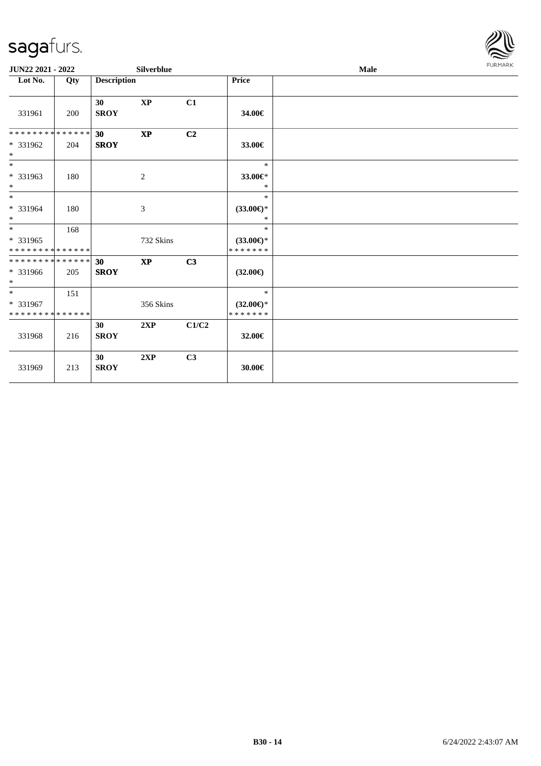

| JUN22 2021 - 2022                                |     |                                | Silverblue    |                |                                                | Male |  |  |  |
|--------------------------------------------------|-----|--------------------------------|---------------|----------------|------------------------------------------------|------|--|--|--|
| Lot No.                                          | Qty | <b>Description</b>             |               |                | Price                                          |      |  |  |  |
| 331961                                           | 200 | 30<br><b>SROY</b>              | <b>XP</b>     | C1             | 34.00€                                         |      |  |  |  |
| * * * * * * * * * * * * * * *<br>* 331962<br>$*$ | 204 | 30 <sup>°</sup><br><b>SROY</b> | $\mathbf{XP}$ | C <sub>2</sub> | 33.00€                                         |      |  |  |  |
| $\overline{\ast}$<br>* 331963<br>$*$             | 180 |                                | 2             |                | $\ast$<br>33.00€*<br>∗                         |      |  |  |  |
| $\ast$<br>* 331964<br>$*$                        | 180 |                                | 3             |                | $\ast$<br>$(33.00\epsilon)$ *<br>$\ast$        |      |  |  |  |
| $*$<br>* 331965<br>* * * * * * * * * * * * * *   | 168 |                                | 732 Skins     |                | $\ast$<br>$(33.00\epsilon)$ *<br>* * * * * * * |      |  |  |  |
| **************<br>* 331966<br>$*$                | 205 | 30<br><b>SROY</b>              | <b>XP</b>     | C <sub>3</sub> | $(32.00\epsilon)$                              |      |  |  |  |
| $*$<br>* 331967<br>* * * * * * * * * * * * * *   | 151 |                                | 356 Skins     |                | $\ast$<br>$(32.00\epsilon)$ *<br>* * * * * * * |      |  |  |  |
| 331968                                           | 216 | 30<br><b>SROY</b>              | 2XP           | C1/C2          | 32.00€                                         |      |  |  |  |
| 331969                                           | 213 | 30<br><b>SROY</b>              | 2XP           | C3             | 30.00€                                         |      |  |  |  |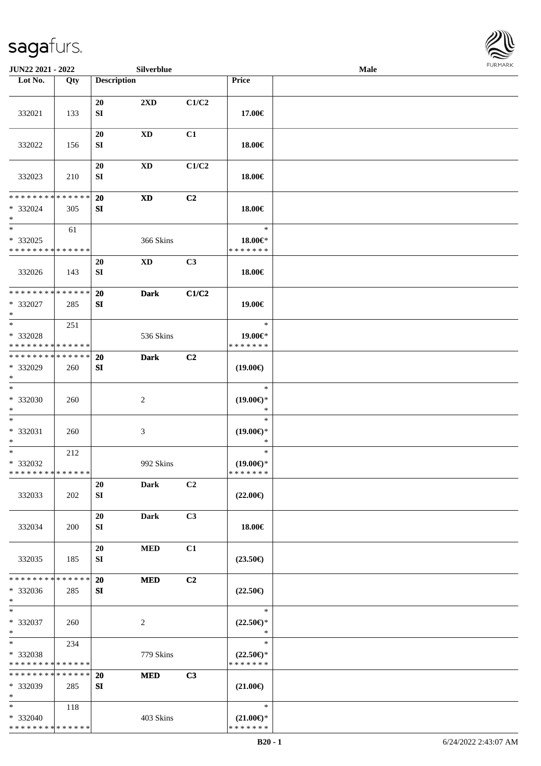

| JUN22 2021 - 2022                                  |     |                    | <b>Silverblue</b>      |       |                                                | Male |  |
|----------------------------------------------------|-----|--------------------|------------------------|-------|------------------------------------------------|------|--|
| Lot No.                                            | Qty | <b>Description</b> |                        |       | Price                                          |      |  |
| 332021                                             | 133 | 20<br>${\bf SI}$   | 2XD                    | C1/C2 | 17.00€                                         |      |  |
| 332022                                             | 156 | 20<br>SI           | <b>XD</b>              | C1    | 18.00€                                         |      |  |
| 332023                                             | 210 | 20<br>${\bf SI}$   | <b>XD</b>              | C1/C2 | 18.00€                                         |      |  |
| * * * * * * * * * * * * * *<br>* 332024<br>$\ast$  | 305 | <b>20</b><br>SI    | $\mathbf{X}\mathbf{D}$ | C2    | 18.00€                                         |      |  |
| $\ast$<br>$*332025$<br>* * * * * * * * * * * * * * | 61  |                    | 366 Skins              |       | $\ast$<br>18.00€*<br>* * * * * * *             |      |  |
| 332026                                             | 143 | 20<br>SI           | <b>XD</b>              | C3    | 18.00€                                         |      |  |
| ******** <mark>******</mark><br>* 332027<br>$\ast$ | 285 | 20<br>SI           | <b>Dark</b>            | C1/C2 | 19.00€                                         |      |  |
| $\ast$<br>* 332028<br>* * * * * * * * * * * * * *  | 251 |                    | 536 Skins              |       | $\ast$<br>19.00€*<br>* * * * * * *             |      |  |
| * * * * * * * * * * * * * *<br>* 332029<br>$\ast$  | 260 | <b>20</b><br>SI    | <b>Dark</b>            | C2    | $(19.00\epsilon)$                              |      |  |
| $\overline{\phantom{1}}$<br>* 332030<br>$\ast$     | 260 |                    | $\boldsymbol{2}$       |       | $\ast$<br>$(19.00\epsilon)$ *<br>$\ast$        |      |  |
| $\ast$<br>$* 332031$<br>$\ast$                     | 260 |                    | $\mathfrak{Z}$         |       | $\ast$<br>$(19.00\epsilon)$ *<br>$\ast$        |      |  |
| $\ast$<br>$* 332032$<br>**************             | 212 |                    | 992 Skins              |       | $\ast$<br>$(19.00€)$ *<br>* * * * * * *        |      |  |
| 332033                                             | 202 | 20<br>SI           | <b>Dark</b>            | C2    | $(22.00\epsilon)$                              |      |  |
| 332034                                             | 200 | 20<br>SI           | Dark                   | C3    | 18.00€                                         |      |  |
| 332035                                             | 185 | 20<br>SI           | <b>MED</b>             | C1    | $(23.50\epsilon)$                              |      |  |
| * * * * * * * * * * * * * *<br>* 332036<br>$*$     | 285 | 20<br>SI           | <b>MED</b>             | C2    | $(22.50\epsilon)$                              |      |  |
| $\ast$<br>* 332037<br>$*$                          | 260 |                    | $\sqrt{2}$             |       | $\ast$<br>$(22.50\epsilon)$ *<br>$\ast$        |      |  |
| $\ast$<br>* 332038<br>* * * * * * * * * * * * * *  | 234 |                    | 779 Skins              |       | $\ast$<br>$(22.50\epsilon)$ *<br>* * * * * * * |      |  |
| * * * * * * * * * * * * * *<br>* 332039<br>$\ast$  | 285 | 20<br>SI           | <b>MED</b>             | C3    | $(21.00\epsilon)$                              |      |  |
| $*$<br>* 332040<br>* * * * * * * * * * * * * *     | 118 |                    | 403 Skins              |       | $\ast$<br>$(21.00\epsilon)$ *<br>* * * * * * * |      |  |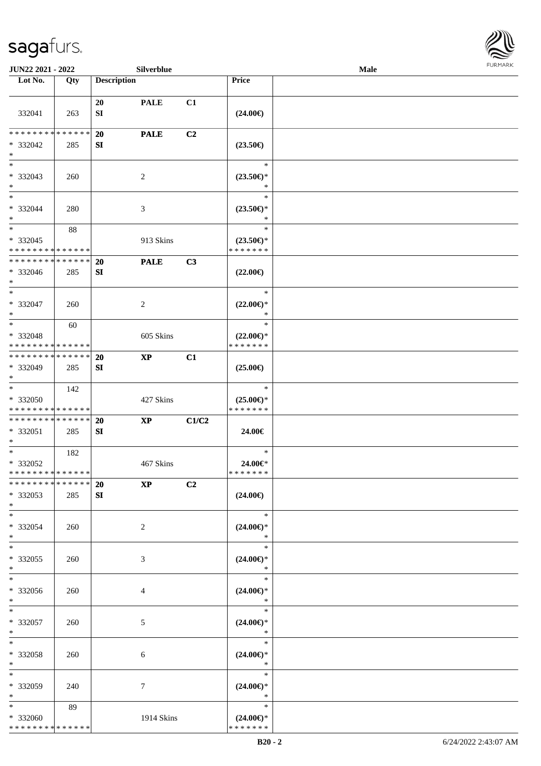

| JUN22 2021 - 2022                                             |                    |                    | Silverblue             |       |                                                   | <b>FURMARK</b> |  |
|---------------------------------------------------------------|--------------------|--------------------|------------------------|-------|---------------------------------------------------|----------------|--|
| Lot No.                                                       | Qty                | <b>Description</b> |                        |       | Price                                             |                |  |
| 332041                                                        | 263                | 20<br>SI           | <b>PALE</b>            | C1    | $(24.00\epsilon)$                                 |                |  |
| * * * * * * * *<br>$* 332042$<br>$*$                          | * * * * * *<br>285 | 20<br>SI           | <b>PALE</b>            | C2    | $(23.50\epsilon)$                                 |                |  |
| $*$<br>$* 332043$<br>$*$                                      | 260                |                    | $\overline{2}$         |       | $\ast$<br>$(23.50\epsilon)$ *<br>$\ast$           |                |  |
| $*$<br>* 332044<br>$*$                                        | 280                |                    | 3                      |       | $\ast$<br>$(23.50\epsilon)$ *<br>$\ast$           |                |  |
| $*$<br>$* 332045$<br>* * * * * * * * * * * * * *              | 88                 |                    | 913 Skins              |       | $\ast$<br>$(23.50\epsilon)$ *<br>* * * * * * *    |                |  |
| ******** <mark>******</mark><br>* 332046<br>$*$               | 285                | <b>20</b><br>SI    | <b>PALE</b>            | C3    | $(22.00\epsilon)$                                 |                |  |
| $*$<br>* 332047<br>$*$<br>$*$                                 | 260                |                    | 2                      |       | $\ast$<br>$(22.00\epsilon)$ *<br>$\ast$<br>$\ast$ |                |  |
| * 332048<br>* * * * * * * * * * * * * *                       | 60                 |                    | 605 Skins              |       | $(22.00\epsilon)$ *<br>* * * * * * *              |                |  |
| * * * * * * * * * * * * * *<br>* 332049<br>$*$                | 285                | 20<br>SI           | $\mathbf{X}\mathbf{P}$ | C1    | $(25.00\epsilon)$                                 |                |  |
| $*$<br>* 332050<br>* * * * * * * * * * * * * *                | 142                |                    | 427 Skins              |       | $\ast$<br>$(25.00\epsilon)$ *<br>* * * * * * *    |                |  |
| * * * * * * * * <mark>* * * * * * *</mark><br>* 332051<br>$*$ | 285                | 20<br>SI           | $\mathbf{X}\mathbf{P}$ | C1/C2 | 24.00€                                            |                |  |
| $*$<br>* 332052<br>* * * * * * * * * * * * * *                | 182                |                    | 467 Skins              |       | $\ast$<br>24.00€*<br>* * * * * * *                |                |  |
| * * * * * * * * * * * * * *<br>* 332053<br>$*$                | 285                | <b>20</b><br>SI    | $\mathbf{X}\mathbf{P}$ | C2    | $(24.00\epsilon)$                                 |                |  |
| $*$<br>* 332054<br>$*$                                        | 260                |                    | 2                      |       | $\ast$<br>$(24.00\epsilon)$ *<br>$\ast$           |                |  |
| $*$<br>* 332055<br>$*$                                        | 260                |                    | 3                      |       | $\ast$<br>$(24.00\epsilon)$ *<br>$\ast$           |                |  |
| $\overline{\phantom{0}}$<br>$* 332056$<br>$*$                 | 260                |                    | 4                      |       | $\ast$<br>$(24.00\epsilon)$ *<br>$\ast$           |                |  |
| $*$<br>$* 332057$<br>$*$                                      | 260                |                    | 5                      |       | $\ast$<br>$(24.00\epsilon)$ *<br>$\ast$           |                |  |
| $*$<br>* 332058<br>$*$                                        | 260                |                    | 6                      |       | $\ast$<br>$(24.00\epsilon)$ *<br>$\ast$           |                |  |
| $*$<br>* 332059<br>$*$                                        | 240                |                    | $\tau$                 |       | $\ast$<br>$(24.00\epsilon)$ *<br>$\ast$           |                |  |
| $*$<br>* 332060<br>* * * * * * * * * * * * * *                | 89                 |                    | 1914 Skins             |       | $\ast$<br>$(24.00\epsilon)$ *<br>* * * * * * *    |                |  |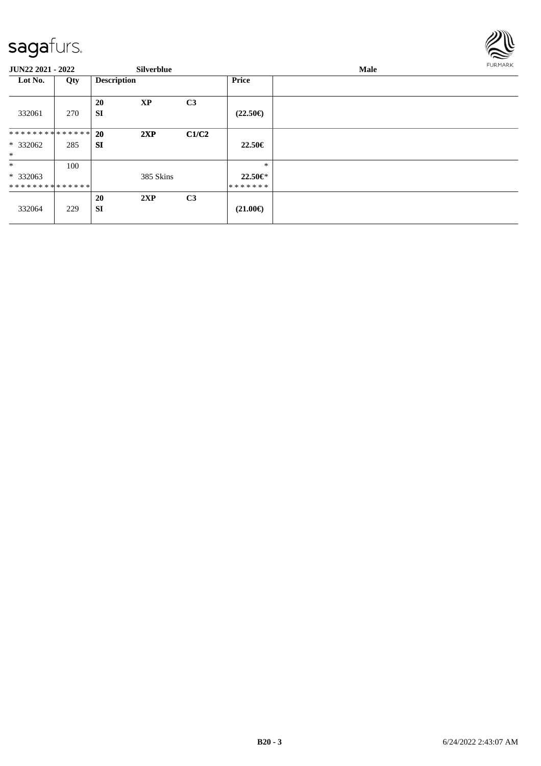

| JUN22 2021 - 2022                     |     |                        | <b>Silverblue</b> |                |                                  | Male |  |  |
|---------------------------------------|-----|------------------------|-------------------|----------------|----------------------------------|------|--|--|
| Lot No.                               | Qty | <b>Description</b>     |                   |                | <b>Price</b>                     |      |  |  |
| 332061                                | 270 | <b>20</b><br>SI        | <b>XP</b>         | C <sub>3</sub> | $(22.50\epsilon)$                |      |  |  |
| * * * * * * * * * * * * * * *         |     | 20                     | 2XP               | C1/C2          |                                  |      |  |  |
| * 332062<br>$*$                       | 285 | <b>SI</b>              |                   |                | 22.50€                           |      |  |  |
| $\ast$<br>$*332063$<br>************** | 100 |                        | 385 Skins         |                | $\ast$<br>$22.50 \in$<br>******* |      |  |  |
| 332064                                | 229 | <b>20</b><br><b>SI</b> | 2XP               | C <sub>3</sub> | $(21.00\epsilon)$                |      |  |  |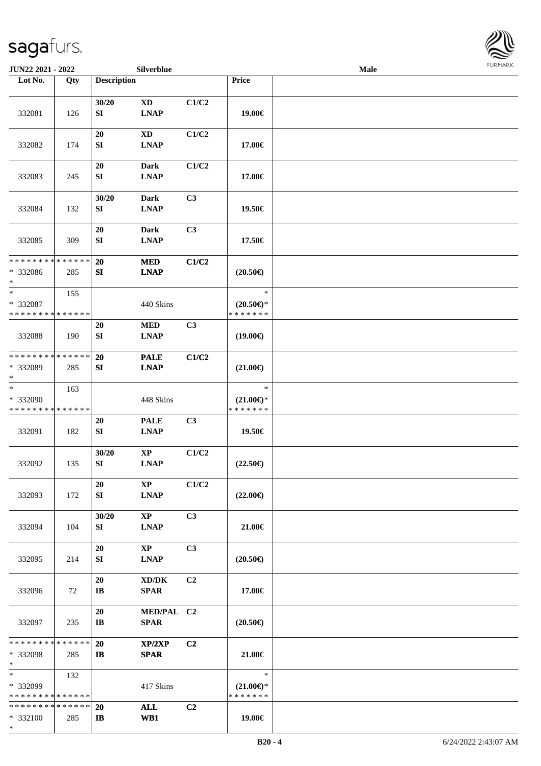\*

| Male | <b>FURMARK</b> |  |
|------|----------------|--|
|      |                |  |
|      |                |  |
|      |                |  |
|      |                |  |
|      |                |  |
|      |                |  |
|      |                |  |
|      |                |  |
|      |                |  |
|      |                |  |
|      |                |  |
|      |                |  |

| JUN22 2021 - 2022                                 |                    |                              | Silverblue                                         |                |                                                | Male | <b>FURMARK</b> |
|---------------------------------------------------|--------------------|------------------------------|----------------------------------------------------|----------------|------------------------------------------------|------|----------------|
| Lot No.                                           | Qty                | <b>Description</b>           |                                                    |                | Price                                          |      |                |
| 332081                                            | 126                | 30/20<br>SI                  | <b>XD</b><br><b>LNAP</b>                           | C1/C2          | 19.00€                                         |      |                |
| 332082                                            | 174                | $20\,$<br>${\bf S}{\bf I}$   | $\mathbf{X}\mathbf{D}$<br><b>LNAP</b>              | C1/C2          | 17.00€                                         |      |                |
| 332083                                            | 245                | $20\,$<br>${\bf SI}$         | <b>Dark</b><br><b>LNAP</b>                         | C1/C2          | 17.00€                                         |      |                |
| 332084                                            | 132                | 30/20<br>${\bf S}{\bf I}$    | <b>Dark</b><br><b>LNAP</b>                         | C3             | 19.50€                                         |      |                |
| 332085                                            | 309                | 20<br>SI                     | <b>Dark</b><br><b>LNAP</b>                         | C3             | 17.50€                                         |      |                |
| * * * * * * * * * * * * * *<br>* 332086<br>$\ast$ | 285                | 20<br>SI                     | <b>MED</b><br><b>LNAP</b>                          | C1/C2          | $(20.50\epsilon)$                              |      |                |
| $\ast$<br>* 332087<br>* * * * * * * * * * * * * * | 155                |                              | 440 Skins                                          |                | $\ast$<br>$(20.50\epsilon)$ *<br>* * * * * * * |      |                |
| 332088                                            | 190                | $20\,$<br>SI                 | $\bf MED$<br><b>LNAP</b>                           | C3             | $(19.00\epsilon)$                              |      |                |
| * * * * * * * * * * * * * *<br>* 332089<br>$\ast$ | 285                | 20<br>SI                     | <b>PALE</b><br><b>LNAP</b>                         | C1/C2          | $(21.00\epsilon)$                              |      |                |
| $\ast$<br>* 332090<br>* * * * * * * * * * * * * * | 163                |                              | 448 Skins                                          |                | $\ast$<br>$(21.00\epsilon)$ *<br>* * * * * * * |      |                |
| 332091                                            | 182                | $20\,$<br>SI                 | <b>PALE</b><br><b>LNAP</b>                         | C <sub>3</sub> | 19.50€                                         |      |                |
| 332092                                            | 135                | 30/20<br>SI                  | $\mathbf{XP}$<br><b>LNAP</b>                       | C1/C2          | $(22.50\epsilon)$                              |      |                |
| 332093                                            | 172                | 20<br>SI                     | <b>XP</b><br><b>LNAP</b>                           | C1/C2          | $(22.00\epsilon)$                              |      |                |
| 332094                                            | 104                | 30/20<br>SI                  | $\mathbf{XP}$<br><b>LNAP</b>                       | C <sub>3</sub> | 21.00€                                         |      |                |
| 332095                                            | 214                | 20<br>SI                     | $\bold{XP}$<br><b>LNAP</b>                         | C3             | $(20.50\epsilon)$                              |      |                |
| 332096                                            | 72                 | 20<br>$\mathbf{I}\mathbf{B}$ | $\bold{X}\bold{D}/\bold{D}\bold{K}$<br><b>SPAR</b> | C2             | 17.00€                                         |      |                |
| 332097                                            | 235                | 20<br>$\mathbf{I}\mathbf{B}$ | MED/PAL C2<br><b>SPAR</b>                          |                | $(20.50\epsilon)$                              |      |                |
| * * * * * * * *<br>* 332098<br>$\ast$             | * * * * * *<br>285 | 20<br>IB                     | XP/2XP<br><b>SPAR</b>                              | C2             | 21.00€                                         |      |                |
| $\ast$<br>* 332099<br>* * * * * * * * * * * * * * | 132                |                              | 417 Skins                                          |                | $\ast$<br>$(21.00\epsilon)$ *<br>* * * * * * * |      |                |
| * * * * * * * * * * * * * *<br>* 332100           | 285                | <b>20</b><br>$\mathbf{I}$    | <b>ALL</b><br>WB1                                  | C2             | 19.00€                                         |      |                |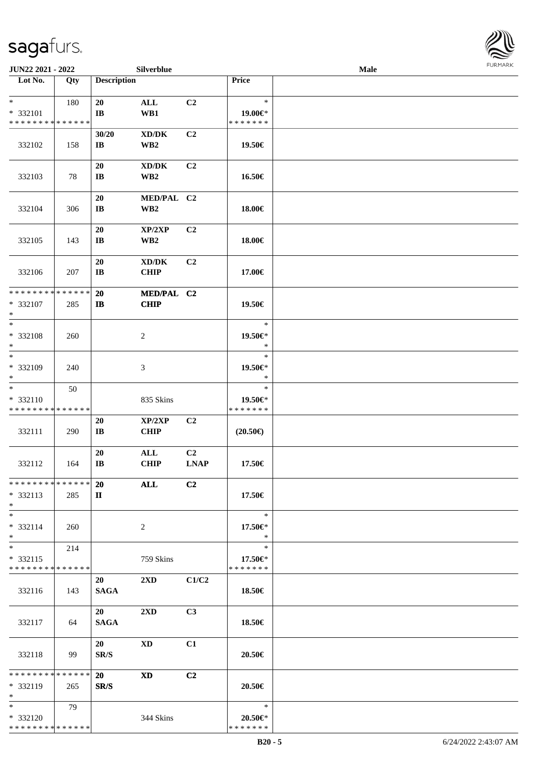

| JUN22 2021 - 2022                                 |     |                               | Silverblue                                             |                   |                                        | <b>Male</b> |  |
|---------------------------------------------------|-----|-------------------------------|--------------------------------------------------------|-------------------|----------------------------------------|-------------|--|
| Lot No.                                           | Qty | <b>Description</b>            |                                                        |                   | Price                                  |             |  |
| $*$<br>* 332101<br>* * * * * * * * * * * * * *    | 180 | 20<br>IB                      | $\mathbf{ALL}$<br>WB1                                  | C2                | $\ast$<br>19.00€*<br>* * * * * * *     |             |  |
| 332102                                            | 158 | 30/20<br>IB                   | XD/DK<br>WB <sub>2</sub>                               | C2                | 19.50€                                 |             |  |
| 332103                                            | 78  | 20<br>$\mathbf{I}\mathbf{B}$  | $\bold{X}\bold{D}/\bold{D}\bold{K}$<br>WB <sub>2</sub> | C2                | 16.50€                                 |             |  |
| 332104                                            | 306 | 20<br>$\mathbf{I}\mathbf{B}$  | MED/PAL C2<br>WB <sub>2</sub>                          |                   | 18.00€                                 |             |  |
| 332105                                            | 143 | 20<br>$\mathbf{I}\mathbf{B}$  | XP/2XP<br>WB <sub>2</sub>                              | C <sub>2</sub>    | 18.00€                                 |             |  |
| 332106                                            | 207 | 20<br>$\bf IB$                | $\bold{X}\bold{D}/\bold{D}\bold{K}$<br><b>CHIP</b>     | C2                | 17.00€                                 |             |  |
| * * * * * * * * * * * * * *<br>* 332107<br>$\ast$ | 285 | 20<br>$\mathbf{I}$            | MED/PAL C2<br><b>CHIP</b>                              |                   | 19.50€                                 |             |  |
| $*$<br>* 332108<br>$\ast$                         | 260 |                               | $\boldsymbol{2}$                                       |                   | $\ast$<br>19.50€*<br>$\ast$            |             |  |
| $\ast$<br>* 332109<br>$*$                         | 240 |                               | 3                                                      |                   | $\ast$<br>19.50€*<br>$\ast$            |             |  |
| $\ast$<br>* 332110<br>* * * * * * * * * * * * * * | 50  |                               | 835 Skins                                              |                   | $\ast$<br>19.50€*<br>* * * * * * *     |             |  |
| 332111                                            | 290 | 20<br>$\mathbf{I}\mathbf{B}$  | XP/2XP<br><b>CHIP</b>                                  | C2                | $(20.50\epsilon)$                      |             |  |
| 332112                                            | 164 | 20<br>$\mathbf{I} \mathbf{B}$ | $\mathbf{ALL}$<br><b>CHIP</b>                          | C2<br><b>LNAP</b> | 17.50€                                 |             |  |
| ******** <mark>******</mark><br>$* 332113$<br>$*$ | 285 | <b>20</b><br>$\mathbf{I}$     | ALL                                                    | C <sub>2</sub>    | 17.50€                                 |             |  |
| $*$<br>* 332114<br>$*$                            | 260 |                               | $\overline{2}$                                         |                   | $\ast$<br>17.50€*<br>$\ast$            |             |  |
| $*$<br>$* 332115$<br>* * * * * * * * * * * * * *  | 214 |                               | 759 Skins                                              |                   | $\ast$<br>$17.50 \in$<br>* * * * * * * |             |  |
| 332116                                            | 143 | 20<br><b>SAGA</b>             | $2\mathbf{X}\mathbf{D}$                                | C1/C2             | 18.50€                                 |             |  |
| 332117                                            | 64  | 20<br><b>SAGA</b>             | 2XD                                                    | C3                | 18.50€                                 |             |  |
| 332118                                            | 99  | 20<br>SR/S                    | <b>XD</b>                                              | C1                | 20.50€                                 |             |  |
| * * * * * * * * * * * * * *<br>* 332119<br>$*$    | 265 | <b>20</b><br>SR/S             | <b>XD</b>                                              | C2                | 20.50€                                 |             |  |
| $*$<br>* 332120<br>* * * * * * * * * * * * * *    | 79  |                               | 344 Skins                                              |                   | $\ast$<br>20.50€*<br>* * * * * * *     |             |  |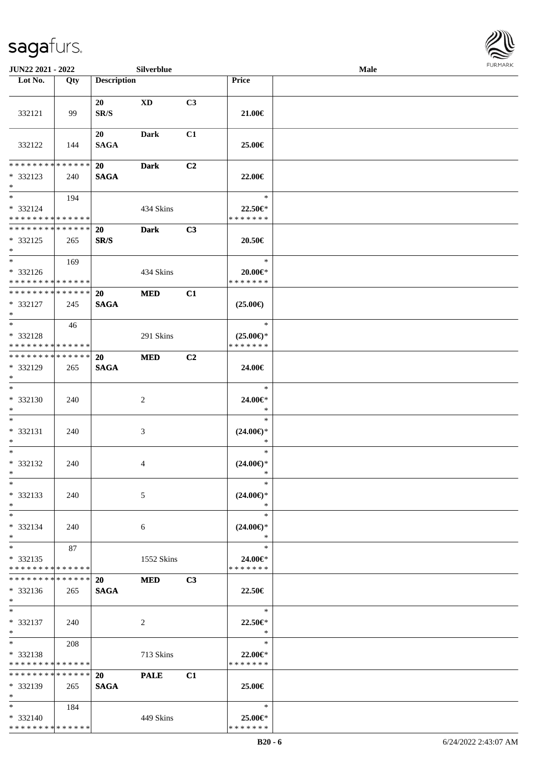

| JUN22 2021 - 2022                                            |     |                          | Silverblue     |                |                                                | <b>Male</b> | <b>FURMARK</b> |
|--------------------------------------------------------------|-----|--------------------------|----------------|----------------|------------------------------------------------|-------------|----------------|
| Lot No.                                                      | Qty | <b>Description</b>       |                |                | Price                                          |             |                |
| 332121                                                       | 99  | 20<br>SR/S               | XD             | C3             | 21.00€                                         |             |                |
| 332122                                                       | 144 | 20<br><b>SAGA</b>        | Dark           | C1             | 25.00€                                         |             |                |
| * * * * * * * * * * * * * *<br>* 332123<br>$*$               | 240 | <b>20</b><br><b>SAGA</b> | <b>Dark</b>    | C2             | 22.00€                                         |             |                |
| $*$ $*$<br>* 332124<br>* * * * * * * * * * * * * *           | 194 |                          | 434 Skins      |                | $\ast$<br>22.50€*<br>* * * * * * *             |             |                |
| **************<br>* 332125<br>$*$                            | 265 | <b>20</b><br>SR/S        | <b>Dark</b>    | C3             | 20.50€                                         |             |                |
| $*$<br>* 332126<br>* * * * * * * * * * * * * *               | 169 |                          | 434 Skins      |                | $\ast$<br>20.00€*<br>* * * * * * *             |             |                |
| **************<br>* 332127<br>$\ast$                         | 245 | <b>20</b><br><b>SAGA</b> | <b>MED</b>     | C1             | $(25.00\epsilon)$                              |             |                |
| $*$<br>* 332128<br>* * * * * * * * * * * * * *               | 46  |                          | 291 Skins      |                | $\ast$<br>$(25.00\epsilon)$ *<br>* * * * * * * |             |                |
| **************<br>* 332129<br>$*$                            | 265 | <b>20</b><br><b>SAGA</b> | <b>MED</b>     | C <sub>2</sub> | 24.00€                                         |             |                |
| $*$<br>$* 332130$<br>$\ast$                                  | 240 |                          | 2              |                | $\ast$<br>24.00€*<br>$\ast$                    |             |                |
| $\ast$<br>* 332131<br>$\ast$                                 | 240 |                          | 3              |                | $\ast$<br>$(24.00\epsilon)$ *<br>$\ast$        |             |                |
| $\ast$<br>* 332132<br>$\ast$                                 | 240 |                          | $\overline{4}$ |                | $\ast$<br>$(24.00\epsilon)$ *<br>$\ast$        |             |                |
| $\ast$<br>* 332133<br>$\ast$                                 | 240 |                          | 5              |                | $\ast$<br>$(24.00\epsilon)$ *<br>$\ast$        |             |                |
| $_{\ast}^{-}$<br>* 332134<br>$*$                             | 240 |                          | 6              |                | $\ast$<br>$(24.00\epsilon)$ *<br>$\ast$        |             |                |
| $\overline{\ast}$<br>* 332135<br>* * * * * * * * * * * * * * | 87  |                          | 1552 Skins     |                | $\ast$<br>24.00€*<br>* * * * * * *             |             |                |
| **************<br>$* 332136$<br>$*$                          | 265 | <b>20</b><br><b>SAGA</b> | <b>MED</b>     | C3             | 22.50€                                         |             |                |
| $\ast$<br>* 332137<br>$*$                                    | 240 |                          | 2              |                | $\ast$<br>22.50€*<br>$\ast$                    |             |                |
| $\ast$<br>* 332138<br>* * * * * * * * * * * * * *            | 208 |                          | 713 Skins      |                | $\ast$<br>22.00€*<br>* * * * * * *             |             |                |
| * * * * * * * * * * * * * *<br>* 332139<br>$\ast$            | 265 | <b>20</b><br><b>SAGA</b> | <b>PALE</b>    | C1             | 25.00€                                         |             |                |
| $\ast$<br>* 332140<br>* * * * * * * * * * * * * *            | 184 |                          | 449 Skins      |                | $\ast$<br>25.00€*<br>* * * * * * *             |             |                |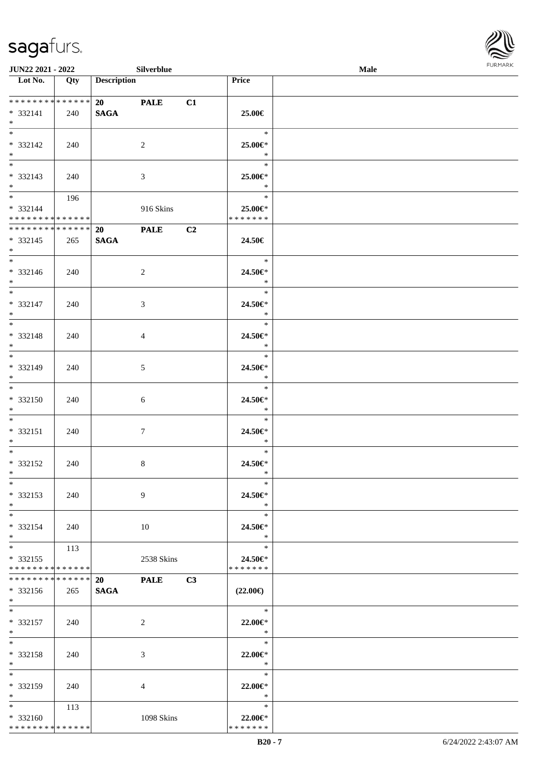\* \* \* \* \* \* \* \* \* \* \* \* \* \* \*



| JUN22 2021 - 2022                                              |     |                          | Silverblue  |    |                                    | Male | FURMARK |
|----------------------------------------------------------------|-----|--------------------------|-------------|----|------------------------------------|------|---------|
| Lot No.                                                        | Qty | <b>Description</b>       |             |    | Price                              |      |         |
| **************<br>$* 332141$<br>$*$                            | 240 | <b>SAGA</b>              | <b>PALE</b> | C1 | 25.00€                             |      |         |
| $* 332142$<br>$*$                                              | 240 | $\overline{2}$           |             |    | $\ast$<br>25.00€*<br>$*$           |      |         |
| $\overline{\phantom{0}}$<br>$* 332143$<br>$*$                  | 240 | $\mathfrak{Z}$           |             |    | $\ast$<br>25.00€*<br>$\ast$        |      |         |
| $*$ and $*$<br>* 332144<br>* * * * * * * * * * * * * *         | 196 |                          | 916 Skins   |    | $\ast$<br>25.00€*<br>* * * * * * * |      |         |
| ******** <mark>******</mark><br>$* 332145$<br>$*$              | 265 | 20<br><b>SAGA</b>        | <b>PALE</b> | C2 | 24.50€                             |      |         |
| $*$<br>* 332146<br>$\ast$                                      | 240 | 2                        |             |    | $\ast$<br>24.50€*<br>$\ast$        |      |         |
| * 332147<br>$*$                                                | 240 | $\mathfrak{Z}$           |             |    | $\ast$<br>24.50€*<br>$\ast$        |      |         |
| * 332148<br>$*$                                                | 240 | $\overline{4}$           |             |    | $\ast$<br>24.50€*<br>$\ast$        |      |         |
| $\overline{\phantom{0}}$<br>* 332149<br>$*$                    | 240 | $5\,$                    |             |    | $\ast$<br>24.50€*<br>$\ast$        |      |         |
| $*$<br>* 332150<br>$*$                                         | 240 | 6                        |             |    | $\ast$<br>24.50€*<br>$\ast$        |      |         |
| $\overline{\phantom{0}}$<br>$* 332151$<br>$*$                  | 240 | $\tau$                   |             |    | $\ast$<br>24.50€*<br>$\ast$        |      |         |
| $\overline{\phantom{0}}$<br>* 332152<br>$*$                    | 240 | $8\,$                    |             |    | $\ast$<br>24.50€*<br>$\ast$        |      |         |
| $\ast$<br>* 332153<br>$\ast$                                   | 240 | 9                        |             |    | $\ast$<br>24.50€*<br>$\ast$        |      |         |
| $\overline{\phantom{0}}$<br>* 332154<br>$*$                    | 240 | 10                       |             |    | $\ast$<br>24.50€*<br>$\ast$        |      |         |
| $\overline{\ast}$<br>$* 332155$<br>* * * * * * * * * * * * * * | 113 |                          | 2538 Skins  |    | $\ast$<br>24.50€*<br>* * * * * * * |      |         |
| **************<br>* 332156<br>$*$                              | 265 | <b>20</b><br><b>SAGA</b> | <b>PALE</b> | C3 | $(22.00\epsilon)$                  |      |         |
| $*$<br>* 332157<br>$*$                                         | 240 | 2                        |             |    | $\ast$<br>22.00€*<br>$\ast$        |      |         |
| $\overline{\phantom{0}}$<br>* 332158<br>$\ast$                 | 240 | 3                        |             |    | $\ast$<br>22.00€*<br>$\ast$        |      |         |
| $\overline{\phantom{a}^*}$<br>* 332159<br>$\ast$               | 240 | 4                        |             |    | $\ast$<br>22.00€*<br>$\ast$        |      |         |
| $*$<br>$* 332160$                                              | 113 |                          | 1098 Skins  |    | $\ast$<br>$22.00 \in$ *            |      |         |

\* \* \* \* \* \* \*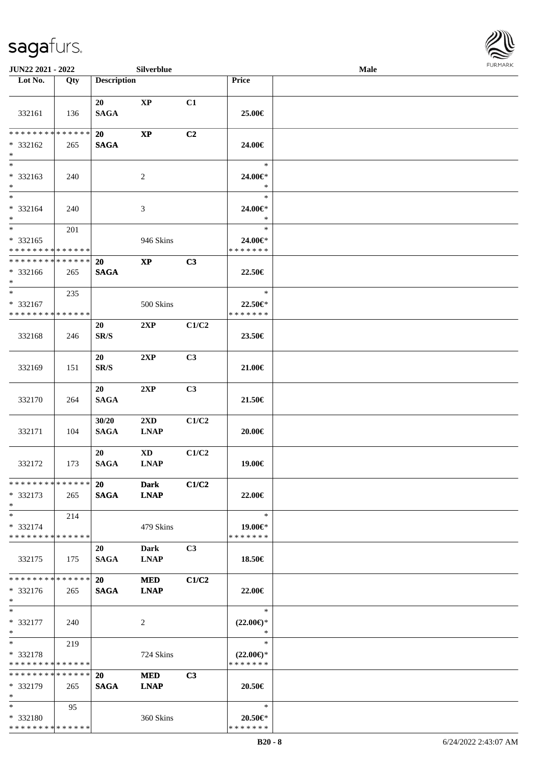

| <b>JUN22 2021 - 2022</b>                         |               |                          | <b>Silverblue</b>                |       |                                                | Male |  |
|--------------------------------------------------|---------------|--------------------------|----------------------------------|-------|------------------------------------------------|------|--|
| Lot No.                                          | Qty           | <b>Description</b>       |                                  |       | Price                                          |      |  |
| 332161                                           | 136           | 20<br><b>SAGA</b>        | $\bold{XP}$                      | C1    | 25.00€                                         |      |  |
| * * * * * * * *<br>* 332162<br>$*$               | ******<br>265 | 20<br><b>SAGA</b>        | $\bold{XP}$                      | C2    | 24.00€                                         |      |  |
| $\overline{\phantom{0}}$<br>* 332163<br>$*$      | 240           |                          | 2                                |       | $\ast$<br>24.00€*<br>$\ast$                    |      |  |
| $*$<br>* 332164<br>$*$                           | 240           |                          | $\mathfrak{Z}$                   |       | $\ast$<br>24.00€*<br>$\ast$                    |      |  |
| $*$<br>$* 332165$<br>* * * * * * * * * * * * * * | 201           |                          | 946 Skins                        |       | $\ast$<br>24.00€*<br>* * * * * * *             |      |  |
| * * * * * * * * * * * * * *<br>* 332166<br>$*$   | 265           | 20<br><b>SAGA</b>        | $\bold{XP}$                      | C3    | 22.50€                                         |      |  |
| $*$<br>* 332167<br>* * * * * * * * * * * * * *   | 235           |                          | 500 Skins                        |       | $\ast$<br>22.50€*<br>* * * * * * *             |      |  |
| 332168                                           | 246           | 20<br>SR/S               | 2XP                              | C1/C2 | 23.50€                                         |      |  |
| 332169                                           | 151           | 20<br>SR/S               | 2XP                              | C3    | 21.00€                                         |      |  |
| 332170                                           | 264           | 20<br><b>SAGA</b>        | 2XP                              | C3    | $21.50\in$                                     |      |  |
| 332171                                           | 104           | 30/20<br><b>SAGA</b>     | $2{\bf X}{\bf D}$<br><b>LNAP</b> | C1/C2 | $20.00 \in$                                    |      |  |
| 332172                                           | 173           | 20<br><b>SAGA</b>        | <b>XD</b><br><b>LNAP</b>         | C1/C2 | 19.00€                                         |      |  |
| * * * * * * * * * * * * * * *<br>* 332173<br>$*$ | 265           | <b>20</b><br><b>SAGA</b> | Dark<br><b>LNAP</b>              | C1/C2 | 22.00€                                         |      |  |
| $*$<br>* 332174<br>* * * * * * * * * * * * * * * | 214           |                          | 479 Skins                        |       | $\ast$<br>19.00€*<br>* * * * * * *             |      |  |
| 332175                                           | 175           | 20<br><b>SAGA</b>        | Dark<br><b>LNAP</b>              | C3    | 18.50€                                         |      |  |
| * * * * * * * * * * * * * * *<br>* 332176<br>$*$ | 265           | 20<br><b>SAGA</b>        | <b>MED</b><br><b>LNAP</b>        | C1/C2 | 22.00€                                         |      |  |
| $*$<br>$* 332177$<br>$*$                         | 240           |                          | 2                                |       | $\ast$<br>$(22.00\epsilon)$ *<br>$\ast$        |      |  |
| $*$<br>* 332178<br>* * * * * * * * * * * * * *   | 219           |                          | 724 Skins                        |       | $\ast$<br>$(22.00\epsilon)$ *<br>* * * * * * * |      |  |
| * * * * * * * * * * * * * *<br>* 332179<br>$*$   | 265           | 20<br><b>SAGA</b>        | <b>MED</b><br><b>LNAP</b>        | C3    | 20.50€                                         |      |  |
| $*$<br>* 332180<br>* * * * * * * * * * * * * *   | 95            |                          | 360 Skins                        |       | $\ast$<br>20.50€*<br>* * * * * * *             |      |  |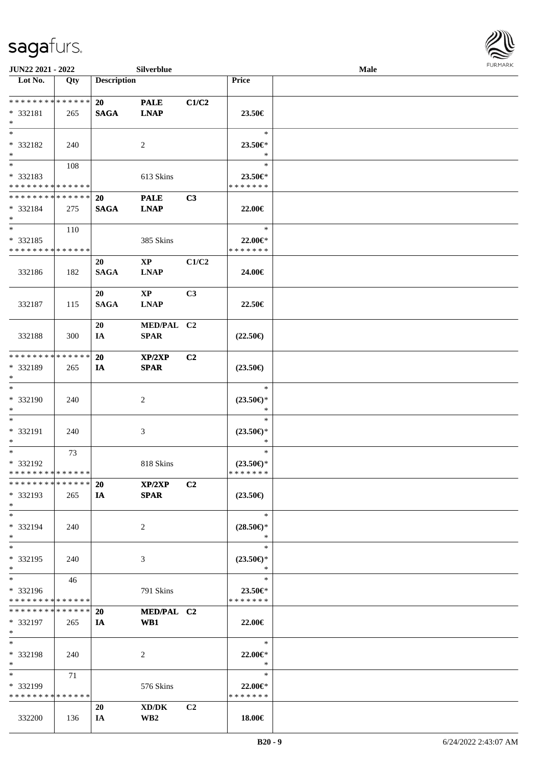| JUN22 2021 - 2022                                         |     |                          | Silverblue                            |                |                                                | <b>FURMAR</b> |  |
|-----------------------------------------------------------|-----|--------------------------|---------------------------------------|----------------|------------------------------------------------|---------------|--|
| $\overline{\phantom{1}}$ Lot No.                          | Qty | <b>Description</b>       |                                       |                | <b>Price</b>                                   |               |  |
| **************<br>* 332181<br>$\ast$                      | 265 | <b>20</b><br><b>SAGA</b> | <b>PALE</b><br><b>LNAP</b>            | C1/C2          | 23.50€                                         |               |  |
| $\ast$<br>* 332182<br>$\ast$                              | 240 |                          | 2                                     |                | $\ast$<br>23.50€*<br>$\ast$                    |               |  |
| $\frac{1}{1}$<br>* 332183<br>******** <mark>******</mark> | 108 |                          | 613 Skins                             |                | $\ast$<br>23.50€*<br>* * * * * * *             |               |  |
| **************<br>$* 332184$<br>$*$                       | 275 | <b>20</b><br><b>SAGA</b> | <b>PALE</b><br><b>LNAP</b>            | C3             | 22.00€                                         |               |  |
| $\ast$<br>$* 332185$<br>* * * * * * * * * * * * * *       | 110 |                          | 385 Skins                             |                | $\ast$<br>22.00€*<br>* * * * * * *             |               |  |
| 332186                                                    | 182 | 20<br><b>SAGA</b>        | $\mathbf{X}\mathbf{P}$<br><b>LNAP</b> | C1/C2          | 24.00€                                         |               |  |
| 332187                                                    | 115 | 20<br><b>SAGA</b>        | $\mathbf{XP}$<br><b>LNAP</b>          | C3             | 22.50€                                         |               |  |
| 332188                                                    | 300 | 20<br>IA                 | MED/PAL C2<br><b>SPAR</b>             |                | $(22.50\epsilon)$                              |               |  |
| ******** <mark>*****</mark> *<br>* 332189<br>$\ast$       | 265 | 20<br>IA                 | XP/2XP<br><b>SPAR</b>                 | C2             | $(23.50\epsilon)$                              |               |  |
| $\ast$<br>* 332190<br>$\ast$                              | 240 |                          | $\overline{c}$                        |                | $\ast$<br>$(23.50\epsilon)$ *<br>$\ast$        |               |  |
| $\ast$<br>* 332191<br>$\ast$                              | 240 |                          | 3                                     |                | $\ast$<br>$(23.50\epsilon)$ *<br>$\ast$        |               |  |
| $\ast$<br>* 332192<br>* * * * * * * * * * * * * * *       | 73  |                          | 818 Skins                             |                | $\ast$<br>$(23.50\epsilon)$ *<br>* * * * * * * |               |  |
| **************<br>$*332193$<br>$\ast$                     | 265 | <b>20</b><br>IA          | XP/2XP<br><b>SPAR</b>                 | C <sub>2</sub> | $(23.50\epsilon)$                              |               |  |
| $\ast$<br>* 332194<br>$\ast$                              | 240 |                          | $\overline{c}$                        |                | $\ast$<br>$(28.50\epsilon)$ *<br>$\ast$        |               |  |
| $\overline{\phantom{a}^*}$<br>* 332195<br>$\ast$          | 240 |                          | 3                                     |                | $\ast$<br>$(23.50\epsilon)$ *<br>$\ast$        |               |  |
| $\ast$<br>* 332196<br>******** <mark>******</mark>        | 46  |                          | 791 Skins                             |                | $\ast$<br>$23.50 \in$<br>* * * * * * *         |               |  |
| **************<br>* 332197<br>$\ast$                      | 265 | 20<br>IA                 | MED/PAL C2<br>WB1                     |                | 22.00€                                         |               |  |
| $\ast$<br>* 332198<br>$\ast$                              | 240 |                          | $\overline{2}$                        |                | $\ast$<br>$22.00 \in$<br>$\ast$                |               |  |
| $\ast$<br>* 332199<br>* * * * * * * * * * * * * *         | 71  |                          | 576 Skins                             |                | $\ast$<br>$22.00 \in$<br>* * * * * * *         |               |  |
| 332200                                                    | 136 | 20<br>IA                 | XD/DK<br>$\mathbf{W}\mathbf{B2}$      | C2             | 18.00€                                         |               |  |

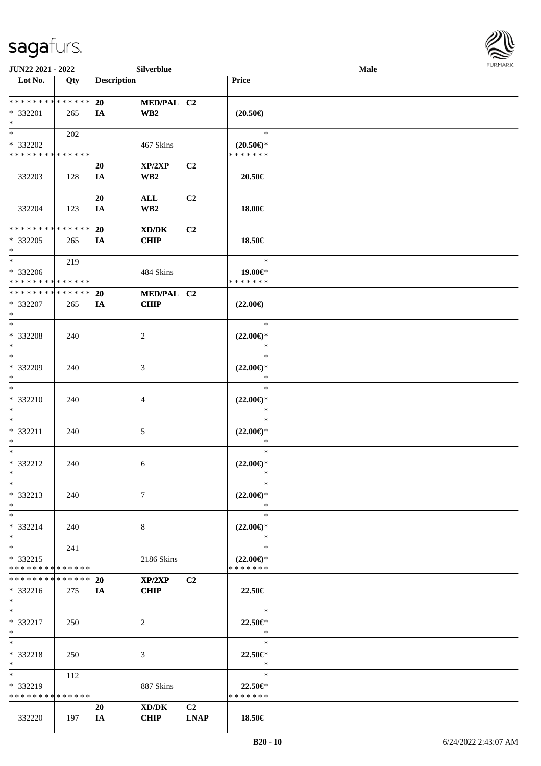

| JUN22 2021 - 2022            |             |                    | Silverblue      |                |                     | <b>Male</b> |  |
|------------------------------|-------------|--------------------|-----------------|----------------|---------------------|-------------|--|
| Lot No.                      | Qty         | <b>Description</b> |                 |                | Price               |             |  |
|                              |             |                    |                 |                |                     |             |  |
| ******** <mark>******</mark> |             | 20                 | MED/PAL C2      |                |                     |             |  |
| * 332201                     | 265         | IA                 | WB2             |                | $(20.50\epsilon)$   |             |  |
| $\ast$                       |             |                    |                 |                |                     |             |  |
| $\ast$                       | 202         |                    |                 |                | $\ast$              |             |  |
| * 332202                     |             |                    | 467 Skins       |                | $(20.50\epsilon)$ * |             |  |
| * * * * * * * * * * * * * *  |             |                    |                 |                | * * * * * * *       |             |  |
|                              |             | 20                 | XP/2XP          | C2             |                     |             |  |
| 332203                       | 128         | IA                 | WB <sub>2</sub> |                | 20.50€              |             |  |
|                              |             |                    |                 |                |                     |             |  |
|                              |             | 20                 | $\mathbf{ALL}$  | C2             |                     |             |  |
| 332204                       | 123         | IA                 | WB <sub>2</sub> |                | 18.00€              |             |  |
|                              |             |                    |                 |                |                     |             |  |
| ********                     | * * * * * * | 20                 | XD/DK           | C2             |                     |             |  |
| * 332205                     | 265         | IA                 | <b>CHIP</b>     |                | 18.50€              |             |  |
| $\ast$                       |             |                    |                 |                |                     |             |  |
| $\ast$                       | 219         |                    |                 |                | $\ast$              |             |  |
| * 332206                     |             |                    | 484 Skins       |                | 19.00€*             |             |  |
| **************               |             |                    |                 |                | * * * * * * *       |             |  |
| * * * * * * * * * * * * * *  |             | 20                 | MED/PAL C2      |                |                     |             |  |
| * 332207                     | 265         | IA                 | <b>CHIP</b>     |                | $(22.00\epsilon)$   |             |  |
| $\ast$                       |             |                    |                 |                |                     |             |  |
| $\ast$                       |             |                    |                 |                | $\ast$              |             |  |
| * 332208                     | 240         |                    | $\overline{c}$  |                | $(22.00\epsilon)$ * |             |  |
| $\ast$                       |             |                    |                 |                | $\ast$              |             |  |
| $\ast$                       |             |                    |                 |                | $\ast$              |             |  |
| * 332209                     | 240         |                    | $\mathfrak{Z}$  |                | $(22.00\epsilon)$ * |             |  |
| $\ast$                       |             |                    |                 |                | $\ast$              |             |  |
| $\ast$                       |             |                    |                 |                | $\ast$              |             |  |
| * 332210                     | 240         |                    | $\overline{4}$  |                | $(22.00\epsilon)$ * |             |  |
| $\ast$                       |             |                    |                 |                | $\ast$              |             |  |
| $\ast$                       |             |                    |                 |                | $\ast$              |             |  |
| * 332211                     | 240         |                    | $\sqrt{5}$      |                | $(22.00\epsilon)$ * |             |  |
| $\ast$                       |             |                    |                 |                | $\ast$              |             |  |
| $\ast$                       |             |                    |                 |                | $\ast$              |             |  |
| * 332212                     | 240         |                    | $\sqrt{6}$      |                | $(22.00\epsilon)$ * |             |  |
| $*$                          |             |                    |                 |                | $\ast$              |             |  |
| $\ast$                       |             |                    |                 |                | $\ast$              |             |  |
| * 332213                     | 240         |                    | $\tau$          |                | $(22.00\epsilon)$ * |             |  |
| $\ast$                       |             |                    |                 |                | $\ast$              |             |  |
| $\ast$                       |             |                    |                 |                | $\ast$              |             |  |
| * 332214                     | 240         |                    | $8\,$           |                | $(22.00\epsilon)$ * |             |  |
| $\ast$                       |             |                    |                 |                | $\ast$              |             |  |
| $\ast$                       | 241         |                    |                 |                | $\ast$              |             |  |
| * 332215                     |             |                    | 2186 Skins      |                | $(22.00\epsilon)$ * |             |  |
| ********                     | * * * * * * |                    |                 |                | * * * * * * *       |             |  |
| * * * * * * * * * * * * * *  |             | <b>20</b>          | XP/2XP          | C2             |                     |             |  |
| $* 332216$                   | 275         | IA                 | <b>CHIP</b>     |                | 22.50€              |             |  |
| $*$                          |             |                    |                 |                |                     |             |  |
| $\ast$                       |             |                    |                 |                | $\ast$              |             |  |
| * 332217                     | 250         |                    | 2               |                | 22.50€*             |             |  |
| $*$                          |             |                    |                 |                | $\ast$              |             |  |
| $\ast$                       |             |                    |                 |                | $\ast$              |             |  |
| * 332218                     | 250         |                    | $\mathfrak{Z}$  |                | 22.50€*             |             |  |
| $\ast$                       |             |                    |                 |                | $\ast$              |             |  |
| $\ast$                       | 112         |                    |                 |                | $\ast$              |             |  |
| * 332219                     |             |                    | 887 Skins       |                | 22.50€*             |             |  |
| * * * * * * * * * * * * * *  |             |                    |                 |                | * * * * * * *       |             |  |
|                              |             | 20                 | XD/DK           | C <sub>2</sub> |                     |             |  |
| 332220                       | 197         |                    | <b>CHIP</b>     | <b>LNAP</b>    | 18.50€              |             |  |
|                              |             | IA                 |                 |                |                     |             |  |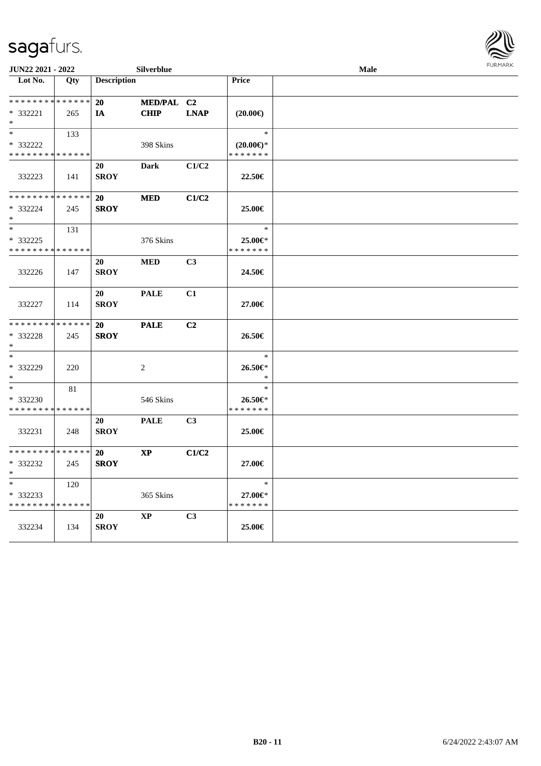

| JUN22 2021 - 2022                |     |                    | Silverblue             |             |                     | FURMARK |  |
|----------------------------------|-----|--------------------|------------------------|-------------|---------------------|---------|--|
| $\overline{\phantom{1}}$ Lot No. | Qty | <b>Description</b> |                        |             | Price               |         |  |
| * * * * * * * * * * * * * *      |     | 20                 | MED/PAL C2             |             |                     |         |  |
| * 332221                         | 265 | IA                 | <b>CHIP</b>            | <b>LNAP</b> | $(20.00\epsilon)$   |         |  |
| $*$                              |     |                    |                        |             |                     |         |  |
| $\ast$                           | 133 |                    |                        |             | $\ast$              |         |  |
| * 332222                         |     |                    | 398 Skins              |             | $(20.00\epsilon)$ * |         |  |
| * * * * * * * * * * * * * *      |     |                    |                        |             | * * * * * * *       |         |  |
| 332223                           | 141 | 20<br><b>SROY</b>  | <b>Dark</b>            | C1/C2       | 22.50€              |         |  |
|                                  |     |                    |                        |             |                     |         |  |
| * * * * * * * * * * * * * *      |     | 20                 | <b>MED</b>             | C1/C2       |                     |         |  |
| * 332224<br>$\ast$               | 245 | <b>SROY</b>        |                        |             | 25.00€              |         |  |
| $\overline{\phantom{1}}$         | 131 |                    |                        |             | $\ast$              |         |  |
| * 332225                         |     |                    | 376 Skins              |             | 25.00€*             |         |  |
| * * * * * * * * * * * * * *      |     |                    |                        |             | * * * * * * *       |         |  |
|                                  |     | 20                 | <b>MED</b>             | C3          |                     |         |  |
| 332226                           | 147 | <b>SROY</b>        |                        |             | 24.50€              |         |  |
|                                  |     | 20                 | <b>PALE</b>            | C1          |                     |         |  |
| 332227                           | 114 | <b>SROY</b>        |                        |             | 27.00€              |         |  |
| * * * * * * * * * * * * * *      |     | 20                 | <b>PALE</b>            | C2          |                     |         |  |
| * 332228<br>$\ast$               | 245 | <b>SROY</b>        |                        |             | 26.50€              |         |  |
| $\ast$                           |     |                    |                        |             | $\ast$              |         |  |
| * 332229                         | 220 |                    | $\overline{2}$         |             | 26.50€*             |         |  |
| $\ast$                           |     |                    |                        |             | $\ast$              |         |  |
| $\ast$                           | 81  |                    |                        |             | $\ast$              |         |  |
| * 332230                         |     |                    | 546 Skins              |             | 26.50€*             |         |  |
| * * * * * * * * * * * * * *      |     |                    |                        |             | * * * * * * *       |         |  |
|                                  |     | 20                 | <b>PALE</b>            | C3          |                     |         |  |
| 332231                           | 248 | <b>SROY</b>        |                        |             | 25.00€              |         |  |
| **************                   |     | <b>20</b>          | $\mathbf{XP}$          | C1/C2       |                     |         |  |
| * 332232                         | 245 | <b>SROY</b>        |                        |             | 27.00€              |         |  |
| ∗                                |     |                    |                        |             |                     |         |  |
| $\overline{\phantom{a}^*}$       | 120 |                    |                        |             | $\ast$              |         |  |
| * 332233                         |     |                    | 365 Skins              |             | 27.00€*             |         |  |
| * * * * * * * * * * * * * *      |     |                    |                        |             | * * * * * * *       |         |  |
|                                  |     | 20                 | $\mathbf{X}\mathbf{P}$ | C3          |                     |         |  |
| 332234                           | 134 | <b>SROY</b>        |                        |             | 25.00€              |         |  |
|                                  |     |                    |                        |             |                     |         |  |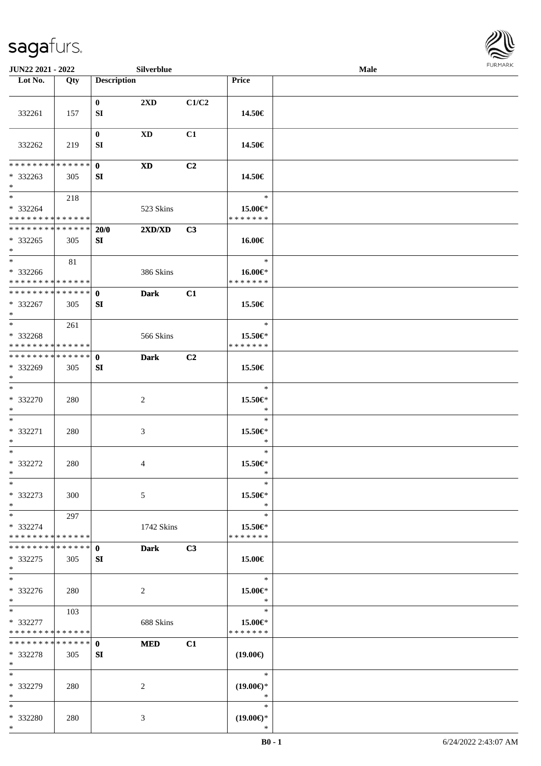

| JUN22 2021 - 2022                                |     |                    | Silverblue  |                |                                         | Male |  |
|--------------------------------------------------|-----|--------------------|-------------|----------------|-----------------------------------------|------|--|
| Lot No.                                          | Qty | <b>Description</b> |             |                | Price                                   |      |  |
| 332261                                           | 157 | $\mathbf{0}$<br>SI | 2XD         | C1/C2          | 14.50€                                  |      |  |
| 332262                                           | 219 | $\bf{0}$<br>SI     | XD          | C1             | 14.50€                                  |      |  |
| * * * * * * * * * * * * * * *<br>* 332263<br>$*$ | 305 | $\mathbf{0}$<br>SI | XD          | C2             | 14.50€                                  |      |  |
| $*$<br>* 332264<br>* * * * * * * * * * * * * * * | 218 |                    | 523 Skins   |                | $\ast$<br>15.00€*<br>* * * * * * *      |      |  |
| * * * * * * * * * * * * * * *<br>* 332265<br>$*$ | 305 | 20/0<br>SI         | 2XD/XD      | C3             | 16.00€                                  |      |  |
| $*$<br>* 332266<br>* * * * * * * * * * * * * * * | 81  |                    | 386 Skins   |                | $\ast$<br>16.00€*<br>* * * * * * *      |      |  |
| * * * * * * * * * * * * * * *<br>* 332267<br>$*$ | 305 | $\mathbf{0}$<br>SI | <b>Dark</b> | C1             | 15.50€                                  |      |  |
| $*$<br>* 332268<br>* * * * * * * * * * * * * *   | 261 |                    | 566 Skins   |                | $\ast$<br>15.50€*<br>* * * * * * *      |      |  |
| * * * * * * * * * * * * * * *<br>* 332269<br>$*$ | 305 | $\mathbf 0$<br>SI  | <b>Dark</b> | C <sub>2</sub> | 15.50€                                  |      |  |
| $*$<br>* 332270<br>$*$                           | 280 |                    | 2           |                | $\ast$<br>15.50€*<br>$\ast$             |      |  |
| $*$<br>* 332271<br>$*$                           | 280 |                    | 3           |                | $\ast$<br>15.50€*<br>$\ast$             |      |  |
| $*$<br>* 332272<br>$*$                           | 280 |                    | 4           |                | $\ast$<br>15.50€*<br>$\ast$             |      |  |
| $*$<br>* 332273<br>$*$                           | 300 |                    | 5           |                | $\ast$<br>15.50€*<br>$\ast$             |      |  |
| $*$<br>* 332274<br>* * * * * * * * * * * * * * * | 297 |                    | 1742 Skins  |                | $\ast$<br>15.50€*<br>* * * * * * *      |      |  |
| * * * * * * * * * * * * * * *<br>* 332275<br>$*$ | 305 | $\mathbf{0}$<br>SI | <b>Dark</b> | C3             | 15.00€                                  |      |  |
| $\ast$<br>* 332276<br>$*$                        | 280 |                    | 2           |                | $\ast$<br>15.00€*<br>$\ast$             |      |  |
| $*$<br>* 332277<br>* * * * * * * * * * * * * *   | 103 |                    | 688 Skins   |                | $\ast$<br>15.00€*<br>* * * * * * *      |      |  |
| * * * * * * * * * * * * * * *<br>* 332278<br>$*$ | 305 | $\mathbf{0}$<br>SI | <b>MED</b>  | C1             | $(19.00\epsilon)$                       |      |  |
| $*$<br>* 332279<br>$*$                           | 280 |                    | 2           |                | $\ast$<br>$(19.00\epsilon)$ *<br>$\ast$ |      |  |
| $*$<br>* 332280<br>$*$                           | 280 |                    | 3           |                | $\ast$<br>$(19.00\epsilon)$ *<br>$\ast$ |      |  |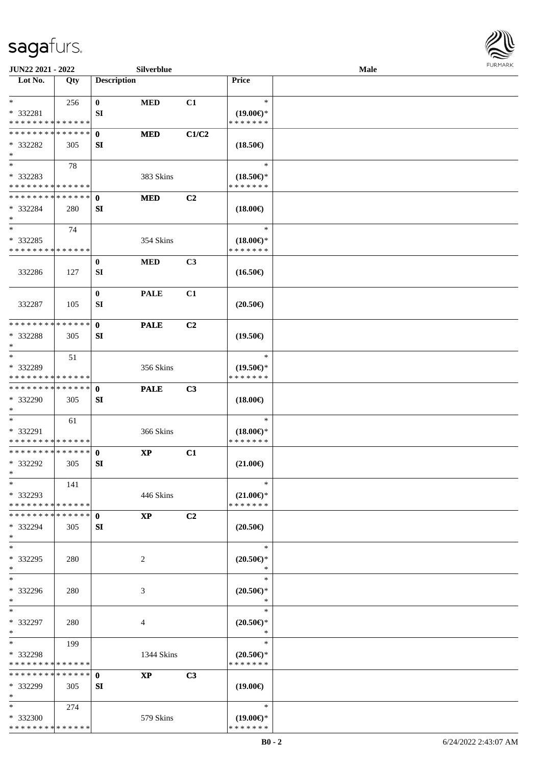

| JUN22 2021 - 2022                                                           |     |                    | Silverblue  |                |                                                | Male | <b>FURMARK</b> |
|-----------------------------------------------------------------------------|-----|--------------------|-------------|----------------|------------------------------------------------|------|----------------|
| $\overline{\phantom{1}}$ Lot No.                                            | Qty | <b>Description</b> |             |                | Price                                          |      |                |
| $*$<br>* 332281                                                             | 256 | $\bf{0}$<br>SI     | <b>MED</b>  | C1             | $\ast$<br>$(19.00\epsilon)$ *                  |      |                |
| * * * * * * * * * * * * * *                                                 |     |                    |             |                | * * * * * * *                                  |      |                |
| * * * * * * * * * * * * * *                                                 |     | $\mathbf{0}$       | <b>MED</b>  | C1/C2          |                                                |      |                |
| * 332282<br>$\ast$                                                          | 305 | SI                 |             |                | $(18.50\epsilon)$                              |      |                |
| $\overline{\phantom{0}}$                                                    | 78  |                    |             |                | $\ast$                                         |      |                |
| * 332283                                                                    |     |                    | 383 Skins   |                | $(18.50\epsilon)$ *                            |      |                |
| * * * * * * * * <mark>* * * * * * *</mark><br>* * * * * * * * * * * * * * * |     |                    |             |                | * * * * * * *                                  |      |                |
| * 332284<br>$\ast$                                                          | 280 | $\mathbf{0}$<br>SI | <b>MED</b>  | C2             | $(18.00\epsilon)$                              |      |                |
| $\ast$                                                                      | 74  |                    |             |                | $\ast$                                         |      |                |
| * 332285<br>* * * * * * * * * * * * * *                                     |     |                    | 354 Skins   |                | $(18.00\epsilon)$ *<br>* * * * * * *           |      |                |
| 332286                                                                      | 127 | $\bf{0}$<br>SI     | <b>MED</b>  | C3             | $(16.50\epsilon)$                              |      |                |
| 332287                                                                      | 105 | $\bf{0}$<br>SI     | <b>PALE</b> | C1             | $(20.50\epsilon)$                              |      |                |
| * * * * * * * * * * * * * *                                                 |     | $\mathbf{0}$       | <b>PALE</b> | C <sub>2</sub> |                                                |      |                |
| * 332288<br>$\ast$                                                          | 305 | SI                 |             |                | $(19.50\epsilon)$                              |      |                |
| $\overline{\phantom{a}^*}$                                                  | 51  |                    |             |                | $\ast$                                         |      |                |
| * 332289<br>* * * * * * * * * * * * * *                                     |     |                    | 356 Skins   |                | $(19.50\epsilon)$ *<br>* * * * * * *           |      |                |
| **************<br>* 332290<br>$\ast$                                        | 305 | $\mathbf{0}$<br>SI | <b>PALE</b> | C3             | $(18.00\epsilon)$                              |      |                |
| $\ast$<br>* 332291<br>* * * * * * * * * * * * * *                           | 61  |                    | 366 Skins   |                | $\ast$<br>$(18.00\epsilon)$ *<br>* * * * * * * |      |                |
| **************<br>* 332292<br>$\ast$                                        | 305 | $\mathbf{0}$<br>SI | $\bold{XP}$ | C1             | $(21.00\epsilon)$                              |      |                |
| $\ast$<br>* 332293<br>* * * * * * * * * * * * * *                           | 141 |                    | 446 Skins   |                | $\ast$<br>$(21.00\epsilon)$ *<br>* * * * * * * |      |                |
| * * * * * * * * * * * * * * *<br>* 332294<br>$\ast$                         | 305 | $\mathbf{0}$<br>SI | <b>XP</b>   | C <sub>2</sub> | $(20.50\epsilon)$                              |      |                |
| $\ast$<br>* 332295<br>$\ast$                                                | 280 |                    | 2           |                | $\ast$<br>$(20.50\epsilon)$ *<br>$\ast$        |      |                |
| $\ast$<br>* 332296<br>$\ast$                                                | 280 |                    | 3           |                | $\ast$<br>$(20.50 \in )^*$<br>$\ast$           |      |                |
| $\ast$<br>* 332297<br>$\ast$                                                | 280 |                    | 4           |                | $\ast$<br>$(20.50\epsilon)$ *<br>$\ast$        |      |                |
| $\ast$<br>* 332298<br>* * * * * * * * * * * * * *                           | 199 |                    | 1344 Skins  |                | $\ast$<br>$(20.50\epsilon)$ *<br>* * * * * * * |      |                |
| * * * * * * * * * * * * * * *<br>* 332299<br>$\ast$                         | 305 | $\mathbf{0}$<br>SI | <b>XP</b>   | C3             | $(19.00\epsilon)$                              |      |                |
| $*$<br>* 332300<br>* * * * * * * * * * * * * *                              | 274 |                    | 579 Skins   |                | $\ast$<br>$(19.00\epsilon)$ *<br>* * * * * * * |      |                |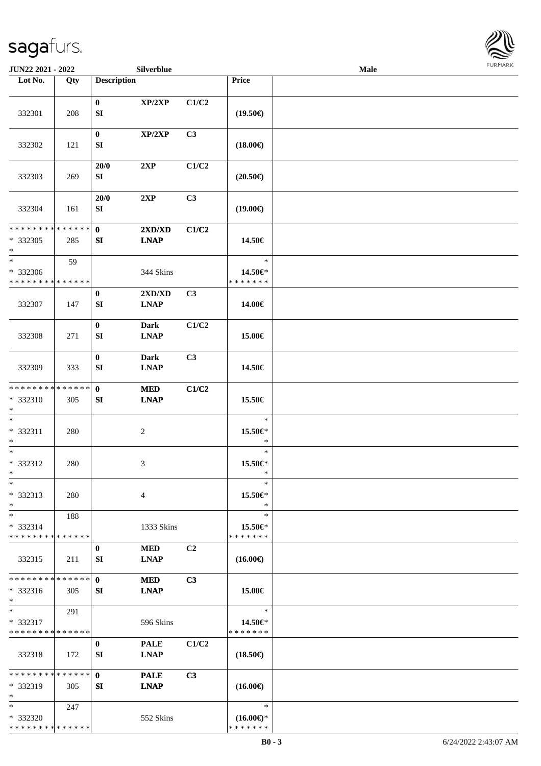

| JUN22 2021 - 2022                                 |     |                        | Silverblue                 |       |                                                | Male |  |
|---------------------------------------------------|-----|------------------------|----------------------------|-------|------------------------------------------------|------|--|
| Lot No.                                           | Qty | <b>Description</b>     |                            |       | Price                                          |      |  |
| 332301                                            | 208 | $\bf{0}$<br>SI         | XP/2XP                     | C1/C2 | $(19.50\epsilon)$                              |      |  |
| 332302                                            | 121 | $\bf{0}$<br>SI         | XP/2XP                     | C3    | $(18.00\epsilon)$                              |      |  |
| 332303                                            | 269 | 20/0<br>SI             | 2XP                        | C1/C2 | $(20.50\epsilon)$                              |      |  |
| 332304                                            | 161 | 20/0<br>${\bf SI}$     | 2XP                        | C3    | $(19.00\epsilon)$                              |      |  |
| * * * * * * * * * * * * * *<br>* 332305<br>$*$    | 285 | $\mathbf{0}$<br>SI     | 2XD/XD<br><b>LNAP</b>      | C1/C2 | 14.50€                                         |      |  |
| $\ast$<br>* 332306<br>* * * * * * * * * * * * * * | 59  |                        | 344 Skins                  |       | $\ast$<br>14.50€*<br>* * * * * * *             |      |  |
| 332307                                            | 147 | $\bf{0}$<br>${\bf SI}$ | 2XD/XD<br><b>LNAP</b>      | C3    | 14.00€                                         |      |  |
| 332308                                            | 271 | $\bf{0}$<br>SI         | <b>Dark</b><br><b>LNAP</b> | C1/C2 | 15.00€                                         |      |  |
| 332309                                            | 333 | $\boldsymbol{0}$<br>SI | <b>Dark</b><br><b>LNAP</b> | C3    | 14.50€                                         |      |  |
| * * * * * * * * * * * * * *<br>* 332310<br>$*$    | 305 | $\mathbf{0}$<br>SI     | <b>MED</b><br><b>LNAP</b>  | C1/C2 | 15.50€                                         |      |  |
| $*$<br>* 332311<br>$*$                            | 280 |                        | $\boldsymbol{2}$           |       | $\ast$<br>15.50€*<br>$\ast$                    |      |  |
| $*$<br>* 332312<br>$*$                            | 280 |                        | 3                          |       | $\ast$<br>15.50€*<br>$\ast$                    |      |  |
| $*$<br>* 332313<br>$*$                            | 280 |                        | 4                          |       | $\ast$<br>15.50€*<br>$\ast$                    |      |  |
| $*$<br>* 332314<br>* * * * * * * * * * * * * *    | 188 |                        | 1333 Skins                 |       | $\ast$<br>15.50€*<br>* * * * * * *             |      |  |
| 332315                                            | 211 | $\bf{0}$<br>SI         | <b>MED</b><br><b>LNAP</b>  | C2    | $(16.00\epsilon)$                              |      |  |
| * * * * * * * * * * * * * *<br>$* 332316$<br>$*$  | 305 | $\mathbf{0}$<br>SI     | <b>MED</b><br><b>LNAP</b>  | C3    | 15.00€                                         |      |  |
| $*$<br>* 332317<br>* * * * * * * * * * * * * *    | 291 |                        | 596 Skins                  |       | $\ast$<br>14.50€*<br>* * * * * * *             |      |  |
| 332318                                            | 172 | $\bf{0}$<br>SI         | <b>PALE</b><br><b>LNAP</b> | C1/C2 | $(18.50\epsilon)$                              |      |  |
| * * * * * * * * * * * * * * *<br>* 332319<br>$*$  | 305 | $\mathbf{0}$<br>SI     | <b>PALE</b><br><b>LNAP</b> | C3    | $(16.00\epsilon)$                              |      |  |
| $*$<br>* 332320<br>* * * * * * * * * * * * * *    | 247 |                        | 552 Skins                  |       | $\ast$<br>$(16.00\epsilon)$ *<br>* * * * * * * |      |  |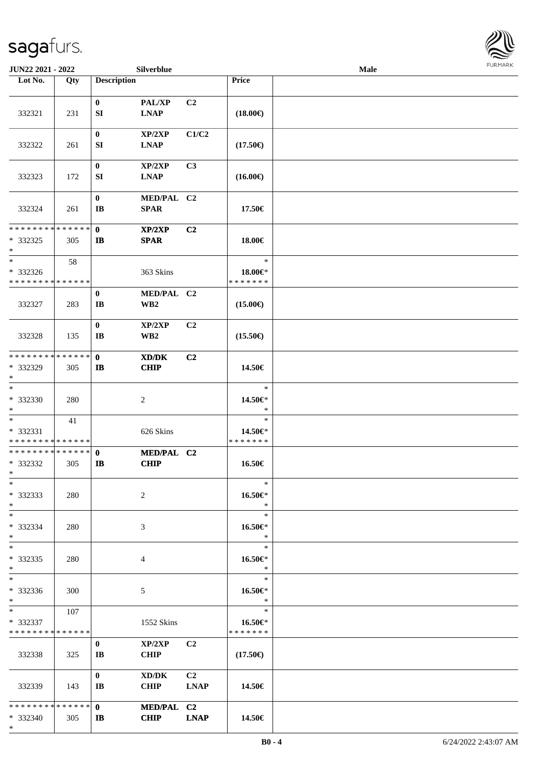

| JUN22 2021 - 2022                                                   |     |                                    | Silverblue                |                   |                                    | Male | <b>FURMARK</b> |
|---------------------------------------------------------------------|-----|------------------------------------|---------------------------|-------------------|------------------------------------|------|----------------|
| Lot No.                                                             | Qty | <b>Description</b>                 |                           |                   | Price                              |      |                |
| 332321                                                              | 231 | $\bf{0}$<br>SI                     | PAL/XP<br><b>LNAP</b>     | C2                | $(18.00\epsilon)$                  |      |                |
| 332322                                                              | 261 | $\boldsymbol{0}$<br>SI             | XP/2XP<br><b>LNAP</b>     | C1/C2             | $(17.50\epsilon)$                  |      |                |
| 332323                                                              | 172 | $\bf{0}$<br>SI                     | XP/2XP<br><b>LNAP</b>     | C3                | $(16.00\epsilon)$                  |      |                |
| 332324                                                              | 261 | $\bf{0}$<br>$\bf IB$               | MED/PAL C2<br><b>SPAR</b> |                   | 17.50€                             |      |                |
| ******** <mark>******</mark><br>* 332325<br>$\ast$                  | 305 | $\mathbf{0}$<br>$\mathbf{I}$       | XP/2XP<br><b>SPAR</b>     | C2                | 18.00€                             |      |                |
| $\overline{\phantom{a}}$<br>* 332326<br>* * * * * * * * * * * * * * | 58  |                                    | 363 Skins                 |                   | $\ast$<br>18.00€*<br>* * * * * * * |      |                |
| 332327                                                              | 283 | $\bf{0}$<br>$\mathbf{I}\mathbf{B}$ | MED/PAL C2<br>WB2         |                   | $(15.00\epsilon)$                  |      |                |
| 332328                                                              | 135 | $\bf{0}$<br>$\mathbf{I}$ <b>B</b>  | XP/2XP<br>WB <sub>2</sub> | C2                | $(15.50\epsilon)$                  |      |                |
| ******** <mark>******</mark><br>* 332329<br>$\ast$                  | 305 | $\mathbf{0}$<br>$\mathbf{I}$       | XD/DK<br><b>CHIP</b>      | C2                | 14.50€                             |      |                |
| $\ast$<br>* 332330<br>$\ast$                                        | 280 |                                    | $\boldsymbol{2}$          |                   | $\ast$<br>14.50€*<br>$\ast$        |      |                |
| $\ast$<br>* 332331<br>* * * * * * * * * * * * * *                   | 41  |                                    | 626 Skins                 |                   | $\ast$<br>14.50€*<br>* * * * * * * |      |                |
| **************<br>* 332332<br>$\ast$                                | 305 | $\mathbf{0}$<br>$\mathbf{I}$       | MED/PAL C2<br><b>CHIP</b> |                   | 16.50€                             |      |                |
| $\ast$<br>* 332333<br>$\ast$                                        | 280 |                                    | $\sqrt{2}$                |                   | $\ast$<br>16.50€*<br>$\ast$        |      |                |
| $*$<br>* 332334<br>$\ast$                                           | 280 |                                    | 3                         |                   | $\ast$<br>16.50€*<br>$\ast$        |      |                |
| $\overline{\phantom{0}}$<br>* 332335<br>$\ast$                      | 280 |                                    | $\overline{4}$            |                   | $\ast$<br>16.50€*<br>$\ast$        |      |                |
| $\overline{\phantom{a}^*}$<br>* 332336<br>$*$                       | 300 |                                    | 5                         |                   | $\ast$<br>16.50€*<br>$\ast$        |      |                |
| $\ast$<br>* 332337<br>* * * * * * * * * * * * * *                   | 107 |                                    | 1552 Skins                |                   | $\ast$<br>16.50€*<br>* * * * * * * |      |                |
| 332338                                                              | 325 | $\bf{0}$<br>IB                     | XP/2XP<br><b>CHIP</b>     | C2                | $(17.50\epsilon)$                  |      |                |
| 332339                                                              | 143 | $\bf{0}$<br>$\mathbf{I}$ <b>B</b>  | XD/DK<br><b>CHIP</b>      | C2<br><b>LNAP</b> | 14.50€                             |      |                |
| * * * * * * * * * * * * * *<br>$*332340$<br>$*$                     | 305 | $\mathbf{0}$<br>$\mathbf{I}$       | MED/PAL C2<br><b>CHIP</b> | <b>LNAP</b>       | 14.50€                             |      |                |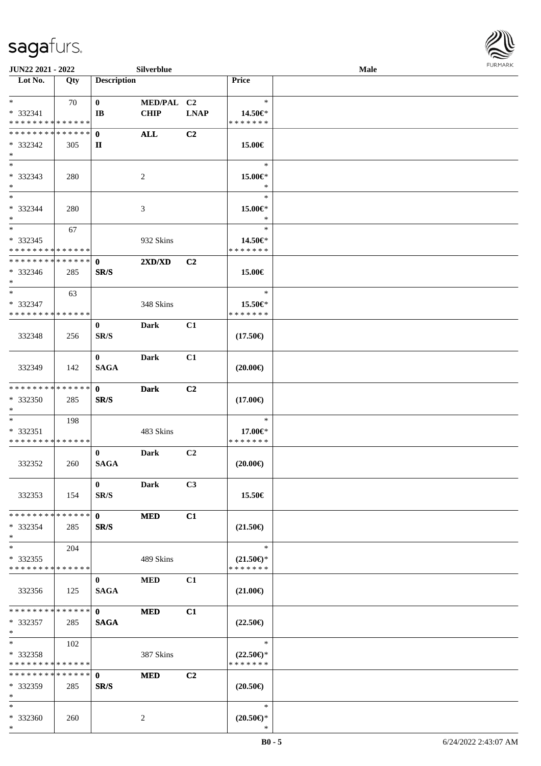\*



| JUN22 2021 - 2022                         |     |                        | <b>Silverblue</b> |                |                                      | Male | <b>FURMARK</b> |
|-------------------------------------------|-----|------------------------|-------------------|----------------|--------------------------------------|------|----------------|
| $\overline{\phantom{1}}$ Lot No.          | Qty | <b>Description</b>     |                   |                | Price                                |      |                |
|                                           |     |                        |                   |                |                                      |      |                |
| $*$                                       | 70  | $\bf{0}$               | MED/PAL C2        |                | $\ast$                               |      |                |
| $* 332341$<br>* * * * * * * * * * * * * * |     | $\mathbf{I}\mathbf{B}$ | <b>CHIP</b>       | <b>LNAP</b>    | 14.50€*<br>* * * * * * *             |      |                |
| * * * * * * * * * * * * * *               |     | $\mathbf{0}$           | <b>ALL</b>        | C2             |                                      |      |                |
| $* 332342$                                | 305 | $\mathbf{I}$           |                   |                | 15.00€                               |      |                |
| $\ast$                                    |     |                        |                   |                |                                      |      |                |
| $\overline{\phantom{a}}$                  |     |                        |                   |                | $\ast$                               |      |                |
| * 332343                                  | 280 |                        | 2                 |                | 15.00€*                              |      |                |
| $*$                                       |     |                        |                   |                | $\ast$                               |      |                |
| $\ast$                                    |     |                        |                   |                | $\ast$                               |      |                |
| * 332344                                  | 280 |                        | 3                 |                | $15.00 \in$ *                        |      |                |
| $\ast$                                    |     |                        |                   |                | $\ast$                               |      |                |
| $\ast$                                    | 67  |                        |                   |                | $\ast$                               |      |                |
| $*332345$                                 |     |                        | 932 Skins         |                | 14.50€*                              |      |                |
| * * * * * * * * * * * * * *               |     |                        |                   |                | * * * * * * *                        |      |                |
| * * * * * * * * * * * * * *               |     | $\mathbf{0}$           | 2XD/XD            | C <sub>2</sub> |                                      |      |                |
| $* 332346$                                | 285 | SR/S                   |                   |                | 15.00€                               |      |                |
| $\ast$                                    |     |                        |                   |                |                                      |      |                |
| $*$                                       | 63  |                        |                   |                | $\ast$                               |      |                |
| $* 332347$                                |     |                        | 348 Skins         |                | 15.50€*                              |      |                |
| * * * * * * * * * * * * * *               |     |                        |                   |                | * * * * * * *                        |      |                |
|                                           |     | $\bf{0}$               | <b>Dark</b>       | C1             |                                      |      |                |
| 332348                                    | 256 | SR/S                   |                   |                | $(17.50\epsilon)$                    |      |                |
|                                           |     | $\mathbf{0}$           | <b>Dark</b>       | C1             |                                      |      |                |
| 332349                                    | 142 | <b>SAGA</b>            |                   |                | $(20.00\epsilon)$                    |      |                |
|                                           |     |                        |                   |                |                                      |      |                |
| ******** <mark>******</mark>              |     | $\mathbf{0}$           | <b>Dark</b>       | C2             |                                      |      |                |
| $*332350$                                 | 285 | SR/S                   |                   |                | $(17.00\epsilon)$                    |      |                |
| $\ast$                                    |     |                        |                   |                |                                      |      |                |
| $\ast$                                    | 198 |                        |                   |                | $\ast$                               |      |                |
| $* 332351$                                |     |                        | 483 Skins         |                | 17.00€*                              |      |                |
| * * * * * * * * * * * * * *               |     |                        |                   |                | * * * * * * *                        |      |                |
|                                           |     | $\bf{0}$               | <b>Dark</b>       | C2             |                                      |      |                |
| 332352                                    | 260 | <b>SAGA</b>            |                   |                | $(20.00\epsilon)$                    |      |                |
|                                           |     |                        |                   |                |                                      |      |                |
|                                           |     | $\bf{0}$               | Dark              | C3             |                                      |      |                |
| 332353                                    | 154 | SR/S                   |                   |                | 15.50€                               |      |                |
| * * * * * * * * * * * * * *               |     | $\mathbf{0}$           | <b>MED</b>        | C1             |                                      |      |                |
| $*332354$                                 | 285 | SR/S                   |                   |                | $(21.50\epsilon)$                    |      |                |
| $\ast$                                    |     |                        |                   |                |                                      |      |                |
| $\ast$                                    | 204 |                        |                   |                | $\ast$                               |      |                |
| $*332355$                                 |     |                        | 489 Skins         |                | $(21.50\epsilon)$ *                  |      |                |
| * * * * * * * * * * * * * *               |     |                        |                   |                | * * * * * * *                        |      |                |
|                                           |     | $\bf{0}$               | $\bf MED$         | C1             |                                      |      |                |
| 332356                                    | 125 | <b>SAGA</b>            |                   |                | $(21.00\epsilon)$                    |      |                |
|                                           |     |                        |                   |                |                                      |      |                |
| * * * * * * * * * * * * * *               |     | $\mathbf{0}$           | <b>MED</b>        | C1             |                                      |      |                |
| $*332357$                                 | 285 | <b>SAGA</b>            |                   |                | $(22.50\epsilon)$                    |      |                |
| $\ast$                                    |     |                        |                   |                |                                      |      |                |
| $\ast$                                    | 102 |                        |                   |                | $\ast$                               |      |                |
| $* 332358$<br>* * * * * * * * * * * * * * |     |                        | 387 Skins         |                | $(22.50\epsilon)$ *<br>* * * * * * * |      |                |
| **************                            |     | $\mathbf{0}$           | <b>MED</b>        | C <sub>2</sub> |                                      |      |                |
| $*332359$                                 | 285 | SR/S                   |                   |                | $(20.50\epsilon)$                    |      |                |
| $\ast$                                    |     |                        |                   |                |                                      |      |                |
| $\ast$                                    |     |                        |                   |                | $\ast$                               |      |                |
| * 332360                                  | 260 |                        | 2                 |                | $(20.50\epsilon)$ *                  |      |                |

\*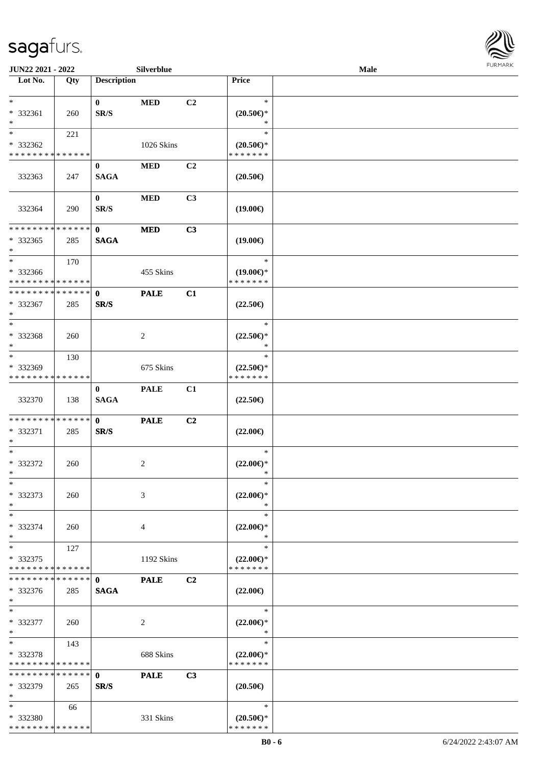

| JUN22 2021 - 2022           |     |                    | Silverblue     |    |                     | <b>Male</b> |  |
|-----------------------------|-----|--------------------|----------------|----|---------------------|-------------|--|
| Lot No.                     | Qty | <b>Description</b> |                |    | Price               |             |  |
|                             |     |                    |                |    |                     |             |  |
| $\ast$                      |     | $\bf{0}$           | $\bf MED$      | C2 | $\ast$              |             |  |
| * 332361                    | 260 | SR/S               |                |    | $(20.50\epsilon)$ * |             |  |
| $\ast$                      |     |                    |                |    | $\ast$              |             |  |
| $\ast$                      | 221 |                    |                |    | $\ast$              |             |  |
| * 332362                    |     |                    | 1026 Skins     |    | $(20.50\epsilon)$ * |             |  |
| * * * * * * * * * * * * * * |     |                    |                |    | * * * * * * *       |             |  |
|                             |     | $\bf{0}$           | <b>MED</b>     | C2 |                     |             |  |
| 332363                      | 247 | <b>SAGA</b>        |                |    | $(20.50\epsilon)$   |             |  |
|                             |     |                    |                |    |                     |             |  |
|                             |     | $\bf{0}$           | $\bf MED$      | C3 |                     |             |  |
| 332364                      | 290 | SR/S               |                |    | $(19.00\epsilon)$   |             |  |
|                             |     |                    |                |    |                     |             |  |
| * * * * * * * * * * * * * * |     | $\mathbf{0}$       | <b>MED</b>     | C3 |                     |             |  |
| * 332365                    | 285 | <b>SAGA</b>        |                |    | $(19.00\epsilon)$   |             |  |
| $\ast$                      |     |                    |                |    |                     |             |  |
| $\ast$                      | 170 |                    |                |    | $\ast$              |             |  |
| * 332366                    |     |                    | 455 Skins      |    | $(19.00\epsilon)$ * |             |  |
| * * * * * * * * * * * * * * |     |                    |                |    | * * * * * * *       |             |  |
| **************              |     | $\mathbf{0}$       | <b>PALE</b>    | C1 |                     |             |  |
| * 332367                    | 285 | SR/S               |                |    | $(22.50\epsilon)$   |             |  |
| $\ast$                      |     |                    |                |    |                     |             |  |
| $\ast$                      |     |                    |                |    | $\ast$              |             |  |
| * 332368                    | 260 |                    | $\overline{c}$ |    | $(22.50\epsilon)$ * |             |  |
| $\ast$                      |     |                    |                |    | ∗                   |             |  |
| $\ast$                      | 130 |                    |                |    | $\ast$              |             |  |
| * 332369                    |     |                    | 675 Skins      |    | $(22.50\epsilon)$ * |             |  |
| * * * * * * * * * * * * * * |     |                    |                |    | * * * * * * *       |             |  |
|                             |     | $\bf{0}$           | <b>PALE</b>    | C1 |                     |             |  |
| 332370                      | 138 | <b>SAGA</b>        |                |    | $(22.50\epsilon)$   |             |  |
|                             |     |                    |                |    |                     |             |  |
| **************              |     | $\mathbf{0}$       | <b>PALE</b>    | C2 |                     |             |  |
| * 332371                    | 285 | SR/S               |                |    | $(22.00\epsilon)$   |             |  |
| $\ast$                      |     |                    |                |    |                     |             |  |
| $\ast$                      |     |                    |                |    | $\ast$              |             |  |
| $* 332372$                  | 260 |                    | $\overline{c}$ |    | $(22.00\epsilon)$ * |             |  |
| $*$                         |     |                    |                |    | *                   |             |  |
| $\ast$                      |     |                    |                |    | $\ast$              |             |  |
| * 332373                    | 260 |                    | 3              |    | $(22.00\epsilon)$ * |             |  |
| $\ast$                      |     |                    |                |    | ∗                   |             |  |
| $\ast$                      |     |                    |                |    | $\ast$              |             |  |
| * 332374                    | 260 |                    | 4              |    | $(22.00\epsilon)$ * |             |  |
| $\ast$                      |     |                    |                |    | $\ast$              |             |  |
| $\ast$                      | 127 |                    |                |    | $\ast$              |             |  |
| $* 332375$                  |     |                    | 1192 Skins     |    | $(22.00\epsilon)$ * |             |  |
| * * * * * * * * * * * * * * |     |                    |                |    | * * * * * * *       |             |  |
| * * * * * * * * * * * * * * |     | $\mathbf{0}$       | <b>PALE</b>    | C2 |                     |             |  |
| * 332376                    | 285 | <b>SAGA</b>        |                |    | $(22.00\epsilon)$   |             |  |
| $*$                         |     |                    |                |    |                     |             |  |
| $\ast$                      |     |                    |                |    | $\ast$              |             |  |
| * 332377                    | 260 |                    | $\sqrt{2}$     |    | $(22.00\epsilon)$ * |             |  |
| $\ast$                      |     |                    |                |    | $\ast$              |             |  |
| $\ast$                      | 143 |                    |                |    | $\ast$              |             |  |
| * 332378                    |     |                    | 688 Skins      |    | $(22.00\epsilon)$ * |             |  |
| * * * * * * * * * * * * * * |     |                    |                |    | * * * * * * *       |             |  |
| * * * * * * * * * * * * * * |     | $\mathbf{0}$       | <b>PALE</b>    | C3 |                     |             |  |
| * 332379                    | 265 | SR/S               |                |    | $(20.50\epsilon)$   |             |  |
| $\ast$                      |     |                    |                |    |                     |             |  |
| $*$                         | 66  |                    |                |    | $\ast$              |             |  |
| * 332380                    |     |                    | 331 Skins      |    | $(20.50 \in )^*$    |             |  |
| * * * * * * * * * * * * * * |     |                    |                |    | * * * * * * *       |             |  |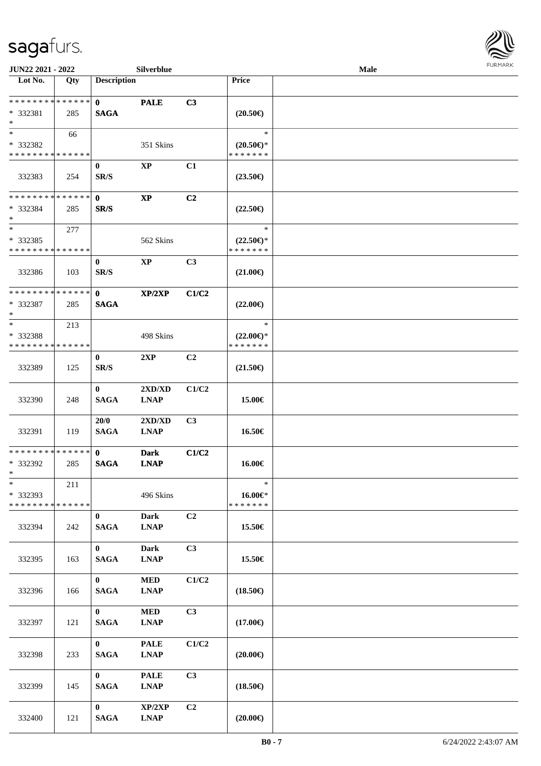

| JUN22 2021 - 2022                       |     |                    | Silverblue             |                |                                      | Male |  |
|-----------------------------------------|-----|--------------------|------------------------|----------------|--------------------------------------|------|--|
| Lot No.                                 | Qty | <b>Description</b> |                        |                | Price                                |      |  |
| * * * * * * * * * * * * * *             |     |                    |                        |                |                                      |      |  |
|                                         |     | $\mathbf{0}$       | <b>PALE</b>            | C3             |                                      |      |  |
| * 332381<br>$\ast$                      | 285 | $\mathbf{SAGA}$    |                        |                | $(20.50\epsilon)$                    |      |  |
| $*$                                     |     |                    |                        |                | $\ast$                               |      |  |
|                                         | 66  |                    |                        |                |                                      |      |  |
| * 332382<br>* * * * * * * * * * * * * * |     |                    | 351 Skins              |                | $(20.50 \in )^*$<br>* * * * * * *    |      |  |
|                                         |     |                    |                        |                |                                      |      |  |
|                                         |     | $\bf{0}$           | $\mathbf{XP}$          | C1             |                                      |      |  |
| 332383                                  | 254 | SR/S               |                        |                | $(23.50\epsilon)$                    |      |  |
| **************                          |     |                    |                        |                |                                      |      |  |
|                                         |     | $\mathbf{0}$       | $\bold{XP}$            | C2             |                                      |      |  |
| $* 332384$<br>$\ast$                    | 285 | SR/S               |                        |                | $(22.50\epsilon)$                    |      |  |
| $\ast$                                  |     |                    |                        |                | $\ast$                               |      |  |
| * 332385                                | 277 |                    |                        |                |                                      |      |  |
| * * * * * * * * * * * * * *             |     |                    | 562 Skins              |                | $(22.50\epsilon)$ *<br>* * * * * * * |      |  |
|                                         |     | $\bf{0}$           | $\mathbf{X}\mathbf{P}$ | C3             |                                      |      |  |
| 332386                                  |     | SR/S               |                        |                | $(21.00\epsilon)$                    |      |  |
|                                         | 103 |                    |                        |                |                                      |      |  |
| **************                          |     | $\mathbf{0}$       | XP/2XP                 | C1/C2          |                                      |      |  |
| * 332387                                | 285 | <b>SAGA</b>        |                        |                | $(22.00\epsilon)$                    |      |  |
| $\ast$                                  |     |                    |                        |                |                                      |      |  |
| $*$                                     | 213 |                    |                        |                | $\ast$                               |      |  |
| * 332388                                |     |                    | 498 Skins              |                | $(22.00\epsilon)$ *                  |      |  |
| * * * * * * * * * * * * * *             |     |                    |                        |                | * * * * * * *                        |      |  |
|                                         |     | $\bf{0}$           | 2XP                    | C2             |                                      |      |  |
| 332389                                  | 125 | SR/S               |                        |                | $(21.50\epsilon)$                    |      |  |
|                                         |     |                    |                        |                |                                      |      |  |
|                                         |     | $\bf{0}$           | 2XD/XD                 | C1/C2          |                                      |      |  |
| 332390                                  | 248 | <b>SAGA</b>        | <b>LNAP</b>            |                | 15.00€                               |      |  |
|                                         |     |                    |                        |                |                                      |      |  |
|                                         |     | 20/0               | 2XD/XD                 | C3             |                                      |      |  |
| 332391                                  | 119 | <b>SAGA</b>        | <b>LNAP</b>            |                | 16.50€                               |      |  |
|                                         |     |                    |                        |                |                                      |      |  |
| * * * * * * * * * * * * * *             |     | $\mathbf{0}$       | <b>Dark</b>            | C1/C2          |                                      |      |  |
| * 332392                                | 285 | <b>SAGA</b>        | <b>LNAP</b>            |                | 16.00€                               |      |  |
| $*$                                     |     |                    |                        |                |                                      |      |  |
| $\ast$                                  | 211 |                    |                        |                | $\ast$                               |      |  |
| * 332393                                |     |                    | 496 Skins              |                | $16.00 \in$                          |      |  |
| * * * * * * * * * * * * * *             |     |                    |                        |                | * * * * * * *                        |      |  |
|                                         |     | $\bf{0}$           | <b>Dark</b>            | C2             |                                      |      |  |
| 332394                                  | 242 | <b>SAGA</b>        | <b>LNAP</b>            |                | 15.50€                               |      |  |
|                                         |     |                    |                        |                |                                      |      |  |
|                                         |     | $\bf{0}$           | Dark                   | C3             |                                      |      |  |
| 332395                                  | 163 | <b>SAGA</b>        | <b>LNAP</b>            |                | 15.50€                               |      |  |
|                                         |     |                    |                        |                |                                      |      |  |
|                                         |     | $\mathbf{0}$       | <b>MED</b>             | C1/C2          |                                      |      |  |
| 332396                                  | 166 | <b>SAGA</b>        | <b>LNAP</b>            |                | $(18.50\epsilon)$                    |      |  |
|                                         |     |                    |                        |                |                                      |      |  |
|                                         |     | $\mathbf{0}$       | <b>MED</b>             | C <sub>3</sub> |                                      |      |  |
| 332397                                  | 121 | <b>SAGA</b>        | <b>LNAP</b>            |                | $(17.00\epsilon)$                    |      |  |
|                                         |     |                    |                        |                |                                      |      |  |
|                                         |     | $\mathbf{0}$       | <b>PALE</b>            | C1/C2          |                                      |      |  |
| 332398                                  | 233 | <b>SAGA</b>        | <b>LNAP</b>            |                | $(20.00\epsilon)$                    |      |  |
|                                         |     |                    |                        |                |                                      |      |  |
|                                         |     | $\mathbf{0}$       | <b>PALE</b>            | C3             |                                      |      |  |
| 332399                                  | 145 | <b>SAGA</b>        | <b>LNAP</b>            |                | $(18.50\epsilon)$                    |      |  |
|                                         |     |                    |                        |                |                                      |      |  |
|                                         |     | $\mathbf{0}$       | XP/2XP                 | C <sub>2</sub> |                                      |      |  |
| 332400                                  | 121 | <b>SAGA</b>        | <b>LNAP</b>            |                | $(20.00\epsilon)$                    |      |  |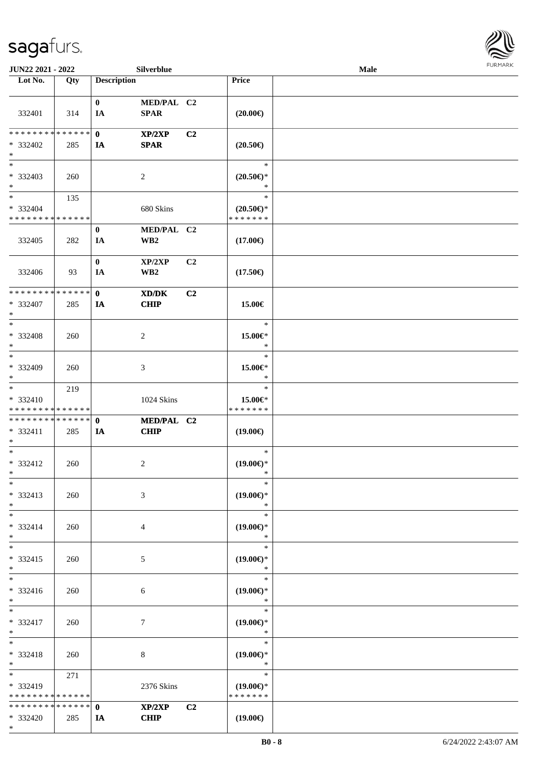\*



| JUN22 2021 - 2022                  |                 |                    | Silverblue      |                |                                                         | Male |  |
|------------------------------------|-----------------|--------------------|-----------------|----------------|---------------------------------------------------------|------|--|
| Lot No.                            | Qty             | <b>Description</b> |                 |                | Price                                                   |      |  |
|                                    |                 |                    |                 |                |                                                         |      |  |
|                                    |                 | $\bf{0}$           | MED/PAL C2      |                |                                                         |      |  |
| 332401                             | 314             | IA                 | <b>SPAR</b>     |                | $(20.00\epsilon)$                                       |      |  |
|                                    |                 |                    |                 |                |                                                         |      |  |
| * * * * * * * *                    | $* * * * * * *$ | $\mathbf 0$        | XP/2XP          | C <sub>2</sub> |                                                         |      |  |
| * 332402                           | 285             | IA                 | <b>SPAR</b>     |                | $(20.50\epsilon)$                                       |      |  |
| $\ast$<br>$\overline{\phantom{1}}$ |                 |                    |                 |                |                                                         |      |  |
|                                    |                 |                    |                 |                | $\ast$                                                  |      |  |
| * 332403<br>$\ast$                 | 260             |                    | $\sqrt{2}$      |                | $(20.50\mathnormal{\in}\mathcal{)^{\! \! \times}}$<br>* |      |  |
| $\overline{\ast}$                  |                 |                    |                 |                | $\ast$                                                  |      |  |
| * 332404                           | 135             |                    |                 |                |                                                         |      |  |
| * * * * * * * * * * * * * *        |                 |                    | 680 Skins       |                | $(20.50 \in )^*$<br>* * * * * * *                       |      |  |
|                                    |                 | $\bf{0}$           | MED/PAL C2      |                |                                                         |      |  |
| 332405                             | 282             | IA                 | WB <sub>2</sub> |                | $(17.00\epsilon)$                                       |      |  |
|                                    |                 |                    |                 |                |                                                         |      |  |
|                                    |                 | $\bf{0}$           | XP/2XP          | C2             |                                                         |      |  |
| 332406                             | 93              | IA                 | WB <sub>2</sub> |                | $(17.50\epsilon)$                                       |      |  |
|                                    |                 |                    |                 |                |                                                         |      |  |
| * * * * * * * * * * * * * *        |                 | $\mathbf{0}$       | XD/DK           | C <sub>2</sub> |                                                         |      |  |
| * 332407                           | 285             | IA                 | <b>CHIP</b>     |                | 15.00€                                                  |      |  |
| $\ast$                             |                 |                    |                 |                |                                                         |      |  |
| $\ast$                             |                 |                    |                 |                | $\ast$                                                  |      |  |
| * 332408                           | 260             |                    | $\sqrt{2}$      |                | 15.00€*                                                 |      |  |
| $\ast$                             |                 |                    |                 |                | $\ast$                                                  |      |  |
| $\ast$                             |                 |                    |                 |                | $\ast$                                                  |      |  |
| * 332409                           | 260             |                    | $\mathfrak{Z}$  |                | 15.00€*                                                 |      |  |
| $\ast$                             |                 |                    |                 |                | $\ast$                                                  |      |  |
| $\ast$                             | 219             |                    |                 |                | $\ast$                                                  |      |  |
| * 332410                           |                 |                    | 1024 Skins      |                | 15.00€*                                                 |      |  |
| * * * * * * * * * * * * * *        |                 |                    |                 |                | * * * * * * *                                           |      |  |
| **************                     |                 | $\mathbf 0$        | MED/PAL C2      |                |                                                         |      |  |
| * 332411<br>$\ast$                 | 285             | IA                 | <b>CHIP</b>     |                | $(19.00\epsilon)$                                       |      |  |
| $\ast$                             |                 |                    |                 |                | $\ast$                                                  |      |  |
| * 332412                           | 260             |                    | $\sqrt{2}$      |                | $(19.00\epsilon)$ *                                     |      |  |
| $*$                                |                 |                    |                 |                | $\ast$                                                  |      |  |
| $*$                                |                 |                    |                 |                | $\ast$                                                  |      |  |
| * 332413                           | 260             |                    | 3               |                | $(19.00\epsilon)$ *                                     |      |  |
| $*$                                |                 |                    |                 |                | $\ast$                                                  |      |  |
| $\ast$                             |                 |                    |                 |                | $\ast$                                                  |      |  |
| * 332414                           | 260             |                    | 4               |                | $(19.00\epsilon)$ *                                     |      |  |
| $*$                                |                 |                    |                 |                | $\ast$                                                  |      |  |
| $\ast$                             |                 |                    |                 |                | $\ast$                                                  |      |  |
| * 332415                           | 260             |                    | 5               |                | $(19.00\epsilon)$ *                                     |      |  |
| $*$                                |                 |                    |                 |                | $\ast$                                                  |      |  |
| $\overline{\phantom{0}}$           |                 |                    |                 |                | $\ast$                                                  |      |  |
| * 332416                           | 260             |                    | 6               |                | $(19.00\epsilon)$ *                                     |      |  |
| $*$                                |                 |                    |                 |                | $\ast$                                                  |      |  |
| $*$                                |                 |                    |                 |                | $\ast$                                                  |      |  |
| * 332417<br>$*$                    | 260             |                    | $\tau$          |                | $(19.00\epsilon)$ *<br>$\ast$                           |      |  |
| $\ast$                             |                 |                    |                 |                | $\ast$                                                  |      |  |
| * 332418                           | 260             |                    | $8\,$           |                | $(19.00\epsilon)$ *                                     |      |  |
| $*$                                |                 |                    |                 |                | $\ast$                                                  |      |  |
| $\ast$                             | 271             |                    |                 |                | $\ast$                                                  |      |  |
| $* 332419$                         |                 |                    | 2376 Skins      |                | $(19.00\epsilon)$ *                                     |      |  |
| * * * * * * * *                    | * * * * * *     |                    |                 |                | * * * * * * *                                           |      |  |
| * * * * * * * * * * * * * * *      |                 | $\mathbf{0}$       | XP/2XP          | C2             |                                                         |      |  |
| * 332420                           | 285             | IA                 | <b>CHIP</b>     |                | $(19.00\epsilon)$                                       |      |  |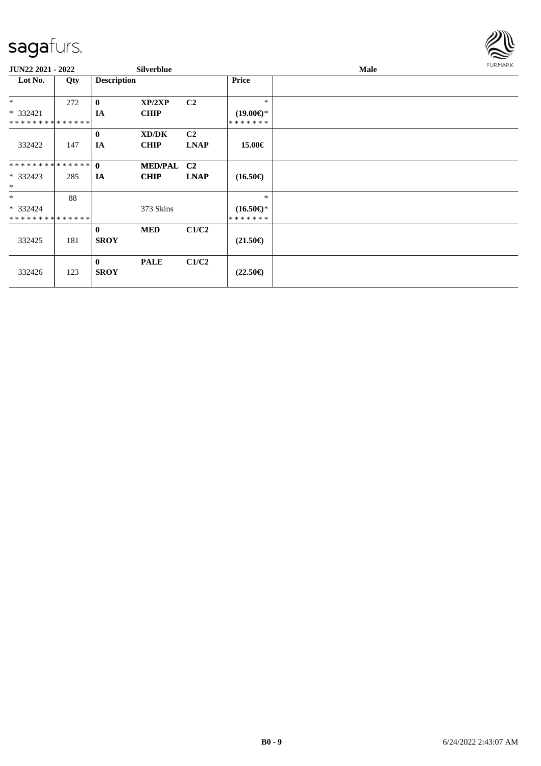

| JUN22 2021 - 2022                       |     |                             | <b>Silverblue</b>    |                               |                                | <b>Male</b> | <b>FURMARK</b> |
|-----------------------------------------|-----|-----------------------------|----------------------|-------------------------------|--------------------------------|-------------|----------------|
| Lot No.                                 | Qty | <b>Description</b>          |                      |                               | <b>Price</b>                   |             |                |
| $*$                                     | 272 | $\bf{0}$                    | XP/2XP               | C <sub>2</sub>                | $\ast$                         |             |                |
| * 332421                                |     | IA                          | <b>CHIP</b>          |                               | $(19.00\epsilon)$ *            |             |                |
| * * * * * * * * * * * * * *             |     |                             |                      |                               | *******                        |             |                |
| 332422                                  | 147 | $\bf{0}$<br><b>IA</b>       | XD/DK<br><b>CHIP</b> | C <sub>2</sub><br><b>LNAP</b> | 15.00€                         |             |                |
| **************                          |     | $\theta$                    | <b>MED/PAL</b>       | C <sub>2</sub>                |                                |             |                |
| $*332423$<br>$\ast$                     | 285 | IA                          | <b>CHIP</b>          | <b>LNAP</b>                   | $(16.50\epsilon)$              |             |                |
| $\ast$                                  | 88  |                             |                      |                               | $\ast$                         |             |                |
| * 332424<br>* * * * * * * * * * * * * * |     |                             | 373 Skins            |                               | $(16.50\epsilon)$ *<br>******* |             |                |
| 332425                                  | 181 | $\bf{0}$<br><b>SROY</b>     | <b>MED</b>           | C1/C2                         | $(21.50\epsilon)$              |             |                |
| 332426                                  | 123 | $\mathbf{0}$<br><b>SROY</b> | <b>PALE</b>          | C1/C2                         | $(22.50\epsilon)$              |             |                |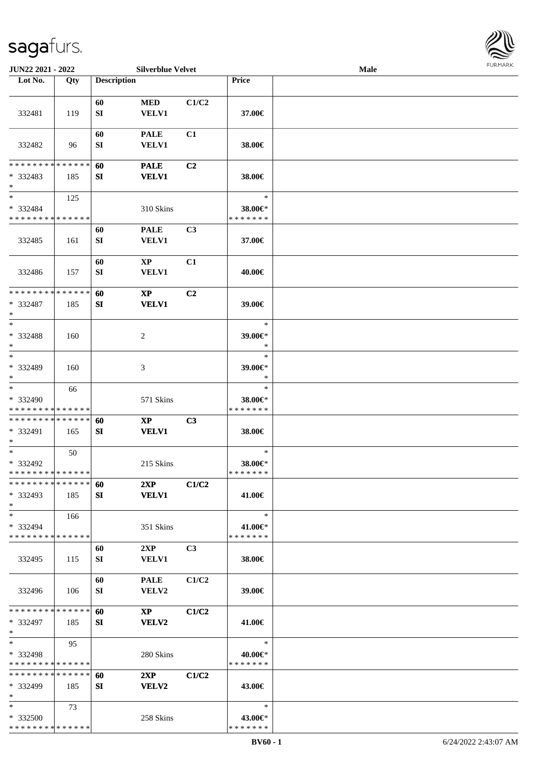

| JUN22 2021 - 2022           |     |                    | <b>Silverblue Velvet</b> |                |                          | Male |  |
|-----------------------------|-----|--------------------|--------------------------|----------------|--------------------------|------|--|
| Lot No.                     | Qty | <b>Description</b> |                          |                | Price                    |      |  |
|                             |     |                    |                          |                |                          |      |  |
|                             |     | 60                 | <b>MED</b>               | C1/C2          |                          |      |  |
| 332481                      | 119 | SI                 | <b>VELV1</b>             |                | 37.00€                   |      |  |
|                             |     |                    |                          |                |                          |      |  |
|                             |     | 60                 | <b>PALE</b>              | C1             |                          |      |  |
| 332482                      | 96  | SI                 | VELV1                    |                | 38.00€                   |      |  |
|                             |     |                    |                          |                |                          |      |  |
| * * * * * * * * * * * * * * |     | 60                 | <b>PALE</b>              | C2             |                          |      |  |
| $* 332483$                  | 185 | ${\bf SI}$         | <b>VELV1</b>             |                | 38.00€                   |      |  |
| $\ast$                      |     |                    |                          |                |                          |      |  |
| $\ast$                      |     |                    |                          |                | $\ast$                   |      |  |
|                             | 125 |                    |                          |                |                          |      |  |
| * 332484                    |     |                    | 310 Skins                |                | 38.00€*<br>* * * * * * * |      |  |
| * * * * * * * * * * * * * * |     |                    |                          |                |                          |      |  |
|                             |     | 60                 | <b>PALE</b>              | C3             |                          |      |  |
| 332485                      | 161 | SI                 | <b>VELV1</b>             |                | 37.00€                   |      |  |
|                             |     |                    |                          |                |                          |      |  |
|                             |     | 60                 | $\mathbf{X}\mathbf{P}$   | C1             |                          |      |  |
| 332486                      | 157 | SI                 | VELV1                    |                | 40.00€                   |      |  |
|                             |     |                    |                          |                |                          |      |  |
| * * * * * * * * * * * * * * |     | 60                 | $\mathbf{X}\mathbf{P}$   | C2             |                          |      |  |
| * 332487                    | 185 | SI                 | <b>VELV1</b>             |                | 39.00€                   |      |  |
| $\ast$                      |     |                    |                          |                |                          |      |  |
| $\ast$                      |     |                    |                          |                | $\ast$                   |      |  |
| * 332488                    | 160 |                    | $\boldsymbol{2}$         |                | 39.00€*                  |      |  |
| $\ast$                      |     |                    |                          |                | $\ast$                   |      |  |
| $\ast$                      |     |                    |                          |                | $\ast$                   |      |  |
| * 332489                    | 160 |                    | 3                        |                | 39.00€*                  |      |  |
| $\ast$                      |     |                    |                          |                | $\ast$                   |      |  |
| $\ast$                      | 66  |                    |                          |                | $\ast$                   |      |  |
| * 332490                    |     |                    | 571 Skins                |                | 38.00€*                  |      |  |
| * * * * * * * * * * * * * * |     |                    |                          |                | * * * * * * *            |      |  |
| * * * * * * * * * * * * * * |     | 60                 | $\mathbf{X}\mathbf{P}$   | C3             |                          |      |  |
| * 332491                    |     | SI                 | <b>VELV1</b>             |                |                          |      |  |
| $\ast$                      | 165 |                    |                          |                | 38.00€                   |      |  |
| $\ast$                      | 50  |                    |                          |                | $\ast$                   |      |  |
| * 332492                    |     |                    | 215 Skins                |                | 38.00€*                  |      |  |
| **************              |     |                    |                          |                | *******                  |      |  |
| * * * * * * * * * * * * * * |     |                    |                          |                |                          |      |  |
|                             |     | 60                 | 2XP                      | C1/C2          |                          |      |  |
| * 332493                    | 185 | SI                 | <b>VELV1</b>             |                | 41.00€                   |      |  |
| $\ast$                      |     |                    |                          |                |                          |      |  |
| $\ast$                      | 166 |                    |                          |                | $\ast$                   |      |  |
| * 332494                    |     |                    | 351 Skins                |                | 41.00€*                  |      |  |
| * * * * * * * * * * * * * * |     |                    |                          |                | * * * * * * *            |      |  |
|                             |     | 60                 | 2XP                      | C <sub>3</sub> |                          |      |  |
| 332495                      | 115 | SI                 | <b>VELV1</b>             |                | 38.00€                   |      |  |
|                             |     |                    |                          |                |                          |      |  |
|                             |     | 60                 | <b>PALE</b>              | C1/C2          |                          |      |  |
| 332496                      | 106 | SI                 | <b>VELV2</b>             |                | 39.00€                   |      |  |
|                             |     |                    |                          |                |                          |      |  |
| * * * * * * * * * * * * * * |     | 60                 | $\mathbf{X}\mathbf{P}$   | C1/C2          |                          |      |  |
| * 332497                    | 185 | SI                 | VELV2                    |                | 41.00€                   |      |  |
| $*$                         |     |                    |                          |                |                          |      |  |
| $*$                         | 95  |                    |                          |                | $\ast$                   |      |  |
| * 332498                    |     |                    | 280 Skins                |                | 40.00€*                  |      |  |
| * * * * * * * * * * * * * * |     |                    |                          |                | * * * * * * *            |      |  |
| * * * * * * * * * * * * * * |     | 60                 | 2XP                      | C1/C2          |                          |      |  |
| * 332499                    | 185 | SI                 | <b>VELV2</b>             |                | 43.00€                   |      |  |
| $*$                         |     |                    |                          |                |                          |      |  |
| $*$                         | 73  |                    |                          |                | $\ast$                   |      |  |
| * 332500                    |     |                    | 258 Skins                |                | 43.00€*                  |      |  |
| * * * * * * * * * * * * * * |     |                    |                          |                | * * * * * * *            |      |  |
|                             |     |                    |                          |                |                          |      |  |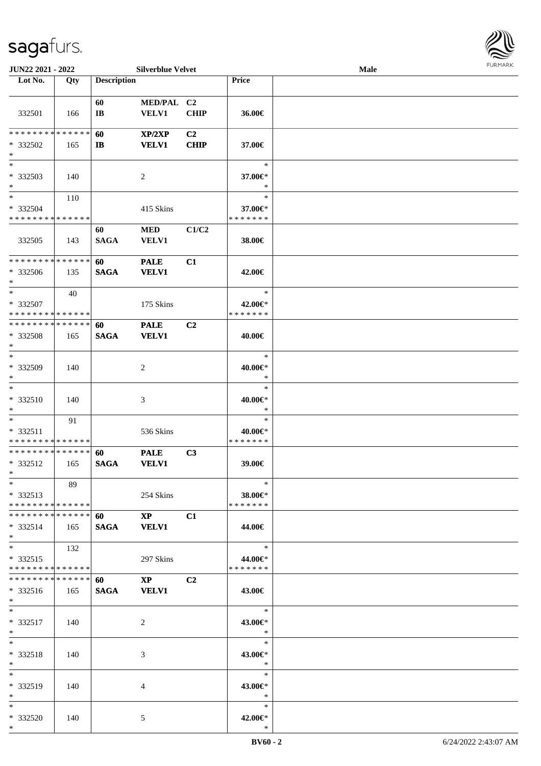

| JUN22 2021 - 2022                    |     |                                                                                                                                                                                                                                 | <b>Silverblue Velvet</b> |                |               | Male |  |
|--------------------------------------|-----|---------------------------------------------------------------------------------------------------------------------------------------------------------------------------------------------------------------------------------|--------------------------|----------------|---------------|------|--|
| Lot No.                              | Qty | <b>Description</b>                                                                                                                                                                                                              |                          |                | Price         |      |  |
|                                      |     |                                                                                                                                                                                                                                 |                          |                |               |      |  |
|                                      |     | 60                                                                                                                                                                                                                              | MED/PAL C2               |                |               |      |  |
| 332501                               | 166 | $\mathbf{I}\mathbf{B}$                                                                                                                                                                                                          | <b>VELV1</b>             | <b>CHIP</b>    | 36.00€        |      |  |
|                                      |     |                                                                                                                                                                                                                                 |                          |                |               |      |  |
| ******** <mark>******</mark>         |     | 60                                                                                                                                                                                                                              | XP/2XP                   | C <sub>2</sub> |               |      |  |
| * 332502                             | 165 | $\mathbf{I}$                                                                                                                                                                                                                    | <b>VELV1</b>             | <b>CHIP</b>    | 37.00€        |      |  |
| $\ast$                               |     |                                                                                                                                                                                                                                 |                          |                |               |      |  |
| $\ast$                               |     |                                                                                                                                                                                                                                 |                          |                | $\ast$        |      |  |
|                                      |     |                                                                                                                                                                                                                                 |                          |                |               |      |  |
| * 332503                             | 140 |                                                                                                                                                                                                                                 | $\overline{c}$           |                | 37.00€*       |      |  |
| $\ast$<br>$\overline{\phantom{a}^*}$ |     |                                                                                                                                                                                                                                 |                          |                | $\ast$        |      |  |
|                                      | 110 |                                                                                                                                                                                                                                 |                          |                | $\ast$        |      |  |
| * 332504                             |     |                                                                                                                                                                                                                                 | 415 Skins                |                | 37.00€*       |      |  |
| * * * * * * * * * * * * * *          |     |                                                                                                                                                                                                                                 |                          |                | * * * * * * * |      |  |
|                                      |     | 60                                                                                                                                                                                                                              | <b>MED</b>               | C1/C2          |               |      |  |
| 332505                               | 143 | <b>SAGA</b>                                                                                                                                                                                                                     | <b>VELV1</b>             |                | 38.00€        |      |  |
|                                      |     |                                                                                                                                                                                                                                 |                          |                |               |      |  |
| * * * * * * * * * * * * * *          |     | 60                                                                                                                                                                                                                              | <b>PALE</b>              | C1             |               |      |  |
| * 332506                             | 135 | <b>SAGA</b>                                                                                                                                                                                                                     | <b>VELV1</b>             |                | 42.00€        |      |  |
| $\ast$                               |     |                                                                                                                                                                                                                                 |                          |                |               |      |  |
| $\ast$                               | 40  |                                                                                                                                                                                                                                 |                          |                | $\ast$        |      |  |
|                                      |     |                                                                                                                                                                                                                                 |                          |                |               |      |  |
| * 332507                             |     |                                                                                                                                                                                                                                 | 175 Skins                |                | 42.00€*       |      |  |
| * * * * * * * * * * * * * *          |     |                                                                                                                                                                                                                                 |                          |                | * * * * * * * |      |  |
| * * * * * * * * * * * * * *          |     | 60                                                                                                                                                                                                                              | <b>PALE</b>              | C2             |               |      |  |
| * 332508                             | 165 | <b>SAGA</b>                                                                                                                                                                                                                     | <b>VELV1</b>             |                | 40.00€        |      |  |
| $\ast$                               |     |                                                                                                                                                                                                                                 |                          |                |               |      |  |
| $\ast$                               |     |                                                                                                                                                                                                                                 |                          |                | $\ast$        |      |  |
| * 332509                             | 140 |                                                                                                                                                                                                                                 | 2                        |                | 40.00€*       |      |  |
| $\ast$                               |     |                                                                                                                                                                                                                                 |                          |                | $\ast$        |      |  |
| $\ast$                               |     |                                                                                                                                                                                                                                 |                          |                | $\ast$        |      |  |
| * 332510                             | 140 |                                                                                                                                                                                                                                 | 3                        |                | 40.00€*       |      |  |
|                                      |     |                                                                                                                                                                                                                                 |                          |                | $\ast$        |      |  |
| $\ast$                               |     |                                                                                                                                                                                                                                 |                          |                |               |      |  |
| $\ast$                               | 91  |                                                                                                                                                                                                                                 |                          |                | $\ast$        |      |  |
| * 332511                             |     |                                                                                                                                                                                                                                 | 536 Skins                |                | 40.00€*       |      |  |
| * * * * * * * * * * * * * *          |     |                                                                                                                                                                                                                                 |                          |                | * * * * * * * |      |  |
| **************                       |     | 60                                                                                                                                                                                                                              | <b>PALE</b>              | C3             |               |      |  |
| * 332512                             | 165 | <b>SAGA</b>                                                                                                                                                                                                                     | <b>VELV1</b>             |                | 39.00€        |      |  |
| $*$ $*$                              |     |                                                                                                                                                                                                                                 |                          |                |               |      |  |
| $*$                                  | 89  |                                                                                                                                                                                                                                 |                          |                | $\ast$        |      |  |
| $*332513$                            |     |                                                                                                                                                                                                                                 | 254 Skins                |                | 38.00€*       |      |  |
| ******** <mark>******</mark>         |     |                                                                                                                                                                                                                                 |                          |                | * * * * * * * |      |  |
| ******** <mark>******</mark>         |     | 60 — 100 — 100 — 100 — 100 — 100 — 100 — 100 — 100 — 100 — 100 — 100 — 100 — 100 — 100 — 100 — 100 — 100 — 100 — 100 — 100 — 100 — 100 — 100 — 100 — 100 — 100 — 100 — 100 — 100 — 100 — 100 — 100 — 100 — 100 — 100 — 100 — 10 | $\mathbf{X}\mathbf{P}$   | C1             |               |      |  |
| $*332514$                            | 165 | SAGA VELV1                                                                                                                                                                                                                      |                          |                | 44.00€        |      |  |
| $*$                                  |     |                                                                                                                                                                                                                                 |                          |                |               |      |  |
| $*$                                  |     |                                                                                                                                                                                                                                 |                          |                | $\ast$        |      |  |
|                                      | 132 |                                                                                                                                                                                                                                 |                          |                |               |      |  |
| $*332515$                            |     |                                                                                                                                                                                                                                 | 297 Skins                |                | 44.00€*       |      |  |
| * * * * * * * * * * * * * *          |     |                                                                                                                                                                                                                                 |                          |                | * * * * * * * |      |  |
| * * * * * * * * * * * * * * *        |     | 60 —                                                                                                                                                                                                                            | $\mathbf{X}\mathbf{P}$   | C <sub>2</sub> |               |      |  |
| * 332516                             | 165 | SAGA VELV1                                                                                                                                                                                                                      |                          |                | 43.00€        |      |  |
| $*$ $-$                              |     |                                                                                                                                                                                                                                 |                          |                |               |      |  |
| $*$                                  |     |                                                                                                                                                                                                                                 |                          |                | $\ast$        |      |  |
| * 332517                             | 140 |                                                                                                                                                                                                                                 | 2                        |                | 43.00€*       |      |  |
| $*$ and $*$                          |     |                                                                                                                                                                                                                                 |                          |                | $\ast$        |      |  |
| $*$                                  |     |                                                                                                                                                                                                                                 |                          |                | $\ast$        |      |  |
| * 332518                             |     |                                                                                                                                                                                                                                 |                          |                | 43.00€*       |      |  |
| $*$                                  | 140 |                                                                                                                                                                                                                                 | 3                        |                | $\ast$        |      |  |
| $*$                                  |     |                                                                                                                                                                                                                                 |                          |                |               |      |  |
|                                      |     |                                                                                                                                                                                                                                 |                          |                | $\ast$        |      |  |
| * 332519                             | 140 |                                                                                                                                                                                                                                 | 4                        |                | 43.00€*       |      |  |
| $*$                                  |     |                                                                                                                                                                                                                                 |                          |                | $\ast$        |      |  |
| $*$                                  |     |                                                                                                                                                                                                                                 |                          |                | $\ast$        |      |  |
| * 332520                             | 140 |                                                                                                                                                                                                                                 | 5                        |                | 42.00€*       |      |  |
| $*$                                  |     |                                                                                                                                                                                                                                 |                          |                | $\ast$        |      |  |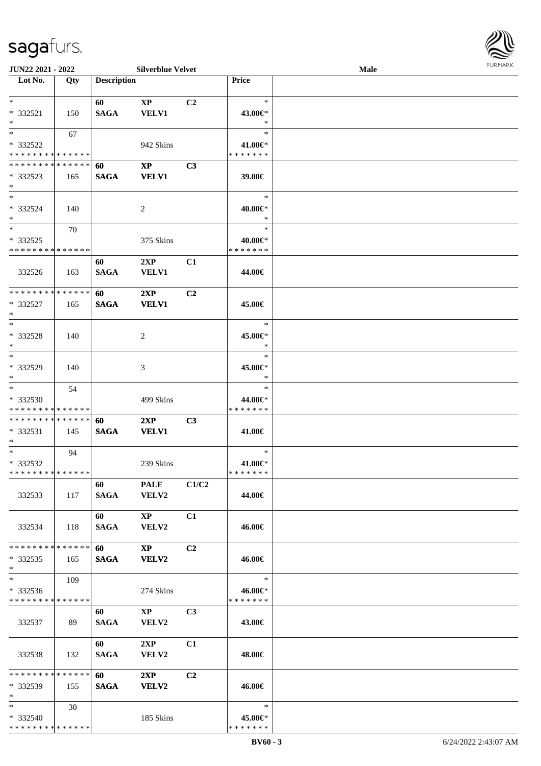

| JUN22 2021 - 2022             |     |                                                                                                                                                                                                                                 | <b>Silverblue Velvet</b> |                |               | <b>Male</b> |  |
|-------------------------------|-----|---------------------------------------------------------------------------------------------------------------------------------------------------------------------------------------------------------------------------------|--------------------------|----------------|---------------|-------------|--|
| Lot No.                       | Qty | <b>Description</b>                                                                                                                                                                                                              |                          |                | Price         |             |  |
|                               |     |                                                                                                                                                                                                                                 |                          |                |               |             |  |
| $*$                           |     | 60                                                                                                                                                                                                                              | $\mathbf{X}\mathbf{P}$   | C2             | $\ast$        |             |  |
| $* 332521$                    | 150 | <b>SAGA</b>                                                                                                                                                                                                                     | <b>VELV1</b>             |                | 43.00€*       |             |  |
| $\ast$                        |     |                                                                                                                                                                                                                                 |                          |                | $\ast$        |             |  |
| $*$                           | 67  |                                                                                                                                                                                                                                 |                          |                | $\ast$        |             |  |
| * 332522                      |     |                                                                                                                                                                                                                                 | 942 Skins                |                | 41.00€*       |             |  |
| * * * * * * * * * * * * * *   |     |                                                                                                                                                                                                                                 |                          |                | * * * * * * * |             |  |
|                               |     |                                                                                                                                                                                                                                 |                          |                |               |             |  |
| * * * * * * * * * * * * * *   |     | 60                                                                                                                                                                                                                              | $\mathbf{X}\mathbf{P}$   | C3             |               |             |  |
| $*332523$                     | 165 | <b>SAGA</b>                                                                                                                                                                                                                     | <b>VELV1</b>             |                | 39.00€        |             |  |
| $\ast$                        |     |                                                                                                                                                                                                                                 |                          |                |               |             |  |
| $\ast$                        |     |                                                                                                                                                                                                                                 |                          |                | $\ast$        |             |  |
| * 332524                      | 140 |                                                                                                                                                                                                                                 | 2                        |                | 40.00€*       |             |  |
| $\ast$                        |     |                                                                                                                                                                                                                                 |                          |                | $\ast$        |             |  |
| $*$                           | 70  |                                                                                                                                                                                                                                 |                          |                | $\ast$        |             |  |
| * 332525                      |     |                                                                                                                                                                                                                                 | 375 Skins                |                | 40.00€*       |             |  |
| * * * * * * * * * * * * * *   |     |                                                                                                                                                                                                                                 |                          |                | * * * * * * * |             |  |
|                               |     | 60                                                                                                                                                                                                                              | 2XP                      | C1             |               |             |  |
| 332526                        | 163 | <b>SAGA</b>                                                                                                                                                                                                                     | <b>VELV1</b>             |                | 44.00€        |             |  |
|                               |     |                                                                                                                                                                                                                                 |                          |                |               |             |  |
| **************                |     |                                                                                                                                                                                                                                 |                          |                |               |             |  |
|                               |     | 60                                                                                                                                                                                                                              | 2XP                      | C2             |               |             |  |
| * 332527                      | 165 | <b>SAGA</b>                                                                                                                                                                                                                     | <b>VELV1</b>             |                | 45.00€        |             |  |
| $\ast$                        |     |                                                                                                                                                                                                                                 |                          |                |               |             |  |
| $*$                           |     |                                                                                                                                                                                                                                 |                          |                | $\ast$        |             |  |
| * 332528                      | 140 |                                                                                                                                                                                                                                 | $\overline{c}$           |                | 45.00€*       |             |  |
| $\ast$                        |     |                                                                                                                                                                                                                                 |                          |                | $\ast$        |             |  |
| $\overline{\phantom{a}^*}$    |     |                                                                                                                                                                                                                                 |                          |                | $\ast$        |             |  |
| * 332529                      | 140 |                                                                                                                                                                                                                                 | 3                        |                | 45.00€*       |             |  |
| $\ast$                        |     |                                                                                                                                                                                                                                 |                          |                | *             |             |  |
| $\ast$                        | 54  |                                                                                                                                                                                                                                 |                          |                | $\ast$        |             |  |
| * 332530                      |     |                                                                                                                                                                                                                                 |                          |                | 44.00€*       |             |  |
| * * * * * * * * * * * * * *   |     |                                                                                                                                                                                                                                 | 499 Skins                |                | * * * * * * * |             |  |
|                               |     |                                                                                                                                                                                                                                 |                          |                |               |             |  |
| **************                |     | 60                                                                                                                                                                                                                              | 2XP                      | C <sub>3</sub> |               |             |  |
| $* 332531$                    | 145 | <b>SAGA</b>                                                                                                                                                                                                                     | <b>VELV1</b>             |                | 41.00€        |             |  |
| $\ast$                        |     |                                                                                                                                                                                                                                 |                          |                |               |             |  |
| $*$                           | 94  |                                                                                                                                                                                                                                 |                          |                | $\ast$        |             |  |
| * 332532                      |     |                                                                                                                                                                                                                                 | 239 Skins                |                | 41.00€*       |             |  |
| **************                |     |                                                                                                                                                                                                                                 |                          |                | * * * * * * * |             |  |
|                               |     | 60 — 100 — 100 — 100 — 100 — 100 — 100 — 100 — 100 — 100 — 100 — 100 — 100 — 100 — 100 — 100 — 100 — 100 — 100 — 100 — 100 — 100 — 100 — 100 — 100 — 100 — 100 — 100 — 100 — 100 — 100 — 100 — 100 — 100 — 100 — 100 — 100 — 10 | <b>PALE</b>              | C1/C2          |               |             |  |
| 332533                        | 117 | SAGA                                                                                                                                                                                                                            | <b>VELV2</b>             |                | 44.00€        |             |  |
|                               |     |                                                                                                                                                                                                                                 |                          |                |               |             |  |
|                               |     | <b>60</b>                                                                                                                                                                                                                       | $\mathbf{X}\mathbf{P}$   | C1             |               |             |  |
| 332534                        | 118 | SAGA                                                                                                                                                                                                                            | <b>VELV2</b>             |                | 46.00€        |             |  |
|                               |     |                                                                                                                                                                                                                                 |                          |                |               |             |  |
| * * * * * * * * * * * * * * * |     |                                                                                                                                                                                                                                 |                          |                |               |             |  |
|                               |     | 60 —                                                                                                                                                                                                                            | $\mathbf{X}\mathbf{P}$   | C <sub>2</sub> |               |             |  |
| $*332535$                     | 165 | <b>SAGA</b>                                                                                                                                                                                                                     | <b>VELV2</b>             |                | 46.00€        |             |  |
| $*$                           |     |                                                                                                                                                                                                                                 |                          |                |               |             |  |
| $*$                           | 109 |                                                                                                                                                                                                                                 |                          |                | $\ast$        |             |  |
| $* 332536$                    |     |                                                                                                                                                                                                                                 | 274 Skins                |                | 46.00€*       |             |  |
| * * * * * * * * * * * * * *   |     |                                                                                                                                                                                                                                 |                          |                | * * * * * * * |             |  |
|                               |     | 60                                                                                                                                                                                                                              | $\mathbf{XP}$            | C <sub>3</sub> |               |             |  |
| 332537                        | 89  | <b>SAGA</b>                                                                                                                                                                                                                     | <b>VELV2</b>             |                | 43.00€        |             |  |
|                               |     |                                                                                                                                                                                                                                 |                          |                |               |             |  |
|                               |     | 60                                                                                                                                                                                                                              | 2XP                      | C1             |               |             |  |
|                               |     |                                                                                                                                                                                                                                 |                          |                |               |             |  |
| 332538                        | 132 | <b>SAGA</b>                                                                                                                                                                                                                     | <b>VELV2</b>             |                | 48.00€        |             |  |
| * * * * * * * * * * * * * *   |     |                                                                                                                                                                                                                                 |                          |                |               |             |  |
|                               |     | <b>60</b>                                                                                                                                                                                                                       | 2XP                      | C <sub>2</sub> |               |             |  |
| $*332539$                     | 155 | <b>SAGA</b>                                                                                                                                                                                                                     | <b>VELV2</b>             |                | 46.00€        |             |  |
| $*$                           |     |                                                                                                                                                                                                                                 |                          |                |               |             |  |
| $*$                           | 30  |                                                                                                                                                                                                                                 |                          |                | $\ast$        |             |  |
| * 332540                      |     |                                                                                                                                                                                                                                 | 185 Skins                |                | 45.00€*       |             |  |
| * * * * * * * * * * * * * *   |     |                                                                                                                                                                                                                                 |                          |                | * * * * * * * |             |  |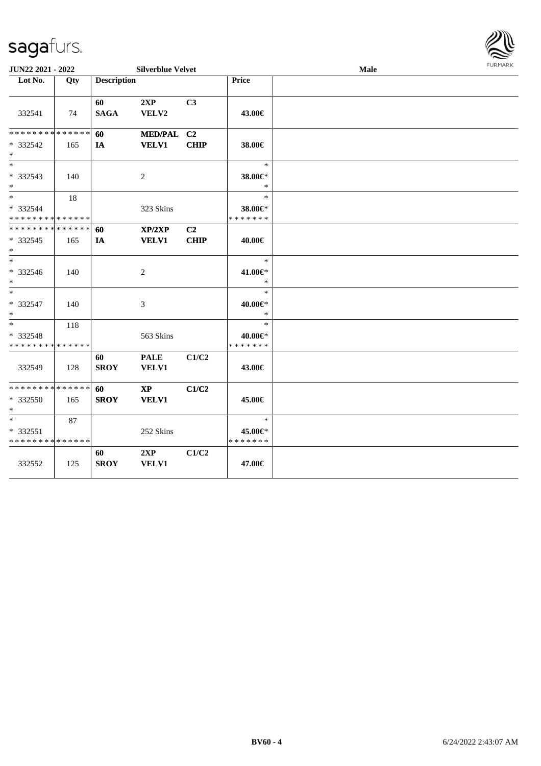

| <b>JUN22 2021 - 2022</b>                           |     |                    | <b>Silverblue Velvet</b>               |                               | Male                               |  |  |
|----------------------------------------------------|-----|--------------------|----------------------------------------|-------------------------------|------------------------------------|--|--|
| Lot No.                                            | Qty | <b>Description</b> |                                        |                               | Price                              |  |  |
| 332541                                             | 74  | 60<br><b>SAGA</b>  | 2XP<br>VELV2                           | C <sub>3</sub>                | 43.00€                             |  |  |
| * * * * * * * * * * * * * *<br>$* 332542$<br>$*$   | 165 | 60<br>IA           | MED/PAL C2<br><b>VELV1</b>             | <b>CHIP</b>                   | 38.00€                             |  |  |
| $*$<br>* 332543<br>$*$                             | 140 |                    | 2                                      |                               | $\ast$<br>38.00€*<br>$\ast$        |  |  |
| $*$<br>* 332544<br>* * * * * * * * * * * * * *     | 18  |                    | 323 Skins                              |                               | $\ast$<br>38.00€*<br>* * * * * * * |  |  |
| * * * * * * * * * * * * * * *<br>$* 332545$<br>$*$ | 165 | 60<br>IA           | XP/2XP<br><b>VELV1</b>                 | C <sub>2</sub><br><b>CHIP</b> | 40.00€                             |  |  |
| $*$<br>* 332546<br>$*$                             | 140 |                    | 2                                      |                               | $\ast$<br>41.00€*<br>$\ast$        |  |  |
| $*$<br>* 332547<br>$*$                             | 140 |                    | 3                                      |                               | $\ast$<br>40.00€*<br>$\ast$        |  |  |
| $*$<br>* 332548<br>* * * * * * * * * * * * * *     | 118 |                    | 563 Skins                              |                               | $\ast$<br>40.00€*<br>* * * * * * * |  |  |
| 332549                                             | 128 | 60<br><b>SROY</b>  | <b>PALE</b><br><b>VELV1</b>            | C1/C2                         | 43.00€                             |  |  |
| * * * * * * * * * * * * * *<br>* 332550<br>$*$     | 165 | 60<br><b>SROY</b>  | $\mathbf{X}\mathbf{P}$<br><b>VELV1</b> | C1/C2                         | 45.00€                             |  |  |
| $*$<br>* 332551<br>* * * * * * * * * * * * * *     | 87  |                    | 252 Skins                              |                               | $\ast$<br>45.00€*<br>* * * * * * * |  |  |
| 332552                                             | 125 | 60<br><b>SROY</b>  | 2XP<br><b>VELV1</b>                    | C1/C2                         | 47.00€                             |  |  |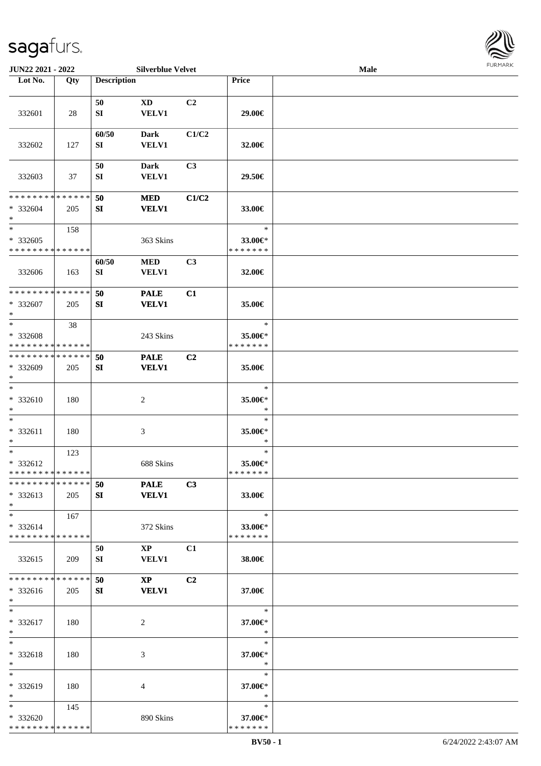

| JUN22 2021 - 2022             |     |                    | <b>Silverblue Velvet</b>               |                |                   | Male |  |
|-------------------------------|-----|--------------------|----------------------------------------|----------------|-------------------|------|--|
| Lot No.                       | Qty | <b>Description</b> |                                        |                | Price             |      |  |
|                               |     |                    |                                        |                |                   |      |  |
|                               |     | 50                 | XD                                     | C2             |                   |      |  |
| 332601                        | 28  | SI                 | <b>VELV1</b>                           |                | 29.00€            |      |  |
|                               |     |                    |                                        |                |                   |      |  |
| 332602                        | 127 | 60/50<br>SI        | <b>Dark</b><br><b>VELV1</b>            | C1/C2          | 32.00€            |      |  |
|                               |     |                    |                                        |                |                   |      |  |
|                               |     | 50                 | Dark                                   | C <sub>3</sub> |                   |      |  |
| 332603                        | 37  | SI                 | <b>VELV1</b>                           |                | 29.50€            |      |  |
|                               |     |                    |                                        |                |                   |      |  |
| * * * * * * * * * * * * * *   |     | 50                 | <b>MED</b>                             | C1/C2          |                   |      |  |
| * 332604                      | 205 | SI                 | <b>VELV1</b>                           |                | 33.00€            |      |  |
| $\ast$<br>$\ast$              |     |                    |                                        |                | $\ast$            |      |  |
| $* 332605$                    | 158 |                    | 363 Skins                              |                | 33.00€*           |      |  |
| * * * * * * * * * * * * * *   |     |                    |                                        |                | * * * * * * *     |      |  |
|                               |     | 60/50              | <b>MED</b>                             | C <sub>3</sub> |                   |      |  |
| 332606                        | 163 | SI                 | VELV1                                  |                | 32.00€            |      |  |
|                               |     |                    |                                        |                |                   |      |  |
| **************                |     | 50                 | <b>PALE</b>                            | C1             |                   |      |  |
| * 332607                      | 205 | SI                 | <b>VELV1</b>                           |                | 35.00€            |      |  |
| $\ast$<br>$\ast$              |     |                    |                                        |                | $\ast$            |      |  |
| * 332608                      | 38  |                    | 243 Skins                              |                | 35.00€*           |      |  |
| * * * * * * * * * * * * * *   |     |                    |                                        |                | * * * * * * *     |      |  |
| * * * * * * * * * * * * * *   |     | 50                 | <b>PALE</b>                            | C <sub>2</sub> |                   |      |  |
| * 332609                      | 205 | SI                 | <b>VELV1</b>                           |                | 35.00€            |      |  |
| $\ast$                        |     |                    |                                        |                |                   |      |  |
| $\ast$                        |     |                    |                                        |                | $\ast$            |      |  |
| * 332610                      | 180 |                    | $\boldsymbol{2}$                       |                | 35.00€*<br>$\ast$ |      |  |
| $\ast$<br>$\ast$              |     |                    |                                        |                | $\ast$            |      |  |
| * 332611                      | 180 |                    | 3                                      |                | 35.00€*           |      |  |
| $\ast$                        |     |                    |                                        |                | $\ast$            |      |  |
| $\ast$                        | 123 |                    |                                        |                | $\ast$            |      |  |
| * 332612                      |     |                    | 688 Skins                              |                | 35.00€*           |      |  |
| * * * * * * * * * * * * * *   |     |                    |                                        |                | * * * * * * *     |      |  |
| * * * * * * * * * * * * * * * |     | 50                 | <b>PALE</b>                            | C3             |                   |      |  |
| $* 332613$<br>$*$             | 205 | SI                 | <b>VELV1</b>                           |                | 33.00€            |      |  |
| $*$ $-$                       | 167 |                    |                                        |                | $\ast$            |      |  |
| $* 332614$                    |     |                    | 372 Skins                              |                | 33.00€*           |      |  |
| * * * * * * * * * * * * * *   |     |                    |                                        |                | * * * * * * *     |      |  |
|                               |     | 50                 | $\mathbf{X}\mathbf{P}$                 | C1             |                   |      |  |
| 332615                        | 209 | SI                 | <b>VELV1</b>                           |                | 38.00€            |      |  |
| * * * * * * * * * * * * * *   |     |                    |                                        |                |                   |      |  |
| * 332616                      |     | 50                 | $\mathbf{X}\mathbf{P}$<br><b>VELV1</b> | C <sub>2</sub> |                   |      |  |
| $*$                           | 205 | SI                 |                                        |                | 37.00€            |      |  |
| $*$                           |     |                    |                                        |                | $\ast$            |      |  |
| * 332617                      | 180 |                    | 2                                      |                | 37.00€*           |      |  |
| $*$                           |     |                    |                                        |                | $\ast$            |      |  |
| $*$                           |     |                    |                                        |                | $\ast$            |      |  |
| * 332618                      | 180 |                    | 3                                      |                | 37.00€*           |      |  |
| $*$<br>$*$                    |     |                    |                                        |                | $\ast$<br>$\ast$  |      |  |
| * 332619                      | 180 |                    | 4                                      |                | 37.00€*           |      |  |
| $*$                           |     |                    |                                        |                | $\ast$            |      |  |
| $*$                           | 145 |                    |                                        |                | $\ast$            |      |  |
| * 332620                      |     |                    | 890 Skins                              |                | 37.00€*           |      |  |
| * * * * * * * * * * * * * *   |     |                    |                                        |                | * * * * * * *     |      |  |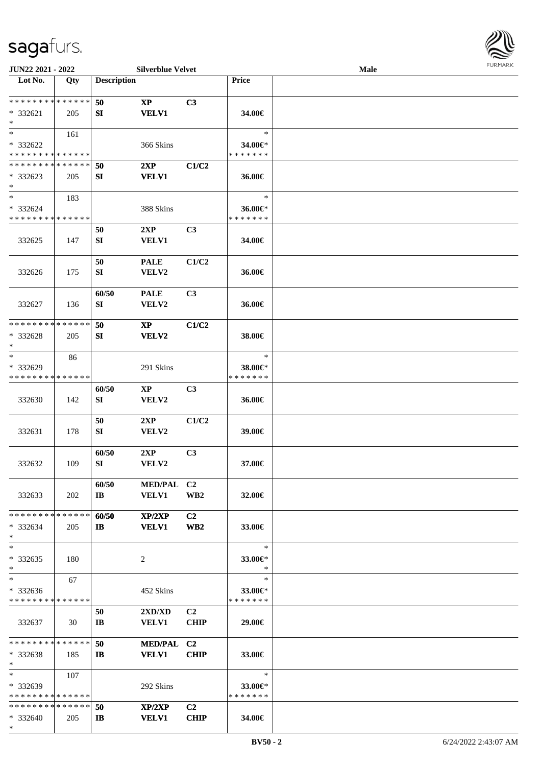\*



| JUN22 2021 - 2022             |     |                         | <b>Silverblue Velvet</b> |                 |               | Male |  |
|-------------------------------|-----|-------------------------|--------------------------|-----------------|---------------|------|--|
| Lot No.                       | Qty | <b>Description</b>      |                          |                 | <b>Price</b>  |      |  |
|                               |     |                         |                          |                 |               |      |  |
| * * * * * * * * * * * * * *   |     | 50                      | $\mathbf{XP}$            | C3              |               |      |  |
| $* 332621$<br>$\ast$          | 205 | SI                      | <b>VELV1</b>             |                 | 34.00€        |      |  |
| $*$                           | 161 |                         |                          |                 | $\ast$        |      |  |
| * 332622                      |     |                         | 366 Skins                |                 | 34.00€*       |      |  |
| * * * * * * * * * * * * * *   |     |                         |                          |                 | * * * * * * * |      |  |
| * * * * * * * * * * * * * *   |     | 50                      | 2XP                      | C1/C2           |               |      |  |
| $*332623$                     | 205 | SI                      | <b>VELV1</b>             |                 | 36.00€        |      |  |
| $\ast$                        |     |                         |                          |                 |               |      |  |
| $\ast$                        | 183 |                         |                          |                 | $\ast$        |      |  |
| * 332624                      |     |                         | 388 Skins                |                 | 36.00€*       |      |  |
| * * * * * * * * * * * * * *   |     |                         |                          |                 | * * * * * * * |      |  |
|                               |     | 50                      | 2XP                      | C3              |               |      |  |
| 332625                        | 147 | SI                      | <b>VELV1</b>             |                 | 34.00€        |      |  |
|                               |     |                         |                          |                 |               |      |  |
|                               |     | 50                      | <b>PALE</b>              | C1/C2           |               |      |  |
| 332626                        | 175 | SI                      | VELV2                    |                 | 36.00€        |      |  |
|                               |     | 60/50                   | <b>PALE</b>              | C <sub>3</sub>  |               |      |  |
| 332627                        | 136 | SI                      | VELV2                    |                 | 36.00€        |      |  |
|                               |     |                         |                          |                 |               |      |  |
| * * * * * * * * * * * * * *   |     | 50                      | $\mathbf{X}\mathbf{P}$   | C1/C2           |               |      |  |
| * 332628                      | 205 | SI                      | VELV2                    |                 | 38.00€        |      |  |
| $\ast$                        |     |                         |                          |                 |               |      |  |
| $\ast$                        | 86  |                         |                          |                 | $\ast$        |      |  |
| * 332629                      |     |                         | 291 Skins                |                 | 38.00€*       |      |  |
| * * * * * * * * * * * * * *   |     |                         |                          |                 | * * * * * * * |      |  |
|                               |     | 60/50                   | $\mathbf{X}\mathbf{P}$   | C <sub>3</sub>  |               |      |  |
| 332630                        | 142 | SI                      | VELV2                    |                 | 36.00€        |      |  |
|                               |     | 50                      | 2XP                      | C1/C2           |               |      |  |
| 332631                        | 178 | ${\bf SI}$              | VELV2                    |                 | 39.00€        |      |  |
|                               |     |                         |                          |                 |               |      |  |
|                               |     | 60/50                   | 2XP                      | C3              |               |      |  |
| 332632                        | 109 | SI                      | VELV2                    |                 | 37.00€        |      |  |
|                               |     |                         |                          |                 |               |      |  |
|                               |     | 60/50                   | MED/PAL C2               |                 |               |      |  |
| 332633                        | 202 | $\mathbf{I} \mathbf{B}$ | <b>VELV1</b>             | WB <sub>2</sub> | 32.00€        |      |  |
| * * * * * * * * * * * * * *   |     | 60/50                   | XP/2XP                   | C <sub>2</sub>  |               |      |  |
| $* 332634$                    | 205 | $\mathbf{I}$            | <b>VELV1</b>             | WB <sub>2</sub> | 33.00€        |      |  |
| $\ast$                        |     |                         |                          |                 |               |      |  |
| $\ast$                        |     |                         |                          |                 | $\ast$        |      |  |
| $* 332635$                    | 180 |                         | 2                        |                 | 33.00€*       |      |  |
| $*$                           |     |                         |                          |                 | $\ast$        |      |  |
| $\ast$                        | 67  |                         |                          |                 | $\ast$        |      |  |
| $* 332636$                    |     |                         | 452 Skins                |                 | 33.00€*       |      |  |
| * * * * * * * * * * * * * *   |     |                         |                          |                 | * * * * * * * |      |  |
|                               |     | 50                      | 2XD/XD                   | C2              |               |      |  |
| 332637                        | 30  | IB                      | <b>VELV1</b>             | <b>CHIP</b>     | 29.00€        |      |  |
| * * * * * * * * * * * * * *   |     | 50                      | MED/PAL C2               |                 |               |      |  |
| * 332638                      | 185 | $\mathbf{I}$            | <b>VELV1</b>             | <b>CHIP</b>     | 33.00€        |      |  |
| $*$                           |     |                         |                          |                 |               |      |  |
| $*$                           | 107 |                         |                          |                 | $\ast$        |      |  |
| * 332639                      |     |                         | 292 Skins                |                 | 33.00 $\in$ * |      |  |
| * * * * * * * * * * * * * *   |     |                         |                          |                 | * * * * * * * |      |  |
| * * * * * * * * * * * * * * * |     | 50                      | XP/2XP                   | C <sub>2</sub>  |               |      |  |
| * 332640                      | 205 | $\mathbf{I}$            | <b>VELV1</b>             | <b>CHIP</b>     | 34.00€        |      |  |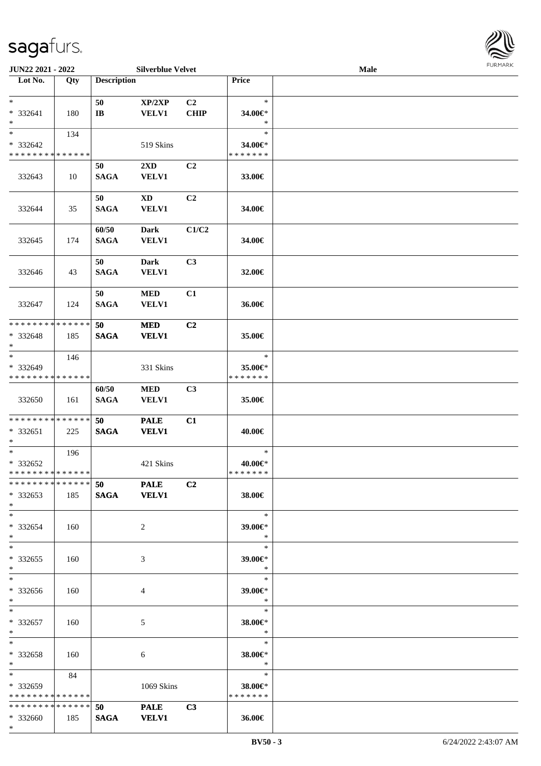

| JUN22 2021 - 2022             |       |                       | <b>Silverblue Velvet</b> |                |                          | Male |  |
|-------------------------------|-------|-----------------------|--------------------------|----------------|--------------------------|------|--|
| Lot No.                       | Qty   | <b>Description</b>    |                          |                | Price                    |      |  |
|                               |       |                       |                          |                |                          |      |  |
| $*$                           |       | 50                    | XP/2XP                   | C2             | $\ast$                   |      |  |
| * 332641                      | 180   | $\mathbf{I}$ <b>B</b> | <b>VELV1</b>             | <b>CHIP</b>    | 34.00€*                  |      |  |
| $*$                           |       |                       |                          |                | $\ast$                   |      |  |
| $*$                           | 134   |                       |                          |                | $\ast$                   |      |  |
| * 332642                      |       |                       | 519 Skins                |                | 34.00€*                  |      |  |
| * * * * * * * * * * * * * *   |       |                       |                          |                | * * * * * * *            |      |  |
|                               |       | 50                    | 2XD                      | C <sub>2</sub> |                          |      |  |
| 332643                        | 10    | <b>SAGA</b>           | <b>VELV1</b>             |                | 33.00€                   |      |  |
|                               |       | 50                    | <b>XD</b>                | C2             |                          |      |  |
| 332644                        | 35    | <b>SAGA</b>           | <b>VELV1</b>             |                | 34.00€                   |      |  |
|                               |       |                       |                          |                |                          |      |  |
|                               |       | 60/50                 | <b>Dark</b>              | C1/C2          |                          |      |  |
| 332645                        | 174   | <b>SAGA</b>           | <b>VELV1</b>             |                | 34.00€                   |      |  |
|                               |       |                       |                          |                |                          |      |  |
|                               |       | 50                    | Dark                     | C3             |                          |      |  |
| 332646                        | 43    | <b>SAGA</b>           | VELV1                    |                | 32.00€                   |      |  |
|                               |       |                       |                          |                |                          |      |  |
|                               |       | 50                    | <b>MED</b>               | C1             |                          |      |  |
| 332647                        | 124   | <b>SAGA</b>           | <b>VELV1</b>             |                | 36.00€                   |      |  |
|                               |       |                       |                          |                |                          |      |  |
| * * * * * * * * * * * * * *   |       | 50                    | <b>MED</b>               | C2             |                          |      |  |
| * 332648                      | 185   | <b>SAGA</b>           | <b>VELV1</b>             |                | 35.00€                   |      |  |
| $*$                           |       |                       |                          |                |                          |      |  |
| $*$                           | 146   |                       |                          |                | $\ast$                   |      |  |
| * 332649                      |       |                       | 331 Skins                |                | 35.00€*                  |      |  |
| * * * * * * * * * * * * * *   |       |                       |                          |                | * * * * * * *            |      |  |
|                               |       | 60/50                 | <b>MED</b>               | C <sub>3</sub> |                          |      |  |
| 332650                        | 161   | <b>SAGA</b>           | <b>VELV1</b>             |                | 35.00€                   |      |  |
| * * * * * * * * * * * * * * * |       | 50                    | <b>PALE</b>              | C1             |                          |      |  |
| * 332651                      | 225   | <b>SAGA</b>           | <b>VELV1</b>             |                | 40.00€                   |      |  |
| $*$                           |       |                       |                          |                |                          |      |  |
| $*$                           | 196   |                       |                          |                | $\ast$                   |      |  |
| * 332652                      |       |                       | 421 Skins                |                | 40.00€*                  |      |  |
| * * * * * * * * * * * * * * * |       |                       |                          |                | *******                  |      |  |
| * * * * * * * * * * * * * * * |       | 50 PALE               |                          | C <sub>2</sub> |                          |      |  |
| * 332653                      | 185   |                       | SAGA VELV1               |                | 38.00€                   |      |  |
| $*$                           |       |                       |                          |                |                          |      |  |
| $*$                           |       |                       |                          |                | $\ast$                   |      |  |
| * 332654                      | 160   |                       | $\overline{2}$           |                | 39.00€*                  |      |  |
| *                             |       |                       |                          |                | $\ast$                   |      |  |
| $*$                           |       |                       |                          |                | $\ast$                   |      |  |
| * 332655                      | 160   |                       | 3                        |                | 39.00€*                  |      |  |
| $*$                           |       |                       |                          |                | $\ast$                   |      |  |
| $*$                           |       |                       |                          |                | $\ast$                   |      |  |
| * 332656<br>$*$               | 160   |                       | 4                        |                | 39.00€*<br>$\rightarrow$ |      |  |
| $*$                           |       |                       |                          |                | $\ast$                   |      |  |
| * 332657                      | 160   |                       | 5                        |                | 38.00€*                  |      |  |
| $*$                           |       |                       |                          |                | $\ast$                   |      |  |
| $*$                           |       |                       |                          |                | $\ast$                   |      |  |
| * 332658                      | - 160 |                       | 6                        |                | 38.00€*                  |      |  |
| $*$                           |       |                       |                          |                | $\ast$                   |      |  |
| $\ast$                        | 84    |                       |                          |                | $\ast$                   |      |  |
| * 332659                      |       |                       | 1069 Skins               |                | 38.00€*                  |      |  |
| * * * * * * * * * * * * * * * |       |                       |                          |                | * * * * * * *            |      |  |
| * * * * * * * * * * * * * * * |       | 50                    | <b>PALE</b>              | C3             |                          |      |  |
| * 332660                      | 185   | <b>SAGA</b>           | <b>VELV1</b>             |                | 36.00€                   |      |  |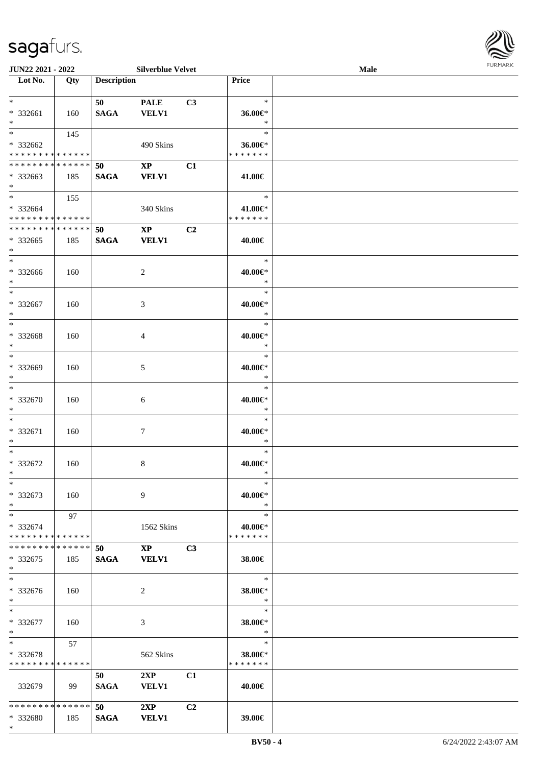

| <b>JUN22 2021 - 2022</b>                   |      |                    | <b>Silverblue Velvet</b> |                |                     | Male |  |
|--------------------------------------------|------|--------------------|--------------------------|----------------|---------------------|------|--|
| Lot No.                                    | Qty  | <b>Description</b> |                          |                | Price               |      |  |
|                                            |      |                    |                          |                |                     |      |  |
| $*$                                        |      | 50                 | <b>PALE</b>              | C3             | $\ast$              |      |  |
| * 332661                                   | 160  | <b>SAGA</b>        | <b>VELV1</b>             |                | 36.00€*             |      |  |
| $\ast$                                     |      |                    |                          |                | $\ast$              |      |  |
| $*$                                        | 145  |                    |                          |                | $\ast$              |      |  |
| * 332662                                   |      |                    | 490 Skins                |                | 36.00€*             |      |  |
| * * * * * * * * <mark>* * * * * * *</mark> |      |                    |                          |                | * * * * * * *       |      |  |
| * * * * * * * * * * * * * * *              |      |                    |                          |                |                     |      |  |
|                                            |      | 50                 | $\mathbf{X}\mathbf{P}$   | C1             |                     |      |  |
| * 332663                                   | 185  | <b>SAGA</b>        | <b>VELV1</b>             |                | 41.00€              |      |  |
| $*$                                        |      |                    |                          |                |                     |      |  |
| $*$                                        | 155  |                    |                          |                | $\ast$              |      |  |
| * 332664                                   |      |                    | 340 Skins                |                | 41.00€*             |      |  |
| * * * * * * * * <mark>* * * * * *</mark>   |      |                    |                          |                | * * * * * * *       |      |  |
| * * * * * * * * <mark>* * * * * *</mark>   |      | 50                 | $\mathbf{XP}$            | C <sub>2</sub> |                     |      |  |
| * 332665                                   | 185  | <b>SAGA</b>        | <b>VELV1</b>             |                | 40.00€              |      |  |
| $\ast$                                     |      |                    |                          |                |                     |      |  |
| $*$                                        |      |                    |                          |                | $\ast$              |      |  |
| * 332666                                   | 160  |                    | 2                        |                | 40.00€*             |      |  |
| $*$                                        |      |                    |                          |                | $\ast$              |      |  |
| $*$                                        |      |                    |                          |                | $\ast$              |      |  |
| * 332667                                   |      |                    |                          |                |                     |      |  |
| $*$                                        | 160  |                    | 3                        |                | 40.00€*<br>$\ast$   |      |  |
|                                            |      |                    |                          |                | $\ast$              |      |  |
| $*$                                        |      |                    |                          |                |                     |      |  |
| * 332668                                   | 160  |                    | 4                        |                | 40.00€*             |      |  |
| $*$                                        |      |                    |                          |                | $\ast$              |      |  |
| $\overline{\ast}$                          |      |                    |                          |                | $\ast$              |      |  |
| * 332669                                   | 160  |                    | 5                        |                | 40.00€*             |      |  |
| $\ast$                                     |      |                    |                          |                | $\ast$              |      |  |
| $*$                                        |      |                    |                          |                | $\ast$              |      |  |
| $* 332670$                                 | 160  |                    | 6                        |                | 40.00€*             |      |  |
| $*$                                        |      |                    |                          |                | $\ast$              |      |  |
| $*$                                        |      |                    |                          |                | $\ast$              |      |  |
| * 332671                                   | 160  |                    | $\tau$                   |                | 40.00€*             |      |  |
| $\ast$                                     |      |                    |                          |                | $\ast$              |      |  |
| $*$                                        |      |                    |                          |                | $\ast$              |      |  |
|                                            |      |                    |                          |                |                     |      |  |
| * 332672                                   | 160  |                    | 8                        |                | 40.00€*             |      |  |
| $*$                                        |      |                    |                          |                | $\ast$              |      |  |
| $\ast$                                     |      |                    |                          |                | $\ast$              |      |  |
| * 332673                                   | 160  |                    | 9                        |                | 40.00€*             |      |  |
| $*$                                        |      |                    |                          |                | $\ast$              |      |  |
| $*$                                        | 97   |                    |                          |                | $\ast$              |      |  |
| * 332674                                   |      |                    | 1562 Skins               |                | 40.00€*             |      |  |
| * * * * * * * * * * * * * * *              |      |                    |                          |                | * * * * * * *       |      |  |
| * * * * * * * * * * * * * * *              |      | 50                 | $\mathbf{XP}$            | C <sub>3</sub> |                     |      |  |
| $*332675$                                  | 185  | <b>SAGA</b>        | <b>VELV1</b>             |                | 38.00€              |      |  |
| $*$                                        |      |                    |                          |                |                     |      |  |
| $*$                                        |      |                    |                          |                | $\ast$              |      |  |
|                                            |      |                    |                          |                |                     |      |  |
| * 332676                                   | 160  |                    | 2                        |                | 38.00€*             |      |  |
| $*$                                        |      |                    |                          |                | $\bullet$ $\bullet$ |      |  |
| $*$ $-$                                    |      |                    |                          |                | $\ast$              |      |  |
| * 332677                                   | 160  |                    | 3                        |                | 38.00€*             |      |  |
| $*$                                        |      |                    |                          |                | $\ast$              |      |  |
| $*$ and $*$                                | 57   |                    |                          |                | $\ast$              |      |  |
| * 332678                                   |      |                    | 562 Skins                |                | 38.00€*             |      |  |
| * * * * * * * * * * * * * * *              |      |                    |                          |                | * * * * * * *       |      |  |
|                                            |      | 50                 | 2XP                      | C <sub>1</sub> |                     |      |  |
| 332679                                     | - 99 | <b>SAGA</b>        | <b>VELV1</b>             |                | 40.00€              |      |  |
|                                            |      |                    |                          |                |                     |      |  |
| * * * * * * * * <mark>* * * * * *</mark> * |      | 50                 | 2XP                      |                |                     |      |  |
|                                            |      |                    |                          | C <sub>2</sub> |                     |      |  |
| * 332680                                   | 185  | <b>SAGA</b>        | <b>VELV1</b>             |                | 39.00€              |      |  |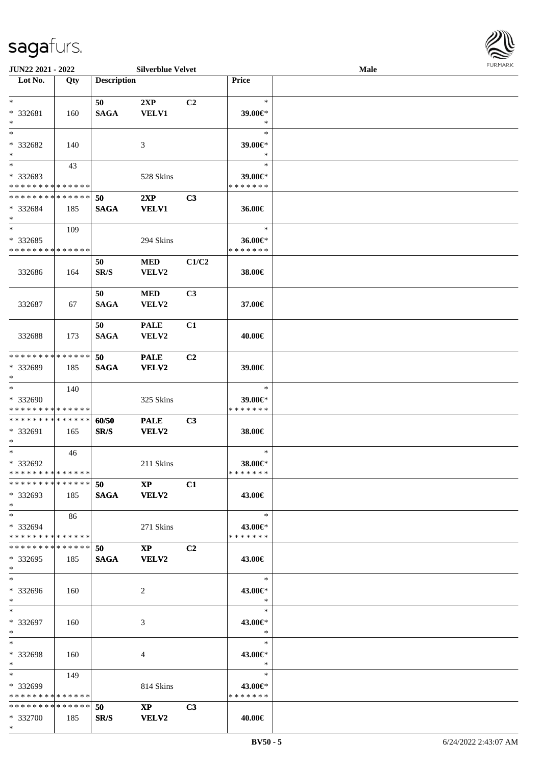

| <b>JUN22 2021 - 2022</b>      |       |                    | <b>Silverblue Velvet</b> |                |               | <b>Male</b> |  |
|-------------------------------|-------|--------------------|--------------------------|----------------|---------------|-------------|--|
| Lot No.                       | Qty   | <b>Description</b> |                          |                | Price         |             |  |
|                               |       |                    |                          |                |               |             |  |
| $*$                           |       | 50                 | 2XP                      | C2             | $\ast$        |             |  |
| * 332681                      | 160   | <b>SAGA</b>        | <b>VELV1</b>             |                | 39.00€*       |             |  |
| $*$                           |       |                    |                          |                | $\ast$        |             |  |
| $*$                           |       |                    |                          |                | $\ast$        |             |  |
|                               |       |                    |                          |                |               |             |  |
| * 332682                      | 140   |                    | 3                        |                | 39.00€*       |             |  |
| $*$                           |       |                    |                          |                | $\ast$        |             |  |
| $\overline{\phantom{0}}$      | 43    |                    |                          |                | $\ast$        |             |  |
| * 332683                      |       |                    | 528 Skins                |                | 39.00€*       |             |  |
| * * * * * * * * * * * * * *   |       |                    |                          |                | * * * * * * * |             |  |
| * * * * * * * * * * * * * *   |       | 50                 | 2XP                      | C3             |               |             |  |
| * 332684                      | 185   | <b>SAGA</b>        | <b>VELV1</b>             |                | 36.00€        |             |  |
| $*$                           |       |                    |                          |                |               |             |  |
| $*$                           | 109   |                    |                          |                | $\ast$        |             |  |
| * 332685                      |       |                    | 294 Skins                |                | 36.00€*       |             |  |
| * * * * * * * * * * * * * *   |       |                    |                          |                | * * * * * * * |             |  |
|                               |       |                    |                          |                |               |             |  |
|                               |       | 50                 | <b>MED</b>               | C1/C2          |               |             |  |
| 332686                        | 164   | SR/S               | VELV2                    |                | 38.00€        |             |  |
|                               |       |                    |                          |                |               |             |  |
|                               |       | 50                 | <b>MED</b>               | C <sub>3</sub> |               |             |  |
| 332687                        | 67    | <b>SAGA</b>        | VELV2                    |                | 37.00€        |             |  |
|                               |       |                    |                          |                |               |             |  |
|                               |       | 50                 | <b>PALE</b>              | C1             |               |             |  |
|                               |       |                    |                          |                |               |             |  |
| 332688                        | 173   | <b>SAGA</b>        | VELV2                    |                | 40.00€        |             |  |
|                               |       |                    |                          |                |               |             |  |
| * * * * * * * * * * * * * *   |       | 50                 | <b>PALE</b>              | C2             |               |             |  |
| * 332689                      | 185   | <b>SAGA</b>        | VELV2                    |                | 39.00€        |             |  |
| $*$                           |       |                    |                          |                |               |             |  |
| $*$                           | 140   |                    |                          |                | $\ast$        |             |  |
| * 332690                      |       |                    | 325 Skins                |                | 39.00€*       |             |  |
| * * * * * * * * * * * * * *   |       |                    |                          |                | * * * * * * * |             |  |
| * * * * * * * * * * * * * * * |       | 60/50              | <b>PALE</b>              | C3             |               |             |  |
| * 332691                      | 165   | SR/S               | VELV2                    |                | 38.00€        |             |  |
| $*$                           |       |                    |                          |                |               |             |  |
| $*$                           | 46    |                    |                          |                | $\ast$        |             |  |
| * 332692                      |       |                    | 211 Skins                |                | 38.00€*       |             |  |
| * * * * * * * * * * * * * * * |       |                    |                          |                | *******       |             |  |
| * * * * * * * * * * * * * * * |       |                    |                          |                |               |             |  |
|                               |       | $50 \t\t NP$       |                          | C1             |               |             |  |
| * 332693                      | 185   |                    | SAGA VELV2               |                | 43.00€        |             |  |
| $*$                           |       |                    |                          |                |               |             |  |
| $*$                           | 86    |                    |                          |                | $\ast$        |             |  |
| * 332694                      |       |                    | 271 Skins                |                | 43.00€*       |             |  |
| * * * * * * * * * * * * * * * |       |                    |                          |                | * * * * * * * |             |  |
| * * * * * * * * * * * * * * * |       | 50                 | $\mathbf{X} \mathbf{P}$  | C <sub>2</sub> |               |             |  |
| * 332695                      | 185   |                    | SAGA VELV2               |                | 43.00€        |             |  |
| $*$                           |       |                    |                          |                |               |             |  |
| $*$                           |       |                    |                          |                | $\ast$        |             |  |
|                               |       |                    |                          |                |               |             |  |
| * 332696                      | - 160 |                    | 2                        |                | 43.00€*       |             |  |
| $*$                           |       |                    |                          |                | $*$           |             |  |
| $*$                           |       |                    |                          |                | $\ast$        |             |  |
| * 332697                      | 160   |                    | 3                        |                | 43.00€*       |             |  |
| $*$                           |       |                    |                          |                | $\ast$        |             |  |
| $*$                           |       |                    |                          |                | $\ast$        |             |  |
| * 332698                      | 160   |                    | 4                        |                | 43.00€*       |             |  |
| $*$ $*$                       |       |                    |                          |                | $\ast$        |             |  |
| $*$ and $*$                   | 149   |                    |                          |                | $\ast$        |             |  |
|                               |       |                    |                          |                |               |             |  |
| * 332699                      |       |                    | 814 Skins                |                | 43.00€*       |             |  |
| * * * * * * * * * * * * * * * |       |                    |                          |                | * * * * * * * |             |  |
| * * * * * * * * * * * * * * * |       | 50                 | $\mathbf{XP}$            | C <sub>3</sub> |               |             |  |
| * 332700                      | 185   | SR/S               | <b>VELV2</b>             |                | 40.00€        |             |  |
| $*$                           |       |                    |                          |                |               |             |  |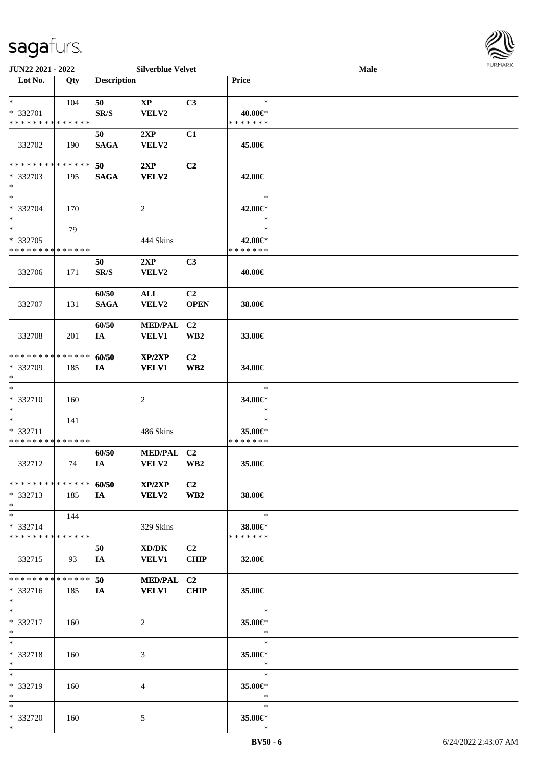

| JUN22 2021 - 2022                                 |                    |                      | <b>Silverblue Velvet</b>       |                                   |                                    | Male |  |
|---------------------------------------------------|--------------------|----------------------|--------------------------------|-----------------------------------|------------------------------------|------|--|
| Lot No.                                           | Qty                | <b>Description</b>   |                                |                                   | Price                              |      |  |
| $\ast$<br>* 332701<br>* * * * * * * * * * * * * * | 104                | 50<br>SR/S           | $\mathbf{XP}$<br>VELV2         | C3                                | $\ast$<br>40.00€*<br>* * * * * * * |      |  |
| 332702                                            | 190                | 50<br><b>SAGA</b>    | 2XP<br>VELV2                   | C1                                | 45.00€                             |      |  |
| * * * * * * * * * * * * * *<br>* 332703<br>$\ast$ | 195                | 50<br><b>SAGA</b>    | 2XP<br><b>VELV2</b>            | C2                                | 42.00€                             |      |  |
| $\overline{\ast}$<br>* 332704<br>$\ast$           | 170                |                      | $\sqrt{2}$                     |                                   | $\ast$<br>42.00€*<br>$\ast$        |      |  |
| $\ast$<br>* 332705<br>* * * * * * * * * * * * * * | 79                 |                      | 444 Skins                      |                                   | $\ast$<br>42.00€*<br>* * * * * * * |      |  |
| 332706                                            | 171                | 50<br>SR/S           | 2XP<br>VELV2                   | C3                                | 40.00€                             |      |  |
| 332707                                            | 131                | 60/50<br><b>SAGA</b> | ALL<br>VELV2                   | C <sub>2</sub><br><b>OPEN</b>     | 38.00€                             |      |  |
| 332708                                            | 201                | 60/50<br>IA          | <b>MED/PAL</b><br><b>VELV1</b> | C <sub>2</sub><br>WB <sub>2</sub> | 33.00€                             |      |  |
| * * * * * * * *<br>* 332709<br>$\ast$             | * * * * * *<br>185 | 60/50<br>IA          | XP/2XP<br><b>VELV1</b>         | C2<br>$\mathbf{W}\mathbf{B2}$     | 34.00€                             |      |  |
| $\ast$<br>* 332710<br>$\ast$                      | 160                |                      | $\boldsymbol{2}$               |                                   | $\ast$<br>34.00€*<br>$\ast$        |      |  |
| $\ast$<br>* 332711<br>* * * * * * * * * * * * * * | 141                |                      | 486 Skins                      |                                   | $\ast$<br>35.00€*<br>* * * * * * * |      |  |
| 332712                                            | 74                 | 60/50<br>IA          | MED/PAL C2<br>VELV2            | $\mathbf{W}\mathbf{B2}$           | 35.00€                             |      |  |
| * * * * * * * * * * * * * * *<br>* 332713<br>$*$  | 185                | 60/50<br>IA          | XP/2XP<br><b>VELV2</b>         | C <sub>2</sub><br>WB <sub>2</sub> | 38.00€                             |      |  |
| $\ast$<br>* 332714<br>* * * * * * * * * * * * * * | 144                |                      | 329 Skins                      |                                   | $\ast$<br>38.00€*<br>* * * * * * * |      |  |
| 332715                                            | 93                 | 50<br>IA             | XD/DK<br><b>VELV1</b>          | C <sub>2</sub><br><b>CHIP</b>     | 32.00€                             |      |  |
| * * * * * * * * * * * * * *<br>$* 332716$<br>$*$  | 185                | 50<br>IA             | MED/PAL C2<br><b>VELV1</b>     | CHIP                              | 35.00€                             |      |  |
| $*$<br>* 332717<br>$*$                            | 160                |                      | 2                              |                                   | $\ast$<br>35.00€*<br>$\ast$        |      |  |
| $\ast$<br>* 332718<br>$*$                         | 160                |                      | 3                              |                                   | $\ast$<br>35.00€*<br>$\ast$        |      |  |
| $\ast$<br>* 332719<br>$*$                         | 160                |                      | 4                              |                                   | $\ast$<br>35.00€*<br>$\ast$        |      |  |
| $*$<br>* 332720<br>$*$                            | 160                |                      | 5                              |                                   | $\ast$<br>35.00€*<br>$\ast$        |      |  |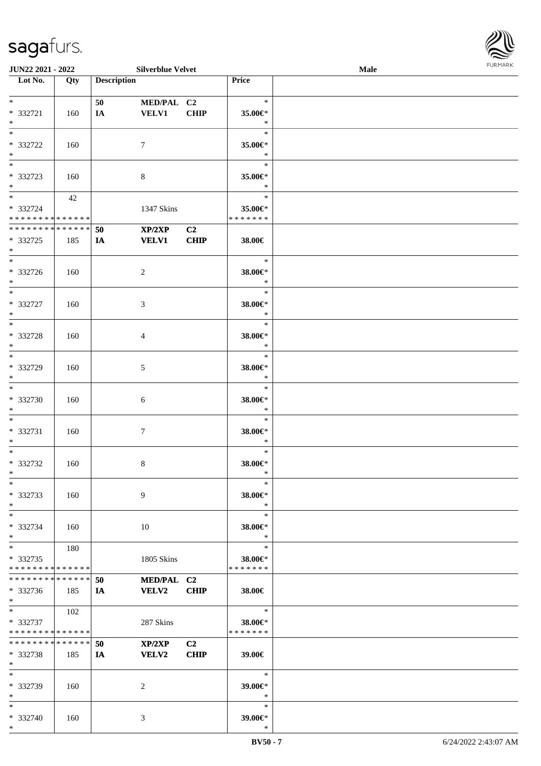

| <b>JUN22 2021 - 2022</b>                 |        |                    | <b>Silverblue Velvet</b> |             |                       | Male |
|------------------------------------------|--------|--------------------|--------------------------|-------------|-----------------------|------|
| Lot No.                                  | Qty    | <b>Description</b> |                          |             | Price                 |      |
|                                          |        |                    |                          |             |                       |      |
| $*$                                      |        | 50                 | MED/PAL C2               |             | $\ast$                |      |
| * 332721                                 | 160    | IA                 | <b>VELV1</b>             | <b>CHIP</b> | 35.00€*               |      |
| $*$                                      |        |                    |                          |             | $\ast$                |      |
| $*$                                      |        |                    |                          |             |                       |      |
|                                          |        |                    |                          |             | $\ast$                |      |
| * 332722                                 | 160    |                    | $\tau$                   |             | 35.00€*               |      |
| $*$                                      |        |                    |                          |             | $\ast$                |      |
|                                          |        |                    |                          |             | $\ast$                |      |
| * 332723                                 | 160    |                    | $8\,$                    |             | 35.00€*               |      |
| $*$                                      |        |                    |                          |             | $\ast$                |      |
| $*$                                      |        |                    |                          |             | $\ast$                |      |
|                                          | 42     |                    |                          |             |                       |      |
| * 332724                                 |        |                    | 1347 Skins               |             | 35.00€*               |      |
| * * * * * * * * * * * * * *              |        |                    |                          |             | * * * * * * *         |      |
| * * * * * * * * <mark>*</mark>           | ****** | 50                 | XP/2XP                   | C2          |                       |      |
| * 332725                                 | 185    | IA                 | <b>VELV1</b>             | <b>CHIP</b> | 38.00€                |      |
| $*$                                      |        |                    |                          |             |                       |      |
| $\overline{\ast}$                        |        |                    |                          |             | $\ast$                |      |
| * 332726                                 | 160    |                    | 2                        |             | 38.00€*               |      |
|                                          |        |                    |                          |             | $\ast$                |      |
| $*$                                      |        |                    |                          |             |                       |      |
|                                          |        |                    |                          |             | $\ast$                |      |
| * 332727                                 | 160    |                    | 3                        |             | 38.00€*               |      |
| $*$                                      |        |                    |                          |             | $\ast$                |      |
|                                          |        |                    |                          |             | $\ast$                |      |
| * 332728                                 | 160    |                    | $\overline{4}$           |             | 38.00€*               |      |
| $*$                                      |        |                    |                          |             | $\ast$                |      |
| $\overline{\ast}$                        |        |                    |                          |             | $\ast$                |      |
|                                          |        |                    |                          |             |                       |      |
| * 332729                                 | 160    |                    | 5                        |             | 38.00€*               |      |
| $*$                                      |        |                    |                          |             | $\ast$                |      |
| $\overline{\phantom{0}}$                 |        |                    |                          |             | $\ast$                |      |
| * 332730                                 | 160    |                    | 6                        |             | 38.00€*               |      |
| $*$                                      |        |                    |                          |             | $\ast$                |      |
| $*$                                      |        |                    |                          |             | $\ast$                |      |
| * 332731                                 |        |                    |                          |             |                       |      |
|                                          | 160    |                    | $\tau$                   |             | 38.00€*               |      |
| $*$                                      |        |                    |                          |             | $\ast$                |      |
| $*$                                      |        |                    |                          |             | $\ast$                |      |
| * 332732                                 | 160    |                    | 8                        |             | 38.00€*               |      |
| $*$                                      |        |                    |                          |             | $\ast$                |      |
| $*$                                      |        |                    |                          |             | $\ast$                |      |
| * 332733                                 | 160    |                    | 9                        |             | 38.00€*               |      |
| $*$                                      |        |                    |                          |             | $\ast$                |      |
|                                          |        |                    |                          |             |                       |      |
| $*$                                      |        |                    |                          |             | $\ast$                |      |
| * 332734                                 | 160    |                    | 10                       |             | 38.00€*               |      |
| $\ast$                                   |        |                    |                          |             | $\ast$                |      |
| $*$ $-$                                  | 180    |                    |                          |             | $\ast$                |      |
| * 332735                                 |        |                    | 1805 Skins               |             | 38.00€*               |      |
| * * * * * * * * * * * * * *              |        |                    |                          |             | * * * * * * *         |      |
| * * * * * * * * * * * * * * *            |        | 50                 | MED/PAL C2               |             |                       |      |
|                                          |        |                    |                          |             |                       |      |
| * 332736                                 | 185    | IA                 | <b>VELV2</b>             | <b>CHIP</b> | 38.00€                |      |
| $*$                                      |        |                    |                          |             |                       |      |
| $*$ $*$                                  | 102    |                    |                          |             | —<br>*                |      |
| * 332737                                 |        |                    | 287 Skins                |             | 38.00€*               |      |
| * * * * * * * * <mark>* * * * * *</mark> |        |                    |                          |             | * * * * * * *         |      |
| * * * * * * * * <mark>* * * * * *</mark> |        | 50                 | XP/2XP                   | C2          |                       |      |
| * 332738                                 | 185    | IA                 | <b>VELV2</b>             | <b>CHIP</b> | 39.00€                |      |
| $*$                                      |        |                    |                          |             |                       |      |
| $*$                                      |        |                    |                          |             | $\ast$                |      |
|                                          |        |                    |                          |             |                       |      |
| * 332739                                 | - 160  |                    | 2                        |             | 39.00 $\varepsilon$ * |      |
| $*$                                      |        |                    |                          |             | $\ast$                |      |
| $*$ $*$                                  |        |                    |                          |             | $\ast$                |      |
| * 332740                                 | 160    |                    | 3                        |             | 39.00€*               |      |
| $*$                                      |        |                    |                          |             | $\ast$                |      |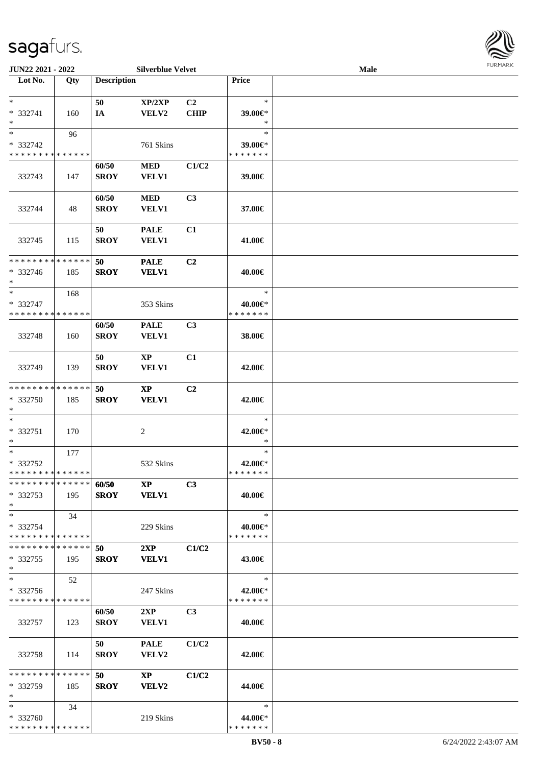

| <b>JUN22 2021 - 2022</b>                |     |                    | <b>Silverblue Velvet</b> |                |                          | Male |  |
|-----------------------------------------|-----|--------------------|--------------------------|----------------|--------------------------|------|--|
| Lot No.                                 | Qty | <b>Description</b> |                          |                | Price                    |      |  |
|                                         |     |                    |                          |                |                          |      |  |
| $\ast$                                  |     | 50                 | XP/2XP                   | C2             | $\ast$                   |      |  |
| * 332741                                | 160 | IA                 | VELV2                    | <b>CHIP</b>    | 39.00€*                  |      |  |
| $*$                                     |     |                    |                          |                | ∗                        |      |  |
| $*$                                     | 96  |                    |                          |                | $\ast$                   |      |  |
| * 332742                                |     |                    | 761 Skins                |                | 39.00€*                  |      |  |
| * * * * * * * * * * * * * *             |     |                    |                          |                | * * * * * * *            |      |  |
|                                         |     | 60/50              | <b>MED</b>               | C1/C2          |                          |      |  |
| 332743                                  | 147 | <b>SROY</b>        | <b>VELV1</b>             |                | 39.00€                   |      |  |
|                                         |     |                    |                          |                |                          |      |  |
|                                         |     | 60/50              | <b>MED</b>               | C <sub>3</sub> |                          |      |  |
| 332744                                  | 48  | <b>SROY</b>        | <b>VELV1</b>             |                | 37.00€                   |      |  |
|                                         |     |                    |                          |                |                          |      |  |
|                                         |     | 50                 | <b>PALE</b>              | C1             |                          |      |  |
| 332745                                  | 115 | <b>SROY</b>        | <b>VELV1</b>             |                | 41.00€                   |      |  |
|                                         |     |                    |                          |                |                          |      |  |
| * * * * * * * * * * * * * *             |     | 50                 | <b>PALE</b>              | C <sub>2</sub> |                          |      |  |
| * 332746                                | 185 | <b>SROY</b>        | <b>VELV1</b>             |                | 40.00€                   |      |  |
| $*$                                     |     |                    |                          |                |                          |      |  |
| $*$                                     | 168 |                    |                          |                | $\ast$                   |      |  |
| * 332747                                |     |                    | 353 Skins                |                | 40.00€*                  |      |  |
| * * * * * * * * * * * * * *             |     |                    |                          |                | * * * * * * *            |      |  |
|                                         |     | 60/50              | <b>PALE</b>              | C <sub>3</sub> |                          |      |  |
| 332748                                  | 160 | <b>SROY</b>        | <b>VELV1</b>             |                | 38.00€                   |      |  |
|                                         |     |                    |                          |                |                          |      |  |
|                                         |     | 50                 | <b>XP</b>                | C1             |                          |      |  |
| 332749                                  | 139 | <b>SROY</b>        | <b>VELV1</b>             |                | 42.00€                   |      |  |
|                                         |     |                    |                          |                |                          |      |  |
| * * * * * * * * * * * * * *             |     | 50                 | $\bold{XP}$              | C2             |                          |      |  |
| * 332750                                | 185 | <b>SROY</b>        | <b>VELV1</b>             |                | 42.00€                   |      |  |
| $*$                                     |     |                    |                          |                |                          |      |  |
| $*$                                     |     |                    |                          |                | $\ast$                   |      |  |
| * 332751                                | 170 |                    | 2                        |                | 42.00€*                  |      |  |
| $*$                                     |     |                    |                          |                | $\ast$                   |      |  |
| $*$                                     | 177 |                    |                          |                | $\ast$                   |      |  |
| * 332752                                |     |                    | 532 Skins                |                | 42.00€*                  |      |  |
| * * * * * * * * * * * * * * *           |     |                    |                          |                | *******                  |      |  |
| * * * * * * * * * * * * * * *           |     | 60/50              | XP                       | C <sub>3</sub> |                          |      |  |
| * 332753                                | 195 | <b>SROY</b>        | <b>VELV1</b>             |                | 40.00€                   |      |  |
| $*$                                     |     |                    |                          |                |                          |      |  |
| $*$                                     | 34  |                    |                          |                | $\ast$                   |      |  |
| * 332754                                |     |                    | 229 Skins                |                | 40.00€*                  |      |  |
| * * * * * * * * * * * * * * *           |     |                    |                          |                | * * * * * * *            |      |  |
| * * * * * * * * * * * * * * *           |     | 50                 | 2XP                      | C1/C2          |                          |      |  |
| * 332755                                | 195 | <b>SROY</b>        | <b>VELV1</b>             |                | 43.00€                   |      |  |
| $*$                                     |     |                    |                          |                |                          |      |  |
| $*$                                     | 52  |                    |                          |                | $\ast$                   |      |  |
| * 332756                                |     |                    | 247 Skins                |                | 42.00€*                  |      |  |
| * * * * * * * * * * * * * *             |     |                    |                          |                | * * * * * * *            |      |  |
|                                         |     |                    | 2XP                      | C <sub>3</sub> |                          |      |  |
|                                         | 123 | 60/50              |                          |                | 40.00€                   |      |  |
| 332757                                  |     | <b>SROY</b>        | <b>VELV1</b>             |                |                          |      |  |
|                                         |     | 50                 |                          |                |                          |      |  |
|                                         |     |                    | <b>PALE</b>              | C1/C2          |                          |      |  |
| 332758                                  | 114 | <b>SROY</b>        | <b>VELV2</b>             |                | 42.00€                   |      |  |
| * * * * * * * * * * * * * * *           |     | 50                 |                          | C1/C2          |                          |      |  |
|                                         |     |                    | $\mathbf{X}\mathbf{P}$   |                |                          |      |  |
| * 332759<br>$*$                         | 185 | <b>SROY</b>        | VELV2                    |                | 44.00€                   |      |  |
| $*$                                     | 34  |                    |                          |                | $\ast$                   |      |  |
|                                         |     |                    |                          |                |                          |      |  |
| * 332760<br>* * * * * * * * * * * * * * |     |                    | 219 Skins                |                | 44.00€*<br>* * * * * * * |      |  |
|                                         |     |                    |                          |                |                          |      |  |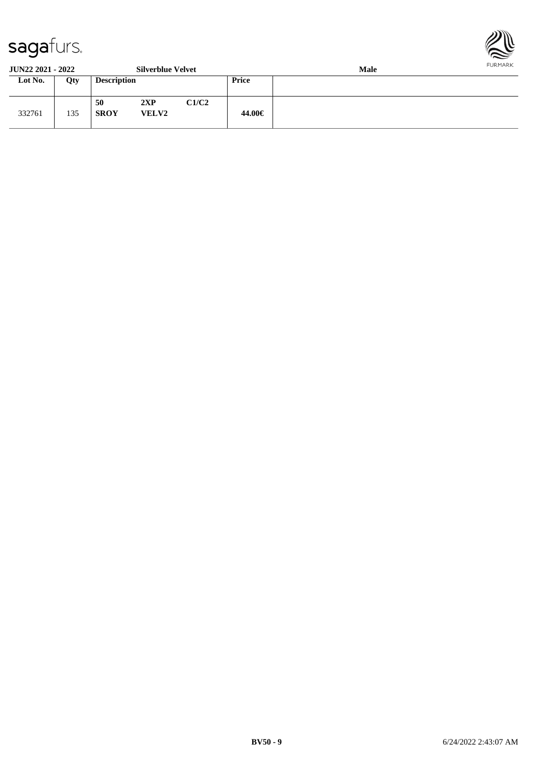

**JUN22 2021 - 2022 Silverblue Velvet Male Lot No. Qty Description Price** 332761 135 **50 2XP C1/C2 SROY VELV2 44.00€**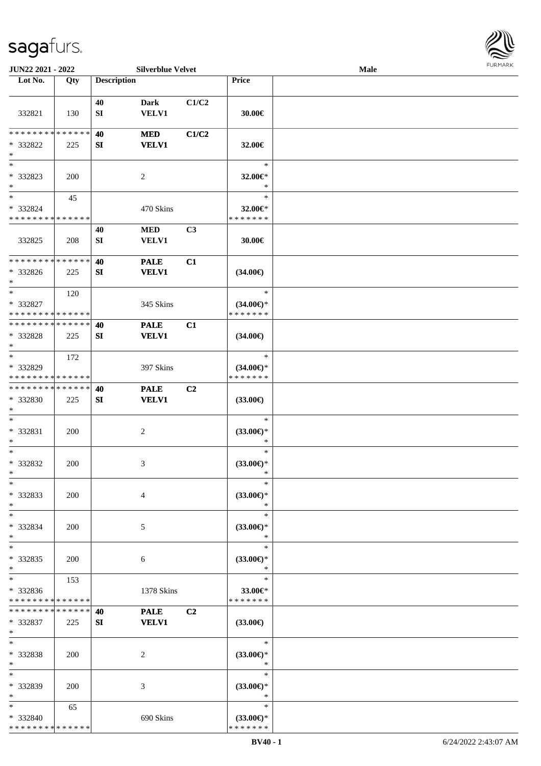

| JUN22 2021 - 2022                                                     |            |                    | <b>Silverblue Velvet</b>    |                |                                                | Male |  |
|-----------------------------------------------------------------------|------------|--------------------|-----------------------------|----------------|------------------------------------------------|------|--|
| Lot No.                                                               | Qty        | <b>Description</b> |                             |                | Price                                          |      |  |
| 332821                                                                | 130        | 40<br>SI           | <b>Dark</b><br><b>VELV1</b> | C1/C2          | 30.00€                                         |      |  |
| * * * * * * * * * * * * * *<br>* 332822<br>$\ast$                     | 225        | 40<br>SI           | <b>MED</b><br><b>VELV1</b>  | C1/C2          | 32.00€                                         |      |  |
| $\overline{\phantom{1}}$<br>* 332823<br>$\ast$                        | 200        |                    | $\overline{c}$              |                | $\ast$<br>32.00€*<br>$\ast$                    |      |  |
| $\overline{\phantom{a}^*}$<br>* 332824<br>* * * * * * * * * * * * * * | 45         |                    | 470 Skins                   |                | $\ast$<br>32.00€*<br>* * * * * * *             |      |  |
| 332825                                                                | 208        | 40<br>SI           | <b>MED</b><br>VELV1         | C3             | 30.00€                                         |      |  |
| * * * * * * * * * * * * * *<br>* 332826<br>$\ast$                     | 225        | 40<br>SI           | <b>PALE</b><br><b>VELV1</b> | C1             | $(34.00\epsilon)$                              |      |  |
| $\ast$<br>* 332827<br>* * * * * * * * * * * * * *                     | 120        |                    | 345 Skins                   |                | $\ast$<br>$(34.00\epsilon)$ *<br>* * * * * * * |      |  |
| * * * * * * * * * * * * * *<br>* 332828<br>$\ast$                     | 225        | 40<br>SI           | <b>PALE</b><br><b>VELV1</b> | C1             | $(34.00\epsilon)$                              |      |  |
| $\ast$<br>* 332829<br>* * * * * * * * * * * * * *                     | 172        |                    | 397 Skins                   |                | $\ast$<br>$(34.00\epsilon)$ *<br>* * * * * * * |      |  |
| * * * * * * * * * * * * * *<br>* 332830<br>$\ast$                     | 225        | 40<br>SI           | <b>PALE</b><br><b>VELV1</b> | C <sub>2</sub> | $(33.00\epsilon)$                              |      |  |
| $\ast$<br>* 332831<br>$\ast$                                          | 200        |                    | $\sqrt{2}$                  |                | $\ast$<br>$(33.00\epsilon)$ *<br>$\ast$        |      |  |
| $\ast$<br>* 332832<br>$*$                                             | 200        |                    | 3                           |                | $\ast$<br>$(33.00\epsilon)$ *<br>$\ast$        |      |  |
| $*$<br>* 332833<br>$\ast$                                             | 200        |                    | $\overline{4}$              |                | $\ast$<br>$(33.00\epsilon)$ *<br>$\ast$        |      |  |
| $*$<br>* 332834<br>$\ast$                                             | 200        |                    | 5                           |                | $\ast$<br>$(33.00\epsilon)$ *<br>∗             |      |  |
| $\ast$<br>* 332835<br>$\ast$                                          | 200        |                    | 6                           |                | $\ast$<br>$(33.00\epsilon)$ *<br>$\ast$        |      |  |
| $\ast$<br>* 332836<br>* * * * * * * * * * * * * *                     | 153        |                    | 1378 Skins                  |                | $\ast$<br>33.00€*<br>* * * * * * *             |      |  |
| * * * * * * * * * * * * * *<br>* 332837<br>$*$                        | 225        | 40<br>SI           | <b>PALE</b><br><b>VELV1</b> | C2             | $(33.00\epsilon)$                              |      |  |
| $\ast$<br>* 332838<br>$*$                                             | <b>200</b> |                    | 2                           |                | $\ast$<br>$(33.00\epsilon)$ *<br>$\ast$        |      |  |
| $\ast$<br>* 332839<br>$*$                                             | 200        |                    | 3                           |                | $\ast$<br>$(33.00\epsilon)$ *<br>$\ast$        |      |  |
| $*$<br>* 332840<br>* * * * * * * * * * * * * *                        | 65         |                    | 690 Skins                   |                | $\ast$<br>$(33.00\epsilon)$ *<br>* * * * * * * |      |  |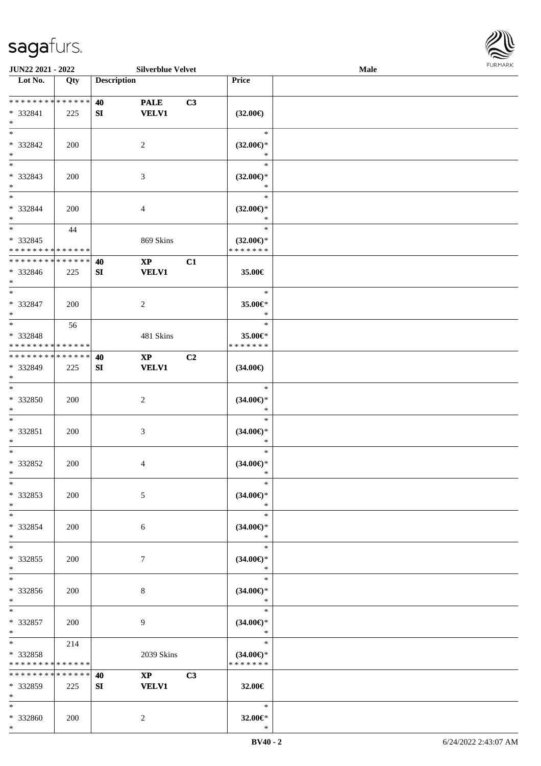

| JUN22 2021 - 2022                                  |     |                    | <b>Silverblue Velvet</b>               |                |                                                | <b>Male</b> |  |
|----------------------------------------------------|-----|--------------------|----------------------------------------|----------------|------------------------------------------------|-------------|--|
| Lot No.                                            | Qty | <b>Description</b> |                                        |                | Price                                          |             |  |
| * * * * * * * * * * * * * *<br>* 332841<br>$*$     | 225 | 40<br>SI           | <b>PALE</b><br><b>VELV1</b>            | C <sub>3</sub> | $(32.00\epsilon)$                              |             |  |
| $*$<br>* 332842<br>$*$                             | 200 |                    | 2                                      |                | $\ast$<br>$(32.00\epsilon)$ *<br>$\ast$        |             |  |
| $\overline{\phantom{0}}$<br>* 332843<br>$*$        | 200 |                    | 3                                      |                | $\ast$<br>$(32.00\epsilon)$ *<br>$\ast$        |             |  |
| $\overline{\phantom{0}}$<br>* 332844<br>$*$        | 200 |                    | $\overline{4}$                         |                | $\ast$<br>$(32.00\epsilon)$ *<br>$\ast$        |             |  |
| $*$<br>$* 332845$<br>* * * * * * * * * * * * * *   | 44  |                    | 869 Skins                              |                | $\ast$<br>$(32.00\epsilon)$ *<br>* * * * * * * |             |  |
| * * * * * * * * * * * * * *<br>* 332846<br>$*$     | 225 | 40<br>SI           | $\mathbf{X}\mathbf{P}$<br><b>VELV1</b> | C1             | 35.00€                                         |             |  |
| $*$<br>$* 332847$<br>$\ast$                        | 200 |                    | 2                                      |                | $\ast$<br>35.00€*<br>$\ast$                    |             |  |
| $*$<br>* 332848<br>* * * * * * * * * * * * * *     | 56  |                    | 481 Skins                              |                | $\ast$<br>35.00€*<br>* * * * * * *             |             |  |
| * * * * * * * * * * * * * *<br>* 332849<br>$*$     | 225 | 40<br>SI           | $\mathbf{X}\mathbf{P}$<br><b>VELV1</b> | C <sub>2</sub> | $(34.00\epsilon)$                              |             |  |
| $\overline{\phantom{0}}$<br>$* 332850$<br>$*$      | 200 |                    | $\sqrt{2}$                             |                | $\ast$<br>$(34.00ε)$ *<br>$\ast$               |             |  |
| $*$<br>$* 332851$<br>$*$                           | 200 |                    | $\mathfrak{Z}$                         |                | $\ast$<br>$(34.00ε)$ *<br>$\ast$               |             |  |
| $*$<br>$* 332852$<br>$*$                           | 200 |                    | 4                                      |                | $\ast$<br>$(34.00\epsilon)$ *<br>$\ast$        |             |  |
| $\ast$<br>* 332853<br>$*$                          | 200 |                    | 5                                      |                | $\ast$<br>$(34.00\epsilon)$ *<br>$\ast$        |             |  |
| $*$<br>* 332854<br>$*$                             | 200 |                    | 6                                      |                | $\ast$<br>$(34.00\epsilon)$ *<br>$\ast$        |             |  |
| $*$<br>* 332855<br>$*$                             | 200 |                    | $\tau$                                 |                | $\ast$<br>$(34.00\epsilon)$ *<br>$\ast$        |             |  |
| $*$<br>* 332856<br>$*$                             | 200 |                    | 8                                      |                | $\ast$<br>$(34.00\epsilon)$ *<br>$\ast$        |             |  |
| $*$<br>$* 332857$<br>$*$                           | 200 |                    | 9                                      |                | $\ast$<br>$(34.00\epsilon)$ *<br>$\ast$        |             |  |
| $*$ $*$<br>* 332858<br>* * * * * * * * * * * * * * | 214 |                    | 2039 Skins                             |                | $\ast$<br>$(34.00\epsilon)$ *<br>* * * * * * * |             |  |
| * * * * * * * * * * * * * *<br>* 332859<br>$*$     | 225 | 40<br>SI           | $\mathbf{X}\mathbf{P}$<br><b>VELV1</b> | C3             | 32.00€                                         |             |  |
| $*$<br>* 332860<br>$*$                             | 200 |                    | $\overline{2}$                         |                | $\ast$<br>32.00€*<br>$\ast$                    |             |  |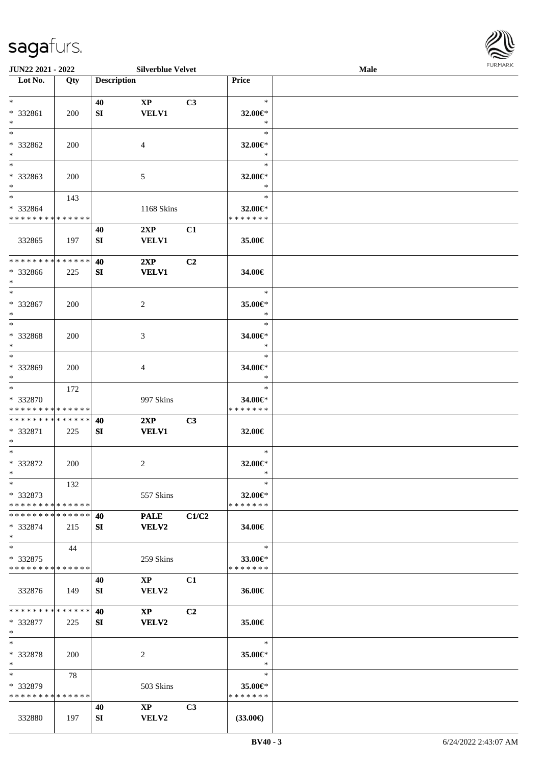| JUN22 2021 - 2022                                                     |            |                    | <b>Silverblue Velvet</b>               |                |                                    | <b>Male</b> | <b>FURMAR</b> |
|-----------------------------------------------------------------------|------------|--------------------|----------------------------------------|----------------|------------------------------------|-------------|---------------|
| $\overline{\phantom{1}}$ Lot No.                                      | Qty        | <b>Description</b> |                                        |                | Price                              |             |               |
| $\ast$<br>* 332861<br>$\ast$                                          | 200        | 40<br>SI           | $\mathbf{X}\mathbf{P}$<br><b>VELV1</b> | C3             | $\ast$<br>32.00 $\in$ *<br>$\ast$  |             |               |
| $\ast$<br>* 332862<br>$\ast$                                          | 200        |                    | 4                                      |                | $\ast$<br>32.00€*<br>$\ast$        |             |               |
| $\overline{\phantom{a}^*}$<br>* 332863<br>$*$                         | 200        |                    | 5                                      |                | $\ast$<br>32.00€*<br>$\ast$        |             |               |
| $\ast$<br>* 332864<br>* * * * * * * * * * * * * *                     | 143        |                    | 1168 Skins                             |                | $\ast$<br>32.00€*<br>* * * * * * * |             |               |
| 332865                                                                | 197        | 40<br>SI           | 2XP<br>VELV1                           | C1             | 35.00€                             |             |               |
| **************<br>* 332866<br>$\ast$                                  | 225        | 40<br>SI           | 2XP<br><b>VELV1</b>                    | C <sub>2</sub> | 34.00€                             |             |               |
| $\ast$<br>* 332867<br>$\ast$                                          | 200        |                    | $\overline{c}$                         |                | $\ast$<br>35.00€*<br>$\ast$        |             |               |
| $_{\ast}^{-}$<br>* 332868<br>$\ast$                                   | 200        |                    | 3                                      |                | $\ast$<br>34.00€*<br>$\ast$        |             |               |
| $\overline{\phantom{a}^*}$<br>* 332869<br>$\ast$                      | 200        |                    | $\overline{4}$                         |                | $\ast$<br>34.00€*<br>$\ast$        |             |               |
| $\ast$<br>* 332870<br>* * * * * * * * * * * * * *                     | 172        |                    | 997 Skins                              |                | $\ast$<br>34.00€*<br>* * * * * * * |             |               |
| * * * * * * * * * * * * * *<br>* 332871<br>$\ast$                     | 225        | 40<br>SI           | 2XP<br><b>VELV1</b>                    | C3             | 32.00€                             |             |               |
| $\ast$<br>* 332872<br>$\ast$                                          | 200        |                    | $\overline{c}$                         |                | $\ast$<br>32.00€*<br>∗             |             |               |
| $\ast$<br>* 332873<br>* * * * * * * * * * * * * *                     | 132        |                    | 557 Skins                              |                | $\ast$<br>32.00€*<br>* * * * * * * |             |               |
| * * * * * * * * * * * * * *<br>* 332874<br>$\ast$                     | 215        | 40<br>SI           | <b>PALE</b><br><b>VELV2</b>            | C1/C2          | 34.00€                             |             |               |
| $\overline{\phantom{1}}$<br>$* 332875$<br>* * * * * * * * * * * * * * | 44         |                    | 259 Skins                              |                | $\ast$<br>33.00€*<br>* * * * * * * |             |               |
| 332876                                                                | 149        | 40<br>SI           | $\mathbf{X}\mathbf{P}$<br>VELV2        | C1             | 36.00€                             |             |               |
| * * * * * * * * * * * * * *<br>* 332877<br>$\ast$                     | 225        | 40<br>SI           | $\mathbf{X}\mathbf{P}$<br><b>VELV2</b> | C2             | 35.00€                             |             |               |
| $\ast$<br>* 332878<br>$\ast$                                          | <b>200</b> |                    | 2                                      |                | $\ast$<br>35.00€*<br>∗             |             |               |
| $\ast$<br>* 332879<br>* * * * * * * * * * * * * *                     | 78         |                    | 503 Skins                              |                | $\ast$<br>35.00€*<br>* * * * * * * |             |               |
| 332880                                                                | 197        | 40<br>SI           | $\mathbf{X}\mathbf{P}$<br>VELV2        | C3             | $(33.00\epsilon)$                  |             |               |

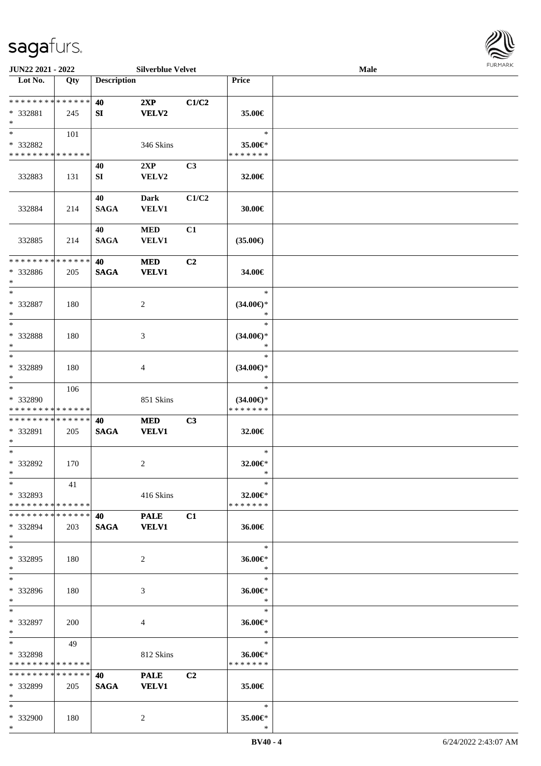

| JUN22 2021 - 2022             |     |                    | <b>Silverblue Velvet</b> |                |                     | Male |  |
|-------------------------------|-----|--------------------|--------------------------|----------------|---------------------|------|--|
| Lot No.                       | Qty | <b>Description</b> |                          |                | Price               |      |  |
| **************                |     | 40                 | 2XP                      | C1/C2          |                     |      |  |
| * 332881                      | 245 | SI                 | <b>VELV2</b>             |                | 35.00€              |      |  |
| $\ast$                        |     |                    |                          |                |                     |      |  |
| $*$                           | 101 |                    |                          |                | $\ast$              |      |  |
| * 332882                      |     |                    | 346 Skins                |                | 35.00€*             |      |  |
| * * * * * * * * * * * * * *   |     |                    |                          |                | * * * * * * *       |      |  |
|                               |     | 40                 | 2XP                      | C <sub>3</sub> |                     |      |  |
| 332883                        | 131 | SI                 | VELV2                    |                | 32.00€              |      |  |
|                               |     |                    |                          |                |                     |      |  |
|                               |     | 40                 | <b>Dark</b>              | C1/C2          |                     |      |  |
| 332884                        | 214 | <b>SAGA</b>        | <b>VELV1</b>             |                | 30.00€              |      |  |
|                               |     |                    |                          |                |                     |      |  |
|                               |     | 40                 | $\bf MED$                | C1             |                     |      |  |
| 332885                        | 214 | <b>SAGA</b>        | <b>VELV1</b>             |                | $(35.00\epsilon)$   |      |  |
|                               |     |                    |                          |                |                     |      |  |
| * * * * * * * * * * * * * *   |     | 40                 | <b>MED</b>               | C <sub>2</sub> |                     |      |  |
| * 332886                      | 205 | <b>SAGA</b>        | <b>VELV1</b>             |                | 34.00€              |      |  |
| $\ast$<br>$\ast$              |     |                    |                          |                | $\ast$              |      |  |
| * 332887                      |     |                    |                          |                | $(34.00\epsilon)$ * |      |  |
| $\ast$                        | 180 |                    | 2                        |                | $\ast$              |      |  |
| $*$                           |     |                    |                          |                | $\ast$              |      |  |
| * 332888                      | 180 |                    | 3                        |                | $(34.00\epsilon)$ * |      |  |
| $\ast$                        |     |                    |                          |                | $\ast$              |      |  |
| $\ast$                        |     |                    |                          |                | $\ast$              |      |  |
| * 332889                      | 180 |                    | 4                        |                | $(34.00\epsilon)$ * |      |  |
| $*$                           |     |                    |                          |                | $\ast$              |      |  |
| $\ast$                        | 106 |                    |                          |                | $\ast$              |      |  |
| * 332890                      |     |                    | 851 Skins                |                | $(34.00\epsilon)$ * |      |  |
| * * * * * * * * * * * * * *   |     |                    |                          |                | * * * * * * *       |      |  |
| * * * * * * * * * * * * * * * |     | 40                 | <b>MED</b>               | C3             |                     |      |  |
| * 332891                      | 205 | <b>SAGA</b>        | <b>VELV1</b>             |                | 32.00€              |      |  |
| $*$                           |     |                    |                          |                |                     |      |  |
| $*$                           |     |                    |                          |                | $\ast$              |      |  |
| $* 332892$<br>$*$             | 170 |                    | $\overline{c}$           |                | 32.00€*<br>$\ast$   |      |  |
| $*$                           | 41  |                    |                          |                | $\ast$              |      |  |
| * 332893                      |     |                    | 416 Skins                |                | 32.00€*             |      |  |
| * * * * * * * * * * * * * * * |     |                    |                          |                | * * * * * * *       |      |  |
| * * * * * * * * * * * * * * * |     | 40 — 10            | <b>PALE</b>              | C1             |                     |      |  |
| * 332894                      | 203 | <b>SAGA</b>        | <b>VELV1</b>             |                | 36.00€              |      |  |
| $*$                           |     |                    |                          |                |                     |      |  |
| $*$                           |     |                    |                          |                | $\ast$              |      |  |
| * 332895                      | 180 |                    | 2                        |                | 36.00€*             |      |  |
| $*$                           |     |                    |                          |                | $\ast$              |      |  |
| $*$                           |     |                    |                          |                | $\ast$              |      |  |
| * 332896                      | 180 |                    | 3                        |                | 36.00€*             |      |  |
| $*$                           |     |                    |                          |                | $\ast$              |      |  |
| $*$                           |     |                    |                          |                | $\ast$              |      |  |
| * 332897                      | 200 |                    | 4                        |                | 36.00€*             |      |  |
| $*$<br>$*$ $*$                |     |                    |                          |                | $\ast$<br>$\ast$    |      |  |
| * 332898                      | 49  |                    |                          |                | 36.00€*             |      |  |
| * * * * * * * * * * * * * *   |     |                    | 812 Skins                |                | * * * * * * *       |      |  |
| * * * * * * * * * * * * * *   |     | 40 — 10            | <b>PALE</b>              | C2             |                     |      |  |
| * 332899                      | 205 | <b>SAGA</b>        | <b>VELV1</b>             |                | 35.00€              |      |  |
| $*$                           |     |                    |                          |                |                     |      |  |
| $*$                           |     |                    |                          |                | $\ast$              |      |  |
| * 332900                      | 180 |                    | 2                        |                | 35.00€*             |      |  |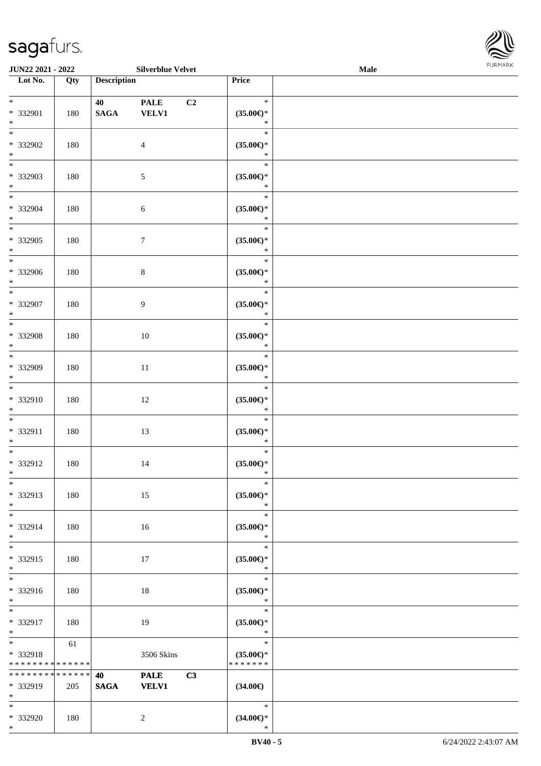

| <b>JUN22 2021 - 2022</b>                         |     |                       | <b>Silverblue Velvet</b>    |    |                                                | Male |  |
|--------------------------------------------------|-----|-----------------------|-----------------------------|----|------------------------------------------------|------|--|
| Lot No.                                          | Qty | <b>Description</b>    |                             |    | Price                                          |      |  |
| $*$<br>* 332901<br>$*$                           | 180 | 40<br>$\mathbf{SAGA}$ | <b>PALE</b><br><b>VELV1</b> | C2 | $\ast$<br>$(35.00\epsilon)$ *<br>$\ast$        |      |  |
| $\overline{\ast}$<br>* 332902<br>$*$             | 180 |                       | $\overline{4}$              |    | $\ast$<br>$(35.00\epsilon)$ *<br>$\ast$        |      |  |
| * 332903<br>$*$                                  | 180 |                       | $\sqrt{5}$                  |    | $\ast$<br>$(35.00\epsilon)$ *<br>$\ast$        |      |  |
| $*$<br>* 332904<br>$*$                           | 180 |                       | 6                           |    | $\ast$<br>$(35.00\epsilon)$ *<br>$\ast$        |      |  |
| $\overline{\ast}$<br>* 332905<br>$*$             | 180 |                       | $\boldsymbol{7}$            |    | $\ast$<br>$(35.00\epsilon)$ *<br>$\ast$        |      |  |
| $\overline{\phantom{0}}$<br>* 332906<br>$*$      | 180 |                       | $8\,$                       |    | $\ast$<br>$(35.00\epsilon)$ *<br>$\ast$        |      |  |
| $\overline{\ast}$<br>* 332907<br>$*$             | 180 |                       | 9                           |    | $\ast$<br>$(35.00\epsilon)$ *<br>$\ast$        |      |  |
| $*$<br>* 332908<br>$*$                           | 180 |                       | 10                          |    | $\ast$<br>$(35.00\epsilon)$ *<br>$\ast$        |      |  |
| $\overline{\ast}$<br>* 332909<br>$*$             | 180 |                       | 11                          |    | $\ast$<br>$(35.00\epsilon)$ *<br>$\ast$        |      |  |
| $\ddot{x}$<br>* 332910<br>$*$                    | 180 |                       | 12                          |    | $\ast$<br>$(35.00\epsilon)$ *<br>$\ast$        |      |  |
| $*$<br>* 332911<br>$*$                           | 180 |                       | 13                          |    | $\ast$<br>$(35.00\epsilon)$ *<br>$\ast$        |      |  |
| $*$<br>* 332912<br>$*$                           | 180 |                       | 14                          |    | $\ast$<br>$(35.00\epsilon)$ *<br>$\ast$        |      |  |
| $*$<br>* 332913<br>$*$                           | 180 |                       | 15                          |    | $\ast$<br>$(35.00\epsilon)$ *<br>$\ast$        |      |  |
| $*$<br>* 332914<br>$*$                           | 180 |                       | 16                          |    | $\ast$<br>$(35.00\epsilon)$ *<br>$\ast$        |      |  |
| $*$<br>* 332915<br>$*$                           | 180 |                       | 17                          |    | $\ast$<br>$(35.00\epsilon)$ *<br>$\ast$        |      |  |
| $*$<br>* 332916<br>$*$                           | 180 |                       | 18                          |    | $\ast$<br>$(35.00\epsilon)$ *<br>$\ast$        |      |  |
| $*$<br>* 332917<br>$*$                           | 180 |                       | 19                          |    | $\ast$<br>$(35.00\epsilon)$ *<br>$\ast$        |      |  |
| * 332918<br>* * * * * * * * * * * * * *          | 61  |                       | 3506 Skins                  |    | $\ast$<br>$(35.00\epsilon)$ *<br>* * * * * * * |      |  |
| * * * * * * * * * * * * * * *<br>* 332919<br>$*$ | 205 | 40<br><b>SAGA</b>     | <b>PALE</b><br><b>VELV1</b> | C3 | $(34.00\epsilon)$                              |      |  |
| $*$<br>* 332920<br>$*$                           | 180 |                       | $\overline{2}$              |    | $\ast$<br>$(34.00\epsilon)$ *<br>$\ast$        |      |  |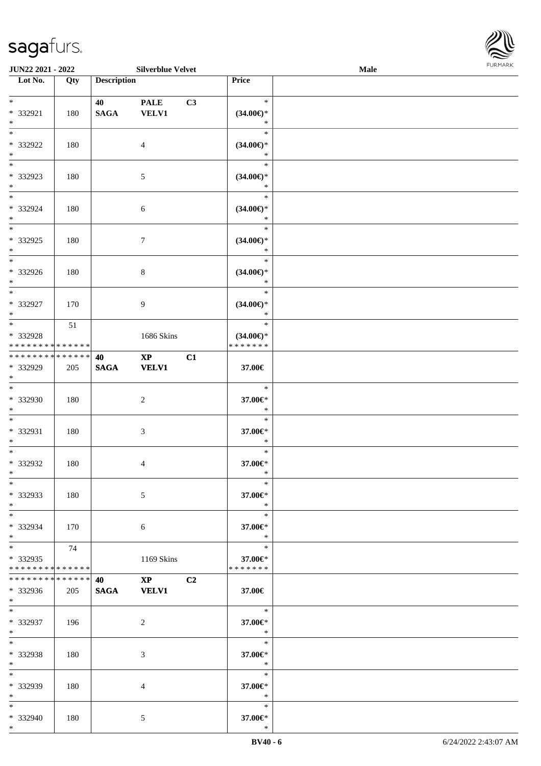

| <b>JUN22 2021 - 2022</b>                                                  |     |                    | <b>Silverblue Velvet</b>               |    |                                                | <b>Male</b> |  |
|---------------------------------------------------------------------------|-----|--------------------|----------------------------------------|----|------------------------------------------------|-------------|--|
| Lot No.                                                                   | Qty | <b>Description</b> |                                        |    | Price                                          |             |  |
| $*$<br>* 332921<br>$\ast$                                                 | 180 | 40<br><b>SAGA</b>  | <b>PALE</b><br><b>VELV1</b>            | C3 | $\ast$<br>$(34.00\epsilon)$ *<br>$\ast$        |             |  |
| $*$<br>* 332922<br>$\ast$                                                 | 180 |                    | $\overline{4}$                         |    | $\ast$<br>$(34.00\epsilon)$ *<br>$\ast$        |             |  |
| $\overline{\phantom{0}}$<br>* 332923<br>$\ast$                            | 180 |                    | 5                                      |    | $\ast$<br>$(34.00\epsilon)$ *<br>$\ast$        |             |  |
| $\ddot{x}$<br>* 332924<br>$*$                                             | 180 |                    | $\sqrt{6}$                             |    | $\ast$<br>$(34.00\epsilon)$ *<br>$\ast$        |             |  |
| $\overline{\ast}$<br>* 332925<br>$\ast$                                   | 180 |                    | $\boldsymbol{7}$                       |    | $\ast$<br>$(34.00\epsilon)$ *<br>$\ast$        |             |  |
| $\overline{\phantom{0}}$<br>* 332926<br>$*$                               | 180 |                    | $\,8\,$                                |    | $\ast$<br>$(34.00\epsilon)$ *<br>$\ast$        |             |  |
| $\overline{\ast}$<br>* 332927<br>$\ast$                                   | 170 |                    | 9                                      |    | $\ast$<br>$(34.00\epsilon)$ *<br>$\ast$        |             |  |
| $\overline{\ast}$<br>* 332928<br>* * * * * * * * <mark>* * * * * *</mark> | 51  |                    | 1686 Skins                             |    | $\ast$<br>$(34.00\epsilon)$ *<br>* * * * * * * |             |  |
| * * * * * * * * * * * * * * <mark>*</mark><br>* 332929<br>$\ast$          | 205 | 40<br><b>SAGA</b>  | $\mathbf{X}\mathbf{P}$<br><b>VELV1</b> | C1 | 37.00€                                         |             |  |
| $\ddot{x}$<br>* 332930<br>$*$                                             | 180 |                    | $\overline{c}$                         |    | $\ast$<br>$37.00 \text{E}$<br>$\ast$           |             |  |
| $*$<br>* 332931<br>$\ast$                                                 | 180 |                    | $\sqrt{3}$                             |    | $\ast$<br>37.00€*<br>$\ast$                    |             |  |
| $*$<br>* 332932<br>$*$                                                    | 180 |                    | $\overline{4}$                         |    | $\ast$<br>37.00€*<br>$\ast$                    |             |  |
| $\ast$<br>* 332933<br>$*$                                                 | 180 |                    | 5                                      |    | $\ast$<br>37.00€*<br>$\ast$                    |             |  |
| $*$ $-$<br>* 332934<br>$\ast$                                             | 170 |                    | 6                                      |    | $\ast$<br>37.00€*<br>$\ast$                    |             |  |
| $\ddot{x}$<br>* 332935<br>* * * * * * * * <mark>* * * * * *</mark>        | 74  |                    | 1169 Skins                             |    | $\ast$<br>37.00€*<br>* * * * * * *             |             |  |
| * * * * * * * * <mark>* * * * * * *</mark><br>* 332936<br>$*$             | 205 | 40<br><b>SAGA</b>  | $\mathbf{X}\mathbf{P}$<br><b>VELV1</b> | C2 | 37.00€                                         |             |  |
| $*$<br>* 332937<br>$*$                                                    | 196 |                    | 2                                      |    | $\ast$<br>37.00€*<br>$*$                       |             |  |
| $\ast$<br>* 332938<br>$\ast$                                              | 180 |                    | 3                                      |    | $\ast$<br>37.00€*<br>$*$                       |             |  |
| $\ast$<br>* 332939<br>$*$                                                 | 180 |                    | $\overline{4}$                         |    | $\ast$<br>37.00€*<br>$\ast$                    |             |  |
| $\ast$<br>* 332940<br>$*$                                                 | 180 |                    | 5                                      |    | $\ast$<br>37.00€*<br>$\ast$                    |             |  |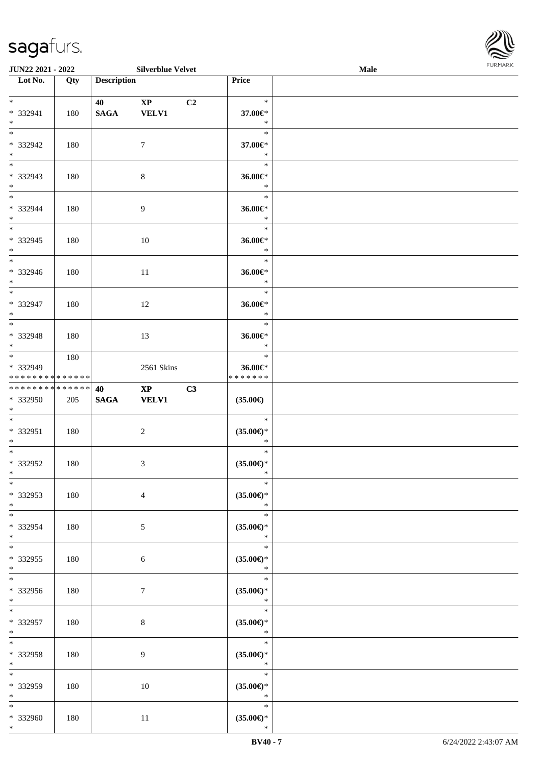

| <b>JUN22 2021 - 2022</b>                         |     |                    | <b>Silverblue Velvet</b>               |                |                                                    | <b>Male</b> |  |
|--------------------------------------------------|-----|--------------------|----------------------------------------|----------------|----------------------------------------------------|-------------|--|
| Lot No.                                          | Qty | <b>Description</b> |                                        |                | Price                                              |             |  |
| $*$<br>* 332941<br>$\ast$                        | 180 | 40<br><b>SAGA</b>  | $\mathbf{X}\mathbf{P}$<br><b>VELV1</b> | C <sub>2</sub> | $\ast$<br>37.00€*<br>$\ast$                        |             |  |
| * 332942<br>$\ast$                               | 180 |                    | $\tau$                                 |                | $\ast$<br>37.00€*<br>$\ast$                        |             |  |
| * 332943<br>$*$                                  | 180 |                    | $\,8\,$                                |                | $\ast$<br>36.00€*<br>$\ast$                        |             |  |
| $*$<br>* 332944<br>$*$<br>$\overline{\ast}$      | 180 |                    | $\overline{9}$                         |                | $\ast$<br>$36.00 \in$<br>$\ast$                    |             |  |
| * 332945<br>$*$                                  | 180 |                    | 10                                     |                | $\ast$<br>36.00€*<br>$\ast$                        |             |  |
| $\overline{\ast}$<br>* 332946<br>$*$             | 180 |                    | 11                                     |                | $\ast$<br>36.00€*<br>$\ast$                        |             |  |
| $\overline{\phantom{0}}$<br>$* 332947$<br>$*$    | 180 |                    | 12                                     |                | $\ast$<br>36.00€*<br>$\ast$                        |             |  |
| * 332948<br>$*$                                  | 180 |                    | 13                                     |                | $\ast$<br>36.00€*<br>$\ast$                        |             |  |
| * 332949<br>* * * * * * * * * * * * * *          | 180 |                    | 2561 Skins                             |                | $\ast$<br>36.00€*<br>* * * * * * *                 |             |  |
| * * * * * * * * * * * * * * *<br>* 332950<br>$*$ | 205 | 40<br><b>SAGA</b>  | $\mathbf{XP}$<br><b>VELV1</b>          | C3             | $(35.00\epsilon)$                                  |             |  |
| $*$<br>* 332951<br>$*$                           | 180 |                    | $\overline{c}$                         |                | $\ast$<br>$(35.00\epsilon)$ *<br>$\ast$            |             |  |
| $*$<br>* 332952<br>$*$                           | 180 |                    | 3                                      |                | $\ast$<br>$(35.00\epsilon)$ *<br>$\ast$            |             |  |
| $*$<br>* 332953<br>$*$                           | 180 |                    | $\overline{4}$                         |                | $\ast$<br>$(35.00\epsilon)$ *<br>$\ast$            |             |  |
| $*$<br>* 332954<br>$*$<br>$*$                    | 180 |                    | 5                                      |                | $\ast$<br>$(35.00\epsilon)$ *<br>$\ast$<br>$\ast$  |             |  |
| * 332955<br>$*$                                  | 180 |                    | 6                                      |                | $(35.00\mathnormal{\infty})^*$<br>$\ast$<br>$\ast$ |             |  |
| * 332956<br>$*$                                  | 180 |                    | 7                                      |                | $(35.00\epsilon)$ *<br>$\ast$                      |             |  |
| $*$<br>* 332957<br>$*$<br>$*$                    | 180 |                    | $8\,$                                  |                | $\ast$<br>$(35.00\epsilon)$ *<br>$\ast$<br>$\ast$  |             |  |
| * 332958<br>$*$                                  | 180 |                    | 9                                      |                | $(35.00\epsilon)$ *<br>$\ast$<br>$\ast$            |             |  |
| $\ast$<br>* 332959<br>$*$                        | 180 |                    | 10                                     |                | $(35.00\epsilon)$ *<br>$\ast$                      |             |  |
| $*$<br>* 332960<br>$*$                           | 180 |                    | 11                                     |                | $\ast$<br>$(35.00\epsilon)$ *<br>$\ast$            |             |  |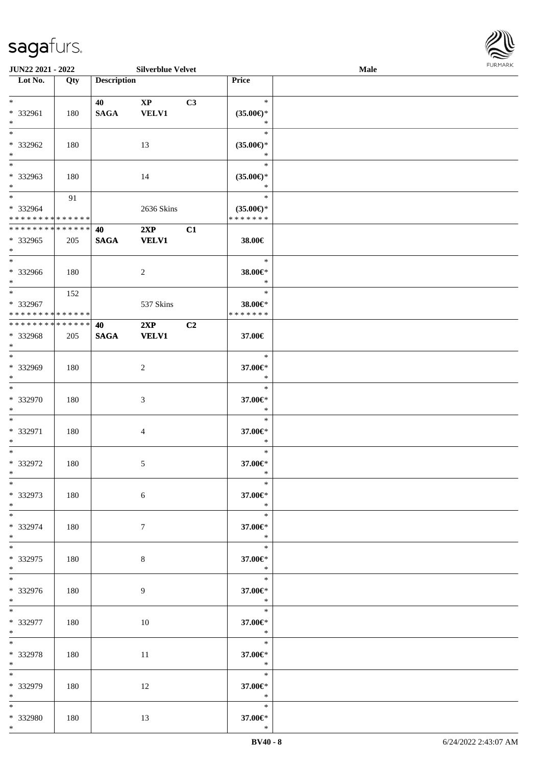| $\ast$<br>* 332961<br>$\ast$                                        | 180 | 40<br><b>SAGA</b> | $\mathbf{XP}$<br><b>VELV1</b> | C3 | $\ast$<br>$(35.00\epsilon)$ *<br>$\ast$        |  |
|---------------------------------------------------------------------|-----|-------------------|-------------------------------|----|------------------------------------------------|--|
| $*$<br>* 332962<br>$*$                                              | 180 |                   | 13                            |    | $\ast$<br>$(35.00\epsilon)$ *<br>$\ast$        |  |
| $\overline{\phantom{0}}$<br>* 332963<br>$*$                         | 180 |                   | 14                            |    | $\ast$<br>$(35.00\epsilon)$ *<br>$\ast$        |  |
| $\overline{\phantom{0}}$<br>* 332964<br>* * * * * * * * * * * * * * | 91  |                   | 2636 Skins                    |    | $\ast$<br>$(35.00\epsilon)$ *<br>* * * * * * * |  |
| ******** <mark>******</mark><br>* 332965<br>$*$                     | 205 | 40<br><b>SAGA</b> | $2XP$ $C1$<br><b>VELV1</b>    |    | 38.00€                                         |  |
| $\overline{\phantom{0}}$<br>* 332966<br>$*$ $-$                     | 180 |                   | $\overline{2}$                |    | $\ast$<br>38.00€*<br>$\ast$                    |  |
| $*$<br>* 332967<br>* * * * * * * * * * * * * *                      | 152 |                   | 537 Skins                     |    | $\ast$<br>38.00€*<br>* * * * * * *             |  |
| **************<br>* 332968<br>$*$                                   | 205 | 40<br><b>SAGA</b> | $2XP$ $C2$<br><b>VELV1</b>    |    | 37.00€                                         |  |
| $\overline{\phantom{0}}$<br>* 332969<br>$*$                         | 180 |                   | $\overline{c}$                |    | $\ast$<br>37.00€*<br>$\ast$                    |  |
| $\overline{\phantom{0}}$<br>* 332970<br>$*$                         | 180 |                   | 3                             |    | $\ast$<br>37.00€*<br>$\ast$                    |  |
| $*$<br>* 332971<br>$*$                                              | 180 |                   | 4                             |    | $\ast$<br>37.00€*<br>$\ast$                    |  |
| $*$<br>* 332972<br>$*$                                              | 180 |                   | $5\,$                         |    | $\ast$<br>37.00€*<br>$\ast$                    |  |
| $*$<br>* 332973<br>$*$                                              | 180 |                   | 6                             |    | $\ast$<br>37.00€*<br>$\ast$                    |  |
| $*$<br>* 332974<br>$*$                                              | 180 |                   | 7                             |    | $\ast$<br>37.00€*<br>$\ast$                    |  |
| $*$<br>* 332975<br>$*$                                              | 180 |                   | 8                             |    | $\ast$<br>37.00€*<br>$\ast$                    |  |
| $\overline{\phantom{0}}$<br>* 332976<br>$*$                         | 180 |                   | 9                             |    | $*$<br>37.00€*<br>$\ast$                       |  |
| $*$ and $*$<br>* 332977<br>$*$                                      | 180 |                   | 10                            |    | 37.00€*<br>$\ast$                              |  |
| $\ast$<br>* 332978<br>$*$                                           | 180 |                   | $11\,$                        |    | $\ast$<br>37.00€*<br>$\ast$                    |  |
| $\ast$<br>* 332979<br>$*$                                           | 180 |                   | 12                            |    | $\ast$<br>37.00€*<br>$\ast$                    |  |
| $*$<br>* 332980<br>$*$                                              | 180 |                   | 13                            |    | $\ast$<br>37.00€*<br>$\ast$                    |  |
|                                                                     |     |                   |                               |    |                                                |  |

 $\overline{\phantom{a}}$ 

**JUN22 2021 - 2022 Silverblue Velvet Male**

**Lot No. Qty Description Price**

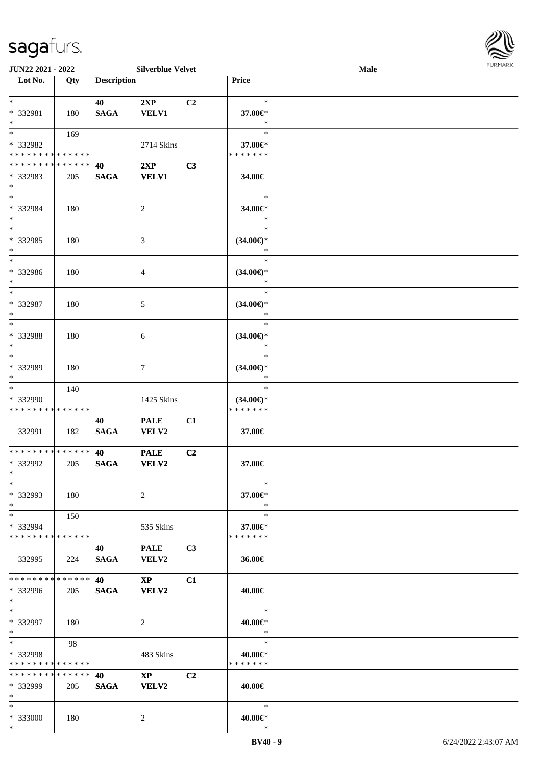

| <b>Description</b><br>Lot No.<br>Price<br>Qty<br>$*$<br>$\ast$<br>40<br>2XP<br>C <sub>2</sub><br>* 332981<br><b>SAGA</b><br><b>VELV1</b><br>37.00€*<br>180<br>$*$<br>$\ast$<br>$*$<br>$\ast$<br>169<br>* 332982<br>2714 Skins<br>37.00€*<br>* * * * * * * * * * * * * *<br>* * * * * * *<br>* * * * * * * * * * * * * * *<br>2XP<br>C3<br>40<br>* 332983<br><b>SAGA</b><br><b>VELV1</b><br>205<br>34.00€<br>$*$<br>$*$<br>$\ast$<br>* 332984<br>34.00€*<br>180<br>$\overline{c}$<br>$*$<br>$\ast$<br>$\overline{\ast}$<br>$\ast$<br>$* 332985$<br>3<br>$(34.00\epsilon)$ *<br>180<br>$\ast$<br>$*$<br>$\ast$<br>$\ast$<br>* 332986<br>$(34.00\epsilon)$ *<br>180<br>4<br>$*$<br>$\ast$<br>$*$<br>$\ast$<br>* 332987<br>5<br>$(34.00\epsilon)$ *<br>180<br>$*$<br>$\ast$<br>$*$<br>$\ast$<br>* 332988<br>$(34.00\epsilon)$ *<br>180<br>6<br>$*$<br>$\ast$<br>$*$<br>$\ast$<br>* 332989<br>$(34.00\epsilon)$ *<br>180<br>7<br>$\ast$<br>$*$<br>$*$<br>$\ast$<br>140<br>* 332990<br>1425 Skins<br>$(34.00\epsilon)$ *<br>* * * * * * *<br>* * * * * * * * * * * * * *<br>40<br><b>PALE</b><br>C1<br>332991<br><b>SAGA</b><br>VELV2<br>182<br>37.00€<br>* * * * * * * * * * * * * * *<br><b>PALE</b><br>C2<br>40<br>* 332992<br>205<br><b>SAGA</b><br><b>VELV2</b><br>37.00€<br>$*$<br>$\ast$<br>$\ast$<br>* 332993<br>2<br>37.00€*<br>180<br>$*$<br>$\ast$<br>$*$<br>$\ast$<br>150<br>* 332994<br>535 Skins<br>37.00€*<br>* * * * * * * * * * * * * *<br>* * * * * * *<br>C3<br><b>PALE</b><br>40<br>332995<br><b>SAGA</b><br>36.00€<br>224<br>VELV2<br>* * * * * * * * * * * * * * *<br>40<br>$\mathbf{X}\mathbf{P}$<br>C1<br>* 332996<br><b>SAGA</b><br>VELV2<br>205<br>40.00€<br>$*$<br>$*$<br>$\ast$<br>* 332997<br>$40.00 \textrm{E}^*$<br>180<br>2<br>$*$<br>$\ast$<br>$*$<br>$\ast$<br>98<br>* 332998<br>483 Skins<br>40.00€*<br>* * * * * * * * * * * * * *<br>* * * * * * *<br>* * * * * * * * * * * * * *<br>$\mathbf{X}\mathbf{P}$<br>C <sub>2</sub><br>40<br>* 332999<br><b>SAGA</b><br>VELV2<br>205<br>40.00€ |  |
|-------------------------------------------------------------------------------------------------------------------------------------------------------------------------------------------------------------------------------------------------------------------------------------------------------------------------------------------------------------------------------------------------------------------------------------------------------------------------------------------------------------------------------------------------------------------------------------------------------------------------------------------------------------------------------------------------------------------------------------------------------------------------------------------------------------------------------------------------------------------------------------------------------------------------------------------------------------------------------------------------------------------------------------------------------------------------------------------------------------------------------------------------------------------------------------------------------------------------------------------------------------------------------------------------------------------------------------------------------------------------------------------------------------------------------------------------------------------------------------------------------------------------------------------------------------------------------------------------------------------------------------------------------------------------------------------------------------------------------------------------------------------------------------------------------------------------------------------------------------------------------------------------------------------------------------------------------------------------------------------------------------------------|--|
|                                                                                                                                                                                                                                                                                                                                                                                                                                                                                                                                                                                                                                                                                                                                                                                                                                                                                                                                                                                                                                                                                                                                                                                                                                                                                                                                                                                                                                                                                                                                                                                                                                                                                                                                                                                                                                                                                                                                                                                                                         |  |
|                                                                                                                                                                                                                                                                                                                                                                                                                                                                                                                                                                                                                                                                                                                                                                                                                                                                                                                                                                                                                                                                                                                                                                                                                                                                                                                                                                                                                                                                                                                                                                                                                                                                                                                                                                                                                                                                                                                                                                                                                         |  |
|                                                                                                                                                                                                                                                                                                                                                                                                                                                                                                                                                                                                                                                                                                                                                                                                                                                                                                                                                                                                                                                                                                                                                                                                                                                                                                                                                                                                                                                                                                                                                                                                                                                                                                                                                                                                                                                                                                                                                                                                                         |  |
|                                                                                                                                                                                                                                                                                                                                                                                                                                                                                                                                                                                                                                                                                                                                                                                                                                                                                                                                                                                                                                                                                                                                                                                                                                                                                                                                                                                                                                                                                                                                                                                                                                                                                                                                                                                                                                                                                                                                                                                                                         |  |
|                                                                                                                                                                                                                                                                                                                                                                                                                                                                                                                                                                                                                                                                                                                                                                                                                                                                                                                                                                                                                                                                                                                                                                                                                                                                                                                                                                                                                                                                                                                                                                                                                                                                                                                                                                                                                                                                                                                                                                                                                         |  |
|                                                                                                                                                                                                                                                                                                                                                                                                                                                                                                                                                                                                                                                                                                                                                                                                                                                                                                                                                                                                                                                                                                                                                                                                                                                                                                                                                                                                                                                                                                                                                                                                                                                                                                                                                                                                                                                                                                                                                                                                                         |  |
|                                                                                                                                                                                                                                                                                                                                                                                                                                                                                                                                                                                                                                                                                                                                                                                                                                                                                                                                                                                                                                                                                                                                                                                                                                                                                                                                                                                                                                                                                                                                                                                                                                                                                                                                                                                                                                                                                                                                                                                                                         |  |
|                                                                                                                                                                                                                                                                                                                                                                                                                                                                                                                                                                                                                                                                                                                                                                                                                                                                                                                                                                                                                                                                                                                                                                                                                                                                                                                                                                                                                                                                                                                                                                                                                                                                                                                                                                                                                                                                                                                                                                                                                         |  |
|                                                                                                                                                                                                                                                                                                                                                                                                                                                                                                                                                                                                                                                                                                                                                                                                                                                                                                                                                                                                                                                                                                                                                                                                                                                                                                                                                                                                                                                                                                                                                                                                                                                                                                                                                                                                                                                                                                                                                                                                                         |  |
|                                                                                                                                                                                                                                                                                                                                                                                                                                                                                                                                                                                                                                                                                                                                                                                                                                                                                                                                                                                                                                                                                                                                                                                                                                                                                                                                                                                                                                                                                                                                                                                                                                                                                                                                                                                                                                                                                                                                                                                                                         |  |
|                                                                                                                                                                                                                                                                                                                                                                                                                                                                                                                                                                                                                                                                                                                                                                                                                                                                                                                                                                                                                                                                                                                                                                                                                                                                                                                                                                                                                                                                                                                                                                                                                                                                                                                                                                                                                                                                                                                                                                                                                         |  |
|                                                                                                                                                                                                                                                                                                                                                                                                                                                                                                                                                                                                                                                                                                                                                                                                                                                                                                                                                                                                                                                                                                                                                                                                                                                                                                                                                                                                                                                                                                                                                                                                                                                                                                                                                                                                                                                                                                                                                                                                                         |  |
|                                                                                                                                                                                                                                                                                                                                                                                                                                                                                                                                                                                                                                                                                                                                                                                                                                                                                                                                                                                                                                                                                                                                                                                                                                                                                                                                                                                                                                                                                                                                                                                                                                                                                                                                                                                                                                                                                                                                                                                                                         |  |
|                                                                                                                                                                                                                                                                                                                                                                                                                                                                                                                                                                                                                                                                                                                                                                                                                                                                                                                                                                                                                                                                                                                                                                                                                                                                                                                                                                                                                                                                                                                                                                                                                                                                                                                                                                                                                                                                                                                                                                                                                         |  |
|                                                                                                                                                                                                                                                                                                                                                                                                                                                                                                                                                                                                                                                                                                                                                                                                                                                                                                                                                                                                                                                                                                                                                                                                                                                                                                                                                                                                                                                                                                                                                                                                                                                                                                                                                                                                                                                                                                                                                                                                                         |  |
|                                                                                                                                                                                                                                                                                                                                                                                                                                                                                                                                                                                                                                                                                                                                                                                                                                                                                                                                                                                                                                                                                                                                                                                                                                                                                                                                                                                                                                                                                                                                                                                                                                                                                                                                                                                                                                                                                                                                                                                                                         |  |
|                                                                                                                                                                                                                                                                                                                                                                                                                                                                                                                                                                                                                                                                                                                                                                                                                                                                                                                                                                                                                                                                                                                                                                                                                                                                                                                                                                                                                                                                                                                                                                                                                                                                                                                                                                                                                                                                                                                                                                                                                         |  |
|                                                                                                                                                                                                                                                                                                                                                                                                                                                                                                                                                                                                                                                                                                                                                                                                                                                                                                                                                                                                                                                                                                                                                                                                                                                                                                                                                                                                                                                                                                                                                                                                                                                                                                                                                                                                                                                                                                                                                                                                                         |  |
|                                                                                                                                                                                                                                                                                                                                                                                                                                                                                                                                                                                                                                                                                                                                                                                                                                                                                                                                                                                                                                                                                                                                                                                                                                                                                                                                                                                                                                                                                                                                                                                                                                                                                                                                                                                                                                                                                                                                                                                                                         |  |
|                                                                                                                                                                                                                                                                                                                                                                                                                                                                                                                                                                                                                                                                                                                                                                                                                                                                                                                                                                                                                                                                                                                                                                                                                                                                                                                                                                                                                                                                                                                                                                                                                                                                                                                                                                                                                                                                                                                                                                                                                         |  |
|                                                                                                                                                                                                                                                                                                                                                                                                                                                                                                                                                                                                                                                                                                                                                                                                                                                                                                                                                                                                                                                                                                                                                                                                                                                                                                                                                                                                                                                                                                                                                                                                                                                                                                                                                                                                                                                                                                                                                                                                                         |  |
|                                                                                                                                                                                                                                                                                                                                                                                                                                                                                                                                                                                                                                                                                                                                                                                                                                                                                                                                                                                                                                                                                                                                                                                                                                                                                                                                                                                                                                                                                                                                                                                                                                                                                                                                                                                                                                                                                                                                                                                                                         |  |
|                                                                                                                                                                                                                                                                                                                                                                                                                                                                                                                                                                                                                                                                                                                                                                                                                                                                                                                                                                                                                                                                                                                                                                                                                                                                                                                                                                                                                                                                                                                                                                                                                                                                                                                                                                                                                                                                                                                                                                                                                         |  |
|                                                                                                                                                                                                                                                                                                                                                                                                                                                                                                                                                                                                                                                                                                                                                                                                                                                                                                                                                                                                                                                                                                                                                                                                                                                                                                                                                                                                                                                                                                                                                                                                                                                                                                                                                                                                                                                                                                                                                                                                                         |  |
|                                                                                                                                                                                                                                                                                                                                                                                                                                                                                                                                                                                                                                                                                                                                                                                                                                                                                                                                                                                                                                                                                                                                                                                                                                                                                                                                                                                                                                                                                                                                                                                                                                                                                                                                                                                                                                                                                                                                                                                                                         |  |
|                                                                                                                                                                                                                                                                                                                                                                                                                                                                                                                                                                                                                                                                                                                                                                                                                                                                                                                                                                                                                                                                                                                                                                                                                                                                                                                                                                                                                                                                                                                                                                                                                                                                                                                                                                                                                                                                                                                                                                                                                         |  |
|                                                                                                                                                                                                                                                                                                                                                                                                                                                                                                                                                                                                                                                                                                                                                                                                                                                                                                                                                                                                                                                                                                                                                                                                                                                                                                                                                                                                                                                                                                                                                                                                                                                                                                                                                                                                                                                                                                                                                                                                                         |  |
|                                                                                                                                                                                                                                                                                                                                                                                                                                                                                                                                                                                                                                                                                                                                                                                                                                                                                                                                                                                                                                                                                                                                                                                                                                                                                                                                                                                                                                                                                                                                                                                                                                                                                                                                                                                                                                                                                                                                                                                                                         |  |
|                                                                                                                                                                                                                                                                                                                                                                                                                                                                                                                                                                                                                                                                                                                                                                                                                                                                                                                                                                                                                                                                                                                                                                                                                                                                                                                                                                                                                                                                                                                                                                                                                                                                                                                                                                                                                                                                                                                                                                                                                         |  |
|                                                                                                                                                                                                                                                                                                                                                                                                                                                                                                                                                                                                                                                                                                                                                                                                                                                                                                                                                                                                                                                                                                                                                                                                                                                                                                                                                                                                                                                                                                                                                                                                                                                                                                                                                                                                                                                                                                                                                                                                                         |  |
|                                                                                                                                                                                                                                                                                                                                                                                                                                                                                                                                                                                                                                                                                                                                                                                                                                                                                                                                                                                                                                                                                                                                                                                                                                                                                                                                                                                                                                                                                                                                                                                                                                                                                                                                                                                                                                                                                                                                                                                                                         |  |
|                                                                                                                                                                                                                                                                                                                                                                                                                                                                                                                                                                                                                                                                                                                                                                                                                                                                                                                                                                                                                                                                                                                                                                                                                                                                                                                                                                                                                                                                                                                                                                                                                                                                                                                                                                                                                                                                                                                                                                                                                         |  |
|                                                                                                                                                                                                                                                                                                                                                                                                                                                                                                                                                                                                                                                                                                                                                                                                                                                                                                                                                                                                                                                                                                                                                                                                                                                                                                                                                                                                                                                                                                                                                                                                                                                                                                                                                                                                                                                                                                                                                                                                                         |  |
|                                                                                                                                                                                                                                                                                                                                                                                                                                                                                                                                                                                                                                                                                                                                                                                                                                                                                                                                                                                                                                                                                                                                                                                                                                                                                                                                                                                                                                                                                                                                                                                                                                                                                                                                                                                                                                                                                                                                                                                                                         |  |
|                                                                                                                                                                                                                                                                                                                                                                                                                                                                                                                                                                                                                                                                                                                                                                                                                                                                                                                                                                                                                                                                                                                                                                                                                                                                                                                                                                                                                                                                                                                                                                                                                                                                                                                                                                                                                                                                                                                                                                                                                         |  |
|                                                                                                                                                                                                                                                                                                                                                                                                                                                                                                                                                                                                                                                                                                                                                                                                                                                                                                                                                                                                                                                                                                                                                                                                                                                                                                                                                                                                                                                                                                                                                                                                                                                                                                                                                                                                                                                                                                                                                                                                                         |  |
|                                                                                                                                                                                                                                                                                                                                                                                                                                                                                                                                                                                                                                                                                                                                                                                                                                                                                                                                                                                                                                                                                                                                                                                                                                                                                                                                                                                                                                                                                                                                                                                                                                                                                                                                                                                                                                                                                                                                                                                                                         |  |
|                                                                                                                                                                                                                                                                                                                                                                                                                                                                                                                                                                                                                                                                                                                                                                                                                                                                                                                                                                                                                                                                                                                                                                                                                                                                                                                                                                                                                                                                                                                                                                                                                                                                                                                                                                                                                                                                                                                                                                                                                         |  |
|                                                                                                                                                                                                                                                                                                                                                                                                                                                                                                                                                                                                                                                                                                                                                                                                                                                                                                                                                                                                                                                                                                                                                                                                                                                                                                                                                                                                                                                                                                                                                                                                                                                                                                                                                                                                                                                                                                                                                                                                                         |  |
|                                                                                                                                                                                                                                                                                                                                                                                                                                                                                                                                                                                                                                                                                                                                                                                                                                                                                                                                                                                                                                                                                                                                                                                                                                                                                                                                                                                                                                                                                                                                                                                                                                                                                                                                                                                                                                                                                                                                                                                                                         |  |
|                                                                                                                                                                                                                                                                                                                                                                                                                                                                                                                                                                                                                                                                                                                                                                                                                                                                                                                                                                                                                                                                                                                                                                                                                                                                                                                                                                                                                                                                                                                                                                                                                                                                                                                                                                                                                                                                                                                                                                                                                         |  |
|                                                                                                                                                                                                                                                                                                                                                                                                                                                                                                                                                                                                                                                                                                                                                                                                                                                                                                                                                                                                                                                                                                                                                                                                                                                                                                                                                                                                                                                                                                                                                                                                                                                                                                                                                                                                                                                                                                                                                                                                                         |  |
|                                                                                                                                                                                                                                                                                                                                                                                                                                                                                                                                                                                                                                                                                                                                                                                                                                                                                                                                                                                                                                                                                                                                                                                                                                                                                                                                                                                                                                                                                                                                                                                                                                                                                                                                                                                                                                                                                                                                                                                                                         |  |
|                                                                                                                                                                                                                                                                                                                                                                                                                                                                                                                                                                                                                                                                                                                                                                                                                                                                                                                                                                                                                                                                                                                                                                                                                                                                                                                                                                                                                                                                                                                                                                                                                                                                                                                                                                                                                                                                                                                                                                                                                         |  |
|                                                                                                                                                                                                                                                                                                                                                                                                                                                                                                                                                                                                                                                                                                                                                                                                                                                                                                                                                                                                                                                                                                                                                                                                                                                                                                                                                                                                                                                                                                                                                                                                                                                                                                                                                                                                                                                                                                                                                                                                                         |  |
|                                                                                                                                                                                                                                                                                                                                                                                                                                                                                                                                                                                                                                                                                                                                                                                                                                                                                                                                                                                                                                                                                                                                                                                                                                                                                                                                                                                                                                                                                                                                                                                                                                                                                                                                                                                                                                                                                                                                                                                                                         |  |
|                                                                                                                                                                                                                                                                                                                                                                                                                                                                                                                                                                                                                                                                                                                                                                                                                                                                                                                                                                                                                                                                                                                                                                                                                                                                                                                                                                                                                                                                                                                                                                                                                                                                                                                                                                                                                                                                                                                                                                                                                         |  |
|                                                                                                                                                                                                                                                                                                                                                                                                                                                                                                                                                                                                                                                                                                                                                                                                                                                                                                                                                                                                                                                                                                                                                                                                                                                                                                                                                                                                                                                                                                                                                                                                                                                                                                                                                                                                                                                                                                                                                                                                                         |  |
|                                                                                                                                                                                                                                                                                                                                                                                                                                                                                                                                                                                                                                                                                                                                                                                                                                                                                                                                                                                                                                                                                                                                                                                                                                                                                                                                                                                                                                                                                                                                                                                                                                                                                                                                                                                                                                                                                                                                                                                                                         |  |
|                                                                                                                                                                                                                                                                                                                                                                                                                                                                                                                                                                                                                                                                                                                                                                                                                                                                                                                                                                                                                                                                                                                                                                                                                                                                                                                                                                                                                                                                                                                                                                                                                                                                                                                                                                                                                                                                                                                                                                                                                         |  |
|                                                                                                                                                                                                                                                                                                                                                                                                                                                                                                                                                                                                                                                                                                                                                                                                                                                                                                                                                                                                                                                                                                                                                                                                                                                                                                                                                                                                                                                                                                                                                                                                                                                                                                                                                                                                                                                                                                                                                                                                                         |  |
|                                                                                                                                                                                                                                                                                                                                                                                                                                                                                                                                                                                                                                                                                                                                                                                                                                                                                                                                                                                                                                                                                                                                                                                                                                                                                                                                                                                                                                                                                                                                                                                                                                                                                                                                                                                                                                                                                                                                                                                                                         |  |
|                                                                                                                                                                                                                                                                                                                                                                                                                                                                                                                                                                                                                                                                                                                                                                                                                                                                                                                                                                                                                                                                                                                                                                                                                                                                                                                                                                                                                                                                                                                                                                                                                                                                                                                                                                                                                                                                                                                                                                                                                         |  |
|                                                                                                                                                                                                                                                                                                                                                                                                                                                                                                                                                                                                                                                                                                                                                                                                                                                                                                                                                                                                                                                                                                                                                                                                                                                                                                                                                                                                                                                                                                                                                                                                                                                                                                                                                                                                                                                                                                                                                                                                                         |  |
|                                                                                                                                                                                                                                                                                                                                                                                                                                                                                                                                                                                                                                                                                                                                                                                                                                                                                                                                                                                                                                                                                                                                                                                                                                                                                                                                                                                                                                                                                                                                                                                                                                                                                                                                                                                                                                                                                                                                                                                                                         |  |
|                                                                                                                                                                                                                                                                                                                                                                                                                                                                                                                                                                                                                                                                                                                                                                                                                                                                                                                                                                                                                                                                                                                                                                                                                                                                                                                                                                                                                                                                                                                                                                                                                                                                                                                                                                                                                                                                                                                                                                                                                         |  |
|                                                                                                                                                                                                                                                                                                                                                                                                                                                                                                                                                                                                                                                                                                                                                                                                                                                                                                                                                                                                                                                                                                                                                                                                                                                                                                                                                                                                                                                                                                                                                                                                                                                                                                                                                                                                                                                                                                                                                                                                                         |  |
|                                                                                                                                                                                                                                                                                                                                                                                                                                                                                                                                                                                                                                                                                                                                                                                                                                                                                                                                                                                                                                                                                                                                                                                                                                                                                                                                                                                                                                                                                                                                                                                                                                                                                                                                                                                                                                                                                                                                                                                                                         |  |
|                                                                                                                                                                                                                                                                                                                                                                                                                                                                                                                                                                                                                                                                                                                                                                                                                                                                                                                                                                                                                                                                                                                                                                                                                                                                                                                                                                                                                                                                                                                                                                                                                                                                                                                                                                                                                                                                                                                                                                                                                         |  |
|                                                                                                                                                                                                                                                                                                                                                                                                                                                                                                                                                                                                                                                                                                                                                                                                                                                                                                                                                                                                                                                                                                                                                                                                                                                                                                                                                                                                                                                                                                                                                                                                                                                                                                                                                                                                                                                                                                                                                                                                                         |  |
| $*$                                                                                                                                                                                                                                                                                                                                                                                                                                                                                                                                                                                                                                                                                                                                                                                                                                                                                                                                                                                                                                                                                                                                                                                                                                                                                                                                                                                                                                                                                                                                                                                                                                                                                                                                                                                                                                                                                                                                                                                                                     |  |
| $*$<br>$\ast$                                                                                                                                                                                                                                                                                                                                                                                                                                                                                                                                                                                                                                                                                                                                                                                                                                                                                                                                                                                                                                                                                                                                                                                                                                                                                                                                                                                                                                                                                                                                                                                                                                                                                                                                                                                                                                                                                                                                                                                                           |  |
| * 333000<br>40.00€*                                                                                                                                                                                                                                                                                                                                                                                                                                                                                                                                                                                                                                                                                                                                                                                                                                                                                                                                                                                                                                                                                                                                                                                                                                                                                                                                                                                                                                                                                                                                                                                                                                                                                                                                                                                                                                                                                                                                                                                                     |  |
| 180<br>2<br>$*$<br>$\ast$                                                                                                                                                                                                                                                                                                                                                                                                                                                                                                                                                                                                                                                                                                                                                                                                                                                                                                                                                                                                                                                                                                                                                                                                                                                                                                                                                                                                                                                                                                                                                                                                                                                                                                                                                                                                                                                                                                                                                                                               |  |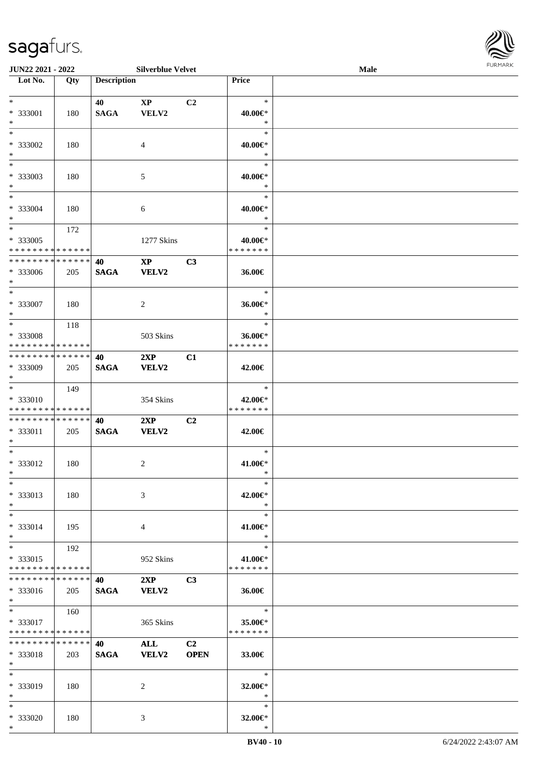

| <b>JUN22 2021 - 2022</b>                   |     |                    | <b>Silverblue Velvet</b> |                |                   | <b>Male</b> |  |
|--------------------------------------------|-----|--------------------|--------------------------|----------------|-------------------|-------------|--|
| Lot No.                                    | Qty | <b>Description</b> |                          |                | Price             |             |  |
|                                            |     |                    |                          |                |                   |             |  |
| $*$                                        |     | 40                 | $\mathbf{X}\mathbf{P}$   | C <sub>2</sub> | $\ast$            |             |  |
| * 333001                                   | 180 | <b>SAGA</b>        | VELV2                    |                | 40.00€*           |             |  |
| $*$                                        |     |                    |                          |                | $\ast$            |             |  |
| $*$                                        |     |                    |                          |                | $\ast$            |             |  |
| * 333002                                   | 180 |                    | $\overline{4}$           |                | 40.00€*           |             |  |
| $*$                                        |     |                    |                          |                | $\ast$            |             |  |
|                                            |     |                    |                          |                | $\ast$            |             |  |
|                                            |     |                    |                          |                |                   |             |  |
| * 333003                                   | 180 |                    | 5                        |                | 40.00€*<br>$\ast$ |             |  |
| $*$                                        |     |                    |                          |                |                   |             |  |
| $*$                                        |     |                    |                          |                | $\ast$            |             |  |
| * 333004                                   | 180 |                    | 6                        |                | 40.00€*           |             |  |
| $*$                                        |     |                    |                          |                | $\ast$            |             |  |
| $*$                                        | 172 |                    |                          |                | $\ast$            |             |  |
| * 333005                                   |     |                    | 1277 Skins               |                | 40.00€*           |             |  |
| * * * * * * * * * * * * * *                |     |                    |                          |                | * * * * * * *     |             |  |
| * * * * * * * * <mark>* * * * * * *</mark> |     | 40                 | $\mathbf{X}\mathbf{P}$   | C3             |                   |             |  |
| * 333006                                   | 205 | <b>SAGA</b>        | VELV2                    |                | 36.00€            |             |  |
| $*$                                        |     |                    |                          |                |                   |             |  |
| $*$                                        |     |                    |                          |                | $\ast$            |             |  |
| * 333007                                   |     |                    |                          |                |                   |             |  |
| $*$                                        | 180 |                    | 2                        |                | 36.00€*<br>$\ast$ |             |  |
|                                            |     |                    |                          |                |                   |             |  |
| $*$                                        | 118 |                    |                          |                | $\ast$            |             |  |
| * 333008                                   |     |                    | 503 Skins                |                | 36.00€*           |             |  |
| * * * * * * * * * * * * * *                |     |                    |                          |                | * * * * * * *     |             |  |
| * * * * * * * * * * * * * * *              |     | 40                 | 2XP                      | C1             |                   |             |  |
| * 333009                                   | 205 | <b>SAGA</b>        | <b>VELV2</b>             |                | 42.00€            |             |  |
| $*$                                        |     |                    |                          |                |                   |             |  |
| $*$                                        | 149 |                    |                          |                | $\ast$            |             |  |
| * 333010                                   |     |                    | 354 Skins                |                | 42.00€*           |             |  |
| * * * * * * * * * * * * * *                |     |                    |                          |                | * * * * * * *     |             |  |
| * * * * * * * * * * * * * * *              |     | 40                 | 2XP                      | C2             |                   |             |  |
| * 333011                                   | 205 | <b>SAGA</b>        | VELV2                    |                | 42.00€            |             |  |
| $*$                                        |     |                    |                          |                |                   |             |  |
| $*$                                        |     |                    |                          |                | $\ast$            |             |  |
|                                            |     |                    |                          |                |                   |             |  |
| * 333012                                   | 180 |                    | 2                        |                | 41.00€*           |             |  |
| $*$                                        |     |                    |                          |                | $\ast$            |             |  |
| $*$                                        |     |                    |                          |                | $\ast$            |             |  |
| * 333013                                   | 180 |                    | 3                        |                | 42.00€*           |             |  |
| $*$                                        |     |                    |                          |                | $\ast$            |             |  |
| $*$                                        |     |                    |                          |                | $\ast$            |             |  |
| * 333014                                   | 195 |                    | 4                        |                | 41.00€*           |             |  |
| $*$                                        |     |                    |                          |                | $\ast$            |             |  |
| $*$                                        | 192 |                    |                          |                | $\ast$            |             |  |
| * 333015                                   |     |                    | 952 Skins                |                | 41.00€*           |             |  |
| * * * * * * * * * * * * * *                |     |                    |                          |                | * * * * * * *     |             |  |
| * * * * * * * * * * * * * * *              |     |                    |                          |                |                   |             |  |
|                                            |     | 40                 | 2XP                      | C <sub>3</sub> |                   |             |  |
| * 333016                                   | 205 | <b>SAGA</b>        | <b>VELV2</b>             |                | 36.00€            |             |  |
| $*$                                        |     |                    |                          |                |                   |             |  |
| $*$ $-$                                    | 160 |                    |                          |                | $\ast$            |             |  |
| * 333017                                   |     |                    | 365 Skins                |                | 35.00€*           |             |  |
| * * * * * * * * * * * * * *                |     |                    |                          |                | * * * * * * *     |             |  |
| * * * * * * * * * * * * * * *              |     | 40                 | <b>ALL</b>               | C <sub>2</sub> |                   |             |  |
| * 333018                                   | 203 | <b>SAGA</b>        | <b>VELV2</b>             | <b>OPEN</b>    | 33.00€            |             |  |
| $*$                                        |     |                    |                          |                |                   |             |  |
| $*$                                        |     |                    |                          |                | $\ast$            |             |  |
| * 333019                                   | 180 |                    | 2                        |                | 32.00€*           |             |  |
| $*$                                        |     |                    |                          |                | $\ast$            |             |  |
|                                            |     |                    |                          |                | $\ast$            |             |  |
| $*$                                        |     |                    |                          |                |                   |             |  |
| * 333020                                   | 180 |                    | 3                        |                | 32.00€*           |             |  |
| $*$                                        |     |                    |                          |                | $\ast$            |             |  |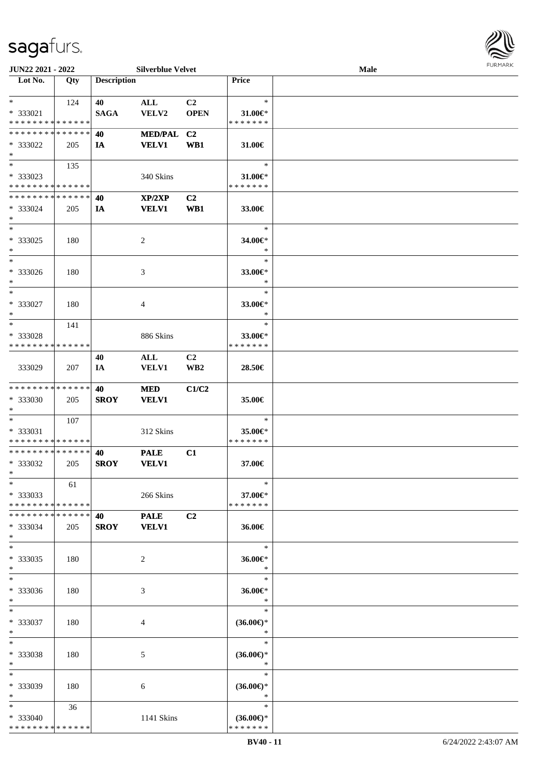\*

\*

\*

\*

\*

\*

\*

\*

\*

\*

\*

\*

\*

\*

\*

\*

\*

\*

\*

\*

\*

\*

\*

\* 333040

\* \* \* \* \* \* \* \* \* \* \* \* \* \*

| Lot No.                                    | Qty | <b>Description</b> |                |                 | Price               |  |
|--------------------------------------------|-----|--------------------|----------------|-----------------|---------------------|--|
| $*$                                        |     |                    |                |                 | $\ast$              |  |
|                                            | 124 | 40                 | ALL            | C <sub>2</sub>  |                     |  |
| * 333021                                   |     | <b>SAGA</b>        | VELV2          | <b>OPEN</b>     | $31.00 \in$ *       |  |
| * * * * * * * * * * * * * *                |     |                    |                |                 | * * * * * * *       |  |
| * * * * * * * * <mark>* * * * * * *</mark> |     | 40                 | MED/PAL C2     |                 |                     |  |
| * 333022                                   | 205 | IA                 | <b>VELV1</b>   | WB1             | 31.00€              |  |
| $\ast$                                     |     |                    |                |                 |                     |  |
|                                            | 135 |                    |                |                 | $\ast$              |  |
| * 333023                                   |     |                    | 340 Skins      |                 | 31.00€*             |  |
| * * * * * * * * <mark>* * * * * * *</mark> |     |                    |                |                 | * * * * * * *       |  |
| * * * * * * * * <mark>* * * * * * *</mark> |     | 40                 | XP/2XP         | C <sub>2</sub>  |                     |  |
|                                            |     |                    |                |                 |                     |  |
| * 333024                                   | 205 | IA                 | <b>VELV1</b>   | WB1             | 33.00€              |  |
| $\ast$<br>$*$                              |     |                    |                |                 |                     |  |
|                                            |     |                    |                |                 | $\ast$              |  |
| * 333025                                   | 180 |                    | 2              |                 | 34.00€*             |  |
| $\ast$                                     |     |                    |                |                 | $\ast$              |  |
|                                            |     |                    |                |                 | $\ast$              |  |
| * 333026                                   | 180 |                    | 3              |                 | 33.00€*             |  |
| $\ast$                                     |     |                    |                |                 | $\ast$              |  |
| $*$                                        |     |                    |                |                 | $\ast$              |  |
| * 333027                                   | 180 |                    | $\overline{4}$ |                 | 33.00€*             |  |
|                                            |     |                    |                |                 | $\ast$              |  |
| $*$<br>$\ddot{x}$                          |     |                    |                |                 |                     |  |
|                                            | 141 |                    |                |                 | $\ast$              |  |
| * 333028                                   |     |                    | 886 Skins      |                 | 33.00€*             |  |
| * * * * * * * * * * * * * *                |     |                    |                |                 | * * * * * * *       |  |
|                                            |     | 40                 | ALL            | C <sub>2</sub>  |                     |  |
| 333029                                     | 207 | IA                 | <b>VELV1</b>   | WB <sub>2</sub> | 28.50€              |  |
|                                            |     |                    |                |                 |                     |  |
| * * * * * * * * <mark>* * * * * * *</mark> |     | 40                 | <b>MED</b>     | C1/C2           |                     |  |
| * 333030                                   | 205 | <b>SROY</b>        | <b>VELV1</b>   |                 | 35.00€              |  |
| $\ast$                                     |     |                    |                |                 |                     |  |
| $*$ $-$                                    |     |                    |                |                 | $\ast$              |  |
|                                            | 107 |                    |                |                 |                     |  |
| * 333031                                   |     |                    | 312 Skins      |                 | 35.00€*             |  |
| * * * * * * * * <mark>* * * * * * *</mark> |     |                    |                |                 | * * * * * * *       |  |
| * * * * * * * * <mark>* * * * * * *</mark> |     | 40                 | <b>PALE</b>    | C1              |                     |  |
| * 333032                                   | 205 | <b>SROY</b>        | <b>VELV1</b>   |                 | 37.00€              |  |
| $\ast$                                     |     |                    |                |                 |                     |  |
| $\ast$                                     | 61  |                    |                |                 | $*$                 |  |
| * 333033                                   |     |                    | 266 Skins      |                 | 37.00€*             |  |
| * * * * * * * * * * * * * *                |     |                    |                |                 | * * * * * * *       |  |
| * * * * * * * * * * * * * *                |     | 40                 | <b>PALE</b>    | C2              |                     |  |
|                                            |     |                    |                |                 |                     |  |
| * 333034                                   | 205 | <b>SROY</b>        | <b>VELV1</b>   |                 | 36.00€              |  |
| $\ast$                                     |     |                    |                |                 |                     |  |
| $*$                                        |     |                    |                |                 | $\ast$              |  |
| * 333035                                   | 180 |                    | 2              |                 | 36.00€*             |  |
| $\ast$                                     |     |                    |                |                 | $\ast$              |  |
|                                            |     |                    |                |                 | $\ast$              |  |
| * 333036                                   | 180 |                    | 3              |                 | 36.00€*             |  |
| $\ast$                                     |     |                    |                |                 | $\ast$              |  |
| $\ast$                                     |     |                    |                |                 | $\ast$              |  |
| * 333037                                   | 180 |                    | 4              |                 | $(36.00\epsilon)$ * |  |
| $\ast$                                     |     |                    |                |                 | $\ast$              |  |
|                                            |     |                    |                |                 |                     |  |
| $*$                                        |     |                    |                |                 | $\ast$              |  |
| * 333038                                   | 180 |                    | 5              |                 | $(36.00\epsilon)$ * |  |
| $\ast$                                     |     |                    |                |                 | ∗                   |  |
| $\ast$                                     |     |                    |                |                 | $\ast$              |  |
| * 333039                                   | 180 |                    | 6              |                 | $(36.00\epsilon)$ * |  |
| $\ast$                                     |     |                    |                |                 | $\ast$              |  |
| $\ast$                                     | 36  |                    |                |                 | $\ast$              |  |
|                                            |     |                    |                |                 |                     |  |

**JUN22 2021 - 2022 Silverblue Velvet Male**

\* **(36.00€)**\* \* \* \* \* \* \*

1141 Skins

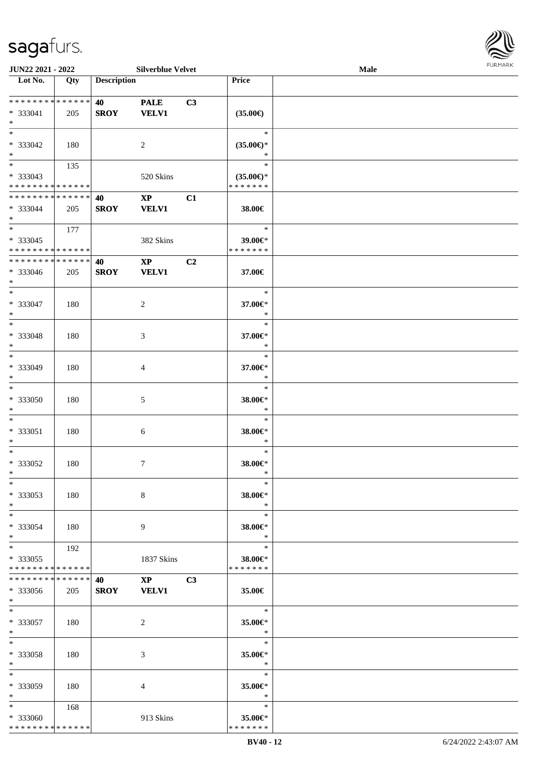

| JUN22 2021 - 2022                         |                   |                    | <b>Silverblue Velvet</b> |                |                          | Male |  |
|-------------------------------------------|-------------------|--------------------|--------------------------|----------------|--------------------------|------|--|
| Lot No.                                   | $\overline{Q}$ ty | <b>Description</b> |                          |                | Price                    |      |  |
|                                           |                   |                    |                          |                |                          |      |  |
| * * * * * * * * * * * * * *               |                   | 40                 | <b>PALE</b>              | C3             |                          |      |  |
| * 333041                                  | 205               | <b>SROY</b>        | <b>VELV1</b>             |                | $(35.00\epsilon)$        |      |  |
| $\ast$                                    |                   |                    |                          |                |                          |      |  |
| $\overline{\ast}$                         |                   |                    |                          |                | $\ast$                   |      |  |
| * 333042                                  | 180               |                    | 2                        |                | $(35.00\epsilon)$ *      |      |  |
| $\ast$                                    |                   |                    |                          |                | ∗                        |      |  |
| $\overline{\phantom{0}}$                  | 135               |                    |                          |                | $\ast$                   |      |  |
| * 333043                                  |                   |                    | 520 Skins                |                | $(35.00\epsilon)$ *      |      |  |
| * * * * * * * * * * * * * *               |                   |                    |                          |                | * * * * * * *            |      |  |
| **************                            |                   | 40                 | $\mathbf{X}\mathbf{P}$   | C1             |                          |      |  |
| * 333044                                  | 205               | <b>SROY</b>        | <b>VELV1</b>             |                | 38.00€                   |      |  |
| $\ast$                                    |                   |                    |                          |                |                          |      |  |
| $\overline{\phantom{0}}$                  | 177               |                    |                          |                | $\ast$                   |      |  |
|                                           |                   |                    |                          |                |                          |      |  |
| * 333045<br>* * * * * * * * * * * * * * * |                   |                    | 382 Skins                |                | 39.00€*<br>* * * * * * * |      |  |
|                                           |                   |                    |                          |                |                          |      |  |
| * * * * * * * * * * * * * *               |                   | 40                 | $\mathbf{XP}$            | C2             |                          |      |  |
| * 333046                                  | 205               | <b>SROY</b>        | <b>VELV1</b>             |                | 37.00€                   |      |  |
| $\ast$                                    |                   |                    |                          |                |                          |      |  |
| $\ast$                                    |                   |                    |                          |                | $\ast$                   |      |  |
| $* 333047$                                | 180               |                    | $\overline{c}$           |                | 37.00€*                  |      |  |
| $\ast$                                    |                   |                    |                          |                | $\ast$                   |      |  |
| $\ast$                                    |                   |                    |                          |                | $\ast$                   |      |  |
| * 333048                                  | 180               |                    | 3                        |                | 37.00€*                  |      |  |
| $\ast$                                    |                   |                    |                          |                | $\ast$                   |      |  |
| $\overline{\phantom{a}^*}$                |                   |                    |                          |                | $\ast$                   |      |  |
| * 333049                                  | 180               |                    | 4                        |                | 37.00€*                  |      |  |
| $\ast$                                    |                   |                    |                          |                | $\ast$                   |      |  |
| $\ast$                                    |                   |                    |                          |                | $\ast$                   |      |  |
| * 333050                                  | 180               |                    | $\mathfrak{S}$           |                | 38.00€*                  |      |  |
| $\ast$                                    |                   |                    |                          |                | $\ast$                   |      |  |
| $\ast$                                    |                   |                    |                          |                | $\ast$                   |      |  |
|                                           |                   |                    |                          |                |                          |      |  |
| * 333051                                  | 180               |                    | $6\phantom{.}6$          |                | 38.00€*                  |      |  |
| $\ast$                                    |                   |                    |                          |                | $\ast$                   |      |  |
| $\ast$                                    |                   |                    |                          |                | $\ast$                   |      |  |
| $* 333052$                                | 180               |                    | $\tau$                   |                | 38.00€*                  |      |  |
| $*$                                       |                   |                    |                          |                | $\ast$                   |      |  |
| $*$                                       |                   |                    |                          |                | $\ast$                   |      |  |
| * 333053                                  | 180               |                    | 8                        |                | 38.00€*                  |      |  |
| $*$                                       |                   |                    |                          |                | $\ast$                   |      |  |
| $*$                                       |                   |                    |                          |                | $\ast$                   |      |  |
| * 333054                                  | 180               |                    | 9                        |                | 38.00€*                  |      |  |
| $*$                                       |                   |                    |                          |                | $\ast$                   |      |  |
| $*$                                       | 192               |                    |                          |                | $\ast$                   |      |  |
| * 333055                                  |                   |                    | 1837 Skins               |                | 38.00€*                  |      |  |
| * * * * * * * * * * * * * *               |                   |                    |                          |                | * * * * * * *            |      |  |
| **************                            |                   | 40                 | $\mathbf{XP}$            | C <sub>3</sub> |                          |      |  |
| * 333056                                  | 205               | <b>SROY</b>        | <b>VELV1</b>             |                | 35.00€                   |      |  |
| $*$                                       |                   |                    |                          |                |                          |      |  |
| $*$                                       |                   |                    |                          |                | $\ast$                   |      |  |
| * 333057                                  | 180               |                    | 2                        |                | 35.00€*                  |      |  |
| $*$                                       |                   |                    |                          |                | $\ast$                   |      |  |
| $\ast$                                    |                   |                    |                          |                | $\ast$                   |      |  |
|                                           |                   |                    |                          |                |                          |      |  |
| * 333058<br>$*$                           | 180               |                    | 3                        |                | 35.00€*<br>$\ast$        |      |  |
|                                           |                   |                    |                          |                |                          |      |  |
| $\ast$                                    |                   |                    |                          |                | $\ast$                   |      |  |
| * 333059                                  | 180               |                    | 4                        |                | 35.00€*                  |      |  |
| $*$                                       |                   |                    |                          |                | $\ast$                   |      |  |
| $*$ $*$                                   | 168               |                    |                          |                | $\ast$                   |      |  |
| * 333060                                  |                   |                    | 913 Skins                |                | 35.00€*                  |      |  |
| * * * * * * * * * * * * * *               |                   |                    |                          |                | * * * * * * *            |      |  |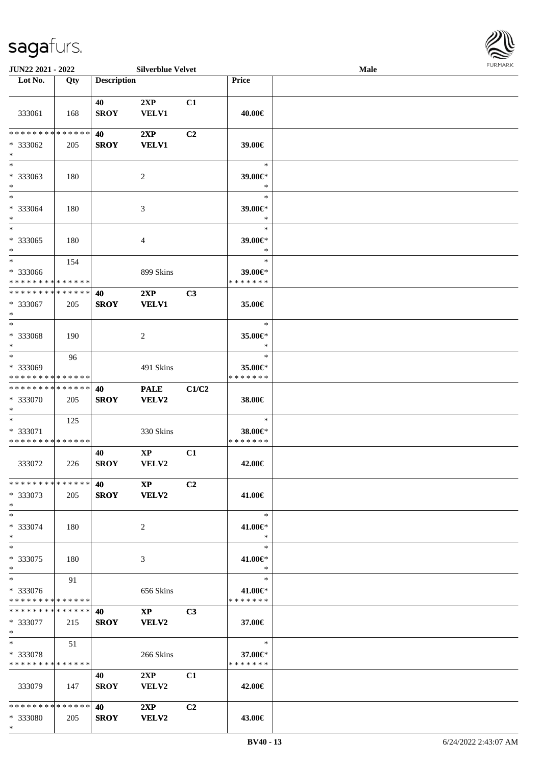

| JUN22 2021 - 2022                                    |               |                    | <b>Silverblue Velvet</b>                |                |                                    | Male | 1011111111 |
|------------------------------------------------------|---------------|--------------------|-----------------------------------------|----------------|------------------------------------|------|------------|
| Lot No.                                              | Qty           | <b>Description</b> |                                         |                | Price                              |      |            |
| 333061                                               | 168           | 40<br><b>SROY</b>  | 2XP<br>VELV1                            | C1             | 40.00€                             |      |            |
| * * * * * * * *<br>* 333062<br>$*$                   | ******<br>205 | 40<br><b>SROY</b>  | 2XP<br><b>VELV1</b>                     | C <sub>2</sub> | 39.00€                             |      |            |
| $*$<br>* 333063<br>$*$                               | 180           |                    | 2                                       |                | $\ast$<br>39.00€*<br>$\ast$        |      |            |
| $*$<br>* 333064<br>$*$                               | 180           |                    | $\mathfrak{Z}$                          |                | $\ast$<br>39.00€*<br>$\ast$        |      |            |
| $*$<br>$* 333065$<br>$\ast$                          | 180           |                    | 4                                       |                | $\ast$<br>39.00€*<br>$\ast$        |      |            |
| $*$<br>* 333066<br>* * * * * * * * * * * * * *       | 154           |                    | 899 Skins                               |                | $\ast$<br>39.00€*<br>* * * * * * * |      |            |
| * * * * * * * * * * * * * *<br>* 333067<br>$*$       | 205           | 40<br><b>SROY</b>  | 2XP<br><b>VELV1</b>                     | C3             | 35.00€                             |      |            |
| $*$<br>* 333068<br>$*$                               | 190           |                    | 2                                       |                | $\ast$<br>35.00€*<br>$\ast$        |      |            |
| $*$<br>* 333069<br>* * * * * * * * * * * * * *       | 96            |                    | 491 Skins                               |                | $\ast$<br>35.00€*<br>* * * * * * * |      |            |
| * * * * * * * * * * * * * *<br>* 333070<br>$*$       | 205           | 40<br><b>SROY</b>  | <b>PALE</b><br>VELV2                    | C1/C2          | 38.00€                             |      |            |
| $*$<br>* 333071<br>* * * * * * * * * * * * * *       | 125           |                    | 330 Skins                               |                | $\ast$<br>38.00€*<br>* * * * * * * |      |            |
| 333072                                               | 226           | 40<br><b>SROY</b>  | $\mathbf{XP}$<br>VELV2                  | C1             | 42.00€                             |      |            |
| * * * * * * * * * * * * * * *<br>* 333073<br>$*$     | 205           | 40<br><b>SROY</b>  | $\mathbf{X} \mathbf{P}$<br><b>VELV2</b> | C2             | 41.00€                             |      |            |
| $*$<br>* 333074<br>$*$                               | 180           |                    | 2                                       |                | $\ast$<br>41.00€*<br>$\ast$        |      |            |
| $*$<br>* 333075<br>$*$                               | 180           |                    | 3                                       |                | $\ast$<br>41.00€*<br>$\ast$        |      |            |
| $*$<br>* 333076<br>* * * * * * * * * * * * * *       | 91            |                    | 656 Skins                               |                | $\ast$<br>41.00€*<br>* * * * * * * |      |            |
| * * * * * * * * * * * * * * *<br>* 333077<br>$*$ $*$ | 215           | 40<br><b>SROY</b>  | $\mathbf{X}\mathbf{P}$<br><b>VELV2</b>  | C <sub>3</sub> | 37.00€                             |      |            |
| $*$ $*$<br>* 333078<br>* * * * * * * * * * * * * *   | 51            |                    | 266 Skins                               |                | $\ast$<br>37.00€*<br>* * * * * * * |      |            |
| 333079                                               | 147           | 40<br><b>SROY</b>  | 2XP<br>VELV2                            | C1             | 42.00€                             |      |            |
| * * * * * * * * * * * * * * *<br>* 333080            | 205           | 40<br><b>SROY</b>  | 2XP<br>VELV2                            | C <sub>2</sub> | 43.00€                             |      |            |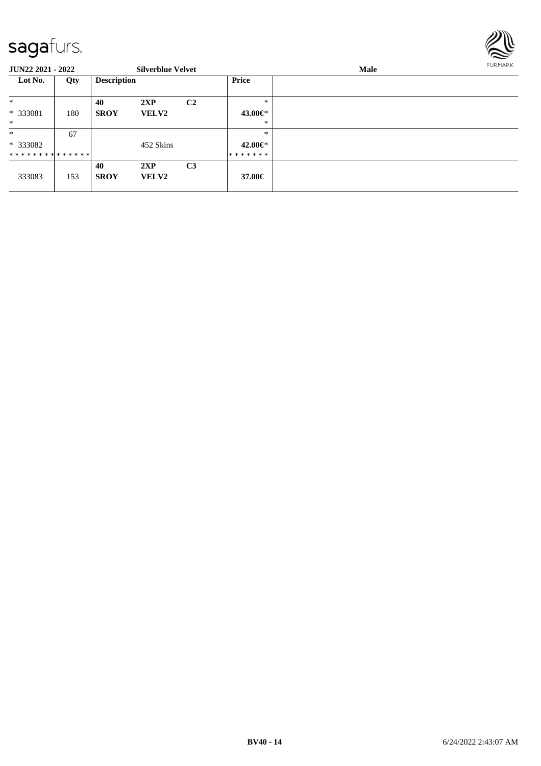

| <b>JUN22 2021 - 2022</b>      |     |                    | <b>Silverblue Velvet</b> |                |               | <b>FURMARK</b> |  |
|-------------------------------|-----|--------------------|--------------------------|----------------|---------------|----------------|--|
| Lot No.                       | Qty | <b>Description</b> |                          |                | <b>Price</b>  |                |  |
| $\ast$                        |     | 40                 | 2XP                      | C <sub>2</sub> | $\ast$        |                |  |
| * 333081                      | 180 | <b>SROY</b>        | <b>VELV2</b>             |                | 43.00€*       |                |  |
| $*$                           |     |                    |                          |                | $\ast$        |                |  |
| $*$                           | 67  |                    |                          |                | $\ast$        |                |  |
| $*333082$                     |     |                    | 452 Skins                |                | 42.00 $\in$ * |                |  |
| * * * * * * * * * * * * * * * |     |                    |                          |                | *******       |                |  |
| 333083                        | 153 | 40<br><b>SROY</b>  | 2XP<br><b>VELV2</b>      | C <sub>3</sub> | 37.00€        |                |  |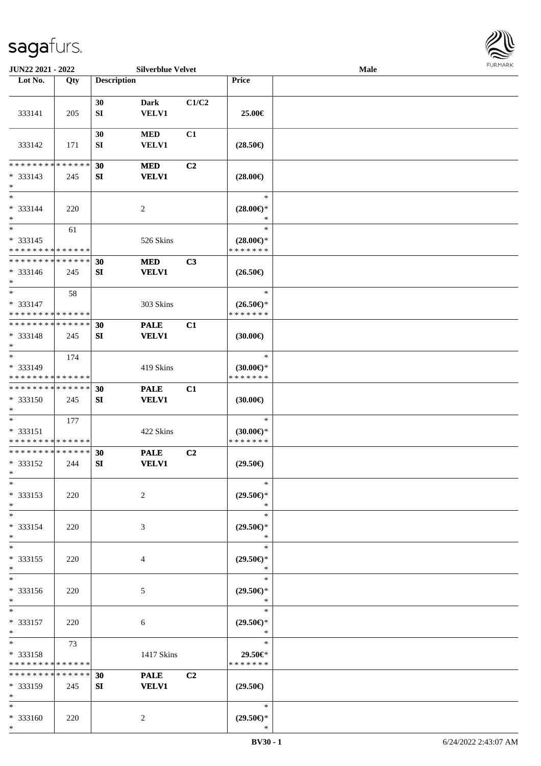

| <b>JUN22 2021 - 2022</b>                |             |                    | <b>Silverblue Velvet</b>    |                |                                      | Male |  |
|-----------------------------------------|-------------|--------------------|-----------------------------|----------------|--------------------------------------|------|--|
| Lot No.                                 | Qty         | <b>Description</b> |                             |                | <b>Price</b>                         |      |  |
|                                         |             |                    |                             |                |                                      |      |  |
|                                         |             | 30                 | Dark                        | C1/C2          |                                      |      |  |
| 333141                                  | 205         | SI                 | <b>VELV1</b>                |                | 25.00€                               |      |  |
|                                         |             |                    |                             |                |                                      |      |  |
|                                         |             | 30                 | <b>MED</b>                  | C1             |                                      |      |  |
| 333142                                  | 171         | SI                 | <b>VELV1</b>                |                | $(28.50\epsilon)$                    |      |  |
|                                         |             |                    |                             |                |                                      |      |  |
| * * * * * * * * * * * * * *             |             | 30                 | <b>MED</b>                  | C <sub>2</sub> |                                      |      |  |
| $* 333143$                              | 245         | SI                 | <b>VELV1</b>                |                | $(28.00\epsilon)$                    |      |  |
| $*$                                     |             |                    |                             |                |                                      |      |  |
| $*$                                     |             |                    |                             |                | $\ast$                               |      |  |
| * 333144                                | 220         |                    | $\overline{c}$              |                | $(28.00\epsilon)$ *                  |      |  |
| $*$                                     |             |                    |                             |                | $\ast$                               |      |  |
| $*$                                     | 61          |                    |                             |                | $\ast$                               |      |  |
| $* 333145$                              |             |                    | 526 Skins                   |                | $(28.00\epsilon)$ *                  |      |  |
| * * * * * * * * * * * * * *             |             |                    |                             |                | * * * * * * *                        |      |  |
| * * * * * * * * * * * * * *             |             | 30                 | <b>MED</b>                  | C3             |                                      |      |  |
| $* 333146$                              | 245         | SI                 | <b>VELV1</b>                |                | $(26.50\epsilon)$                    |      |  |
| $*$                                     |             |                    |                             |                |                                      |      |  |
| $*$                                     | 58          |                    |                             |                | $\ast$                               |      |  |
| * 333147                                |             |                    | 303 Skins                   |                | $(26.50\epsilon)$ *                  |      |  |
| * * * * * * * * * * * * * *             |             |                    |                             |                | * * * * * * *                        |      |  |
| * * * * * * * * * * * * * *             |             | 30                 | <b>PALE</b>                 | C1             |                                      |      |  |
| * 333148                                | 245         | SI                 | <b>VELV1</b>                |                | $(30.00\epsilon)$                    |      |  |
| $*$<br>$*$                              |             |                    |                             |                | $\ast$                               |      |  |
|                                         | 174         |                    |                             |                |                                      |      |  |
| * 333149<br>* * * * * * * * * * * * * * |             |                    | 419 Skins                   |                | $(30.00\epsilon)$ *<br>* * * * * * * |      |  |
| * * * * * * * * * * * * * *             |             |                    |                             |                |                                      |      |  |
| * 333150                                |             | 30                 | <b>PALE</b><br><b>VELV1</b> | C1             |                                      |      |  |
| $*$                                     | 245         | SI                 |                             |                | (30.00)                              |      |  |
| $*$                                     | 177         |                    |                             |                | $\ast$                               |      |  |
| * 333151                                |             |                    | 422 Skins                   |                | $(30.00\epsilon)$ *                  |      |  |
| * * * * * * * * * * * * * *             |             |                    |                             |                | * * * * * * *                        |      |  |
| * * * * * * * * * * * * * *             |             | 30                 | <b>PALE</b>                 | C <sub>2</sub> |                                      |      |  |
| * 333152                                | 244         | SI                 | <b>VELV1</b>                |                | $(29.50\epsilon)$                    |      |  |
| $*$                                     |             |                    |                             |                |                                      |      |  |
| $*$                                     |             |                    |                             |                | $\ast$                               |      |  |
| * 333153                                | 220         |                    | 2                           |                | $(29.50\epsilon)$ *                  |      |  |
| $*$                                     |             |                    |                             |                | ∗                                    |      |  |
| $*$                                     |             |                    |                             |                | $\ast$                               |      |  |
| * 333154                                | 220         |                    | 3                           |                | $(29.50\epsilon)$ *                  |      |  |
| $*$                                     |             |                    |                             |                | ∗                                    |      |  |
| $*$                                     |             |                    |                             |                | $\ast$                               |      |  |
| * 333155                                | 220         |                    | 4                           |                | $(29.50\epsilon)$ *                  |      |  |
| $*$                                     |             |                    |                             |                | $\ast$                               |      |  |
| $*$                                     |             |                    |                             |                | $\ast$                               |      |  |
| * 333156                                | 220         |                    | 5                           |                | $(29.50\epsilon)$ *                  |      |  |
| $*$                                     |             |                    |                             |                | $\ast$                               |      |  |
| $*$                                     |             |                    |                             |                | $\ast$                               |      |  |
| $* 333157$                              | 220         |                    | 6                           |                | $(29.50\epsilon)$ *                  |      |  |
| $*$                                     |             |                    |                             |                | $\ast$                               |      |  |
| $*$                                     | 73          |                    |                             |                | $\ast$                               |      |  |
| * 333158                                |             |                    | 1417 Skins                  |                | 29.50€*                              |      |  |
| * * * * * * * * * * * * * *             |             |                    |                             |                | * * * * * * *                        |      |  |
| * * * * * * * *                         | * * * * * * | 30                 | <b>PALE</b>                 | C <sub>2</sub> |                                      |      |  |
| * 333159<br>$*$                         | 245         | SI                 | <b>VELV1</b>                |                | $(29.50\epsilon)$                    |      |  |
| $*$                                     |             |                    |                             |                | $\ast$                               |      |  |
| * 333160                                |             |                    |                             |                |                                      |      |  |
| $*$                                     | 220         |                    | 2                           |                | $(29.50\epsilon)$ *<br>∗             |      |  |
|                                         |             |                    |                             |                |                                      |      |  |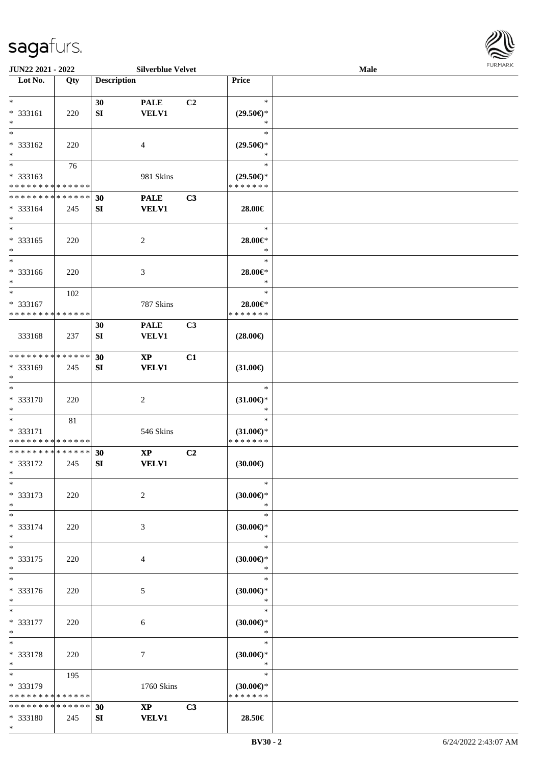

| JUN22 2021 - 2022             |     |                    | <b>Silverblue Velvet</b> |                |                     | Male |  |
|-------------------------------|-----|--------------------|--------------------------|----------------|---------------------|------|--|
| Lot No.                       | Qty | <b>Description</b> |                          |                | Price               |      |  |
|                               |     |                    |                          |                |                     |      |  |
| $\ast$                        |     | 30                 | <b>PALE</b>              | C <sub>2</sub> | $\ast$              |      |  |
| * 333161                      | 220 | ${\bf SI}$         | <b>VELV1</b>             |                | $(29.50\epsilon)$ * |      |  |
| $\ast$                        |     |                    |                          |                | $\ast$              |      |  |
| $\overline{\ast}$             |     |                    |                          |                | $\ast$              |      |  |
|                               |     |                    |                          |                |                     |      |  |
| * 333162                      | 220 |                    | 4                        |                | $(29.50\epsilon)$ * |      |  |
| $\ast$                        |     |                    |                          |                | $\ast$              |      |  |
| $\overline{\phantom{0}}$      | 76  |                    |                          |                | $\ast$              |      |  |
| * 333163                      |     |                    | 981 Skins                |                | $(29.50\epsilon)$ * |      |  |
| * * * * * * * * * * * * * *   |     |                    |                          |                | * * * * * * *       |      |  |
| ******** <mark>*****</mark> * |     | 30                 | <b>PALE</b>              | C3             |                     |      |  |
| $* 333164$                    | 245 | SI                 | <b>VELV1</b>             |                | 28.00€              |      |  |
| $\ast$                        |     |                    |                          |                |                     |      |  |
| $\ast$                        |     |                    |                          |                | $\ast$              |      |  |
|                               |     |                    |                          |                |                     |      |  |
| $* 333165$                    | 220 |                    | $\overline{c}$           |                | 28.00€*             |      |  |
| $\ast$                        |     |                    |                          |                | $\ast$              |      |  |
| $\overline{\phantom{a}^*}$    |     |                    |                          |                | $\ast$              |      |  |
| * 333166                      | 220 |                    | $\mathfrak{Z}$           |                | 28.00€*             |      |  |
| $\ast$                        |     |                    |                          |                | $\ast$              |      |  |
| $\ast$                        | 102 |                    |                          |                | $\ast$              |      |  |
| * 333167                      |     |                    | 787 Skins                |                | 28.00€*             |      |  |
| * * * * * * * * * * * * * *   |     |                    |                          |                | * * * * * * *       |      |  |
|                               |     | 30                 | <b>PALE</b>              | C3             |                     |      |  |
|                               |     |                    |                          |                |                     |      |  |
| 333168                        | 237 | SI                 | <b>VELV1</b>             |                | $(28.00\epsilon)$   |      |  |
|                               |     |                    |                          |                |                     |      |  |
| * * * * * * * * * * * * * *   |     | 30                 | $\mathbf{X}\mathbf{P}$   | C1             |                     |      |  |
| * 333169                      | 245 | SI                 | <b>VELV1</b>             |                | $(31.00\epsilon)$   |      |  |
| $\ast$                        |     |                    |                          |                |                     |      |  |
| $\ast$                        |     |                    |                          |                | $\ast$              |      |  |
| $* 333170$                    | 220 |                    | $\sqrt{2}$               |                | $(31.00\epsilon)$ * |      |  |
| $\ast$                        |     |                    |                          |                | $\ast$              |      |  |
| $*$                           | 81  |                    |                          |                | $\ast$              |      |  |
| * 333171                      |     |                    | 546 Skins                |                | $(31.00\epsilon)$ * |      |  |
| * * * * * * * * * * * * * *   |     |                    |                          |                | * * * * * * *       |      |  |
| ******** <mark>******</mark>  |     |                    |                          |                |                     |      |  |
|                               |     | 30                 | $\mathbf{X}\mathbf{P}$   | C <sub>2</sub> |                     |      |  |
| * 333172                      | 245 | SI                 | <b>VELV1</b>             |                | (30.00)             |      |  |
| $*$                           |     |                    |                          |                |                     |      |  |
| $*$                           |     |                    |                          |                | $\ast$              |      |  |
| * 333173                      | 220 |                    | $\overline{c}$           |                | $(30.00\epsilon)$ * |      |  |
| $\ast$                        |     |                    |                          |                | $\ast$              |      |  |
| $*$                           |     |                    |                          |                | $\ast$              |      |  |
| * 333174                      | 220 |                    | 3                        |                | $(30.00\epsilon)$ * |      |  |
| $\ast$                        |     |                    |                          |                | $\ast$              |      |  |
| $\ast$                        |     |                    |                          |                | $\ast$              |      |  |
| * 333175                      | 220 |                    | 4                        |                | $(30.00\epsilon)$ * |      |  |
| $*$                           |     |                    |                          |                | $\ast$              |      |  |
| $\ast$                        |     |                    |                          |                |                     |      |  |
|                               |     |                    |                          |                | $\ast$              |      |  |
| * 333176                      | 220 |                    | 5                        |                | (30.00)             |      |  |
| $*$                           |     |                    |                          |                | $\ast$              |      |  |
| $*$                           |     |                    |                          |                | $\ast$              |      |  |
| * 333177                      | 220 |                    | 6                        |                | $(30.00\epsilon)$ * |      |  |
| $*$                           |     |                    |                          |                | $\ast$              |      |  |
| $\ast$                        |     |                    |                          |                | $\ast$              |      |  |
| * 333178                      | 220 |                    | $\tau$                   |                | $(30.00\epsilon)$ * |      |  |
| $*$                           |     |                    |                          |                | $\ast$              |      |  |
| $*$                           |     |                    |                          |                | $\ast$              |      |  |
|                               | 195 |                    |                          |                |                     |      |  |
| * 333179                      |     |                    | 1760 Skins               |                | $(30.00\epsilon)$ * |      |  |
| * * * * * * * * * * * * * *   |     |                    |                          |                | * * * * * * *       |      |  |
| * * * * * * * * * * * * * *   |     | 30                 | $\mathbf{X}\mathbf{P}$   | C3             |                     |      |  |
| * 333180                      | 245 | SI                 | <b>VELV1</b>             |                | 28.50€              |      |  |
| $*$                           |     |                    |                          |                |                     |      |  |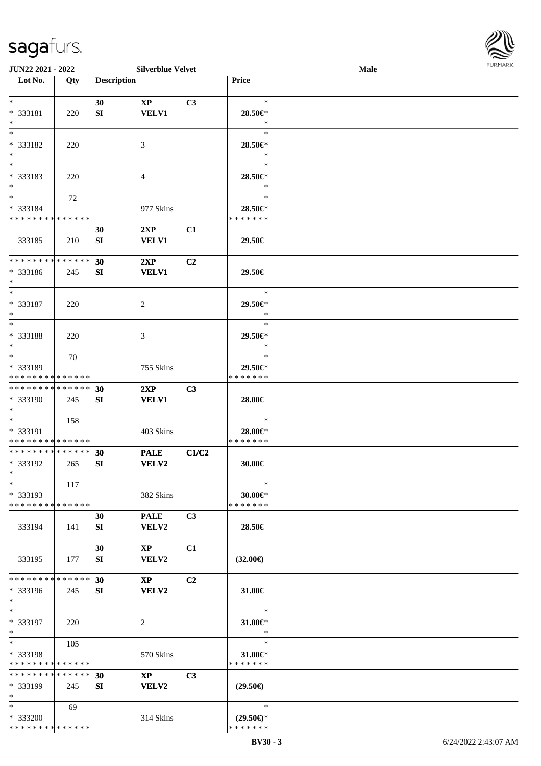

| JUN22 2021 - 2022            |     |                    | <b>Silverblue Velvet</b> |       |                     | Male |  |
|------------------------------|-----|--------------------|--------------------------|-------|---------------------|------|--|
| Lot No.                      | Qty | <b>Description</b> |                          |       | Price               |      |  |
|                              |     |                    |                          |       |                     |      |  |
| $*$                          |     | 30                 | $\mathbf{X}\mathbf{P}$   | C3    | $\ast$              |      |  |
| * 333181                     | 220 | SI                 | <b>VELV1</b>             |       | 28.50€*             |      |  |
| $\ast$                       |     |                    |                          |       | $\ast$              |      |  |
| $\ast$                       |     |                    |                          |       | $\ast$              |      |  |
|                              |     |                    |                          |       |                     |      |  |
| * 333182                     | 220 |                    | 3                        |       | 28.50€*             |      |  |
| $\ast$                       |     |                    |                          |       | $\ast$              |      |  |
| $\overline{\phantom{0}}$     |     |                    |                          |       | $\ast$              |      |  |
| * 333183                     | 220 |                    | 4                        |       | 28.50€*             |      |  |
| $\ast$                       |     |                    |                          |       | $\ast$              |      |  |
| $\overline{\ast}$            | 72  |                    |                          |       | $\ast$              |      |  |
| * 333184                     |     |                    | 977 Skins                |       | 28.50€*             |      |  |
| * * * * * * * * * * * * * *  |     |                    |                          |       | * * * * * * *       |      |  |
|                              |     | 30                 | 2XP                      | C1    |                     |      |  |
|                              |     |                    |                          |       |                     |      |  |
| 333185                       | 210 | ${\bf SI}$         | <b>VELV1</b>             |       | 29.50€              |      |  |
|                              |     |                    |                          |       |                     |      |  |
| ******** <mark>******</mark> |     | 30                 | 2XP                      | C2    |                     |      |  |
| * 333186                     | 245 | SI                 | <b>VELV1</b>             |       | 29.50€              |      |  |
| $\ast$                       |     |                    |                          |       |                     |      |  |
| $\ast$                       |     |                    |                          |       | $\ast$              |      |  |
| * 333187                     | 220 |                    | 2                        |       | 29.50€*             |      |  |
| $\ast$                       |     |                    |                          |       | $\ast$              |      |  |
| $*$                          |     |                    |                          |       | $\ast$              |      |  |
| * 333188                     | 220 |                    | 3                        |       | 29.50€*             |      |  |
| $\ast$                       |     |                    |                          |       | $\ast$              |      |  |
| $\ast$                       | 70  |                    |                          |       | $\ast$              |      |  |
|                              |     |                    |                          |       |                     |      |  |
| * 333189                     |     |                    | 755 Skins                |       | 29.50€*             |      |  |
| * * * * * * * * * * * * * *  |     |                    |                          |       | * * * * * * *       |      |  |
| **************               |     | 30                 | 2XP                      | C3    |                     |      |  |
| * 333190                     | 245 | SI                 | <b>VELV1</b>             |       | 28.00€              |      |  |
| $*$                          |     |                    |                          |       |                     |      |  |
| $\ast$                       | 158 |                    |                          |       | $\ast$              |      |  |
| * 333191                     |     |                    | 403 Skins                |       | 28.00€*             |      |  |
| **************               |     |                    |                          |       | * * * * * * *       |      |  |
| **************               |     | 30                 | <b>PALE</b>              | C1/C2 |                     |      |  |
| * 333192                     | 265 | SI                 | VELV2                    |       | 30.00€              |      |  |
| $*$                          |     |                    |                          |       |                     |      |  |
| $\ast$                       | 117 |                    |                          |       | $\ast$              |      |  |
| * 333193                     |     |                    | 382 Skins                |       | 30.00€*             |      |  |
| * * * * * * * * * * * * * *  |     |                    |                          |       | * * * * * * *       |      |  |
|                              |     |                    |                          |       |                     |      |  |
|                              |     | 30                 | <b>PALE</b>              | C3    |                     |      |  |
| 333194                       | 141 | SI                 | VELV2                    |       | 28.50€              |      |  |
|                              |     |                    |                          |       |                     |      |  |
|                              |     | 30                 | $\mathbf{X}\mathbf{P}$   | C1    |                     |      |  |
| 333195                       | 177 | SI                 | VELV2                    |       | $(32.00\epsilon)$   |      |  |
|                              |     |                    |                          |       |                     |      |  |
| * * * * * * * * * * * * * *  |     | 30                 | $\mathbf{X}\mathbf{P}$   | C2    |                     |      |  |
| * 333196                     | 245 | SI                 | <b>VELV2</b>             |       | 31.00€              |      |  |
| $*$                          |     |                    |                          |       |                     |      |  |
| $*$                          |     |                    |                          |       | $\ast$              |      |  |
| * 333197                     | 220 |                    | 2                        |       | 31.00€*             |      |  |
| $*$                          |     |                    |                          |       | $\ast$              |      |  |
| $*$                          |     |                    |                          |       | $\ast$              |      |  |
|                              | 105 |                    |                          |       |                     |      |  |
| * 333198                     |     |                    | 570 Skins                |       | 31.00€*             |      |  |
| * * * * * * * * * * * * * *  |     |                    |                          |       | * * * * * * *       |      |  |
| * * * * * * * * * * * * * *  |     | 30                 | $\mathbf{X}\mathbf{P}$   | C3    |                     |      |  |
| * 333199                     | 245 | SI                 | VELV2                    |       | $(29.50\epsilon)$   |      |  |
| $*$                          |     |                    |                          |       |                     |      |  |
| $*$                          | 69  |                    |                          |       | $\ast$              |      |  |
| * 333200                     |     |                    | 314 Skins                |       | $(29.50\epsilon)$ * |      |  |
| * * * * * * * * * * * * * *  |     |                    |                          |       | * * * * * * *       |      |  |
|                              |     |                    |                          |       |                     |      |  |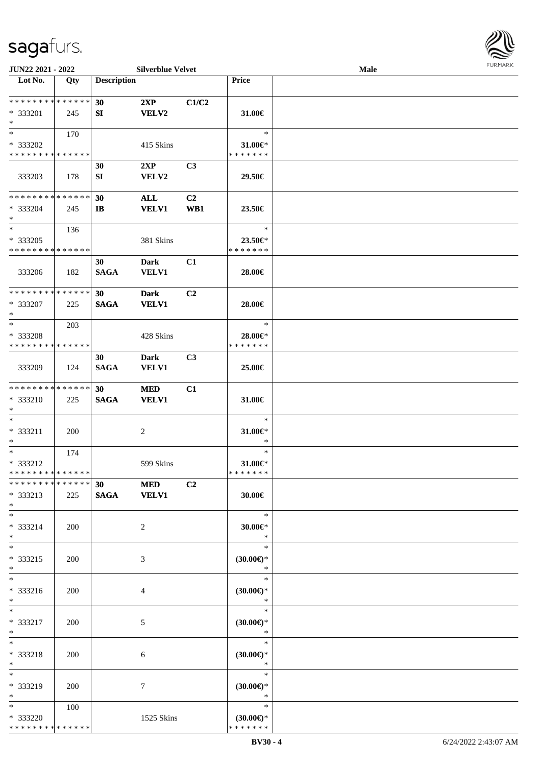

| JUN22 2021 - 2022                                 |     |                                | <b>Silverblue Velvet</b>    |                       |                                                | Male |  |
|---------------------------------------------------|-----|--------------------------------|-----------------------------|-----------------------|------------------------------------------------|------|--|
| Lot No.                                           | Qty | <b>Description</b>             |                             |                       | Price                                          |      |  |
| **************<br>* 333201<br>$\ast$              | 245 | 30<br>SI                       | 2XP<br><b>VELV2</b>         | C1/C2                 | 31.00€                                         |      |  |
| $*$<br>* 333202<br>* * * * * * * * * * * * * *    | 170 |                                | 415 Skins                   |                       | $\ast$<br>31.00€*<br>* * * * * * *             |      |  |
| 333203                                            | 178 | 30<br>SI                       | 2XP<br>VELV2                | C3                    | 29.50€                                         |      |  |
| * * * * * * * * * * * * * *<br>* 333204<br>$\ast$ | 245 | 30<br>$\mathbf{I}$             | <b>ALL</b><br><b>VELV1</b>  | C <sub>2</sub><br>WB1 | 23.50€                                         |      |  |
| $\ast$<br>* 333205<br>* * * * * * * * * * * * * * | 136 |                                | 381 Skins                   |                       | $\ast$<br>23.50€*<br>* * * * * * *             |      |  |
| 333206                                            | 182 | 30<br><b>SAGA</b>              | Dark<br><b>VELV1</b>        | C1                    | 28.00€                                         |      |  |
| * * * * * * * * * * * * * *<br>* 333207<br>$\ast$ | 225 | 30 <sup>°</sup><br><b>SAGA</b> | <b>Dark</b><br><b>VELV1</b> | C2                    | 28.00€                                         |      |  |
| $\ast$<br>* 333208<br>* * * * * * * * * * * * * * | 203 |                                | 428 Skins                   |                       | $\ast$<br>28.00€*<br>* * * * * * *             |      |  |
| 333209                                            | 124 | 30<br><b>SAGA</b>              | <b>Dark</b><br><b>VELV1</b> | C <sub>3</sub>        | 25.00€                                         |      |  |
| * * * * * * * * * * * * * *<br>* 333210<br>$\ast$ | 225 | 30 <sup>°</sup><br><b>SAGA</b> | <b>MED</b><br><b>VELV1</b>  | C1                    | 31.00€                                         |      |  |
| $\ast$<br>* 333211<br>$\ast$                      | 200 |                                | $\overline{c}$              |                       | $\ast$<br>31.00€*<br>$\ast$                    |      |  |
| $\ast$<br>* 333212<br>**************              | 174 |                                | 599 Skins                   |                       | $\ast$<br>31.00€*<br>* * * * * * *             |      |  |
| ******** <mark>******</mark><br>* 333213<br>$*$   | 225 | 30 MED                         | SAGA VELV1                  | C2                    | 30.00€                                         |      |  |
| $*$<br>* 333214<br>$*$                            | 200 |                                | 2                           |                       | $\ast$<br>$30.00 \in$ *<br>$\ast$              |      |  |
| $*$<br>* 333215<br>$*$                            | 200 |                                | 3                           |                       | $\ast$<br>$(30.00\epsilon)$ *<br>$\ast$        |      |  |
| $\overline{\phantom{0}}$<br>* 333216<br>$*$       | 200 |                                | $\overline{4}$              |                       | $\ast$<br>$(30.00\epsilon)$ *<br>$\ast$        |      |  |
| $*$<br>* 333217<br>$*$                            | 200 |                                | 5                           |                       | $\ast$<br>$(30.00\epsilon)$ *<br>$\ast$        |      |  |
| $\ast$<br>* 333218<br>$*$                         | 200 |                                | 6                           |                       | $\ast$<br>$(30.00\epsilon)$ *<br>$\ast$        |      |  |
| $\ast$<br>* 333219<br>$*$                         | 200 |                                | 7                           |                       | $\ast$<br>$(30.00\epsilon)$ *<br>$\ast$        |      |  |
| $*$<br>* 333220<br>* * * * * * * * * * * * * *    | 100 |                                | 1525 Skins                  |                       | $\ast$<br>$(30.00\epsilon)$ *<br>* * * * * * * |      |  |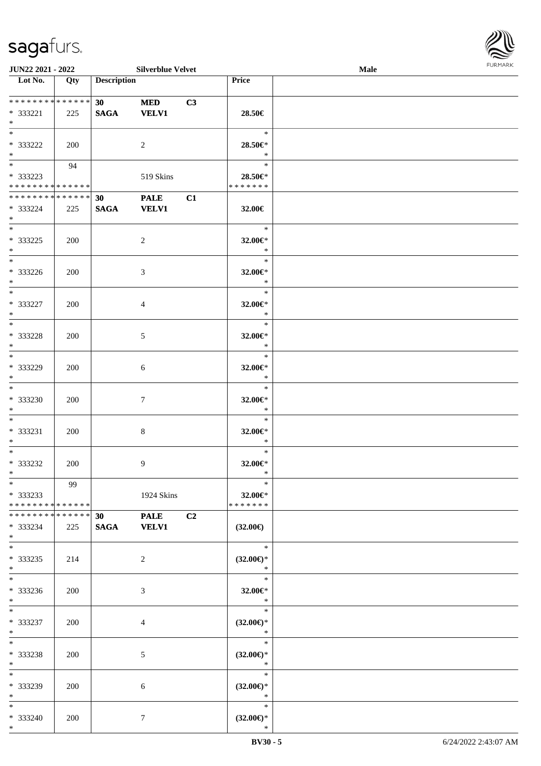

|                                                   | <b>JUN22 2021 - 2022</b> |                       |                             | <b>Silverblue Velvet</b> |                                         | Male | <b>FURMARK</b> |
|---------------------------------------------------|--------------------------|-----------------------|-----------------------------|--------------------------|-----------------------------------------|------|----------------|
| Lot No.                                           | Qty                      | <b>Description</b>    |                             |                          | Price                                   |      |                |
| ******** <mark>******</mark><br>* 333221<br>$*$   | 225                      | 30<br><b>SAGA</b>     | <b>MED</b><br><b>VELV1</b>  | C3                       | 28.50€                                  |      |                |
| * 333222<br>$*$                                   | 200                      |                       | $\overline{2}$              |                          | $\ast$<br>28.50€*<br>$\ast$             |      |                |
| * 333223<br>* * * * * * * * * * * * * *           | 94                       |                       | 519 Skins                   |                          | $\ast$<br>28.50€*<br>* * * * * * *      |      |                |
| * * * * * * * * * * * * * * *<br>* 333224<br>$*$  | 225                      | 30<br>$\mathbf{SAGA}$ | <b>PALE</b><br><b>VELV1</b> | C1                       | 32.00€                                  |      |                |
| $*$<br>$* 333225$<br>$*$                          | 200                      |                       | $\overline{c}$              |                          | $\ast$<br>32.00€*<br>$\ast$             |      |                |
| $*$<br>* 333226<br>$*$                            | 200                      |                       | 3                           |                          | $\ast$<br>32.00€*<br>$\ast$             |      |                |
| $*$<br>* 333227<br>$*$                            | 200                      |                       | $\overline{4}$              |                          | $\ast$<br>32.00€*<br>$\ast$             |      |                |
| $*$<br>* 333228<br>$*$                            | 200                      |                       | 5                           |                          | $\ast$<br>32.00€*<br>$\ast$             |      |                |
| * 333229<br>$*$                                   | 200                      |                       | 6                           |                          | $\ast$<br>32.00€*<br>$\ast$             |      |                |
| $*$<br>* 333230<br>$*$                            | 200                      |                       | $\tau$                      |                          | $\ast$<br>32.00€*<br>$\ast$             |      |                |
| $*$<br>* 333231<br>$*$                            | 200                      |                       | $\,8\,$                     |                          | $\ast$<br>32.00€*<br>$\ast$             |      |                |
| $*$<br>$* 333232$<br>$\ast$                       | 200                      |                       | 9                           |                          | $\ast$<br>32.00€*<br>$\ast$             |      |                |
| $\ast$<br>* 333233<br>* * * * * * * * * * * * * * | 99                       |                       | 1924 Skins                  |                          | $\ast$<br>32.00€*<br>* * * * * * *      |      |                |
| * * * * * * * * * * * * * * *<br>* 333234<br>$*$  | 225                      | 30<br><b>SAGA</b>     | <b>PALE</b><br><b>VELV1</b> | C <sub>2</sub>           | $(32.00\epsilon)$                       |      |                |
| $*$<br>* 333235<br>$*$                            | 214                      |                       | 2                           |                          | $\ast$<br>$(32.00\epsilon)$ *<br>$\ast$ |      |                |
| * 333236<br>$*$                                   | 200                      |                       | 3                           |                          | $\ast$<br>32.00€*<br>$\ast$             |      |                |
| $*$<br>* 333237<br>$*$                            | 200                      |                       | $\overline{4}$              |                          | $\ast$<br>$(32.00\epsilon)$ *<br>$\ast$ |      |                |
| $*$<br>* 333238<br>$*$                            | 200                      |                       | $\sqrt{5}$                  |                          | $\ast$<br>$(32.00\epsilon)$ *<br>$\ast$ |      |                |
| $*$<br>* 333239<br>$*$                            | 200                      |                       | 6                           |                          | $\ast$<br>$(32.00\epsilon)$ *<br>$\ast$ |      |                |
| $*$<br>* 333240<br>$*$                            | 200                      |                       | $\tau$                      |                          | $\ast$<br>$(32.00\epsilon)$ *<br>$\ast$ |      |                |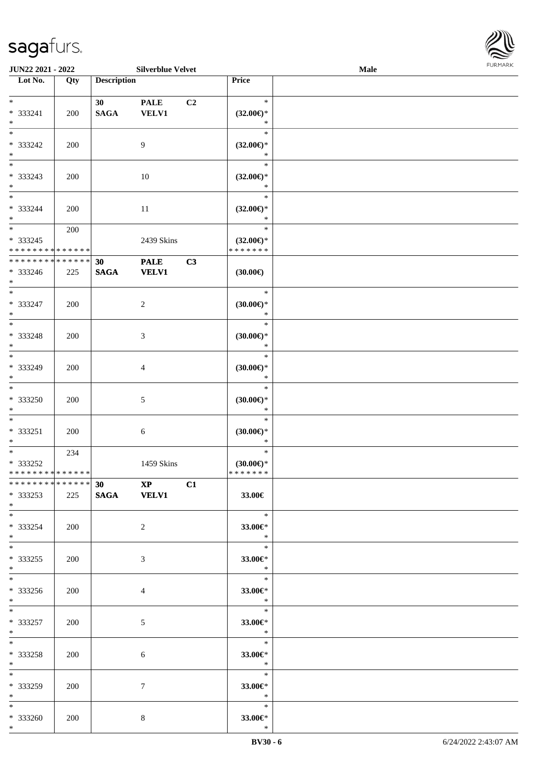

| <b>JUN22 2021 - 2022</b>                                      |     |                    | <b>Silverblue Velvet</b>             |    |                     | <b>Male</b> |  |
|---------------------------------------------------------------|-----|--------------------|--------------------------------------|----|---------------------|-------------|--|
| Lot No.                                                       | Qty | <b>Description</b> |                                      |    | Price               |             |  |
|                                                               |     |                    |                                      |    |                     |             |  |
| $*$                                                           |     | 30                 | <b>PALE</b>                          | C2 | $\ast$              |             |  |
| * 333241                                                      | 200 | <b>SAGA</b>        | <b>VELV1</b>                         |    | $(32.00\epsilon)$ * |             |  |
| $*$                                                           |     |                    |                                      |    | $\ast$              |             |  |
| $*$                                                           |     |                    |                                      |    | $\ast$              |             |  |
| * 333242                                                      | 200 |                    | 9                                    |    | $(32.00\epsilon)$ * |             |  |
| $*$                                                           |     |                    |                                      |    | $\ast$              |             |  |
|                                                               |     |                    |                                      |    | $\ast$              |             |  |
| * 333243                                                      | 200 |                    | 10                                   |    | $(32.00\epsilon)$ * |             |  |
| $*$                                                           |     |                    |                                      |    | $\ast$              |             |  |
| $*$                                                           |     |                    |                                      |    | $\ast$              |             |  |
| * 333244                                                      | 200 |                    | 11                                   |    | $(32.00\epsilon)$ * |             |  |
| $*$                                                           |     |                    |                                      |    | $\ast$              |             |  |
| $*$                                                           | 200 |                    |                                      |    | $\ast$              |             |  |
| * 333245                                                      |     |                    | 2439 Skins                           |    | $(32.00\epsilon)$ * |             |  |
| * * * * * * * * <mark>* * * * * * *</mark>                    |     |                    |                                      |    | * * * * * * *       |             |  |
| * * * * * * * * * * * * * *                                   |     | 30                 | <b>PALE</b>                          | C3 |                     |             |  |
| * 333246                                                      | 225 | <b>SAGA</b>        | <b>VELV1</b>                         |    | (30.00)             |             |  |
| $*$                                                           |     |                    |                                      |    |                     |             |  |
| $*$                                                           |     |                    |                                      |    | $\ast$              |             |  |
| * 333247                                                      | 200 |                    | 2                                    |    | $(30.00\epsilon)$ * |             |  |
| $*$                                                           |     |                    |                                      |    | $\ast$              |             |  |
| $*$                                                           |     |                    |                                      |    | $\ast$              |             |  |
| * 333248                                                      | 200 |                    | 3                                    |    | $(30.00\epsilon)$ * |             |  |
| $\ast$                                                        |     |                    |                                      |    | $\ast$              |             |  |
| $*$                                                           |     |                    |                                      |    | $\ast$              |             |  |
| * 333249                                                      | 200 |                    | 4                                    |    | (30.00)             |             |  |
| $*$                                                           |     |                    |                                      |    | $\ast$              |             |  |
|                                                               |     |                    |                                      |    | $\ast$              |             |  |
| * 333250                                                      | 200 |                    | 5                                    |    | (30.00)             |             |  |
| $*$                                                           |     |                    |                                      |    | $\ast$              |             |  |
| $*$                                                           |     |                    |                                      |    | $\ast$              |             |  |
| * 333251                                                      | 200 |                    | $\sqrt{6}$                           |    | $(30.00\epsilon)$ * |             |  |
| $*$                                                           |     |                    |                                      |    | $\ast$              |             |  |
| $*$                                                           | 234 |                    |                                      |    | $\ast$              |             |  |
| * 333252                                                      |     |                    | 1459 Skins                           |    | $(30.00\epsilon)$ * |             |  |
| * * * * * * * * * * * * * * *<br>******** <mark>******</mark> |     |                    |                                      |    | * * * * * * *       |             |  |
|                                                               |     |                    | $\overline{30}$ $\overline{XP}$ $C1$ |    |                     |             |  |
| * 333253                                                      | 225 |                    | SAGA VELV1                           |    | 33.00€              |             |  |
| $*$<br>$*$                                                    |     |                    |                                      |    | $\ast$              |             |  |
|                                                               |     |                    |                                      |    |                     |             |  |
| * 333254<br>$*$                                               | 200 |                    | 2                                    |    | 33.00€*<br>$\ast$   |             |  |
| $*$                                                           |     |                    |                                      |    | $\ast$              |             |  |
|                                                               |     |                    |                                      |    |                     |             |  |
| $*333255$<br>$*$                                              | 200 |                    | 3                                    |    | 33.00€*<br>$\ast$   |             |  |
| $*$                                                           |     |                    |                                      |    | $\rightarrow$       |             |  |
| * 333256                                                      |     |                    |                                      |    |                     |             |  |
| $*$                                                           | 200 |                    | 4                                    |    | 33.00€*<br>$\ast$   |             |  |
| $*$                                                           |     |                    |                                      |    | $\ast$              |             |  |
| * 333257                                                      |     |                    |                                      |    | 33.00€*             |             |  |
| $*$ $-$                                                       | 200 |                    | 5                                    |    | $\star$             |             |  |
| $*$                                                           |     |                    |                                      |    | $\ast$              |             |  |
| * 333258                                                      | 200 |                    | 6                                    |    | 33.00€*             |             |  |
| $*$                                                           |     |                    |                                      |    | $\ast$              |             |  |
| $*$                                                           |     |                    |                                      |    | $\ast$              |             |  |
| * 333259                                                      | 200 |                    | $\tau$                               |    | 33.00 $\in$ *       |             |  |
| $*$                                                           |     |                    |                                      |    | $\rightarrow$       |             |  |
| $*$                                                           |     |                    |                                      |    | $\ast$              |             |  |
| * 333260                                                      | 200 |                    | 8                                    |    | 33.00 $\epsilon$ *  |             |  |
| $*$                                                           |     |                    |                                      |    | $\ast$              |             |  |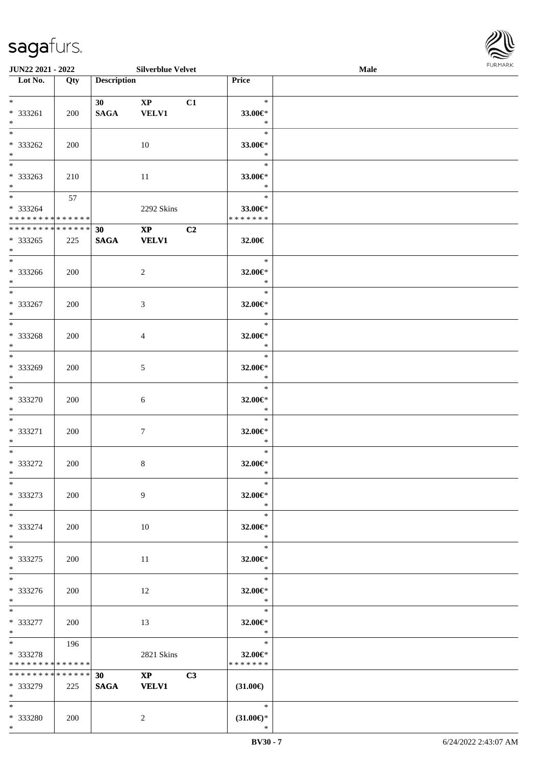\*

**Lot No. Qty Description** 

| $*$<br>* 333261<br>$*$                                                  | 200        |             | 30 XP C1<br>SAGA VELV1 |    | $\ast$<br>33.00€*<br>$\ast$                          |  |
|-------------------------------------------------------------------------|------------|-------------|------------------------|----|------------------------------------------------------|--|
| $\overline{\phantom{0}}$<br>* 333262<br>$*$                             | 200        |             | 10                     |    | $\overline{\mathbf{r}}$<br>33.00€*<br>$\mathbb{R}^2$ |  |
| $*$<br>$*333263$<br>$*$                                                 | 210        |             | 11                     |    | $\mathbb{R}^n$<br>33.00 $\in$ *<br>$\ast$            |  |
| $*$ $*$<br>* 333264<br>**************                                   | 57         |             | 2292 Skins             |    | $\ast$<br>33.00€*<br>* * * * * * *                   |  |
| ******** <mark>******</mark>                                            |            | 30          | $\overline{XP}$ $C2$   |    |                                                      |  |
| * 333265<br>$*$ $*$                                                     | 225        |             | SAGA VELV1             |    | 32.00€                                               |  |
| $*$<br>$*333266$<br>$*$ and $*$                                         | 200        |             | $\overline{2}$         |    | $\ast$<br>32.00 $\in$ *<br>$\ast$                    |  |
| $*$ and $*$                                                             |            |             |                        |    |                                                      |  |
| * 333267<br>$*$ $*$                                                     | 200        |             | 3                      |    | 32.00 $\in$ *<br>$\ast$                              |  |
| $*$<br>* 333268<br>$*$ $*$                                              | 200        |             | 4                      |    | $\ast$<br>32.00 $\in$ *<br>$\ast$                    |  |
| $*$ and $*$<br>* 333269                                                 |            |             |                        |    | $\ast$                                               |  |
| $*$ $*$                                                                 | <b>200</b> |             | 5                      |    | 32.00 $\in$ *<br>$\ast$                              |  |
| $*$<br>* 333270<br>$*$                                                  | 200        |             | 6                      |    | $\overline{\phantom{a}}$<br>32.00 $\in$ *<br>$\ast$  |  |
| $*$<br>* 333271<br>$*$                                                  | 200        |             | $\overline{7}$         |    | $\ast$<br>32.00€*<br>$\ast$                          |  |
| $*$<br>* 333272<br>$*$                                                  | 200        |             | $8\,$                  |    | $\ast$<br>32.00€*<br>$\ast$                          |  |
| $*$                                                                     |            |             |                        |    | $\ast$                                               |  |
| * 333273<br>$\ast$                                                      | 200        |             | 9                      |    | 32.00€*<br>$\ast$                                    |  |
| $\ast$<br>* 333274<br>$\ast$                                            | 200        |             | 10                     |    | $\ast$<br>32.00€*<br>$\ast$                          |  |
| $\ast$<br>* 333275<br>$\ast$                                            | 200        |             | 11                     |    | $\ast$<br>32.00€*<br>$\ast$                          |  |
| $*$<br>* 333276<br>$\ast$                                               | 200        |             | 12                     |    | $\ast$<br>32.00€*<br>$\ast$                          |  |
| $\overline{\phantom{a}^*}$<br>* 333277<br>$\ast$                        | 200        |             | 13                     |    | $\ast$<br>32.00€*<br>$\ast$                          |  |
| $\overline{\phantom{a}^*}$<br>* 333278<br>* * * * * * * * * * * * * * * | 196        |             | 2821 Skins             |    | $\ast$<br>32.00€*<br>* * * * * * *                   |  |
| * * * * * * * * * * * * * *                                             |            | 30          | $\mathbf{X}\mathbf{P}$ | C3 |                                                      |  |
| * 333279<br>$\ast$                                                      | 225        | <b>SAGA</b> | <b>VELV1</b>           |    | $(31.00\epsilon)$                                    |  |
| $\ast$<br>$* 333280$                                                    | 200        |             | $\overline{2}$         |    | $\ast$<br>$(31.00\epsilon)$ *                        |  |

**JUN22 2021 - 2022 Silverblue Velvet Male**<br> **Lot No.**  $\begin{array}{|c|c|c|c|c|} \hline \textbf{Cot No.} & \textbf{Oty} & \textbf{Description} & \textbf{Price} & \textbf{Price} \\ \hline \end{array}$ 

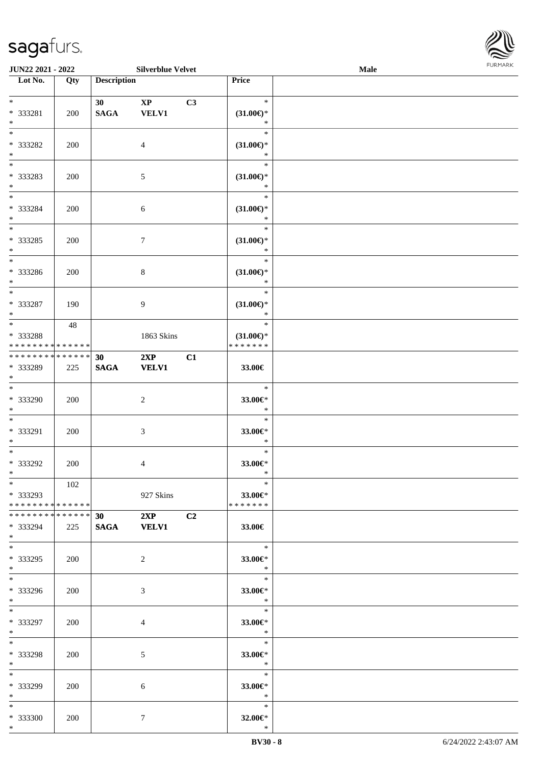

| <b>JUN22 2021 - 2022</b>                                                        |     |                                | <b>Silverblue Velvet</b>      |    |                                                | <b>Male</b> |  |
|---------------------------------------------------------------------------------|-----|--------------------------------|-------------------------------|----|------------------------------------------------|-------------|--|
| Lot No.                                                                         | Qty | <b>Description</b>             |                               |    | Price                                          |             |  |
| $*$<br>* 333281<br>$\ast$                                                       | 200 | 30 <sup>°</sup><br><b>SAGA</b> | $\mathbf{XP}$<br><b>VELV1</b> | C3 | $\ast$<br>$(31.00\epsilon)$ *<br>$\ast$        |             |  |
| $*$<br>* 333282<br>$\ast$                                                       | 200 |                                | $\overline{4}$                |    | $\ast$<br>$(31.00\epsilon)$ *<br>$\ast$        |             |  |
| $*$<br>* 333283<br>$\ast$                                                       | 200 |                                | 5                             |    | $\ast$<br>$(31.00\epsilon)$ *<br>$\ast$        |             |  |
| $*$<br>* 333284<br>$*$<br>$\overline{\ast}$                                     | 200 |                                | 6                             |    | $\ast$<br>$(31.00\epsilon)$ *<br>$\ast$        |             |  |
| * 333285<br>$*$<br>$\overline{\phantom{0}}$                                     | 200 |                                | $\tau$                        |    | $\ast$<br>$(31.00\epsilon)$ *<br>$\ast$        |             |  |
| * 333286<br>$*$<br>$\overline{\phantom{0}}$                                     | 200 |                                | 8                             |    | $\ast$<br>$(31.00\epsilon)$ *<br>$\ast$        |             |  |
| * 333287<br>$*$                                                                 | 190 |                                | 9                             |    | $\ast$<br>$(31.00\epsilon)$ *<br>$\ast$        |             |  |
| $\overline{\mathbf{r}}$<br>* 333288<br>* * * * * * * * <mark>* * * * * *</mark> | 48  |                                | 1863 Skins                    |    | $\ast$<br>$(31.00\epsilon)$ *<br>* * * * * * * |             |  |
| * * * * * * * * <mark>* * * * * * *</mark><br>* 333289<br>$\ast$                | 225 | 30<br><b>SAGA</b>              | 2XP<br><b>VELV1</b>           | C1 | 33.00€                                         |             |  |
| $*$<br>* 333290<br>$*$                                                          | 200 |                                | 2                             |    | $\ast$<br>33.00€*<br>$\ast$                    |             |  |
| $\ddot{x}$<br>* 333291<br>$\ast$                                                | 200 |                                | $\mathfrak{Z}$                |    | $\ast$<br>33.00€*<br>$\ast$                    |             |  |
| $\ddot{x}$<br>* 333292<br>$*$                                                   | 200 |                                | $\overline{4}$                |    | $\ast$<br>33.00€*<br>$\ast$                    |             |  |
| $*$<br>* 333293<br>* * * * * * * * <mark>* * * * * *</mark>                     | 102 |                                | 927 Skins                     |    | $\ast$<br>33.00€*<br>* * * * * * *             |             |  |
| * * * * * * * * * * * * * * *<br>* 333294<br>$\ast$                             | 225 | 30                             | 2XP<br>SAGA VELV1             | C2 | $33.00\in$                                     |             |  |
| $\ast$<br>* 333295<br>$\ddot{x}$                                                | 200 |                                | 2                             |    | $\overline{\phantom{a}}$<br>33.00€*<br>$\ast$  |             |  |
| $\overline{\mathbf{r}}$<br>* 333296<br>$*$                                      | 200 |                                | 3                             |    | $\overline{\phantom{0}}$<br>33.00€*<br>$\ast$  |             |  |
| $*$ $*$<br>* 333297<br>$*$ $-$                                                  | 200 |                                | $\overline{4}$                |    | $\ast$<br>33.00€*<br>$\ast$                    |             |  |
| $*$ $-$<br>* 333298<br>$*$ $-$                                                  | 200 |                                | 5                             |    | $\ast$<br>33.00€*<br>$\ast$                    |             |  |
| $*$ $-$<br>* 333299<br>$*$                                                      | 200 |                                | 6                             |    | $\ast$<br>33.00 $\epsilon$ *<br>$\ast$         |             |  |
| $\ddot{x}$<br>* 333300<br>$\ddot{x}$                                            | 200 |                                | $\tau$                        |    | $\ast$<br>32.00€*<br>$\ast$                    |             |  |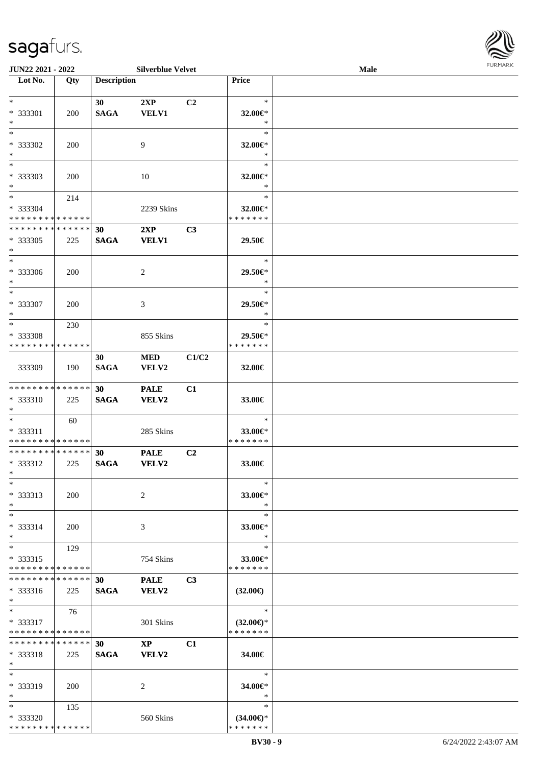

| JUN22 2021 - 2022                          |            |                    | <b>Silverblue Velvet</b> |                |                     | Male |  |
|--------------------------------------------|------------|--------------------|--------------------------|----------------|---------------------|------|--|
| Lot No.                                    | Qty        | <b>Description</b> |                          |                | Price               |      |  |
|                                            |            |                    |                          |                |                     |      |  |
| $*$                                        |            | 30                 | 2XP                      | C2             | $\ast$              |      |  |
| * 333301                                   | 200        | <b>SAGA</b>        | <b>VELV1</b>             |                | 32.00€*             |      |  |
| $\ast$                                     |            |                    |                          |                | $\ast$              |      |  |
| $*$                                        |            |                    |                          |                | $\ast$              |      |  |
| * 333302                                   | 200        |                    | 9                        |                | 32.00€*             |      |  |
| $\ast$                                     |            |                    |                          |                | $\ast$              |      |  |
| $\overline{\phantom{0}}$                   |            |                    |                          |                | $\ast$              |      |  |
| * 333303                                   | 200        |                    | 10                       |                | 32.00€*             |      |  |
| $\ast$                                     |            |                    |                          |                | $\ast$              |      |  |
| $\ast$                                     | 214        |                    |                          |                | $\ast$              |      |  |
| * 333304                                   |            |                    | 2239 Skins               |                | 32.00€*             |      |  |
| * * * * * * * * * * * * * *                |            |                    |                          |                | * * * * * * *       |      |  |
| ******** <mark>******</mark>               |            | 30                 | 2XP                      | C3             |                     |      |  |
| * 333305                                   | 225        | <b>SAGA</b>        | <b>VELV1</b>             |                | 29.50€              |      |  |
| $\ast$                                     |            |                    |                          |                |                     |      |  |
| $\ast$                                     |            |                    |                          |                | $\ast$              |      |  |
| * 333306                                   | 200        |                    | 2                        |                | 29.50€*             |      |  |
| $\ast$                                     |            |                    |                          |                | $\ast$              |      |  |
| $\ast$                                     |            |                    |                          |                | $\ast$              |      |  |
| * 333307                                   | <b>200</b> |                    | 3                        |                | 29.50€*             |      |  |
| $\ast$                                     |            |                    |                          |                | $\ast$              |      |  |
| $\ast$                                     | 230        |                    |                          |                | $\ast$              |      |  |
| * 333308                                   |            |                    | 855 Skins                |                | 29.50€*             |      |  |
| * * * * * * * * * * * * * *                |            |                    |                          |                | * * * * * * *       |      |  |
|                                            |            | 30                 | <b>MED</b>               | C1/C2          |                     |      |  |
| 333309                                     | 190        | <b>SAGA</b>        | VELV2                    |                | 32.00€              |      |  |
|                                            |            |                    |                          |                |                     |      |  |
| **************                             |            | 30 <sup>°</sup>    | <b>PALE</b>              | C1             |                     |      |  |
| * 333310                                   | 225        | <b>SAGA</b>        | <b>VELV2</b>             |                | 33.00€              |      |  |
| $*$                                        |            |                    |                          |                |                     |      |  |
| $*$                                        | 60         |                    |                          |                | $\ast$              |      |  |
| * 333311                                   |            |                    | 285 Skins                |                | 33.00€*             |      |  |
| * * * * * * * * * * * * * *                |            |                    |                          |                | * * * * * * *       |      |  |
| **************                             |            | 30                 | <b>PALE</b>              | C <sub>2</sub> |                     |      |  |
| * 333312                                   | 225        | <b>SAGA</b>        | <b>VELV2</b>             |                | 33.00€              |      |  |
| $*$                                        |            |                    |                          |                |                     |      |  |
| $*$                                        |            |                    |                          |                | $\ast$              |      |  |
| $* 333313$                                 | <b>200</b> |                    | 2                        |                | 33.00€*             |      |  |
| $\ast$                                     |            |                    |                          |                | $\ast$              |      |  |
| $*$                                        |            |                    |                          |                | $\ast$              |      |  |
| * 333314                                   | 200        |                    | 3                        |                | 33.00€*             |      |  |
| $*$                                        |            |                    |                          |                | $\ast$              |      |  |
| $\ast$                                     | 129        |                    |                          |                | $\ast$              |      |  |
| $* 333315$                                 |            |                    | 754 Skins                |                | 33.00€*             |      |  |
| * * * * * * * * * * * * * *                |            |                    |                          |                | * * * * * * *       |      |  |
| **************                             |            | 30                 | <b>PALE</b>              | C3             |                     |      |  |
| $* 333316$                                 | 225        | <b>SAGA</b>        | <b>VELV2</b>             |                | $(32.00\epsilon)$   |      |  |
| $*$                                        |            |                    |                          |                |                     |      |  |
| $*$                                        | 76         |                    |                          |                | $\ast$              |      |  |
| * 333317                                   |            |                    | 301 Skins                |                | $(32.00\epsilon)$ * |      |  |
| * * * * * * * * <mark>* * * * * * *</mark> |            |                    |                          |                | * * * * * * *       |      |  |
| * * * * * * * * * * * * * *                |            | 30                 | $\mathbf{XP}$            | C1             |                     |      |  |
| $* 333318$                                 | 225        | <b>SAGA</b>        | VELV2                    |                | 34.00€              |      |  |
| $*$                                        |            |                    |                          |                |                     |      |  |
| $*$                                        |            |                    |                          |                | $\ast$              |      |  |
| * 333319                                   | 200        |                    | 2                        |                | 34.00€*             |      |  |
| $*$                                        |            |                    |                          |                | $\ast$              |      |  |
| $*$                                        | 135        |                    |                          |                | $\ast$              |      |  |
| * 333320                                   |            |                    | 560 Skins                |                | $(34.00\epsilon)$ * |      |  |
| * * * * * * * * * * * * * *                |            |                    |                          |                | * * * * * * *       |      |  |
|                                            |            |                    |                          |                |                     |      |  |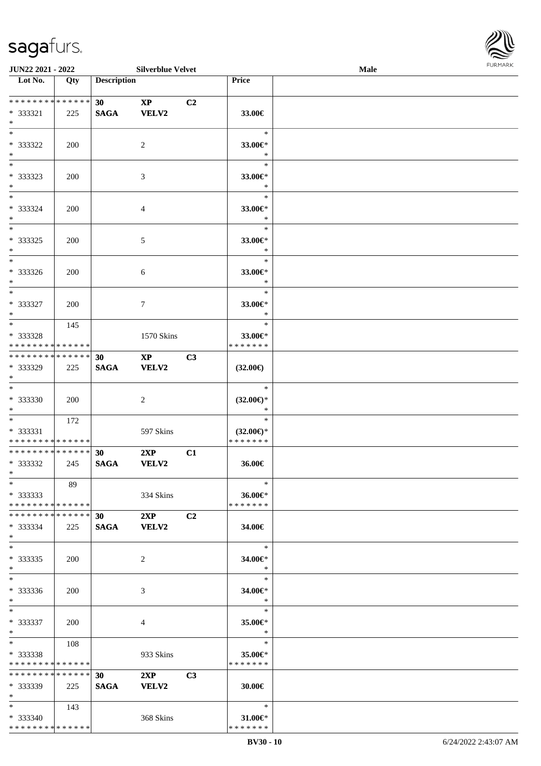

| <b>JUN22 2021 - 2022</b>                                     |     |                                | <b>Silverblue Velvet</b>               |                |                                                | Male |  |
|--------------------------------------------------------------|-----|--------------------------------|----------------------------------------|----------------|------------------------------------------------|------|--|
| Lot No.                                                      | Qty | <b>Description</b>             |                                        |                | Price                                          |      |  |
|                                                              |     |                                |                                        |                |                                                |      |  |
| ******** <mark>******</mark><br>* 333321<br>$*$              | 225 | 30 <sub>1</sub><br><b>SAGA</b> | $\mathbf{X}\mathbf{P}$<br>VELV2        | C <sub>2</sub> | 33.00€                                         |      |  |
| $*$<br>$* 333322$<br>$*$                                     | 200 |                                | 2                                      |                | $\ast$<br>33.00€*<br>$\ast$                    |      |  |
| $\overline{\phantom{0}}$<br>* 333323<br>$*$                  | 200 |                                | 3                                      |                | $\ast$<br>33.00€*<br>$\ast$                    |      |  |
| $*$<br>* 333324<br>$*$                                       | 200 |                                | 4                                      |                | $\ast$<br>33.00€*<br>$\ast$                    |      |  |
| $*$<br>$* 333325$<br>$*$                                     | 200 |                                | 5                                      |                | $\ast$<br>33.00€*<br>$\ast$                    |      |  |
| $*$<br>* 333326<br>$*$                                       | 200 |                                | 6                                      |                | $\ast$<br>33.00€*<br>$\ast$                    |      |  |
| $*$<br>$* 333327$<br>$*$                                     | 200 |                                | 7                                      |                | $\ast$<br>33.00€*<br>$\ast$                    |      |  |
| $\overline{\ast}$<br>* 333328<br>* * * * * * * * * * * * * * | 145 |                                | 1570 Skins                             |                | $\ast$<br>33.00€*<br>* * * * * * *             |      |  |
| * * * * * * * * * * * * * * *<br>* 333329<br>$*$             | 225 | 30<br><b>SAGA</b>              | $\mathbf{X}\mathbf{P}$<br><b>VELV2</b> | C3             | $(32.00\epsilon)$                              |      |  |
| $\overline{\ast}$<br>* 333330<br>$*$                         | 200 |                                | 2                                      |                | $\ast$<br>$(32.00\epsilon)$ *<br>$\ast$        |      |  |
| $*$<br>* 333331<br>* * * * * * * * * * * * * *               | 172 |                                | 597 Skins                              |                | $\ast$<br>$(32.00\epsilon)$ *<br>* * * * * * * |      |  |
| * * * * * * * * * * * * * * *<br>* 333332<br>$*$ $*$         | 245 | 30<br><b>SAGA</b>              | 2XP<br><b>VELV2</b>                    | C1             | 36.00€                                         |      |  |
| $*$<br>* 333333<br>* * * * * * * * * * * * * * *             | 89  |                                | 334 Skins                              |                | $\ast$<br>36.00€*<br>* * * * * * *             |      |  |
| * * * * * * * * * * * * * * *<br>* 333334<br>$*$             | 225 | 30<br><b>SAGA</b>              | 2XP<br><b>VELV2</b>                    | C2             | 34.00€                                         |      |  |
| $*$<br>$* 333335$<br>$*$                                     | 200 |                                | 2                                      |                | $\ast$<br>34.00€*<br>$\ast$                    |      |  |
| $*$<br>* 333336<br>$*$                                       | 200 |                                | 3                                      |                | $\ast$<br>34.00€*<br>$*$                       |      |  |
| $*$<br>* 333337<br>$*$                                       | 200 |                                | 4                                      |                | $\ast$<br>35.00€*<br>$\ast$                    |      |  |
| $*$ and $*$<br>* 333338<br>* * * * * * * * * * * * * * *     | 108 |                                | 933 Skins                              |                | $\ast$<br>35.00 $\in$ *<br>* * * * * * *       |      |  |
| * * * * * * * * * * * * * * *<br>* 333339<br>$*$             | 225 | 30<br><b>SAGA</b>              | 2XP<br>VELV2                           | C3             | 30.00€                                         |      |  |
| $*$ and $*$<br>* 333340<br>* * * * * * * * * * * * * *       | 143 |                                | 368 Skins                              |                | $\ast$<br>$31.00 \in$ *<br>* * * * * * *       |      |  |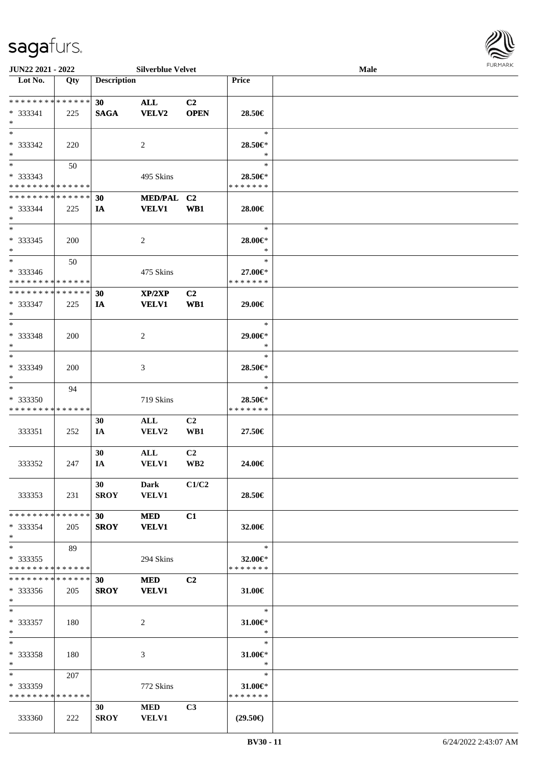

| JUN22 2021 - 2022                                                   |     |                                | <b>Silverblue Velvet</b>    |                       |                                    | <b>Male</b> |  |
|---------------------------------------------------------------------|-----|--------------------------------|-----------------------------|-----------------------|------------------------------------|-------------|--|
| Lot No.                                                             | Qty | <b>Description</b>             |                             |                       | <b>Price</b>                       |             |  |
| **************<br>$* 333341$<br>$*$                                 | 225 | 30<br><b>SAGA</b>              | <b>ALL</b><br><b>VELV2</b>  | C2<br><b>OPEN</b>     | 28.50€                             |             |  |
| $*$<br>* 333342<br>$*$                                              | 220 |                                | 2                           |                       | $\ast$<br>28.50€*<br>$\ast$        |             |  |
| $\overline{\phantom{0}}$<br>* 333343<br>* * * * * * * * * * * * * * | 50  |                                | 495 Skins                   |                       | $\ast$<br>28.50€*<br>* * * * * * * |             |  |
| * * * * * * * * * * * * * *<br>$* 333344$<br>$*$                    | 225 | 30<br>IA                       | MED/PAL C2<br><b>VELV1</b>  | WB1                   | 28.00€                             |             |  |
| $*$<br>$* 333345$<br>$\ast$                                         | 200 |                                | $\overline{c}$              |                       | $\ast$<br>28.00€*<br>$\ast$        |             |  |
| $\ast$<br>$* 333346$<br>* * * * * * * * * * * * * *                 | 50  |                                | 475 Skins                   |                       | $\ast$<br>27.00€*<br>* * * * * * * |             |  |
| * * * * * * * * * * * * * *<br>$* 333347$<br>$*$                    | 225 | 30<br>IA                       | XP/2XP<br><b>VELV1</b>      | C <sub>2</sub><br>WB1 | 29.00€                             |             |  |
| $*$<br>* 333348<br>$*$                                              | 200 |                                | 2                           |                       | $\ast$<br>29.00€*<br>$\ast$        |             |  |
| $*$<br>* 333349<br>$*$                                              | 200 |                                | 3                           |                       | $\ast$<br>28.50€*<br>$\ast$        |             |  |
| $\ast$<br>$*333350$<br>* * * * * * * * * * * * * *                  | 94  |                                | 719 Skins                   |                       | $\ast$<br>28.50€*<br>* * * * * * * |             |  |
| 333351                                                              | 252 | 30<br>IA                       | ALL<br>VELV2                | C2<br>WB1             | 27.50€                             |             |  |
| 333352                                                              | 247 | 30<br>IA                       | $\mathbf{ALL}$<br>VELV1     | C <sub>2</sub><br>WB2 | 24.00€                             |             |  |
| 333353                                                              | 231 | 30<br>SROY                     | <b>Dark</b><br><b>VELV1</b> | C1/C2                 | 28.50€                             |             |  |
| * * * * * * * * * * * * * * *<br>* 333354<br>$*$                    | 205 | 30<br><b>SROY</b>              | <b>MED</b><br><b>VELV1</b>  | C1                    | 32.00€                             |             |  |
| $*$<br>$*333355$<br>* * * * * * * * * * * * * *                     | 89  |                                | 294 Skins                   |                       | $\ast$<br>32.00€*<br>* * * * * * * |             |  |
| * * * * * * * * * * * * * *<br>$*333356$<br>$*$                     | 205 | 30 <sup>1</sup><br><b>SROY</b> | <b>MED</b><br><b>VELV1</b>  | C2                    | 31.00€                             |             |  |
| $*$<br>* 333357<br>$*$                                              | 180 |                                | 2                           |                       | $\ast$<br>$31.00 \in$ *<br>$\ast$  |             |  |
| $*$<br>* 333358<br>$*$                                              | 180 |                                | 3                           |                       | $\ast$<br>31.00€*<br>$\ast$        |             |  |
| $*$<br>* 333359<br>* * * * * * * * * * * * * *                      | 207 |                                | 772 Skins                   |                       | $\ast$<br>31.00€*<br>* * * * * * * |             |  |
| 333360                                                              | 222 | 30<br><b>SROY</b>              | <b>MED</b><br><b>VELV1</b>  | C3                    | $(29.50\epsilon)$                  |             |  |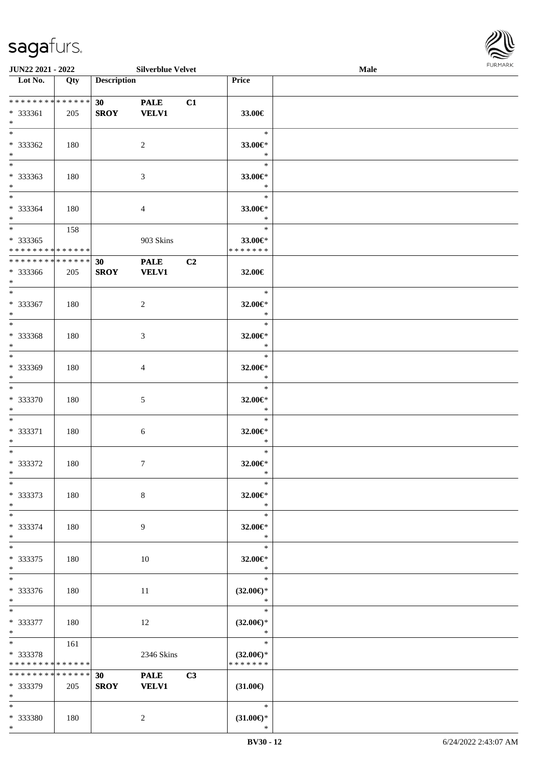

| JUN22 2021 - 2022                                                   |     |                    | <b>Silverblue Velvet</b>    |                |                                                | Male | <b>FURPIARA</b> |
|---------------------------------------------------------------------|-----|--------------------|-----------------------------|----------------|------------------------------------------------|------|-----------------|
| $\overline{\phantom{1}}$ Lot No.                                    | Qty | <b>Description</b> |                             |                | Price                                          |      |                 |
| ******** <mark>******</mark><br>* 333361<br>$*$                     | 205 | 30<br><b>SROY</b>  | <b>PALE</b><br><b>VELV1</b> | C1             | 33.00€                                         |      |                 |
| $*$<br>* 333362<br>$*$                                              | 180 |                    | $\overline{c}$              |                | $\ast$<br>33.00€*<br>$\ast$                    |      |                 |
| $*$<br>* 333363<br>$\ast$                                           | 180 |                    | $\mathfrak{Z}$              |                | $\ast$<br>33.00€*<br>$\ast$                    |      |                 |
| $\overline{\phantom{0}}$<br>* 333364<br>$*$                         | 180 |                    | $\overline{4}$              |                | $\ast$<br>33.00€*<br>$\ast$                    |      |                 |
| $\overline{\phantom{0}}$<br>* 333365<br>* * * * * * * * * * * * * * | 158 |                    | 903 Skins                   |                | $\ast$<br>33.00€*<br>* * * * * * *             |      |                 |
| * * * * * * * * * * * * * * *<br>* 333366<br>$*$                    | 205 | 30<br><b>SROY</b>  | <b>PALE</b><br><b>VELV1</b> | C <sub>2</sub> | 32.00€                                         |      |                 |
| $\ast$<br>$* 333367$<br>$\ast$                                      | 180 |                    | $\overline{c}$              |                | $\ast$<br>32.00€*<br>$\ast$                    |      |                 |
| $\ast$<br>* 333368<br>$\ast$                                        | 180 |                    | 3                           |                | $\ast$<br>32.00€*<br>$\ast$                    |      |                 |
| $\ast$<br>* 333369<br>$\ast$                                        | 180 |                    | 4                           |                | $\ast$<br>32.00€*<br>$\ast$                    |      |                 |
| $*$<br>* 333370<br>$\ast$                                           | 180 |                    | $\mathfrak{S}$              |                | $\ast$<br>32.00€*<br>$\ast$                    |      |                 |
| $*$<br>* 333371<br>$*$                                              | 180 |                    | $\sqrt{6}$                  |                | $\ast$<br>$32.00 \in$ *<br>$\ast$              |      |                 |
| $*$<br>$* 333372$<br>$\mathbf{x}$                                   | 180 |                    | $\tau$                      |                | $\ast$<br>32.00€*<br>$\ast$                    |      |                 |
| $*$<br>$* 333373$<br>$\ast$                                         | 180 |                    | $\,8\,$                     |                | $\ast$<br>32.00€*<br>$\ast$                    |      |                 |
| $\ast$<br>* 333374<br>$*$                                           | 180 |                    | 9                           |                | $\ast$<br>32.00€*<br>$\ast$                    |      |                 |
| $\ast$<br>* 333375<br>$*$                                           | 180 |                    | 10                          |                | $\ast$<br>32.00€*<br>$\ast$                    |      |                 |
| $*$<br>* 333376<br>$*$                                              | 180 |                    | 11                          |                | $\ast$<br>$(32.00\epsilon)$ *<br>$\ast$        |      |                 |
| $*$<br>* 333377<br>$*$                                              | 180 |                    | 12                          |                | $\ast$<br>$(32.00\epsilon)$ *<br>$\ast$        |      |                 |
| $*$<br>* 333378<br>* * * * * * * * * * * * * *                      | 161 |                    | 2346 Skins                  |                | $\ast$<br>$(32.00\epsilon)$ *<br>* * * * * * * |      |                 |
| * * * * * * * * * * * * * * *<br>* 333379<br>$*$                    | 205 | 30<br><b>SROY</b>  | <b>PALE</b><br><b>VELV1</b> | C3             | $(31.00\epsilon)$                              |      |                 |
| $*$<br>* 333380                                                     | 180 |                    | 2                           |                | $\ast$<br>$(31.00\epsilon)$ *                  |      |                 |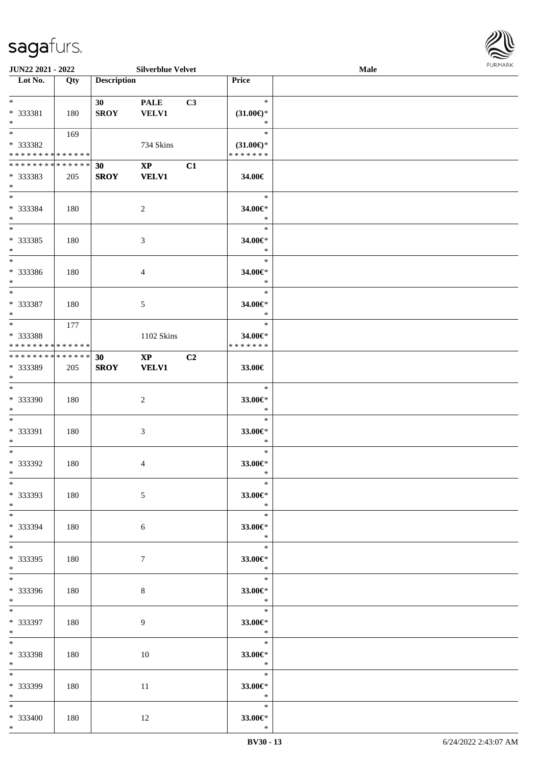

| <b>JUN22 2021 - 2022</b>                   |     |                    | <b>Silverblue Velvet</b> |    |                     | Male |  |
|--------------------------------------------|-----|--------------------|--------------------------|----|---------------------|------|--|
| Lot No.                                    | Qty | <b>Description</b> |                          |    | Price               |      |  |
|                                            |     |                    |                          |    |                     |      |  |
| $*$                                        |     | 30                 | <b>PALE</b>              | C3 | $\ast$              |      |  |
| * 333381                                   | 180 | <b>SROY</b>        | <b>VELV1</b>             |    | $(31.00\epsilon)$ * |      |  |
| $\ast$                                     |     |                    |                          |    | $\ast$              |      |  |
|                                            | 169 |                    |                          |    | $\ast$              |      |  |
|                                            |     |                    |                          |    |                     |      |  |
| * 333382                                   |     |                    | 734 Skins                |    | $(31.00\epsilon)$ * |      |  |
| * * * * * * * * <mark>* * * * * * *</mark> |     |                    |                          |    | * * * * * * *       |      |  |
| * * * * * * * * * * * * * * *              |     | 30                 | $\mathbf{X}\mathbf{P}$   | C1 |                     |      |  |
| * 333383                                   | 205 | <b>SROY</b>        | <b>VELV1</b>             |    | 34.00€              |      |  |
| $*$                                        |     |                    |                          |    |                     |      |  |
| $*$                                        |     |                    |                          |    | $\ast$              |      |  |
| * 333384                                   | 180 |                    | $\overline{2}$           |    | 34.00€*             |      |  |
| $*$                                        |     |                    |                          |    | $\ast$              |      |  |
| $*$                                        |     |                    |                          |    | $\ast$              |      |  |
|                                            |     |                    |                          |    |                     |      |  |
| * 333385                                   | 180 |                    | 3                        |    | 34.00€*             |      |  |
| $*$                                        |     |                    |                          |    | $\ast$              |      |  |
| $\overline{\phantom{0}}$                   |     |                    |                          |    | $\ast$              |      |  |
| * 333386                                   | 180 |                    | $\overline{4}$           |    | 34.00€*             |      |  |
| $\ast$                                     |     |                    |                          |    | $\ast$              |      |  |
| $*$                                        |     |                    |                          |    | $\ast$              |      |  |
| * 333387                                   |     |                    |                          |    |                     |      |  |
|                                            | 180 |                    | 5                        |    | 34.00€*             |      |  |
| $\ast$                                     |     |                    |                          |    | $\ast$              |      |  |
|                                            | 177 |                    |                          |    | $\ast$              |      |  |
| * 333388                                   |     |                    | 1102 Skins               |    | 34.00€*             |      |  |
| * * * * * * * * * * * * * *                |     |                    |                          |    | * * * * * * *       |      |  |
| * * * * * * * * * * * * * * *              |     | 30                 | $\mathbf{X}\mathbf{P}$   | C2 |                     |      |  |
| * 333389                                   | 205 | <b>SROY</b>        | <b>VELV1</b>             |    | 33.00€              |      |  |
| $*$                                        |     |                    |                          |    |                     |      |  |
| $*$                                        |     |                    |                          |    | $\ast$              |      |  |
|                                            |     |                    |                          |    |                     |      |  |
| * 333390                                   | 180 |                    | $\overline{2}$           |    | 33.00€*             |      |  |
| $*$                                        |     |                    |                          |    | $\ast$              |      |  |
| $*$                                        |     |                    |                          |    | $\ast$              |      |  |
| * 333391                                   | 180 |                    | 3                        |    | 33.00€*             |      |  |
| $*$                                        |     |                    |                          |    | $\ast$              |      |  |
| $*$                                        |     |                    |                          |    | $\ast$              |      |  |
| * 333392                                   | 180 |                    | 4                        |    | 33.00€*             |      |  |
| $*$                                        |     |                    |                          |    | $\ast$              |      |  |
| $*$                                        |     |                    |                          |    | $\ast$              |      |  |
|                                            |     |                    |                          |    |                     |      |  |
| * 333393                                   | 180 |                    | 5                        |    | 33.00€*             |      |  |
| $*$                                        |     |                    |                          |    | $\ast$              |      |  |
| $*$                                        |     |                    |                          |    | $\ast$              |      |  |
| * 333394                                   | 180 |                    | 6                        |    | 33.00€*             |      |  |
| $*$                                        |     |                    |                          |    | $\ast$              |      |  |
| $*$                                        |     |                    |                          |    | $\ast$              |      |  |
| * 333395                                   | 180 |                    | $\tau$                   |    | 33.00€*             |      |  |
| $*$                                        |     |                    |                          |    | $\rightarrow$       |      |  |
| $*$                                        |     |                    |                          |    | $\ast$              |      |  |
|                                            |     |                    |                          |    |                     |      |  |
| * 333396                                   | 180 |                    | 8                        |    | 33.00€*             |      |  |
| $*$                                        |     |                    |                          |    | $\mathbb{R}^2$      |      |  |
| $*$                                        |     |                    |                          |    | $\ast$              |      |  |
| * 333397                                   | 180 |                    | 9                        |    | 33.00€*             |      |  |
| $*$                                        |     |                    |                          |    | $\ast$              |      |  |
| $*$                                        |     |                    |                          |    | $\ast$              |      |  |
| * 333398                                   | 180 |                    | 10                       |    | 33.00€*             |      |  |
| $*$                                        |     |                    |                          |    | $\ast$              |      |  |
|                                            |     |                    |                          |    | $\ast$              |      |  |
| $*$                                        |     |                    |                          |    |                     |      |  |
| * 333399                                   | 180 |                    | 11                       |    | 33.00 $\epsilon$ *  |      |  |
| $*$                                        |     |                    |                          |    | $\ast$              |      |  |
| $*$                                        |     |                    |                          |    | $\ast$              |      |  |
| * 333400                                   | 180 |                    | 12                       |    | 33.00€*             |      |  |
| $*$                                        |     |                    |                          |    | $\ast$              |      |  |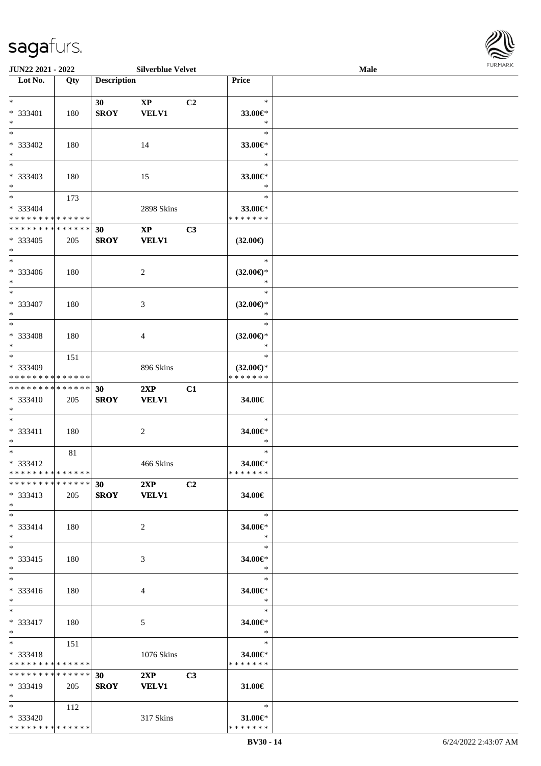

| JUN22 2021 - 2022           |     |                    | <b>Silverblue Velvet</b> |    |                     | Male |  |
|-----------------------------|-----|--------------------|--------------------------|----|---------------------|------|--|
| Lot No.                     | Qty | <b>Description</b> |                          |    | Price               |      |  |
|                             |     |                    |                          |    |                     |      |  |
| $\ast$                      |     | 30                 | $\mathbf{X}\mathbf{P}$   | C2 | $\ast$              |      |  |
| * 333401                    | 180 | <b>SROY</b>        | <b>VELV1</b>             |    | 33.00€*             |      |  |
| $\ast$                      |     |                    |                          |    | $\ast$              |      |  |
| $\ast$                      |     |                    |                          |    | $\ast$              |      |  |
|                             |     |                    |                          |    |                     |      |  |
| * 333402                    | 180 |                    | 14                       |    | 33.00€*             |      |  |
| $\ast$                      |     |                    |                          |    | $\ast$              |      |  |
| $\overline{\phantom{0}}$    |     |                    |                          |    | $\ast$              |      |  |
| * 333403                    | 180 |                    | 15                       |    | 33.00€*             |      |  |
| $\ast$                      |     |                    |                          |    | $\ast$              |      |  |
| $\overline{\ast}$           | 173 |                    |                          |    | $\ast$              |      |  |
| $* 333404$                  |     |                    | 2898 Skins               |    | 33.00€*             |      |  |
| * * * * * * * * * * * * * * |     |                    |                          |    | * * * * * * *       |      |  |
|                             |     |                    |                          |    |                     |      |  |
| **************              |     | 30                 | $\mathbf{XP}$            | C3 |                     |      |  |
| * 333405                    | 205 | <b>SROY</b>        | <b>VELV1</b>             |    | $(32.00\epsilon)$   |      |  |
| $\ast$                      |     |                    |                          |    |                     |      |  |
| $\overline{\phantom{1}}$    |     |                    |                          |    | $\ast$              |      |  |
| $* 333406$                  | 180 |                    | $\overline{c}$           |    | $(32.00\epsilon)$ * |      |  |
| $\ast$                      |     |                    |                          |    | $\ast$              |      |  |
| $\ast$                      |     |                    |                          |    | $\ast$              |      |  |
| * 333407                    |     |                    |                          |    |                     |      |  |
|                             | 180 |                    | 3                        |    | $(32.00\epsilon)$ * |      |  |
| $\ast$                      |     |                    |                          |    | $\ast$              |      |  |
| $\ast$                      |     |                    |                          |    | $\ast$              |      |  |
| * 333408                    | 180 |                    | $\overline{4}$           |    | $(32.00\epsilon)$ * |      |  |
| $\ast$                      |     |                    |                          |    | $\ast$              |      |  |
| $\ast$                      | 151 |                    |                          |    | $\ast$              |      |  |
| * 333409                    |     |                    | 896 Skins                |    | $(32.00\epsilon)$ * |      |  |
| * * * * * * * * * * * * * * |     |                    |                          |    | * * * * * * *       |      |  |
| **************              |     | 30                 | 2XP                      | C1 |                     |      |  |
|                             |     |                    |                          |    |                     |      |  |
| $* 333410$                  | 205 | <b>SROY</b>        | <b>VELV1</b>             |    | 34.00€              |      |  |
| $*$                         |     |                    |                          |    |                     |      |  |
| $\ast$                      |     |                    |                          |    | $\ast$              |      |  |
| * 333411                    | 180 |                    | $\sqrt{2}$               |    | 34.00€*             |      |  |
| $*$                         |     |                    |                          |    | $\ast$              |      |  |
| $\ast$                      | 81  |                    |                          |    | $\ast$              |      |  |
| * 333412                    |     |                    | 466 Skins                |    | 34.00€*             |      |  |
| **************              |     |                    |                          |    | *******             |      |  |
| * * * * * * * * * * * * * * |     | 30 2XP             |                          | C2 |                     |      |  |
|                             |     |                    |                          |    |                     |      |  |
| * 333413                    | 205 |                    | SROY VELV1               |    | 34.00€              |      |  |
| $*$                         |     |                    |                          |    |                     |      |  |
| $*$                         |     |                    |                          |    | $\ast$              |      |  |
| $* 333414$                  | 180 |                    | 2                        |    | 34.00€*             |      |  |
| $*$                         |     |                    |                          |    | $\ast$              |      |  |
| $*$                         |     |                    |                          |    | $\ast$              |      |  |
| * 333415                    | 180 |                    | 3                        |    | 34.00€*             |      |  |
| $*$                         |     |                    |                          |    | $\ast$              |      |  |
| $*$                         |     |                    |                          |    | $\ast$              |      |  |
|                             |     |                    |                          |    |                     |      |  |
| * 333416                    | 180 |                    | 4                        |    | 34.00€*             |      |  |
| $*$                         |     |                    |                          |    | $*$                 |      |  |
| $*$                         |     |                    |                          |    | $\ast$              |      |  |
| * 333417                    | 180 |                    | 5                        |    | 34.00€*             |      |  |
| $*$                         |     |                    |                          |    | $\ast$              |      |  |
| $*$ and $*$                 | 151 |                    |                          |    | $\ast$              |      |  |
| * 333418                    |     |                    | 1076 Skins               |    | 34.00€*             |      |  |
| * * * * * * * * * * * * * * |     |                    |                          |    | * * * * * * *       |      |  |
| * * * * * * * * * * * * * * |     | 30 <sup>°</sup>    | 2XP                      | C3 |                     |      |  |
|                             |     |                    |                          |    |                     |      |  |
| * 333419                    | 205 | <b>SROY</b>        | <b>VELV1</b>             |    | 31.00€              |      |  |
| $*$                         |     |                    |                          |    |                     |      |  |
| $*$ and $*$                 | 112 |                    |                          |    | $\ast$              |      |  |
| * 333420                    |     |                    | 317 Skins                |    | 31.00€*             |      |  |
| * * * * * * * * * * * * * * |     |                    |                          |    | * * * * * * *       |      |  |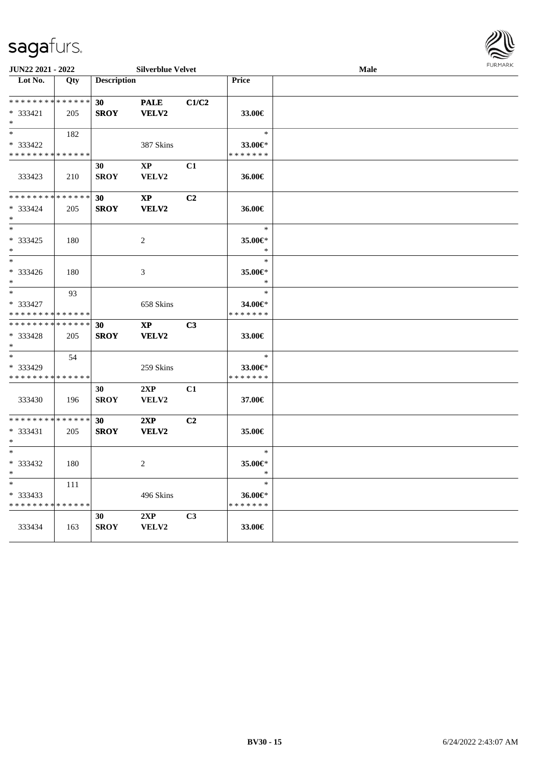

| JUN22 2021 - 2022<br><b>Silverblue Velvet</b>     |            |                                |                                        | <b>FURMARK</b><br>Male |                                    |  |  |
|---------------------------------------------------|------------|--------------------------------|----------------------------------------|------------------------|------------------------------------|--|--|
| Lot No.                                           | Qty        | <b>Description</b>             |                                        |                        | Price                              |  |  |
| * * * * * * * * * * * * * *<br>* 333421<br>$*$    | 205        | 30 <sub>1</sub><br><b>SROY</b> | <b>PALE</b><br><b>VELV2</b>            | C1/C2                  | 33.00€                             |  |  |
| $*$<br>* 333422<br>* * * * * * * * * * * * * *    | 182        |                                | 387 Skins                              |                        | $\ast$<br>33.00€*<br>* * * * * * * |  |  |
| 333423                                            | 210        | 30<br><b>SROY</b>              | $\mathbf{X}\mathbf{P}$<br>VELV2        | C1                     | 36.00€                             |  |  |
| * * * * * * * * * * * * * *<br>* 333424<br>$*$    | 205        | 30<br><b>SROY</b>              | $\mathbf{X}\mathbf{P}$<br><b>VELV2</b> | C <sub>2</sub>         | 36.00€                             |  |  |
| $*$<br>* 333425<br>$*$                            | 180        |                                | 2                                      |                        | $\ast$<br>35.00€*<br>$\ast$        |  |  |
| $*$<br>* 333426<br>$*$                            | 180        |                                | 3                                      |                        | $\ast$<br>35.00€*<br>$\ast$        |  |  |
| $*$<br>* 333427<br>* * * * * * * * * * * * * *    | 93         |                                | 658 Skins                              |                        | $\ast$<br>34.00€*<br>* * * * * * * |  |  |
| * * * * * * * * * * * * * *<br>$*333428$<br>$*$   | 205        | 30<br><b>SROY</b>              | $\mathbf{XP}$<br><b>VELV2</b>          | C3                     | 33.00€                             |  |  |
| $*$<br>* 333429<br>* * * * * * * * * * * * * *    | 54         |                                | 259 Skins                              |                        | $\ast$<br>33.00€*<br>* * * * * * * |  |  |
| 333430                                            | 196        | 30<br><b>SROY</b>              | 2XP<br>VELV2                           | C1                     | 37.00€                             |  |  |
| * * * * * * * * * * * * * *<br>* 333431<br>$*$    | 205        | 30<br><b>SROY</b>              | 2XP<br><b>VELV2</b>                    | C <sub>2</sub>         | 35.00€                             |  |  |
| $*$<br>* 333432<br>$*$                            | 180        |                                | 2                                      |                        | $\ast$<br>35.00€*                  |  |  |
| $\ast$<br>* 333433<br>* * * * * * * * * * * * * * | <b>111</b> |                                | 496 Skins                              |                        | $\ast$<br>36.00€<br>* * * * * * *  |  |  |
| 333434                                            | 163        | 30<br><b>SROY</b>              | 2XP<br>VELV2                           | C3                     | 33.00€                             |  |  |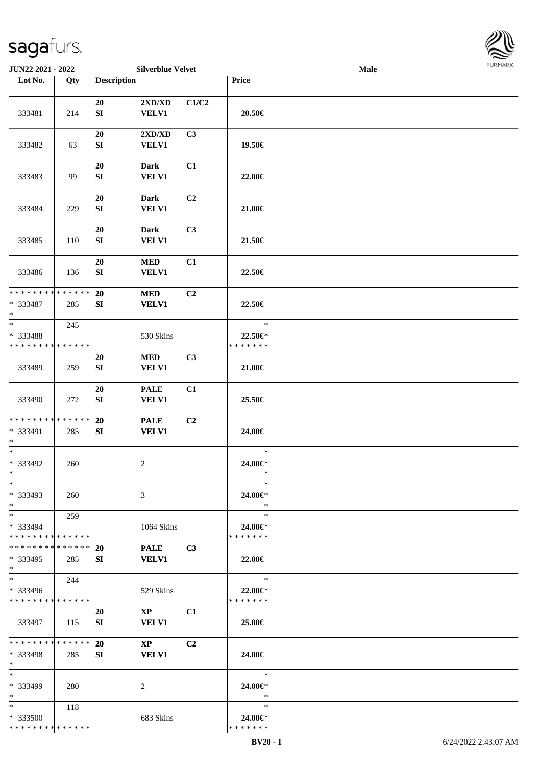

|                                         | JUN22 2021 - 2022 |                    | <b>Silverblue Velvet</b> |                |                          | Male |  |
|-----------------------------------------|-------------------|--------------------|--------------------------|----------------|--------------------------|------|--|
| Lot No.                                 | Qty               | <b>Description</b> |                          |                | Price                    |      |  |
|                                         |                   |                    |                          |                |                          |      |  |
|                                         |                   | 20                 | 2XD/XD                   | C1/C2          |                          |      |  |
| 333481                                  | 214               | ${\bf S}{\bf I}$   | <b>VELV1</b>             |                | 20.50€                   |      |  |
|                                         |                   |                    |                          |                |                          |      |  |
|                                         |                   | 20                 | 2XD/XD                   | C3             |                          |      |  |
| 333482                                  | 63                | SI                 | <b>VELV1</b>             |                | 19.50€                   |      |  |
|                                         |                   |                    |                          |                |                          |      |  |
|                                         |                   |                    |                          |                |                          |      |  |
|                                         |                   | $20\,$             | <b>Dark</b>              | C1             |                          |      |  |
| 333483                                  | 99                | SI                 | <b>VELV1</b>             |                | 22.00€                   |      |  |
|                                         |                   |                    |                          |                |                          |      |  |
|                                         |                   | 20                 | <b>Dark</b>              | C <sub>2</sub> |                          |      |  |
| 333484                                  | 229               | ${\bf S}{\bf I}$   | <b>VELV1</b>             |                | 21.00€                   |      |  |
|                                         |                   |                    |                          |                |                          |      |  |
|                                         |                   | 20                 | <b>Dark</b>              | C3             |                          |      |  |
| 333485                                  | 110               | SI                 | <b>VELV1</b>             |                | 21.50€                   |      |  |
|                                         |                   |                    |                          |                |                          |      |  |
|                                         |                   | 20                 | $\bf MED$                | C1             |                          |      |  |
| 333486                                  | 136               | SI                 | <b>VELV1</b>             |                | 22.50€                   |      |  |
|                                         |                   |                    |                          |                |                          |      |  |
| * * * * * * * * * * * * * *             |                   | 20                 | <b>MED</b>               | C2             |                          |      |  |
| * 333487                                | 285               | SI                 | <b>VELV1</b>             |                | 22.50€                   |      |  |
| $\ast$                                  |                   |                    |                          |                |                          |      |  |
| $\ast$                                  | 245               |                    |                          |                | $\ast$                   |      |  |
|                                         |                   |                    |                          |                |                          |      |  |
| * 333488<br>* * * * * * * * * * * * * * |                   |                    | 530 Skins                |                | 22.50€*<br>* * * * * * * |      |  |
|                                         |                   |                    |                          |                |                          |      |  |
|                                         |                   | <b>20</b>          | <b>MED</b>               | C3             |                          |      |  |
| 333489                                  | 259               | SI                 | VELV1                    |                | 21.00€                   |      |  |
|                                         |                   |                    |                          |                |                          |      |  |
|                                         |                   | $20\,$             | <b>PALE</b>              | C1             |                          |      |  |
| 333490                                  | 272               | ${\bf S}{\bf I}$   | VELV1                    |                | 25.50€                   |      |  |
|                                         |                   |                    |                          |                |                          |      |  |
| * * * * * * * * * * * * * *             |                   | 20                 | <b>PALE</b>              | C2             |                          |      |  |
| * 333491                                | 285               | SI                 | <b>VELV1</b>             |                | 24.00€                   |      |  |
| $\ast$                                  |                   |                    |                          |                |                          |      |  |
| $*$                                     |                   |                    |                          |                | $\ast$                   |      |  |
| * 333492                                | 260               |                    | $\overline{c}$           |                | 24.00€*                  |      |  |
| $*$                                     |                   |                    |                          |                | $\ast$                   |      |  |
| $*$                                     |                   |                    |                          |                | $\ast$                   |      |  |
| * 333493                                | 260               |                    | 3                        |                | 24.00€*                  |      |  |
| $*$                                     |                   |                    |                          |                | $\ast$                   |      |  |
| $*$                                     | 259               |                    |                          |                | $\ast$                   |      |  |
| * 333494                                |                   |                    | <b>1064 Skins</b>        |                | 24.00€*                  |      |  |
| * * * * * * * * * * * * * *             |                   |                    |                          |                | * * * * * * *            |      |  |
| * * * * * * * * * * * * * * *           |                   | <b>20</b>          | <b>PALE</b>              | C <sub>3</sub> |                          |      |  |
| $*333495$                               | 285               | SI                 | <b>VELV1</b>             |                | 22.00€                   |      |  |
| $*$                                     |                   |                    |                          |                |                          |      |  |
| $\ast$                                  | 244               |                    |                          |                | $\ast$                   |      |  |
|                                         |                   |                    |                          |                |                          |      |  |
| $* 333496$                              |                   |                    | 529 Skins                |                | $22.00 \in$ *            |      |  |
| * * * * * * * * * * * * * *             |                   |                    |                          |                | * * * * * * *            |      |  |
|                                         |                   | 20                 | $\mathbf{XP}$            | C1             |                          |      |  |
| 333497                                  | 115               | SI                 | <b>VELV1</b>             |                | 25.00€                   |      |  |
|                                         |                   |                    |                          |                |                          |      |  |
| * * * * * * * * * * * * * *             |                   | <b>20</b>          | $\mathbf{X}\mathbf{P}$   | C <sub>2</sub> |                          |      |  |
| * 333498                                | 285               | SI                 | <b>VELV1</b>             |                | 24.00€                   |      |  |
| $\ast$                                  |                   |                    |                          |                |                          |      |  |
| $*$                                     |                   |                    |                          |                | $\ast$                   |      |  |
| * 333499                                | 280               |                    | 2                        |                | 24.00€*                  |      |  |
| $*$                                     |                   |                    |                          |                | $\ast$                   |      |  |
| $*$                                     | 118               |                    |                          |                | $\ast$                   |      |  |
| * 333500                                |                   |                    | 683 Skins                |                | 24.00€*                  |      |  |
| * * * * * * * * * * * * * *             |                   |                    |                          |                | * * * * * * *            |      |  |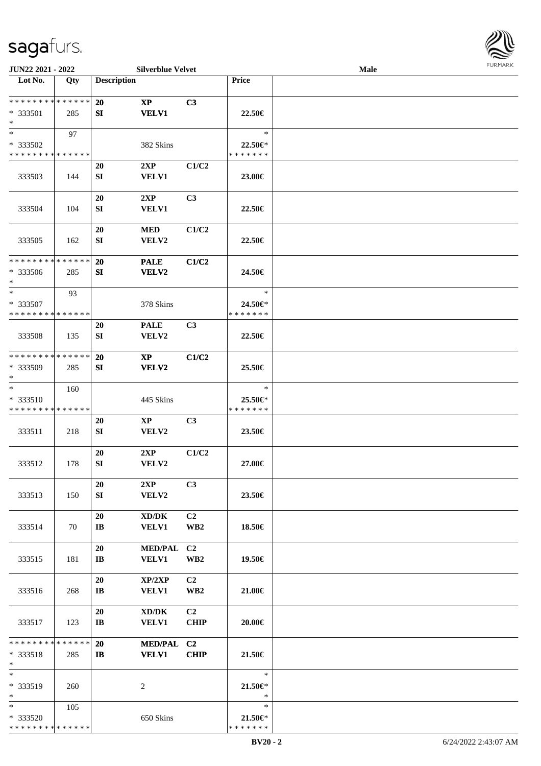

| JUN22 2021 - 2022                                  |     |                              | <b>Silverblue Velvet</b>                            |                                   |                                    | Male |  |
|----------------------------------------------------|-----|------------------------------|-----------------------------------------------------|-----------------------------------|------------------------------------|------|--|
| Lot No.                                            | Qty | <b>Description</b>           |                                                     |                                   | Price                              |      |  |
| **************<br>$*333501$<br>$\ast$              | 285 | 20<br>SI                     | $\mathbf{XP}$<br><b>VELV1</b>                       | C3                                | 22.50€                             |      |  |
| $*$<br>* 333502<br>* * * * * * * * * * * * * *     | 97  |                              | 382 Skins                                           |                                   | $\ast$<br>22.50€*<br>* * * * * * * |      |  |
| 333503                                             | 144 | 20<br>SI                     | 2XP<br><b>VELV1</b>                                 | C1/C2                             | 23.00€                             |      |  |
| 333504                                             | 104 | 20<br>SI                     | 2XP<br><b>VELV1</b>                                 | C3                                | 22.50€                             |      |  |
| 333505                                             | 162 | 20<br>${\bf SI}$             | <b>MED</b><br><b>VELV2</b>                          | C1/C2                             | 22.50€                             |      |  |
| * * * * * * * * * * * * * *<br>* 333506<br>$\ast$  | 285 | 20<br>SI                     | <b>PALE</b><br>VELV2                                | C1/C2                             | 24.50€                             |      |  |
| $\ast$<br>$*333507$<br>* * * * * * * * * * * * * * | 93  |                              | 378 Skins                                           |                                   | $\ast$<br>24.50€*<br>* * * * * * * |      |  |
| 333508                                             | 135 | 20<br>SI                     | <b>PALE</b><br><b>VELV2</b>                         | C3                                | 22.50€                             |      |  |
| * * * * * * * * * * * * * *<br>* 333509<br>$\ast$  | 285 | <b>20</b><br>SI              | $\bold{X}\bold{P}$<br><b>VELV2</b>                  | C1/C2                             | 25.50€                             |      |  |
| $\ast$<br>* 333510<br>* * * * * * * * * * * * * *  | 160 |                              | 445 Skins                                           |                                   | $\ast$<br>25.50€*<br>* * * * * * * |      |  |
| 333511                                             | 218 | 20<br>SI                     | $\mathbf{X}\mathbf{P}$<br>VELV2                     | C3                                | 23.50€                             |      |  |
| 333512                                             | 178 | 20<br>SI                     | 2XP<br>VELV2                                        | C1/C2                             | 27.00€                             |      |  |
| 333513                                             | 150 | 20<br>SI                     | 2XP<br>VELV2                                        | C3                                | 23.50€                             |      |  |
| 333514                                             | 70  | 20<br>$\mathbf{I}\mathbf{B}$ | $\bold{X}\bold{D}/\bold{D}\bold{K}$<br><b>VELV1</b> | C <sub>2</sub><br>WB <sub>2</sub> | 18.50€                             |      |  |
| 333515                                             | 181 | 20<br>$\mathbf{I}\mathbf{B}$ | <b>MED/PAL</b><br><b>VELV1</b>                      | C2<br>WB <sub>2</sub>             | 19.50€                             |      |  |
| 333516                                             | 268 | 20<br>$\mathbf{I}\mathbf{B}$ | XP/2XP<br><b>VELV1</b>                              | C <sub>2</sub><br>WB <sub>2</sub> | 21.00€                             |      |  |
| 333517                                             | 123 | 20<br>$\mathbf{I}\mathbf{B}$ | $\bold{X}\bold{D}/\bold{D}\bold{K}$<br><b>VELV1</b> | C <sub>2</sub><br><b>CHIP</b>     | 20.00€                             |      |  |
| * * * * * * * * * * * * * *<br>* 333518<br>$\ast$  | 285 | 20<br>$\mathbf{I}$ <b>B</b>  | MED/PAL C2<br><b>VELV1</b>                          | <b>CHIP</b>                       | 21.50€                             |      |  |
| $\ast$<br>* 333519<br>$\ast$                       | 260 |                              | 2                                                   |                                   | $\ast$<br>21.50€*<br>$\ast$        |      |  |
| $*$<br>* 333520<br>* * * * * * * * * * * * * *     | 105 |                              | 650 Skins                                           |                                   | $\ast$<br>21.50€*<br>* * * * * * * |      |  |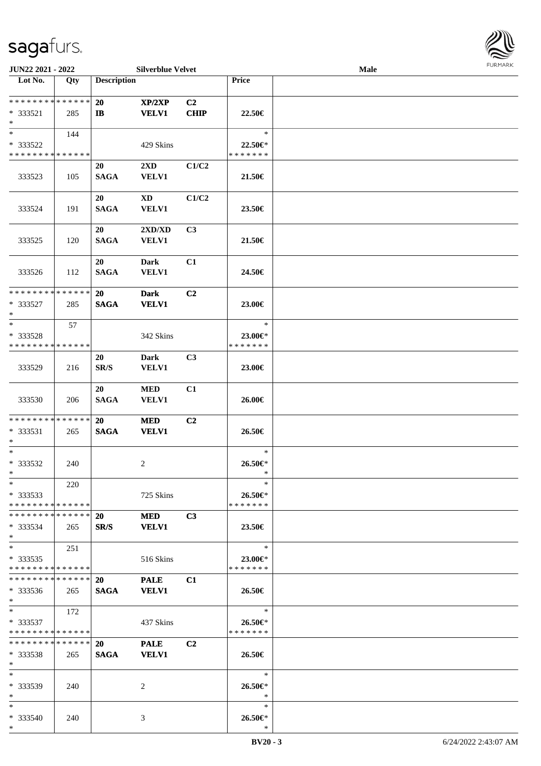

| JUN22 2021 - 2022                                   |     |                           | <b>Silverblue Velvet</b>                |                   |                                    | <b>Male</b> |  |
|-----------------------------------------------------|-----|---------------------------|-----------------------------------------|-------------------|------------------------------------|-------------|--|
| Lot No.                                             | Qty | <b>Description</b>        |                                         |                   | <b>Price</b>                       |             |  |
| ******** <mark>******</mark><br>$* 333521$<br>$*$   | 285 | <b>20</b><br>$\mathbf{I}$ | XP/2XP<br><b>VELV1</b>                  | C2<br><b>CHIP</b> | 22.50€                             |             |  |
| $*$<br>* 333522<br>* * * * * * * * * * * * * *      | 144 |                           | 429 Skins                               |                   | $\ast$<br>22.50€*<br>* * * * * * * |             |  |
| 333523                                              | 105 | 20<br><b>SAGA</b>         | $2\mathbf{X}\mathbf{D}$<br><b>VELV1</b> | C1/C2             | 21.50€                             |             |  |
| 333524                                              | 191 | 20<br><b>SAGA</b>         | <b>XD</b><br>VELV1                      | C1/C2             | 23.50€                             |             |  |
| 333525                                              | 120 | 20<br><b>SAGA</b>         | 2XD/XD<br><b>VELV1</b>                  | C3                | 21.50€                             |             |  |
| 333526                                              | 112 | 20<br><b>SAGA</b>         | <b>Dark</b><br><b>VELV1</b>             | C1                | 24.50€                             |             |  |
| * * * * * * * * * * * * * *<br>* 333527<br>$*$      | 285 | 20<br><b>SAGA</b>         | <b>Dark</b><br><b>VELV1</b>             | C <sub>2</sub>    | 23.00€                             |             |  |
| $*$<br>* 333528<br>* * * * * * * * * * * * * *      | 57  |                           | 342 Skins                               |                   | $\ast$<br>23.00€*<br>* * * * * * * |             |  |
| 333529                                              | 216 | <b>20</b><br>SR/S         | <b>Dark</b><br>VELV1                    | C <sub>3</sub>    | 23.00€                             |             |  |
| 333530                                              | 206 | 20<br><b>SAGA</b>         | <b>MED</b><br>VELV1                     | C1                | 26.00€                             |             |  |
| * * * * * * * * * * * * * *<br>* 333531<br>$\ast$   | 265 | 20<br><b>SAGA</b>         | <b>MED</b><br><b>VELV1</b>              | C <sub>2</sub>    | 26.50€                             |             |  |
| $*$<br>* 333532<br>$*$                              | 240 |                           | 2                                       |                   | $\ast$<br>26.50€*<br>$\ast$        |             |  |
| $*$<br>$*333533$<br>* * * * * * * * * * * * * *     | 220 |                           | 725 Skins                               |                   | $\ast$<br>26.50€*<br>* * * * * * * |             |  |
| * * * * * * * * * * * * * * *<br>$*333534$<br>$*$   | 265 | 20<br>SR/S                | <b>MED</b><br><b>VELV1</b>              | C3                | 23.50€                             |             |  |
| $*$ $-$<br>$*333535$<br>* * * * * * * * * * * * * * | 251 |                           | 516 Skins                               |                   | $\ast$<br>23.00€*<br>* * * * * * * |             |  |
| * * * * * * * * * * * * * *<br>$*333536$<br>$*$     | 265 | <b>20</b><br><b>SAGA</b>  | <b>PALE</b><br><b>VELV1</b>             | C1                | 26.50€                             |             |  |
| $*$ $*$<br>$*333537$<br>* * * * * * * * * * * * * * | 172 |                           | 437 Skins                               |                   | $\ast$<br>26.50€*<br>* * * * * * * |             |  |
| * * * * * * * * * * * * * *<br>$*333538$<br>$*$     | 265 | <b>20</b><br><b>SAGA</b>  | <b>PALE</b><br><b>VELV1</b>             | C2                | 26.50€                             |             |  |
| $*$<br>* 333539<br>$*$                              | 240 |                           | 2                                       |                   | $\ast$<br>26.50€*<br>$\ast$        |             |  |
| $*$<br>* 333540<br>$*$                              | 240 |                           | 3                                       |                   | $\ast$<br>26.50€*<br>$\ast$        |             |  |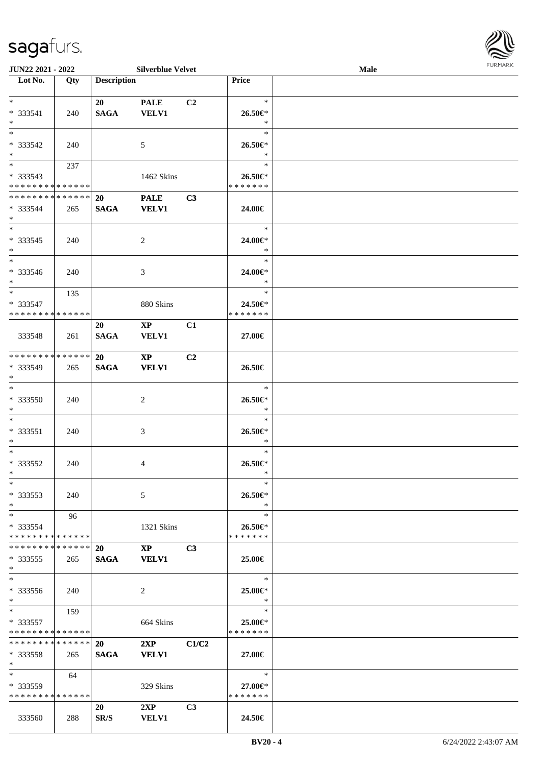

| <b>JUN22 2021 - 2022</b>      |     |                    | <b>Silverblue Velvet</b> |                |                          | Male |  |
|-------------------------------|-----|--------------------|--------------------------|----------------|--------------------------|------|--|
| Lot No.                       | Qty | <b>Description</b> |                          |                | Price                    |      |  |
|                               |     |                    |                          |                |                          |      |  |
| $*$                           |     | 20                 | <b>PALE</b>              | C2             | $\ast$                   |      |  |
| * 333541                      | 240 | <b>SAGA</b>        | <b>VELV1</b>             |                | 26.50€*                  |      |  |
| $*$                           |     |                    |                          |                | $\ast$                   |      |  |
| $*$                           |     |                    |                          |                | $\ast$                   |      |  |
| * 333542                      | 240 |                    | 5                        |                | 26.50€*                  |      |  |
| $*$                           |     |                    |                          |                | $\ast$                   |      |  |
| $*$                           |     |                    |                          |                | $\ast$                   |      |  |
|                               | 237 |                    |                          |                |                          |      |  |
| * 333543                      |     |                    | 1462 Skins               |                | 26.50€*                  |      |  |
| * * * * * * * * * * * * * *   |     |                    |                          |                | * * * * * * *            |      |  |
| * * * * * * * * * * * * * *   |     | 20                 | <b>PALE</b>              | C3             |                          |      |  |
| $* 333544$                    | 265 | <b>SAGA</b>        | <b>VELV1</b>             |                | 24.00€                   |      |  |
| $*$                           |     |                    |                          |                |                          |      |  |
| $*$                           |     |                    |                          |                | $\ast$                   |      |  |
| $* 333545$                    | 240 |                    | 2                        |                | 24.00€*                  |      |  |
| $*$                           |     |                    |                          |                | $\ast$                   |      |  |
| $\ast$                        |     |                    |                          |                | $\ast$                   |      |  |
| $* 333546$                    | 240 |                    | 3                        |                | 24.00€*                  |      |  |
| $*$                           |     |                    |                          |                | $\ast$                   |      |  |
| $*$                           | 135 |                    |                          |                | $\ast$                   |      |  |
| $* 333547$                    |     |                    | 880 Skins                |                |                          |      |  |
| * * * * * * * * * * * * * *   |     |                    |                          |                | 24.50€*<br>* * * * * * * |      |  |
|                               |     |                    |                          |                |                          |      |  |
|                               |     | 20                 | $\mathbf{X}\mathbf{P}$   | C1             |                          |      |  |
| 333548                        | 261 | <b>SAGA</b>        | <b>VELV1</b>             |                | 27.00€                   |      |  |
|                               |     |                    |                          |                |                          |      |  |
| * * * * * * * * * * * * * *   |     | 20                 | $\mathbf{X}\mathbf{P}$   | C2             |                          |      |  |
| * 333549                      | 265 | <b>SAGA</b>        | <b>VELV1</b>             |                | 26.50€                   |      |  |
| $*$                           |     |                    |                          |                |                          |      |  |
| $*$                           |     |                    |                          |                | $\ast$                   |      |  |
| $* 333550$                    | 240 |                    | 2                        |                | 26.50€*                  |      |  |
| $*$                           |     |                    |                          |                | $\ast$                   |      |  |
| $*$                           |     |                    |                          |                | $\ast$                   |      |  |
| * 333551                      | 240 |                    | 3                        |                | 26.50€*                  |      |  |
| $*$                           |     |                    |                          |                | $\ast$                   |      |  |
| $*$                           |     |                    |                          |                | $\ast$                   |      |  |
| $* 333552$                    | 240 |                    | 4                        |                | 26.50€*                  |      |  |
| $*$                           |     |                    |                          |                | $\ast$                   |      |  |
| $*$                           |     |                    |                          |                | $\ast$                   |      |  |
|                               |     |                    |                          |                |                          |      |  |
| * 333553                      | 240 |                    | 5                        |                | 26.50€*                  |      |  |
| $*$                           |     |                    |                          |                | $\ast$                   |      |  |
| $*$ $*$                       | 96  |                    |                          |                | $\ast$                   |      |  |
| * 333554                      |     |                    | 1321 Skins               |                | 26.50€*                  |      |  |
| * * * * * * * * * * * * * *   |     |                    |                          |                | * * * * * * *            |      |  |
| * * * * * * * * * * * * * * * |     | <b>20</b>          | $\mathbf{XP}$            | C <sub>3</sub> |                          |      |  |
| $*333555$                     | 265 | <b>SAGA</b>        | <b>VELV1</b>             |                | 25.00€                   |      |  |
| $*$                           |     |                    |                          |                |                          |      |  |
| $\ast$                        |     |                    |                          |                | $\ast$                   |      |  |
| * 333556                      | 240 |                    | 2                        |                | 25.00€*                  |      |  |
| $*$                           |     |                    |                          |                | $\ast$                   |      |  |
| $*$ $*$                       | 159 |                    |                          |                | $\ast$                   |      |  |
| $*333557$                     |     |                    | 664 Skins                |                | 25.00€*                  |      |  |
| * * * * * * * * * * * * * *   |     |                    |                          |                | * * * * * * *            |      |  |
| **************                |     | <b>20</b>          | 2XP                      | C1/C2          |                          |      |  |
| $*333558$                     |     | <b>SAGA</b>        | <b>VELV1</b>             |                | 27.00€                   |      |  |
| $*$                           | 265 |                    |                          |                |                          |      |  |
| $*$ and $*$                   |     |                    |                          |                | $\ast$                   |      |  |
|                               | 64  |                    |                          |                |                          |      |  |
| * 333559                      |     |                    | 329 Skins                |                | 27.00€*                  |      |  |
| * * * * * * * * * * * * * *   |     |                    |                          |                | * * * * * * *            |      |  |
|                               |     | 20                 | 2XP                      | C <sub>3</sub> |                          |      |  |
| 333560                        | 288 | SR/S               | <b>VELV1</b>             |                | 24.50€                   |      |  |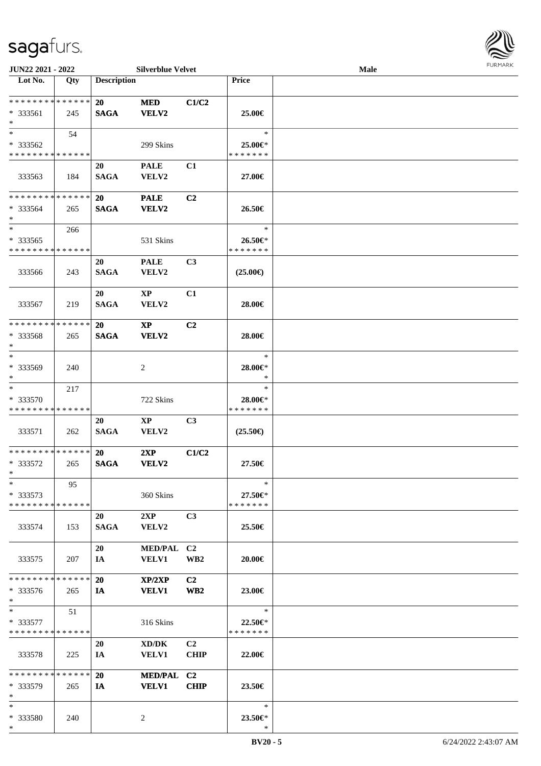

| JUN22 2021 - 2022                                   |     |                    | <b>Silverblue Velvet</b>               |                       |                                    | Male |  |
|-----------------------------------------------------|-----|--------------------|----------------------------------------|-----------------------|------------------------------------|------|--|
| Lot No.                                             | Qty | <b>Description</b> |                                        |                       | Price                              |      |  |
| **************<br>* 333561<br>$\ast$                | 245 | 20<br><b>SAGA</b>  | $\bf MED$<br><b>VELV2</b>              | C1/C2                 | 25.00€                             |      |  |
| $\ast$<br>* 333562<br>* * * * * * * * * * * * * *   | 54  |                    | 299 Skins                              |                       | $\ast$<br>25.00€*<br>* * * * * * * |      |  |
| 333563                                              | 184 | 20<br><b>SAGA</b>  | <b>PALE</b><br>VELV2                   | C1                    | 27.00€                             |      |  |
| * * * * * * * * * * * * * *<br>* 333564<br>$\ast$   | 265 | 20<br><b>SAGA</b>  | <b>PALE</b><br><b>VELV2</b>            | C2                    | 26.50€                             |      |  |
| $\ast$<br>* 333565<br>* * * * * * * * * * * * * *   | 266 |                    | 531 Skins                              |                       | $\ast$<br>26.50€*<br>* * * * * * * |      |  |
| 333566                                              | 243 | 20<br><b>SAGA</b>  | <b>PALE</b><br>VELV2                   | C3                    | $(25.00\epsilon)$                  |      |  |
| 333567                                              | 219 | 20<br><b>SAGA</b>  | $\mathbf{X}\mathbf{P}$<br>VELV2        | C1                    | 28.00€                             |      |  |
| * * * * * * * * * * * * * *<br>* 333568<br>$\ast$   | 265 | 20<br><b>SAGA</b>  | $\mathbf{X}\mathbf{P}$<br><b>VELV2</b> | C <sub>2</sub>        | 28.00€                             |      |  |
| $\ast$<br>* 333569<br>$\ast$                        | 240 |                    | $\overline{c}$                         |                       | $\ast$<br>28.00€*<br>$\ast$        |      |  |
| $\ast$<br>* 333570<br>* * * * * * * * * * * * * *   | 217 |                    | 722 Skins                              |                       | $\ast$<br>28.00€*<br>* * * * * * * |      |  |
| 333571                                              | 262 | 20<br><b>SAGA</b>  | $\mathbf{X}\mathbf{P}$<br>VELV2        | C3                    | $(25.50\epsilon)$                  |      |  |
| * * * * * * * * * * * * * *<br>* 333572<br>$*$ $-$  | 265 | 20<br><b>SAGA</b>  | 2XP<br><b>VELV2</b>                    | C1/C2                 | 27.50€                             |      |  |
| $\ast$<br>* 333573<br>* * * * * * * * * * * * * *   | 95  |                    | 360 Skins                              |                       | $\ast$<br>27.50€*<br>* * * * * * * |      |  |
| 333574                                              | 153 | 20<br><b>SAGA</b>  | 2XP<br><b>VELV2</b>                    | C3                    | 25.50€                             |      |  |
| 333575                                              | 207 | 20<br>IA           | MED/PAL C2<br><b>VELV1</b>             | WB <sub>2</sub>       | 20.00€                             |      |  |
| * * * * * * * * * * * * * *<br>$* 333576$<br>$\ast$ | 265 | 20<br>IA           | XP/2XP<br><b>VELV1</b>                 | C2<br>WB <sub>2</sub> | 23.00€                             |      |  |
| $\ast$<br>$*333577$<br>* * * * * * * * * * * * * *  | 51  |                    | 316 Skins                              |                       | $\ast$<br>22.50€*<br>* * * * * * * |      |  |
| 333578                                              | 225 | 20<br>IA           | XD/DK<br><b>VELV1</b>                  | C2<br><b>CHIP</b>     | 22.00€                             |      |  |
| * * * * * * * * * * * * * *<br>* 333579<br>$\ast$   | 265 | 20<br>IA           | MED/PAL C2<br><b>VELV1</b>             | <b>CHIP</b>           | 23.50€                             |      |  |
| $\ast$<br>* 333580<br>$*$                           | 240 |                    | 2                                      |                       | $\ast$<br>23.50€*<br>$\ast$        |      |  |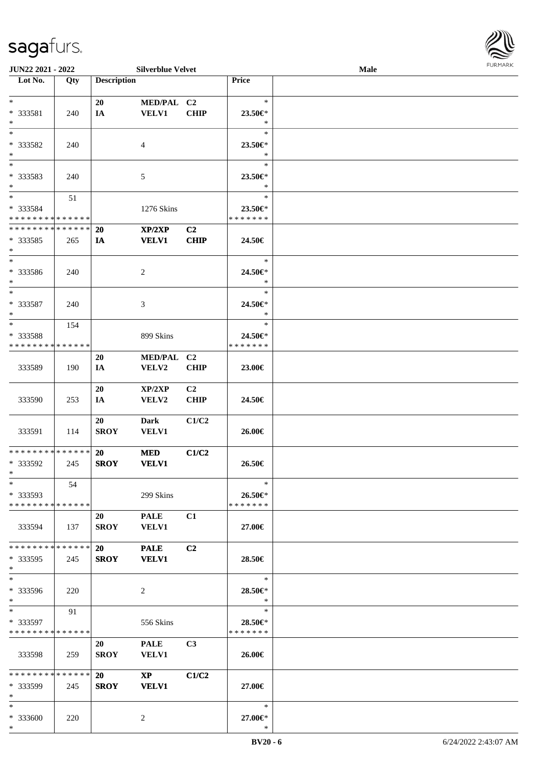

| JUN22 2021 - 2022                          |     |                    | <b>Silverblue Velvet</b> |                |                                | Male |  |
|--------------------------------------------|-----|--------------------|--------------------------|----------------|--------------------------------|------|--|
| Lot No.                                    | Qty | <b>Description</b> |                          |                | Price                          |      |  |
|                                            |     |                    |                          |                |                                |      |  |
| $*$                                        |     | 20                 | MED/PAL C2               |                | $\ast$                         |      |  |
| * 333581                                   | 240 | IA                 | <b>VELV1</b>             | <b>CHIP</b>    | 23.50 $\in$ *                  |      |  |
| $*$                                        |     |                    |                          |                | $\ast$                         |      |  |
|                                            |     |                    |                          |                | $\ast$                         |      |  |
| $\ast$                                     |     |                    |                          |                |                                |      |  |
| * 333582                                   | 240 |                    | 4                        |                | 23.50€*                        |      |  |
| $*$                                        |     |                    |                          |                | $\ast$                         |      |  |
| $*$                                        |     |                    |                          |                | $\ast$                         |      |  |
| * 333583                                   | 240 |                    | 5                        |                | 23.50€                         |      |  |
| $\ast$                                     |     |                    |                          |                | $\ast$                         |      |  |
| $*$                                        | 51  |                    |                          |                | $\ast$                         |      |  |
| * 333584                                   |     |                    |                          |                |                                |      |  |
| * * * * * * * * * * * * * *                |     |                    | 1276 Skins               |                | 23.50 $\in$ *<br>* * * * * * * |      |  |
|                                            |     |                    |                          |                |                                |      |  |
| ******** <mark>******</mark>               |     | 20                 | XP/2XP                   | C2             |                                |      |  |
| * 333585                                   | 265 | IA                 | <b>VELV1</b>             | <b>CHIP</b>    | 24.50€                         |      |  |
| $*$                                        |     |                    |                          |                |                                |      |  |
| $*$                                        |     |                    |                          |                | $\ast$                         |      |  |
| * 333586                                   | 240 |                    | 2                        |                | 24.50€*                        |      |  |
| $*$                                        |     |                    |                          |                | $\ast$                         |      |  |
| $\ast$                                     |     |                    |                          |                | $\ast$                         |      |  |
|                                            |     |                    |                          |                |                                |      |  |
| * 333587                                   | 240 |                    | 3                        |                | 24.50€*                        |      |  |
| $*$                                        |     |                    |                          |                | $\ast$                         |      |  |
| $\ast$                                     | 154 |                    |                          |                | $\ast$                         |      |  |
| * 333588                                   |     |                    | 899 Skins                |                | 24.50€*                        |      |  |
| * * * * * * * * * * * * * *                |     |                    |                          |                | * * * * * * *                  |      |  |
|                                            |     | <b>20</b>          | <b>MED/PAL</b>           | C <sub>2</sub> |                                |      |  |
| 333589                                     | 190 | IA                 | <b>VELV2</b>             | <b>CHIP</b>    | 23.00€                         |      |  |
|                                            |     |                    |                          |                |                                |      |  |
|                                            |     | 20                 | XP/2XP                   | C <sub>2</sub> |                                |      |  |
|                                            |     |                    |                          |                |                                |      |  |
| 333590                                     | 253 | IA                 | VELV2                    | <b>CHIP</b>    | 24.50€                         |      |  |
|                                            |     |                    |                          |                |                                |      |  |
|                                            |     | 20                 | <b>Dark</b>              | C1/C2          |                                |      |  |
| 333591                                     | 114 | <b>SROY</b>        | <b>VELV1</b>             |                | 26.00€                         |      |  |
|                                            |     |                    |                          |                |                                |      |  |
| * * * * * * * * * * * * * * *              |     | <b>20</b>          | <b>MED</b>               | C1/C2          |                                |      |  |
| * 333592                                   | 245 | <b>SROY</b>        | <b>VELV1</b>             |                | 26.50€                         |      |  |
| $*$                                        |     |                    |                          |                |                                |      |  |
| $*$                                        | 54  |                    |                          |                | $\ast$                         |      |  |
|                                            |     |                    |                          |                |                                |      |  |
| * 333593                                   |     |                    | 299 Skins                |                | 26.50€*                        |      |  |
| * * * * * * * * * * * * * * *              |     |                    |                          |                | * * * * * * *                  |      |  |
|                                            |     | 20                 | <b>PALE</b>              | C1             |                                |      |  |
| 333594                                     | 137 | SROY               | <b>VELV1</b>             |                | 27.00€                         |      |  |
|                                            |     |                    |                          |                |                                |      |  |
| * * * * * * * * * * * * * * *              |     | <b>20</b>          | <b>PALE</b>              | C <sub>2</sub> |                                |      |  |
| * 333595                                   | 245 | <b>SROY</b>        | <b>VELV1</b>             |                | 28.50€                         |      |  |
| $*$                                        |     |                    |                          |                |                                |      |  |
| $*$                                        |     |                    |                          |                | $*$                            |      |  |
|                                            |     |                    |                          |                |                                |      |  |
| * 333596                                   | 220 |                    | 2                        |                | 28.50€*                        |      |  |
| $*$                                        |     |                    |                          |                | $*$                            |      |  |
| $*$                                        | 91  |                    |                          |                | $\ast$                         |      |  |
| * 333597                                   |     |                    | 556 Skins                |                | 28.50€*                        |      |  |
| * * * * * * * * * * * * * *                |     |                    |                          |                | *******                        |      |  |
|                                            |     | 20                 | <b>PALE</b>              | C <sub>3</sub> |                                |      |  |
| 333598                                     | 259 | <b>SROY</b>        | <b>VELV1</b>             |                | 26.00€                         |      |  |
|                                            |     |                    |                          |                |                                |      |  |
| * * * * * * * * <mark>* * * * * * *</mark> |     | 20                 | $\mathbf{X}\mathbf{P}$   | C1/C2          |                                |      |  |
|                                            |     |                    |                          |                |                                |      |  |
| * 333599                                   | 245 | <b>SROY</b>        | <b>VELV1</b>             |                | 27.00€                         |      |  |
| $*$                                        |     |                    |                          |                |                                |      |  |
| $*$                                        |     |                    |                          |                | $\ast$                         |      |  |
| * 333600                                   | 220 |                    | 2                        |                | 27.00€*                        |      |  |
| $*$                                        |     |                    |                          |                | $\ast$                         |      |  |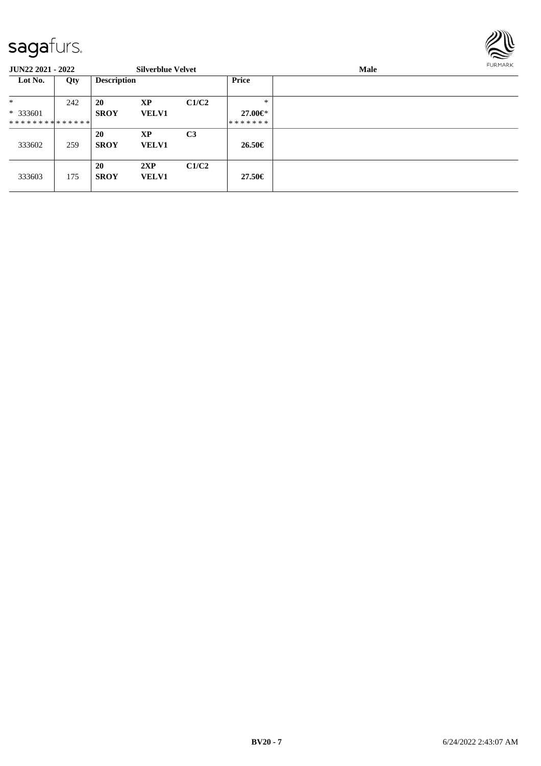

| <b>JUN22 2021 - 2022</b>      |     |                    | <b>Silverblue Velvet</b> |                |              | <b>Male</b> | <b>FURMARK</b> |
|-------------------------------|-----|--------------------|--------------------------|----------------|--------------|-------------|----------------|
| Lot No.                       | Qty | <b>Description</b> |                          |                | <b>Price</b> |             |                |
| $*$                           | 242 | 20                 | XP                       | C1/C2          | *            |             |                |
| $*333601$                     |     | <b>SROY</b>        | <b>VELV1</b>             |                | 27.00€*      |             |                |
| * * * * * * * * * * * * * * * |     |                    |                          |                | *******      |             |                |
| 333602                        | 259 | 20<br><b>SROY</b>  | XP<br><b>VELV1</b>       | C <sub>3</sub> | 26.50€       |             |                |
| 333603                        | 175 | 20<br><b>SROY</b>  | 2XP<br><b>VELV1</b>      | C1/C2          | 27.50€       |             |                |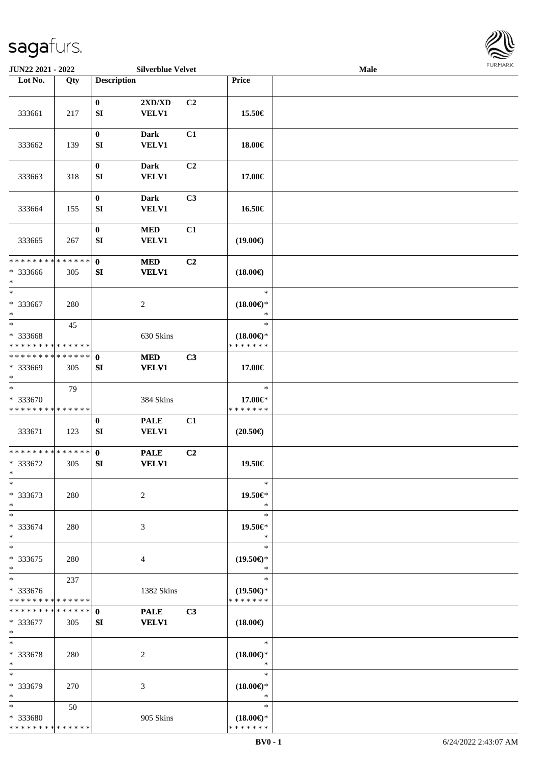

| JUN22 2021 - 2022                                        |     |                                                        | <b>Silverblue Velvet</b> |    |                                                | Male |  |
|----------------------------------------------------------|-----|--------------------------------------------------------|--------------------------|----|------------------------------------------------|------|--|
| Lot No.                                                  | Qty | <b>Description</b>                                     |                          |    | Price                                          |      |  |
|                                                          |     |                                                        |                          |    |                                                |      |  |
| 333661                                                   | 217 | $\bf{0}$<br><b>VELV1</b><br>${\bf SI}$                 | 2XD/XD                   | C2 | 15.50€                                         |      |  |
| 333662                                                   | 139 | $\boldsymbol{0}$<br><b>Dark</b><br><b>SI</b>           | <b>VELV1</b>             | C1 | 18.00€                                         |      |  |
| 333663                                                   | 318 | $\boldsymbol{0}$<br><b>Dark</b><br><b>SI</b>           | <b>VELV1</b>             | C2 | 17.00€                                         |      |  |
| 333664                                                   | 155 | $\boldsymbol{0}$<br><b>Dark</b><br><b>VELV1</b><br>SI  |                          | C3 | 16.50€                                         |      |  |
| 333665                                                   | 267 | $\boldsymbol{0}$<br><b>MED</b><br>SI<br>VELV1          |                          | C1 | $(19.00\epsilon)$                              |      |  |
| * * * * * * * * * * * * * *<br>* 333666<br>$\ast$        | 305 | $\mathbf 0$<br>$\bf MED$<br>SI                         | <b>VELV1</b>             | C2 | $(18.00\epsilon)$                              |      |  |
| $\frac{1}{1}$<br>$* 333667$<br>$\ast$                    | 280 | $\sqrt{2}$                                             |                          |    | $\ast$<br>$(18.00\epsilon)$ *<br>$\ast$        |      |  |
| $\ast$<br>* 333668<br>* * * * * * * * * * * * * *        | 45  |                                                        | 630 Skins                |    | $\ast$<br>$(18.00\epsilon)$ *<br>* * * * * * * |      |  |
| **************<br>* 333669<br>$\ast$                     | 305 | $\mathbf 0$<br><b>MED</b><br>SI                        | <b>VELV1</b>             | C3 | 17.00€                                         |      |  |
| $\frac{1}{1}$<br>* 333670<br>* * * * * * * * * * * * * * | 79  |                                                        | 384 Skins                |    | $\ast$<br>17.00€*<br>* * * * * * *             |      |  |
| 333671                                                   | 123 | $\boldsymbol{0}$<br><b>PALE</b><br>${\bf SI}$<br>VELV1 |                          | C1 | $(20.50\epsilon)$                              |      |  |
| **************<br>* 333672<br>$*$                        | 305 | $\mathbf{0}$<br><b>PALE</b><br><b>VELV1</b><br>SI      |                          | C2 | 19.50€                                         |      |  |
| $*$<br>$*333673$<br>$\ast$                               | 280 | $\overline{c}$                                         |                          |    | $\ast$<br>19.50€*<br>$\ast$                    |      |  |
| $\ast$<br>* 333674<br>$\ast$                             | 280 | 3                                                      |                          |    | $\ast$<br>19.50€*<br>$\ast$                    |      |  |
| $\ast$<br>$*333675$<br>$\ast$                            | 280 | 4                                                      |                          |    | $\ast$<br>$(19.50\epsilon)$ *<br>$\ast$        |      |  |
| $\ast$<br>$* 333676$<br>* * * * * * * * * * * * * *      | 237 |                                                        | 1382 Skins               |    | $\ast$<br>$(19.50\epsilon)$ *<br>* * * * * * * |      |  |
| **************<br>* 333677<br>$\ast$                     | 305 | $\mathbf{0}$<br><b>VELV1</b><br>SI                     | <b>PALE</b>              | C3 | $(18.00\epsilon)$                              |      |  |
| $\ast$<br>* 333678<br>$*$                                | 280 | 2                                                      |                          |    | $\ast$<br>$(18.00\epsilon)$ *<br>$\ast$        |      |  |
| $\ast$<br>* 333679<br>$\ast$                             | 270 | 3                                                      |                          |    | $\ast$<br>$(18.00\epsilon)$ *<br>$\ast$        |      |  |
| $\ast$<br>* 333680<br>* * * * * * * * * * * * * *        | 50  |                                                        | 905 Skins                |    | $\ast$<br>$(18.00\epsilon)$ *<br>* * * * * * * |      |  |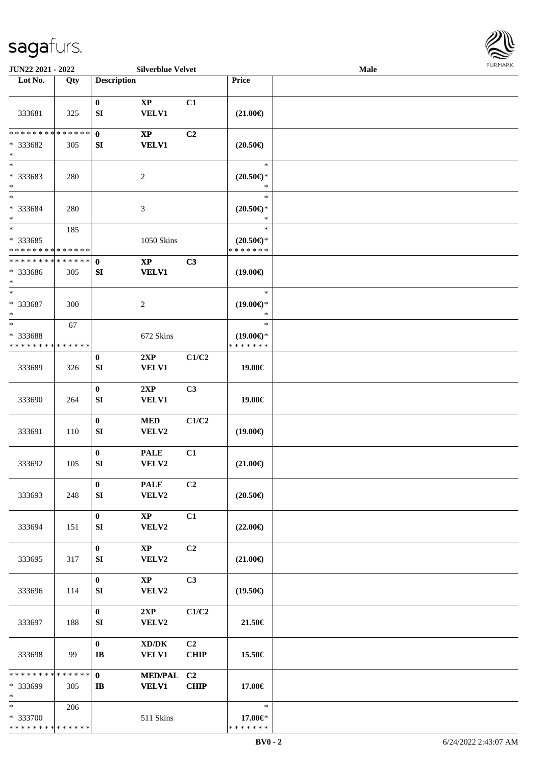

| JUN22 2021 - 2022                                   |     |                                | <b>Silverblue Velvet</b>                            |                               |                                                | <b>Male</b> |  |
|-----------------------------------------------------|-----|--------------------------------|-----------------------------------------------------|-------------------------------|------------------------------------------------|-------------|--|
| Lot No.                                             | Qty | <b>Description</b>             |                                                     |                               | Price                                          |             |  |
| 333681                                              | 325 | $\bf{0}$<br>${\bf S}{\bf I}$   | $\bold{XP}$<br><b>VELV1</b>                         | C1                            | $(21.00\epsilon)$                              |             |  |
| * * * * * * * * * * * * * *<br>* 333682<br>$\ast$   | 305 | $\mathbf{0}$<br>SI             | $\mathbf{X}\mathbf{P}$<br><b>VELV1</b>              | C2                            | $(20.50\epsilon)$                              |             |  |
| $\overline{\phantom{0}}$<br>* 333683<br>$\ast$      | 280 |                                | $\boldsymbol{2}$                                    |                               | $\ast$<br>$(20.50\epsilon)$ *<br>$\ast$        |             |  |
| $\overline{\ast}$<br>* 333684<br>$\ast$             | 280 |                                | $\mathfrak{Z}$                                      |                               | $\ast$<br>$(20.50\epsilon)$ *<br>$\ast$        |             |  |
| $\ast$<br>$* 333685$<br>* * * * * * * * * * * * * * | 185 |                                | 1050 Skins                                          |                               | $\ast$<br>$(20.50\epsilon)$ *<br>* * * * * * * |             |  |
| * * * * * * * * * * * * * *<br>* 333686<br>$\ast$   | 305 | $\bf{0}$<br>${\bf SI}$         | $\bold{XP}$<br><b>VELV1</b>                         | C3                            | $(19.00\epsilon)$                              |             |  |
| $\ast$<br>* 333687<br>$\ast$                        | 300 |                                | $\boldsymbol{2}$                                    |                               | $\ast$<br>$(19.00\epsilon)$ *<br>$\ast$        |             |  |
| $\ast$<br>* 333688<br>* * * * * * * * * * * * * *   | 67  |                                | 672 Skins                                           |                               | $\ast$<br>$(19.00\epsilon)$ *<br>* * * * * * * |             |  |
| 333689                                              | 326 | $\bf{0}$<br>SI                 | 2XP<br><b>VELV1</b>                                 | C1/C2                         | 19.00€                                         |             |  |
| 333690                                              | 264 | $\boldsymbol{0}$<br>${\bf SI}$ | 2XP<br>VELV1                                        | C3                            | 19.00€                                         |             |  |
| 333691                                              | 110 | $\boldsymbol{0}$<br>SI         | $\bf MED$<br>VELV2                                  | C1/C2                         | $(19.00\epsilon)$                              |             |  |
| 333692                                              | 105 | $\bf{0}$<br>${\bf SI}$         | <b>PALE</b><br>VELV2                                | C1                            | $(21.00\epsilon)$                              |             |  |
| 333693                                              | 248 | $\bf{0}$<br>SI                 | <b>PALE</b><br>VELV2                                | C2                            | $(20.50\epsilon)$                              |             |  |
| 333694                                              | 151 | $\bf{0}$<br>SI                 | $\mathbf{X}\mathbf{P}$<br>VELV2                     | C1                            | $(22.00\epsilon)$                              |             |  |
| 333695                                              | 317 | $\bf{0}$<br>SI                 | XP<br>VELV2                                         | C2                            | $(21.00\epsilon)$                              |             |  |
| 333696                                              | 114 | $\bf{0}$<br>SI                 | $\mathbf{X}\mathbf{P}$<br>VELV2                     | C3                            | $(19.50\epsilon)$                              |             |  |
| 333697                                              | 188 | $\bf{0}$<br>SI                 | 2XP<br>VELV2                                        | C1/C2                         | 21.50€                                         |             |  |
| 333698                                              | 99  | $\bf{0}$<br>$\bf I\bf B$       | $\bold{X}\bold{D}/\bold{D}\bold{K}$<br><b>VELV1</b> | C <sub>2</sub><br><b>CHIP</b> | 15.50€                                         |             |  |
| * * * * * * * * * * * * * *<br>* 333699<br>$\ast$   | 305 | $\mathbf{0}$<br>IB             | MED/PAL C2<br><b>VELV1</b>                          | <b>CHIP</b>                   | 17.00€                                         |             |  |
| $*$<br>* 333700<br>* * * * * * * * * * * * * *      | 206 |                                | 511 Skins                                           |                               | $\ast$<br>17.00€*<br>* * * * * * *             |             |  |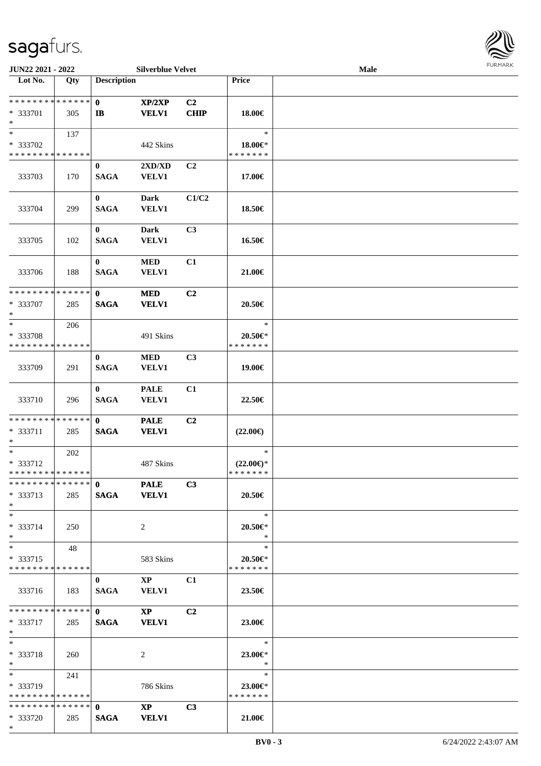

| JUN22 2021 - 2022             |     |                    | <b>Silverblue Velvet</b> |                |                     | Male |
|-------------------------------|-----|--------------------|--------------------------|----------------|---------------------|------|
| Lot No.                       | Qty | <b>Description</b> |                          |                | Price               |      |
|                               |     |                    |                          |                |                     |      |
| ******** <mark>******</mark>  |     | $\mathbf{0}$       | XP/2XP                   | C <sub>2</sub> |                     |      |
| * 333701                      | 305 | $\mathbf{I}$       | <b>VELV1</b>             | <b>CHIP</b>    | 18.00€              |      |
| $\ast$                        |     |                    |                          |                |                     |      |
| $*$                           | 137 |                    |                          |                | $\ast$              |      |
| * 333702                      |     |                    | 442 Skins                |                | 18.00€*             |      |
| * * * * * * * * * * * * * *   |     |                    |                          |                | * * * * * * *       |      |
|                               |     |                    |                          |                |                     |      |
|                               |     | $\mathbf{0}$       | 2XD/XD                   | C <sub>2</sub> |                     |      |
| 333703                        | 170 | <b>SAGA</b>        | <b>VELV1</b>             |                | 17.00€              |      |
|                               |     |                    |                          |                |                     |      |
|                               |     | $\mathbf{0}$       | <b>Dark</b>              | C1/C2          |                     |      |
| 333704                        | 299 | <b>SAGA</b>        | <b>VELV1</b>             |                | 18.50€              |      |
|                               |     |                    |                          |                |                     |      |
|                               |     | $\mathbf{0}$       | <b>Dark</b>              | C3             |                     |      |
| 333705                        | 102 | <b>SAGA</b>        | <b>VELV1</b>             |                | 16.50€              |      |
|                               |     |                    |                          |                |                     |      |
|                               |     | $\bf{0}$           | $\bf MED$                | C1             |                     |      |
|                               |     | <b>SAGA</b>        |                          |                |                     |      |
| 333706                        | 188 |                    | <b>VELV1</b>             |                | 21.00€              |      |
| **************                |     |                    |                          |                |                     |      |
|                               |     | $\mathbf{0}$       | <b>MED</b>               | C2             |                     |      |
| * 333707                      | 285 | <b>SAGA</b>        | <b>VELV1</b>             |                | 20.50€              |      |
| $\ast$                        |     |                    |                          |                |                     |      |
| $\ast$                        | 206 |                    |                          |                | $\ast$              |      |
| * 333708                      |     |                    | 491 Skins                |                | $20.50 \in$ *       |      |
| * * * * * * * * * * * * * *   |     |                    |                          |                | * * * * * * *       |      |
|                               |     | $\bf{0}$           | <b>MED</b>               | C <sub>3</sub> |                     |      |
| 333709                        | 291 | <b>SAGA</b>        | VELV1                    |                | 19.00€              |      |
|                               |     |                    |                          |                |                     |      |
|                               |     | $\mathbf{0}$       | <b>PALE</b>              | C1             |                     |      |
|                               |     | <b>SAGA</b>        | VELV1                    |                |                     |      |
| 333710                        | 296 |                    |                          |                | 22.50€              |      |
| **************                |     |                    |                          |                |                     |      |
|                               |     | $\mathbf{0}$       | <b>PALE</b>              | C <sub>2</sub> |                     |      |
| * 333711                      | 285 | <b>SAGA</b>        | <b>VELV1</b>             |                | $(22.00\epsilon)$   |      |
| $\ast$                        |     |                    |                          |                |                     |      |
| $\ast$                        | 202 |                    |                          |                | $\ast$              |      |
| * 333712                      |     |                    | 487 Skins                |                | $(22.00\epsilon)$ * |      |
| **************                |     |                    |                          |                | *******             |      |
| ***************   0 PALE      |     |                    |                          | C3             |                     |      |
| * 333713                      | 285 | SAGA VELV1         |                          |                | 20.50€              |      |
| $*$                           |     |                    |                          |                |                     |      |
| $*$                           |     |                    |                          |                | $\ast$              |      |
| $* 333714$                    | 250 |                    | 2                        |                | 20.50€*             |      |
| $*$                           |     |                    |                          |                | $\ast$              |      |
| $*$ $-$                       | 48  |                    |                          |                | $\ast$              |      |
| * 333715                      |     |                    | 583 Skins                |                | 20.50€*             |      |
| * * * * * * * * * * * * * *   |     |                    |                          |                | * * * * * * *       |      |
|                               |     |                    |                          |                |                     |      |
|                               |     | $\mathbf{0}$       | $\mathbf{X}\mathbf{P}$   | C <sub>1</sub> |                     |      |
| 333716                        | 183 | <b>SAGA</b>        | <b>VELV1</b>             |                | 23.50€              |      |
|                               |     |                    |                          |                |                     |      |
|                               |     |                    | $\mathbf{X}\mathbf{P}$   | C <sub>2</sub> |                     |      |
| * 333717                      | 285 | <b>SAGA</b>        | <b>VELV1</b>             |                | 23.00€              |      |
| $*$ $*$                       |     |                    |                          |                |                     |      |
| $*$                           |     |                    |                          |                | $\ast$              |      |
| * 333718                      | 260 |                    | 2                        |                | 23.00€*             |      |
| $*$                           |     |                    |                          |                | $\ast$              |      |
| $*$ and $*$                   | 241 |                    |                          |                | $\ast$              |      |
| * 333719                      |     |                    | 786 Skins                |                | $23.00 \in$ *       |      |
| * * * * * * * * * * * * * * * |     |                    |                          |                | * * * * * * *       |      |
| **************                |     | $\mathbf{0}$       | $\mathbf{X}\mathbf{P}$   | C <sub>3</sub> |                     |      |
|                               |     |                    |                          |                |                     |      |
| * 333720                      | 285 | <b>SAGA</b>        | <b>VELV1</b>             |                | 21.00€              |      |
| $*$                           |     |                    |                          |                |                     |      |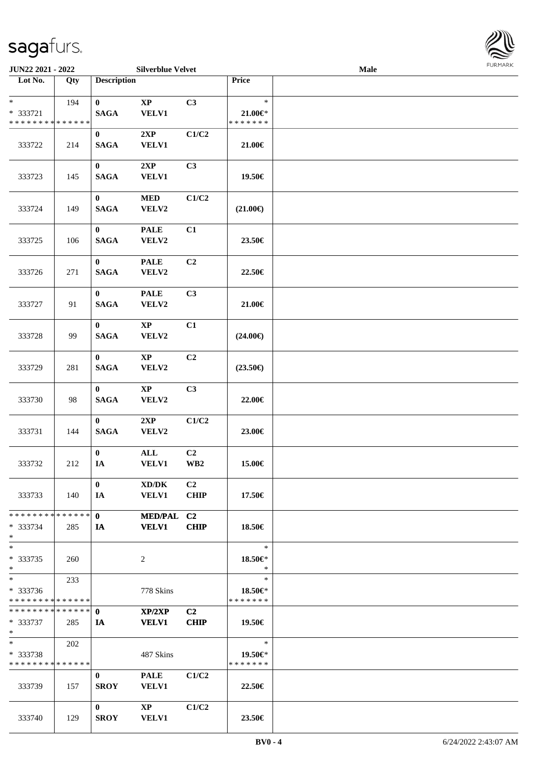| JUN22 2021 - 2022          |     |                         | <b>Silverblue Velvet</b>    |                |                        | Male | <b>FURMARK</b> |
|----------------------------|-----|-------------------------|-----------------------------|----------------|------------------------|------|----------------|
| Lot No.                    | Qty | <b>Description</b>      |                             |                | <b>Price</b>           |      |                |
| $*$                        | 194 | $\bf{0}$                | <b>XP</b>                   | C <sub>3</sub> | $\ast$                 |      |                |
| * 333721<br>************** |     | <b>SAGA</b>             | VELV1                       |                | $21.00 \in$<br>******* |      |                |
| 333722                     | 214 | $\bf{0}$<br><b>SAGA</b> | 2XP<br><b>VELV1</b>         | C1/C2          | 21.00€                 |      |                |
|                            |     |                         |                             |                |                        |      |                |
| 333723                     | 145 | $\bf{0}$<br><b>SAGA</b> | 2XP<br>VELV1                | C <sub>3</sub> | 19.50€                 |      |                |
| 333724                     | 149 | $\bf{0}$<br><b>SAGA</b> | <b>MED</b><br><b>VELV2</b>  | C1/C2          | $(21.00\epsilon)$      |      |                |
| 333725                     | 106 | $\bf{0}$<br><b>SAGA</b> | <b>PALE</b><br><b>VELV2</b> | C1             | 23.50€                 |      |                |
|                            |     | $\mathbf{a}$            | $P + T$                     | $\sim$         |                        |      |                |

| $*$                                        | 194 | $\mathbf{0}$    | $\mathbf{X}\mathbf{P}$              | C3              | $\ast$            |  |
|--------------------------------------------|-----|-----------------|-------------------------------------|-----------------|-------------------|--|
| * 333721                                   |     | <b>SAGA</b>     | <b>VELV1</b>                        |                 | $21.00 \in$ *     |  |
| * * * * * * * * <mark>* * * * * * *</mark> |     |                 |                                     |                 | *******           |  |
|                                            |     | $\mathbf{0}$    | 2XP                                 | C1/C2           |                   |  |
| 333722                                     | 214 | $\mathbf{SAGA}$ | <b>VELV1</b>                        |                 | 21.00€            |  |
|                                            |     |                 |                                     |                 |                   |  |
|                                            |     | $\mathbf{0}$    | 2XP                                 | C3              |                   |  |
|                                            |     |                 |                                     |                 | 19.50€            |  |
| 333723                                     | 145 | $\mathbf{SAGA}$ | <b>VELV1</b>                        |                 |                   |  |
|                                            |     |                 |                                     |                 |                   |  |
|                                            |     | $\mathbf{0}$    | $\bf MED$                           | C1/C2           |                   |  |
| 333724                                     | 149 | <b>SAGA</b>     | VELV2                               |                 | $(21.00\epsilon)$ |  |
|                                            |     |                 |                                     |                 |                   |  |
|                                            |     | $\mathbf{0}$    | <b>PALE</b>                         | C1              |                   |  |
| 333725                                     | 106 | <b>SAGA</b>     | VELV2                               |                 | 23.50€            |  |
|                                            |     |                 |                                     |                 |                   |  |
|                                            |     | $\mathbf{0}$    | <b>PALE</b>                         | C2              |                   |  |
| 333726                                     | 271 | <b>SAGA</b>     | VELV2                               |                 | 22.50€            |  |
|                                            |     |                 |                                     |                 |                   |  |
|                                            |     | $\mathbf{0}$    | <b>PALE</b>                         | C <sub>3</sub>  |                   |  |
| 333727                                     | 91  | <b>SAGA</b>     | VELV2                               |                 | 21.00€            |  |
|                                            |     |                 |                                     |                 |                   |  |
|                                            |     | $\mathbf{0}$    | $\mathbf{X}\mathbf{P}$              | C1              |                   |  |
| 333728                                     | 99  | <b>SAGA</b>     | VELV2                               |                 | $(24.00\epsilon)$ |  |
|                                            |     |                 |                                     |                 |                   |  |
|                                            |     | $\mathbf{0}$    | $\mathbf{X}\mathbf{P}$              | C2              |                   |  |
| 333729                                     | 281 | <b>SAGA</b>     | VELV2                               |                 | $(23.50\epsilon)$ |  |
|                                            |     |                 |                                     |                 |                   |  |
|                                            |     | $\mathbf{0}$    | $\mathbf{X}\mathbf{P}$              | C3              |                   |  |
| 333730                                     | 98  | <b>SAGA</b>     | VELV2                               |                 | 22.00€            |  |
|                                            |     |                 |                                     |                 |                   |  |
|                                            |     |                 |                                     |                 |                   |  |
|                                            |     | $\mathbf{0}$    | 2XP                                 | C1/C2           |                   |  |
| 333731                                     | 144 | <b>SAGA</b>     | VELV2                               |                 | 23.00€            |  |
|                                            |     |                 |                                     |                 |                   |  |
|                                            |     | $\mathbf{0}$    | ALL                                 | C <sub>2</sub>  |                   |  |
| 333732                                     | 212 | IA              | <b>VELV1</b>                        | WB <sub>2</sub> | 15.00€            |  |
|                                            |     |                 |                                     |                 |                   |  |
|                                            |     | $\mathbf{0}$    | $\bold{X}\bold{D}/\bold{D}\bold{K}$ | C <sub>2</sub>  |                   |  |
| 333733                                     | 140 | IA              | <b>VELV1</b>                        | CHIP            | 17.50€            |  |
|                                            |     |                 |                                     |                 |                   |  |
| * * * * * * * * * * * * * * *              |     | $\mathbf{0}$    | MED/PAL C2                          |                 |                   |  |
| $* 333734$                                 | 285 | IA              | <b>VELV1</b>                        | <b>CHIP</b>     | 18.50€            |  |
| $*$                                        |     |                 |                                     |                 |                   |  |
| $\ast$                                     |     |                 |                                     |                 | $\ast$            |  |
| * 333735                                   | 260 |                 | 2                                   |                 | 18.50€*           |  |
| $*$                                        |     |                 |                                     |                 | $\ast$            |  |
| $*$                                        | 233 |                 |                                     |                 | $\ast$            |  |
| * 333736                                   |     |                 | 778 Skins                           |                 | 18.50€*           |  |
| * * * * * * * * <mark>* * * * * *</mark>   |     |                 |                                     |                 | * * * * * * *     |  |
| * * * * * * * * <mark>* * * * * *</mark> * |     | $\mathbf{0}$    | XP/2XP                              | C2              |                   |  |
| * 333737                                   | 285 | IA              | <b>VELV1</b>                        | <b>CHIP</b>     | 19.50€            |  |
| $*$                                        |     |                 |                                     |                 |                   |  |
| $*$                                        | 202 |                 |                                     |                 | $\ast$            |  |
| * 333738                                   |     |                 | 487 Skins                           |                 | 19.50€*           |  |
| * * * * * * * * * * * * * * *              |     |                 |                                     |                 | * * * * * * *     |  |
|                                            |     | $\bf{0}$        | <b>PALE</b>                         | C1/C2           |                   |  |
| 333739                                     | 157 | <b>SROY</b>     | <b>VELV1</b>                        |                 | 22.50€            |  |
|                                            |     |                 |                                     |                 |                   |  |
|                                            |     | $\mathbf{0}$    | $\mathbf{XP}$                       | C1/C2           |                   |  |
| 333740                                     | 129 | <b>SROY</b>     | VELV1                               |                 | 23.50€            |  |
|                                            |     |                 |                                     |                 |                   |  |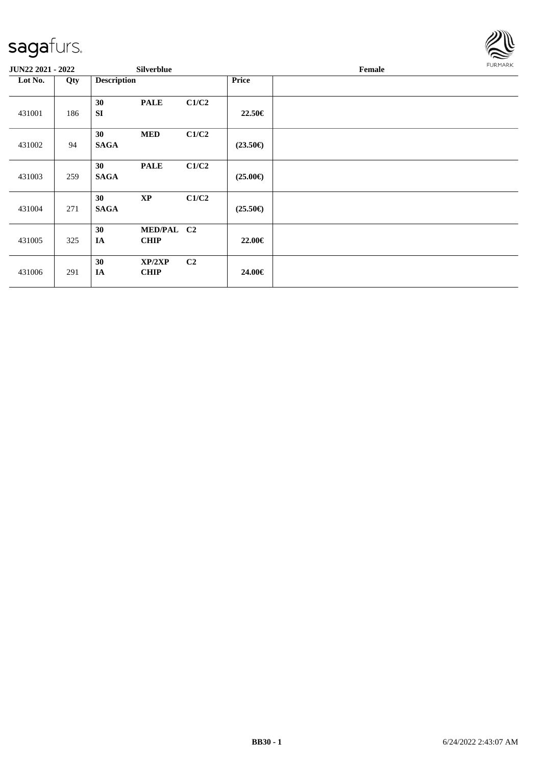

| JUN22 2021 - 2022 |     | Silverblue                                  |                |                   | Female | <b>FURMARK</b> |
|-------------------|-----|---------------------------------------------|----------------|-------------------|--------|----------------|
| Lot No.           | Qty | <b>Description</b>                          |                | Price             |        |                |
| 431001            | 186 | 30<br><b>PALE</b><br><b>SI</b>              | C1/C2          | 22.50€            |        |                |
| 431002            | 94  | <b>MED</b><br>30<br><b>SAGA</b>             | C1/C2          | $(23.50\epsilon)$ |        |                |
| 431003            | 259 | 30<br><b>PALE</b><br><b>SAGA</b>            | C1/C2          | $(25.00\epsilon)$ |        |                |
| 431004            | 271 | 30<br>$\mathbf{X}\mathbf{P}$<br><b>SAGA</b> | C1/C2          | $(25.50\epsilon)$ |        |                |
| 431005            | 325 | MED/PAL C2<br>30<br><b>CHIP</b><br>IA       |                | 22.00€            |        |                |
| 431006            | 291 | 30<br>XP/2XP<br>IA<br><b>CHIP</b>           | C <sub>2</sub> | 24.00€            |        |                |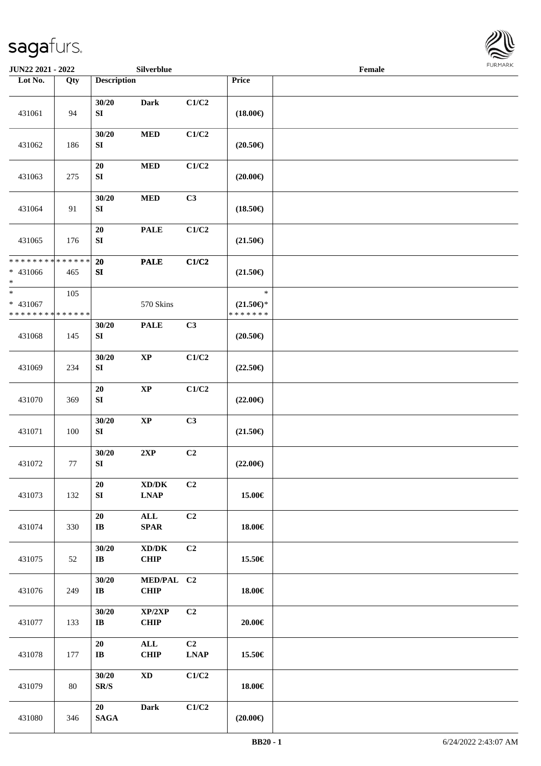

| JUN22 2021 - 2022                                   |                    |                                   | Silverblue                                         |                               |                                                | Female | <b>FURMARK</b> |
|-----------------------------------------------------|--------------------|-----------------------------------|----------------------------------------------------|-------------------------------|------------------------------------------------|--------|----------------|
| Lot No.                                             | Qty                | <b>Description</b>                |                                                    |                               | Price                                          |        |                |
| 431061                                              | 94                 | 30/20<br>SI                       | <b>Dark</b>                                        | C1/C2                         | $(18.00\epsilon)$                              |        |                |
| 431062                                              | 186                | 30/20<br>${\bf S}{\bf I}$         | <b>MED</b>                                         | C1/C2                         | $(20.50\epsilon)$                              |        |                |
| 431063                                              | 275                | 20<br>${\bf S}{\bf I}$            | $\bf MED$                                          | C1/C2                         | $(20.00\epsilon)$                              |        |                |
| 431064                                              | 91                 | 30/20<br>SI                       | <b>MED</b>                                         | C3                            | $(18.50\epsilon)$                              |        |                |
| 431065                                              | 176                | 20<br>SI                          | <b>PALE</b>                                        | C1/C2                         | $(21.50\epsilon)$                              |        |                |
| * * * * * * * *<br>* 431066<br>$\ast$               | * * * * * *<br>465 | 20<br>SI                          | <b>PALE</b>                                        | C1/C2                         | $(21.50\epsilon)$                              |        |                |
| $\ast$<br>$* 431067$<br>* * * * * * * * * * * * * * | 105                |                                   | 570 Skins                                          |                               | $\ast$<br>$(21.50\epsilon)$ *<br>* * * * * * * |        |                |
| 431068                                              | 145                | 30/20<br>SI                       | <b>PALE</b>                                        | C3                            | $(20.50\epsilon)$                              |        |                |
| 431069                                              | 234                | 30/20<br>${\bf S}{\bf I}$         | $\bold{XP}$                                        | C1/C2                         | $(22.50\epsilon)$                              |        |                |
| 431070                                              | 369                | ${\bf 20}$<br>SI                  | $\bold{XP}$                                        | C1/C2                         | $(22.00\epsilon)$                              |        |                |
| 431071                                              | 100                | 30/20<br>SI                       | $\bold{XP}$                                        | C3                            | $(21.50\in)$                                   |        |                |
| 431072                                              | 77                 | 30/20<br>${\bf S}{\bf I}$         | 2XP                                                | C <sub>2</sub>                | $(22.00\epsilon)$                              |        |                |
| 431073                                              | 132                | 20<br>${\bf SI}$                  | $\bold{X}\bold{D}/\bold{D}\bold{K}$<br><b>LNAP</b> | C2                            | 15.00€                                         |        |                |
| 431074                                              | 330                | 20<br>$\mathbf{I}\mathbf{B}$      | ALL<br><b>SPAR</b>                                 | C <sub>2</sub>                | 18.00€                                         |        |                |
| 431075                                              | 52                 | 30/20<br>$\bf IB$                 | $\bold{X}\bold{D}/\bold{D}\bold{K}$<br><b>CHIP</b> | C2                            | 15.50€                                         |        |                |
| 431076                                              | 249                | 30/20<br>$\bf{IB}$                | MED/PAL C2<br><b>CHIP</b>                          |                               | 18.00€                                         |        |                |
| 431077                                              | 133                | 30/20<br>$\mathbf{I}\mathbf{B}$   | XP/2XP<br><b>CHIP</b>                              | C <sub>2</sub>                | 20.00€                                         |        |                |
| 431078                                              | 177                | 20<br>$\mathbf{I}\mathbf{B}$      | ALL<br><b>CHIP</b>                                 | C <sub>2</sub><br><b>LNAP</b> | 15.50€                                         |        |                |
| 431079                                              | 80                 | 30/20<br>$\mathbf{SR}/\mathbf{S}$ | $\mathbf{X}\mathbf{D}$                             | C1/C2                         | 18.00€                                         |        |                |
| 431080                                              | 346                | 20<br>$\mathbf{SAGA}$             | <b>Dark</b>                                        | C1/C2                         | $(20.00\epsilon)$                              |        |                |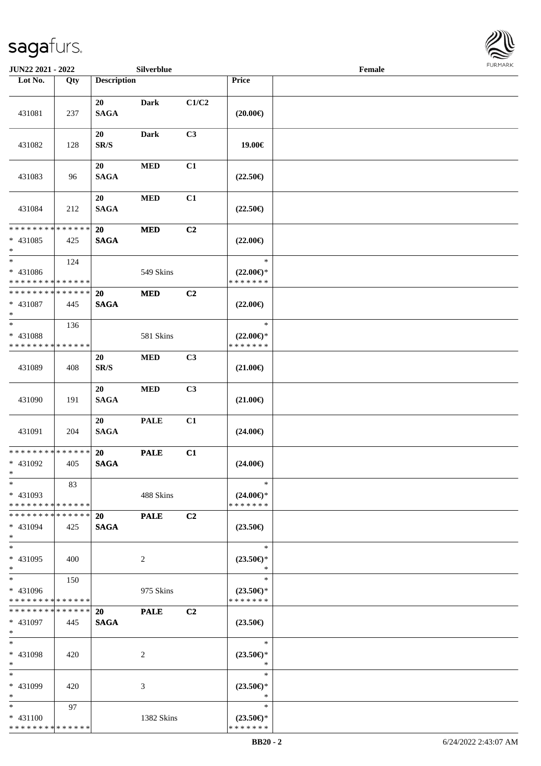

| JUN22 2021 - 2022                                                     |     |                                | Silverblue     |                |                                                | Female | <b>FURMARK</b> |
|-----------------------------------------------------------------------|-----|--------------------------------|----------------|----------------|------------------------------------------------|--------|----------------|
| Lot No.                                                               | Qty | <b>Description</b>             |                |                | Price                                          |        |                |
| 431081                                                                | 237 | 20<br><b>SAGA</b>              | <b>Dark</b>    | C1/C2          | $(20.00\epsilon)$                              |        |                |
| 431082                                                                | 128 | 20<br>SR/S                     | <b>Dark</b>    | C3             | 19.00€                                         |        |                |
| 431083                                                                | 96  | 20<br><b>SAGA</b>              | <b>MED</b>     | C1             | $(22.50\epsilon)$                              |        |                |
| 431084                                                                | 212 | 20<br><b>SAGA</b>              | <b>MED</b>     | C1             | $(22.50\epsilon)$                              |        |                |
| **************<br>* 431085<br>$*$                                     | 425 | <b>20</b><br><b>SAGA</b>       | <b>MED</b>     | C2             | $(22.00\epsilon)$                              |        |                |
| $\overline{\phantom{0}}$<br>* 431086<br>* * * * * * * * * * * * * *   | 124 |                                | 549 Skins      |                | $\ast$<br>$(22.00\epsilon)$ *<br>* * * * * * * |        |                |
| * * * * * * * * * * * * * *<br>* 431087<br>$\ast$                     | 445 | 20<br><b>SAGA</b>              | <b>MED</b>     | C2             | $(22.00\epsilon)$                              |        |                |
| $\overline{\phantom{a}^*}$<br>* 431088<br>* * * * * * * * * * * * * * | 136 |                                | 581 Skins      |                | $\ast$<br>$(22.00\epsilon)$ *<br>* * * * * * * |        |                |
| 431089                                                                | 408 | 20<br>$\mathbf{SR}/\mathbf{S}$ | <b>MED</b>     | C3             | $(21.00\epsilon)$                              |        |                |
| 431090                                                                | 191 | 20<br><b>SAGA</b>              | $\bf MED$      | C <sub>3</sub> | $(21.00\epsilon)$                              |        |                |
| 431091                                                                | 204 | 20<br><b>SAGA</b>              | <b>PALE</b>    | C1             | $(24.00\epsilon)$                              |        |                |
| ******** <mark>*****</mark> *<br>$* 431092$<br>$\ast$                 | 405 | 20<br><b>SAGA</b>              | <b>PALE</b>    | C1             | $(24.00\epsilon)$                              |        |                |
| $\ast$<br>* 431093<br>* * * * * * * * * * * * * *                     | 83  |                                | 488 Skins      |                | $\ast$<br>$(24.00\epsilon)$ *<br>* * * * * * * |        |                |
| * * * * * * * * * * * * * *<br>$* 431094$<br>$\ast$                   | 425 | <b>20</b><br><b>SAGA</b>       | <b>PALE</b>    | C <sub>2</sub> | $(23.50\epsilon)$                              |        |                |
| $\ast$<br>* 431095<br>$\ast$                                          | 400 |                                | $\overline{c}$ |                | $\ast$<br>$(23.50\epsilon)$ *<br>$\ast$        |        |                |
| $\ast$<br>* 431096<br>* * * * * * * * * * * * * *                     | 150 |                                | 975 Skins      |                | $\ast$<br>$(23.50\epsilon)$ *<br>* * * * * * * |        |                |
| * * * * * * * * * * * * * *<br>$* 431097$<br>$\ast$                   | 445 | 20<br><b>SAGA</b>              | <b>PALE</b>    | C <sub>2</sub> | $(23.50\epsilon)$                              |        |                |
| $\ast$<br>* 431098<br>$\ast$                                          | 420 |                                | 2              |                | $\ast$<br>$(23.50\epsilon)$ *<br>$\ast$        |        |                |
| $\ast$<br>* 431099<br>$\ast$                                          | 420 |                                | 3              |                | $\ast$<br>$(23.50\epsilon)$ *<br>$\ast$        |        |                |
| $\ast$<br>$* 431100$<br>* * * * * * * * * * * * * *                   | 97  |                                | 1382 Skins     |                | $\ast$<br>$(23.50\epsilon)$ *<br>* * * * * * * |        |                |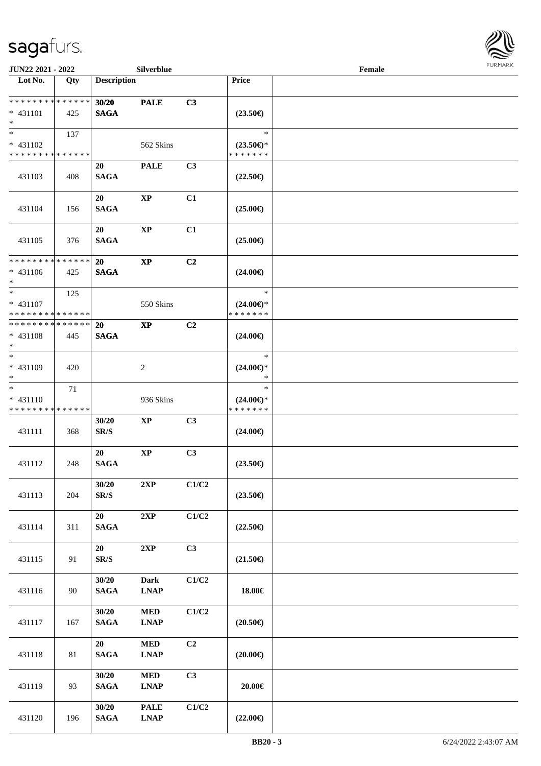

| <b>JUN22 2021 - 2022</b>                                    |        |                                   | Silverblue                 |       |                                                | Female |  |
|-------------------------------------------------------------|--------|-----------------------------------|----------------------------|-------|------------------------------------------------|--------|--|
| Lot No.                                                     | Qty    | <b>Description</b>                |                            |       | Price                                          |        |  |
| * * * * * * * * <mark>* * * * * * *</mark><br>$* 431101$    |        | 30/20                             | <b>PALE</b>                | C3    |                                                |        |  |
| $*$                                                         | 425    | <b>SAGA</b>                       |                            |       | $(23.50\epsilon)$                              |        |  |
| $* 431102$<br>* * * * * * * * * * * * * *                   | 137    |                                   | 562 Skins                  |       | $\ast$<br>$(23.50\epsilon)$ *<br>* * * * * * * |        |  |
| 431103                                                      | 408    | 20<br><b>SAGA</b>                 | <b>PALE</b>                | C3    | $(22.50\epsilon)$                              |        |  |
| 431104                                                      | 156    | 20<br><b>SAGA</b>                 | <b>XP</b>                  | C1    | $(25.00\epsilon)$                              |        |  |
| 431105                                                      | 376    | 20<br><b>SAGA</b>                 | $\bold{XP}$                | C1    | $(25.00\epsilon)$                              |        |  |
| * * * * * * * * * * * * * *<br>$* 431106$<br>$*$            | 425    | 20<br><b>SAGA</b>                 | $\bold{XP}$                | C2    | $(24.00\epsilon)$                              |        |  |
| $*$<br>* 431107<br>* * * * * * * * * * * * * *              | 125    |                                   | 550 Skins                  |       | $\ast$<br>$(24.00\epsilon)$ *<br>* * * * * * * |        |  |
| * * * * * * * * <mark>* * * * * *</mark><br>* 431108<br>$*$ | 445    | <b>20</b><br><b>SAGA</b>          | $\mathbf{X}\mathbf{P}$     | C2    | $(24.00\epsilon)$                              |        |  |
| $*$<br>* 431109<br>$*$                                      | 420    |                                   | 2                          |       | $\ast$<br>$(24.00\epsilon)$ *<br>$\ast$        |        |  |
| $*$<br>$* 431110$<br>* * * * * * * * * * * * * *            | 71     |                                   | 936 Skins                  |       | $\ast$<br>$(24.00\epsilon)$ *<br>* * * * * * * |        |  |
| 431111                                                      | 368    | 30/20<br>SR/S                     | $\bold{XP}$                | C3    | $(24.00\epsilon)$                              |        |  |
| 431112                                                      | 248    | 20<br><b>SAGA</b>                 | $\bold{XP}$                | C3    | $(23.50\epsilon)$                              |        |  |
| 431113                                                      | 204    | 30/20<br>$\mathbf{SR}/\mathbf{S}$ | 2XP                        | C1/C2 | $(23.50\epsilon)$                              |        |  |
| 431114                                                      | 311    | 20<br>$\mathbf{SAGA}$             | 2XP                        | C1/C2 | $(22.50\epsilon)$                              |        |  |
| 431115                                                      | 91     | 20<br>$\mbox{S}\mbox{R}/\mbox{S}$ | $2{\bf XP}$                | C3    | $(21.50\epsilon)$                              |        |  |
| 431116                                                      | 90     | 30/20<br>$\mathbf{SAGA}$          | Dark<br><b>LNAP</b>        | C1/C2 | 18.00€                                         |        |  |
| 431117                                                      | 167    | 30/20<br><b>SAGA</b>              | $\bf MED$<br><b>LNAP</b>   | C1/C2 | $(20.50\epsilon)$                              |        |  |
| 431118                                                      | $81\,$ | 20<br>$\mathbf{SAGA}$             | $\bf MED$<br><b>LNAP</b>   | C2    | $(20.00\epsilon)$                              |        |  |
| 431119                                                      | 93     | 30/20<br>$\mathbf{SAGA}$          | $\bf MED$<br><b>LNAP</b>   | C3    | 20.00€                                         |        |  |
| 431120                                                      | 196    | 30/20<br><b>SAGA</b>              | <b>PALE</b><br><b>LNAP</b> | C1/C2 | $(22.00\in)$                                   |        |  |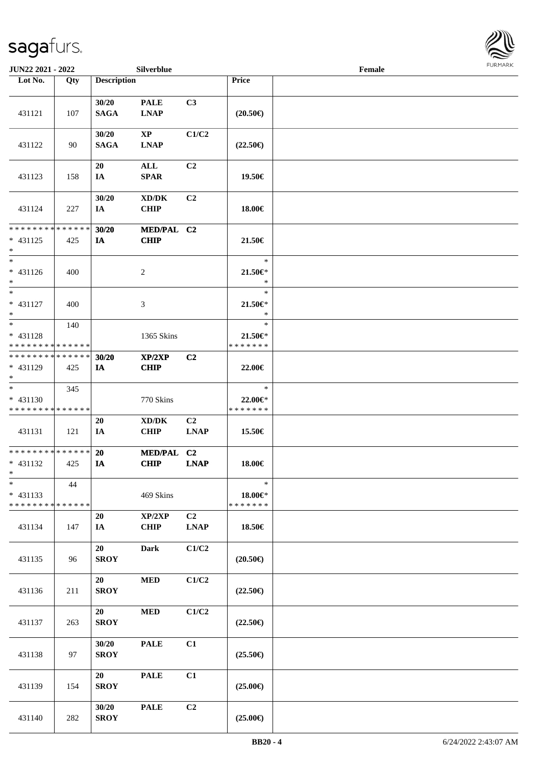

| JUN22 2021 - 2022                                    |     |                      | Silverblue                                        |                               |                                          | Female |  |
|------------------------------------------------------|-----|----------------------|---------------------------------------------------|-------------------------------|------------------------------------------|--------|--|
| Lot No.                                              | Qty | <b>Description</b>   |                                                   |                               | Price                                    |        |  |
| 431121                                               | 107 | 30/20<br><b>SAGA</b> | <b>PALE</b><br><b>LNAP</b>                        | C3                            | $(20.50\epsilon)$                        |        |  |
| 431122                                               | 90  | 30/20<br><b>SAGA</b> | $\mathbf{X}\mathbf{P}$<br><b>LNAP</b>             | C1/C2                         | $(22.50\epsilon)$                        |        |  |
| 431123                                               | 158 | 20<br>IA             | ALL<br><b>SPAR</b>                                | C <sub>2</sub>                | 19.50€                                   |        |  |
| 431124                                               | 227 | 30/20<br>IA          | XD/DK<br><b>CHIP</b>                              | C <sub>2</sub>                | 18.00€                                   |        |  |
| * * * * * * * * * * * * * *<br>$* 431125$<br>$*$     | 425 | 30/20<br>IA          | MED/PAL C2<br><b>CHIP</b>                         |                               | 21.50€                                   |        |  |
| $*$<br>* 431126<br>$*$                               | 400 |                      | 2                                                 |                               | $\ast$<br>21.50€*<br>$\ast$              |        |  |
| $*$<br>$* 431127$<br>$*$                             | 400 |                      | 3                                                 |                               | $\ast$<br>21.50€*<br>$\ast$              |        |  |
| $*$<br>* 431128<br>* * * * * * * * * * * * * *       | 140 |                      | 1365 Skins                                        |                               | $\ast$<br>21.50€*<br>* * * * * * *       |        |  |
| * * * * * * * * * * * * * *<br>* 431129<br>$*$       | 425 | 30/20<br>IA          | XP/2XP<br><b>CHIP</b>                             | C2                            | 22.00€                                   |        |  |
| $*$<br>* 431130<br>* * * * * * * * * * * * * *       | 345 |                      | 770 Skins                                         |                               | $\ast$<br>22.00€*<br>* * * * * * *       |        |  |
| 431131                                               | 121 | 20<br>IA             | $\boldsymbol{\text{XD}/\text{DK}}$<br><b>CHIP</b> | C2<br><b>LNAP</b>             | 15.50€                                   |        |  |
| * * * * * * * * * * * * * * *<br>* 431132<br>$*$ $*$ | 425 | <b>20</b><br>IA      | <b>MED/PAL</b><br><b>CHIP</b>                     | C2<br><b>LNAP</b>             | 18.00€                                   |        |  |
| $\ast$<br>$* 431133$<br>******** <mark>******</mark> | 44  |                      | 469 Skins                                         |                               | $\ast$<br>$18.00 \in$ *<br>* * * * * * * |        |  |
| 431134                                               | 147 | 20<br>IA             | XP/2XP<br><b>CHIP</b>                             | C <sub>2</sub><br><b>LNAP</b> | 18.50€                                   |        |  |
| 431135                                               | 96  | 20<br><b>SROY</b>    | <b>Dark</b>                                       | C1/C2                         | $(20.50\epsilon)$                        |        |  |
| 431136                                               | 211 | 20<br><b>SROY</b>    | $\bf MED$                                         | C1/C2                         | $(22.50\epsilon)$                        |        |  |
| 431137                                               | 263 | 20<br><b>SROY</b>    | $\bf MED$                                         | C1/C2                         | $(22.50\epsilon)$                        |        |  |
| 431138                                               | 97  | 30/20<br><b>SROY</b> | <b>PALE</b>                                       | C1                            | $(25.50\epsilon)$                        |        |  |
| 431139                                               | 154 | 20<br><b>SROY</b>    | <b>PALE</b>                                       | C1                            | $(25.00\epsilon)$                        |        |  |
| 431140                                               | 282 | 30/20<br><b>SROY</b> | <b>PALE</b>                                       | C2                            | $(25.00\epsilon)$                        |        |  |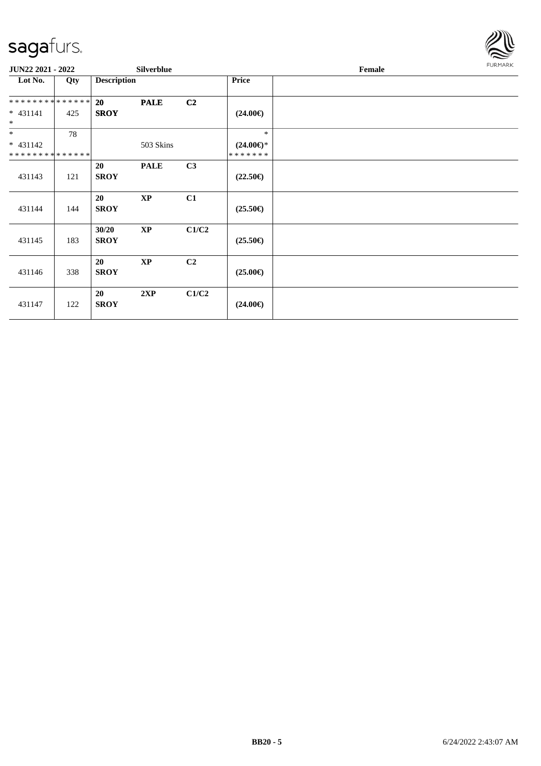

| JUN22 2021 - 2022                         |     |                      | <b>Silverblue</b>      |                |                                | Female | <b>FURMARK</b> |
|-------------------------------------------|-----|----------------------|------------------------|----------------|--------------------------------|--------|----------------|
| Lot No.                                   | Qty | <b>Description</b>   |                        |                | Price                          |        |                |
| **************                            |     | 20                   | <b>PALE</b>            | C <sub>2</sub> |                                |        |                |
| $* 431141$<br>$\ast$                      | 425 | <b>SROY</b>          |                        |                | $(24.00\epsilon)$              |        |                |
| $*$                                       | 78  |                      |                        |                | $\ast$                         |        |                |
| $* 431142$<br>* * * * * * * * * * * * * * |     |                      | 503 Skins              |                | $(24.00\epsilon)$ *<br>******* |        |                |
| 431143                                    | 121 | 20<br><b>SROY</b>    | <b>PALE</b>            | C3             | $(22.50\epsilon)$              |        |                |
| 431144                                    | 144 | 20<br><b>SROY</b>    | $\bold{XP}$            | C1             | $(25.50\epsilon)$              |        |                |
| 431145                                    | 183 | 30/20<br><b>SROY</b> | $\bold{XP}$            | C1/C2          | $(25.50\epsilon)$              |        |                |
| 431146                                    | 338 | 20<br><b>SROY</b>    | $\mathbf{X}\mathbf{P}$ | C <sub>2</sub> | $(25.00\epsilon)$              |        |                |
| 431147                                    | 122 | 20<br><b>SROY</b>    | 2XP                    | C1/C2          | $(24.00\epsilon)$              |        |                |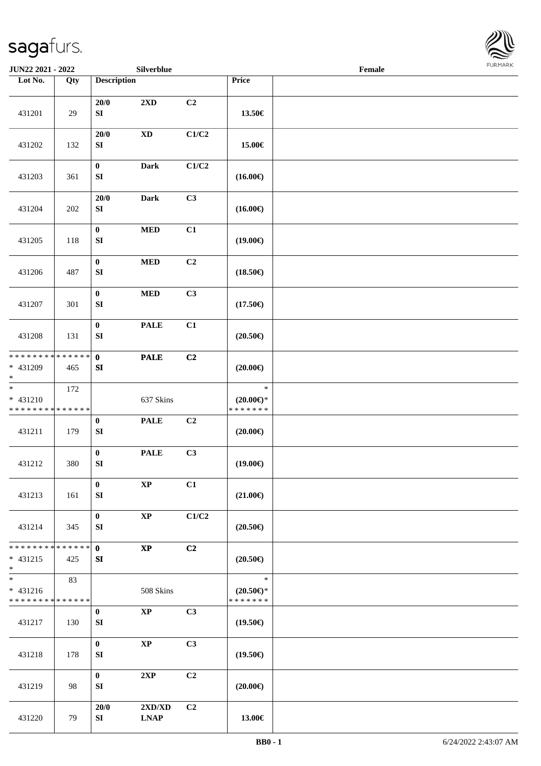

| JUN22 2021 - 2022                                                     |     |                                      | Silverblue             |                           |                                                | Female | FURMARK |
|-----------------------------------------------------------------------|-----|--------------------------------------|------------------------|---------------------------|------------------------------------------------|--------|---------|
| Lot No.                                                               | Qty | <b>Description</b>                   |                        |                           | Price                                          |        |         |
| 431201                                                                | 29  | $20/0$<br>SI                         | 2XD                    | C2                        | 13.50€                                         |        |         |
| 431202                                                                | 132 | 20/0<br>${\bf S}{\bf I}$             | $\mathbf{X}\mathbf{D}$ | $\mathbf{C1}/\mathbf{C2}$ | 15.00€                                         |        |         |
| 431203                                                                | 361 | $\mathbf 0$<br>${\bf SI}$            | Dark                   | $\mathbf{C1}/\mathbf{C2}$ | $(16.00\epsilon)$                              |        |         |
| 431204                                                                | 202 | $20/0$<br>${\bf SI}$                 | Dark                   | C3                        | $(16.00\epsilon)$                              |        |         |
| 431205                                                                | 118 | $\bf{0}$<br>${\bf SI}$               | $\bf MED$              | C1                        | $(19.00\epsilon)$                              |        |         |
| 431206                                                                | 487 | $\mathbf 0$<br>${\bf S}{\bf I}$      | $\bf MED$              | C2                        | $(18.50\epsilon)$                              |        |         |
| 431207                                                                | 301 | $\mathbf 0$<br>SI                    | $\bf MED$              | C3                        | $(17.50\epsilon)$                              |        |         |
| 431208                                                                | 131 | $\boldsymbol{0}$<br>SI               | <b>PALE</b>            | C1                        | $(20.50\epsilon)$                              |        |         |
| ******** <mark>******</mark><br>* 431209<br>$\ast$                    | 465 | $\mathbf{0}$<br>SI                   | <b>PALE</b>            | C2                        | $(20.00\epsilon)$                              |        |         |
| $_{\ast}$<br>$* 431210$<br>* * * * * * * * * * * * * *                | 172 |                                      | 637 Skins              |                           | $\ast$<br>$(20.00\epsilon)$ *<br>*******       |        |         |
| 431211                                                                | 179 | $\boldsymbol{0}$<br>${\bf S}{\bf I}$ | <b>PALE</b>            | C2                        | $(20.00\epsilon)$                              |        |         |
| 431212                                                                | 380 | $\pmb{0}$<br>${\bf SI}$              | <b>PALE</b>            | C3                        | $(19.00\epsilon)$                              |        |         |
| 431213                                                                | 161 | $\bf{0}$<br>SI                       | $\bold{XP}$            | C1                        | $(21.00\epsilon)$                              |        |         |
| 431214                                                                | 345 | $\bf{0}$<br>SI                       | $\bold{XP}$            | C1/C2                     | $(20.50\in)$                                   |        |         |
| * * * * * * * * * * * * * *<br>$* 431215$<br>$\ast$                   | 425 | $\mathbf 0$<br>SI                    | $\bold{XP}$            | C2                        | $(20.50\epsilon)$                              |        |         |
| $\overline{\phantom{1}}$<br>$* 431216$<br>* * * * * * * * * * * * * * | 83  |                                      | 508 Skins              |                           | $\ast$<br>$(20.50\epsilon)$ *<br>* * * * * * * |        |         |
| 431217                                                                | 130 | $\bf{0}$<br>SI                       | $\bold{XP}$            | C3                        | $(19.50\epsilon)$                              |        |         |
| 431218                                                                | 178 | $\bf{0}$<br>SI                       | $\bold{XP}$            | C3                        | $(19.50\epsilon)$                              |        |         |
| 431219                                                                | 98  | $\boldsymbol{0}$<br>SI               | 2XP                    | C2                        | $(20.00\epsilon)$                              |        |         |
| 431220                                                                | 79  | 20/0<br>SI                           | 2XD/XD<br><b>LNAP</b>  | C2                        | 13.00€                                         |        |         |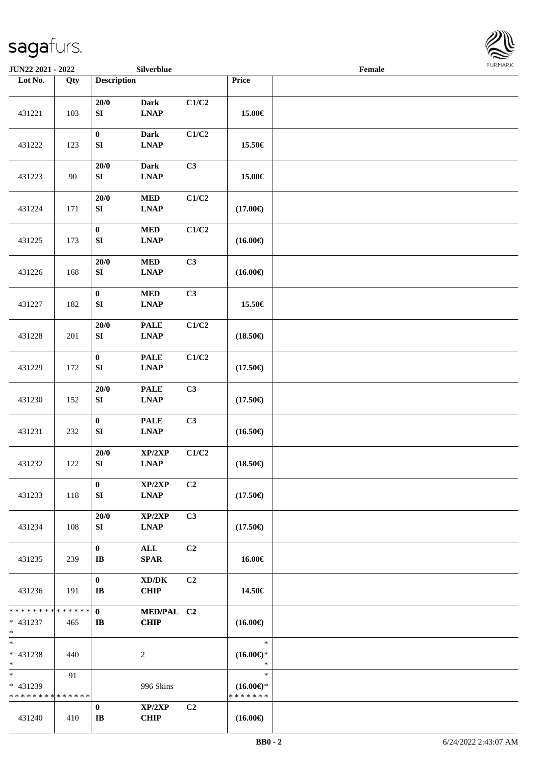

| JUN22 2021 - 2022                                            |     |                                      | Silverblue                                  |       |                                                | Female |  |
|--------------------------------------------------------------|-----|--------------------------------------|---------------------------------------------|-------|------------------------------------------------|--------|--|
| Lot No.                                                      | Qty | <b>Description</b>                   |                                             |       | Price                                          |        |  |
| 431221                                                       | 103 | $20/0$<br>${\bf S}{\bf I}$           | <b>Dark</b><br><b>LNAP</b>                  | C1/C2 | 15.00€                                         |        |  |
|                                                              |     | $\boldsymbol{0}$                     | <b>Dark</b>                                 | C1/C2 |                                                |        |  |
| 431222                                                       | 123 | ${\bf SI}$<br>20/0                   | <b>LNAP</b><br><b>Dark</b>                  | C3    | 15.50€                                         |        |  |
| 431223                                                       | 90  | SI                                   | <b>LNAP</b>                                 |       | 15.00€                                         |        |  |
| 431224                                                       | 171 | $20/0$<br>${\bf S}{\bf I}$           | $\bf MED$<br><b>LNAP</b>                    | C1/C2 | $(17.00\epsilon)$                              |        |  |
| 431225                                                       | 173 | $\pmb{0}$<br>SI                      | $\bf MED$<br><b>LNAP</b>                    | C1/C2 | $(16.00\epsilon)$                              |        |  |
| 431226                                                       | 168 | $20/0$<br>${\bf S}{\bf I}$           | $\bf MED$<br><b>LNAP</b>                    | C3    | $(16.00\epsilon)$                              |        |  |
| 431227                                                       | 182 | $\boldsymbol{0}$<br>${\bf S}{\bf I}$ | $\bf MED$<br><b>LNAP</b>                    | C3    | 15.50€                                         |        |  |
| 431228                                                       | 201 | 20/0<br>SI                           | <b>PALE</b><br><b>LNAP</b>                  | C1/C2 | $(18.50\epsilon)$                              |        |  |
| 431229                                                       | 172 | $\pmb{0}$<br>${\bf S}{\bf I}$        | <b>PALE</b><br><b>LNAP</b>                  | C1/C2 | $(17.50\in)$                                   |        |  |
| 431230                                                       | 152 | $20/0$<br>${\bf S}{\bf I}$           | $\ensuremath{\mathsf{PALE}}$<br><b>LNAP</b> | C3    | $(17.50\epsilon)$                              |        |  |
| 431231                                                       | 232 | $\pmb{0}$<br>${\bf S}{\bf I}$        | $\ensuremath{\mathsf{PALE}}$<br><b>LNAP</b> | C3    | $(16.50\epsilon)$                              |        |  |
| 431232                                                       | 122 | $20/0$<br>${\bf S}{\bf I}$           | XP/2XP<br>$\ensuremath{\text{L}N\!AP}$      | C1/C2 | $(18.50\epsilon)$                              |        |  |
| 431233                                                       | 118 | $\bf{0}$<br>SI                       | XP/2XP<br><b>LNAP</b>                       | C2    | $(17.50\epsilon)$                              |        |  |
| 431234                                                       | 108 | 20/0<br>SI                           | XP/2XP<br><b>LNAP</b>                       | C3    | $(17.50\epsilon)$                              |        |  |
| 431235                                                       | 239 | $\bf{0}$<br>$\mathbf{I}\mathbf{B}$   | $\mathbf{ALL}$<br><b>SPAR</b>               | C2    | 16.00€                                         |        |  |
| 431236                                                       | 191 | $\bf{0}$<br>IB                       | XD/DK<br><b>CHIP</b>                        | C2    | 14.50€                                         |        |  |
| * * * * * * * * * * * * * *                                  |     | $\mathbf{0}$                         | MED/PAL C2                                  |       |                                                |        |  |
| * 431237<br>$*$                                              | 465 | $\mathbf{I}$                         | <b>CHIP</b>                                 |       | $(16.00\epsilon)$                              |        |  |
| $\ast$<br>* 431238<br>$\ast$                                 | 440 |                                      | 2                                           |       | $\ast$<br>$(16.00\epsilon)$ *<br>$\ast$        |        |  |
| $\overline{\ast}$<br>* 431239<br>* * * * * * * * * * * * * * | 91  |                                      | 996 Skins                                   |       | $\ast$<br>$(16.00\epsilon)$ *<br>* * * * * * * |        |  |
|                                                              |     | $\bf{0}$                             | XP/2XP                                      | C2    |                                                |        |  |
| 431240                                                       | 410 | $\mathbf{I}\mathbf{B}$               | <b>CHIP</b>                                 |       | $(16.00\epsilon)$                              |        |  |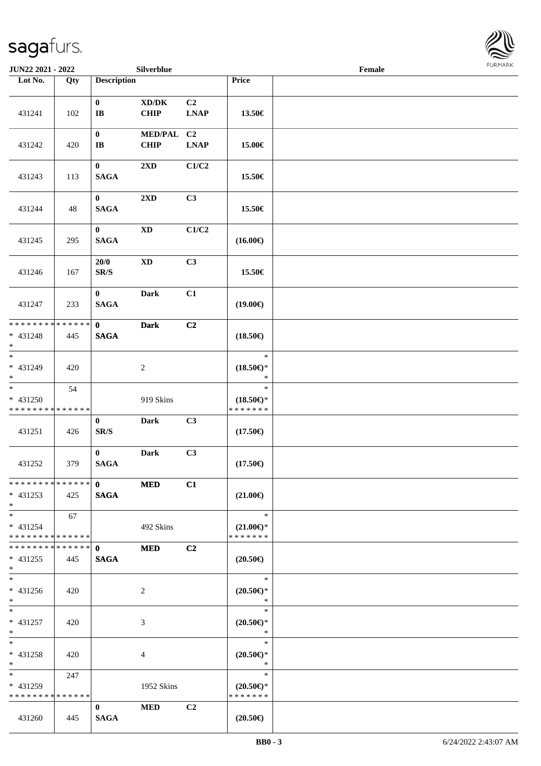

| JUN22 2021 - 2022                                                   |     |                                      | Silverblue                                  |                                                              |                                                | Female | <b>FURMARK</b> |
|---------------------------------------------------------------------|-----|--------------------------------------|---------------------------------------------|--------------------------------------------------------------|------------------------------------------------|--------|----------------|
| Lot No.                                                             | Qty | <b>Description</b>                   |                                             |                                                              | Price                                          |        |                |
| 431241                                                              | 102 | $\bf{0}$<br>$\bf I\bf B$             | $\bold{X}\bold{D}/\bold{D}\bold{K}$<br>CHIP | C2<br><b>LNAP</b>                                            | 13.50€                                         |        |                |
| 431242                                                              | 420 | $\bf{0}$<br>$\bf I\bf B$             | <b>MED/PAL</b><br>CHIP                      | C <sub>2</sub><br>$\mathbf{L}\mathbf{N}\mathbf{A}\mathbf{P}$ | 15.00€                                         |        |                |
| 431243                                                              | 113 | $\bf{0}$<br>$\mathbf{SAGA}$          | 2XD                                         | C1/C2                                                        | 15.50€                                         |        |                |
| 431244                                                              | 48  | $\mathbf{0}$<br><b>SAGA</b>          | 2XD                                         | C3                                                           | 15.50€                                         |        |                |
| 431245                                                              | 295 | $\bf{0}$<br>$\mathbf{SAGA}$          | $\mathbf{X}\mathbf{D}$                      | C1/C2                                                        | $(16.00\textnormal{\textcircled{\textsf{F}}})$ |        |                |
| 431246                                                              | 167 | $20/0$<br>$\mathbf{SR}/\mathbf{S}$   | $\mathbf{X}\mathbf{D}$                      | C3                                                           | 15.50€                                         |        |                |
| 431247                                                              | 233 | $\bf{0}$<br><b>SAGA</b>              | <b>Dark</b>                                 | C1                                                           | $(19.00\epsilon)$                              |        |                |
| * * * * * * * * * * * * * *<br>* 431248<br>$\ast$                   | 445 | $\mathbf{0}$<br><b>SAGA</b>          | <b>Dark</b>                                 | C <sub>2</sub>                                               | $(18.50\epsilon)$                              |        |                |
| $\overline{\phantom{0}}$<br>$* 431249$<br>$\ast$                    | 420 |                                      | $\sqrt{2}$                                  |                                                              | $\ast$<br>$(18.50\epsilon)$ *<br>$\ast$        |        |                |
| $\overline{\phantom{a}}$<br>* 431250<br>* * * * * * * * * * * * * * | 54  |                                      | 919 Skins                                   |                                                              | $\ast$<br>$(18.50\epsilon)$ *<br>* * * * * * * |        |                |
| 431251                                                              | 426 | $\bf{0}$<br>$\mathbf{SR}/\mathbf{S}$ | <b>Dark</b>                                 | C3                                                           | $(17.50\epsilon)$                              |        |                |
| 431252                                                              | 379 | $\bf{0}$<br><b>SAGA</b>              | <b>Dark</b>                                 | C3                                                           | $(17.50\epsilon)$                              |        |                |
| * * * * * * * * * * * * * * *<br>$* 431253$<br>$\ast$               | 425 | $\mathbf{0}$<br><b>SAGA</b>          | <b>MED</b>                                  | C1                                                           | $(21.00\epsilon)$                              |        |                |
| $*$<br>$* 431254$<br>* * * * * * * * * * * * * *                    | 67  |                                      | 492 Skins                                   |                                                              | $\ast$<br>$(21.00\epsilon)$ *<br>* * * * * * * |        |                |
| * * * * * * * * * * * * * *<br>$* 431255$<br>$\ast$                 | 445 | $\mathbf{0}$<br><b>SAGA</b>          | <b>MED</b>                                  | C2                                                           | $(20.50\epsilon)$                              |        |                |
| $\overline{\ast}$<br>* 431256<br>$*$                                | 420 |                                      | $\overline{2}$                              |                                                              | $\ast$<br>$(20.50 \in )^*$<br>$\ast$           |        |                |
| $\ast$<br>$* 431257$<br>$\ast$                                      | 420 |                                      | 3                                           |                                                              | $\ast$<br>$(20.50 \in )^*$<br>$\ast$           |        |                |
| $\ast$<br>* 431258<br>$\ast$                                        | 420 |                                      | 4                                           |                                                              | $\ast$<br>$(20.50\epsilon)$ *<br>$\ast$        |        |                |
| $\ast$<br>* 431259<br>* * * * * * * * * * * * * *                   | 247 |                                      | 1952 Skins                                  |                                                              | $\ast$<br>$(20.50\epsilon)$ *<br>* * * * * * * |        |                |
| 431260                                                              | 445 | $\mathbf{0}$<br><b>SAGA</b>          | <b>MED</b>                                  | C2                                                           | $(20.50\epsilon)$                              |        |                |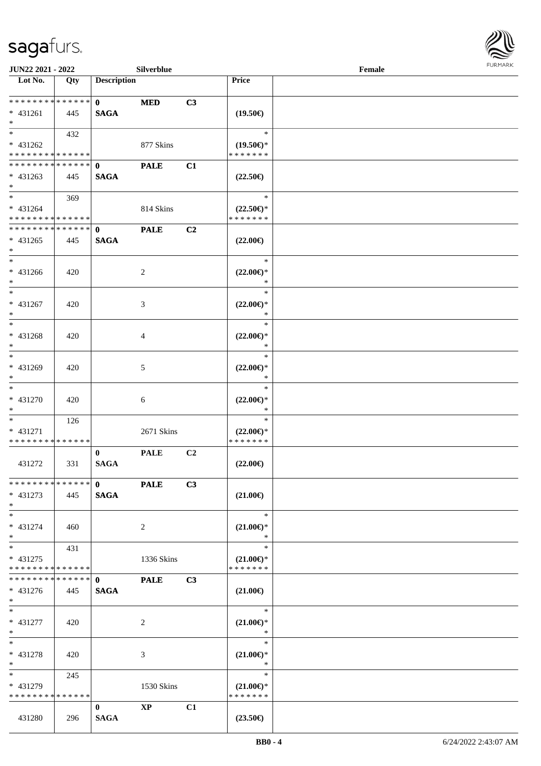

| <b>JUN22 2021 - 2022</b>                |     |                             | Silverblue     |    |                                      | Female |  |
|-----------------------------------------|-----|-----------------------------|----------------|----|--------------------------------------|--------|--|
| Lot No.                                 | Qty | <b>Description</b>          |                |    | Price                                |        |  |
|                                         |     |                             |                |    |                                      |        |  |
| ******** <mark>******</mark>            |     | $\mathbf{0}$                | <b>MED</b>     | C3 |                                      |        |  |
| * 431261                                | 445 | <b>SAGA</b>                 |                |    | $(19.50\epsilon)$                    |        |  |
| $*$<br>$*$                              |     |                             |                |    | $\ast$                               |        |  |
|                                         | 432 |                             |                |    |                                      |        |  |
| * 431262<br>* * * * * * * * * * * * * * |     |                             | 877 Skins      |    | $(19.50\epsilon)$ *<br>* * * * * * * |        |  |
| * * * * * * * * * * * * * * *           |     |                             |                |    |                                      |        |  |
|                                         |     | $\mathbf{0}$<br><b>SAGA</b> | <b>PALE</b>    | C1 |                                      |        |  |
| $* 431263$<br>$*$                       | 445 |                             |                |    | $(22.50\epsilon)$                    |        |  |
| $*$                                     | 369 |                             |                |    | $\ast$                               |        |  |
| * 431264                                |     |                             | 814 Skins      |    | $(22.50\epsilon)$ *                  |        |  |
| * * * * * * * * * * * * * *             |     |                             |                |    | * * * * * * *                        |        |  |
| * * * * * * * * * * * * * *             |     | $\mathbf{0}$                | <b>PALE</b>    | C2 |                                      |        |  |
| $* 431265$                              | 445 | <b>SAGA</b>                 |                |    | $(22.00\epsilon)$                    |        |  |
| $*$                                     |     |                             |                |    |                                      |        |  |
| $*$                                     |     |                             |                |    | $\ast$                               |        |  |
| $* 431266$                              | 420 |                             | $\overline{2}$ |    | $(22.00\epsilon)$ *                  |        |  |
| $*$                                     |     |                             |                |    | $\ast$                               |        |  |
| $*$                                     |     |                             |                |    | $\ast$                               |        |  |
| * 431267                                | 420 |                             | 3              |    | $(22.00\epsilon)$ *                  |        |  |
| $*$                                     |     |                             |                |    | $\ast$                               |        |  |
| $*$                                     |     |                             |                |    | $\ast$                               |        |  |
| $* 431268$                              | 420 |                             | 4              |    | $(22.00\epsilon)$ *                  |        |  |
| $*$                                     |     |                             |                |    | $\ast$                               |        |  |
| $\ast$                                  |     |                             |                |    | $\ast$                               |        |  |
| * 431269                                | 420 |                             | 5              |    | $(22.00\epsilon)$ *                  |        |  |
| $*$                                     |     |                             |                |    | $\ast$                               |        |  |
| $*$                                     |     |                             |                |    | $\ast$                               |        |  |
| $* 431270$                              | 420 |                             | 6              |    | $(22.00\epsilon)$ *                  |        |  |
| $*$                                     |     |                             |                |    | $\ast$                               |        |  |
| $*$                                     | 126 |                             |                |    | $\ast$                               |        |  |
| * 431271                                |     |                             | 2671 Skins     |    | $(22.00\epsilon)$ *                  |        |  |
| * * * * * * * * * * * * * *             |     |                             |                |    | * * * * * * *                        |        |  |
|                                         |     | $\bf{0}$                    | <b>PALE</b>    | C2 |                                      |        |  |
| 431272                                  | 331 | <b>SAGA</b>                 |                |    | $(22.00\epsilon)$                    |        |  |
|                                         |     |                             |                |    |                                      |        |  |
| * * * * * * * * * * * * * * *           |     | $\mathbf{0}$                | <b>PALE</b>    | C3 |                                      |        |  |
| $* 431273$                              | 445 | <b>SAGA</b>                 |                |    | $(21.00\epsilon)$                    |        |  |
| $*$<br>$*$                              |     |                             |                |    | $\ast$                               |        |  |
|                                         |     |                             |                |    |                                      |        |  |
| * 431274<br>$*$                         | 460 |                             | $\overline{2}$ |    | $(21.00\epsilon)$ *<br>$\ast$        |        |  |
| $*$                                     | 431 |                             |                |    | $\ast$                               |        |  |
| * 431275                                |     |                             | 1336 Skins     |    | $(21.00\epsilon)$ *                  |        |  |
| * * * * * * * * * * * * * *             |     |                             |                |    | * * * * * * *                        |        |  |
| * * * * * * * * * * * * * * *           |     | $\mathbf{0}$                | <b>PALE</b>    | C3 |                                      |        |  |
| $* 431276$                              | 445 | <b>SAGA</b>                 |                |    | $(21.00\epsilon)$                    |        |  |
| $*$ $*$                                 |     |                             |                |    |                                      |        |  |
| $*$ $*$                                 |     |                             |                |    | $\ast$                               |        |  |
| * 431277                                | 420 |                             | 2              |    | $(21.00\epsilon)$ *                  |        |  |
| $*$                                     |     |                             |                |    | $\ast$                               |        |  |
| $*$                                     |     |                             |                |    | $\ast$                               |        |  |
| $* 431278$                              | 420 |                             | 3              |    | $(21.00\epsilon)$ *                  |        |  |
| $*$                                     |     |                             |                |    | $\ast$                               |        |  |
| $*$ and $*$                             | 245 |                             |                |    | $\ast$                               |        |  |
| * 431279                                |     |                             | 1530 Skins     |    | $(21.00\epsilon)$ *                  |        |  |
| * * * * * * * * * * * * * *             |     |                             |                |    | * * * * * * *                        |        |  |
|                                         |     | $\mathbf{0}$                | $\bold{XP}$    | C1 |                                      |        |  |
| 431280                                  | 296 | <b>SAGA</b>                 |                |    | $(23.50\epsilon)$                    |        |  |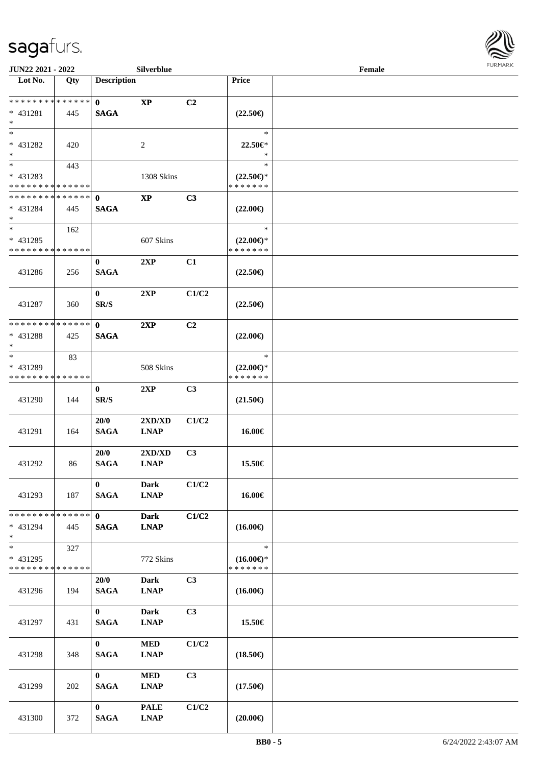

| <b>JUN22 2021 - 2022</b>                                         |     |                             | Silverblue                 |       |                                                | Female |  |
|------------------------------------------------------------------|-----|-----------------------------|----------------------------|-------|------------------------------------------------|--------|--|
| Lot No.                                                          | Qty | <b>Description</b>          |                            |       | Price                                          |        |  |
| * * * * * * * * <mark>* * * * * * *</mark><br>* 431281<br>$\ast$ | 445 | $\mathbf{0}$<br><b>SAGA</b> | <b>XP</b>                  | C2    | $(22.50\epsilon)$                              |        |  |
| $*$<br>* 431282<br>$*$                                           | 420 |                             | 2                          |       | $\ast$<br>22.50€*<br>$\ast$                    |        |  |
| * 431283<br>* * * * * * * * * * * * * *                          | 443 |                             | 1308 Skins                 |       | $\ast$<br>$(22.50\epsilon)$ *<br>* * * * * * * |        |  |
| * * * * * * * * * * * * * * *<br>* 431284<br>$*$                 | 445 | $\mathbf{0}$<br><b>SAGA</b> | $\mathbf{X}\mathbf{P}$     | C3    | $(22.00\epsilon)$                              |        |  |
| $*$<br>* 431285<br>* * * * * * * * * * * * * *                   | 162 |                             | 607 Skins                  |       | $\ast$<br>$(22.00\epsilon)$ *<br>* * * * * * * |        |  |
| 431286                                                           | 256 | $\mathbf{0}$<br><b>SAGA</b> | 2XP                        | C1    | $(22.50\epsilon)$                              |        |  |
| 431287                                                           | 360 | $\bf{0}$<br>SR/S            | 2XP                        | C1/C2 | $(22.50\epsilon)$                              |        |  |
| * * * * * * * * * * * * * * *<br>* 431288<br>$*$                 | 425 | $\mathbf{0}$<br><b>SAGA</b> | 2XP                        | C2    | $(22.00\epsilon)$                              |        |  |
| $*$<br>* 431289<br>* * * * * * * * <mark>* * * * * * *</mark>    | 83  |                             | 508 Skins                  |       | $\ast$<br>$(22.00\epsilon)$ *<br>* * * * * * * |        |  |
| 431290                                                           | 144 | $\bf{0}$<br>SR/S            | 2XP                        | C3    | $(21.50\epsilon)$                              |        |  |
| 431291                                                           | 164 | 20/0<br><b>SAGA</b>         | 2XD/XD<br><b>LNAP</b>      | C1/C2 | 16.00€                                         |        |  |
| 431292                                                           | 86  | 20/0<br><b>SAGA</b>         | 2XD/XD<br><b>LNAP</b>      | C3    | 15.50€                                         |        |  |
| 431293                                                           | 187 | $\bf{0}$<br><b>SAGA</b>     | <b>Dark</b><br><b>LNAP</b> | C1/C2 | 16.00€                                         |        |  |
| * * * * * * * * * * * * * * *<br>* 431294<br>$*$                 | 445 | $\mathbf{0}$<br><b>SAGA</b> | <b>Dark</b><br><b>LNAP</b> | C1/C2 | $(16.00\epsilon)$                              |        |  |
| $*$<br>* 431295<br>* * * * * * * * * * * * * *                   | 327 |                             | 772 Skins                  |       | $\ast$<br>$(16.00\epsilon)$ *<br>* * * * * * * |        |  |
| 431296                                                           | 194 | 20/0<br><b>SAGA</b>         | <b>Dark</b><br><b>LNAP</b> | C3    | $(16.00\epsilon)$                              |        |  |
| 431297                                                           | 431 | $\mathbf{0}$<br><b>SAGA</b> | <b>Dark</b><br><b>LNAP</b> | C3    | 15.50€                                         |        |  |
| 431298                                                           | 348 | $\mathbf{0}$<br><b>SAGA</b> | <b>MED</b><br><b>LNAP</b>  | C1/C2 | $(18.50\epsilon)$                              |        |  |
| 431299                                                           | 202 | $\mathbf{0}$<br><b>SAGA</b> | <b>MED</b><br><b>LNAP</b>  | C3    | $(17.50\epsilon)$                              |        |  |
| 431300                                                           | 372 | $\bf{0}$<br><b>SAGA</b>     | <b>PALE</b><br><b>LNAP</b> | C1/C2 | $(20.00\epsilon)$                              |        |  |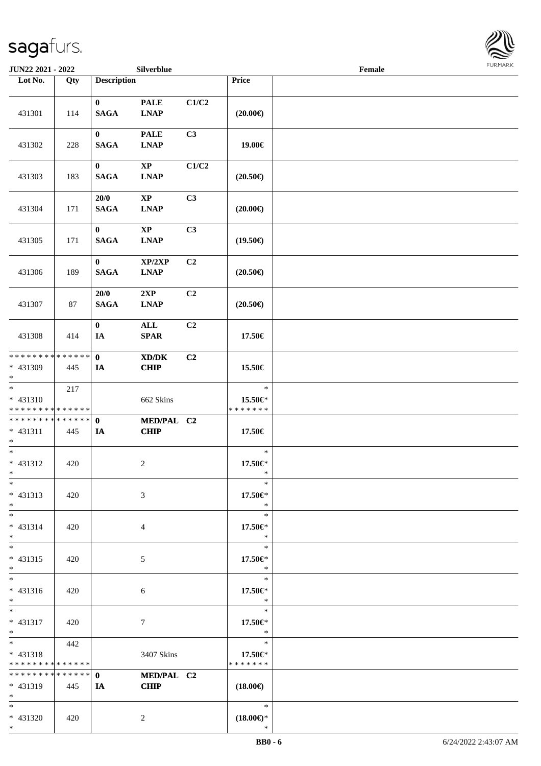\*



| JUN22 2021 - 2022                                                     |     |                         | Silverblue                   |                |                                    | Female |  |
|-----------------------------------------------------------------------|-----|-------------------------|------------------------------|----------------|------------------------------------|--------|--|
| Lot No.                                                               | Qty | <b>Description</b>      |                              |                | Price                              |        |  |
| 431301                                                                | 114 | $\bf{0}$<br><b>SAGA</b> | <b>PALE</b><br><b>LNAP</b>   | C1/C2          | $(20.00\epsilon)$                  |        |  |
| 431302                                                                | 228 | $\bf{0}$<br><b>SAGA</b> | <b>PALE</b><br><b>LNAP</b>   | C3             | 19.00€                             |        |  |
| 431303                                                                | 183 | $\bf{0}$<br><b>SAGA</b> | $\mathbf{XP}$<br><b>LNAP</b> | C1/C2          | $(20.50\epsilon)$                  |        |  |
| 431304                                                                | 171 | 20/0<br><b>SAGA</b>     | $\bold{XP}$<br><b>LNAP</b>   | C3             | $(20.00\epsilon)$                  |        |  |
| 431305                                                                | 171 | $\bf{0}$<br><b>SAGA</b> | $\mathbf{XP}$<br><b>LNAP</b> | C3             | $(19.50\epsilon)$                  |        |  |
| 431306                                                                | 189 | $\bf{0}$<br><b>SAGA</b> | XP/2XP<br><b>LNAP</b>        | C2             | $(20.50\epsilon)$                  |        |  |
| 431307                                                                | 87  | 20/0<br><b>SAGA</b>     | 2XP<br><b>LNAP</b>           | C <sub>2</sub> | $(20.50\epsilon)$                  |        |  |
| 431308                                                                | 414 | $\bf{0}$<br>IA          | ALL<br><b>SPAR</b>           | C2             | 17.50€                             |        |  |
| * * * * * * * * * * * * * * *<br>* 431309<br>$*$                      | 445 | $\mathbf{0}$<br>IA      | XD/DK<br><b>CHIP</b>         | C2             | 15.50€                             |        |  |
| $\overline{\phantom{0}}$<br>$* 431310$<br>* * * * * * * * * * * * * * | 217 |                         | 662 Skins                    |                | $\ast$<br>15.50€*<br>* * * * * * * |        |  |
| * * * * * * * * * * * * * * *<br>$* 431311$<br>$*$                    | 445 | $\mathbf 0$<br>IA       | MED/PAL C2<br><b>CHIP</b>    |                | 17.50€                             |        |  |
| $*$<br>$* 431312$<br>$*$                                              | 420 |                         | $\overline{2}$               |                | $\ast$<br>17.50€*<br>$\ast$        |        |  |
| $\ast$<br>* 431313<br>$*$                                             | 420 |                         | 3                            |                | $\ast$<br>17.50€*<br>$\ast$        |        |  |
| $*$<br>* 431314<br>$*$                                                | 420 |                         | 4                            |                | $\ast$<br>17.50€*<br>$\ast$        |        |  |
| $*$<br>$* 431315$<br>$*$                                              | 420 |                         | 5                            |                | $\ast$<br>17.50€*<br>$\ast$        |        |  |
| $*$<br>* 431316<br>$*$                                                | 420 |                         | 6                            |                | $\ast$<br>17.50€*<br>$\ast$        |        |  |
| $*$<br>* 431317<br>$*$                                                | 420 |                         | 7                            |                | $\ast$<br>17.50€*<br>$\ast$        |        |  |
| $*$ $-$<br>$* 431318$<br>* * * * * * * * * * * * * *                  | 442 |                         | 3407 Skins                   |                | $\ast$<br>17.50€*<br>* * * * * * * |        |  |
| * * * * * * * * * * * * * * *<br>$* 431319$<br>$*$                    | 445 | $\mathbf{0}$<br>IA      | MED/PAL C2<br><b>CHIP</b>    |                | $(18.00\epsilon)$                  |        |  |
| $*$<br>* 431320<br>$*$                                                | 420 |                         | $\overline{c}$               |                | $\ast$<br>$(18.00\epsilon)$ *<br>* |        |  |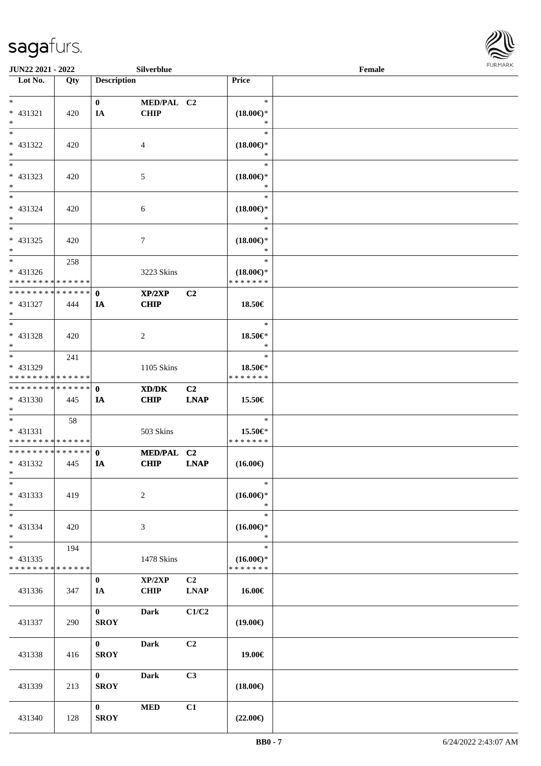

| JUN22 2021 - 2022                                    |     |                             | Silverblue                                                 |                               |                                                | Female |  |
|------------------------------------------------------|-----|-----------------------------|------------------------------------------------------------|-------------------------------|------------------------------------------------|--------|--|
| Lot No.                                              | Qty | <b>Description</b>          |                                                            |                               | Price                                          |        |  |
| $*$                                                  |     | $\mathbf{0}$                | MED/PAL C2                                                 |                               | $\ast$                                         |        |  |
| * 431321<br>$\ast$                                   | 420 | IA                          | <b>CHIP</b>                                                |                               | $(18.00\epsilon)$ *<br>∗                       |        |  |
| $*$<br>* 431322<br>$*$                               | 420 |                             | 4                                                          |                               | $\ast$<br>$(18.00\epsilon)$ *<br>*             |        |  |
| * 431323<br>$*$                                      | 420 |                             | 5                                                          |                               | $\ast$<br>$(18.00\epsilon)$ *<br>$\ast$        |        |  |
| $*$<br>$* 431324$<br>$*$                             | 420 |                             | 6                                                          |                               | $\ast$<br>$(18.00\in)\!\!^*$<br>$\ast$         |        |  |
| $*$<br>* 431325<br>$*$                               | 420 |                             | $\tau$                                                     |                               | $\ast$<br>$(18.00\epsilon)$ *<br>$\ast$        |        |  |
| $*$<br>$* 431326$<br>* * * * * * * * * * * * * *     | 258 |                             | 3223 Skins                                                 |                               | $\ast$<br>$(18.00\epsilon)$ *<br>* * * * * * * |        |  |
| * * * * * * * * * * * * * * *<br>* 431327<br>$*$     | 444 | $\mathbf{0}$<br>IA          | XP/2XP<br><b>CHIP</b>                                      | C <sub>2</sub>                | 18.50€                                         |        |  |
| * 431328<br>$*$                                      | 420 |                             | 2                                                          |                               | $\ast$<br>18.50€*<br>$\ast$                    |        |  |
| $*$<br>* 431329<br>* * * * * * * * * * * * * *       | 241 |                             | 1105 Skins                                                 |                               | $\ast$<br>18.50€*<br>* * * * * * *             |        |  |
| * * * * * * * * * * * * * * *<br>* 431330<br>$*$     | 445 | $\mathbf{0}$<br>IA          | $\mathbf{X}\mathbf{D}/\mathbf{D}\mathbf{K}$<br><b>CHIP</b> | C <sub>2</sub><br><b>LNAP</b> | 15.50€                                         |        |  |
| $*$<br>* 431331<br>* * * * * * * * * * * * * *       | 58  |                             | 503 Skins                                                  |                               | $\ast$<br>15.50€*<br>*******                   |        |  |
| * * * * * * * * * * * * * * *<br>* 431332<br>$*$ $*$ | 445 | $\mathbf{0}$<br>IA          | MED/PAL C2<br><b>CHIP</b>                                  | <b>LNAP</b>                   | $(16.00\epsilon)$                              |        |  |
| $\ast$<br>* 431333<br>$*$                            | 419 |                             | $\sqrt{2}$                                                 |                               | $\ast$<br>$(16.00\epsilon)$ *<br>$\ast$        |        |  |
| $\overline{\ }$<br>* 431334<br>$*$                   | 420 |                             | 3                                                          |                               | $\ast$<br>$(16.00\epsilon)$ *<br>$\ast$        |        |  |
| $*$<br>* 431335<br>* * * * * * * * * * * * * *       | 194 |                             | 1478 Skins                                                 |                               | $\ast$<br>$(16.00\epsilon)$ *<br>* * * * * * * |        |  |
| 431336                                               | 347 | $\mathbf{0}$<br>IA          | XP/2XP<br><b>CHIP</b>                                      | C <sub>2</sub><br><b>LNAP</b> | 16.00€                                         |        |  |
| 431337                                               | 290 | $\mathbf{0}$<br><b>SROY</b> | <b>Dark</b>                                                | C1/C2                         | $(19.00\epsilon)$                              |        |  |
| 431338                                               | 416 | $\mathbf{0}$<br><b>SROY</b> | <b>Dark</b>                                                | C2                            | 19.00€                                         |        |  |
| 431339                                               | 213 | $\mathbf{0}$<br><b>SROY</b> | <b>Dark</b>                                                | C3                            | $(18.00\epsilon)$                              |        |  |
| 431340                                               | 128 | $\mathbf{0}$<br><b>SROY</b> | <b>MED</b>                                                 | C1                            | $(22.00\epsilon)$                              |        |  |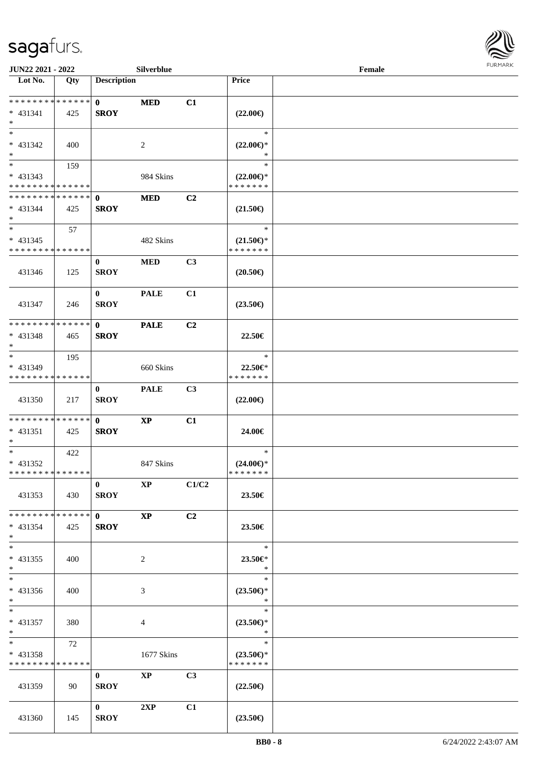

| <b>JUN22 2021 - 2022</b>                                        |     |                             | Silverblue             |                |                                                | Female |  |
|-----------------------------------------------------------------|-----|-----------------------------|------------------------|----------------|------------------------------------------------|--------|--|
| Lot No.                                                         | Qty | <b>Description</b>          |                        |                | Price                                          |        |  |
| ******** <mark>******</mark><br>$* 431341$<br>$*$               | 425 | $\mathbf{0}$<br><b>SROY</b> | <b>MED</b>             | C1             | $(22.00\epsilon)$                              |        |  |
| $*$<br>$* 431342$<br>$*$                                        | 400 |                             | 2                      |                | $\ast$<br>$(22.00\epsilon)$ *<br>∗             |        |  |
| * 431343<br>* * * * * * * * * * * * * *                         | 159 |                             | 984 Skins              |                | $\ast$<br>$(22.00\epsilon)$ *<br>* * * * * * * |        |  |
| * * * * * * * * * * * * * *<br>$* 431344$<br>$*$                | 425 | $\mathbf{0}$<br><b>SROY</b> | <b>MED</b>             | C <sub>2</sub> | $(21.50\epsilon)$                              |        |  |
| $*$<br>$* 431345$<br>* * * * * * * * * * * * * *                | 57  |                             | 482 Skins              |                | $\ast$<br>$(21.50\epsilon)$ *<br>* * * * * * * |        |  |
| 431346                                                          | 125 | $\bf{0}$<br><b>SROY</b>     | <b>MED</b>             | C <sub>3</sub> | $(20.50\epsilon)$                              |        |  |
| 431347                                                          | 246 | $\mathbf{0}$<br><b>SROY</b> | <b>PALE</b>            | C1             | $(23.50\epsilon)$                              |        |  |
| * * * * * * * * * * * * * *<br>$* 431348$<br>$*$                | 465 | $\mathbf{0}$<br><b>SROY</b> | <b>PALE</b>            | C <sub>2</sub> | 22.50€                                         |        |  |
| $\ast$<br>* 431349<br>* * * * * * * * * * * * * *               | 195 |                             | 660 Skins              |                | $\ast$<br>22.50€*<br>* * * * * * *             |        |  |
| 431350                                                          | 217 | $\bf{0}$<br><b>SROY</b>     | <b>PALE</b>            | C3             | $(22.00\epsilon)$                              |        |  |
| * * * * * * * * * * * * * * *<br>$* 431351$<br>$*$              | 425 | $\mathbf{0}$<br><b>SROY</b> | $\bold{XP}$            | C1             | 24.00€                                         |        |  |
| $*$<br>* 431352<br>* * * * * * * * * * * * * *                  | 422 |                             | 847 Skins              |                | $\ast$<br>$(24.00\epsilon)$ *<br>*******       |        |  |
| 431353                                                          | 430 | $\bf{0}$<br><b>SROY</b>     | $\mathbf{X}\mathbf{P}$ | C1/C2          | 23.50€                                         |        |  |
| * * * * * * * * <mark>* * * * * * *</mark><br>$* 431354$<br>$*$ | 425 | $\mathbf{0}$<br><b>SROY</b> | $\mathbf{X}\mathbf{P}$ | C <sub>2</sub> | 23.50€                                         |        |  |
| $*$<br>$* 431355$<br>$*$                                        | 400 |                             | 2                      |                | $\ast$<br>23.50€*<br>$\ast$                    |        |  |
| $\overline{\ast}$<br>* 431356<br>$*$                            | 400 |                             | 3                      |                | $\ast$<br>$(23.50\epsilon)$ *<br>$\ast$        |        |  |
| $*$<br>$* 431357$<br>$*$ $-$                                    | 380 |                             | 4                      |                | $\ast$<br>$(23.50\epsilon)$ *<br>$\ast$        |        |  |
| $*$ $-$<br>* 431358<br>* * * * * * * * * * * * * *              | 72  |                             | 1677 Skins             |                | $\ast$<br>$(23.50\epsilon)$ *<br>* * * * * * * |        |  |
| 431359                                                          | 90  | $\bf{0}$<br><b>SROY</b>     | $\mathbf{X}\mathbf{P}$ | C3             | $(22.50\epsilon)$                              |        |  |
| 431360                                                          | 145 | $\mathbf{0}$<br><b>SROY</b> | 2XP                    | C1             | $(23.50\epsilon)$                              |        |  |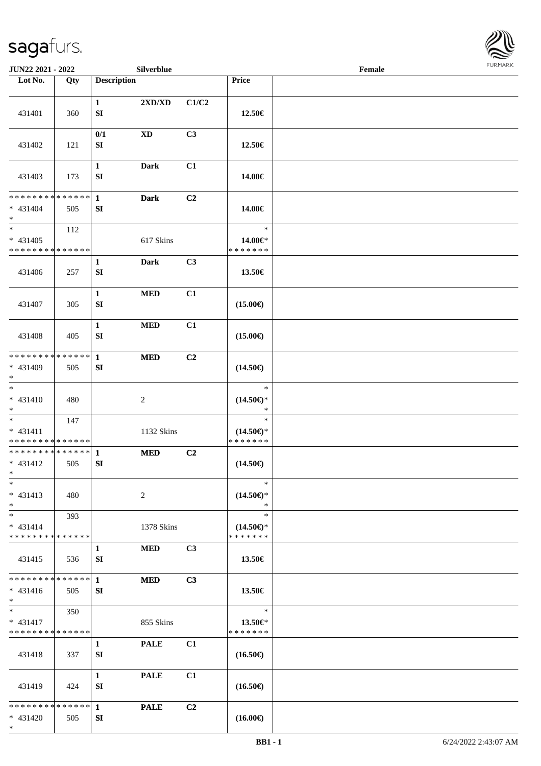

| JUN22 2021 - 2022                                      |     |                                  | Silverblue                       |       |                                                | Female |  |
|--------------------------------------------------------|-----|----------------------------------|----------------------------------|-------|------------------------------------------------|--------|--|
| Lot No.                                                | Qty | <b>Description</b>               |                                  |       | Price                                          |        |  |
| 431401                                                 | 360 | $\mathbf{1}$<br>${\bf SI}$       | $2{\bf X}{\bf D}/{\bf X}{\bf D}$ | C1/C2 | 12.50€                                         |        |  |
| 431402                                                 | 121 | 0/1<br>${\bf SI}$                | <b>XD</b>                        | C3    | 12.50€                                         |        |  |
| 431403                                                 | 173 | $\mathbf{1}$<br>${\bf SI}$       | <b>Dark</b>                      | C1    | 14.00€                                         |        |  |
| **************<br>$* 431404$<br>$*$                    | 505 | $\mathbf{1}$<br>SI               | <b>Dark</b>                      | C2    | 14.00€                                         |        |  |
| $\ast$<br>$* 431405$<br>* * * * * * * * * * * * * *    | 112 |                                  | 617 Skins                        |       | $\ast$<br>14.00€*<br>* * * * * * *             |        |  |
| 431406                                                 | 257 | $\mathbf{1}$<br>${\bf SI}$       | <b>Dark</b>                      | C3    | 13.50€                                         |        |  |
| 431407                                                 | 305 | $\mathbf{1}$<br>SI               | $\bf MED$                        | C1    | $(15.00\epsilon)$                              |        |  |
| 431408                                                 | 405 | $\mathbf{1}$<br>SI               | $\bf MED$                        | C1    | $(15.00\epsilon)$                              |        |  |
| * * * * * * * * * * * * * * *<br>* 431409<br>$*$       | 505 | $\mathbf{1}$<br>${\bf S}{\bf I}$ | <b>MED</b>                       | C2    | $(14.50\epsilon)$                              |        |  |
| $\ast$<br>$* 431410$<br>$*$                            | 480 |                                  | $\sqrt{2}$                       |       | $\ast$<br>$(14.50\epsilon)$ *<br>$\ast$        |        |  |
| $*$<br>$* 431411$<br>* * * * * * * * * * * * * *       | 147 |                                  | 1132 Skins                       |       | $\ast$<br>$(14.50\epsilon)$ *<br>* * * * * * * |        |  |
| **************<br>* 431412<br>$*$                      | 505 | $\mathbf{1}$<br>SI               | <b>MED</b>                       | C2    | $(14.50\epsilon)$                              |        |  |
| $\ast$<br>$* 431413$<br>$*$                            | 480 |                                  | 2                                |       | $\ast$<br>$(14.50\epsilon)$ *<br>$\ast$        |        |  |
| $*$<br>$* 431414$<br>* * * * * * * * * * * * * *       | 393 |                                  | 1378 Skins                       |       | $\ast$<br>$(14.50\epsilon)$ *<br>* * * * * * * |        |  |
| 431415                                                 | 536 | $\mathbf{1}$<br>SI               | <b>MED</b>                       | C3    | 13.50€                                         |        |  |
| * * * * * * * * * * * * * * *<br>$* 431416$<br>$*$ $-$ | 505 | $\mathbf{1}$<br>SI               | <b>MED</b>                       | C3    | 13.50€                                         |        |  |
| $*$ $*$<br>$* 431417$<br>* * * * * * * * * * * * * *   | 350 |                                  | 855 Skins                        |       | $\ast$<br>13.50€*<br>* * * * * * *             |        |  |
| 431418                                                 | 337 | $\mathbf{1}$<br>${\bf SI}$       | <b>PALE</b>                      | C1    | $(16.50\epsilon)$                              |        |  |
| 431419                                                 | 424 | $\mathbf{1}$<br>SI               | <b>PALE</b>                      | C1    | $(16.50\epsilon)$                              |        |  |
| * * * * * * * * * * * * * * *<br>* 431420<br>$*$       | 505 | $\mathbf{1}$<br>SI               | <b>PALE</b>                      | C2    | $(16.00\epsilon)$                              |        |  |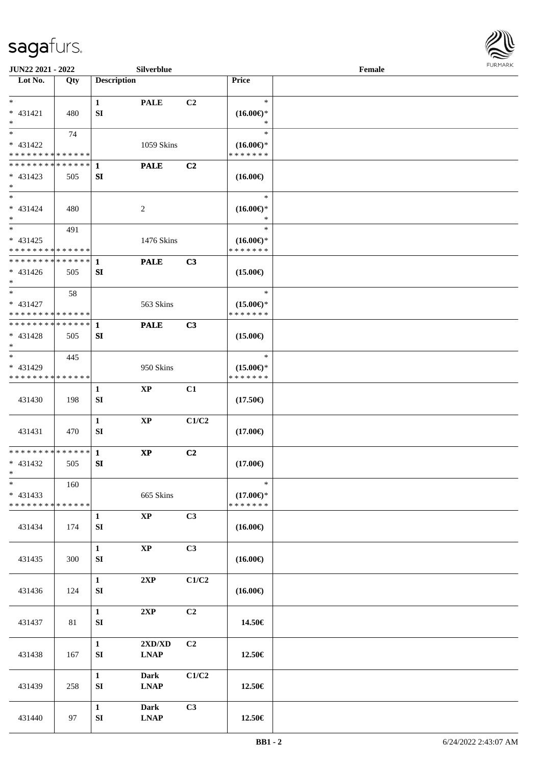

| <b>JUN22 2021 - 2022</b>                   |     |                    | Silverblue                       |                |                          | Female |  |
|--------------------------------------------|-----|--------------------|----------------------------------|----------------|--------------------------|--------|--|
| Lot No.                                    | Qty | <b>Description</b> |                                  |                | <b>Price</b>             |        |  |
| $*$                                        |     |                    |                                  |                | $\ast$                   |        |  |
| * 431421                                   |     | $\mathbf{1}$       | <b>PALE</b>                      | C2             |                          |        |  |
| $*$                                        | 480 | SI                 |                                  |                | $(16.00\epsilon)$ *<br>∗ |        |  |
|                                            | 74  |                    |                                  |                | $\ast$                   |        |  |
| * 431422                                   |     |                    | 1059 Skins                       |                | $(16.00\epsilon)$ *      |        |  |
| * * * * * * * * * * * * * *                |     |                    |                                  |                | * * * * * * *            |        |  |
| * * * * * * * * * * * * * * *              |     | 1                  | <b>PALE</b>                      | C2             |                          |        |  |
| $* 431423$                                 | 505 | SI                 |                                  |                | $(16.00\epsilon)$        |        |  |
| $*$                                        |     |                    |                                  |                |                          |        |  |
| $*$                                        |     |                    |                                  |                | $\ast$                   |        |  |
| $* 431424$                                 | 480 |                    | 2                                |                | $(16.00\epsilon)$ *      |        |  |
| $*$                                        |     |                    |                                  |                | $\ast$                   |        |  |
| $*$                                        | 491 |                    |                                  |                | $\ast$                   |        |  |
| $* 431425$                                 |     |                    | 1476 Skins                       |                | $(16.00\epsilon)$ *      |        |  |
| * * * * * * * * * * * * * *                |     |                    |                                  |                | * * * * * * *            |        |  |
| * * * * * * * * * * * * * * *              |     | $\mathbf{1}$       | <b>PALE</b>                      | C3             |                          |        |  |
| $* 431426$                                 | 505 | SI                 |                                  |                | $(15.00\epsilon)$        |        |  |
| $*$                                        |     |                    |                                  |                |                          |        |  |
|                                            | 58  |                    |                                  |                | $\ast$                   |        |  |
| * 431427                                   |     |                    | 563 Skins                        |                | $(15.00\epsilon)$ *      |        |  |
| * * * * * * * * * * * * * *                |     |                    |                                  |                | * * * * * * *            |        |  |
| * * * * * * * * * * * * * * <mark>*</mark> |     | 1                  | <b>PALE</b>                      | C3             |                          |        |  |
| * 431428                                   | 505 | SI                 |                                  |                | $(15.00\epsilon)$        |        |  |
| $\ast$                                     |     |                    |                                  |                |                          |        |  |
| $*$                                        | 445 |                    |                                  |                | $\ast$                   |        |  |
| * 431429                                   |     |                    | 950 Skins                        |                | $(15.00\epsilon)$ *      |        |  |
| * * * * * * * * * * * * * *                |     |                    |                                  |                | * * * * * * *            |        |  |
|                                            |     | $\mathbf{1}$       | <b>XP</b>                        | C1             |                          |        |  |
| 431430                                     | 198 | SI                 |                                  |                | $(17.50\epsilon)$        |        |  |
|                                            |     |                    |                                  |                |                          |        |  |
|                                            |     | $\mathbf{1}$       | $\mathbf{XP}$                    | C1/C2          |                          |        |  |
| 431431                                     | 470 | SI                 |                                  |                | $(17.00\epsilon)$        |        |  |
| * * * * * * * * <mark>* * * * * * *</mark> |     |                    |                                  |                |                          |        |  |
|                                            |     | $\mathbf{1}$       | <b>XP</b>                        | C2             |                          |        |  |
| $* 431432$<br>$*$ $\qquad$                 | 505 | SI                 |                                  |                | $(17.00\epsilon)$        |        |  |
| $\ast$                                     | 160 |                    |                                  |                | $\ast$                   |        |  |
| $* 431433$                                 |     |                    | 665 Skins                        |                | $(17.00\epsilon)$ *      |        |  |
| * * * * * * * * * * * * * *                |     |                    |                                  |                | * * * * * * *            |        |  |
|                                            |     | $\mathbf{1}$       | $\bold{XP}$                      | C3             |                          |        |  |
| 431434                                     | 174 | SI                 |                                  |                | $(16.00\epsilon)$        |        |  |
|                                            |     |                    |                                  |                |                          |        |  |
|                                            |     | $\mathbf{1}$       | $\bold{XP}$                      | C <sub>3</sub> |                          |        |  |
| 431435                                     | 300 | SI                 |                                  |                | $(16.00\epsilon)$        |        |  |
|                                            |     |                    |                                  |                |                          |        |  |
|                                            |     | $\mathbf{1}$       | 2XP                              | C1/C2          |                          |        |  |
| 431436                                     | 124 | ${\bf S}{\bf I}$   |                                  |                | $(16.00\epsilon)$        |        |  |
|                                            |     |                    |                                  |                |                          |        |  |
|                                            |     | $\mathbf{1}$       | 2XP                              | C2             |                          |        |  |
| 431437                                     | 81  | ${\bf S}{\bf I}$   |                                  |                | 14.50€                   |        |  |
|                                            |     |                    |                                  |                |                          |        |  |
|                                            |     | $\mathbf{1}$       | $2{\bf X}{\bf D}/{\bf X}{\bf D}$ | C <sub>2</sub> |                          |        |  |
| 431438                                     | 167 | SI                 | <b>LNAP</b>                      |                | 12.50€                   |        |  |
|                                            |     |                    |                                  |                |                          |        |  |
|                                            |     | $\mathbf{1}$       | <b>Dark</b>                      | C1/C2          |                          |        |  |
| 431439                                     | 258 | ${\bf S}{\bf I}$   | <b>LNAP</b>                      |                | 12.50€                   |        |  |
|                                            |     |                    |                                  |                |                          |        |  |
|                                            |     | $\mathbf{1}$       | <b>Dark</b>                      | C3             |                          |        |  |
| 431440                                     | 97  | ${\bf SI}$         | <b>LNAP</b>                      |                | $12.50\in$               |        |  |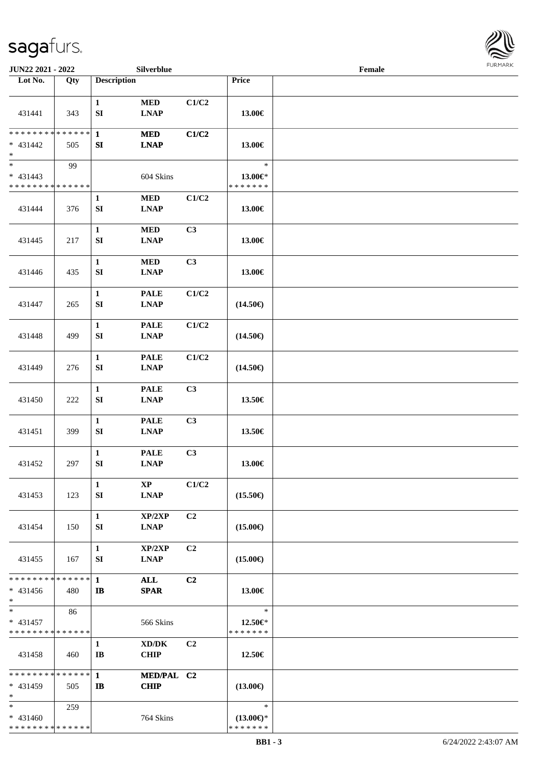

| JUN22 2021 - 2022                                                     |     |                                  | Silverblue                                                |                |                                                | Female |  |
|-----------------------------------------------------------------------|-----|----------------------------------|-----------------------------------------------------------|----------------|------------------------------------------------|--------|--|
| Lot No.                                                               | Qty | <b>Description</b>               |                                                           |                | Price                                          |        |  |
| 431441                                                                | 343 | $\mathbf{1}$<br>${\bf S}{\bf I}$ | $\bf MED$<br><b>LNAP</b>                                  | C1/C2          | 13.00€                                         |        |  |
| * * * * * * * * * * * * * *<br>$* 431442$<br>$\ast$                   | 505 | $\mathbf{1}$<br>${\bf SI}$       | <b>MED</b><br><b>LNAP</b>                                 | C1/C2          | 13.00€                                         |        |  |
| $\overline{\phantom{0}}$<br>$* 431443$<br>* * * * * * * * * * * * * * | 99  |                                  | 604 Skins                                                 |                | $\ast$<br>13.00€*<br>* * * * * * *             |        |  |
| 431444                                                                | 376 | 1<br>SI                          | $\bf MED$<br><b>LNAP</b>                                  | C1/C2          | 13.00€                                         |        |  |
| 431445                                                                | 217 | $\mathbf{1}$<br>SI               | $\bf MED$<br><b>LNAP</b>                                  | C3             | 13.00€                                         |        |  |
| 431446                                                                | 435 | $\mathbf{1}$<br>${\bf SI}$       | $\bf MED$<br><b>LNAP</b>                                  | C3             | 13.00€                                         |        |  |
| 431447                                                                | 265 | $\mathbf{1}$<br>${\bf SI}$       | <b>PALE</b><br><b>LNAP</b>                                | C1/C2          | $(14.50\epsilon)$                              |        |  |
| 431448                                                                | 499 | $\mathbf{1}$<br>SI               | <b>PALE</b><br><b>LNAP</b>                                | C1/C2          | $(14.50\epsilon)$                              |        |  |
| 431449                                                                | 276 | $\mathbf{1}$<br>${\bf S}{\bf I}$ | <b>PALE</b><br><b>LNAP</b>                                | C1/C2          | $(14.50\epsilon)$                              |        |  |
| 431450                                                                | 222 | $\mathbf{1}$<br>${\bf S}{\bf I}$ | <b>PALE</b><br><b>LNAP</b>                                | C3             | 13.50€                                         |        |  |
| 431451                                                                | 399 | $\mathbf{1}$<br>${\bf S}{\bf I}$ | <b>PALE</b><br><b>LNAP</b>                                | C3             | 13.50€                                         |        |  |
| 431452                                                                | 297 | $\mathbf{1}$<br>${\bf S}{\bf I}$ | <b>PALE</b><br>$\mathbf{L}\mathbf{N}\mathbf{A}\mathbf{P}$ | C3             | 13.00€                                         |        |  |
| 431453                                                                | 123 | $\mathbf{1}$<br>SI               | $\mathbf{X}\mathbf{P}$<br><b>LNAP</b>                     | C1/C2          | $(15.50\epsilon)$                              |        |  |
| 431454                                                                | 150 | $\mathbf{1}$<br>SI               | XP/2XP<br><b>LNAP</b>                                     | C <sub>2</sub> | $(15.00\epsilon)$                              |        |  |
| 431455                                                                | 167 | $\mathbf{1}$<br>SI               | XP/2XP<br><b>LNAP</b>                                     | C <sub>2</sub> | $(15.00\epsilon)$                              |        |  |
| * * * * * * * * * * * * * * *<br>$* 431456$<br>$*$                    | 480 | $\mathbf{1}$<br>$\mathbf{I}$     | <b>ALL</b><br><b>SPAR</b>                                 | C2             | 13.00€                                         |        |  |
| $*$<br>$* 431457$<br>* * * * * * * * * * * * * *                      | 86  |                                  | 566 Skins                                                 |                | $\ast$<br>12.50€*<br>* * * * * * *             |        |  |
| 431458                                                                | 460 | $\mathbf{1}$<br>$\bf{IB}$        | XD/DK<br><b>CHIP</b>                                      | C <sub>2</sub> | 12.50€                                         |        |  |
| **************<br>$* 431459$<br>$*$                                   | 505 | $\mathbf{1}$<br>$\mathbf{I}$     | MED/PAL C2<br><b>CHIP</b>                                 |                | $(13.00\epsilon)$                              |        |  |
| $*$<br>$* 431460$<br>* * * * * * * * * * * * * *                      | 259 |                                  | 764 Skins                                                 |                | $\ast$<br>$(13.00\epsilon)$ *<br>* * * * * * * |        |  |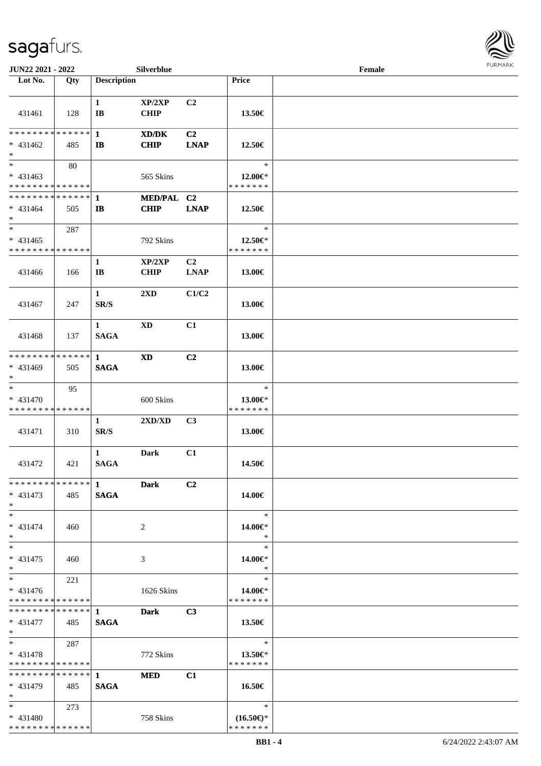

| JUN22 2021 - 2022                         |     |                       | Silverblue             |                |                          | Female |  |
|-------------------------------------------|-----|-----------------------|------------------------|----------------|--------------------------|--------|--|
| Lot No.                                   | Qty | <b>Description</b>    |                        |                | Price                    |        |  |
|                                           |     |                       |                        |                |                          |        |  |
|                                           |     | $\mathbf{1}$          | XP/2XP                 | C2             |                          |        |  |
| 431461                                    | 128 | $\mathbf{I}$ <b>B</b> | <b>CHIP</b>            |                | 13.50€                   |        |  |
|                                           |     |                       |                        |                |                          |        |  |
| * * * * * * * * * * * * * * *             |     | $\mathbf{1}$          | XD/DK                  | C <sub>2</sub> |                          |        |  |
| $* 431462$                                | 485 | $\mathbf{I}$          | <b>CHIP</b>            | <b>LNAP</b>    | 12.50€                   |        |  |
| $\ast$                                    |     |                       |                        |                |                          |        |  |
| $\overline{\phantom{0}}$                  | 80  |                       |                        |                | $\ast$                   |        |  |
| $* 431463$                                |     |                       | 565 Skins              |                | 12.00€*                  |        |  |
| * * * * * * * * * * * * * *               |     |                       |                        |                | * * * * * * *            |        |  |
| **************                            |     | 1                     | MED/PAL C2             |                |                          |        |  |
| $* 431464$                                | 505 | $\mathbf{I}$          | <b>CHIP</b>            | <b>LNAP</b>    | 12.50€                   |        |  |
| $\ast$                                    |     |                       |                        |                |                          |        |  |
| $\ast$                                    | 287 |                       |                        |                | $\ast$                   |        |  |
| $* 431465$                                |     |                       | 792 Skins              |                | 12.50€*                  |        |  |
| * * * * * * * * * * * * * *               |     |                       |                        |                | * * * * * * *            |        |  |
|                                           |     | $\mathbf{1}$          | XP/2XP                 | C <sub>2</sub> |                          |        |  |
| 431466                                    | 166 | $\bf{IB}$             | <b>CHIP</b>            | <b>LNAP</b>    | 13.00€                   |        |  |
|                                           |     |                       |                        |                |                          |        |  |
|                                           |     | $\mathbf{1}$          | 2XD                    | C1/C2          |                          |        |  |
| 431467                                    | 247 | SR/S                  |                        |                | 13.00€                   |        |  |
|                                           |     |                       |                        |                |                          |        |  |
|                                           |     | $\mathbf{1}$          | <b>XD</b>              | C1             |                          |        |  |
| 431468                                    | 137 | <b>SAGA</b>           |                        |                | 13.00€                   |        |  |
|                                           |     |                       |                        |                |                          |        |  |
| * * * * * * * * * * * * * * *             |     | 1                     | $\mathbf{X}\mathbf{D}$ | C2             |                          |        |  |
| * 431469                                  | 505 | <b>SAGA</b>           |                        |                | 13.00€                   |        |  |
| $\ast$                                    |     |                       |                        |                |                          |        |  |
| $\ast$                                    | 95  |                       |                        |                | $\ast$                   |        |  |
| $* 431470$                                |     |                       | 600 Skins              |                | 13.00€*                  |        |  |
| * * * * * * * * * * * * * *               |     |                       |                        |                | * * * * * * *            |        |  |
|                                           |     | $\mathbf{1}$          | 2XD/XD                 | C3             |                          |        |  |
| 431471                                    | 310 | SR/S                  |                        |                | 13.00€                   |        |  |
|                                           |     |                       |                        |                |                          |        |  |
|                                           |     | $\mathbf{1}$          | Dark                   | C1             |                          |        |  |
| 431472                                    | 421 | <b>SAGA</b>           |                        |                | 14.50€                   |        |  |
|                                           |     |                       |                        |                |                          |        |  |
|                                           |     |                       | <b>Dark</b>            | C <sub>2</sub> |                          |        |  |
| $* 431473$                                | 485 | <b>SAGA</b>           |                        |                | 14.00€                   |        |  |
| $*$                                       |     |                       |                        |                |                          |        |  |
| $*$                                       |     |                       |                        |                | $\ast$                   |        |  |
| $* 431474$                                | 460 |                       | 2                      |                | 14.00€*                  |        |  |
| $*$<br>$*$                                |     |                       |                        |                | $\ast$                   |        |  |
|                                           |     |                       |                        |                | $\ast$                   |        |  |
| $* 431475$                                | 460 |                       | 3                      |                | 14.00€*<br>$\ast$        |        |  |
| $*$<br>$\ast$                             |     |                       |                        |                | $\ast$                   |        |  |
|                                           | 221 |                       |                        |                |                          |        |  |
| $* 431476$<br>* * * * * * * * * * * * * * |     |                       | 1626 Skins             |                | 14.00€*<br>* * * * * * * |        |  |
| ******** <mark>******</mark> 1            |     |                       |                        | C <sub>3</sub> |                          |        |  |
| $* 431477$                                | 485 | <b>SAGA</b>           | <b>Dark</b>            |                |                          |        |  |
| $*$ $-$                                   |     |                       |                        |                | 13.50€                   |        |  |
| $*$                                       | 287 |                       |                        |                | $\ast$                   |        |  |
| $* 431478$                                |     |                       | 772 Skins              |                | 13.50 $\in$ *            |        |  |
| * * * * * * * * * * * * * * *             |     |                       |                        |                | * * * * * * *            |        |  |
| * * * * * * * * * * * * * * *             |     | $\mathbf{1}$          | <b>MED</b>             | C1             |                          |        |  |
| $* 431479$                                | 485 | <b>SAGA</b>           |                        |                |                          |        |  |
| $*$                                       |     |                       |                        |                | 16.50€                   |        |  |
| $*$ and $*$                               | 273 |                       |                        |                | $\ast$                   |        |  |
| $* 431480$                                |     |                       | 758 Skins              |                | $(16.50\epsilon)$ *      |        |  |
| * * * * * * * * * * * * * *               |     |                       |                        |                | * * * * * * *            |        |  |
|                                           |     |                       |                        |                |                          |        |  |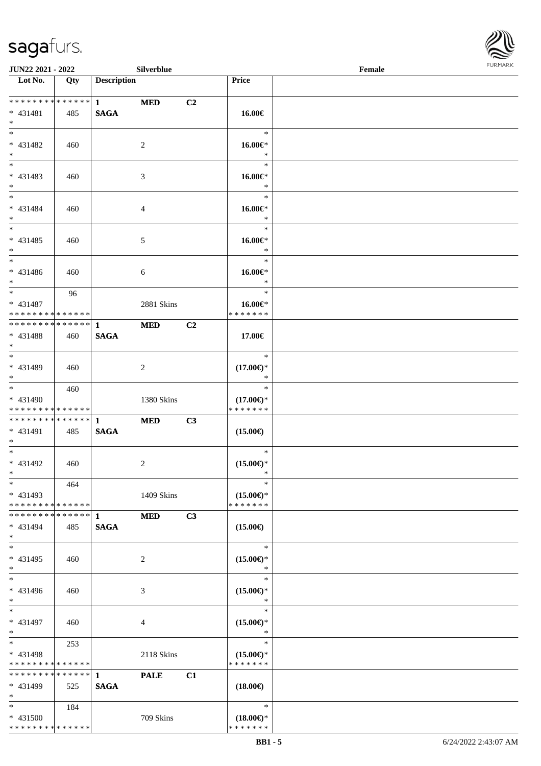\* \* \* \* \* \* \* \* <mark>\* \* \* \* \* \* \*</mark>



| JUN22 2021 - 2022                                             |     |                             | Silverblue     |    |                                                | Female | <b>FURMARK</b> |
|---------------------------------------------------------------|-----|-----------------------------|----------------|----|------------------------------------------------|--------|----------------|
| Lot No.                                                       | Qty | <b>Description</b>          |                |    | Price                                          |        |                |
| * * * * * * * * <mark>* * * * * * *</mark><br>* 431481<br>$*$ | 485 | $\mathbf{1}$<br><b>SAGA</b> | <b>MED</b>     | C2 | 16.00€                                         |        |                |
| $*$<br>* 431482<br>$*$                                        | 460 |                             | 2              |    | $\ast$<br>$16.00 \in$<br>$\ast$                |        |                |
| $\overline{\phantom{0}}$<br>$* 431483$<br>$*$                 | 460 |                             | 3              |    | $\ast$<br>$16.00 \in$ *<br>$\ast$              |        |                |
| $*$<br>* 431484<br>$*$                                        | 460 |                             | 4              |    | $\ast$<br>$16.00 \in$<br>$\ast$                |        |                |
| $*$<br>$* 431485$<br>$*$                                      | 460 |                             | $\mathfrak{S}$ |    | $\ast$<br>16.00€*<br>$\ast$                    |        |                |
| $*$<br>* 431486<br>$*$                                        | 460 |                             | 6              |    | $\ast$<br>$16.00 \in$<br>$\ast$                |        |                |
| $*$<br>* 431487<br>* * * * * * * * * * * * * *                | 96  |                             | 2881 Skins     |    | $\ast$<br>16.00€*<br>* * * * * * *             |        |                |
| * * * * * * * * * * * * * * *<br>* 431488<br>$*$              | 460 | 1<br><b>SAGA</b>            | <b>MED</b>     | C2 | 17.00€                                         |        |                |
| $\overline{\phantom{0}}$<br>* 431489<br>$*$                   | 460 |                             | 2              |    | $\ast$<br>$(17.00\epsilon)$ *<br>$\ast$        |        |                |
| $*$<br>* 431490<br>* * * * * * * * * * * * * *                | 460 |                             | 1380 Skins     |    | $\ast$<br>$(17.00\epsilon)$ *<br>* * * * * * * |        |                |
| * * * * * * * * * * * * * *<br>* 431491<br>$*$                | 485 | $\mathbf{1}$<br><b>SAGA</b> | <b>MED</b>     | C3 | $(15.00\epsilon)$                              |        |                |
| $*$<br>* 431492<br>$\ast$                                     | 460 |                             | 2              |    | $\ast$<br>$(15.00\epsilon)$ *<br>$\ast$        |        |                |
| $\ast$<br>* 431493<br>* * * * * * * * * * * * * *             | 464 |                             | 1409 Skins     |    | $\ast$<br>$(15.00\epsilon)$ *<br>* * * * * * * |        |                |
| * * * * * * * * * * * * * * *<br>* 431494<br>$*$              | 485 | 1<br><b>SAGA</b>            | <b>MED</b>     | C3 | $(15.00\epsilon)$                              |        |                |
| $\overline{\phantom{0}}$<br>$* 431495$<br>$*$                 | 460 |                             | 2              |    | $\ast$<br>$(15.00\epsilon)$ *<br>$\ast$        |        |                |
| $\overline{\ast}$<br>* 431496<br>$*$                          | 460 |                             | 3              |    | $\ast$<br>$(15.00\epsilon)$ *<br>$\ast$        |        |                |
| $*$<br>$* 431497$<br>$*$                                      | 460 |                             | 4              |    | $\ast$<br>$(15.00\epsilon)$ *<br>$\ast$        |        |                |
| $*$<br>* 431498<br>* * * * * * * * * * * * * *                | 253 |                             | 2118 Skins     |    | $\ast$<br>$(15.00\epsilon)$ *<br>* * * * * * * |        |                |
| * * * * * * * * * * * * * * *<br>* 431499<br>$*$              | 525 | $\mathbf{1}$<br><b>SAGA</b> | <b>PALE</b>    | C1 | $(18.00\epsilon)$                              |        |                |
| $*$<br>* 431500                                               | 184 |                             | 709 Skins      |    | $\ast$<br>$(18.00\epsilon)$ *                  |        |                |

\* \* \* \* \* \* \*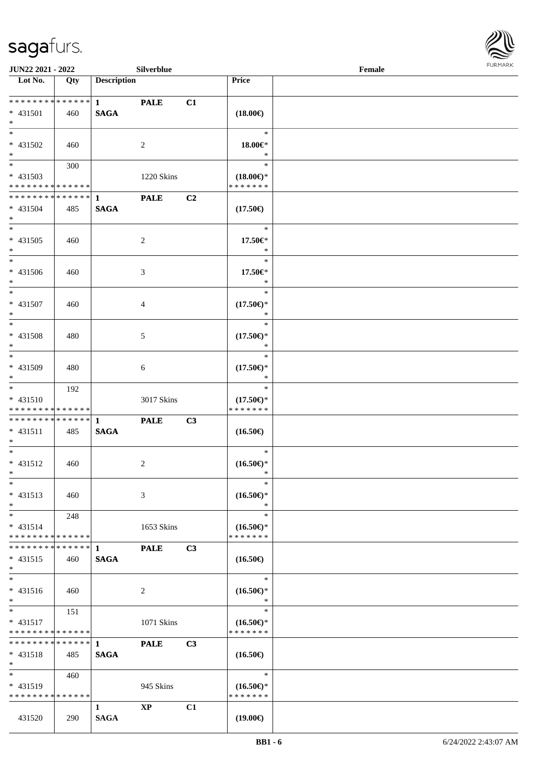

| <b>JUN22 2021 - 2022</b>                                 |                   |                    | <b>Silverblue</b> |    |                                      | Female |  |
|----------------------------------------------------------|-------------------|--------------------|-------------------|----|--------------------------------------|--------|--|
| Lot No.                                                  | Qty               | <b>Description</b> |                   |    | Price                                |        |  |
|                                                          |                   |                    |                   |    |                                      |        |  |
|                                                          |                   | $1 \quad \cdots$   | <b>PALE</b>       | C1 |                                      |        |  |
| * 431501                                                 | 460               | <b>SAGA</b>        |                   |    | $(18.00\epsilon)$                    |        |  |
| $*$<br>$\overline{\ast}$                                 |                   |                    |                   |    |                                      |        |  |
|                                                          |                   |                    |                   |    | $\ast$                               |        |  |
| * 431502                                                 | 460               |                    | 2                 |    | 18.00€*                              |        |  |
| $*$<br>$\overline{\mathbf{r}}$                           |                   |                    |                   |    | $\ast$                               |        |  |
|                                                          | 300               |                    |                   |    | $\ast$                               |        |  |
| * 431503                                                 |                   |                    | 1220 Skins        |    | $(18.00\epsilon)$ *                  |        |  |
| * * * * * * * * <mark>* * * * * * *</mark>               |                   |                    |                   |    | * * * * * * *                        |        |  |
| * * * * * * * * * * * * * * <mark>*</mark>               |                   | $\mathbf{1}$       | <b>PALE</b>       | C2 |                                      |        |  |
| * 431504                                                 | 485               | <b>SAGA</b>        |                   |    | $(17.50\epsilon)$                    |        |  |
| $*$                                                      |                   |                    |                   |    |                                      |        |  |
| $\ast$                                                   |                   |                    |                   |    | $\ast$                               |        |  |
| * 431505                                                 | 460               |                    | 2                 |    | 17.50€*                              |        |  |
| $\ast$                                                   |                   |                    |                   |    | $\ast$                               |        |  |
| $\ast$                                                   |                   |                    |                   |    | $\ast$                               |        |  |
| * 431506                                                 | 460               |                    | 3                 |    | 17.50€*                              |        |  |
| $\ast$<br>$\overline{\ast}$                              |                   |                    |                   |    | $\ast$                               |        |  |
|                                                          |                   |                    |                   |    | $\ast$                               |        |  |
| * 431507                                                 | 460               |                    | $\overline{4}$    |    | $(17.50\epsilon)$ *                  |        |  |
| $\ast$<br>$\ast$                                         |                   |                    |                   |    | $\ast$                               |        |  |
|                                                          |                   |                    |                   |    | $\ast$                               |        |  |
| * 431508                                                 | 480               |                    | 5                 |    | $(17.50\epsilon)$ *                  |        |  |
| $\ast$<br>$*$                                            |                   |                    |                   |    | ∗                                    |        |  |
|                                                          |                   |                    |                   |    | $\ast$                               |        |  |
| * 431509                                                 | 480               |                    | 6                 |    | $(17.50\epsilon)$ *                  |        |  |
| $\ast$<br>$*$                                            |                   |                    |                   |    | $\ast$                               |        |  |
|                                                          | 192               |                    |                   |    | $\ast$                               |        |  |
| $* 431510$                                               |                   |                    | 3017 Skins        |    | $(17.50\epsilon)$ *                  |        |  |
| * * * * * * * * <mark>* * * * * * *</mark>               |                   |                    |                   |    | * * * * * * *                        |        |  |
|                                                          |                   |                    | <b>PALE</b>       | C3 |                                      |        |  |
| $* 431511$                                               | 485               | <b>SAGA</b>        |                   |    | $(16.50\epsilon)$                    |        |  |
| $*$                                                      |                   |                    |                   |    |                                      |        |  |
| $\ddot{x}$                                               |                   |                    |                   |    | $\ast$                               |        |  |
| * 431512                                                 | 460               |                    | 2                 |    | $(16.50\epsilon)$ *                  |        |  |
| $*$ $-$                                                  |                   |                    |                   |    | $\ast$                               |        |  |
| $\ast$                                                   |                   |                    |                   |    | $\ast$                               |        |  |
| * 431513                                                 | 460               |                    | 3                 |    | $(16.50\epsilon)$ *                  |        |  |
| $\ast$                                                   |                   |                    |                   |    | $\ast$                               |        |  |
| $*$ $-$                                                  | 248               |                    |                   |    | $\ast$                               |        |  |
| $* 431514$<br>* * * * * * * * <mark>* * * * * * *</mark> |                   |                    | 1653 Skins        |    | $(16.50\epsilon)$ *<br>* * * * * * * |        |  |
| * * * * * * * *                                          | $*$ * * * * * $1$ |                    |                   |    |                                      |        |  |
|                                                          |                   |                    | <b>PALE</b>       | C3 |                                      |        |  |
| $* 431515$<br>$\ast$                                     | 460               | <b>SAGA</b>        |                   |    | $(16.50\epsilon)$                    |        |  |
| $\ast$                                                   |                   |                    |                   |    | $\ast$                               |        |  |
| $* 431516$                                               |                   |                    |                   |    |                                      |        |  |
| $*$                                                      | 460               |                    | 2                 |    | $(16.50\epsilon)$ *<br>$\ast$        |        |  |
| $\overline{\ast}$                                        | 151               |                    |                   |    | $\ast$                               |        |  |
| $* 431517$                                               |                   |                    | 1071 Skins        |    | $(16.50\epsilon)$ *                  |        |  |
| * * * * * * * * <mark>* * * * * *</mark>                 |                   |                    |                   |    | * * * * * * *                        |        |  |
| * * * * * * * *                                          | ****** 1          |                    | <b>PALE</b>       | C3 |                                      |        |  |
| $* 431518$                                               | 485               | <b>SAGA</b>        |                   |    | $(16.50\epsilon)$                    |        |  |
| $\ast$                                                   |                   |                    |                   |    |                                      |        |  |
| $\overline{\ast}$                                        | 460               |                    |                   |    | $\ast$                               |        |  |
| * 431519                                                 |                   |                    | 945 Skins         |    | $(16.50\epsilon)$ *                  |        |  |
| * * * * * * * * * * * * * *                              |                   |                    |                   |    | * * * * * * *                        |        |  |
|                                                          |                   | 1                  | XP                | C1 |                                      |        |  |
| 431520                                                   | 290               | <b>SAGA</b>        |                   |    | $(19.00\epsilon)$                    |        |  |
|                                                          |                   |                    |                   |    |                                      |        |  |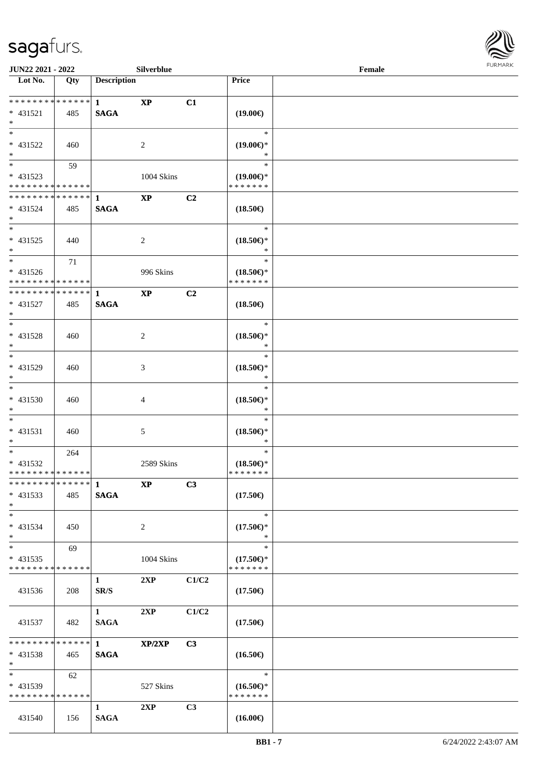

|                                                                     | JUN22 2021 - 2022<br>Silverblue |                             |                        |                |                                                                              | Female | FURMARK |
|---------------------------------------------------------------------|---------------------------------|-----------------------------|------------------------|----------------|------------------------------------------------------------------------------|--------|---------|
| $\overline{\text{Lot No.}}$                                         | Qty                             | <b>Description</b>          |                        |                | Price                                                                        |        |         |
| * * * * * * * * <mark>* * * * * * *</mark><br>* 431521<br>$*$       | 485                             | $\mathbf{1}$<br><b>SAGA</b> | $\mathbf{X}\mathbf{P}$ | C1             | $(19.00\epsilon)$                                                            |        |         |
| $*$<br>* 431522<br>$*$                                              | 460                             |                             | 2                      |                | $\ast$<br>$(19.00\epsilon)$ *<br>$\ast$                                      |        |         |
| $\overline{\phantom{0}}$<br>* 431523<br>* * * * * * * * * * * * * * | 59                              |                             | 1004 Skins             |                | $\ast$<br>$(19.00\epsilon)$ *<br>* * * * * * *                               |        |         |
| * 431524<br>$*$                                                     | 485                             | <b>SAGA</b>                 | <b>XP</b>              | C2             | $(18.50\epsilon)$                                                            |        |         |
| $*$<br>$* 431525$<br>$*$                                            | 440                             |                             | 2                      |                | $\ast$<br>$(18.50\epsilon)$ *<br>$\ast$                                      |        |         |
| $*$<br>* 431526<br>* * * * * * * * * * * * * *                      | 71                              |                             | 996 Skins              |                | $\ast$<br>$(18.50\mathnormal{\in}\mathcal{)^{\! \! \circ}}$<br>* * * * * * * |        |         |
| * * * * * * * * * * * * * * *<br>* 431527<br>$*$                    | 485                             | 1<br><b>SAGA</b>            | <b>XP</b>              | C2             | $(18.50\epsilon)$                                                            |        |         |
| $*$<br>$* 431528$<br>$*$                                            | 460                             |                             | 2                      |                | $\ast$<br>$(18.50\epsilon)$ *<br>$\ast$                                      |        |         |
| $\overline{\phantom{0}}$<br>* 431529<br>$*$                         | 460                             |                             | 3                      |                | $\ast$<br>$(18.50\epsilon)$ *<br>$\ast$                                      |        |         |
| $*$<br>* 431530<br>$*$                                              | 460                             |                             | 4                      |                | $\ast$<br>$(18.50\epsilon)$ *<br>$\ast$                                      |        |         |
| $*$<br>* 431531<br>$\ast$                                           | 460                             |                             | 5                      |                | $\ast$<br>$(18.50\epsilon)$ *<br>$\ast$                                      |        |         |
| $\overline{\phantom{0}}$<br>* 431532<br>* * * * * * * * * * * * * * | 264                             |                             | 2589 Skins             |                | $\ast$<br>$(18.50\epsilon)$ *<br>* * * * * * *                               |        |         |
| * * * * * * * * * * * * * * *<br>* 431533<br>$*$                    | 485                             | -1<br><b>SAGA</b>           | <b>XP</b>              | C3             | $(17.50\epsilon)$                                                            |        |         |
| $*$<br>* 431534<br>$*$                                              | 450                             |                             | 2                      |                | $\ast$<br>$(17.50\epsilon)$ *<br>∗                                           |        |         |
| $\ast$<br>$* 431535$<br>* * * * * * * * * * * * * *                 | 69                              |                             | 1004 Skins             |                | $\ast$<br>$(17.50\epsilon)$ *<br>* * * * * * *                               |        |         |
| 431536                                                              | 208                             | $\mathbf{1}$<br>SR/S        | 2XP                    | C1/C2          | $(17.50\epsilon)$                                                            |        |         |
| 431537                                                              | 482                             | $\mathbf{1}$<br><b>SAGA</b> | 2XP                    | C1/C2          | $(17.50\epsilon)$                                                            |        |         |
| * * * * * * * *<br>$* 431538$<br>$*$                                | * * * * * *<br>465              | $\mathbf{1}$<br><b>SAGA</b> | XP/2XP                 | C <sub>3</sub> | $(16.50\epsilon)$                                                            |        |         |
| $\ast$<br>* 431539<br>* * * * * * * * * * * * * *                   | 62                              |                             | 527 Skins              |                | $\ast$<br>$(16.50\epsilon)$ *<br>* * * * * * *                               |        |         |
| 431540                                                              | 156                             | 1<br><b>SAGA</b>            | 2XP                    | C <sub>3</sub> | $(16.00\epsilon)$                                                            |        |         |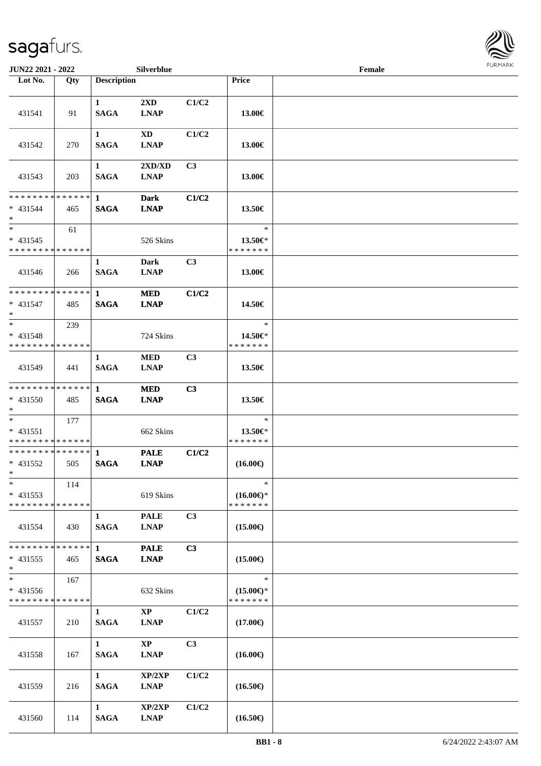

| <b>JUN22 2021 - 2022</b>                                            |     |                             | Silverblue                             |                |                                                | Female |  |
|---------------------------------------------------------------------|-----|-----------------------------|----------------------------------------|----------------|------------------------------------------------|--------|--|
| Lot No.                                                             | Qty | <b>Description</b>          |                                        |                | <b>Price</b>                                   |        |  |
| 431541                                                              | 91  | $\mathbf{1}$<br><b>SAGA</b> | $2\mathbf{X}\mathbf{D}$<br><b>LNAP</b> | C1/C2          | 13.00€                                         |        |  |
| 431542                                                              | 270 | $\mathbf{1}$<br><b>SAGA</b> | <b>XD</b><br><b>LNAP</b>               | C1/C2          | 13.00€                                         |        |  |
| 431543                                                              | 203 | $\mathbf{1}$<br><b>SAGA</b> | 2XD/XD<br><b>LNAP</b>                  | C3             | 13.00€                                         |        |  |
| * * * * * * * * * * * * * *<br>$* 431544$<br>$*$                    | 465 | $\mathbf 1$<br><b>SAGA</b>  | <b>Dark</b><br><b>LNAP</b>             | C1/C2          | 13.50€                                         |        |  |
| $*$<br>$* 431545$<br>* * * * * * * * * * * * * *                    | 61  |                             | 526 Skins                              |                | $\ast$<br>13.50€*<br>* * * * * * *             |        |  |
| 431546                                                              | 266 | $\mathbf{1}$<br><b>SAGA</b> | Dark<br><b>LNAP</b>                    | C <sub>3</sub> | 13.00€                                         |        |  |
| * * * * * * * * * * * * * *<br>$* 431547$<br>$*$                    | 485 | $\mathbf{1}$<br><b>SAGA</b> | <b>MED</b><br><b>LNAP</b>              | C1/C2          | 14.50€                                         |        |  |
| $*$<br>$* 431548$<br>* * * * * * * * * * * * * *                    | 239 |                             | 724 Skins                              |                | $\ast$<br>14.50€*<br>* * * * * * *             |        |  |
| 431549                                                              | 441 | 1<br><b>SAGA</b>            | <b>MED</b><br><b>LNAP</b>              | C <sub>3</sub> | 13.50€                                         |        |  |
| * * * * * * * * * * * * * *<br>$* 431550$<br>$*$                    | 485 | $\mathbf{1}$<br><b>SAGA</b> | <b>MED</b><br><b>LNAP</b>              | C3             | 13.50€                                         |        |  |
| $*$<br>$* 431551$<br>* * * * * * * * * * * * * *                    | 177 |                             | 662 Skins                              |                | $\ast$<br>13.50€*<br>* * * * * * *             |        |  |
| **************<br>$* 431552$<br>$*$                                 | 505 | $\mathbf{1}$<br><b>SAGA</b> | <b>PALE</b><br><b>LNAP</b>             | C1/C2          | $(16.00\epsilon)$                              |        |  |
| $\ast$<br>$* 431553$<br>* * * * * * * * * * * * * *                 | 114 |                             | 619 Skins                              |                | $\ast$<br>$(16.00\epsilon)$ *<br>* * * * * * * |        |  |
| 431554                                                              | 430 | $\mathbf{1}$<br><b>SAGA</b> | <b>PALE</b><br><b>LNAP</b>             | C3             | $(15.00\epsilon)$                              |        |  |
| * * * * * * * * * * * * * *<br>$* 431555$<br>$*$                    | 465 | $\mathbf{1}$<br><b>SAGA</b> | <b>PALE</b><br><b>LNAP</b>             | C3             | $(15.00\epsilon)$                              |        |  |
| $\overline{\phantom{0}}$<br>* 431556<br>* * * * * * * * * * * * * * | 167 |                             | 632 Skins                              |                | $\ast$<br>$(15.00\epsilon)$ *<br>* * * * * * * |        |  |
| 431557                                                              | 210 | $\mathbf{1}$<br><b>SAGA</b> | $\mathbf{X}\mathbf{P}$<br><b>LNAP</b>  | C1/C2          | $(17.00\epsilon)$                              |        |  |
| 431558                                                              | 167 | 1<br><b>SAGA</b>            | $\mathbf{X}\mathbf{P}$<br><b>LNAP</b>  | C <sub>3</sub> | $(16.00\epsilon)$                              |        |  |
| 431559                                                              | 216 | $\mathbf{1}$<br><b>SAGA</b> | XP/2XP<br><b>LNAP</b>                  | C1/C2          | $(16.50\epsilon)$                              |        |  |
| 431560                                                              | 114 | $\mathbf{1}$<br><b>SAGA</b> | XP/2XP<br><b>LNAP</b>                  | C1/C2          | $(16.50\epsilon)$                              |        |  |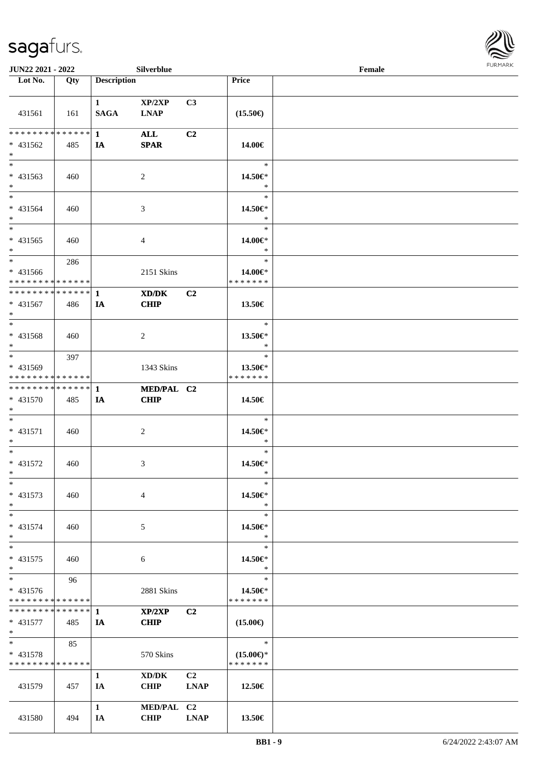

| <b>JUN22 2021 - 2022</b>                           |     |                             | Silverblue                |                   |                                                | Female |  |
|----------------------------------------------------|-----|-----------------------------|---------------------------|-------------------|------------------------------------------------|--------|--|
| Lot No.                                            | Qty | <b>Description</b>          |                           |                   | Price                                          |        |  |
| 431561                                             | 161 | $\mathbf{1}$<br><b>SAGA</b> | XP/2XP<br><b>LNAP</b>     | C3                | $(15.50\epsilon)$                              |        |  |
| * * * * * * * * * * * * * * *<br>* 431562<br>$*$   | 485 | $\mathbf{1}$<br>IA          | <b>ALL</b><br><b>SPAR</b> | C2                | 14.00€                                         |        |  |
| * 431563<br>$*$                                    | 460 |                             | 2                         |                   | $\ast$<br>14.50€*<br>$\ast$                    |        |  |
| $*$<br>* 431564<br>$*$                             | 460 |                             | 3                         |                   | $\ast$<br>14.50€*<br>$\ast$                    |        |  |
| $\overline{\phantom{0}}$<br>$* 431565$<br>$*$      | 460 |                             | 4                         |                   | $\ast$<br>14.00€*<br>$\ast$                    |        |  |
| $*$<br>$* 431566$<br>* * * * * * * * * * * * * *   | 286 |                             | 2151 Skins                |                   | $\ast$<br>14.00€*<br>* * * * * * *             |        |  |
| * * * * * * * * * * * * * * *<br>* 431567<br>$*$   | 486 | 1<br>IA                     | XD/DK<br><b>CHIP</b>      | C2                | 13.50€                                         |        |  |
| $*$<br>* 431568<br>$*$                             | 460 |                             | 2                         |                   | $\ast$<br>13.50€*<br>$\ast$                    |        |  |
| $*$<br>* 431569<br>* * * * * * * * * * * * * *     | 397 |                             | 1343 Skins                |                   | $\ast$<br>13.50€*<br>* * * * * * *             |        |  |
| * * * * * * * * * * * * * * *<br>* 431570<br>$*$   | 485 | 1<br>IA                     | MED/PAL C2<br><b>CHIP</b> |                   | 14.50€                                         |        |  |
| $*$<br>* 431571<br>$*$                             | 460 |                             | $\overline{c}$            |                   | $\ast$<br>14.50€*<br>$\ast$                    |        |  |
| $*$<br>$* 431572$<br>$*$                           | 460 |                             | 3                         |                   | $\ast$<br>14.50€*<br>$\ast$                    |        |  |
| $\ast$<br>* 431573<br>$*$                          | 460 |                             | 4                         |                   | $\ast$<br>14.50€*<br>$\ast$                    |        |  |
| $*$<br>* 431574<br>$*$                             | 460 |                             | 5                         |                   | $\ast$<br>14.50€*<br>$\ast$                    |        |  |
| $*$<br>* 431575<br>$*$                             | 460 |                             | 6                         |                   | $\ast$<br>14.50€*<br>$\ast$                    |        |  |
| $*$<br>* 431576<br>* * * * * * * * * * * * * *     | 96  |                             | 2881 Skins                |                   | $\ast$<br>14.50€*<br>* * * * * * *             |        |  |
| * * * * * * * * * * * * * * *<br>$* 431577$<br>$*$ | 485 | 1<br>IA                     | XP/2XP<br><b>CHIP</b>     | C2                | $(15.00\epsilon)$                              |        |  |
| $*$<br>* 431578<br>* * * * * * * * * * * * * *     | 85  |                             | 570 Skins                 |                   | $\ast$<br>$(15.00\epsilon)$ *<br>* * * * * * * |        |  |
| 431579                                             | 457 | $\mathbf{1}$<br>IA          | XD/DK<br><b>CHIP</b>      | C2<br><b>LNAP</b> | 12.50€                                         |        |  |
| 431580                                             | 494 | $\mathbf{1}$<br>IA          | MED/PAL C2<br><b>CHIP</b> | <b>LNAP</b>       | 13.50€                                         |        |  |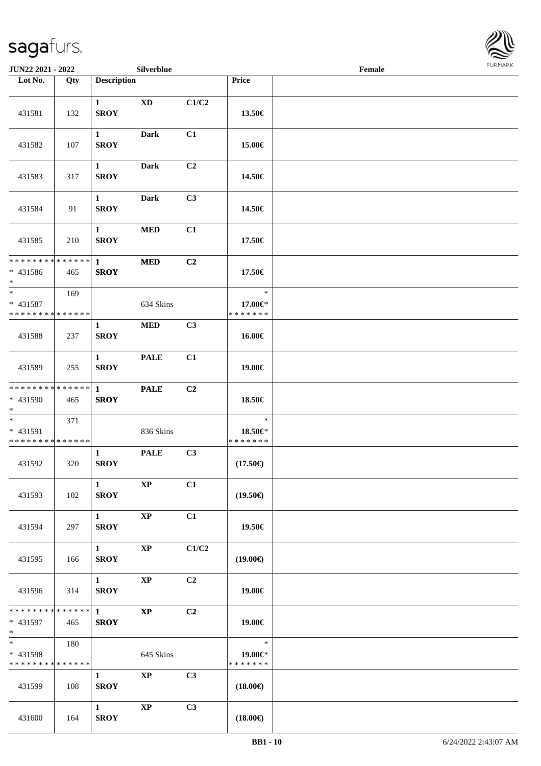

| JUN22 2021 - 2022                                      |     |                                       | Silverblue             |       |                                    | Female |  |
|--------------------------------------------------------|-----|---------------------------------------|------------------------|-------|------------------------------------|--------|--|
| Lot No.                                                | Qty | <b>Description</b>                    |                        |       | Price                              |        |  |
| 431581                                                 | 132 | $\mathbf{1}$<br><b>SROY</b>           | <b>XD</b>              | C1/C2 | 13.50€                             |        |  |
| 431582                                                 | 107 | $\mathbf{1}$<br><b>SROY</b>           | <b>Dark</b>            | C1    | 15.00€                             |        |  |
| 431583                                                 | 317 | $\mathbf{1}$<br><b>SROY</b>           | Dark                   | C2    | 14.50€                             |        |  |
| 431584                                                 | 91  | $\mathbf{1}$<br><b>SROY</b>           | Dark                   | C3    | 14.50€                             |        |  |
| 431585                                                 | 210 | $\mathbf{1}$<br><b>SROY</b>           | $\bf MED$              | C1    | 17.50€                             |        |  |
| * * * * * * * * * * * * * *<br>$* 431586$<br>$*$       | 465 | $\mathbf{1}$<br><b>SROY</b>           | $\bf MED$              | C2    | 17.50€                             |        |  |
| $\ast$<br>* 431587<br>* * * * * * * * * * * * * *      | 169 |                                       | 634 Skins              |       | $\ast$<br>17.00€*<br>* * * * * * * |        |  |
| 431588                                                 | 237 | $\mathbf{1}$<br><b>SROY</b>           | $\bf MED$              | C3    | 16.00€                             |        |  |
| 431589                                                 | 255 | $\mathbf{1}$<br><b>SROY</b>           | <b>PALE</b>            | C1    | 19.00€                             |        |  |
| * * * * * * * * * * * * * *<br>* 431590<br>$*$         | 465 | $\mathbf{1}$<br><b>SROY</b>           | <b>PALE</b>            | C2    | 18.50€                             |        |  |
| $*$<br>* 431591<br>* * * * * * * * * * * * * *         | 371 |                                       | 836 Skins              |       | $\ast$<br>18.50€*<br>* * * * * * * |        |  |
| 431592                                                 | 320 | $\mathbf{1}$<br><b>SROY</b>           | <b>PALE</b>            | C3    | $(17.50\epsilon)$                  |        |  |
| 431593                                                 | 102 | $\mathbf{1}$<br><b>SROY</b>           | $\mathbf{X}\mathbf{P}$ | C1    | $(19.50\epsilon)$                  |        |  |
| 431594                                                 | 297 | $1 \quad \blacksquare$<br><b>SROY</b> | $\mathbf{X}\mathbf{P}$ | C1    | 19.50€                             |        |  |
| 431595                                                 | 166 | $1 \quad \blacksquare$<br><b>SROY</b> | <b>XP</b>              | C1/C2 | $(19.00\epsilon)$                  |        |  |
| 431596                                                 | 314 | $1 \quad \blacksquare$<br><b>SROY</b> | $\bold{XP}$            | C2    | 19.00€                             |        |  |
| * 431597<br>$*$ $*$                                    | 465 | <b>SROY</b>                           | $\mathbf{X}\mathbf{P}$ | C2    | 19.00€                             |        |  |
| $*$ and $*$<br>* 431598<br>* * * * * * * * * * * * * * | 180 |                                       | 645 Skins              |       | $\ast$<br>19.00€*<br>* * * * * * * |        |  |
| 431599                                                 | 108 | $\mathbf{1}$<br><b>SROY</b>           | $\mathbf{X}\mathbf{P}$ | C3    | $(18.00\epsilon)$                  |        |  |
| 431600                                                 | 164 | $\mathbf{1}$<br><b>SROY</b>           | $\mathbf{X}\mathbf{P}$ | C3    | $(18.00\epsilon)$                  |        |  |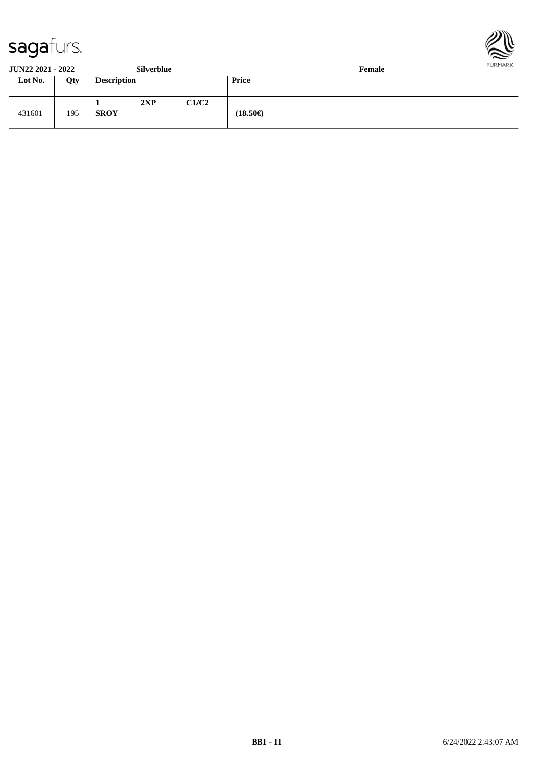



| <b>JUN22 2021 - 2022</b> |     | Silverblue         |     |       |                   | Female | <b>FURMARK</b> |
|--------------------------|-----|--------------------|-----|-------|-------------------|--------|----------------|
| Lot No.                  | Qty | <b>Description</b> |     |       | Price             |        |                |
| 431601                   | 195 | <b>SROY</b>        | 2XP | C1/C2 | $(18.50\epsilon)$ |        |                |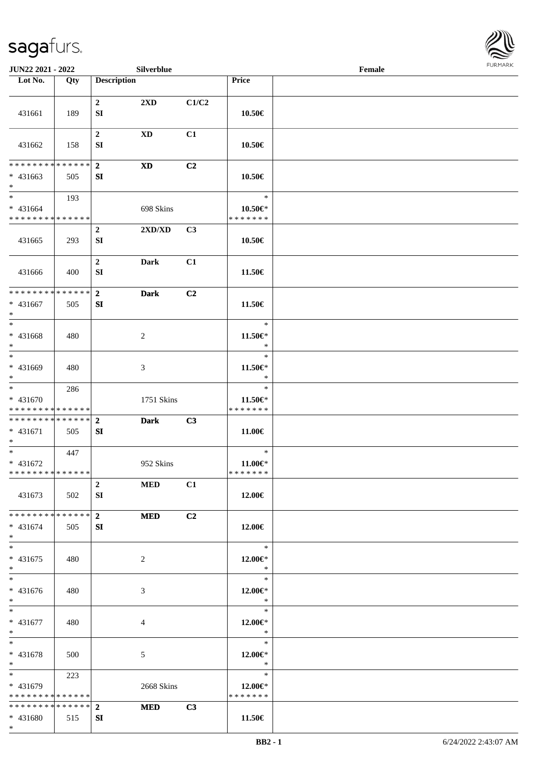\*



| <b>JUN22 2021 - 2022</b>                                        |     |                            | Silverblue                       |                |                                          | Female |  |
|-----------------------------------------------------------------|-----|----------------------------|----------------------------------|----------------|------------------------------------------|--------|--|
| Lot No.                                                         | Qty | <b>Description</b>         |                                  |                | Price                                    |        |  |
| 431661                                                          | 189 | $\mathbf{2}$<br>SI         | 2XD                              | C1/C2          | 10.50€                                   |        |  |
| 431662                                                          | 158 | $\boldsymbol{2}$<br>SI     | $\mathbf{X}\mathbf{D}$           | C1             | 10.50€                                   |        |  |
| * * * * * * * * * * * * * *                                     |     |                            |                                  |                |                                          |        |  |
| $* 431663$<br>$*$                                               | 505 | $\mathbf{2}$<br>${\bf SI}$ | <b>XD</b>                        | C2             | 10.50€                                   |        |  |
| $*$<br>* 431664<br>* * * * * * * * * * * * * *                  | 193 |                            | 698 Skins                        |                | $\ast$<br>$10.50 \in$ *<br>* * * * * * * |        |  |
| 431665                                                          | 293 | $\boldsymbol{2}$<br>SI     | $2{\bf X}{\bf D}/{\bf X}{\bf D}$ | C3             | 10.50€                                   |        |  |
| 431666                                                          | 400 | $\mathbf 2$<br>${\bf SI}$  | <b>Dark</b>                      | C1             | 11.50€                                   |        |  |
| * * * * * * * * * * * * * *<br>* 431667<br>$*$                  | 505 | $\mathbf{2}$<br>${\bf SI}$ | <b>Dark</b>                      | C <sub>2</sub> | 11.50€                                   |        |  |
| $*$<br>* 431668<br>$*$                                          | 480 |                            | 2                                |                | $\ast$<br>11.50€*<br>$\ast$              |        |  |
| $*$<br>* 431669<br>$*$                                          | 480 |                            | 3                                |                | $\ast$<br>11.50€*<br>$\ast$              |        |  |
| $*$<br>* 431670<br>* * * * * * * * * * * * * *                  | 286 |                            | 1751 Skins                       |                | $\ast$<br>11.50€*<br>* * * * * * *       |        |  |
| * * * * * * * * * * * * * * *<br>* 431671<br>$*$                | 505 | $\overline{2}$<br>SI       | <b>Dark</b>                      | C3             | 11.00€                                   |        |  |
| * 431672<br>* * * * * * * * * * * * * *                         | 447 |                            | 952 Skins                        |                | $\ast$<br>$11.00 \in$<br>* * * * * * *   |        |  |
| 431673                                                          | 502 | $\overline{2}$<br>SI       | <b>MED</b>                       | C1             | 12.00€                                   |        |  |
| * * * * * * * * <mark>* * * * * * *</mark><br>$* 431674$<br>$*$ | 505 | $\overline{2}$<br>SI       | <b>MED</b>                       | C <sub>2</sub> | 12.00€                                   |        |  |
| $*$<br>$* 431675$<br>$*$                                        | 480 |                            | 2                                |                | $\ast$<br>$12.00 \in$ *<br>$\ast$        |        |  |
| $*$<br>* 431676<br>$*$                                          | 480 |                            | 3                                |                | $\ast$<br>12.00€*<br>$\ast$              |        |  |
| $*$ $*$<br>* 431677<br>$*$ $*$                                  | 480 |                            | 4                                |                | $\ast$<br>12.00€*<br>$\ast$              |        |  |
| $*$<br>$* 431678$<br>$*$ $-$                                    | 500 |                            | 5                                |                | $\ast$<br>12.00 $\in$ *<br>$\ast$        |        |  |
| $*$ and $*$<br>* 431679<br>* * * * * * * * * * * * * *          | 223 |                            | 2668 Skins                       |                | $\ast$<br>12.00 $\in$ *<br>* * * * * * * |        |  |
| * * * * * * * * * * * * * * *                                   |     | $\overline{2}$             | <b>MED</b>                       | C3             |                                          |        |  |
| * 431680                                                        | 515 | SI                         |                                  |                | 11.50€                                   |        |  |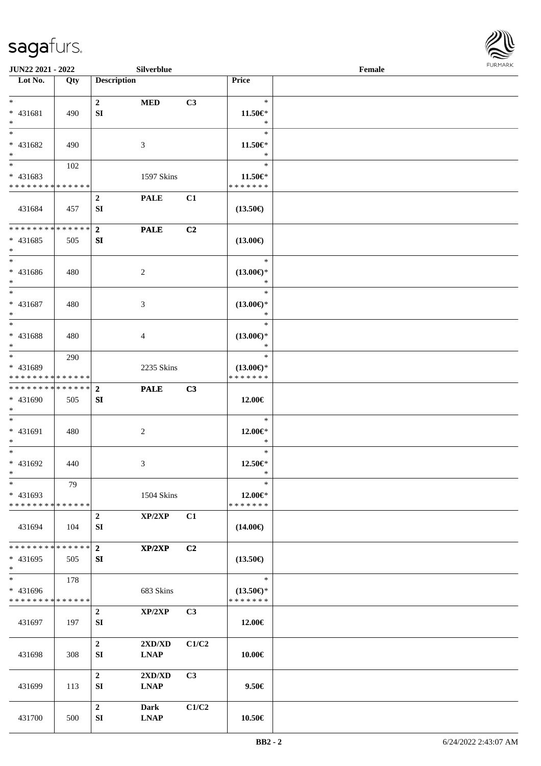

| <b>JUN22 2021 - 2022</b>                            |     |                        | Silverblue                                      |                |                                                | Female |  |
|-----------------------------------------------------|-----|------------------------|-------------------------------------------------|----------------|------------------------------------------------|--------|--|
| Lot No.                                             | Qty | <b>Description</b>     |                                                 |                | Price                                          |        |  |
| $*$<br>* 431681                                     | 490 | $\overline{2}$<br>SI   | <b>MED</b>                                      | C3             | $\ast$<br>11.50€*                              |        |  |
| $*$                                                 |     |                        |                                                 |                | $\ast$<br>$\ast$                               |        |  |
| * 431682<br>$\ast$                                  | 490 |                        | 3                                               |                | $11.50 \in$<br>$\ast$                          |        |  |
| * 431683<br>* * * * * * * * * * * * * *             | 102 |                        | 1597 Skins                                      |                | $\ast$<br>11.50€*                              |        |  |
|                                                     |     |                        |                                                 |                | * * * * * * *                                  |        |  |
| 431684                                              | 457 | $\overline{2}$<br>SI   | <b>PALE</b>                                     | C1             | $(13.50\epsilon)$                              |        |  |
| * * * * * * * * * * * * * * *                       |     | $\overline{2}$         | <b>PALE</b>                                     | C <sub>2</sub> |                                                |        |  |
| $* 431685$<br>$*$                                   | 505 | SI                     |                                                 |                | $(13.00\epsilon)$                              |        |  |
| $*$<br>* 431686<br>$*$                              | 480 |                        | 2                                               |                | $\ast$<br>$(13.00\epsilon)$ *<br>$\ast$        |        |  |
| $*$<br>* 431687<br>$\ast$                           | 480 |                        | 3                                               |                | $\ast$<br>$(13.00\epsilon)$ *<br>$\ast$        |        |  |
| * 431688<br>$*$                                     | 480 |                        | 4                                               |                | $\ast$<br>$(13.00\epsilon)$ *<br>$\ast$        |        |  |
| $*$<br>* 431689<br>* * * * * * * * * * * * * *      | 290 |                        | 2235 Skins                                      |                | $\ast$<br>$(13.00\epsilon)$ *<br>* * * * * * * |        |  |
| * * * * * * * * * * * * * * *                       |     | $\overline{2}$         | <b>PALE</b>                                     | C3             |                                                |        |  |
| * 431690<br>$*$                                     | 505 | SI                     |                                                 |                | 12.00€                                         |        |  |
| $*$<br>* 431691<br>$*$                              | 480 |                        | $\overline{c}$                                  |                | $\ast$<br>12.00€*<br>$\ast$                    |        |  |
| $*$<br>* 431692<br>$*$                              | 440 |                        | 3                                               |                | $\ast$<br>$12.50 \in$ *<br>$\ast$              |        |  |
| $\ast$<br>$* 431693$<br>* * * * * * * * * * * * * * | 79  |                        | 1504 Skins                                      |                | $\ast$<br>12.00€*<br>* * * * * * *             |        |  |
| 431694                                              | 104 | $\overline{2}$<br>SI   | XP/2XP                                          | C1             | $(14.00\epsilon)$                              |        |  |
| * * * * * * * * * * * * * * *<br>$* 431695$<br>$*$  | 505 | $\overline{2}$<br>SI   | XP/2XP                                          | C2             | $(13.50\epsilon)$                              |        |  |
|                                                     | 178 |                        |                                                 |                | $\ast$                                         |        |  |
| * 431696<br>* * * * * * * * * * * * * *             |     |                        | 683 Skins                                       |                | $(13.50\epsilon)$ *<br>* * * * * * *           |        |  |
| 431697                                              | 197 | $\overline{2}$<br>SI   | XP/2XP                                          | C3             | 12.00€                                         |        |  |
| 431698                                              | 308 | $\overline{2}$<br>SI   | 2XD/XD<br><b>LNAP</b>                           | C1/C2          | 10.00€                                         |        |  |
| 431699                                              | 113 | $\overline{2}$<br>SI   | $2{\bf X}{\bf D}/{\bf X}{\bf D}$<br><b>LNAP</b> | C3             | $9.50 \in$                                     |        |  |
| 431700                                              | 500 | $\boldsymbol{2}$<br>SI | Dark<br><b>LNAP</b>                             | C1/C2          | 10.50€                                         |        |  |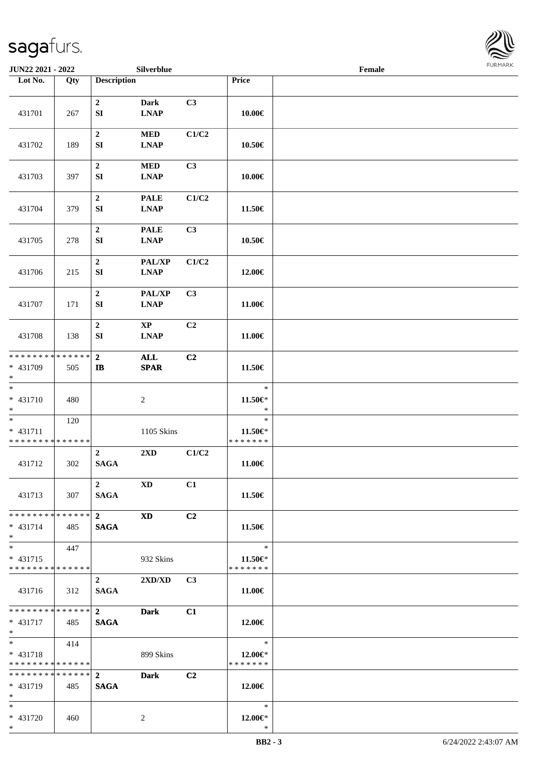

| <b>JUN22 2021 - 2022</b>                                        |       |                                                  | Silverblue                 |                |                                          | Female |  |
|-----------------------------------------------------------------|-------|--------------------------------------------------|----------------------------|----------------|------------------------------------------|--------|--|
| Lot No.                                                         | Qty   | <b>Description</b>                               |                            |                | Price                                    |        |  |
| 431701                                                          | 267   | $\mathbf 2$<br>${\bf SI}$                        | <b>Dark</b><br><b>LNAP</b> | C3             | 10.00€                                   |        |  |
| 431702                                                          | 189   | $\boldsymbol{2}$<br>${\bf SI}$                   | <b>MED</b><br><b>LNAP</b>  | C1/C2          | 10.50€                                   |        |  |
| 431703                                                          | 397   | $\boldsymbol{2}$<br>${\bf S}{\bf I}$             | $\bf MED$<br><b>LNAP</b>   | C3             | 10.00€                                   |        |  |
| 431704                                                          | 379   | $\boldsymbol{2}$<br>${\bf SI}$                   | <b>PALE</b><br><b>LNAP</b> | C1/C2          | 11.50€                                   |        |  |
| 431705                                                          | 278   | $\boldsymbol{2}$<br>SI                           | <b>PALE</b><br><b>LNAP</b> | C3             | 10.50€                                   |        |  |
| 431706                                                          | 215   | $\boldsymbol{2}$<br>${\bf SI}$                   | PAL/XP<br><b>LNAP</b>      | C1/C2          | 12.00€                                   |        |  |
| 431707                                                          | 171   | $\boldsymbol{2}$<br>${\bf SI}$                   | PAL/XP<br><b>LNAP</b>      | C3             | 11.00€                                   |        |  |
| 431708                                                          | 138   | $\mathbf 2$<br>${\bf SI}$                        | $\bold{XP}$<br><b>LNAP</b> | C2             | 11.00€                                   |        |  |
| * * * * * * * * * * * * * *<br>* 431709<br>$\ast$               | 505   | $\boldsymbol{2}$<br>$\mathbf{I}$                 | <b>ALL</b><br><b>SPAR</b>  | C2             | 11.50€                                   |        |  |
| $\overline{\ast}$<br>* 431710<br>$*$                            | 480   |                                                  | $\boldsymbol{2}$           |                | $\ast$<br>$11.50 \text{E}^*$<br>$\ast$   |        |  |
| $*$<br>* 431711<br>* * * * * * * * * * * * * *                  | 120   |                                                  | 1105 Skins                 |                | $\ast$<br>11.50€*<br>* * * * * * *       |        |  |
| 431712                                                          | 302   | $\boldsymbol{2}$<br><b>SAGA</b>                  | 2XD                        | C1/C2          | 11.00€                                   |        |  |
| 431713                                                          | 307   | $2^{\circ}$<br><b>SAGA</b>                       | XD                         | C1             | 11.50€                                   |        |  |
| * * * * * * * * <mark>* * * * * * *</mark><br>$* 431714$<br>$*$ | 485   | $2^{\circ}$<br><b>SAGA</b>                       | <b>XD</b>                  | C2             | 11.50€                                   |        |  |
| $*$<br>* 431715<br>* * * * * * * * * * * * * * *                | 447   |                                                  | 932 Skins                  |                | $\ast$<br>$11.50 \in$ *<br>* * * * * * * |        |  |
| 431716                                                          | 312   | $\overline{\mathbf{2}}$<br><b>SAGA</b>           | 2XD/XD                     | C <sub>3</sub> | 11.00€                                   |        |  |
| * * * * * * * * <mark>* * * * * * *</mark><br>$* 431717$<br>$*$ | 485   | $\overline{\mathbf{2}}$<br><b>SAGA</b>           | <b>Dark</b>                | C1             | 12.00€                                   |        |  |
| $*$ $*$<br>$* 431718$<br>* * * * * * * * * * * * * * *          | 414   |                                                  | 899 Skins                  |                | $\ast$<br>12.00€*<br>* * * * * * *       |        |  |
| * * * * * * * * * * * * * * *<br>* 431719<br>$*$                | - 485 | $\overline{2}$ and $\overline{2}$<br><b>SAGA</b> | <b>Dark</b>                | C2             | 12.00€                                   |        |  |
| $*$<br>* 431720<br>$*$                                          | 460   |                                                  | 2                          |                | $\ast$<br>12.00€*<br>$\ast$              |        |  |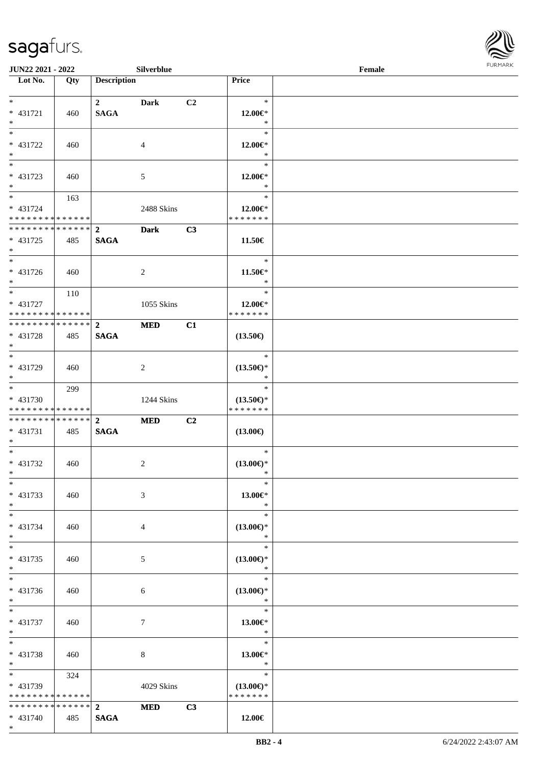\*



| <b>JUN22 2021 - 2022</b>                   |     |                         | Silverblue     |                |                          | Female |  |
|--------------------------------------------|-----|-------------------------|----------------|----------------|--------------------------|--------|--|
| Lot No.                                    | Qty | <b>Description</b>      |                |                | Price                    |        |  |
|                                            |     |                         |                |                |                          |        |  |
| $*$                                        |     | $\overline{\mathbf{2}}$ | Dark           | C <sub>2</sub> | $\ast$                   |        |  |
| * 431721<br>$*$                            | 460 | <b>SAGA</b>             |                |                | 12.00€*<br>$\ast$        |        |  |
| $\overline{\phantom{0}}$                   |     |                         |                |                | $\ast$                   |        |  |
|                                            |     |                         |                |                |                          |        |  |
| * 431722<br>$*$                            | 460 |                         | 4              |                | 12.00€*<br>$\ast$        |        |  |
| $\overline{\ast}$                          |     |                         |                |                | $\ast$                   |        |  |
|                                            |     |                         |                |                |                          |        |  |
| * 431723<br>$*$                            | 460 |                         | 5              |                | 12.00€*<br>$\ast$        |        |  |
| $*$                                        |     |                         |                |                | $\ast$                   |        |  |
|                                            | 163 |                         |                |                |                          |        |  |
| * 431724<br>* * * * * * * * * * * * * *    |     |                         | 2488 Skins     |                | 12.00€*<br>* * * * * * * |        |  |
| * * * * * * * * * * * * * * <mark>*</mark> |     | $\overline{2}$          |                |                |                          |        |  |
|                                            |     |                         | <b>Dark</b>    | C3             |                          |        |  |
| * 431725<br>$*$                            | 485 | <b>SAGA</b>             |                |                | 11.50€                   |        |  |
| $\overline{\ast}$                          |     |                         |                |                | $\ast$                   |        |  |
| $* 431726$                                 |     |                         |                |                |                          |        |  |
| $*$                                        | 460 |                         | $\overline{2}$ |                | 11.50€*<br>$\ast$        |        |  |
|                                            |     |                         |                |                | $\ast$                   |        |  |
| * 431727                                   | 110 |                         | 1055 Skins     |                |                          |        |  |
| * * * * * * * * <mark>* * * * * * *</mark> |     |                         |                |                | 12.00€*<br>* * * * * * * |        |  |
| ************** 2                           |     |                         | <b>MED</b>     | C1             |                          |        |  |
| * 431728                                   |     |                         |                |                | $(13.50\epsilon)$        |        |  |
| $*$                                        | 485 | <b>SAGA</b>             |                |                |                          |        |  |
| $\overline{\ast}$                          |     |                         |                |                | $\ast$                   |        |  |
| * 431729                                   | 460 |                         | $\overline{2}$ |                | $(13.50\epsilon)$ *      |        |  |
| $*$                                        |     |                         |                |                | $\ast$                   |        |  |
| $*$                                        | 299 |                         |                |                | $\ast$                   |        |  |
| * 431730                                   |     |                         | 1244 Skins     |                | $(13.50\epsilon)$ *      |        |  |
| * * * * * * * * * * * * * *                |     |                         |                |                | * * * * * * *            |        |  |
|                                            |     |                         | <b>MED</b>     | C2             |                          |        |  |
| $* 431731$                                 | 485 | <b>SAGA</b>             |                |                | $(13.00\epsilon)$        |        |  |
| $*$                                        |     |                         |                |                |                          |        |  |
| $*$                                        |     |                         |                |                | $\ast$                   |        |  |
| * 431732                                   | 460 |                         | 2              |                | $(13.00\epsilon)$ *      |        |  |
| $*$ $*$                                    |     |                         |                |                | *                        |        |  |
| $*$                                        |     |                         |                |                | $\ast$                   |        |  |
| * 431733                                   | 460 |                         | 3              |                | 13.00€*                  |        |  |
| $*$                                        |     |                         |                |                | $\ast$                   |        |  |
| $*$                                        |     |                         |                |                | $\ast$                   |        |  |
| * 431734                                   | 460 |                         | 4              |                | $(13.00\epsilon)$ *      |        |  |
| $*$                                        |     |                         |                |                | $\ast$                   |        |  |
| $*$                                        |     |                         |                |                | $\ast$                   |        |  |
| * 431735                                   | 460 |                         | 5              |                | $(13.00\epsilon)$ *      |        |  |
| $*$                                        |     |                         |                |                | $\ast$                   |        |  |
| $*$                                        |     |                         |                |                | $\ast$                   |        |  |
| * 431736                                   | 460 |                         | 6              |                | $(13.00\epsilon)$ *      |        |  |
| $*$                                        |     |                         |                |                | $\ast$                   |        |  |
| $*$ $-$                                    |     |                         |                |                | $\ast$                   |        |  |
| * 431737                                   | 460 |                         | $\tau$         |                | 13.00€*                  |        |  |
| $*$                                        |     |                         |                |                | $\ast$                   |        |  |
| $*$                                        |     |                         |                |                | $\ast$                   |        |  |
| * 431738                                   | 460 |                         | 8              |                | 13.00€*                  |        |  |
| $*$                                        |     |                         |                |                | $\ast$                   |        |  |
| $*$ and $*$                                | 324 |                         |                |                | $\ast$                   |        |  |
| * 431739                                   |     |                         | 4029 Skins     |                | $(13.00€)$ *             |        |  |
| * * * * * * * * <mark>* * * * * *</mark>   |     |                         |                |                | * * * * * * *            |        |  |
| * * * * * * * * * * * * * * *              |     | $\mathbf{2}$            | <b>MED</b>     | C3             |                          |        |  |
| * 431740                                   | 485 | <b>SAGA</b>             |                |                | 12.00€                   |        |  |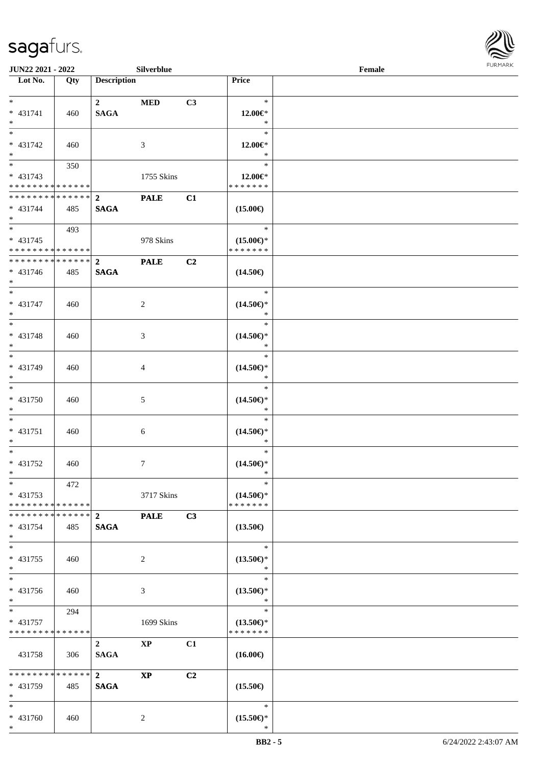

| <b>JUN22 2021 - 2022</b>                  |     |                    | Silverblue             |    |                               | Female |  |
|-------------------------------------------|-----|--------------------|------------------------|----|-------------------------------|--------|--|
| Lot No.                                   | Qty | <b>Description</b> |                        |    | Price                         |        |  |
|                                           |     |                    |                        |    |                               |        |  |
| $*$                                       |     | $\overline{2}$     | <b>MED</b>             | C3 | $\ast$                        |        |  |
| * 431741                                  | 460 | <b>SAGA</b>        |                        |    | $12.00 \in$ *                 |        |  |
| $*$                                       |     |                    |                        |    | $\ast$<br>$\ast$              |        |  |
|                                           |     |                    |                        |    |                               |        |  |
| * 431742<br>$\ast$                        | 460 |                    | 3                      |    | 12.00€*<br>$\ast$             |        |  |
| $\overline{\ast}$                         |     |                    |                        |    | $\ast$                        |        |  |
|                                           | 350 |                    |                        |    |                               |        |  |
| $* 431743$<br>* * * * * * * * * * * * * * |     |                    | 1755 Skins             |    | 12.00€*<br>* * * * * * *      |        |  |
| ******** <mark>******</mark>              |     | $\overline{2}$     |                        |    |                               |        |  |
| $* 431744$                                | 485 | <b>SAGA</b>        | <b>PALE</b>            | C1 | $(15.00\epsilon)$             |        |  |
| $*$                                       |     |                    |                        |    |                               |        |  |
|                                           | 493 |                    |                        |    | $\ast$                        |        |  |
| $* 431745$                                |     |                    | 978 Skins              |    | $(15.00\epsilon)$ *           |        |  |
| * * * * * * * * * * * * * * *             |     |                    |                        |    | * * * * * * *                 |        |  |
| * * * * * * * * * * * * * * *             |     | $\mathbf{2}$       | <b>PALE</b>            | C2 |                               |        |  |
| $* 431746$                                | 485 | <b>SAGA</b>        |                        |    | $(14.50\epsilon)$             |        |  |
| $*$                                       |     |                    |                        |    |                               |        |  |
| $\overline{\phantom{0}}$                  |     |                    |                        |    | $\ast$                        |        |  |
| * 431747                                  | 460 |                    | 2                      |    | $(14.50\epsilon)$ *           |        |  |
| $\ast$                                    |     |                    |                        |    | $\ast$                        |        |  |
|                                           |     |                    |                        |    | $\ast$                        |        |  |
| * 431748                                  | 460 |                    | 3                      |    | $(14.50\epsilon)$ *           |        |  |
| $*$                                       |     |                    |                        |    | $\ast$                        |        |  |
|                                           |     |                    |                        |    | $\ast$                        |        |  |
| * 431749                                  | 460 |                    | 4                      |    | $(14.50\epsilon)$ *           |        |  |
| $*$                                       |     |                    |                        |    | $\ast$                        |        |  |
| $*$                                       |     |                    |                        |    | $\ast$                        |        |  |
| * 431750                                  | 460 |                    | 5                      |    | $(14.50\epsilon)$ *           |        |  |
| $*$                                       |     |                    |                        |    | $\ast$                        |        |  |
| $*$                                       |     |                    |                        |    | $\ast$                        |        |  |
| * 431751                                  | 460 |                    | 6                      |    | $(14.50\epsilon)$ *           |        |  |
| $*$                                       |     |                    |                        |    | $\ast$                        |        |  |
| $*$                                       |     |                    |                        |    | $\ast$                        |        |  |
| * 431752                                  | 460 |                    | $\tau$                 |    | $(14.50\epsilon)$ *           |        |  |
| $*$ $-$                                   |     |                    |                        |    | $\ast$                        |        |  |
| $*$                                       | 472 |                    |                        |    | $\ast$                        |        |  |
| $* 431753$                                |     |                    | 3717 Skins             |    | $(14.50\epsilon)$ *           |        |  |
| * * * * * * * * * * * * * * *             |     |                    |                        |    | * * * * * * *                 |        |  |
|                                           |     |                    | <b>PALE</b>            | C3 |                               |        |  |
| $* 431754$                                | 485 | <b>SAGA</b>        |                        |    | $(13.50\epsilon)$             |        |  |
| $*$                                       |     |                    |                        |    |                               |        |  |
| $*$                                       |     |                    |                        |    | $\ast$                        |        |  |
| * 431755                                  | 460 |                    | 2                      |    | $(13.50\epsilon)$ *           |        |  |
| $*$                                       |     |                    |                        |    | $\ast$                        |        |  |
| $*$                                       |     |                    |                        |    | $\ast$                        |        |  |
| * 431756                                  | 460 |                    | 3                      |    | $(13.50\epsilon)$ *           |        |  |
| $*$                                       |     |                    |                        |    | $\ast$                        |        |  |
| $*$ $*$                                   | 294 |                    |                        |    | $\ast$                        |        |  |
| * 431757                                  |     |                    | 1699 Skins             |    | $(13.50\epsilon)$ *           |        |  |
| * * * * * * * * * * * * * * *             |     |                    |                        |    | * * * * * * *                 |        |  |
|                                           |     | $\overline{2}$     | $\mathbf{X}\mathbf{P}$ | C1 |                               |        |  |
| 431758                                    | 306 | <b>SAGA</b>        |                        |    | $(16.00\epsilon)$             |        |  |
| * * * * * * * * * * * * * * *             |     |                    |                        |    |                               |        |  |
|                                           |     | $2^{\circ}$        | <b>XP</b>              | C2 |                               |        |  |
| * 431759<br>$*$                           | 485 | <b>SAGA</b>        |                        |    | $(15.50\epsilon)$             |        |  |
| $*$                                       |     |                    |                        |    | $\ast$                        |        |  |
|                                           |     |                    |                        |    |                               |        |  |
| * 431760<br>$*$                           | 460 |                    | 2                      |    | $(15.50\epsilon)$ *<br>$\ast$ |        |  |
|                                           |     |                    |                        |    |                               |        |  |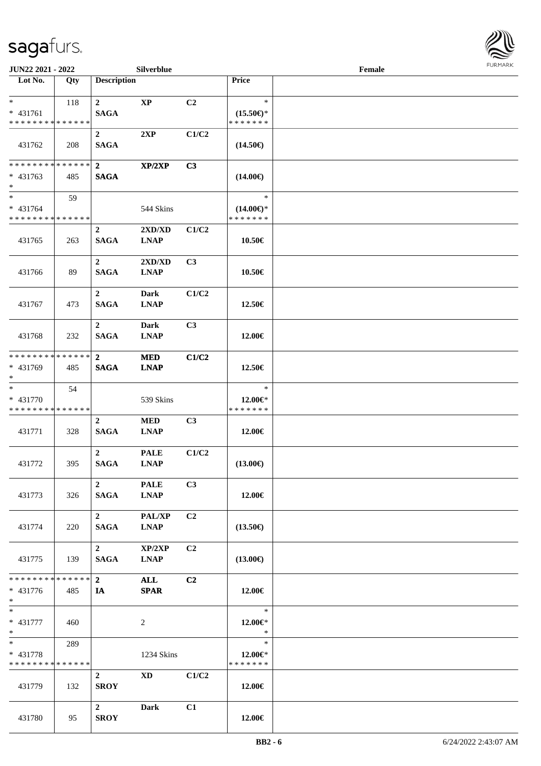

| JUN22 2021 - 2022                                      |     |                                 | Silverblue                                      |                |                                                | Female |  |
|--------------------------------------------------------|-----|---------------------------------|-------------------------------------------------|----------------|------------------------------------------------|--------|--|
| Lot No.                                                | Qty | <b>Description</b>              |                                                 |                | Price                                          |        |  |
| $*$<br>$* 431761$<br>* * * * * * * * * * * * * *       | 118 | $\mathbf{2}$<br><b>SAGA</b>     | $\bold{XP}$                                     | C <sub>2</sub> | $\ast$<br>$(15.50\epsilon)$ *<br>* * * * * * * |        |  |
| 431762                                                 | 208 | $\mathbf{2}$<br><b>SAGA</b>     | 2XP                                             | C1/C2          | $(14.50\epsilon)$                              |        |  |
| * * * * * * * * * * * * * *<br>$* 431763$<br>$*$       | 485 | $\overline{2}$<br><b>SAGA</b>   | XP/2XP                                          | C3             | $(14.00\epsilon)$                              |        |  |
| $*$<br>* 431764<br>* * * * * * * * * * * * * *         | 59  |                                 | 544 Skins                                       |                | $\ast$<br>$(14.00\epsilon)$ *<br>* * * * * * * |        |  |
| 431765                                                 | 263 | $\mathbf 2$<br><b>SAGA</b>      | $2{\bf X}{\bf D}/{\bf X}{\bf D}$<br><b>LNAP</b> | C1/C2          | 10.50€                                         |        |  |
| 431766                                                 | 89  | $\mathbf{2}$<br><b>SAGA</b>     | 2XD/XD<br><b>LNAP</b>                           | C3             | 10.50€                                         |        |  |
| 431767                                                 | 473 | $\overline{2}$<br><b>SAGA</b>   | Dark<br><b>LNAP</b>                             | C1/C2          | 12.50€                                         |        |  |
| 431768                                                 | 232 | $\overline{2}$<br><b>SAGA</b>   | Dark<br><b>LNAP</b>                             | C3             | 12.00€                                         |        |  |
| * * * * * * * * * * * * * *<br>* 431769<br>$*$         | 485 | $\mathbf{2}$<br><b>SAGA</b>     | <b>MED</b><br><b>LNAP</b>                       | C1/C2          | 12.50€                                         |        |  |
| $*$<br>* 431770<br>* * * * * * * * * * * * * *         | 54  |                                 | 539 Skins                                       |                | $\ast$<br>$12.00 \in$ *<br>* * * * * * *       |        |  |
| 431771                                                 | 328 | $\boldsymbol{2}$<br><b>SAGA</b> | $\bf MED$<br><b>LNAP</b>                        | C <sub>3</sub> | 12.00€                                         |        |  |
| 431772                                                 | 395 | $\overline{2}$<br><b>SAGA</b>   | <b>PALE</b><br><b>LNAP</b>                      | C1/C2          | $(13.00\epsilon)$                              |        |  |
| 431773                                                 | 326 | $\overline{2}$<br>SAGA          | <b>PALE</b><br><b>LNAP</b>                      | C3             | 12.00€                                         |        |  |
| 431774                                                 | 220 | $\overline{2}$<br><b>SAGA</b>   | <b>PAL/XP</b><br><b>LNAP</b>                    | C <sub>2</sub> | $(13.50\epsilon)$                              |        |  |
| 431775                                                 | 139 | $\overline{2}$<br><b>SAGA</b>   | XP/2XP<br><b>LNAP</b>                           | C <sub>2</sub> | $(13.00\epsilon)$                              |        |  |
| * * * * * * * * * * * * * * *<br>$* 431776$<br>$*$ $*$ | 485 | $2^{\circ}$<br>IA               | ALL<br><b>SPAR</b>                              | C2             | 12.00€                                         |        |  |
| $*$<br>$* 431777$<br>$*$                               | 460 |                                 | 2                                               |                | $\ast$<br>12.00€*<br>$\ast$                    |        |  |
| $*$ $*$<br>* 431778<br>* * * * * * * * * * * * * *     | 289 |                                 | 1234 Skins                                      |                | $\ast$<br>12.00€*<br>* * * * * * *             |        |  |
| 431779                                                 | 132 | $\overline{2}$<br><b>SROY</b>   | <b>XD</b>                                       | C1/C2          | 12.00€                                         |        |  |
| 431780                                                 | 95  | $\overline{2}$<br><b>SROY</b>   | Dark                                            | C1             | 12.00€                                         |        |  |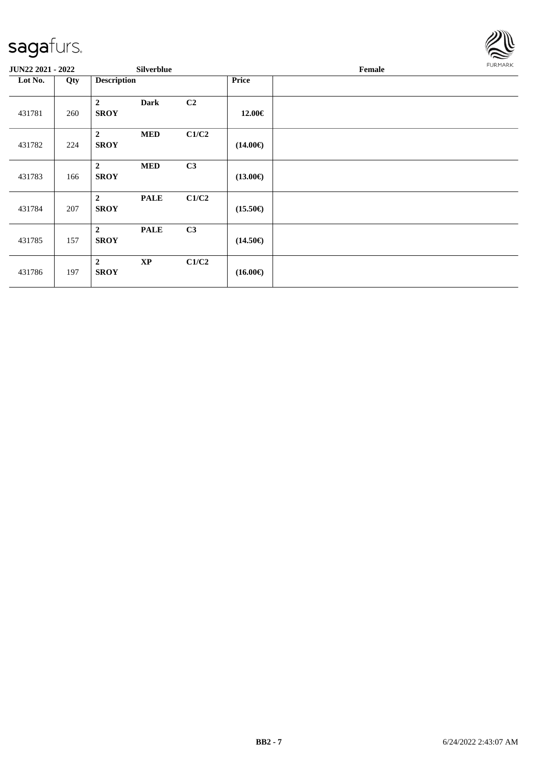

| <b>JUN22 2021 - 2022</b> |     |                               | Silverblue    |                |                   | Female |  |  |
|--------------------------|-----|-------------------------------|---------------|----------------|-------------------|--------|--|--|
| Lot No.                  | Qty | <b>Description</b>            |               |                | <b>Price</b>      |        |  |  |
| 431781                   | 260 | $\overline{2}$<br><b>SROY</b> | <b>Dark</b>   | C <sub>2</sub> | 12.00€            |        |  |  |
| 431782                   | 224 | $\overline{2}$<br><b>SROY</b> | <b>MED</b>    | C1/C2          | $(14.00\epsilon)$ |        |  |  |
| 431783                   | 166 | $\overline{2}$<br><b>SROY</b> | <b>MED</b>    | C3             | $(13.00\epsilon)$ |        |  |  |
| 431784                   | 207 | $\overline{2}$<br><b>SROY</b> | <b>PALE</b>   | C1/C2          | $(15.50\epsilon)$ |        |  |  |
| 431785                   | 157 | $\overline{2}$<br><b>SROY</b> | <b>PALE</b>   | C3             | $(14.50\epsilon)$ |        |  |  |
| 431786                   | 197 | $\overline{2}$<br><b>SROY</b> | $\mathbf{XP}$ | C1/C2          | $(16.00\epsilon)$ |        |  |  |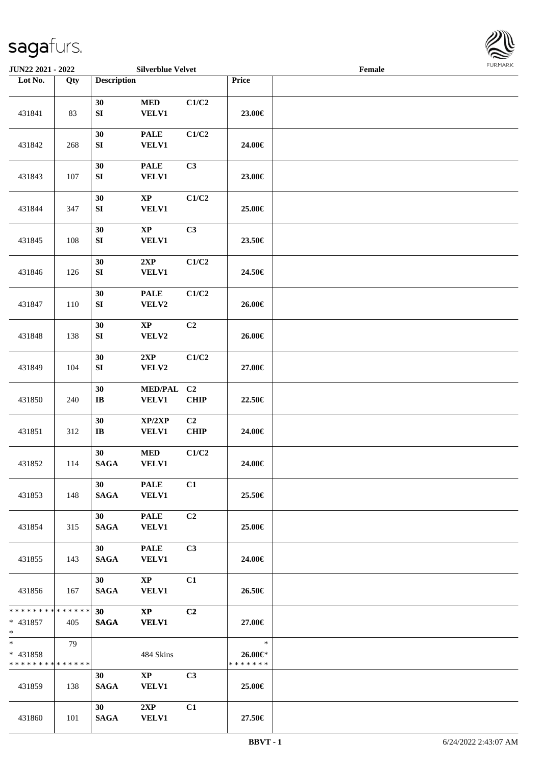

| <b>JUN22 2021 - 2022</b>                                            |     |                                | <b>Silverblue Velvet</b>               |                   |                                    | Female |  |
|---------------------------------------------------------------------|-----|--------------------------------|----------------------------------------|-------------------|------------------------------------|--------|--|
| Lot No.                                                             | Qty | <b>Description</b>             |                                        |                   | <b>Price</b>                       |        |  |
| 431841                                                              | 83  | 30<br>${\bf S}{\bf I}$         | $\bf MED$<br><b>VELV1</b>              | C1/C2             | 23.00€                             |        |  |
| 431842                                                              | 268 | 30<br>${\bf S}{\bf I}$         | <b>PALE</b><br><b>VELV1</b>            | C1/C2             | 24.00€                             |        |  |
| 431843                                                              | 107 | 30<br>${\bf S}{\bf I}$         | <b>PALE</b><br><b>VELV1</b>            | C3                | 23.00€                             |        |  |
| 431844                                                              | 347 | 30<br>${\bf S}{\bf I}$         | $\bold{XP}$<br><b>VELV1</b>            | C1/C2             | 25.00€                             |        |  |
| 431845                                                              | 108 | 30<br>${\bf S}{\bf I}$         | $\bold{XP}$<br><b>VELV1</b>            | C3                | 23.50€                             |        |  |
| 431846                                                              | 126 | 30<br>${\bf S}{\bf I}$         | 2XP<br><b>VELV1</b>                    | C1/C2             | 24.50€                             |        |  |
| 431847                                                              | 110 | 30<br>${\bf S}{\bf I}$         | <b>PALE</b><br>VELV2                   | C1/C2             | 26.00€                             |        |  |
| 431848                                                              | 138 | 30<br>${\bf S}{\bf I}$         | $\mathbf{XP}$<br>VELV2                 | C2                | 26.00€                             |        |  |
| 431849                                                              | 104 | 30<br>${\bf S}{\bf I}$         | 2XP<br>VELV2                           | C1/C2             | 27.00€                             |        |  |
| 431850                                                              | 240 | 30<br>$\bf IB$                 | MED/PAL C2<br><b>VELV1</b>             | CHIP              | 22.50€                             |        |  |
| 431851                                                              | 312 | 30<br>$\bf IB$                 | XP/2XP<br><b>VELV1</b>                 | C2<br><b>CHIP</b> | 24.00€                             |        |  |
| 431852                                                              | 114 | 30<br><b>SAGA</b>              | $\bf MED$<br><b>VELV1</b>              | C1/C2             | 24.00€                             |        |  |
| 431853                                                              | 148 | 30<br><b>SAGA</b>              | <b>PALE</b><br><b>VELV1</b>            | C1                | 25.50€                             |        |  |
| 431854                                                              | 315 | 30<br>SAGA                     | <b>PALE</b><br><b>VELV1</b>            | C <sub>2</sub>    | 25.00€                             |        |  |
| 431855                                                              | 143 | 30 <sup>1</sup><br><b>SAGA</b> | <b>PALE</b><br><b>VELV1</b>            | C3                | 24.00€                             |        |  |
| 431856                                                              | 167 | 30<br><b>SAGA</b>              | $\mathbf{XP}$<br><b>VELV1</b>          | C1                | 26.50€                             |        |  |
| * * * * * * * * <mark>* * * * * * *</mark><br>$* 431857$<br>$*$ $-$ | 405 | 30<br><b>SAGA</b>              | $\mathbf{X}\mathbf{P}$<br><b>VELV1</b> | C2                | 27.00€                             |        |  |
| $*$ $*$<br>* 431858<br>* * * * * * * * * * * * * *                  | 79  |                                | 484 Skins                              |                   | $\ast$<br>26.00€*<br>* * * * * * * |        |  |
| 431859                                                              | 138 | 30<br><b>SAGA</b>              | $\mathbf{XP}$<br><b>VELV1</b>          | C <sub>3</sub>    | 25.00€                             |        |  |
| 431860                                                              | 101 | 30<br><b>SAGA</b>              | 2XP<br><b>VELV1</b>                    | C1                | 27.50€                             |        |  |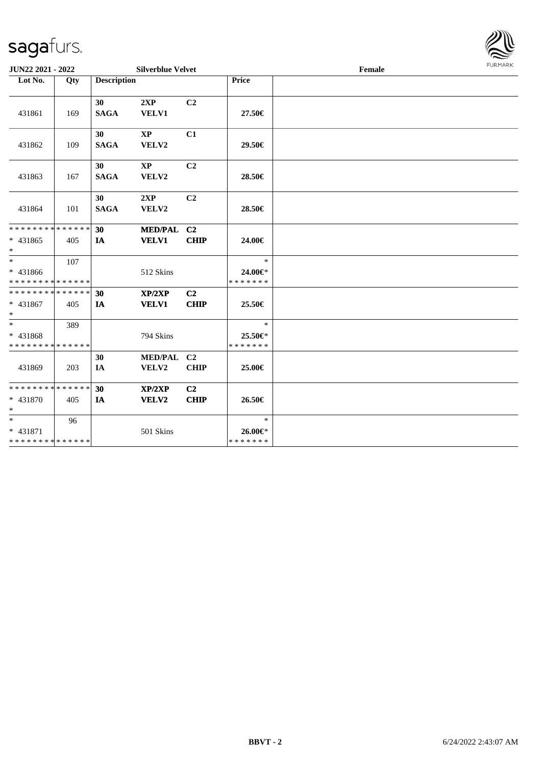

| <b>JUN22 2021 - 2022</b>                                        |     |                    | <b>Silverblue Velvet</b>        |                               |                                    | Female | FURMARK |
|-----------------------------------------------------------------|-----|--------------------|---------------------------------|-------------------------------|------------------------------------|--------|---------|
| Lot No.                                                         | Qty | <b>Description</b> |                                 |                               | Price                              |        |         |
| 431861                                                          | 169 | 30<br><b>SAGA</b>  | 2XP<br><b>VELV1</b>             | C <sub>2</sub>                | 27.50€                             |        |         |
| 431862                                                          | 109 | 30<br><b>SAGA</b>  | $\mathbf{X}\mathbf{P}$<br>VELV2 | C1                            | 29.50€                             |        |         |
| 431863                                                          | 167 | 30<br><b>SAGA</b>  | $\mathbf{XP}$<br>VELV2          | C2                            | 28.50€                             |        |         |
| 431864                                                          | 101 | 30<br><b>SAGA</b>  | 2XP<br>VELV2                    | C <sub>2</sub>                | 28.50€                             |        |         |
| * * * * * * * * * * * * * * *<br>* 431865<br>$\ast$             | 405 | 30<br>IA           | MED/PAL C2<br><b>VELV1</b>      | <b>CHIP</b>                   | 24.00€                             |        |         |
| $*$ $-$<br>* 431866<br>* * * * * * * * <mark>* * * * * *</mark> | 107 |                    | 512 Skins                       |                               | $\ast$<br>24.00€*<br>* * * * * * * |        |         |
| * * * * * * * * * * * * * * *<br>* 431867<br>$\ast$             | 405 | 30<br>IA           | XP/2XP<br><b>VELV1</b>          | C2<br><b>CHIP</b>             | 25.50€                             |        |         |
| $\ast$<br>* 431868<br>* * * * * * * * * * * * * *               | 389 |                    | 794 Skins                       |                               | $\ast$<br>25.50€*<br>* * * * * * * |        |         |
| 431869                                                          | 203 | 30<br>IA           | MED/PAL C2<br>VELV2             | <b>CHIP</b>                   | 25.00€                             |        |         |
| * * * * * * * * <mark>* * * * * *</mark><br>$* 431870$<br>$*$   | 405 | 30<br>IA           | XP/2XP<br>VELV2                 | C <sub>2</sub><br><b>CHIP</b> | 26.50€                             |        |         |
| $*$<br>* 431871<br>* * * * * * * * <mark>* * * * * *</mark>     | 96  |                    | 501 Skins                       |                               | $\ast$<br>26.00€*<br>* * * * * * * |        |         |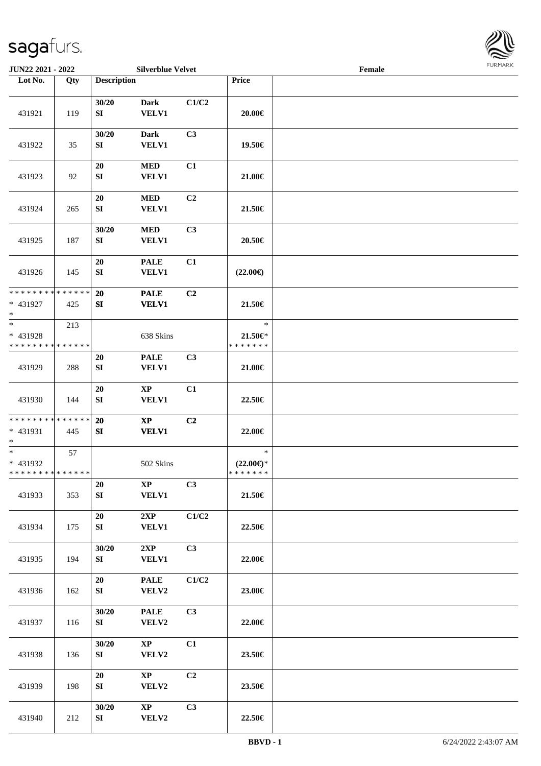

| JUN22 2021 - 2022                                 |     |                        | <b>Silverblue Velvet</b>                   |       |                                          | Female | 1.91111111 |
|---------------------------------------------------|-----|------------------------|--------------------------------------------|-------|------------------------------------------|--------|------------|
| Lot No.                                           | Qty | <b>Description</b>     |                                            |       | Price                                    |        |            |
| 431921                                            | 119 | 30/20<br>SI            | <b>Dark</b><br><b>VELV1</b>                | C1/C2 | $20.00 \in$                              |        |            |
| 431922                                            | 35  | 30/20<br>SI            | <b>Dark</b><br><b>VELV1</b>                | C3    | 19.50€                                   |        |            |
| 431923                                            | 92  | 20<br>SI               | <b>MED</b><br><b>VELV1</b>                 | C1    | 21.00€                                   |        |            |
| 431924                                            | 265 | $20\,$<br>SI           | <b>MED</b><br><b>VELV1</b>                 | C2    | 21.50€                                   |        |            |
| 431925                                            | 187 | 30/20<br>${\bf SI}$    | <b>MED</b><br><b>VELV1</b>                 | C3    | 20.50€                                   |        |            |
| 431926                                            | 145 | 20<br>SI               | <b>PALE</b><br>VELV1                       | C1    | $(22.00\epsilon)$                        |        |            |
| * * * * * * * * * * * * * *<br>* 431927<br>$*$    | 425 | 20<br>SI               | <b>PALE</b><br><b>VELV1</b>                | C2    | 21.50€                                   |        |            |
| $\ast$<br>* 431928<br>* * * * * * * * * * * * * * | 213 |                        | 638 Skins                                  |       | $\ast$<br>21.50€*<br>* * * * * * *       |        |            |
| 431929                                            | 288 | 20<br>SI               | <b>PALE</b><br><b>VELV1</b>                | C3    | 21.00€                                   |        |            |
| 431930                                            | 144 | $20\,$<br>SI           | $\mathbf{X}\mathbf{P}$<br><b>VELV1</b>     | C1    | 22.50€                                   |        |            |
| * * * * * * * * * * * * * *<br>* 431931<br>$*$    | 445 | 20<br>SI               | $\boldsymbol{\mathrm{XP}}$<br><b>VELV1</b> | C2    | 22.00€                                   |        |            |
| $*$<br>* 431932<br>* * * * * * * * * * * * * * *  | 57  |                        | 502 Skins                                  |       | $\ast$<br>$(22.00\epsilon)$ *<br>******* |        |            |
| 431933                                            | 353 | 20<br>${\bf S}{\bf I}$ | $\mathbf{XP}$<br><b>VELV1</b>              | C3    | 21.50€                                   |        |            |
| 431934                                            | 175 | 20<br>SI               | 2XP<br><b>VELV1</b>                        | C1/C2 | 22.50€                                   |        |            |
| 431935                                            | 194 | 30/20<br>SI            | 2XP<br><b>VELV1</b>                        | C3    | 22.00€                                   |        |            |
| 431936                                            | 162 | 20<br>SI               | <b>PALE</b><br>VELV2                       | C1/C2 | 23.00€                                   |        |            |
| 431937                                            | 116 | 30/20<br>SI            | <b>PALE</b><br>VELV2                       | C3    | 22.00€                                   |        |            |
| 431938                                            | 136 | 30/20<br>SI            | $\mathbf{X}\mathbf{P}$<br>VELV2            | C1    | 23.50€                                   |        |            |
| 431939                                            | 198 | 20<br>SI               | $\mathbf{X}\mathbf{P}$<br>VELV2            | C2    | 23.50€                                   |        |            |
| 431940                                            | 212 | 30/20<br>SI            | $\mathbf{X}\mathbf{P}$<br>VELV2            | C3    | 22.50€                                   |        |            |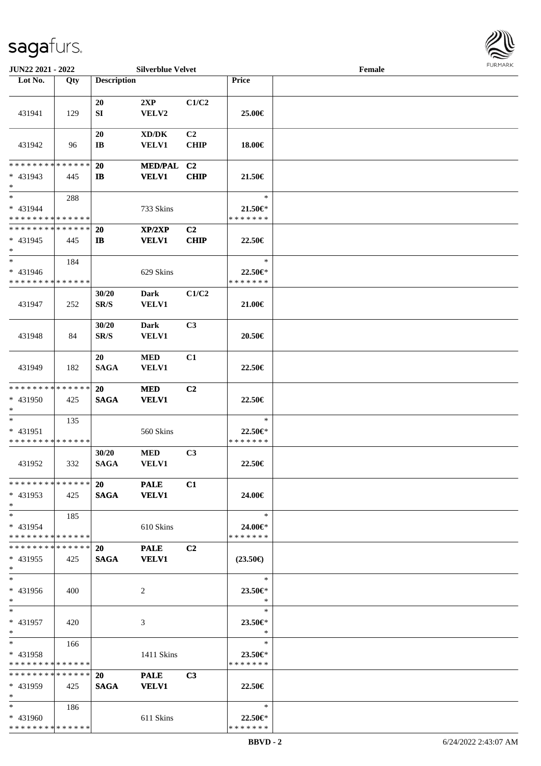

| JUN22 2021 - 2022                                  |     |                                   | <b>Silverblue Velvet</b>                            |                               |                                    | Female |  |
|----------------------------------------------------|-----|-----------------------------------|-----------------------------------------------------|-------------------------------|------------------------------------|--------|--|
| Lot No.                                            | Qty | <b>Description</b>                |                                                     |                               | Price                              |        |  |
|                                                    |     |                                   |                                                     |                               |                                    |        |  |
| 431941                                             | 129 | 20<br>${\bf SI}$                  | 2XP<br>${\bf VELV2}$                                | C1/C2                         | 25.00€                             |        |  |
| 431942                                             | 96  | 20<br>$\mathbf{I}\mathbf{B}$      | $\bold{X}\bold{D}/\bold{D}\bold{K}$<br><b>VELV1</b> | C <sub>2</sub><br><b>CHIP</b> | 18.00€                             |        |  |
| * * * * * * * * * * * * * *                        |     | 20                                |                                                     | C <sub>2</sub>                |                                    |        |  |
| $* 431943$<br>$\ast$                               | 445 | $\mathbf{I}$                      | <b>MED/PAL</b><br><b>VELV1</b>                      | <b>CHIP</b>                   | 21.50€                             |        |  |
| $\ast$                                             | 288 |                                   |                                                     |                               | $\ast$                             |        |  |
| * 431944                                           |     |                                   | 733 Skins                                           |                               | 21.50€*                            |        |  |
| * * * * * * * * * * * * * *                        |     |                                   |                                                     |                               | * * * * * * *                      |        |  |
| * * * * * * * * * * * * * *                        |     | 20                                | XP/2XP                                              | C <sub>2</sub>                |                                    |        |  |
| * 431945<br>$\ast$                                 | 445 | $\mathbf{I}$                      | <b>VELV1</b>                                        | <b>CHIP</b>                   | 22.50€                             |        |  |
| $\ast$                                             | 184 |                                   |                                                     |                               | $\ast$                             |        |  |
| * 431946                                           |     |                                   | 629 Skins                                           |                               | 22.50€*                            |        |  |
| * * * * * * * * * * * * * *                        |     |                                   |                                                     |                               | * * * * * * *                      |        |  |
| 431947                                             | 252 | 30/20<br>$\mathbf{SR}/\mathbf{S}$ | <b>Dark</b><br><b>VELV1</b>                         | C1/C2                         | 21.00€                             |        |  |
| 431948                                             | 84  | 30/20<br>SR/S                     | <b>Dark</b><br><b>VELV1</b>                         | C3                            | 20.50€                             |        |  |
| 431949                                             | 182 | 20<br><b>SAGA</b>                 | <b>MED</b><br>VELV1                                 | C1                            | 22.50€                             |        |  |
| * * * * * * * * * * * * * *                        |     | 20                                | <b>MED</b>                                          | C2                            |                                    |        |  |
| * 431950<br>$\ast$                                 | 425 | <b>SAGA</b>                       | <b>VELV1</b>                                        |                               | 22.50€                             |        |  |
| $\ast$                                             | 135 |                                   |                                                     |                               | $\ast$                             |        |  |
| * 431951                                           |     |                                   | 560 Skins                                           |                               | 22.50€*                            |        |  |
| * * * * * * * * * * * * * *                        |     |                                   |                                                     |                               | * * * * * * *                      |        |  |
| 431952                                             | 332 | 30/20<br><b>SAGA</b>              | $\bf MED$<br>VELV1                                  | C3                            | 22.50€                             |        |  |
| * * * * * * * * * * * * * * *<br>$* 431953$<br>$*$ | 425 | 20 PALE<br><b>SAGA</b>            | <b>VELV1</b>                                        | C1                            | 24.00€                             |        |  |
| $*$<br>$* 431954$<br>* * * * * * * * * * * * * *   | 185 |                                   | 610 Skins                                           |                               | $\ast$<br>24.00€*<br>* * * * * * * |        |  |
| * * * * * * * * * * * * * * *                      |     | 20                                | <b>PALE</b>                                         | C <sub>2</sub>                |                                    |        |  |
| $* 431955$<br>$*$                                  | 425 | <b>SAGA</b>                       | <b>VELV1</b>                                        |                               | $(23.50\epsilon)$                  |        |  |
| $\ast$<br>* 431956<br>$*$                          | 400 |                                   | 2                                                   |                               | $\ast$<br>23.50€*<br>$\ast$        |        |  |
| $*$<br>* 431957<br>$*$                             | 420 |                                   | 3                                                   |                               | $\ast$<br>23.50€*<br>$\ast$        |        |  |
| $*$<br>* 431958<br>* * * * * * * * * * * * * *     | 166 |                                   | 1411 Skins                                          |                               | $\ast$<br>23.50€*<br>* * * * * * * |        |  |
| * * * * * * * * * * * * * *<br>* 431959<br>$*$     | 425 | 20<br><b>SAGA</b>                 | <b>PALE</b><br><b>VELV1</b>                         | C3                            | 22.50€                             |        |  |
| $*$ $*$<br>* 431960<br>* * * * * * * * * * * * * * | 186 |                                   | 611 Skins                                           |                               | $\ast$<br>22.50€*<br>* * * * * * * |        |  |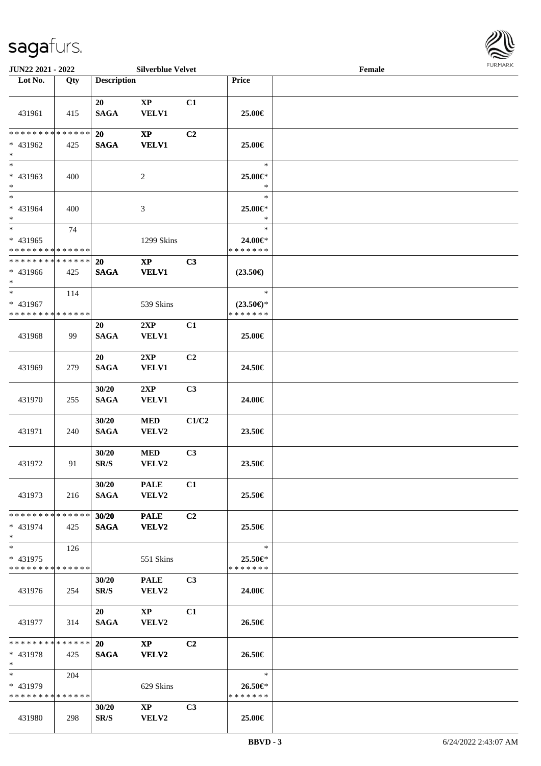

| JUN22 2021 - 2022                                |     |                                   | <b>Silverblue Velvet</b>               |                |                                                | Female | FURMARK |
|--------------------------------------------------|-----|-----------------------------------|----------------------------------------|----------------|------------------------------------------------|--------|---------|
| Lot No.                                          | Qty | <b>Description</b>                |                                        |                | Price                                          |        |         |
| 431961                                           | 415 | 20<br><b>SAGA</b>                 | $\mathbf{X}\mathbf{P}$<br><b>VELV1</b> | C1             | 25.00€                                         |        |         |
| * * * * * * * * * * * * * *<br>* 431962<br>$*$   | 425 | 20<br><b>SAGA</b>                 | $\bold{XP}$<br><b>VELV1</b>            | C <sub>2</sub> | 25.00€                                         |        |         |
| $*$<br>* 431963<br>$*$                           | 400 |                                   | 2                                      |                | $\ast$<br>25.00€*<br>$\ast$                    |        |         |
| $*$<br>* 431964<br>$*$                           | 400 |                                   | 3                                      |                | $\ast$<br>25.00€*<br>∗                         |        |         |
| $*$<br>* 431965<br>* * * * * * * * * * * * * *   | 74  |                                   | 1299 Skins                             |                | $\ast$<br>24.00€*<br>* * * * * * *             |        |         |
| * * * * * * * * * * * * * * *<br>* 431966<br>$*$ | 425 | <b>20</b><br><b>SAGA</b>          | $\mathbf{X}\mathbf{P}$<br><b>VELV1</b> | C3             | $(23.50\epsilon)$                              |        |         |
| $*$<br>* 431967<br>* * * * * * * * * * * * * *   | 114 |                                   | 539 Skins                              |                | $\ast$<br>$(23.50\epsilon)$ *<br>* * * * * * * |        |         |
| 431968                                           | 99  | 20<br><b>SAGA</b>                 | 2XP<br><b>VELV1</b>                    | C1             | 25.00€                                         |        |         |
| 431969                                           | 279 | 20<br><b>SAGA</b>                 | 2XP<br><b>VELV1</b>                    | C <sub>2</sub> | 24.50€                                         |        |         |
| 431970                                           | 255 | 30/20<br><b>SAGA</b>              | 2XP<br><b>VELV1</b>                    | C3             | 24.00€                                         |        |         |
| 431971                                           | 240 | 30/20<br><b>SAGA</b>              | <b>MED</b><br>VELV2                    | C1/C2          | 23.50€                                         |        |         |
| 431972                                           | 91  | 30/20<br>$\mathbf{SR}/\mathbf{S}$ | <b>MED</b><br>VELV2                    | C <sub>3</sub> | 23.50€                                         |        |         |
| 431973                                           | 216 | 30/20<br><b>SAGA</b>              | <b>PALE</b><br>VELV2                   | C1             | 25.50€                                         |        |         |
| * * * * * * * * * * * * * *<br>* 431974<br>$*$   | 425 | 30/20<br><b>SAGA</b>              | <b>PALE</b><br>VELV2                   | C <sub>2</sub> | 25.50€                                         |        |         |
| $*$<br>* 431975<br>* * * * * * * * * * * * * * * | 126 |                                   | 551 Skins                              |                | $\ast$<br>25.50€*<br>* * * * * * *             |        |         |
| 431976                                           | 254 | 30/20<br>SR/S                     | <b>PALE</b><br><b>VELV2</b>            | C3             | 24.00€                                         |        |         |
| 431977                                           | 314 | 20<br><b>SAGA</b>                 | $\mathbf{X}\mathbf{P}$<br><b>VELV2</b> | C1             | 26.50€                                         |        |         |
| * * * * * * * * * * * * * * *<br>* 431978<br>$*$ | 425 | <b>20</b><br><b>SAGA</b>          | $\bold{X}\bold{P}$<br><b>VELV2</b>     | C <sub>2</sub> | 26.50€                                         |        |         |
| $*$<br>* 431979<br>* * * * * * * * * * * * * *   | 204 |                                   | 629 Skins                              |                | $\ast$<br>26.50€*<br>* * * * * * *             |        |         |
| 431980                                           | 298 | 30/20<br>SR/S                     | $\mathbf{X}\mathbf{P}$<br>VELV2        | C <sub>3</sub> | 25.00€                                         |        |         |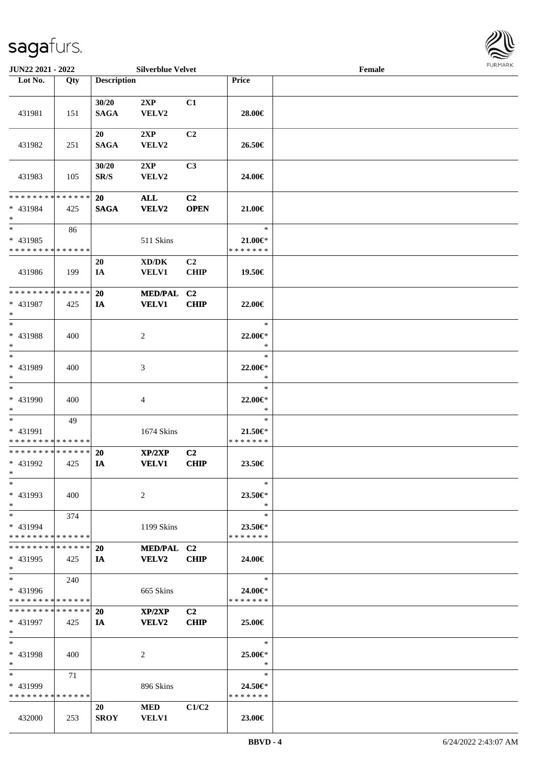

| JUN22 2021 - 2022            |     |                          | <b>Silverblue Velvet</b>            |                |               | Female |  |
|------------------------------|-----|--------------------------|-------------------------------------|----------------|---------------|--------|--|
| Lot No.                      | Qty | <b>Description</b>       |                                     |                | Price         |        |  |
|                              |     |                          |                                     |                |               |        |  |
|                              |     | 30/20                    | 2XP                                 | C1             |               |        |  |
| 431981                       | 151 | <b>SAGA</b>              | VELV2                               |                | 28.00€        |        |  |
|                              |     |                          |                                     |                |               |        |  |
|                              |     | 20                       | 2XP                                 | C2             |               |        |  |
| 431982                       | 251 | <b>SAGA</b>              | VELV2                               |                | 26.50€        |        |  |
|                              |     |                          |                                     |                |               |        |  |
|                              |     | 30/20                    | 2XP                                 | C <sub>3</sub> |               |        |  |
| 431983                       | 105 | $\mathbf{SR}/\mathbf{S}$ | VELV2                               |                | 24.00€        |        |  |
|                              |     |                          |                                     |                |               |        |  |
| * * * * * * * * * * * * * *  |     | 20                       | ALL                                 | C <sub>2</sub> |               |        |  |
| * 431984                     | 425 | <b>SAGA</b>              | <b>VELV2</b>                        | <b>OPEN</b>    | 21.00€        |        |  |
| $\ast$                       |     |                          |                                     |                |               |        |  |
| $\ast$                       | 86  |                          |                                     |                | $\ast$        |        |  |
| * 431985                     |     |                          | 511 Skins                           |                | $21.00 \in$   |        |  |
| * * * * * * * * * * * * * *  |     |                          |                                     |                | * * * * * * * |        |  |
|                              |     |                          | $\bold{X}\bold{D}/\bold{D}\bold{K}$ | C2             |               |        |  |
|                              |     | 20                       |                                     |                |               |        |  |
| 431986                       | 199 | IA                       | <b>VELV1</b>                        | CHIP           | 19.50€        |        |  |
| ******** <mark>******</mark> |     | 20                       |                                     |                |               |        |  |
|                              |     |                          | <b>MED/PAL</b>                      | C <sub>2</sub> |               |        |  |
| * 431987                     | 425 | IA                       | <b>VELV1</b>                        | <b>CHIP</b>    | 22.00€        |        |  |
| $\ast$<br>$\ast$             |     |                          |                                     |                | $\ast$        |        |  |
|                              |     |                          |                                     |                |               |        |  |
| * 431988                     | 400 |                          | $\overline{c}$                      |                | 22.00€*       |        |  |
| $\ast$                       |     |                          |                                     |                | $\ast$        |        |  |
| $\ast$                       |     |                          |                                     |                | $\ast$        |        |  |
| * 431989                     | 400 |                          | 3                                   |                | 22.00€*       |        |  |
| $\ast$                       |     |                          |                                     |                | $\ast$        |        |  |
| $\overline{\ast}$            |     |                          |                                     |                | $\ast$        |        |  |
| * 431990                     | 400 |                          | $\overline{4}$                      |                | 22.00€*       |        |  |
| $\ast$                       |     |                          |                                     |                | $\ast$        |        |  |
| $\ast$                       | 49  |                          |                                     |                | $\ast$        |        |  |
| * 431991                     |     |                          | 1674 Skins                          |                | $21.50 \in$   |        |  |
| ******** <mark>******</mark> |     |                          |                                     |                | * * * * * * * |        |  |
| * * * * * * * * * * * * * *  |     | <b>20</b>                | XP/2XP                              | C2             |               |        |  |
| * 431992                     | 425 | IA                       | <b>VELV1</b>                        | <b>CHIP</b>    | 23.50€        |        |  |
| $*$                          |     |                          |                                     |                |               |        |  |
| $*$                          |     |                          |                                     |                | $\ast$        |        |  |
| $* 431993$                   | 400 |                          | 2                                   |                | 23.50€*       |        |  |
| $*$                          |     |                          |                                     |                | $\ast$        |        |  |
| $*$                          | 374 |                          |                                     |                | $\ast$        |        |  |
| $* 431994$                   |     |                          | 1199 Skins                          |                | 23.50€*       |        |  |
| * * * * * * * * * * * * * *  |     |                          |                                     |                | * * * * * * * |        |  |
| * * * * * * * * * * * * * *  |     | <b>20</b>                | MED/PAL C2                          |                |               |        |  |
| $* 431995$                   | 425 | IA                       | <b>VELV2</b>                        | <b>CHIP</b>    | 24.00€        |        |  |
| $*$                          |     |                          |                                     |                |               |        |  |
| $*$                          | 240 |                          |                                     |                | $\ast$        |        |  |
| $* 431996$                   |     |                          | 665 Skins                           |                | 24.00€*       |        |  |
| * * * * * * * * * * * * * *  |     |                          |                                     |                | * * * * * * * |        |  |
| * * * * * * * * * * * * * *  |     | 20                       | XP/2XP                              | C2             |               |        |  |
| * 431997                     | 425 | IA                       | <b>VELV2</b>                        | <b>CHIP</b>    | 25.00€        |        |  |
| $*$                          |     |                          |                                     |                |               |        |  |
| $\ast$                       |     |                          |                                     |                | $\ast$        |        |  |
| * 431998                     | 400 |                          | 2                                   |                | 25.00€*       |        |  |
| $*$                          |     |                          |                                     |                | $\ast$        |        |  |
| $*$                          | 71  |                          |                                     |                | $\ast$        |        |  |
| * 431999                     |     |                          | 896 Skins                           |                | 24.50€*       |        |  |
| * * * * * * * * * * * * * *  |     |                          |                                     |                | * * * * * * * |        |  |
|                              |     | 20                       | <b>MED</b>                          | C1/C2          |               |        |  |
| 432000                       | 253 | <b>SROY</b>              | <b>VELV1</b>                        |                | 23.00€        |        |  |
|                              |     |                          |                                     |                |               |        |  |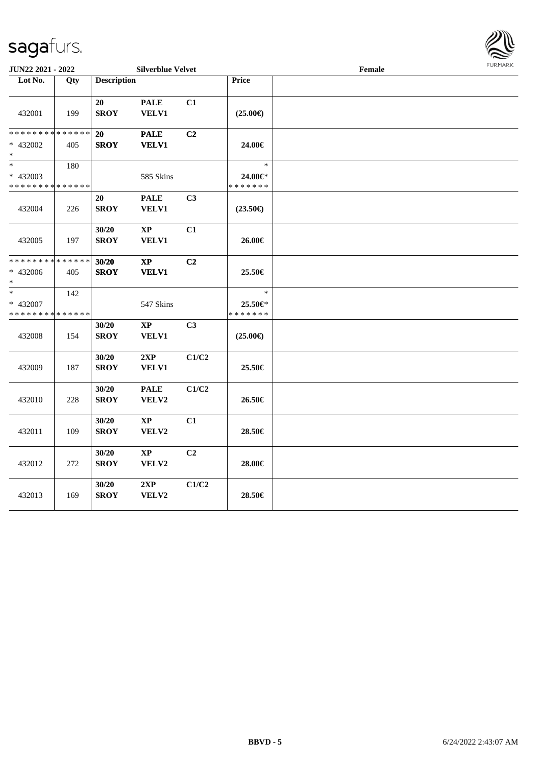

| JUN22 2021 - 2022                                |     |                      | <b>Silverblue Velvet</b>               |       |                                    | Female |  |  |  |
|--------------------------------------------------|-----|----------------------|----------------------------------------|-------|------------------------------------|--------|--|--|--|
| Lot No.                                          | Qty | <b>Description</b>   |                                        |       | <b>Price</b>                       |        |  |  |  |
| 432001                                           | 199 | 20<br><b>SROY</b>    | <b>PALE</b><br>VELV1                   | C1    | $(25.00\epsilon)$                  |        |  |  |  |
| * * * * * * * * * * * * * *<br>$* 432002$<br>$*$ | 405 | 20<br><b>SROY</b>    | <b>PALE</b><br><b>VELV1</b>            | C2    | 24.00€                             |        |  |  |  |
| $*$<br>* 432003<br>* * * * * * * * * * * * * *   | 180 |                      | 585 Skins                              |       | $\ast$<br>24.00€*<br>* * * * * * * |        |  |  |  |
| 432004                                           | 226 | 20<br><b>SROY</b>    | <b>PALE</b><br><b>VELV1</b>            | C3    | $(23.50\epsilon)$                  |        |  |  |  |
| 432005                                           | 197 | 30/20<br><b>SROY</b> | $\bold{XP}$<br><b>VELV1</b>            | C1    | 26.00€                             |        |  |  |  |
| * * * * * * * * * * * * * *<br>* 432006<br>$*$   | 405 | 30/20<br><b>SROY</b> | $\mathbf{X}\mathbf{P}$<br><b>VELV1</b> | C2    | 25.50€                             |        |  |  |  |
| $*$<br>* 432007<br>* * * * * * * * * * * * * *   | 142 |                      | 547 Skins                              |       | $\ast$<br>25.50€*<br>* * * * * * * |        |  |  |  |
| 432008                                           | 154 | 30/20<br><b>SROY</b> | $\mathbf{X}\mathbf{P}$<br>VELV1        | C3    | $(25.00\epsilon)$                  |        |  |  |  |
| 432009                                           | 187 | 30/20<br><b>SROY</b> | $2{\bf XP}$<br>VELV1                   | C1/C2 | 25.50€                             |        |  |  |  |
| 432010                                           | 228 | 30/20<br><b>SROY</b> | <b>PALE</b><br>VELV2                   | C1/C2 | 26.50€                             |        |  |  |  |
| 432011                                           | 109 | 30/20<br><b>SROY</b> | $\bold{XP}$<br>VELV2                   | C1    | 28.50€                             |        |  |  |  |
| 432012                                           | 272 | 30/20<br><b>SROY</b> | $\mathbf{X}\mathbf{P}$<br>VELV2        | C2    | 28.00€                             |        |  |  |  |
| 432013                                           | 169 | 30/20<br><b>SROY</b> | 2XP<br>VELV2                           | C1/C2 | 28.50€                             |        |  |  |  |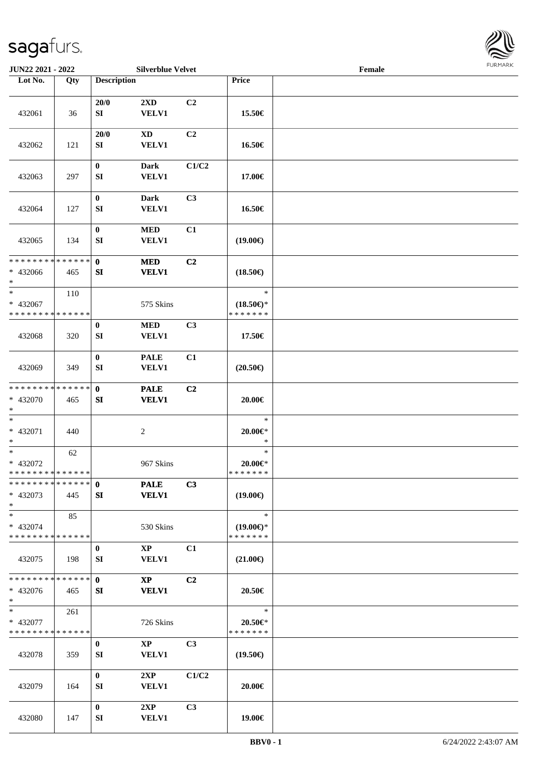

| JUN22 2021 - 2022                                  |     |                              | <b>Silverblue Velvet</b>               |                |                                                | Female |  |
|----------------------------------------------------|-----|------------------------------|----------------------------------------|----------------|------------------------------------------------|--------|--|
| Lot No.                                            | Qty | <b>Description</b>           |                                        |                | Price                                          |        |  |
| 432061                                             | 36  | 20/0<br>SI                   | 2XD<br><b>VELV1</b>                    | C2             | 15.50€                                         |        |  |
| 432062                                             | 121 | 20/0<br>SI                   | $\mathbf{X}\mathbf{D}$<br>VELV1        | C2             | 16.50€                                         |        |  |
| 432063                                             | 297 | $\boldsymbol{0}$<br>SI       | <b>Dark</b><br>VELV1                   | C1/C2          | 17.00€                                         |        |  |
| 432064                                             | 127 | $\bf{0}$<br>${\bf S}{\bf I}$ | <b>Dark</b><br>VELV1                   | C3             | 16.50€                                         |        |  |
| 432065                                             | 134 | $\bf{0}$<br>SI               | $\bf MED$<br>VELV1                     | C1             | $(19.00\epsilon)$                              |        |  |
| * * * * * * * * * * * * * *<br>* 432066<br>$*$     | 465 | $\mathbf 0$<br>SI            | <b>MED</b><br><b>VELV1</b>             | C2             | $(18.50\epsilon)$                              |        |  |
| $\ast$<br>* 432067<br>* * * * * * * * * * * * * *  | 110 |                              | 575 Skins                              |                | $\ast$<br>$(18.50\epsilon)$ *<br>* * * * * * * |        |  |
| 432068                                             | 320 | $\bf{0}$<br>SI               | $\bf MED$<br>VELV1                     | C3             | 17.50€                                         |        |  |
| 432069                                             | 349 | $\pmb{0}$<br>SI              | <b>PALE</b><br>VELV1                   | C1             | $(20.50\epsilon)$                              |        |  |
| * * * * * * * * * * * * * *<br>* 432070<br>$*$     | 465 | $\mathbf{0}$<br>SI           | <b>PALE</b><br><b>VELV1</b>            | C <sub>2</sub> | 20.00€                                         |        |  |
| $\ast$<br>$* 432071$<br>$*$                        | 440 |                              | $\sqrt{2}$                             |                | $\ast$<br>$20.00 \in$ *<br>$\ast$              |        |  |
| $\ast$<br>* 432072<br>* * * * * * * * * * * * * *  | 62  |                              | 967 Skins                              |                | $\ast$<br>$20.00 \in$ *<br>* * * * * * *       |        |  |
| * * * * * * * * * * * * * * *<br>* 432073<br>$*$   | 445 | $\mathbf{0}$<br>SI           | <b>PALE</b><br><b>VELV1</b>            | C3             | $(19.00\epsilon)$                              |        |  |
| $*$<br>* 432074<br>* * * * * * * * * * * * * *     | 85  |                              | 530 Skins                              |                | $\ast$<br>$(19.00\epsilon)$ *<br>* * * * * * * |        |  |
| 432075                                             | 198 | $\bf{0}$<br>SI               | $\mathbf{X}\mathbf{P}$<br><b>VELV1</b> | C1             | $(21.00\epsilon)$                              |        |  |
| * * * * * * * * * * * * * *<br>* 432076<br>$*$     | 465 | $\mathbf{0}$<br>SI           | $\mathbf{X}\mathbf{P}$<br><b>VELV1</b> | C2             | 20.50€                                         |        |  |
| $*$ $*$<br>* 432077<br>* * * * * * * * * * * * * * | 261 |                              | 726 Skins                              |                | $\ast$<br>20.50€*<br>* * * * * * *             |        |  |
| 432078                                             | 359 | $\bf{0}$<br>SI               | $\mathbf{X}\mathbf{P}$<br>VELV1        | C <sub>3</sub> | $(19.50\epsilon)$                              |        |  |
| 432079                                             | 164 | $\bf{0}$<br>SI               | 2XP<br><b>VELV1</b>                    | C1/C2          | 20.00€                                         |        |  |
| 432080                                             | 147 | $\bf{0}$<br>SI               | 2XP<br><b>VELV1</b>                    | C3             | 19.00€                                         |        |  |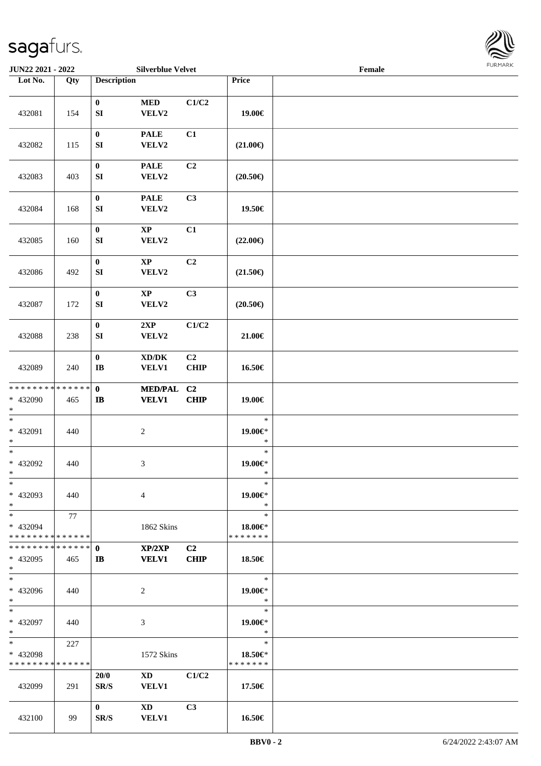

| JUN22 2021 - 2022                                      |     |                              | <b>Silverblue Velvet</b>                                                                                                                                                                                                                       |                               |                                    | Female |  |
|--------------------------------------------------------|-----|------------------------------|------------------------------------------------------------------------------------------------------------------------------------------------------------------------------------------------------------------------------------------------|-------------------------------|------------------------------------|--------|--|
| Lot No.                                                | Qty | <b>Description</b>           |                                                                                                                                                                                                                                                |                               | Price                              |        |  |
| 432081                                                 | 154 | $\bf{0}$<br>${\bf S}{\bf I}$ | <b>MED</b><br>VELV2                                                                                                                                                                                                                            | C1/C2                         | 19.00€                             |        |  |
| 432082                                                 | 115 | $\bf{0}$<br>SI               | <b>PALE</b><br>VELV2                                                                                                                                                                                                                           | C1                            | $(21.00\epsilon)$                  |        |  |
| 432083                                                 | 403 | $\boldsymbol{0}$<br>SI       | <b>PALE</b><br>VELV2                                                                                                                                                                                                                           | C <sub>2</sub>                | $(20.50\epsilon)$                  |        |  |
| 432084                                                 | 168 | $\boldsymbol{0}$<br>SI       | <b>PALE</b><br>VELV2                                                                                                                                                                                                                           | C3                            | 19.50€                             |        |  |
| 432085                                                 | 160 | $\boldsymbol{0}$<br>SI       | $\mathbf{X}\mathbf{P}$<br>VELV2                                                                                                                                                                                                                | C1                            | $(22.00\epsilon)$                  |        |  |
| 432086                                                 | 492 | $\boldsymbol{0}$<br>SI       | $\bold{XP}$<br>VELV2                                                                                                                                                                                                                           | C2                            | $(21.50\epsilon)$                  |        |  |
| 432087                                                 | 172 | $\bf{0}$<br>${\bf SI}$       | $\bold{XP}$<br>VELV2                                                                                                                                                                                                                           | C3                            | $(20.50\epsilon)$                  |        |  |
| 432088                                                 | 238 | $\boldsymbol{0}$<br>SI       | 2XP<br>VELV2                                                                                                                                                                                                                                   | C1/C2                         | 21.00€                             |        |  |
| 432089                                                 | 240 | $\pmb{0}$<br>$\bf I\bf B$    | $\bold{X}\bold{D}/\bold{D}\bold{K}$<br><b>VELV1</b>                                                                                                                                                                                            | C2<br><b>CHIP</b>             | 16.50€                             |        |  |
| * * * * * * * * * * * * * *<br>* 432090<br>$*$         | 465 | $\mathbf{0}$<br>$\mathbf{I}$ | <b>MED/PAL</b><br><b>VELV1</b>                                                                                                                                                                                                                 | C <sub>2</sub><br><b>CHIP</b> | 19.00€                             |        |  |
| $\ast$<br>* 432091<br>$*$                              | 440 |                              | $\overline{c}$                                                                                                                                                                                                                                 |                               | $\ast$<br>$19.00 \in$ *<br>$\ast$  |        |  |
| $*$<br>$* 432092$<br>$*$                               | 440 |                              | 3                                                                                                                                                                                                                                              |                               | $\ast$<br>19.00€*<br>$\ast$        |        |  |
| $*$<br>* 432093<br>$*$                                 | 440 |                              | 4                                                                                                                                                                                                                                              |                               | $\ast$<br>19.00€*<br>$\ast$        |        |  |
| $*$<br>* 432094<br>* * * * * * * * * * * * * * *       | 77  |                              | 1862 Skins                                                                                                                                                                                                                                     |                               | $\ast$<br>18.00€*<br>* * * * * * * |        |  |
| * * * * * * * * * * * * * * *<br>* 432095<br>$*$       | 465 | $\mathbf{0}$<br>IB           | XP/2XP<br><b>VELV1</b>                                                                                                                                                                                                                         | C2<br><b>CHIP</b>             | 18.50€                             |        |  |
| $*$<br>* 432096<br>$*$                                 | 440 |                              | 2                                                                                                                                                                                                                                              |                               | $\ast$<br>19.00€*<br>$\ast$        |        |  |
| $*$<br>$* 432097$<br>$*$                               | 440 |                              | 3                                                                                                                                                                                                                                              |                               | $\ast$<br>19.00€*<br>$\ast$        |        |  |
| $*$ and $*$<br>* 432098<br>* * * * * * * * * * * * * * | 227 |                              | 1572 Skins                                                                                                                                                                                                                                     |                               | $\ast$<br>18.50€*<br>* * * * * * * |        |  |
| 432099                                                 | 291 | 20/0<br>SR/S                 | XD and the set of the set of the set of the set of the set of the set of the set of the set of the set of the set of the set of the set of the set of the set of the set of the set of the set of the set of the set of the se<br><b>VELV1</b> | C1/C2                         | 17.50€                             |        |  |
| 432100                                                 | 99  | $\mathbf{0}$<br>SR/S         | $\mathbf{X}\mathbf{D}$<br><b>VELV1</b>                                                                                                                                                                                                         | C3                            | 16.50€                             |        |  |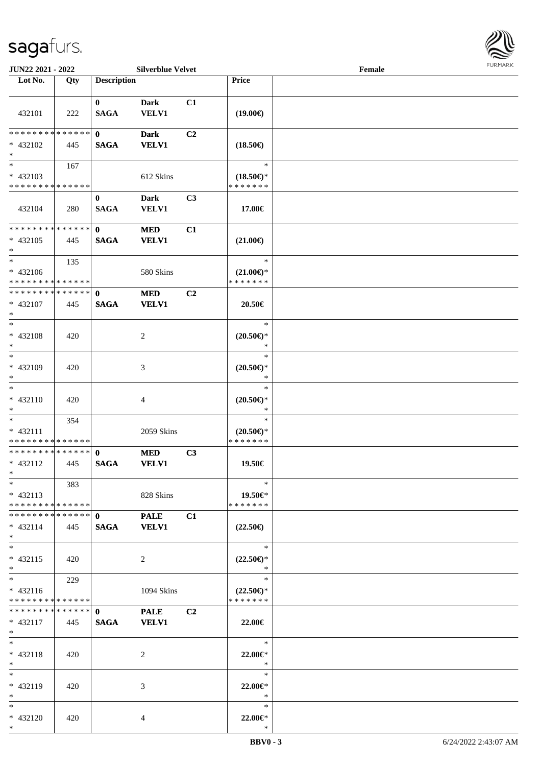

| JUN22 2021 - 2022                                                     |                    |                             | <b>Silverblue Velvet</b>    |                |                                                | Female |  |
|-----------------------------------------------------------------------|--------------------|-----------------------------|-----------------------------|----------------|------------------------------------------------|--------|--|
| Lot No.                                                               | Qty                | <b>Description</b>          |                             |                | Price                                          |        |  |
| 432101                                                                | 222                | $\bf{0}$<br><b>SAGA</b>     | <b>Dark</b><br><b>VELV1</b> | C1             | $(19.00\epsilon)$                              |        |  |
| * * * * * * * *<br>* 432102<br>$*$                                    | * * * * * *<br>445 | $\mathbf{0}$<br><b>SAGA</b> | <b>Dark</b><br><b>VELV1</b> | C <sub>2</sub> | $(18.50\epsilon)$                              |        |  |
| $\overline{\phantom{0}}$<br>$* 432103$<br>* * * * * * * * * * * * * * | 167                |                             | 612 Skins                   |                | $\ast$<br>$(18.50\epsilon)$ *<br>* * * * * * * |        |  |
| 432104                                                                | 280                | $\bf{0}$<br><b>SAGA</b>     | <b>Dark</b><br><b>VELV1</b> | C3             | 17.00€                                         |        |  |
| * * * * * * * * * * * * * *<br>$* 432105$<br>$*$                      | 445                | $\mathbf{0}$<br><b>SAGA</b> | <b>MED</b><br><b>VELV1</b>  | C1             | $(21.00\epsilon)$                              |        |  |
| $*$<br>$* 432106$<br>* * * * * * * * * * * * * *                      | 135                |                             | 580 Skins                   |                | $\ast$<br>$(21.00\epsilon)$ *<br>* * * * * * * |        |  |
| * * * * * * * * * * * * * *<br>* 432107<br>$*$                        | 445                | $\mathbf{0}$<br><b>SAGA</b> | <b>MED</b><br><b>VELV1</b>  | C <sub>2</sub> | 20.50€                                         |        |  |
| $*$<br>$* 432108$<br>$*$                                              | 420                |                             | 2                           |                | $\ast$<br>$(20.50\epsilon)$ *<br>∗             |        |  |
| $*$<br>* 432109<br>$*$                                                | 420                |                             | 3                           |                | $\ast$<br>$(20.50\epsilon)$ *<br>*             |        |  |
| $\ast$<br>$* 432110$<br>$*$                                           | 420                |                             | 4                           |                | $\ast$<br>$(20.50\epsilon)$ *<br>$\ast$        |        |  |
| $*$<br>$* 432111$<br>* * * * * * * * * * * * * *                      | 354                |                             | 2059 Skins                  |                | $\ast$<br>$(20.50 \in )^*$<br>* * * * * * *    |        |  |
| * * * * * * * * * * * * * * *<br>* 432112<br>$*$ $*$                  | 445                | $\mathbf{0}$<br><b>SAGA</b> | <b>MED</b><br><b>VELV1</b>  | C3             | 19.50€                                         |        |  |
| $*$<br>$* 432113$<br>* * * * * * * * * * * * * * *                    | 383                |                             | 828 Skins                   |                | $\ast$<br>19.50€*<br>* * * * * * *             |        |  |
| * * * * * * * * * * * * * * *<br>$* 432114$<br>$*$                    | 445                | $\mathbf{0}$<br><b>SAGA</b> | <b>PALE</b><br><b>VELV1</b> | C1             | $(22.50\epsilon)$                              |        |  |
| $*$<br>$* 432115$<br>$*$                                              | 420                |                             | 2                           |                | $\ast$<br>$(22.50 \in )^*$<br>$\ast$           |        |  |
| $*$ $-$<br>$* 432116$<br>* * * * * * * * * * * * * *                  | 229                |                             | 1094 Skins                  |                | $\ast$<br>$(22.50 \in )^*$<br>* * * * * * *    |        |  |
| * * * * * * * * * * * * * * *<br>$* 432117$<br>$*$ $*$                | 445                | $\mathbf{0}$<br><b>SAGA</b> | <b>PALE</b><br><b>VELV1</b> | C <sub>2</sub> | 22.00€                                         |        |  |
| $*$<br>* 432118<br>$*$                                                | 420                |                             | 2                           |                | $\ast$<br>22.00€*<br>$\ast$                    |        |  |
| $*$<br>* 432119<br>$*$                                                | 420                |                             | 3                           |                | $\ast$<br>22.00€*<br>$\ast$                    |        |  |
| $*$<br>* 432120<br>$*$                                                | 420                |                             | 4                           |                | $\ast$<br>22.00€*<br>$\ast$                    |        |  |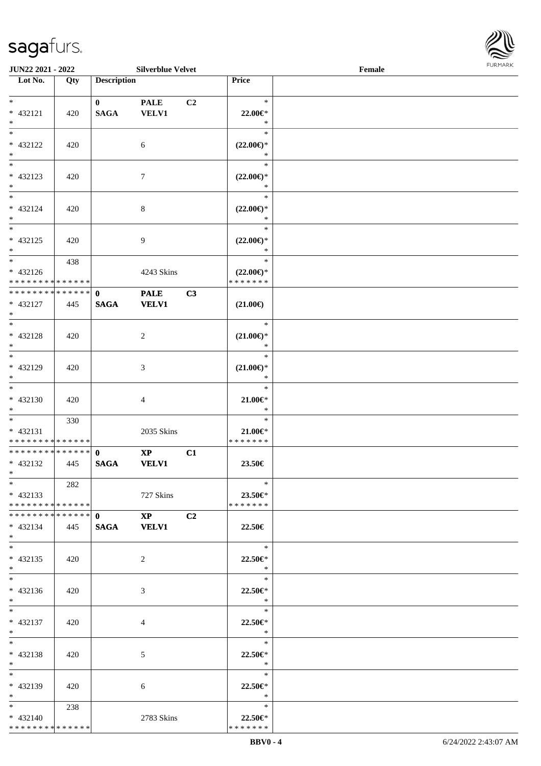

| <b>JUN22 2021 - 2022</b>                   |     |                               | <b>Silverblue Velvet</b> |                |                          | Female |  |
|--------------------------------------------|-----|-------------------------------|--------------------------|----------------|--------------------------|--------|--|
| Lot No.                                    | Qty | <b>Description</b>            |                          |                | Price                    |        |  |
|                                            |     |                               |                          |                |                          |        |  |
| $*$                                        |     | $\mathbf{0}$                  | <b>PALE</b>              | C2             | $\ast$                   |        |  |
| $* 432121$                                 | 420 | <b>SAGA</b>                   | VELV1                    |                | 22.00€*                  |        |  |
| $*$                                        |     |                               |                          |                | $\ast$                   |        |  |
| $*$                                        |     |                               |                          |                | $\ast$                   |        |  |
| * 432122                                   | 420 |                               | 6                        |                | $(22.00\epsilon)$ *      |        |  |
| $\ast$                                     |     |                               |                          |                | $\ast$                   |        |  |
| $\overline{\phantom{0}}$                   |     |                               |                          |                | $\ast$                   |        |  |
| * 432123                                   | 420 |                               | $\tau$                   |                | $(22.00\epsilon)$ *      |        |  |
| $*$                                        |     |                               |                          |                | $\ast$                   |        |  |
| $\overline{\ast}$                          |     |                               |                          |                | $\ast$                   |        |  |
| $* 432124$                                 | 420 |                               | $\,8\,$                  |                | $(22.00\epsilon)$ *      |        |  |
| $*$                                        |     |                               |                          |                | $\ast$                   |        |  |
| $*$                                        |     |                               |                          |                | $\ast$                   |        |  |
| $* 432125$                                 | 420 |                               | 9                        |                | $(22.00\epsilon)$ *      |        |  |
| $*$                                        |     |                               |                          |                | $\ast$                   |        |  |
| $\overline{\phantom{0}}$                   | 438 |                               |                          |                | $\ast$                   |        |  |
| $* 432126$                                 |     |                               | 4243 Skins               |                | $(22.00\epsilon)$ *      |        |  |
| * * * * * * * * <mark>* * * * * * *</mark> |     |                               |                          |                | * * * * * * *            |        |  |
| ******** <mark>******</mark>               |     | $\mathbf 0$                   | <b>PALE</b>              | C3             |                          |        |  |
| $* 432127$                                 | 445 | <b>SAGA</b>                   | <b>VELV1</b>             |                | $(21.00\epsilon)$        |        |  |
| $*$                                        |     |                               |                          |                |                          |        |  |
| $*$                                        |     |                               |                          |                | $\ast$                   |        |  |
| * 432128                                   | 420 |                               | 2                        |                | $(21.00\epsilon)$ *      |        |  |
| $*$                                        |     |                               |                          |                | $\ast$                   |        |  |
| $*$                                        |     |                               |                          |                | $\ast$                   |        |  |
| $* 432129$                                 | 420 |                               | 3                        |                | $(21.00\epsilon)$ *      |        |  |
| $*$                                        |     |                               |                          |                | *                        |        |  |
| $\overline{\ }$                            |     |                               |                          |                | $\ast$                   |        |  |
| $* 432130$                                 | 420 |                               | $\overline{4}$           |                | $21.00 \in$              |        |  |
| $*$                                        |     |                               |                          |                | $\ast$                   |        |  |
| $*$                                        | 330 |                               |                          |                | $\ast$                   |        |  |
| * 432131                                   |     |                               | 2035 Skins               |                | $21.00 \in$              |        |  |
| * * * * * * * * * * * * * *                |     |                               |                          |                | * * * * * * *            |        |  |
| * * * * * * * * * * * * * * *              |     | $\mathbf{0}$                  | $\mathbf{X}\mathbf{P}$   | C1             |                          |        |  |
| * 432132                                   | 445 | <b>SAGA</b>                   | <b>VELV1</b>             |                | 23.50€                   |        |  |
| $*$ $*$                                    |     |                               |                          |                |                          |        |  |
| $*$                                        | 282 |                               |                          |                | $\ast$                   |        |  |
| $* 432133$                                 |     |                               | 727 Skins                |                | $23.50\mathrm{e}$ *      |        |  |
| * * * * * * * * * * * * * * *              |     |                               |                          |                | * * * * * * *            |        |  |
| * * * * * * * * * * * * * * *              |     | $\mathbf{0}$ and $\mathbf{0}$ | $\mathbf{X}\mathbf{P}$   | C <sub>2</sub> |                          |        |  |
| $* 432134$                                 | 445 |                               | SAGA VELV1               |                | 22.50€                   |        |  |
| $*$                                        |     |                               |                          |                |                          |        |  |
| $*$                                        |     |                               |                          |                | $*$                      |        |  |
| $* 432135$                                 | 420 |                               | $\overline{2}$           |                | 22.50€*                  |        |  |
| $*$                                        |     |                               |                          |                | $\ast$                   |        |  |
| $*$                                        |     |                               |                          |                | $\ast$                   |        |  |
| $* 432136$                                 | 420 |                               | 3                        |                | 22.50€*                  |        |  |
| $*$                                        |     |                               |                          |                | $\ast$                   |        |  |
| $*$                                        |     |                               |                          |                | $\ast$                   |        |  |
| * 432137                                   | 420 |                               | 4                        |                | 22.50€*                  |        |  |
| $*$ $*$                                    |     |                               |                          |                | $\ast$                   |        |  |
| $*$                                        |     |                               |                          |                | $\ast$                   |        |  |
| * 432138                                   | 420 |                               | 5                        |                | $22.50 \in$<br>$*$       |        |  |
| $*$ $-$<br>$*$ $-$                         |     |                               |                          |                | $\ast$                   |        |  |
|                                            |     |                               |                          |                |                          |        |  |
| * 432139                                   | 420 |                               | 6                        |                | 22.50€*                  |        |  |
| $*$ $*$                                    |     |                               |                          |                | $\ast$<br>$\ast$         |        |  |
| $*$ and $*$                                | 238 |                               |                          |                |                          |        |  |
| $* 432140$<br>* * * * * * * * * * * * * *  |     |                               | 2783 Skins               |                | 22.50€*<br>* * * * * * * |        |  |
|                                            |     |                               |                          |                |                          |        |  |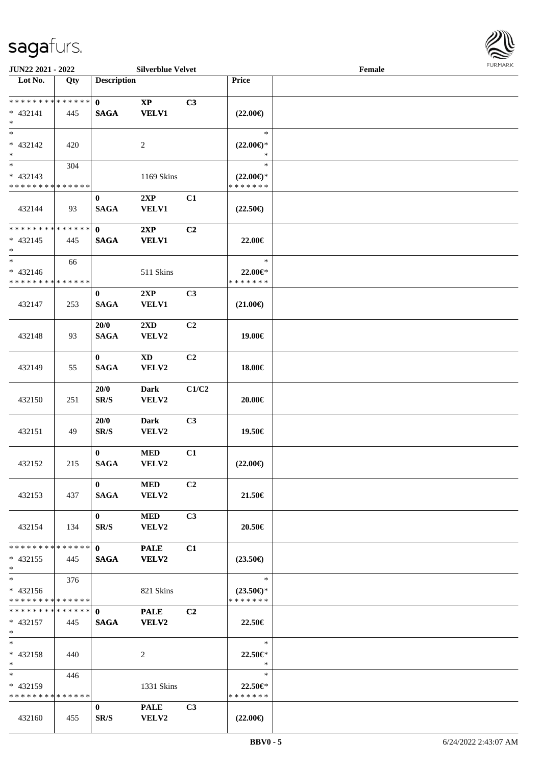

| JUN22 2021 - 2022                                                     |     |                                  | <b>Silverblue Velvet</b>               |                |                                                | Female |  |
|-----------------------------------------------------------------------|-----|----------------------------------|----------------------------------------|----------------|------------------------------------------------|--------|--|
| Lot No.                                                               | Qty | <b>Description</b>               |                                        |                | Price                                          |        |  |
| ******** <mark>******</mark><br>$* 432141$<br>$\ast$                  | 445 | $\mathbf{0}$<br><b>SAGA</b>      | $\mathbf{X}\mathbf{P}$<br><b>VELV1</b> | C3             | $(22.00\epsilon)$                              |        |  |
| $*$<br>* 432142<br>$\ast$                                             | 420 |                                  | 2                                      |                | $\ast$<br>$(22.00\epsilon)$ *<br>$\ast$        |        |  |
| $\overline{\phantom{0}}$<br>$* 432143$<br>* * * * * * * * * * * * * * | 304 |                                  | 1169 Skins                             |                | $\ast$<br>$(22.00\epsilon)$ *<br>* * * * * * * |        |  |
| 432144                                                                | 93  | $\bf{0}$<br><b>SAGA</b>          | 2XP<br><b>VELV1</b>                    | C1             | $(22.50\epsilon)$                              |        |  |
| * * * * * * * * * * * * * *<br>$* 432145$<br>$*$                      | 445 | $\mathbf 0$<br><b>SAGA</b>       | 2XP<br><b>VELV1</b>                    | C <sub>2</sub> | 22.00€                                         |        |  |
| $\ast$<br>$* 432146$<br>* * * * * * * * * * * * * *                   | 66  |                                  | 511 Skins                              |                | $\ast$<br>22.00€*<br>* * * * * * *             |        |  |
| 432147                                                                | 253 | $\bf{0}$<br><b>SAGA</b>          | 2XP<br><b>VELV1</b>                    | C3             | $(21.00\epsilon)$                              |        |  |
| 432148                                                                | 93  | 20/0<br><b>SAGA</b>              | 2XD<br>VELV2                           | C2             | 19.00€                                         |        |  |
| 432149                                                                | 55  | $\bf{0}$<br><b>SAGA</b>          | <b>XD</b><br>VELV2                     | C2             | 18.00€                                         |        |  |
| 432150                                                                | 251 | 20/0<br>$\mathbf{SR}/\mathbf{S}$ | <b>Dark</b><br>VELV2                   | C1/C2          | 20.00€                                         |        |  |
| 432151                                                                | 49  | 20/0<br>SR/S                     | <b>Dark</b><br>VELV2                   | C3             | 19.50€                                         |        |  |
| 432152                                                                | 215 | $\mathbf{0}$<br><b>SAGA</b>      | $\bf MED$<br>VELV2                     | C1             | $(22.00\epsilon)$                              |        |  |
| 432153                                                                | 437 | $\mathbf{0}$<br><b>SAGA</b>      | <b>MED</b><br><b>VELV2</b>             | C2             | 21.50€                                         |        |  |
| 432154                                                                | 134 | $\mathbf{0}$<br>SR/S             | <b>MED</b><br>VELV2                    | C3             | 20.50€                                         |        |  |
| * * * * * * * * * * * * * * *<br>$* 432155$<br>$*$                    | 445 | $\mathbf{0}$<br><b>SAGA</b>      | <b>PALE</b><br><b>VELV2</b>            | C1             | $(23.50\epsilon)$                              |        |  |
| $*$<br>$* 432156$<br>* * * * * * * * * * * * * *                      | 376 |                                  | 821 Skins                              |                | $\ast$<br>$(23.50\epsilon)$ *<br>* * * * * * * |        |  |
| **************<br>$* 432157$<br>$*$ $-$                               | 445 | $\mathbf{0}$<br><b>SAGA</b>      | <b>PALE</b><br><b>VELV2</b>            | C <sub>2</sub> | 22.50€                                         |        |  |
| $*$<br>* 432158<br>$*$                                                | 440 |                                  | 2                                      |                | $\ast$<br>22.50€*<br>$\ast$                    |        |  |
| $*$ and $*$<br>$* 432159$<br>* * * * * * * * * * * * * *              | 446 |                                  | 1331 Skins                             |                | $\ast$<br>22.50€*<br>* * * * * * *             |        |  |
| 432160                                                                | 455 | $\bf{0}$<br>SR/S                 | <b>PALE</b><br><b>VELV2</b>            | C3             | $(22.00\epsilon)$                              |        |  |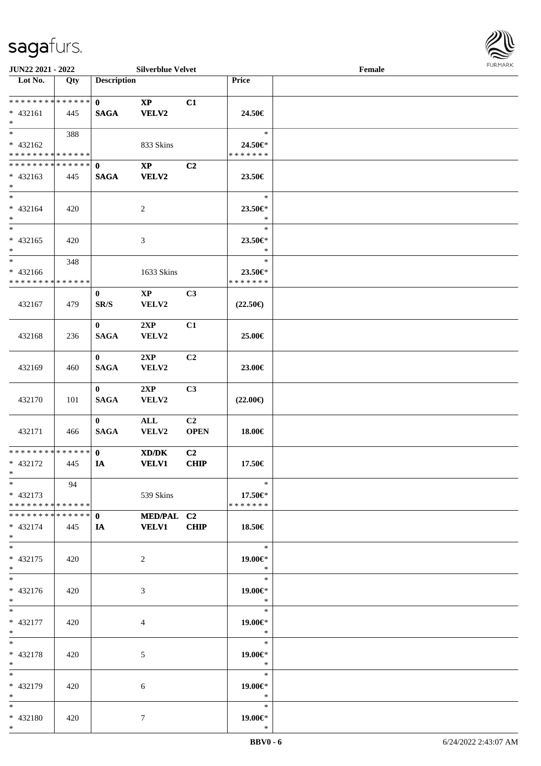

| JUN22 2021 - 2022                |     |                    | <b>Silverblue Velvet</b> |                |                   | Female | 1.91111111 |
|----------------------------------|-----|--------------------|--------------------------|----------------|-------------------|--------|------------|
| $\overline{\phantom{1}}$ Lot No. | Qty | <b>Description</b> |                          |                | Price             |        |            |
|                                  |     |                    |                          |                |                   |        |            |
| **************                   |     | $\mathbf{0}$       | $\mathbf{XP}$            | C1             |                   |        |            |
| $* 432161$                       | 445 | <b>SAGA</b>        | <b>VELV2</b>             |                | 24.50€            |        |            |
| $\ast$                           |     |                    |                          |                |                   |        |            |
| $\overline{\phantom{a}^*}$       | 388 |                    |                          |                | $\ast$            |        |            |
| * 432162                         |     |                    | 833 Skins                |                | 24.50€*           |        |            |
| * * * * * * * * * * * * * *      |     |                    |                          |                | * * * * * * *     |        |            |
| * * * * * * * * * * * * * * *    |     | $\mathbf{0}$       | $\mathbf{X}\mathbf{P}$   | C2             |                   |        |            |
| $* 432163$                       | 445 | <b>SAGA</b>        | VELV2                    |                | 23.50€            |        |            |
| $\ast$                           |     |                    |                          |                |                   |        |            |
| $\overline{\phantom{0}}$         |     |                    |                          |                | $\ast$            |        |            |
| $* 432164$                       | 420 |                    | $\overline{2}$           |                | 23.50€*           |        |            |
| $\ast$                           |     |                    |                          |                | $\ast$            |        |            |
| $\overline{\phantom{0}}$         |     |                    |                          |                | $\ast$            |        |            |
| $* 432165$                       | 420 |                    | $\mathfrak{Z}$           |                | 23.50€*           |        |            |
| $\ast$                           |     |                    |                          |                | $\ast$            |        |            |
| $\ast$                           | 348 |                    |                          |                | $\ast$            |        |            |
| $* 432166$                       |     |                    | 1633 Skins               |                | 23.50€*           |        |            |
| * * * * * * * * * * * * * *      |     |                    |                          |                | * * * * * * *     |        |            |
|                                  |     | $\bf{0}$           | $\mathbf{XP}$            | C <sub>3</sub> |                   |        |            |
| 432167                           | 479 | SR/S               | VELV2                    |                | $(22.50\epsilon)$ |        |            |
|                                  |     |                    |                          |                |                   |        |            |
|                                  |     | $\mathbf{0}$       | 2XP                      | C1             |                   |        |            |
| 432168                           | 236 | <b>SAGA</b>        | VELV2                    |                | 25.00€            |        |            |
|                                  |     |                    |                          |                |                   |        |            |
|                                  |     | $\mathbf{0}$       | 2XP                      | C2             |                   |        |            |
| 432169                           | 460 | <b>SAGA</b>        | VELV2                    |                | 23.00€            |        |            |
|                                  |     |                    |                          |                |                   |        |            |
|                                  |     | $\bf{0}$           | 2XP                      | C3             |                   |        |            |
| 432170                           | 101 | <b>SAGA</b>        | VELV2                    |                | $(22.00\epsilon)$ |        |            |
|                                  |     |                    |                          |                |                   |        |            |
|                                  |     | $\bf{0}$           | $\mathbf{ALL}$           | C2             |                   |        |            |
| 432171                           | 466 | <b>SAGA</b>        | VELV2                    | <b>OPEN</b>    | 18.00€            |        |            |
|                                  |     |                    |                          |                |                   |        |            |
| **************                   |     | $\mathbf{0}$       | XD/DK                    | C <sub>2</sub> |                   |        |            |
| * 432172                         | 445 | IA                 | <b>VELV1</b>             | CHIP           | 17.50€            |        |            |
| $*$ $-$                          |     |                    |                          |                |                   |        |            |
| $*$                              | 94  |                    |                          |                | $\ast$            |        |            |
| $* 432173$                       |     |                    | 539 Skins                |                | 17.50€*           |        |            |
| * * * * * * * * * * * * * * *    |     |                    |                          |                | * * * * * * *     |        |            |
| * * * * * * * * * * * * * * *    |     | $\mathbf{0}$       | MED/PAL C2               |                |                   |        |            |
| $* 432174$                       | 445 | <b>IA</b>          | <b>VELV1</b>             | <b>CHIP</b>    | 18.50€            |        |            |
| $*$                              |     |                    |                          |                |                   |        |            |
| $*$                              |     |                    |                          |                | $\ast$            |        |            |
| $* 432175$                       | 420 |                    | $\overline{2}$           |                | 19.00€*           |        |            |
| $*$                              |     |                    |                          |                | $\ast$            |        |            |
| $*$                              |     |                    |                          |                | $\ast$            |        |            |
| * 432176                         | 420 |                    | 3                        |                | 19.00€*           |        |            |
| $*$                              |     |                    |                          |                | $\ast$            |        |            |
| $*$                              |     |                    |                          |                | $\ast$            |        |            |
| * 432177                         | 420 |                    | 4                        |                | 19.00€*           |        |            |
| $*$                              |     |                    |                          |                | $\ast$            |        |            |
| $*$                              |     |                    |                          |                | $\ast$            |        |            |
| * 432178                         | 420 |                    | 5                        |                | 19.00€*           |        |            |
| $*$ $*$                          |     |                    |                          |                | $\rightarrow$     |        |            |
| $*$                              |     |                    |                          |                | $\ast$            |        |            |
| * 432179                         | 420 |                    | 6                        |                | 19.00€*           |        |            |
| $*$ $-$                          |     |                    |                          |                | $\ast$            |        |            |
| $*$                              |     |                    |                          |                | $\ast$            |        |            |
| * 432180                         | 420 |                    | $\tau$                   |                | 19.00€*           |        |            |
| $*$                              |     |                    |                          |                | $\ast$            |        |            |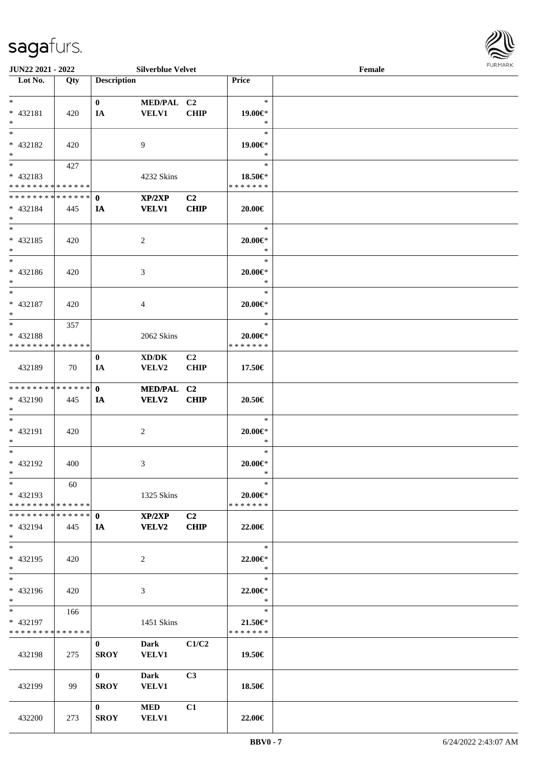

| <b>JUN22 2021 - 2022</b>                   |       |                    | <b>Silverblue Velvet</b> |                |                              | Female |  |
|--------------------------------------------|-------|--------------------|--------------------------|----------------|------------------------------|--------|--|
| Lot No.                                    | Qty   | <b>Description</b> |                          |                | Price                        |        |  |
|                                            |       |                    |                          |                |                              |        |  |
| $*$                                        |       | $\mathbf{0}$       | MED/PAL C2               |                | $\ast$                       |        |  |
| * 432181                                   | 420   | IA                 | <b>VELV1</b>             | <b>CHIP</b>    | 19.00€*                      |        |  |
| $*$                                        |       |                    |                          |                | $\ast$                       |        |  |
| $*$                                        |       |                    |                          |                | $\ast$                       |        |  |
| * 432182                                   | 420   |                    | 9                        |                | 19.00€*                      |        |  |
| $*$                                        |       |                    |                          |                | $\ast$                       |        |  |
|                                            | 427   |                    |                          |                | $\ast$                       |        |  |
| * 432183                                   |       |                    | 4232 Skins               |                | 18.50€*                      |        |  |
| * * * * * * * * * * * * * *                |       |                    |                          |                | * * * * * * *                |        |  |
| * * * * * * * * * * * * * * <mark>*</mark> |       | $\mathbf{0}$       | XP/2XP                   | C <sub>2</sub> |                              |        |  |
| * 432184                                   | 445   | IA                 | <b>VELV1</b>             | <b>CHIP</b>    | 20.00€                       |        |  |
| $*$                                        |       |                    |                          |                |                              |        |  |
| $*$                                        |       |                    |                          |                | $\ast$                       |        |  |
| * 432185                                   | 420   |                    | 2                        |                | $20.00 \in$ *                |        |  |
| $*$                                        |       |                    |                          |                | $\ast$                       |        |  |
| $*$                                        |       |                    |                          |                | $\ast$                       |        |  |
|                                            |       |                    |                          |                |                              |        |  |
| * 432186                                   | 420   |                    | 3                        |                | $20.00 \in$ *<br>$\ast$      |        |  |
| $*$                                        |       |                    |                          |                |                              |        |  |
| $*$                                        |       |                    |                          |                | $\ast$                       |        |  |
| * 432187                                   | 420   |                    | $\overline{4}$           |                | $20.00 \in$                  |        |  |
| $*$                                        |       |                    |                          |                | $\ast$                       |        |  |
| $*$                                        | 357   |                    |                          |                | $\ast$                       |        |  |
| * 432188                                   |       |                    | 2062 Skins               |                | $20.00 \in$ *                |        |  |
| * * * * * * * * <mark>* * * * * *</mark>   |       |                    |                          |                | * * * * * * *                |        |  |
|                                            |       | $\mathbf{0}$       | XD/DK                    | C <sub>2</sub> |                              |        |  |
| 432189                                     | 70    | IA                 | VELV2                    | <b>CHIP</b>    | 17.50€                       |        |  |
|                                            |       |                    |                          |                |                              |        |  |
| * * * * * * * * <mark>* * * * * * *</mark> |       | $\mathbf{0}$       | MED/PAL C2               |                |                              |        |  |
| * 432190                                   | 445   | IA                 | <b>VELV2</b>             | <b>CHIP</b>    | 20.50€                       |        |  |
| $*$                                        |       |                    |                          |                |                              |        |  |
| $*$                                        |       |                    |                          |                | $\ast$                       |        |  |
| * 432191                                   | 420   |                    | 2                        |                | $20.00 \in$ *                |        |  |
| $*$                                        |       |                    |                          |                | $\ast$                       |        |  |
| $*$                                        |       |                    |                          |                | $\ast$                       |        |  |
| * 432192                                   | 400   |                    | 3                        |                | $20.00 \in$ *                |        |  |
| $*$ $\qquad$                               |       |                    |                          |                | $\ast$                       |        |  |
| $*$                                        | 60    |                    |                          |                | $\ast$                       |        |  |
| * 432193                                   |       |                    | 1325 Skins               |                | 20.00€*                      |        |  |
| * * * * * * * * * * * * * * *              |       |                    |                          |                | * * * * * * *                |        |  |
| * * * * * * * * * * * * * * <mark>*</mark> |       | $\mathbf{0}$       | XP/2XP                   | C2             |                              |        |  |
| * 432194                                   | - 445 | <b>IA</b>          | <b>VELV2</b>             | <b>CHIP</b>    | 22.00€                       |        |  |
| $*$                                        |       |                    |                          |                |                              |        |  |
| $*$                                        |       |                    |                          |                | $\ast$                       |        |  |
| * 432195                                   | 420   |                    | 2                        |                | 22.00€*                      |        |  |
| $*$                                        |       |                    |                          |                | $\ast$                       |        |  |
| $*$                                        |       |                    |                          |                | $\ast$                       |        |  |
|                                            |       |                    |                          |                |                              |        |  |
| * 432196<br>$*$                            | 420   |                    | 3                        |                | 22.00€*<br>$\ast$            |        |  |
| $\ddot{x}$                                 |       |                    |                          |                | $\ast$                       |        |  |
|                                            | 166   |                    |                          |                |                              |        |  |
| * 432197<br>* * * * * * * * * * * * * * *  |       |                    | 1451 Skins               |                | $21.50 \in$<br>* * * * * * * |        |  |
|                                            |       |                    |                          |                |                              |        |  |
|                                            |       | $\mathbf{0}$       | <b>Dark</b>              | C1/C2          |                              |        |  |
| 432198                                     | 275   | <b>SROY</b>        | <b>VELV1</b>             |                | 19.50€                       |        |  |
|                                            |       |                    |                          |                |                              |        |  |
|                                            |       | $\mathbf{0}$       | <b>Dark</b>              | C <sub>3</sub> |                              |        |  |
| 432199                                     | 99    | <b>SROY</b>        | <b>VELV1</b>             |                | 18.50€                       |        |  |
|                                            |       |                    |                          |                |                              |        |  |
|                                            |       | $\mathbf{0}$       | MED                      | C1             |                              |        |  |
| 432200                                     | 273   | <b>SROY</b>        | <b>VELV1</b>             |                | 22.00€                       |        |  |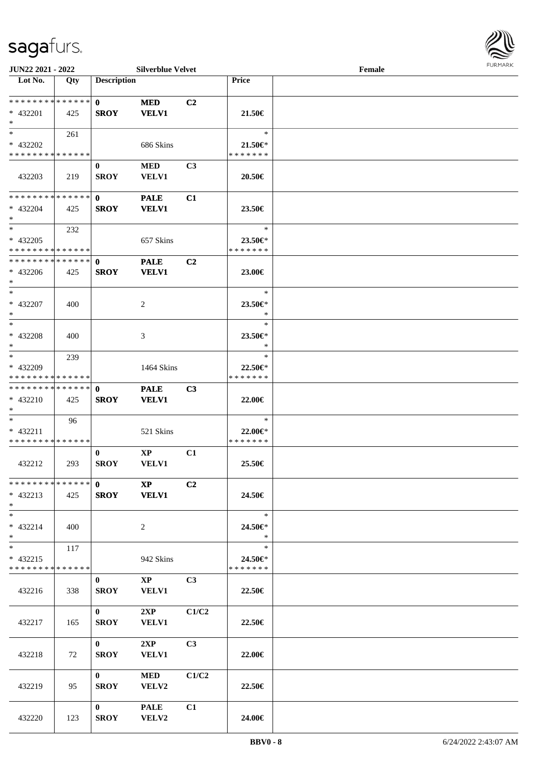

| <b>JUN22 2021 - 2022</b>      |     |                    | <b>Silverblue Velvet</b> |                |               | Female |  |
|-------------------------------|-----|--------------------|--------------------------|----------------|---------------|--------|--|
| Lot No.                       | Qty | <b>Description</b> |                          |                | <b>Price</b>  |        |  |
|                               |     |                    |                          |                |               |        |  |
| * * * * * * * * * * * * * *   |     | $\mathbf{0}$       | <b>MED</b>               | C2             |               |        |  |
| * 432201                      | 425 | <b>SROY</b>        | <b>VELV1</b>             |                | 21.50€        |        |  |
| $*$                           |     |                    |                          |                |               |        |  |
| $*$                           | 261 |                    |                          |                | $\ast$        |        |  |
| * 432202                      |     |                    | 686 Skins                |                | 21.50€*       |        |  |
| * * * * * * * * * * * * * *   |     |                    |                          |                | * * * * * * * |        |  |
|                               |     | $\bf{0}$           | <b>MED</b>               | C <sub>3</sub> |               |        |  |
| 432203                        | 219 | <b>SROY</b>        | <b>VELV1</b>             |                | 20.50€        |        |  |
|                               |     |                    |                          |                |               |        |  |
| * * * * * * * * * * * * * *   |     | $\mathbf{0}$       | <b>PALE</b>              | C1             |               |        |  |
| * 432204                      | 425 | <b>SROY</b>        | <b>VELV1</b>             |                | 23.50€        |        |  |
| $*$                           |     |                    |                          |                |               |        |  |
| $*$                           | 232 |                    |                          |                | $\ast$        |        |  |
| * 432205                      |     |                    | 657 Skins                |                | 23.50€*       |        |  |
| * * * * * * * * * * * * * *   |     |                    |                          |                | * * * * * * * |        |  |
| * * * * * * * * * * * * * *   |     | $\mathbf 0$        | <b>PALE</b>              | C <sub>2</sub> |               |        |  |
| * 432206                      | 425 | <b>SROY</b>        | <b>VELV1</b>             |                | 23.00€        |        |  |
| $*$                           |     |                    |                          |                |               |        |  |
| $*$                           |     |                    |                          |                | $\ast$        |        |  |
| $* 432207$                    | 400 |                    | 2                        |                | 23.50€*       |        |  |
| $*$                           |     |                    |                          |                | $\ast$        |        |  |
| $*$                           |     |                    |                          |                | $\ast$        |        |  |
| $* 432208$                    | 400 |                    | 3                        |                | 23.50€*       |        |  |
| $*$                           |     |                    |                          |                | $\ast$        |        |  |
| $*$                           | 239 |                    |                          |                | $\ast$        |        |  |
| * 432209                      |     |                    | 1464 Skins               |                | 22.50€*       |        |  |
| * * * * * * * * * * * * * *   |     |                    |                          |                | * * * * * * * |        |  |
| * * * * * * * * * * * * * *   |     | $\mathbf{0}$       | <b>PALE</b>              | C3             |               |        |  |
| * 432210                      | 425 | <b>SROY</b>        | <b>VELV1</b>             |                | 22.00€        |        |  |
| $*$                           |     |                    |                          |                |               |        |  |
| $*$                           | 96  |                    |                          |                | $\ast$        |        |  |
| * 432211                      |     |                    | 521 Skins                |                | 22.00€*       |        |  |
| * * * * * * * * * * * * * *   |     |                    |                          |                | * * * * * * * |        |  |
|                               |     | $\bf{0}$           | $\mathbf{X}\mathbf{P}$   | C1             |               |        |  |
| 432212                        | 293 | <b>SROY</b>        | VELV1                    |                | 25.50€        |        |  |
|                               |     |                    |                          |                |               |        |  |
| * * * * * * * * * * * * * * * |     | $\mathbf{0}$       | $\bold{XP}$              | C <sub>2</sub> |               |        |  |
| $* 432213$                    | 425 |                    | SROY VELV1               |                | 24.50€        |        |  |
| $*$                           |     |                    |                          |                |               |        |  |
| $*$                           |     |                    |                          |                | $\ast$        |        |  |
| * 432214                      | 400 |                    | $\overline{2}$           |                | 24.50€*       |        |  |
| $*$                           |     |                    |                          |                | $\ast$        |        |  |
| $*$ $*$                       | 117 |                    |                          |                | $\ast$        |        |  |
| $* 432215$                    |     |                    | 942 Skins                |                | 24.50€*       |        |  |
| * * * * * * * * * * * * * *   |     |                    |                          |                | * * * * * * * |        |  |
|                               |     | $\mathbf{0}$       | $\mathbf{X}\mathbf{P}$   | C <sub>3</sub> |               |        |  |
| 432216                        | 338 | <b>SROY</b>        | <b>VELV1</b>             |                | 22.50€        |        |  |
|                               |     |                    |                          |                |               |        |  |
|                               |     | $\mathbf{0}$       | 2XP                      | C1/C2          |               |        |  |
| 432217                        | 165 | <b>SROY</b>        | <b>VELV1</b>             |                | 22.50€        |        |  |
|                               |     |                    |                          |                |               |        |  |
|                               |     | $\mathbf{0}$       | 2XP                      | C3             |               |        |  |
| 432218                        | 72  | <b>SROY</b>        | <b>VELV1</b>             |                | 22.00€        |        |  |
|                               |     |                    |                          |                |               |        |  |
|                               |     | $\mathbf{0}$       | <b>MED</b>               | C1/C2          |               |        |  |
| 432219                        | 95  | <b>SROY</b>        | <b>VELV2</b>             |                | 22.50€        |        |  |
|                               |     |                    |                          |                |               |        |  |
|                               |     | $\mathbf{0}$       | <b>PALE</b>              | C1             |               |        |  |
| 432220                        | 123 | <b>SROY</b>        | VELV2                    |                | 24.00€        |        |  |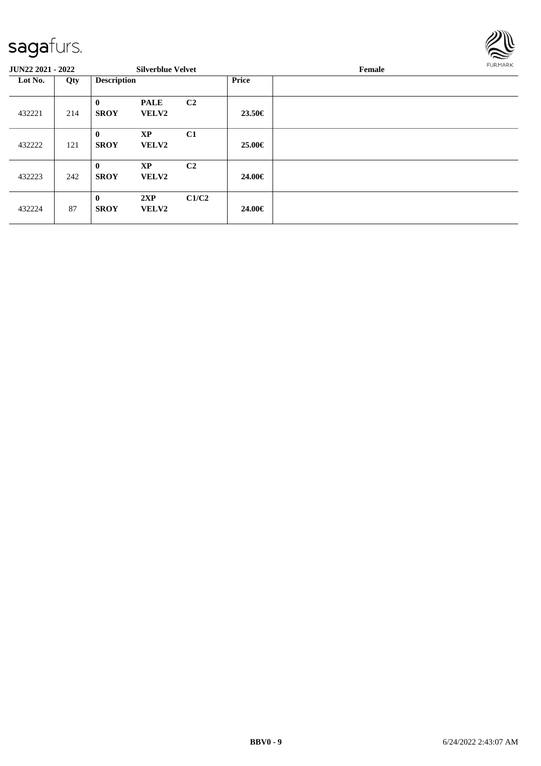

#### **JUN22 2021 - 2022 Silverblue Velvet Female Lot No. Qty Description Price** 432221 214 **0 PALE C2 SROY VELV2 23.50€** 432222 121 **0 XP C1 SROY VELV2 25.00€** 432223 242 **0 XP C2 SROY VELV2 24.00€** 432224 87 **0 2XP C1/C2 SROY VELV2 24.00€**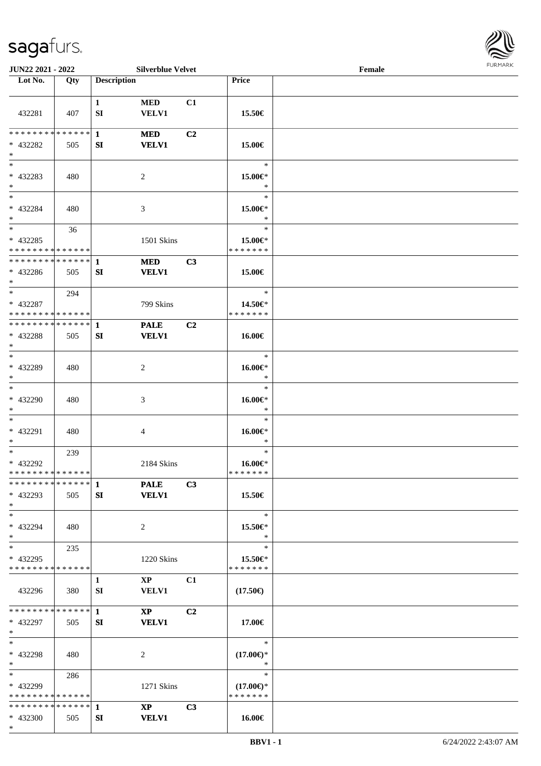

| JUN22 2021 - 2022                                                     |     |                    | <b>Silverblue Velvet</b>               |                |                                                | Female |  |
|-----------------------------------------------------------------------|-----|--------------------|----------------------------------------|----------------|------------------------------------------------|--------|--|
| Lot No.                                                               | Qty | <b>Description</b> |                                        |                | Price                                          |        |  |
| 432281                                                                | 407 | $\mathbf{1}$<br>SI | <b>MED</b><br>VELV1                    | C1             | 15.50€                                         |        |  |
| ******** <mark>******</mark><br>* 432282<br>$\ast$                    | 505 | $\mathbf{1}$<br>SI | <b>MED</b><br><b>VELV1</b>             | C <sub>2</sub> | 15.00€                                         |        |  |
| $\ast$<br>* 432283<br>$*$                                             | 480 |                    | $\overline{2}$                         |                | $\ast$<br>15.00€*<br>$\ast$                    |        |  |
| $\overline{\phantom{0}}$<br>* 432284<br>$*$                           | 480 |                    | 3                                      |                | $\ast$<br>15.00€*<br>$\ast$                    |        |  |
| $\overline{\phantom{0}}$<br>$* 432285$<br>* * * * * * * * * * * * * * | 36  |                    | 1501 Skins                             |                | $\ast$<br>15.00€*<br>* * * * * * *             |        |  |
| * * * * * * * * * * * * * * *<br>$* 432286$<br>$*$                    | 505 | $\mathbf{1}$<br>SI | <b>MED</b><br><b>VELV1</b>             | C3             | 15.00€                                         |        |  |
| $*$<br>* 432287<br>* * * * * * * * * * * * * *                        | 294 |                    | 799 Skins                              |                | $\ast$<br>14.50€*<br>* * * * * * *             |        |  |
| * * * * * * * * * * * * * * *<br>* 432288<br>$*$                      | 505 | 1<br>SI            | <b>PALE</b><br><b>VELV1</b>            | C2             | 16.00€                                         |        |  |
| $\overline{\ast}$<br>* 432289<br>$*$                                  | 480 |                    | $\overline{2}$                         |                | $\ast$<br>$16.00 \in$<br>$\ast$                |        |  |
| $\ast$<br>* 432290<br>$*$                                             | 480 |                    | 3                                      |                | $\ast$<br>16.00€*<br>$\ast$                    |        |  |
| $\ast$<br>* 432291<br>$*$                                             | 480 |                    | $\overline{4}$                         |                | $\ast$<br>$16.00 \in$ *<br>$\ast$              |        |  |
| $*$<br>* 432292<br>* * * * * * * * * * * * * *                        | 239 |                    | 2184 Skins                             |                | $\ast$<br>16.00€*<br>* * * * * * *             |        |  |
| **************<br>* 432293<br>$*$                                     | 505 | $\mathbf{1}$<br>SI | <b>PALE</b><br><b>VELV1</b>            | C3             | 15.50€                                         |        |  |
| $\ast$<br>* 432294<br>$*$                                             | 480 |                    | 2                                      |                | $\ast$<br>15.50€*<br>$\ast$                    |        |  |
| $*$<br>* 432295<br>* * * * * * * * * * * * * *                        | 235 |                    | 1220 Skins                             |                | $\ast$<br>15.50€*<br>* * * * * * *             |        |  |
| 432296                                                                | 380 | 1<br>SI            | $\mathbf{X}\mathbf{P}$<br>VELV1        | C1             | $(17.50\epsilon)$                              |        |  |
| **************<br>* 432297<br>$*$                                     | 505 | $\mathbf{1}$<br>SI | $\mathbf{X}\mathbf{P}$<br><b>VELV1</b> | C <sub>2</sub> | 17.00€                                         |        |  |
| $*$<br>* 432298<br>$*$                                                | 480 |                    | 2                                      |                | $\ast$<br>$(17.00\epsilon)$ *<br>$\ast$        |        |  |
| $*$ $*$<br>* 432299<br>* * * * * * * * * * * * * *                    | 286 |                    | 1271 Skins                             |                | $\ast$<br>$(17.00\epsilon)$ *<br>* * * * * * * |        |  |
| **************<br>* 432300<br>$*$                                     | 505 | $\mathbf{1}$<br>SI | $\mathbf{X}\mathbf{P}$<br><b>VELV1</b> | C3             | 16.00€                                         |        |  |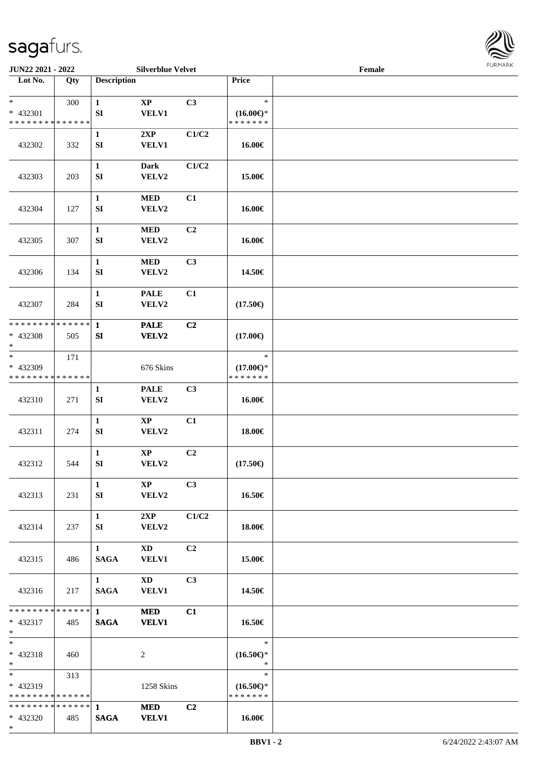

| JUN22 2021 - 2022             |     |                                       | <b>Silverblue Velvet</b>               |                |                     | Female |  |
|-------------------------------|-----|---------------------------------------|----------------------------------------|----------------|---------------------|--------|--|
| Lot No.                       | Qty | <b>Description</b>                    |                                        |                | Price               |        |  |
| $\ast$                        |     |                                       |                                        |                | $\ast$              |        |  |
| * 432301                      | 300 | $\mathbf{1}$<br>${\bf SI}$            | $\bold{XP}$<br><b>VELV1</b>            | C3             | $(16.00\epsilon)$ * |        |  |
| * * * * * * * * * * * * * *   |     |                                       |                                        |                | * * * * * * *       |        |  |
|                               |     | $\mathbf{1}$                          | 2XP                                    | C1/C2          |                     |        |  |
| 432302                        | 332 | SI                                    | <b>VELV1</b>                           |                | 16.00€              |        |  |
|                               |     |                                       |                                        |                |                     |        |  |
| 432303                        | 203 | $\mathbf{1}$<br>SI                    | Dark<br>VELV2                          | C1/C2          | 15.00€              |        |  |
|                               |     |                                       |                                        |                |                     |        |  |
|                               |     | $\mathbf{1}$                          | <b>MED</b>                             | C1             |                     |        |  |
| 432304                        | 127 | ${\bf SI}$                            | VELV2                                  |                | 16.00€              |        |  |
|                               |     |                                       |                                        |                |                     |        |  |
| 432305                        | 307 | $\mathbf{1}$<br>${\bf SI}$            | <b>MED</b><br>VELV2                    | C <sub>2</sub> | 16.00€              |        |  |
|                               |     |                                       |                                        |                |                     |        |  |
|                               |     | $\mathbf{1}$                          | <b>MED</b>                             | C3             |                     |        |  |
| 432306                        | 134 | ${\bf SI}$                            | VELV2                                  |                | 14.50€              |        |  |
|                               |     |                                       |                                        |                |                     |        |  |
| 432307                        | 284 | $\mathbf{1}$<br>${\bf SI}$            | <b>PALE</b><br>VELV2                   | C1             | $(17.50\epsilon)$   |        |  |
|                               |     |                                       |                                        |                |                     |        |  |
| * * * * * * * * * * * * * *   |     | $\mathbf{1}$                          | <b>PALE</b>                            | C <sub>2</sub> |                     |        |  |
| * 432308                      | 505 | SI                                    | VELV2                                  |                | $(17.00\epsilon)$   |        |  |
| $\ast$<br>$*$                 | 171 |                                       |                                        |                | $\ast$              |        |  |
| * 432309                      |     |                                       | 676 Skins                              |                | $(17.00\epsilon)$ * |        |  |
| * * * * * * * * * * * * * *   |     |                                       |                                        |                | * * * * * * *       |        |  |
|                               |     | 1                                     | <b>PALE</b>                            | C3             |                     |        |  |
| 432310                        | 271 | ${\bf SI}$                            | VELV2                                  |                | 16.00€              |        |  |
|                               |     | $\mathbf{1}$                          | $\mathbf{XP}$                          | C1             |                     |        |  |
| 432311                        | 274 | ${\bf SI}$                            | VELV2                                  |                | 18.00€              |        |  |
|                               |     |                                       |                                        |                |                     |        |  |
|                               |     | $\mathbf{1}$                          | $\bold{XP}$                            | C <sub>2</sub> |                     |        |  |
| 432312                        | 544 | ${\bf SI}$                            | VELV2                                  |                | $(17.50\epsilon)$   |        |  |
|                               |     | $\mathbf{1}$                          | $\mathbf{X}\mathbf{P}$                 | C3             |                     |        |  |
| 432313                        | 231 | SI                                    | <b>VELV2</b>                           |                | 16.50€              |        |  |
|                               |     |                                       |                                        |                |                     |        |  |
|                               |     | $\mathbf{1}$                          | 2XP                                    | C1/C2          |                     |        |  |
| 432314                        | 237 | SI                                    | <b>VELV2</b>                           |                | 18.00€              |        |  |
|                               |     | $1 \quad$                             | $\mathbf{X}\mathbf{D}$                 | C <sub>2</sub> |                     |        |  |
| 432315                        | 486 | <b>SAGA</b>                           | <b>VELV1</b>                           |                | 15.00€              |        |  |
|                               |     |                                       |                                        |                |                     |        |  |
| 432316                        | 217 | $1 \quad \blacksquare$<br><b>SAGA</b> | $\mathbf{X}\mathbf{D}$<br><b>VELV1</b> | C <sub>3</sub> | 14.50€              |        |  |
|                               |     |                                       |                                        |                |                     |        |  |
|                               |     |                                       | <b>MED</b>                             | C1             |                     |        |  |
| $* 432317$                    | 485 | <b>SAGA</b>                           | <b>VELV1</b>                           |                | 16.50€              |        |  |
| $*$ and $*$<br>$*$            |     |                                       |                                        |                | $\ast$              |        |  |
| * 432318                      | 460 |                                       | 2                                      |                | $(16.50\epsilon)$ * |        |  |
| $*$ $-$                       |     |                                       |                                        |                | $\ast$              |        |  |
|                               | 313 |                                       |                                        |                | $\ast$              |        |  |
| * 432319                      |     |                                       | 1258 Skins                             |                | $(16.50\epsilon)$ * |        |  |
| * * * * * * * * * * * * * * * |     |                                       | <b>MED</b>                             | C2             | * * * * * * *       |        |  |
| * 432320                      | 485 | <b>SAGA</b>                           | <b>VELV1</b>                           |                | 16.00€              |        |  |
| $*$                           |     |                                       |                                        |                |                     |        |  |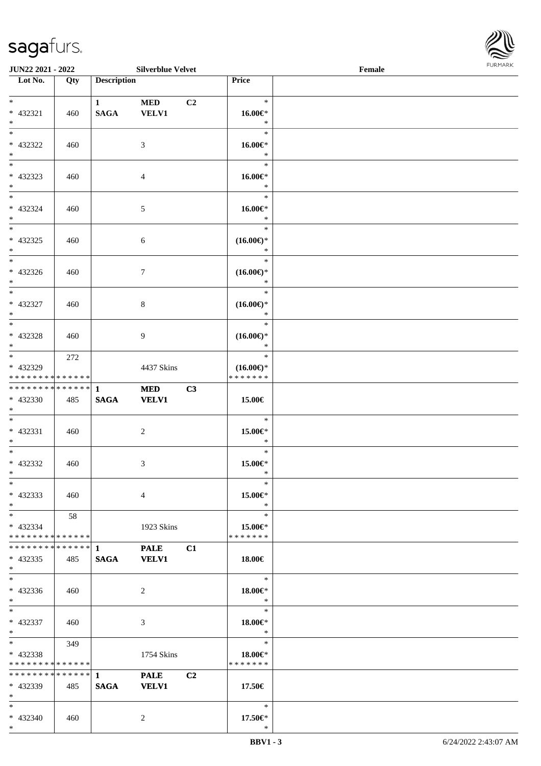\*



| <b>JUN22 2021 - 2022</b>                                      |           |                                  | <b>Silverblue Velvet</b>    |                |                                         | Female |  |
|---------------------------------------------------------------|-----------|----------------------------------|-----------------------------|----------------|-----------------------------------------|--------|--|
| Lot No.                                                       | Qty       | <b>Description</b>               |                             |                | <b>Price</b>                            |        |  |
| $*$<br>* 432321<br>$*$                                        | 460       | $\mathbf{1}$<br><b>SAGA</b>      | <b>MED</b><br><b>VELV1</b>  | C <sub>2</sub> | $\ast$<br>16.00€*<br>$\ast$             |        |  |
| $\overline{\mathbf{r}}$<br>* 432322<br>$*$                    | 460       |                                  | 3                           |                | $\ast$<br>$16.00 \in$<br>$\ast$         |        |  |
| * 432323<br>$\ast$<br>$\ddot{x}$                              | 460       |                                  | $\overline{4}$              |                | $\ast$<br>16.00€*<br>$\ast$             |        |  |
| * 432324<br>$*$<br>$\overline{\ast}$                          | 460       |                                  | $\mathfrak{S}$              |                | $\ast$<br>16.00€*<br>$\ast$<br>$\ast$   |        |  |
| $* 432325$<br>$*$<br>$\overline{\ }$                          | 460       |                                  | 6                           |                | $(16.00\epsilon)$ *<br>$\ast$<br>$\ast$ |        |  |
| * 432326<br>$*$                                               | 460       |                                  | $\tau$                      |                | $(16.00\epsilon)$ *<br>$\ast$<br>$\ast$ |        |  |
| * 432327<br>$*$<br>$\overline{\ast}$                          | 460       |                                  | 8                           |                | $(16.00\epsilon)$ *<br>$\ast$<br>$\ast$ |        |  |
| * 432328<br>$*$<br>$*$                                        | 460       |                                  | 9                           |                | $(16.00\epsilon)$ *<br>$\ast$<br>$\ast$ |        |  |
| * 432329<br>* * * * * * * * <mark>* * * * * *</mark> *        | 272       |                                  | 4437 Skins                  |                | $(16.00\epsilon)$ *<br>* * * * * * *    |        |  |
| * 432330<br>$*$<br>$\ddot{x}$                                 | 485       | <b>SAGA</b>                      | <b>MED</b><br><b>VELV1</b>  | C3             | 15.00€<br>$\ast$                        |        |  |
| $* 432331$<br>$*$<br>$\ddot{x}$                               | 460       |                                  | 2                           |                | 15.00€*<br>$\ast$<br>$\ast$             |        |  |
| * 432332<br>$*$ $-$<br>$\ast$                                 | 460       |                                  | 3                           |                | 15.00€*<br>$\ast$<br>$\ast$             |        |  |
| $* 432333$<br>$*$<br>$*$ $-$                                  | 460<br>58 |                                  | $\overline{4}$              |                | 15.00€*<br>$\ast$<br>$\ast$             |        |  |
| * 432334<br>* * * * * * * * <mark>* * * * * * *</mark>        |           |                                  | 1923 Skins<br><b>PALE</b>   | C1             | 15.00€*<br>* * * * * * *                |        |  |
| * 432335<br>$\ast$<br>$\ddot{x}$                              | 485       | <b>SAGA</b>                      | <b>VELV1</b>                |                | $18.00\in$<br>$\ast$                    |        |  |
| $* 432336$<br>$*$<br>$*$ $-$                                  | 460       |                                  | 2                           |                | $18.00 \in$<br>$\ast$<br>$\ast$         |        |  |
| * 432337<br>$*$<br>$*$ $-$                                    | 460       |                                  | 3                           |                | $18.00 \in$<br>$*$<br>$\ast$            |        |  |
| $* 432338$<br>* * * * * * * * <mark>* * * * * *</mark>        | 349       |                                  | 1754 Skins                  |                | 18.00€*<br>* * * * * * *                |        |  |
| * * * * * * * * * * * * * * <mark>*</mark><br>* 432339<br>$*$ | 485       | $1 \qquad \qquad$<br><b>SAGA</b> | <b>PALE</b><br><b>VELV1</b> | C <sub>2</sub> | 17.50€                                  |        |  |
| $*$<br>$* 432340$<br>$\ast$                                   | 460       |                                  | 2                           |                | $\ast$<br>$17.50 \in$<br>$\ast$         |        |  |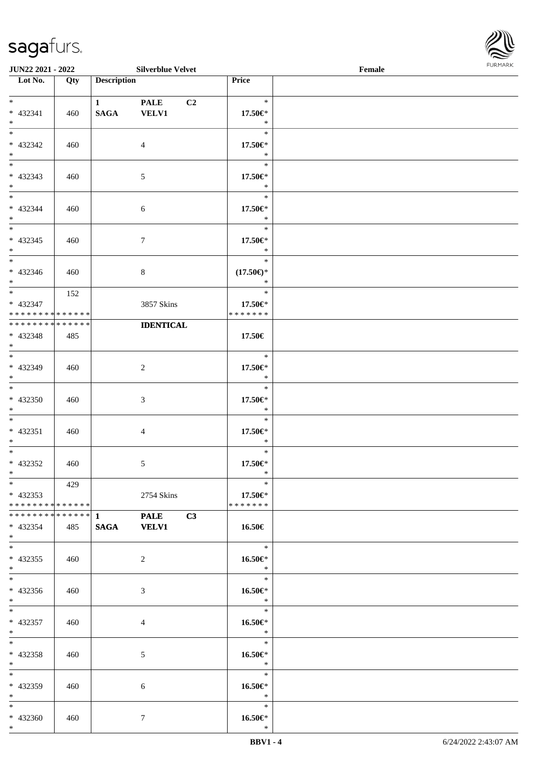

| <b>JUN22 2021 - 2022</b>      |     |                    | <b>Silverblue Velvet</b>      |                            | Female |  |
|-------------------------------|-----|--------------------|-------------------------------|----------------------------|--------|--|
| Lot No.                       | Qty | <b>Description</b> |                               | Price                      |        |  |
|                               |     |                    |                               |                            |        |  |
| $*$                           |     | $\mathbf{1}$       | <b>PALE</b><br>C <sub>2</sub> | $\ast$                     |        |  |
| * 432341                      | 460 | <b>SAGA</b>        | <b>VELV1</b>                  | 17.50€*                    |        |  |
| $*$                           |     |                    |                               | $\ast$                     |        |  |
|                               |     |                    |                               | $\ast$                     |        |  |
| * 432342                      | 460 |                    | $\overline{4}$                | 17.50€*                    |        |  |
| $*$                           |     |                    |                               | $\ast$                     |        |  |
| $\overline{\ast}$             |     |                    |                               | $\ast$                     |        |  |
| * 432343                      | 460 |                    | 5                             | 17.50€*                    |        |  |
| $*$                           |     |                    |                               | $\ast$                     |        |  |
| $*$                           |     |                    |                               | $\ast$                     |        |  |
| * 432344                      | 460 |                    | 6                             | 17.50€*                    |        |  |
| $*$                           |     |                    |                               | $\ast$                     |        |  |
|                               |     |                    |                               | $\ast$                     |        |  |
| $* 432345$                    | 460 |                    | $7\phantom{.0}$               | 17.50€*                    |        |  |
| $*$                           |     |                    |                               | $\ast$                     |        |  |
|                               |     |                    |                               | $\ast$                     |        |  |
| * 432346                      | 460 |                    | $8\,$                         | $(17.50\epsilon)$ *        |        |  |
| $*$                           |     |                    |                               | $\ast$                     |        |  |
| $*$                           | 152 |                    |                               | $\ast$                     |        |  |
| * 432347                      |     |                    | 3857 Skins                    | 17.50€*                    |        |  |
| * * * * * * * * * * * * * *   |     |                    |                               | * * * * * * *              |        |  |
| * * * * * * * * * * * * * *   |     |                    | <b>IDENTICAL</b>              |                            |        |  |
| * 432348                      | 485 |                    |                               | 17.50€                     |        |  |
| $*$                           |     |                    |                               |                            |        |  |
|                               |     |                    |                               | $\ast$                     |        |  |
| * 432349                      | 460 |                    | $\overline{c}$                | 17.50€*                    |        |  |
| $*$                           |     |                    |                               | $\ast$                     |        |  |
| $*$                           |     |                    |                               | $\ast$                     |        |  |
| $* 432350$                    | 460 |                    | 3                             | 17.50€*                    |        |  |
| $*$                           |     |                    |                               | $\ast$                     |        |  |
| $*$                           |     |                    |                               | $\ast$                     |        |  |
| $* 432351$                    | 460 |                    | 4                             | 17.50€*                    |        |  |
| $*$                           |     |                    |                               | $\ast$                     |        |  |
| $*$ $-$                       |     |                    |                               | $\ast$                     |        |  |
| * 432352                      | 460 |                    | $\mathfrak{S}$                | 17.50€*                    |        |  |
| $*$ $\qquad$                  |     |                    |                               | $\ast$                     |        |  |
| $*$                           | 429 |                    |                               | $\ast$                     |        |  |
| $*$ 432353                    |     |                    | 2754 Skins                    | 17.50 $\in$ *              |        |  |
| * * * * * * * * * * * * * * * |     |                    |                               | * * * * * * *              |        |  |
|                               |     |                    | *************** 1 PALE C3     |                            |        |  |
| * 432354                      | 485 |                    | SAGA VELV1                    | 16.50€                     |        |  |
| $*$ $-$                       |     |                    |                               |                            |        |  |
| $*$ $-$                       |     |                    |                               | $\overline{\phantom{0}}$ * |        |  |
| * 432355                      | 460 |                    | 2                             | 16.50€*                    |        |  |
| $*$                           |     |                    |                               | $\ast$                     |        |  |
|                               |     |                    |                               | $\overline{\phantom{0}}$   |        |  |
| $* 432356$                    | 460 |                    | 3                             | 16.50€*                    |        |  |
| $*$ $-$                       |     |                    |                               | $\ast$                     |        |  |
| $*$ $-$                       |     |                    |                               | $\ast$                     |        |  |
| * 432357                      | 460 |                    | $\overline{4}$                | 16.50€*                    |        |  |
| $*$ $-$                       |     |                    |                               | $\ast$                     |        |  |
| $*$ $-$                       |     |                    |                               | $\ast$                     |        |  |
| * 432358                      | 460 |                    | 5                             | $16.50 \in$                |        |  |
| $*$ $-$                       |     |                    |                               | $\ast$                     |        |  |
| $*$                           |     |                    |                               | $\ast$                     |        |  |
| * 432359                      | 460 |                    |                               |                            |        |  |
| $*$ $*$                       |     |                    | 6                             | 16.50 $\in$ *<br>$\ast$    |        |  |
| $*$ $*$                       |     |                    |                               | $\ast$                     |        |  |
| * 432360                      | 460 |                    | $\tau$                        | 16.50€*                    |        |  |
| $*$                           |     |                    |                               | $\ast$                     |        |  |
|                               |     |                    |                               |                            |        |  |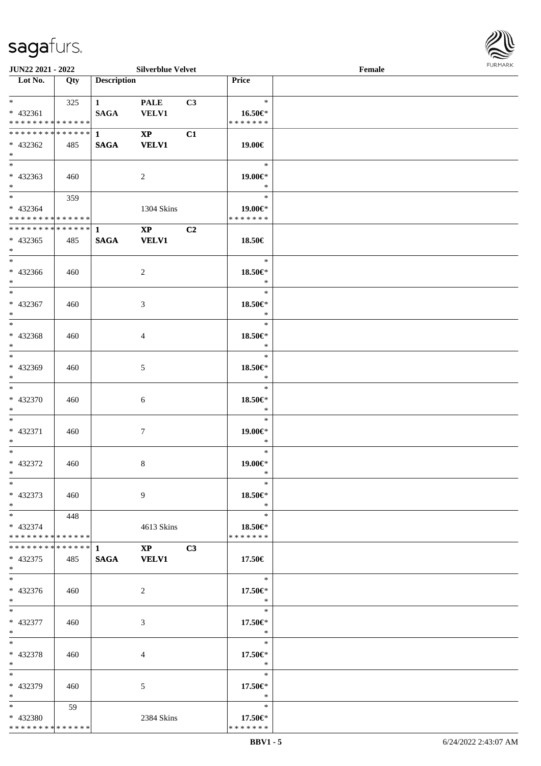

| <b>JUN22 2021 - 2022</b>      |     |                    | <b>Silverblue Velvet</b> |    |               | Female |  |
|-------------------------------|-----|--------------------|--------------------------|----|---------------|--------|--|
| Lot No.                       | Qty | <b>Description</b> |                          |    | Price         |        |  |
|                               |     |                    |                          |    |               |        |  |
| $*$ $*$                       | 325 | $1$ and $1$        | <b>PALE</b>              | C3 | $\ast$        |        |  |
| * 432361                      |     | <b>SAGA</b>        | <b>VELV1</b>             |    | 16.50€*       |        |  |
| * * * * * * * * * * * * * *   |     |                    |                          |    | * * * * * * * |        |  |
| * * * * * * * * * * * * * * * |     | $1$ and $1$        | $\mathbf{XP}$            | C1 |               |        |  |
|                               |     | <b>SAGA</b>        |                          |    |               |        |  |
| * 432362                      | 485 |                    | <b>VELV1</b>             |    | 19.00€        |        |  |
| $*$                           |     |                    |                          |    |               |        |  |
|                               |     |                    |                          |    | $\ast$        |        |  |
| $* 432363$                    | 460 |                    | $\overline{2}$           |    | 19.00€*       |        |  |
| $*$                           |     |                    |                          |    | $\ast$        |        |  |
| $*$                           | 359 |                    |                          |    | $\ast$        |        |  |
| $* 432364$                    |     |                    | 1304 Skins               |    | 19.00€*       |        |  |
| * * * * * * * * * * * * * * * |     |                    |                          |    | * * * * * * * |        |  |
| ******** <mark>******</mark>  |     | $\mathbf{1}$       | $\mathbf{X}\mathbf{P}$   | C2 |               |        |  |
| $* 432365$                    | 485 | <b>SAGA</b>        | <b>VELV1</b>             |    | 18.50€        |        |  |
| $*$                           |     |                    |                          |    |               |        |  |
| $*$                           |     |                    |                          |    | $\ast$        |        |  |
|                               |     |                    |                          |    |               |        |  |
| $* 432366$                    | 460 |                    | 2                        |    | 18.50€*       |        |  |
| $*$                           |     |                    |                          |    | $\ast$        |        |  |
|                               |     |                    |                          |    | $\ast$        |        |  |
| * 432367                      | 460 |                    | 3                        |    | 18.50€*       |        |  |
| $*$                           |     |                    |                          |    | $\ast$        |        |  |
| $\overline{\ast}$             |     |                    |                          |    | $\ast$        |        |  |
| * 432368                      | 460 |                    | 4                        |    | 18.50€*       |        |  |
| $*$                           |     |                    |                          |    | $\ast$        |        |  |
| $*$                           |     |                    |                          |    |               |        |  |
|                               |     |                    |                          |    | $\ast$        |        |  |
| * 432369                      | 460 |                    | 5                        |    | 18.50€*       |        |  |
| $*$                           |     |                    |                          |    | $\ast$        |        |  |
| $\overline{\ast}$             |     |                    |                          |    | $\ast$        |        |  |
| * 432370                      | 460 |                    | 6                        |    | 18.50€*       |        |  |
| $*$                           |     |                    |                          |    | $\ast$        |        |  |
| $*$                           |     |                    |                          |    | $\ast$        |        |  |
| $* 432371$                    | 460 |                    |                          |    | 19.00€*       |        |  |
|                               |     |                    | 7                        |    | $\ast$        |        |  |
| $*$                           |     |                    |                          |    |               |        |  |
| $*$                           |     |                    |                          |    | $\ast$        |        |  |
| * 432372                      | 460 |                    | 8                        |    | 19.00€*       |        |  |
| $*$                           |     |                    |                          |    | $\ast$        |        |  |
| $*$                           |     |                    |                          |    | $\ast$        |        |  |
| * 432373                      | 460 |                    | 9                        |    | 18.50€*       |        |  |
| $*$                           |     |                    |                          |    | $\ast$        |        |  |
| $*$ $*$                       | 448 |                    |                          |    | $\ast$        |        |  |
| * 432374                      |     |                    | 4613 Skins               |    | 18.50 $\in$ * |        |  |
| * * * * * * * * * * * * * * * |     |                    |                          |    | * * * * * * * |        |  |
|                               |     |                    |                          |    |               |        |  |
| ************** 1              |     |                    | $\mathbf{XP}$            | C3 |               |        |  |
| $* 432375$                    | 485 | <b>SAGA</b>        | <b>VELV1</b>             |    | 17.50€        |        |  |
| $*$                           |     |                    |                          |    |               |        |  |
| $*$                           |     |                    |                          |    | $\ast$        |        |  |
| $* 432376$                    | 460 |                    | 2                        |    | 17.50€*       |        |  |
| $*$                           |     |                    |                          |    | $*$           |        |  |
| $*$                           |     |                    |                          |    | $\ast$        |        |  |
| $* 432377$                    | 460 |                    | 3                        |    | 17.50€*       |        |  |
| $*$                           |     |                    |                          |    | $\ast$        |        |  |
|                               |     |                    |                          |    |               |        |  |
| $*$                           |     |                    |                          |    | $\ast$        |        |  |
| * 432378                      | 460 |                    | 4                        |    | 17.50€*       |        |  |
| $*$                           |     |                    |                          |    | $\ast$        |        |  |
| $*$                           |     |                    |                          |    | $\ast$        |        |  |
| * 432379                      | 460 |                    | 5                        |    | 17.50 $\in$ * |        |  |
| $*$ $*$                       |     |                    |                          |    | $\ast$        |        |  |
| $*$ $*$                       | 59  |                    |                          |    | $\ast$        |        |  |
| * 432380                      |     |                    | 2384 Skins               |    | 17.50€*       |        |  |
| * * * * * * * * * * * * * *   |     |                    |                          |    | * * * * * * * |        |  |
|                               |     |                    |                          |    |               |        |  |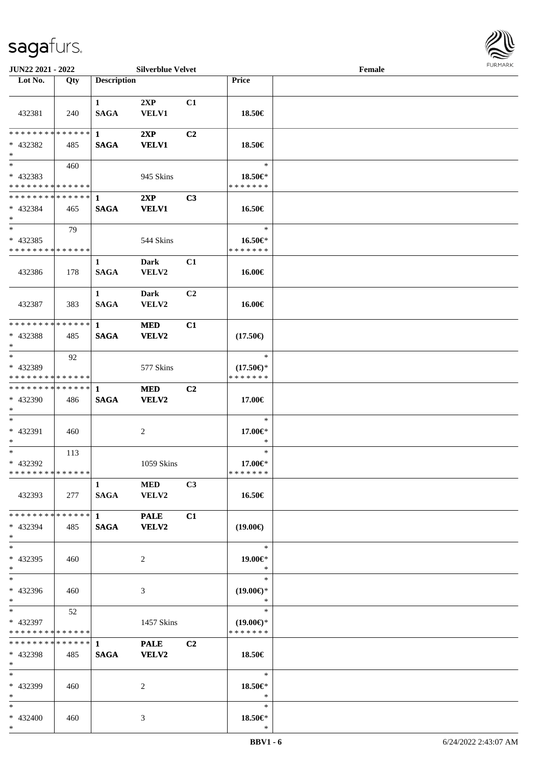

| JUN22 2021 - 2022                                  |     |                               | <b>Silverblue Velvet</b>    |                |                                                | Female | <b>FURMARK</b> |
|----------------------------------------------------|-----|-------------------------------|-----------------------------|----------------|------------------------------------------------|--------|----------------|
| $\overline{\text{Lot No.}}$                        | Qty | <b>Description</b>            |                             |                | Price                                          |        |                |
| 432381                                             | 240 | $\mathbf{1}$<br><b>SAGA</b>   | 2XP<br><b>VELV1</b>         | C1             | 18.50€                                         |        |                |
| ******** <mark>******</mark> 1<br>* 432382<br>$*$  | 485 | <b>SAGA</b>                   | 2XP<br><b>VELV1</b>         | C <sub>2</sub> | 18.50€                                         |        |                |
| $*$<br>* 432383<br>* * * * * * * * * * * * * *     | 460 |                               | 945 Skins                   |                | $\ast$<br>18.50€*<br>* * * * * * *             |        |                |
| **************<br>$* 432384$<br>$*$                | 465 | $\blacksquare$<br><b>SAGA</b> | 2XP<br><b>VELV1</b>         | C3             | 16.50€                                         |        |                |
| $*$<br>* 432385<br>* * * * * * * * * * * * * *     | 79  |                               | 544 Skins                   |                | $\ast$<br>16.50€*<br>* * * * * * *             |        |                |
| 432386                                             | 178 | $\mathbf{1}$<br><b>SAGA</b>   | <b>Dark</b><br>VELV2        | C1             | 16.00€                                         |        |                |
| 432387                                             | 383 | $\mathbf{1}$<br><b>SAGA</b>   | Dark<br>VELV2               | C2             | 16.00€                                         |        |                |
| * * * * * * * * * * * * * * *<br>$* 432388$<br>$*$ | 485 | $\mathbf{1}$<br><b>SAGA</b>   | <b>MED</b><br>VELV2         | C1             | $(17.50\epsilon)$                              |        |                |
| $*$<br>* 432389<br>* * * * * * * * * * * * * * *   | 92  |                               | 577 Skins                   |                | $\ast$<br>$(17.50\epsilon)$ *<br>* * * * * * * |        |                |
| * * * * * * * * * * * * * * *<br>* 432390<br>$*$   | 486 | $\mathbf 1$<br><b>SAGA</b>    | <b>MED</b><br><b>VELV2</b>  | C2             | 17.00€                                         |        |                |
| $*$<br>* 432391<br>$*$                             | 460 |                               | 2                           |                | $\ast$<br>17.00€*<br>$\ast$                    |        |                |
| $*$<br>* 432392<br>* * * * * * * * * * * * * *     | 113 |                               | 1059 Skins                  |                | $\ast$<br>17.00€*<br>* * * * * * *             |        |                |
| 432393                                             | 277 | $\mathbf{1}$<br><b>SAGA</b>   | <b>MED</b><br><b>VELV2</b>  | C <sub>3</sub> | 16.50€                                         |        |                |
| * * * * * * * * * * * * * * *<br>* 432394<br>$*$   | 485 | $\mathbf{1}$<br><b>SAGA</b>   | <b>PALE</b><br><b>VELV2</b> | C1             | $(19.00\epsilon)$                              |        |                |
| $*$<br>* 432395<br>$*$                             | 460 |                               | 2                           |                | $\ast$<br>19.00€*<br>$\ast$                    |        |                |
| $*$<br>* 432396<br>$*$                             | 460 |                               | 3                           |                | $\ast$<br>$(19.00\epsilon)$ *<br>$\ast$        |        |                |
| $*$<br>* 432397<br>* * * * * * * * * * * * * * *   | 52  |                               | 1457 Skins                  |                | $\ast$<br>$(19.00\epsilon)$ *<br>* * * * * * * |        |                |
| * 432398<br>$*$                                    | 485 | <b>SAGA</b>                   | <b>PALE</b><br><b>VELV2</b> | C2             | 18.50€                                         |        |                |
| $*$<br>* 432399<br>$*$                             | 460 |                               | 2                           |                | $\ast$<br>18.50€*<br>$\ast$                    |        |                |
| $*$<br>* 432400<br>$*$                             | 460 |                               | 3                           |                | $\ast$<br>18.50€*<br>$\ast$                    |        |                |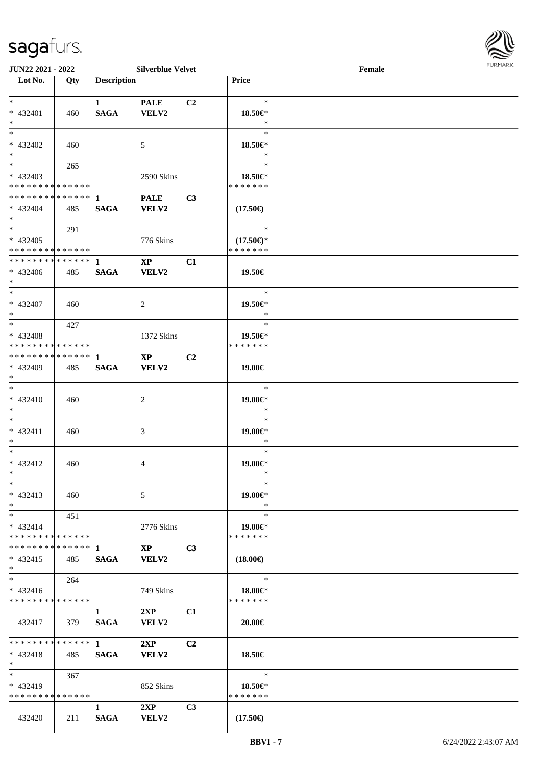

| <b>JUN22 2021 - 2022</b>                             |     |                    | <b>Silverblue Velvet</b> |                |                          | Female |  |
|------------------------------------------------------|-----|--------------------|--------------------------|----------------|--------------------------|--------|--|
| Lot No.                                              | Qty | <b>Description</b> |                          |                | Price                    |        |  |
|                                                      |     |                    |                          |                |                          |        |  |
| $*$                                                  |     | $\mathbf{1}$       | <b>PALE</b>              | C2             | $\ast$                   |        |  |
| * 432401                                             | 460 | <b>SAGA</b>        | VELV2                    |                | 18.50€*                  |        |  |
| $*$                                                  |     |                    |                          |                | $\ast$                   |        |  |
| $*$                                                  |     |                    |                          |                | $\ast$                   |        |  |
| * 432402                                             | 460 |                    | 5                        |                | 18.50€*                  |        |  |
| $*$                                                  |     |                    |                          |                | $\ast$                   |        |  |
|                                                      | 265 |                    |                          |                | $\ast$                   |        |  |
| * 432403                                             |     |                    | 2590 Skins               |                | 18.50€*                  |        |  |
| * * * * * * * * * * * * * *                          |     |                    |                          |                | * * * * * * *            |        |  |
| * * * * * * * * <mark>* * * * * * *</mark>           |     | 1                  | <b>PALE</b>              | C <sub>3</sub> |                          |        |  |
| * 432404                                             | 485 | <b>SAGA</b>        | VELV2                    |                | $(17.50\epsilon)$        |        |  |
| $*$                                                  |     |                    |                          |                |                          |        |  |
| $*$                                                  | 291 |                    |                          |                | $\ast$                   |        |  |
| * 432405                                             |     |                    | 776 Skins                |                | $(17.50\epsilon)$ *      |        |  |
| * * * * * * * * * * * * * * *                        |     |                    |                          |                | * * * * * * *            |        |  |
| * * * * * * * * * * * * * * *                        |     | $\mathbf 1$        | $\mathbf{X}\mathbf{P}$   | C1             |                          |        |  |
| $* 432406$                                           | 485 | <b>SAGA</b>        | VELV2                    |                | 19.50€                   |        |  |
| $*$                                                  |     |                    |                          |                |                          |        |  |
| $*$                                                  |     |                    |                          |                | $\ast$                   |        |  |
|                                                      |     |                    |                          |                |                          |        |  |
| * 432407<br>$*$                                      | 460 |                    | 2                        |                | 19.50€*<br>$\ast$        |        |  |
| $*$ $-$                                              |     |                    |                          |                | $\ast$                   |        |  |
|                                                      | 427 |                    |                          |                |                          |        |  |
| * 432408<br>* * * * * * * * <mark>* * * * * *</mark> |     |                    | 1372 Skins               |                | 19.50€*<br>* * * * * * * |        |  |
| ******** <mark>******</mark>                         |     |                    |                          |                |                          |        |  |
|                                                      |     | 1                  | $\bold{XP}$              | C <sub>2</sub> |                          |        |  |
| * 432409                                             | 485 | <b>SAGA</b>        | VELV2                    |                | 19.00€                   |        |  |
| $*$                                                  |     |                    |                          |                |                          |        |  |
| $*$                                                  |     |                    |                          |                | $\ast$                   |        |  |
| $* 432410$                                           | 460 |                    | 2                        |                | 19.00€*                  |        |  |
| $*$                                                  |     |                    |                          |                | $\ast$                   |        |  |
| $*$                                                  |     |                    |                          |                | $\ast$                   |        |  |
| $* 432411$                                           | 460 |                    | 3                        |                | 19.00€*                  |        |  |
| $\ast$                                               |     |                    |                          |                | $\ast$                   |        |  |
| $*$                                                  |     |                    |                          |                | $\ast$                   |        |  |
| * 432412                                             | 460 |                    | 4                        |                | 19.00€*                  |        |  |
| $*$ $-$                                              |     |                    |                          |                | $\ast$                   |        |  |
| $\ast$                                               |     |                    |                          |                | $\ast$                   |        |  |
| * 432413                                             | 460 |                    | 5                        |                | 19.00€*                  |        |  |
| $*$                                                  |     |                    |                          |                | $\ast$                   |        |  |
| $*$                                                  | 451 |                    |                          |                | $\ast$                   |        |  |
| $* 432414$                                           |     |                    | 2776 Skins               |                | 19.00€*                  |        |  |
| * * * * * * * * * * * * * * *                        |     |                    |                          |                | * * * * * * *            |        |  |
|                                                      |     |                    | $\mathbf{X} \mathbf{P}$  | C <sub>3</sub> |                          |        |  |
| $* 432415$                                           | 485 | <b>SAGA</b>        | <b>VELV2</b>             |                | $(18.00\epsilon)$        |        |  |
| $*$                                                  |     |                    |                          |                |                          |        |  |
| $*$ $-$                                              | 264 |                    |                          |                | $\ast$                   |        |  |
| $* 432416$                                           |     |                    | 749 Skins                |                | 18.00 $\in$ *            |        |  |
| * * * * * * * * * * * * * * *                        |     |                    |                          |                | * * * * * * *            |        |  |
|                                                      |     | 1                  | 2XP                      | C1             |                          |        |  |
| 432417                                               | 379 | <b>SAGA</b>        | <b>VELV2</b>             |                | 20.00€                   |        |  |
|                                                      |     |                    |                          |                |                          |        |  |
| * * * * * * * * * * * * * * <mark>*</mark>           |     | $1 \qquad \qquad$  | 2XP                      | C <sub>2</sub> |                          |        |  |
| $* 432418$                                           | 485 | <b>SAGA</b>        | <b>VELV2</b>             |                | 18.50€                   |        |  |
| $\ast$                                               |     |                    |                          |                |                          |        |  |
| $*$ and $*$                                          | 367 |                    |                          |                | $\ast$                   |        |  |
| $* 432419$                                           |     |                    | 852 Skins                |                | 18.50€*                  |        |  |
| * * * * * * * * * * * * * * *                        |     |                    |                          |                | * * * * * * *            |        |  |
|                                                      |     | $\mathbf{1}$       | 2XP                      | C <sub>3</sub> |                          |        |  |
| 432420                                               | 211 | SAGA               | VELV2                    |                | $(17.50\epsilon)$        |        |  |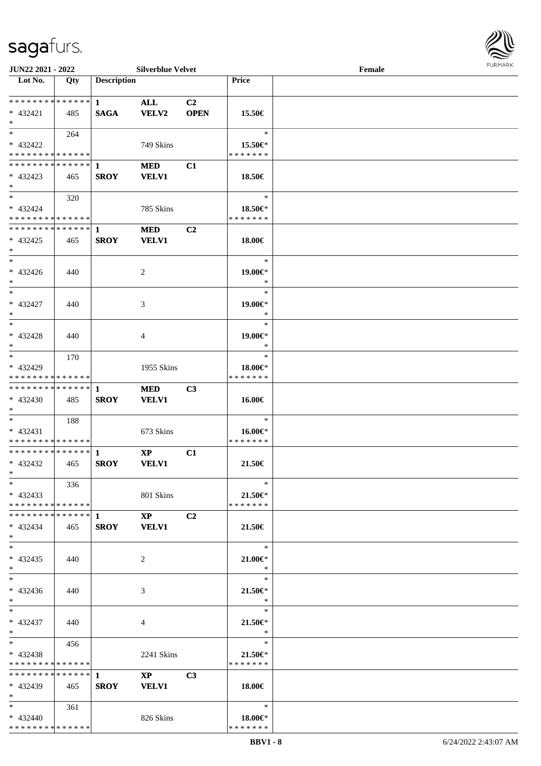

| JUN22 2021 - 2022                             |     |                    | <b>Silverblue Velvet</b>      |                |                          | Female |  |
|-----------------------------------------------|-----|--------------------|-------------------------------|----------------|--------------------------|--------|--|
| Lot No.                                       | Qty | <b>Description</b> |                               |                | <b>Price</b>             |        |  |
|                                               |     |                    |                               |                |                          |        |  |
| **************                                |     | $\mathbf{1}$       | <b>ALL</b>                    | C <sub>2</sub> |                          |        |  |
| $* 432421$<br>$*$                             | 485 | <b>SAGA</b>        | VELV2                         | <b>OPEN</b>    | 15.50€                   |        |  |
| $*$                                           | 264 |                    |                               |                | $\ast$                   |        |  |
| * 432422                                      |     |                    | 749 Skins                     |                | 15.50€*                  |        |  |
| * * * * * * * * * * * * * *                   |     |                    |                               |                | * * * * * * *            |        |  |
|                                               |     |                    | <b>MED</b>                    | C1             |                          |        |  |
| $* 432423$                                    | 465 | <b>SROY</b>        | <b>VELV1</b>                  |                | 18.50€                   |        |  |
| $*$                                           |     |                    |                               |                |                          |        |  |
| $*$                                           | 320 |                    |                               |                | $\ast$                   |        |  |
| * 432424                                      |     |                    | 785 Skins                     |                | 18.50€*                  |        |  |
| * * * * * * * * * * * * * *                   |     |                    |                               |                | * * * * * * *            |        |  |
| * * * * * * * * * * * * * * *                 |     | $\mathbf 1$        | <b>MED</b>                    | C2             |                          |        |  |
| $* 432425$                                    | 465 | <b>SROY</b>        | <b>VELV1</b>                  |                | 18.00€                   |        |  |
| $\ast$<br>$\ast$                              |     |                    |                               |                |                          |        |  |
|                                               |     |                    |                               |                | $\ast$                   |        |  |
| $* 432426$<br>$*$                             | 440 |                    | 2                             |                | 19.00€*<br>$\ast$        |        |  |
| $\ast$                                        |     |                    |                               |                | $\ast$                   |        |  |
| $* 432427$                                    | 440 |                    | 3                             |                | 19.00€*                  |        |  |
| $*$                                           |     |                    |                               |                | $\ast$                   |        |  |
| $\ast$                                        |     |                    |                               |                | $\ast$                   |        |  |
| * 432428                                      | 440 |                    | 4                             |                | 19.00€*                  |        |  |
| $*$                                           |     |                    |                               |                | $\ast$                   |        |  |
| $*$                                           | 170 |                    |                               |                | $\ast$                   |        |  |
| * 432429                                      |     |                    | 1955 Skins                    |                | 18.00€*                  |        |  |
| * * * * * * * * * * * * * *                   |     |                    |                               |                | * * * * * * *            |        |  |
| ************** 1                              |     |                    | <b>MED</b>                    | C3             |                          |        |  |
| $* 432430$                                    | 485 | <b>SROY</b>        | <b>VELV1</b>                  |                | 16.00€                   |        |  |
| $*$<br>$*$                                    |     |                    |                               |                | $\ast$                   |        |  |
| $* 432431$                                    | 188 |                    | 673 Skins                     |                | 16.00€*                  |        |  |
| * * * * * * * * * * * * * *                   |     |                    |                               |                | * * * * * * *            |        |  |
| ******** <mark>******</mark>                  |     | $\mathbf{1}$       | $\mathbf{X}\mathbf{P}$        | C1             |                          |        |  |
| $* 432432$                                    | 465 | <b>SROY</b>        | <b>VELV1</b>                  |                | 21.50€                   |        |  |
| $*$                                           |     |                    |                               |                |                          |        |  |
| $*$                                           | 336 |                    |                               |                | $\ast$                   |        |  |
| $* 432433$                                    |     |                    | 801 Skins                     |                | 21.50€*                  |        |  |
| **************                                |     |                    |                               |                | * * * * * * *            |        |  |
|                                               |     |                    | $\mathbf{X}\mathbf{P}$        | C <sub>2</sub> |                          |        |  |
| $* 432434$                                    | 465 | <b>SROY</b>        | <b>VELV1</b>                  |                | 21.50€                   |        |  |
| $*$<br>$*$                                    |     |                    |                               |                | $\ast$                   |        |  |
| $* 432435$                                    | 440 |                    | 2                             |                | $21.00 \in$              |        |  |
| $*$                                           |     |                    |                               |                | $\ast$                   |        |  |
| $*$                                           |     |                    |                               |                | $\ast$                   |        |  |
| $* 432436$                                    | 440 |                    | 3                             |                | $21.50 \in$              |        |  |
| $*$                                           |     |                    |                               |                | $\ast$                   |        |  |
| $*$                                           |     |                    |                               |                | $\ast$                   |        |  |
| * 432437                                      | 440 |                    | 4                             |                | $21.50 \in$              |        |  |
| $*$                                           |     |                    |                               |                | $\ast$                   |        |  |
| $*$ and $*$                                   | 456 |                    |                               |                | $\ast$                   |        |  |
| $* 432438$                                    |     |                    | 2241 Skins                    |                | 21.50€*<br>* * * * * * * |        |  |
| * * * * * * * * * * * * * *<br>************** |     | $\mathbf{1}$       |                               |                |                          |        |  |
| * 432439                                      |     | <b>SROY</b>        | $\mathbf{XP}$<br><b>VELV1</b> | C <sub>3</sub> | 18.00€                   |        |  |
| $*$                                           | 465 |                    |                               |                |                          |        |  |
| $*$ and $*$                                   | 361 |                    |                               |                | $\ast$                   |        |  |
| $* 432440$                                    |     |                    | 826 Skins                     |                | 18.00€*                  |        |  |
| * * * * * * * * * * * * * *                   |     |                    |                               |                | * * * * * * *            |        |  |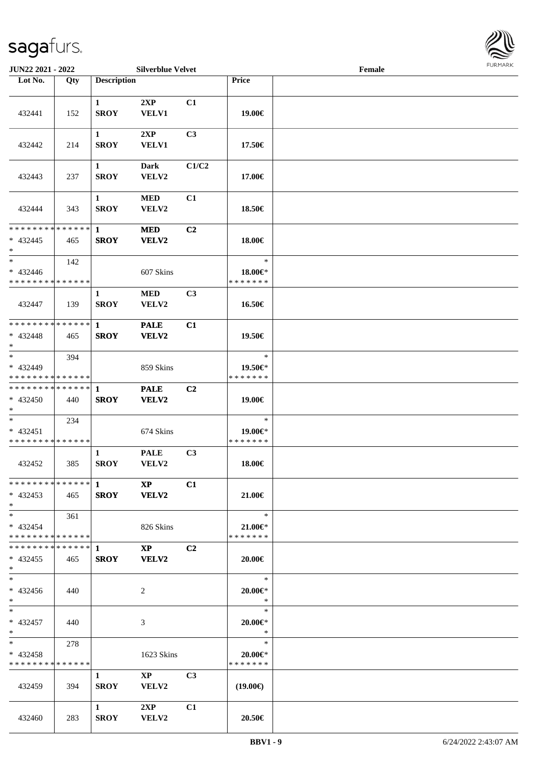

| JUN22 2021 - 2022                                       |       |                             | <b>Silverblue Velvet</b>               |                |                                    | Female |  |
|---------------------------------------------------------|-------|-----------------------------|----------------------------------------|----------------|------------------------------------|--------|--|
| Lot No.                                                 | Qty   | <b>Description</b>          |                                        |                | Price                              |        |  |
| 432441                                                  | 152   | $\mathbf{1}$<br><b>SROY</b> | 2XP<br>VELV1                           | C1             | 19.00€                             |        |  |
| 432442                                                  | 214   | $\mathbf{1}$<br><b>SROY</b> | 2XP<br><b>VELV1</b>                    | C3             | 17.50€                             |        |  |
| 432443                                                  | 237   | $\mathbf{1}$<br><b>SROY</b> | <b>Dark</b><br>VELV2                   | C1/C2          | 17.00€                             |        |  |
| 432444                                                  | 343   | $\mathbf{1}$<br><b>SROY</b> | <b>MED</b><br>VELV2                    | C1             | 18.50€                             |        |  |
| * * * * * * * * * * * * * * *<br>$* 432445$<br>$*$      | 465   | $\mathbf{1}$<br><b>SROY</b> | <b>MED</b><br>VELV2                    | C2             | 18.00€                             |        |  |
| $*$<br>$* 432446$<br>* * * * * * * * * * * * * *        | 142   |                             | 607 Skins                              |                | $\ast$<br>18.00€*<br>* * * * * * * |        |  |
| 432447                                                  | 139   | $\mathbf{1}$<br><b>SROY</b> | <b>MED</b><br>VELV2                    | C3             | 16.50€                             |        |  |
| * * * * * * * * * * * * * * *<br>$* 432448$<br>$*$      | 465   | $\mathbf{1}$<br><b>SROY</b> | <b>PALE</b><br>VELV2                   | C1             | 19.50€                             |        |  |
| $*$<br>* 432449<br>* * * * * * * * * * * * * *          | 394   |                             | 859 Skins                              |                | $\ast$<br>19.50€*<br>* * * * * * * |        |  |
| * * * * * * * * * * * * * * *<br>* 432450<br>$*$        | 440   | 1<br><b>SROY</b>            | <b>PALE</b><br>VELV2                   | C2             | 19.00€                             |        |  |
| $*$<br>* 432451<br>* * * * * * * * * * * * * *          | 234   |                             | 674 Skins                              |                | $\ast$<br>19.00€*<br>* * * * * * * |        |  |
| 432452                                                  | 385   | $\mathbf{1}$<br><b>SROY</b> | <b>PALE</b><br>VELV2                   | C3             | 18.00€                             |        |  |
| ******** <mark>*******</mark> 1 XP<br>$* 432453$<br>$*$ | - 465 |                             | SROY VELV2                             | C1             | 21.00€                             |        |  |
| $*$ $*$<br>* 432454<br>* * * * * * * * * * * * * * *    | 361   |                             | 826 Skins                              |                | $\ast$<br>21.00€*<br>* * * * * * * |        |  |
| $* 432455$<br>$*$                                       | - 465 | <b>SROY</b>                 | $\mathbf{X}\mathbf{P}$<br><b>VELV2</b> | C <sub>2</sub> | $20.00 \in$                        |        |  |
| $*$<br>$* 432456$<br>$*$                                | 440   |                             | 2                                      |                | $\ast$<br>$20.00 \in$ *<br>$\ast$  |        |  |
| $*$ $*$<br>* 432457<br>$*$                              | 440   |                             | 3                                      |                | $\ast$<br>$20.00 \in$ *<br>$\ast$  |        |  |
| $*$ and $*$<br>* 432458<br>* * * * * * * * * * * * * *  | 278   |                             | 1623 Skins                             |                | $\ast$<br>20.00€*<br>* * * * * * * |        |  |
| 432459                                                  | 394   | $\mathbf{1}$<br><b>SROY</b> | $\mathbf{XP}$<br>VELV2                 | C <sub>3</sub> | $(19.00\epsilon)$                  |        |  |
| 432460                                                  | 283   | $\mathbf{1}$<br><b>SROY</b> | 2XP<br><b>VELV2</b>                    | C1             | 20.50€                             |        |  |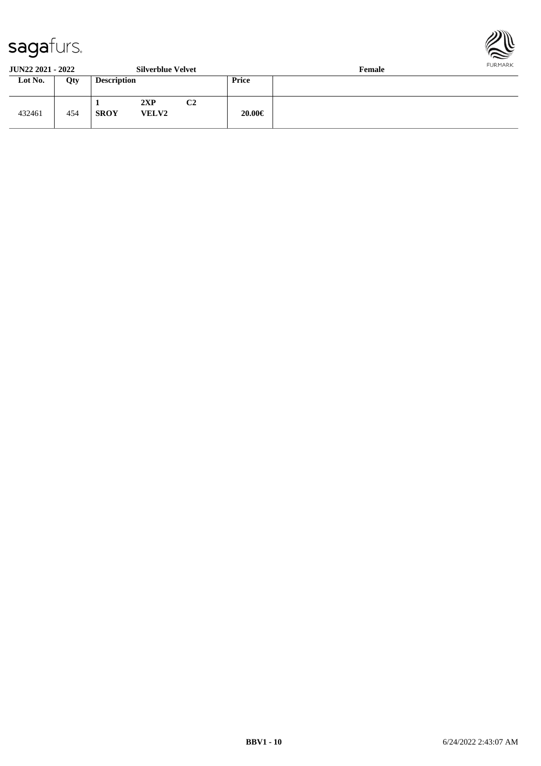

**JUN22 2021 - 2022 Silverblue Velvet Female**

| JUR <i>ee E</i> Vel - <i>EVel</i> |     |                    | <b>DITACTIONAL ACTACT</b> |    | т спіаге     |  |
|-----------------------------------|-----|--------------------|---------------------------|----|--------------|--|
| Lot No.                           | Qty | <b>Description</b> |                           |    | <b>Price</b> |  |
| 432461                            | 454 | <b>SROY</b>        | 2XP<br><b>VELV2</b>       | C2 | 20.00€       |  |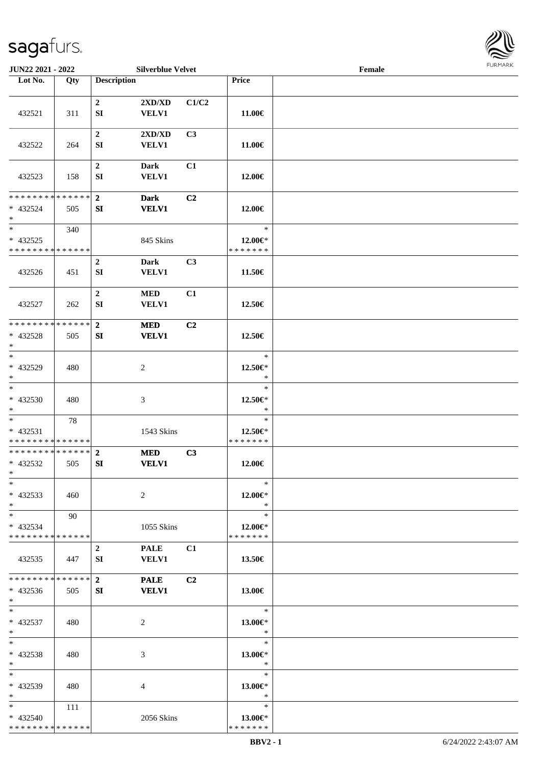

| JUN22 2021 - 2022                                                   |       |                              | <b>Silverblue Velvet</b>                         |       |                                          | Female |  |
|---------------------------------------------------------------------|-------|------------------------------|--------------------------------------------------|-------|------------------------------------------|--------|--|
| Lot No.                                                             | Qty   | <b>Description</b>           |                                                  |       | Price                                    |        |  |
| 432521                                                              | 311   | $\boldsymbol{2}$<br>SI       | $2{\bf X}{\bf D}/{\bf X}{\bf D}$<br><b>VELV1</b> | C1/C2 | 11.00€                                   |        |  |
| 432522                                                              | 264   | $\boldsymbol{2}$<br>SI       | 2XD/XD<br><b>VELV1</b>                           | C3    | 11.00€                                   |        |  |
| 432523                                                              | 158   | $\boldsymbol{2}$<br>SI       | <b>Dark</b><br><b>VELV1</b>                      | C1    | 12.00€                                   |        |  |
| * * * * * * * * * * * * * *<br>* 432524<br>$*$                      | 505   | $\overline{2}$<br>${\bf SI}$ | <b>Dark</b><br><b>VELV1</b>                      | C2    | 12.00€                                   |        |  |
| $\overline{\ast}$<br>$* 432525$<br>* * * * * * * * * * * * * *      | 340   |                              | 845 Skins                                        |       | $\ast$<br>$12.00 \in$ *<br>* * * * * * * |        |  |
| 432526                                                              | 451   | $\boldsymbol{2}$<br>SI       | <b>Dark</b><br><b>VELV1</b>                      | C3    | 11.50€                                   |        |  |
| 432527                                                              | 262   | $\mathbf 2$<br>SI            | $\bf MED$<br><b>VELV1</b>                        | C1    | 12.50€                                   |        |  |
| * * * * * * * * * * * * * *<br>* 432528<br>$*$                      | 505   | $\mathbf{2}$<br>${\bf SI}$   | <b>MED</b><br><b>VELV1</b>                       | C2    | 12.50€                                   |        |  |
| $*$<br>$* 432529$<br>$\ast$                                         | 480   |                              | $\overline{c}$                                   |       | $\ast$<br>12.50€*<br>$\ast$              |        |  |
| $\ast$<br>$* 432530$<br>$*$                                         | 480   |                              | 3                                                |       | $\ast$<br>12.50€*<br>$\ast$              |        |  |
| $\overline{\phantom{0}}$<br>* 432531<br>* * * * * * * * * * * * * * | 78    |                              | 1543 Skins                                       |       | $\ast$<br>12.50€*<br>* * * * * * *       |        |  |
| * * * * * * * * * * * * * *<br>* 432532<br>$*$ $-$                  | 505   | $\mathbf{2}$<br>SI           | <b>MED</b><br><b>VELV1</b>                       | C3    | 12.00€                                   |        |  |
| $*$<br>$* 432533$<br>$*$                                            | 460   |                              | 2                                                |       | $\ast$<br>$12.00 \in$ *<br>$\ast$        |        |  |
| $\ast$<br>* 432534<br>* * * * * * * * * * * * * *                   | 90    |                              | 1055 Skins                                       |       | $\ast$<br>12.00€*<br>* * * * * * *       |        |  |
| 432535                                                              | - 447 | $\boldsymbol{2}$<br>SI       | <b>PALE</b><br><b>VELV1</b>                      | C1    | 13.50€                                   |        |  |
| * * * * * * * * * * * * * *<br>* 432536<br>$*$                      | 505   | $\mathbf{2}$<br>SI           | <b>PALE</b><br><b>VELV1</b>                      | C2    | 13.00€                                   |        |  |
| $\ast$<br>* 432537<br>$*$                                           | 480   |                              | 2                                                |       | $\ast$<br>13.00€*<br>$\ast$              |        |  |
| $*$<br>$* 432538$<br>$*$                                            | 480   |                              | 3                                                |       | $\ast$<br>13.00€*<br>$\ast$              |        |  |
| $*$<br>* 432539<br>$*$                                              | 480   |                              | 4                                                |       | $\ast$<br>13.00€*<br>$\ast$              |        |  |
| $*$<br>* 432540<br>* * * * * * * * * * * * * *                      | 111   |                              | 2056 Skins                                       |       | $\ast$<br>13.00€*<br>* * * * * * *       |        |  |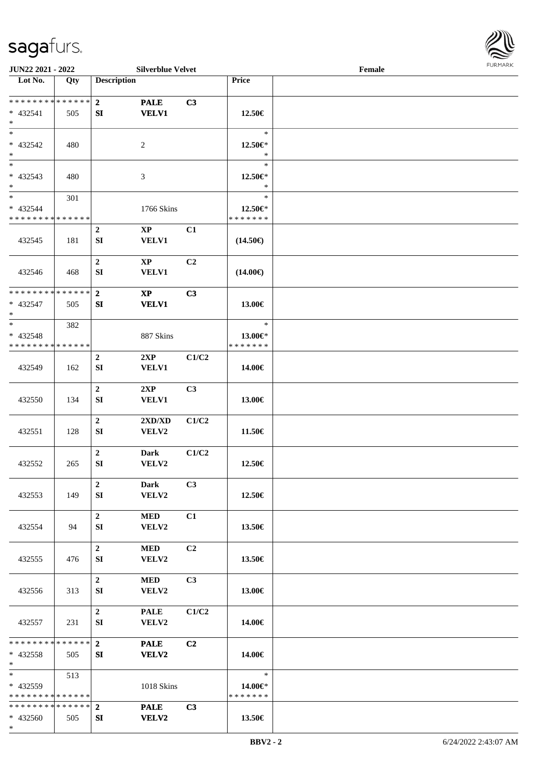\*



| JUN22 2021 - 2022                       |     |                    | <b>Silverblue Velvet</b> |                |                          | Female | 1.91111111 |
|-----------------------------------------|-----|--------------------|--------------------------|----------------|--------------------------|--------|------------|
| Lot No.                                 | Qty | <b>Description</b> |                          |                | Price                    |        |            |
|                                         |     |                    |                          |                |                          |        |            |
| ******** <mark>******</mark>            |     | $\overline{2}$     | <b>PALE</b>              | C3             |                          |        |            |
| * 432541<br>$*$                         | 505 | SI                 | <b>VELV1</b>             |                | 12.50€                   |        |            |
| $\overline{\ast}$                       |     |                    |                          |                | $\ast$                   |        |            |
| * 432542                                | 480 |                    | $\overline{c}$           |                | 12.50€*                  |        |            |
| $*$                                     |     |                    |                          |                | $\ast$                   |        |            |
| $*$                                     |     |                    |                          |                | $\ast$                   |        |            |
| * 432543                                | 480 |                    | 3                        |                | 12.50€*                  |        |            |
| $\ast$                                  |     |                    |                          |                | $\ast$                   |        |            |
| $\overline{\ast}$                       | 301 |                    |                          |                | $\ast$                   |        |            |
| $* 432544$                              |     |                    | 1766 Skins               |                | 12.50€*                  |        |            |
| * * * * * * * * * * * * * *             |     | $\overline{2}$     | $\bold{XP}$              |                | * * * * * * *            |        |            |
| 432545                                  | 181 | SI                 | <b>VELV1</b>             | C1             | $(14.50\epsilon)$        |        |            |
|                                         |     |                    |                          |                |                          |        |            |
|                                         |     | $\boldsymbol{2}$   | $\mathbf{XP}$            | C <sub>2</sub> |                          |        |            |
| 432546                                  | 468 | SI                 | <b>VELV1</b>             |                | $(14.00\epsilon)$        |        |            |
|                                         |     |                    |                          |                |                          |        |            |
| * * * * * * * * * * * * * *             |     | $\overline{2}$     | $\bold{XP}$              | C3             |                          |        |            |
| * 432547                                | 505 | SI                 | <b>VELV1</b>             |                | 13.00€                   |        |            |
| $*$<br>$\ast$                           |     |                    |                          |                | $\ast$                   |        |            |
| * 432548                                | 382 |                    | 887 Skins                |                | 13.00€*                  |        |            |
| * * * * * * * * * * * * * *             |     |                    |                          |                | * * * * * * *            |        |            |
|                                         |     | $\boldsymbol{2}$   | 2XP                      | C1/C2          |                          |        |            |
| 432549                                  | 162 | SI                 | <b>VELV1</b>             |                | 14.00€                   |        |            |
|                                         |     |                    |                          |                |                          |        |            |
|                                         |     | $\boldsymbol{2}$   | 2XP                      | C <sub>3</sub> |                          |        |            |
| 432550                                  | 134 | SI                 | VELV1                    |                | 13.00€                   |        |            |
|                                         |     | $\mathbf 2$        |                          | C1/C2          |                          |        |            |
| 432551                                  | 128 | SI                 | 2XD/XD<br>VELV2          |                | 11.50€                   |        |            |
|                                         |     |                    |                          |                |                          |        |            |
|                                         |     | $\boldsymbol{2}$   | <b>Dark</b>              | C1/C2          |                          |        |            |
| 432552                                  | 265 | SI                 | VELV2                    |                | 12.50€                   |        |            |
|                                         |     |                    |                          |                |                          |        |            |
|                                         |     | $\overline{2}$     | Dark                     | C3             |                          |        |            |
| 432553                                  | 149 | SI                 | VELV2                    |                | 12.50€                   |        |            |
|                                         |     | $\overline{2}$     | <b>MED</b>               | C1             |                          |        |            |
| 432554                                  | 94  | SI                 | VELV2                    |                | 13.50€                   |        |            |
|                                         |     |                    |                          |                |                          |        |            |
|                                         |     | $\boldsymbol{2}$   | <b>MED</b>               | C <sub>2</sub> |                          |        |            |
| 432555                                  | 476 | SI                 | <b>VELV2</b>             |                | 13.50€                   |        |            |
|                                         |     |                    |                          |                |                          |        |            |
|                                         |     | $\boldsymbol{2}$   | <b>MED</b>               | C <sub>3</sub> |                          |        |            |
| 432556                                  | 313 | SI                 | <b>VELV2</b>             |                | 13.00€                   |        |            |
|                                         |     | $\boldsymbol{2}$   | <b>PALE</b>              | C1/C2          |                          |        |            |
| 432557                                  | 231 | SI                 | VELV2                    |                | 14.00€                   |        |            |
|                                         |     |                    |                          |                |                          |        |            |
| * * * * * * * * * * * * * * *           |     | $\overline{2}$     | <b>PALE</b>              | C2             |                          |        |            |
| * 432558                                | 505 | SI                 | <b>VELV2</b>             |                | 14.00€                   |        |            |
| $*$                                     |     |                    |                          |                |                          |        |            |
| $*$ $-$                                 | 513 |                    |                          |                | $\ast$                   |        |            |
| * 432559<br>* * * * * * * * * * * * * * |     |                    | 1018 Skins               |                | 14.00€*<br>* * * * * * * |        |            |
| * * * * * * * * * * * * * * *           |     | $\overline{2}$     | <b>PALE</b>              | C3             |                          |        |            |
| * 432560                                | 505 | SI                 | VELV2                    |                | 13.50€                   |        |            |
|                                         |     |                    |                          |                |                          |        |            |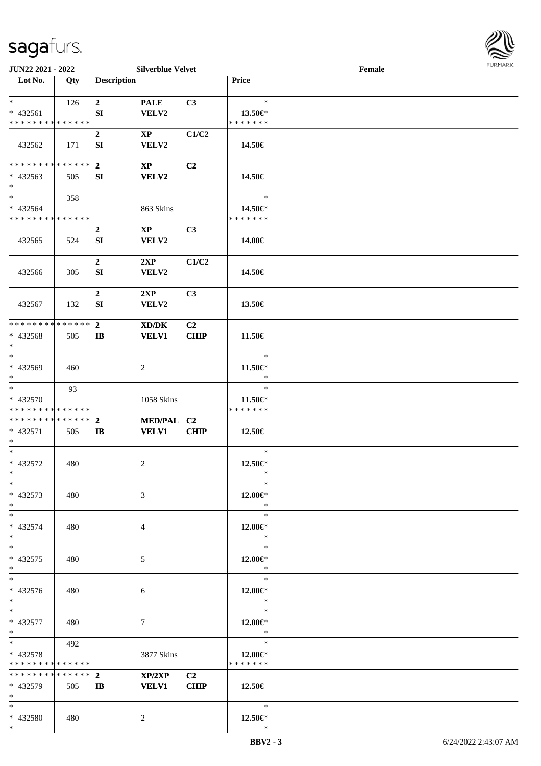

| JUN22 2021 - 2022                                            |     |                                | <b>Silverblue Velvet</b>                                                   |                   |                                    | Female |  |
|--------------------------------------------------------------|-----|--------------------------------|----------------------------------------------------------------------------|-------------------|------------------------------------|--------|--|
| Lot No.                                                      | Qty | <b>Description</b>             |                                                                            |                   | Price                              |        |  |
| $*$<br>$* 432561$<br>* * * * * * * * * * * * * *             | 126 | $\mathbf{2}$<br>SI             | <b>PALE</b><br>VELV2                                                       | C3                | $\ast$<br>13.50€*<br>* * * * * * * |        |  |
| 432562                                                       | 171 | $\boldsymbol{2}$<br>SI         | $\mathbf{X}\mathbf{P}$<br>VELV2                                            | C1/C2             | 14.50€                             |        |  |
| **************<br>$* 432563$<br>$\ast$                       | 505 | $\overline{2}$<br>SI           | $\mathbf{X}\mathbf{P}$<br><b>VELV2</b>                                     | C <sub>2</sub>    | 14.50€                             |        |  |
| $\overline{\ast}$<br>* 432564<br>* * * * * * * * * * * * * * | 358 |                                | 863 Skins                                                                  |                   | $\ast$<br>14.50€*<br>* * * * * * * |        |  |
| 432565                                                       | 524 | $\boldsymbol{2}$<br>SI         | $\mathbf{X}\mathbf{P}$<br>VELV2                                            | C3                | 14.00€                             |        |  |
| 432566                                                       | 305 | $\boldsymbol{2}$<br>SI         | 2XP<br>VELV2                                                               | C1/C2             | 14.50€                             |        |  |
| 432567                                                       | 132 | $\boldsymbol{2}$<br>SI         | 2XP<br>VELV2                                                               | C3                | 13.50€                             |        |  |
| * * * * * * * * * * * * * *<br>* 432568<br>$\ast$            | 505 | $\overline{2}$<br>$\mathbf{I}$ | $\boldsymbol{\text{X} \text{D} \text{/}\text{D} \text{K}}$<br><b>VELV1</b> | C2<br>CHIP        | 11.50€                             |        |  |
| $\ast$<br>* 432569<br>$\ast$                                 | 460 |                                | $\sqrt{2}$                                                                 |                   | $\ast$<br>11.50€*<br>$\ast$        |        |  |
| $\overline{\ast}$<br>* 432570<br>* * * * * * * * * * * * * * | 93  |                                | 1058 Skins                                                                 |                   | $\ast$<br>11.50€*<br>* * * * * * * |        |  |
| * * * * * * * * * * * * * * *<br>* 432571<br>$*$             | 505 | $\overline{2}$<br>$\mathbf{I}$ | MED/PAL C2<br><b>VELV1</b>                                                 | CHIP              | 12.50€                             |        |  |
| $\ast$<br>$* 432572$<br>$*$                                  | 480 |                                | $\sqrt{2}$                                                                 |                   | $\ast$<br>12.50€*<br>$\ast$        |        |  |
| $*$<br>$* 432573$<br>$*$                                     | 480 |                                | 3                                                                          |                   | $\ast$<br>12.00€*<br>$\ast$        |        |  |
| $\ast$<br>* 432574<br>$*$                                    | 480 |                                | 4                                                                          |                   | $\ast$<br>12.00€*<br>$\ast$        |        |  |
| $*$<br>* 432575<br>$*$                                       | 480 |                                | 5                                                                          |                   | $\ast$<br>12.00€*<br>$\ast$        |        |  |
| $*$<br>$* 432576$<br>$*$                                     | 480 |                                | 6                                                                          |                   | $\ast$<br>12.00€*<br>$\ast$        |        |  |
| $\ast$<br>* 432577<br>$*$ $-$                                | 480 |                                | $\tau$                                                                     |                   | $\ast$<br>12.00€*<br>$\ast$        |        |  |
| $\ddot{x}$<br>* 432578<br>* * * * * * * * * * * * * *        | 492 |                                | 3877 Skins                                                                 |                   | $\ast$<br>12.00€*<br>* * * * * * * |        |  |
| * * * * * * * * * * * * * *<br>* 432579<br>$*$ $-$           | 505 | $\mathbf{2}$<br>$\mathbf{I}$   | XP/2XP<br><b>VELV1</b>                                                     | C2<br><b>CHIP</b> | 12.50€                             |        |  |
| $*$<br>* 432580<br>$*$ $*$                                   | 480 |                                | $\overline{2}$                                                             |                   | $\ast$<br>12.50€*<br>$\ast$        |        |  |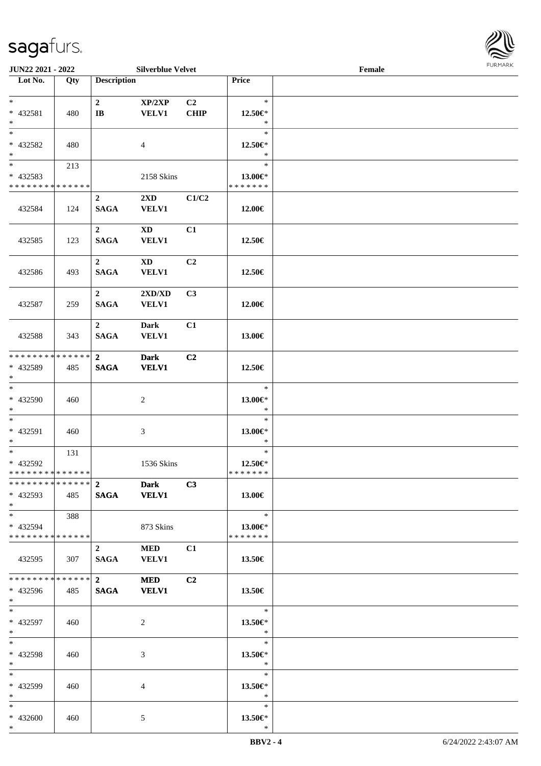

| <b>JUN22 2021 - 2022</b>      |     |                         | <b>Silverblue Velvet</b> |                |                          | Female |  |
|-------------------------------|-----|-------------------------|--------------------------|----------------|--------------------------|--------|--|
| Lot No.                       | Qty | <b>Description</b>      |                          |                | Price                    |        |  |
|                               |     |                         |                          |                |                          |        |  |
| $*$                           |     | $\mathbf{2}$            | XP/2XP                   | C <sub>2</sub> | $\ast$                   |        |  |
| * 432581                      | 480 | $\mathbf{I}$ <b>B</b>   | <b>VELV1</b>             | <b>CHIP</b>    | 12.50€*                  |        |  |
| $*$                           |     |                         |                          |                | $\ast$<br>$\ast$         |        |  |
|                               |     |                         |                          |                |                          |        |  |
| * 432582<br>$*$               | 480 |                         | 4                        |                | 12.50€*<br>$\ast$        |        |  |
|                               |     |                         |                          |                | $\ast$                   |        |  |
| * 432583                      | 213 |                         |                          |                |                          |        |  |
| * * * * * * * * * * * * * *   |     |                         | 2158 Skins               |                | 13.00€*<br>* * * * * * * |        |  |
|                               |     | $\mathbf{2}$            | $2\mathbf{X}\mathbf{D}$  | C1/C2          |                          |        |  |
| 432584                        | 124 | <b>SAGA</b>             | <b>VELV1</b>             |                | 12.00€                   |        |  |
|                               |     |                         |                          |                |                          |        |  |
|                               |     | $\mathbf{2}$            | $\mathbf{X}\mathbf{D}$   | C1             |                          |        |  |
| 432585                        | 123 | <b>SAGA</b>             | <b>VELV1</b>             |                | 12.50€                   |        |  |
|                               |     |                         |                          |                |                          |        |  |
|                               |     | $\overline{2}$          | $\mathbf{X}\mathbf{D}$   | C <sub>2</sub> |                          |        |  |
| 432586                        | 493 | <b>SAGA</b>             | <b>VELV1</b>             |                | 12.50€                   |        |  |
|                               |     |                         |                          |                |                          |        |  |
|                               |     | $\overline{2}$          | 2XD/XD                   | C3             |                          |        |  |
| 432587                        | 259 | <b>SAGA</b>             | <b>VELV1</b>             |                | 12.00€                   |        |  |
|                               |     |                         |                          |                |                          |        |  |
|                               |     | $\boldsymbol{2}$        | <b>Dark</b>              | C1             |                          |        |  |
| 432588                        | 343 | <b>SAGA</b>             | <b>VELV1</b>             |                | 13.00€                   |        |  |
|                               |     |                         |                          |                |                          |        |  |
| * * * * * * * * * * * * * * * |     | $\mathbf{2}$            | <b>Dark</b>              | C2             |                          |        |  |
| * 432589                      | 485 | <b>SAGA</b>             | <b>VELV1</b>             |                | 12.50€                   |        |  |
| $\ast$                        |     |                         |                          |                | $\ast$                   |        |  |
| * 432590                      | 460 |                         | 2                        |                | 13.00€*                  |        |  |
| $*$                           |     |                         |                          |                | $\ast$                   |        |  |
| $*$                           |     |                         |                          |                | $\ast$                   |        |  |
| * 432591                      | 460 |                         | 3                        |                | 13.00€*                  |        |  |
| $*$                           |     |                         |                          |                | $\ast$                   |        |  |
| $*$                           | 131 |                         |                          |                | $\ast$                   |        |  |
| * 432592                      |     |                         | 1536 Skins               |                | 12.50€*                  |        |  |
| * * * * * * * * * * * * * * * |     |                         |                          |                | *******                  |        |  |
|                               |     |                         | <b>Dark</b>              | C3             |                          |        |  |
| $* 432593$                    | 485 |                         | SAGA VELV1               |                | 13.00€                   |        |  |
| $*$                           |     |                         |                          |                |                          |        |  |
| $*$ $*$                       | 388 |                         |                          |                | $\ast$                   |        |  |
| * 432594                      |     |                         | 873 Skins                |                | 13.00 $\in$ *            |        |  |
| * * * * * * * * * * * * * * * |     |                         |                          |                | * * * * * * *            |        |  |
|                               |     | $\mathbf{2}$            | MED                      | C <sub>1</sub> |                          |        |  |
| 432595                        | 307 | SAGA                    | <b>VELV1</b>             |                | 13.50€                   |        |  |
| * * * * * * * * * * * * * * * |     | $\overline{\mathbf{2}}$ | <b>MED</b>               | C <sub>2</sub> |                          |        |  |
|                               |     |                         |                          |                |                          |        |  |
| * 432596<br>$*$ $*$           | 485 | <b>SAGA</b>             | <b>VELV1</b>             |                | 13.50€                   |        |  |
| $*$ $*$                       |     |                         |                          |                | $\ast$                   |        |  |
| * 432597                      | 460 |                         | 2                        |                | 13.50€*                  |        |  |
| $*$                           |     |                         |                          |                | $\ast$                   |        |  |
| $*$                           |     |                         |                          |                | $\ast$                   |        |  |
| * 432598                      | 460 |                         | 3                        |                | 13.50 $\in$ *            |        |  |
| $*$                           |     |                         |                          |                | $\ast$                   |        |  |
| $*$                           |     |                         |                          |                | $\ast$                   |        |  |
| * 432599                      | 460 |                         | 4                        |                | 13.50 $\in$ *            |        |  |
| $*$                           |     |                         |                          |                | $\ast$                   |        |  |
| $*$                           |     |                         |                          |                | $\ast$                   |        |  |
| * 432600                      | 460 |                         | 5                        |                | 13.50 $\in$ *            |        |  |
| $*$                           |     |                         |                          |                | $\ast$                   |        |  |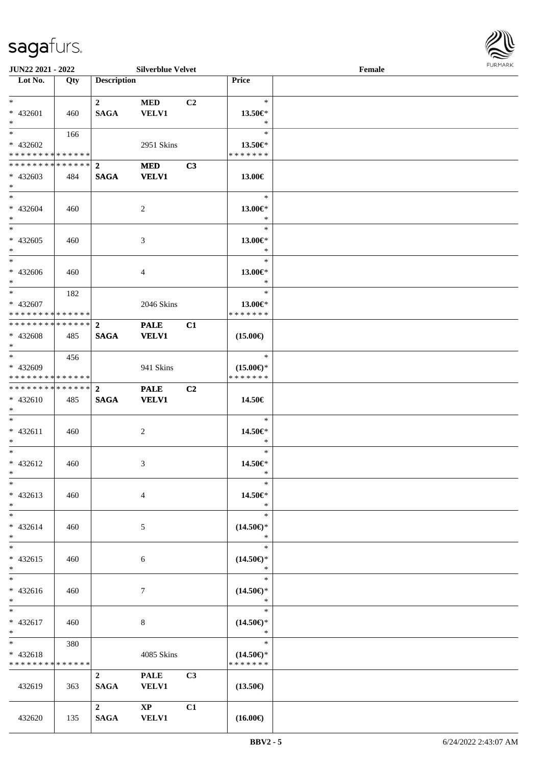

| <b>JUN22 2021 - 2022</b>                   |     |                    | <b>Silverblue Velvet</b> |                |                                      | Female |  |
|--------------------------------------------|-----|--------------------|--------------------------|----------------|--------------------------------------|--------|--|
| Lot No.                                    | Qty | <b>Description</b> |                          |                | Price                                |        |  |
|                                            |     |                    |                          |                |                                      |        |  |
| $*$                                        |     | $\overline{2}$     | MED                      | C <sub>2</sub> | $\ast$                               |        |  |
| * 432601                                   | 460 | <b>SAGA</b>        | <b>VELV1</b>             |                | 13.50 $\in$ *                        |        |  |
| $*$                                        |     |                    |                          |                | $\ast$                               |        |  |
| $\overline{\ast}$                          | 166 |                    |                          |                | $\ast$                               |        |  |
| * 432602                                   |     |                    | 2951 Skins               |                | 13.50 $\in$ *                        |        |  |
| * * * * * * * * <mark>* * * * * * *</mark> |     |                    |                          |                | * * * * * * *                        |        |  |
| **************                             |     | $\overline{2}$     | <b>MED</b>               | C3             |                                      |        |  |
| * 432603                                   | 484 | <b>SAGA</b>        | <b>VELV1</b>             |                | 13.00€                               |        |  |
| $*$                                        |     |                    |                          |                |                                      |        |  |
| $*$                                        |     |                    |                          |                | $\ast$                               |        |  |
| * 432604                                   | 460 |                    | 2                        |                | 13.00€*                              |        |  |
| $*$                                        |     |                    |                          |                | $\ast$                               |        |  |
| $*$                                        |     |                    |                          |                | $\ast$                               |        |  |
| $* 432605$                                 | 460 |                    | 3                        |                | 13.00€*                              |        |  |
| $*$                                        |     |                    |                          |                | $\ast$                               |        |  |
| $*$                                        |     |                    |                          |                | $\ast$                               |        |  |
| * 432606                                   | 460 |                    | $\overline{4}$           |                | 13.00€*                              |        |  |
| $*$                                        |     |                    |                          |                | $\ast$                               |        |  |
| $*$ $-$                                    | 182 |                    |                          |                | $\ast$                               |        |  |
| * 432607                                   |     |                    | 2046 Skins               |                | 13.00 $\in$ *                        |        |  |
| * * * * * * * * <mark>* * * * * *</mark>   |     |                    |                          |                | * * * * * * *                        |        |  |
| * * * * * * * * * * * * * * <mark>*</mark> |     | $\mathbf{2}$       | <b>PALE</b>              | C1             |                                      |        |  |
| * 432608                                   | 485 | <b>SAGA</b>        | <b>VELV1</b>             |                | $(15.00\epsilon)$                    |        |  |
| $*$                                        |     |                    |                          |                | $\ast$                               |        |  |
|                                            | 456 |                    |                          |                |                                      |        |  |
| * 432609<br>* * * * * * * * * * * * * *    |     |                    | 941 Skins                |                | $(15.00\epsilon)$ *<br>* * * * * * * |        |  |
| * * * * * * * * * * * * * * <mark>*</mark> |     |                    |                          |                |                                      |        |  |
|                                            |     | $\overline{2}$     | <b>PALE</b>              | C2             |                                      |        |  |
| $* 432610$<br>$*$                          | 485 | <b>SAGA</b>        | <b>VELV1</b>             |                | 14.50€                               |        |  |
| $*$                                        |     |                    |                          |                | $\ast$                               |        |  |
| $* 432611$                                 | 460 |                    |                          |                | 14.50€*                              |        |  |
| $*$                                        |     |                    | 2                        |                | $\ast$                               |        |  |
| $*$ $-$                                    |     |                    |                          |                | $\ast$                               |        |  |
| * 432612                                   | 460 |                    | 3                        |                | 14.50€*                              |        |  |
| $*$ $*$                                    |     |                    |                          |                | *                                    |        |  |
| $\ast$                                     |     |                    |                          |                | $\ast$                               |        |  |
| * 432613                                   | 460 |                    | $\overline{4}$           |                | 14.50€*                              |        |  |
| $*$                                        |     |                    |                          |                | $\ast$                               |        |  |
| $*$                                        |     |                    |                          |                | $\ast$                               |        |  |
| $* 432614$                                 | 460 |                    | 5                        |                | $(14.50\epsilon)$ *                  |        |  |
| $*$                                        |     |                    |                          |                | $\ast$                               |        |  |
| $*$                                        |     |                    |                          |                | $\ast$                               |        |  |
| * 432615                                   | 460 |                    | 6                        |                | $(14.50\epsilon)$ *                  |        |  |
| $*$                                        |     |                    |                          |                | $\ast$                               |        |  |
| $\overline{\ }$                            |     |                    |                          |                | $\ast$                               |        |  |
| * 432616                                   | 460 |                    | 7                        |                | $(14.50\epsilon)$ *                  |        |  |
| $*$                                        |     |                    |                          |                | $\ast$                               |        |  |
| $*$ $*$                                    |     |                    |                          |                | $\ast$                               |        |  |
| * 432617                                   | 460 |                    | 8                        |                | $(14.50\epsilon)$ *                  |        |  |
| $*$ $-$                                    |     |                    |                          |                | $\ast$                               |        |  |
| $*$ and $*$                                | 380 |                    |                          |                | $\ast$                               |        |  |
| * 432618                                   |     |                    | 4085 Skins               |                | $(14.50\epsilon)$ *                  |        |  |
| * * * * * * * * * * * * * *                |     |                    |                          |                | * * * * * * *                        |        |  |
|                                            |     | $\overline{2}$     | <b>PALE</b>              | C3             |                                      |        |  |
| 432619                                     | 363 | <b>SAGA</b>        | <b>VELV1</b>             |                | $(13.50\epsilon)$                    |        |  |
|                                            |     |                    |                          |                |                                      |        |  |
|                                            |     | $\mathbf{2}$       | $\mathbf{XP}$            | C1             |                                      |        |  |
| 432620                                     | 135 | <b>SAGA</b>        | <b>VELV1</b>             |                | $(16.00\epsilon)$                    |        |  |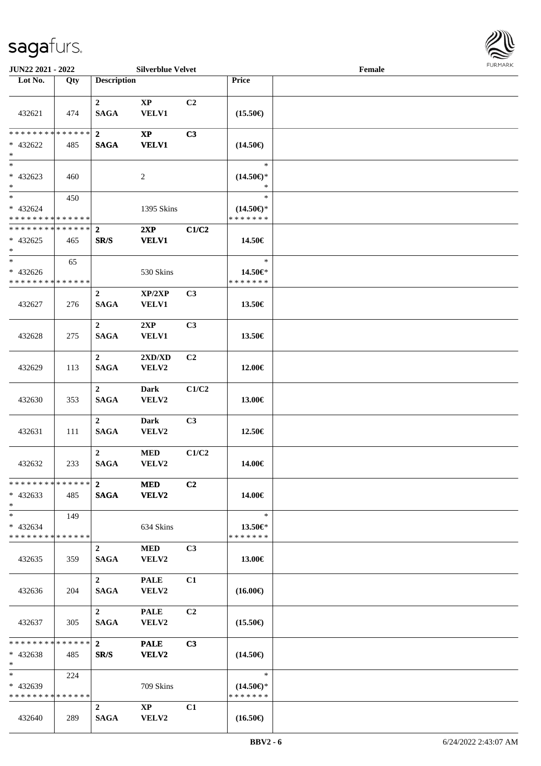

| <b>JUN22 2021 - 2022</b>                           |               |                                        | <b>Silverblue Velvet</b>               |                |                                                | Female |  |
|----------------------------------------------------|---------------|----------------------------------------|----------------------------------------|----------------|------------------------------------------------|--------|--|
| Lot No.                                            | Qty           | <b>Description</b>                     |                                        |                | Price                                          |        |  |
| 432621                                             | 474           | $\mathbf{2}$<br><b>SAGA</b>            | $\bold{XP}$<br><b>VELV1</b>            | C <sub>2</sub> | $(15.50\epsilon)$                              |        |  |
| * * * * * * * *<br>* 432622<br>$\ast$              | ******<br>485 | $\mathbf{2}$<br><b>SAGA</b>            | $\mathbf{X}\mathbf{P}$<br><b>VELV1</b> | C3             | $(14.50\epsilon)$                              |        |  |
| $\overline{\phantom{0}}$<br>* 432623<br>$*$        | 460           |                                        | $\overline{c}$                         |                | $\ast$<br>$(14.50\epsilon)$ *<br>*             |        |  |
| $*$<br>* 432624<br>* * * * * * * * * * * * * *     | 450           |                                        | 1395 Skins                             |                | $\ast$<br>$(14.50\epsilon)$ *<br>* * * * * * * |        |  |
| * * * * * * * * * * * * * *<br>$* 432625$<br>$*$   | 465           | $\boldsymbol{2}$<br>SR/S               | 2XP<br><b>VELV1</b>                    | C1/C2          | 14.50€                                         |        |  |
| $\ast$<br>* 432626<br>* * * * * * * * * * * * * *  | 65            |                                        | 530 Skins                              |                | $\ast$<br>14.50€*<br>* * * * * * *             |        |  |
| 432627                                             | 276           | $\overline{2}$<br><b>SAGA</b>          | XP/2XP<br><b>VELV1</b>                 | C3             | 13.50€                                         |        |  |
| 432628                                             | 275           | $\overline{2}$<br><b>SAGA</b>          | 2XP<br><b>VELV1</b>                    | C3             | 13.50€                                         |        |  |
| 432629                                             | 113           | $\boldsymbol{2}$<br><b>SAGA</b>        | 2XD/XD<br>VELV2                        | C2             | 12.00€                                         |        |  |
| 432630                                             | 353           | $\overline{2}$<br><b>SAGA</b>          | <b>Dark</b><br>VELV2                   | C1/C2          | 13.00€                                         |        |  |
| 432631                                             | 111           | $\overline{2}$<br><b>SAGA</b>          | <b>Dark</b><br>VELV2                   | C3             | 12.50€                                         |        |  |
| 432632                                             | 233           | $\mathbf{2}$<br><b>SAGA</b>            | $\bf MED$<br>VELV2                     | C1/C2          | 14.00€                                         |        |  |
| * * * * * * * * * * * * * * *<br>$* 432633$<br>$*$ | 485           | $\overline{2}$<br><b>SAGA</b>          | <b>MED</b><br><b>VELV2</b>             | C <sub>2</sub> | 14.00€                                         |        |  |
| $*$<br>$* 432634$<br>* * * * * * * * * * * * * * * | 149           |                                        | 634 Skins                              |                | $\ast$<br>13.50€*<br>* * * * * * *             |        |  |
| 432635                                             | 359           | $\overline{2}$<br><b>SAGA</b>          | <b>MED</b><br>VELV2                    | C <sub>3</sub> | 13.00€                                         |        |  |
| 432636                                             | 204           | $\overline{2}$<br><b>SAGA</b>          | <b>PALE</b><br>VELV2                   | C1             | $(16.00\epsilon)$                              |        |  |
| 432637                                             | 305           | $\overline{\mathbf{2}}$<br><b>SAGA</b> | <b>PALE</b><br>VELV2                   | C2             | $(15.50\epsilon)$                              |        |  |
| * * * * * * * * * * * * * * *<br>$* 432638$<br>$*$ | 485           | $\mathbf{2}$<br>SR/S                   | <b>PALE</b><br>VELV2                   | C3             | $(14.50\epsilon)$                              |        |  |
| $*$ $*$<br>* 432639<br>* * * * * * * * * * * * * * | 224           |                                        | 709 Skins                              |                | $\ast$<br>$(14.50\epsilon)$ *<br>* * * * * * * |        |  |
| 432640                                             | 289           | $\overline{2}$<br><b>SAGA</b>          | $\mathbf{X}\mathbf{P}$<br>VELV2        | C1             | $(16.50\epsilon)$                              |        |  |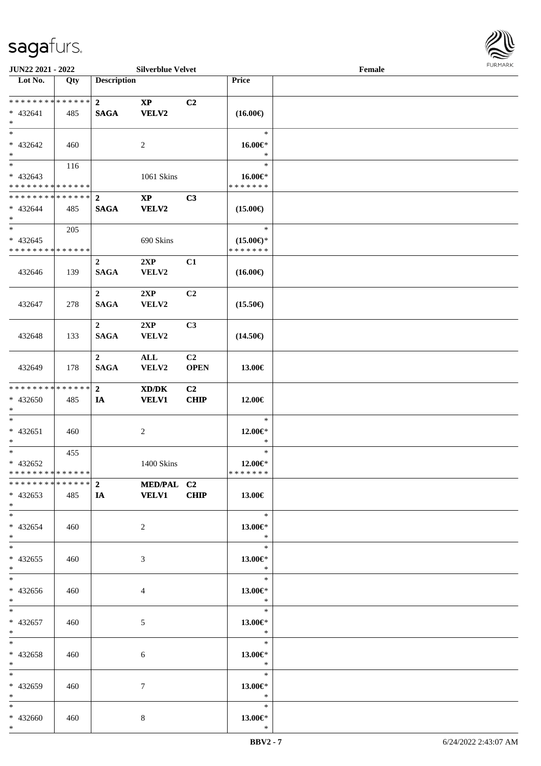

| <b>JUN22 2021 - 2022</b>                                              |     |                                 | <b>Silverblue Velvet</b>                 |                               |                                                | Female |  |
|-----------------------------------------------------------------------|-----|---------------------------------|------------------------------------------|-------------------------------|------------------------------------------------|--------|--|
| Lot No.                                                               | Qty | <b>Description</b>              |                                          |                               | Price                                          |        |  |
| ******** <mark>******</mark><br>$* 432641$<br>$*$                     | 485 | $\mathbf{2}$<br><b>SAGA</b>     | $\mathbf{XP}$<br>VELV2                   | C <sub>2</sub>                | $(16.00\epsilon)$                              |        |  |
| $*$<br>* 432642<br>$*$                                                | 460 |                                 | 2                                        |                               | $\ast$<br>16.00€*<br>$\ast$                    |        |  |
| $\overline{\phantom{0}}$<br>$* 432643$<br>* * * * * * * * * * * * * * | 116 |                                 | 1061 Skins                               |                               | $\ast$<br>16.00€*<br>* * * * * * *             |        |  |
| ******** <mark>******</mark><br>$* 432644$<br>$*$                     | 485 | $\overline{2}$<br><b>SAGA</b>   | $\bold{XP}$<br><b>VELV2</b>              | C3                            | $(15.00\epsilon)$                              |        |  |
| $*$<br>$* 432645$<br>* * * * * * * * * * * * * *                      | 205 |                                 | 690 Skins                                |                               | $\ast$<br>$(15.00\epsilon)$ *<br>* * * * * * * |        |  |
| 432646                                                                | 139 | $\boldsymbol{2}$<br><b>SAGA</b> | 2XP<br>VELV2                             | C1                            | $(16.00\epsilon)$                              |        |  |
| 432647                                                                | 278 | $\mathbf{2}$<br><b>SAGA</b>     | 2XP<br>VELV2                             | C <sub>2</sub>                | $(15.50\epsilon)$                              |        |  |
| 432648                                                                | 133 | $\overline{2}$<br><b>SAGA</b>   | 2XP<br>VELV2                             | C3                            | $(14.50\epsilon)$                              |        |  |
| 432649                                                                | 178 | $\mathbf 2$<br><b>SAGA</b>      | $\mathbf{ALL}$<br>VELV2                  | C2<br><b>OPEN</b>             | 13.00€                                         |        |  |
| * * * * * * * * * * * * * * *<br>* 432650<br>$*$                      | 485 | $\overline{2}$<br>IA            | XD/DK<br><b>VELV1</b>                    | C <sub>2</sub><br><b>CHIP</b> | 12.00€                                         |        |  |
| $*$<br>* 432651<br>$*$                                                | 460 |                                 | $\overline{c}$                           |                               | $\ast$<br>12.00€*<br>$\ast$                    |        |  |
| $*$<br>$* 432652$<br>* * * * * * * * * * * * * * *                    | 455 |                                 | 1400 Skins                               |                               | $\ast$<br>12.00€*<br>*******                   |        |  |
| $* 432653$<br>$*$                                                     | 485 |                                 | *************** 2 MED/PAL C2<br>IA VELV1 | <b>CHIP</b>                   | 13.00€                                         |        |  |
| $*$<br>* 432654<br>$*$                                                | 460 |                                 | $\overline{2}$                           |                               | $\ast$<br>13.00€*<br>$*$                       |        |  |
| $*$<br>$* 432655$<br>$*$                                              | 460 |                                 | 3                                        |                               | $\ast$<br>13.00€*<br>$\ast$                    |        |  |
| $*$<br>* 432656<br>$*$                                                | 460 |                                 | 4                                        |                               | $\ast$<br>13.00 $\in$ *<br>$\bullet$ $\bullet$ |        |  |
| $*$<br>* 432657<br>$*$ $-$                                            | 460 |                                 | 5                                        |                               | $\ast$<br>13.00€*<br>$\ast$                    |        |  |
| $*$<br>* 432658<br>$*$                                                | 460 |                                 | 6                                        |                               | $\ast$<br>13.00 $\in$ *<br>$\ast$              |        |  |
| $*$<br>* 432659<br>$*$ $*$                                            | 460 |                                 | 7                                        |                               | $\ast$<br>13.00 $\in$ *<br>$\ast$              |        |  |
| $*$<br>* 432660<br>$*$                                                | 460 |                                 | 8                                        |                               | $\ast$<br>13.00 $\in$ *<br>$\ast$              |        |  |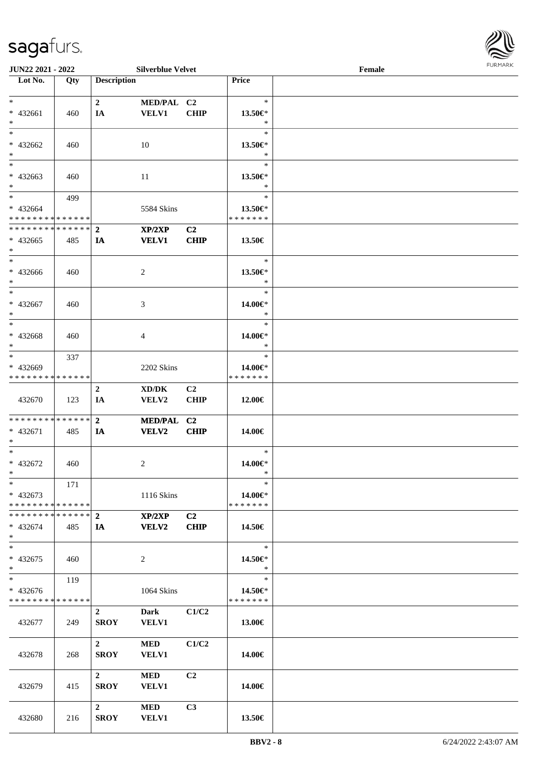

| <b>JUN22 2021 - 2022</b>                   |     |                    | <b>Silverblue Velvet</b> |                |               | Female |  |
|--------------------------------------------|-----|--------------------|--------------------------|----------------|---------------|--------|--|
| Lot No.                                    | Qty | <b>Description</b> |                          |                | Price         |        |  |
|                                            |     |                    |                          |                |               |        |  |
| $*$                                        |     | $\overline{2}$     | MED/PAL C2               |                | $\ast$        |        |  |
| * 432661                                   | 460 | IA                 | <b>VELV1</b>             | <b>CHIP</b>    | 13.50 $\in$ * |        |  |
| $*$                                        |     |                    |                          |                | $\ast$        |        |  |
| $*$                                        |     |                    |                          |                | $\ast$        |        |  |
|                                            |     |                    |                          |                |               |        |  |
| * 432662                                   | 460 |                    | 10                       |                | 13.50 $\in$ * |        |  |
| $*$                                        |     |                    |                          |                | $\ast$        |        |  |
|                                            |     |                    |                          |                | $\ast$        |        |  |
| * 432663                                   | 460 |                    | 11                       |                | 13.50€*       |        |  |
| $*$                                        |     |                    |                          |                | $\ast$        |        |  |
| $*$                                        | 499 |                    |                          |                | $\ast$        |        |  |
| * 432664                                   |     |                    | 5584 Skins               |                | 13.50 $\in$ * |        |  |
| * * * * * * * * <mark>* * * * * *</mark>   |     |                    |                          |                | * * * * * * * |        |  |
| * * * * * * * * <mark>* * * * * * *</mark> |     | $\overline{2}$     | XP/2XP                   | C2             |               |        |  |
|                                            |     |                    |                          |                |               |        |  |
| $* 432665$                                 | 485 | IA                 | <b>VELV1</b>             | <b>CHIP</b>    | 13.50€        |        |  |
| $\ast$                                     |     |                    |                          |                |               |        |  |
| $*$                                        |     |                    |                          |                | $\ast$        |        |  |
| * 432666                                   | 460 |                    | 2                        |                | 13.50€*       |        |  |
| $*$                                        |     |                    |                          |                | $\ast$        |        |  |
| $*$                                        |     |                    |                          |                | $\ast$        |        |  |
| $* 432667$                                 | 460 |                    | 3                        |                | 14.00€*       |        |  |
| $*$                                        |     |                    |                          |                | $\ast$        |        |  |
| $*$                                        |     |                    |                          |                | $\ast$        |        |  |
|                                            |     |                    |                          |                |               |        |  |
| * 432668                                   | 460 |                    | 4                        |                | 14.00€*       |        |  |
| $*$                                        |     |                    |                          |                | $\ast$        |        |  |
| $\overline{\ast}$                          | 337 |                    |                          |                | $\ast$        |        |  |
| * 432669                                   |     |                    | 2202 Skins               |                | 14.00€*       |        |  |
| * * * * * * * * * * * * * *                |     |                    |                          |                | * * * * * * * |        |  |
|                                            |     | $\overline{2}$     | XD/DK                    | C2             |               |        |  |
| 432670                                     | 123 | IA                 | VELV2                    | <b>CHIP</b>    | 12.00€        |        |  |
|                                            |     |                    |                          |                |               |        |  |
| * * * * * * * * * * * * * * *              |     | $\overline{2}$     | MED/PAL C2               |                |               |        |  |
| * 432671                                   | 485 |                    | <b>VELV2</b>             | <b>CHIP</b>    |               |        |  |
| $*$                                        |     | IA                 |                          |                | 14.00€        |        |  |
| $*$                                        |     |                    |                          |                | $\ast$        |        |  |
|                                            |     |                    |                          |                |               |        |  |
| * 432672                                   | 460 |                    | 2                        |                | 14.00€*       |        |  |
| $*$ $-$                                    |     |                    |                          |                | $\ast$        |        |  |
| $*$                                        | 171 |                    |                          |                | $\ast$        |        |  |
| $* 432673$                                 |     |                    | 1116 Skins               |                | 14.00€*       |        |  |
| * * * * * * * * * * * * * * *              |     |                    |                          |                | * * * * * * * |        |  |
|                                            |     |                    | XP/2XP                   | C2             |               |        |  |
| * 432674                                   | 485 | IA                 | <b>VELV2</b>             | <b>CHIP</b>    | 14.50€        |        |  |
| $\ast$                                     |     |                    |                          |                |               |        |  |
| $*$                                        |     |                    |                          |                | $\ast$        |        |  |
|                                            |     |                    |                          |                |               |        |  |
| * 432675                                   | 460 |                    | 2                        |                | 14.50€*       |        |  |
| $*$                                        |     |                    |                          |                | $\ast$        |        |  |
|                                            | 119 |                    |                          |                | $\ast$        |        |  |
| $* 432676$                                 |     |                    | 1064 Skins               |                | 14.50€*       |        |  |
| * * * * * * * * * * * * * * *              |     |                    |                          |                | *******       |        |  |
|                                            |     | $2^{\circ}$        | <b>Dark</b>              | C1/C2          |               |        |  |
| 432677                                     | 249 | <b>SROY</b>        | <b>VELV1</b>             |                | 13.00€        |        |  |
|                                            |     |                    |                          |                |               |        |  |
|                                            |     | $\overline{2}$     | <b>MED</b>               | C1/C2          |               |        |  |
| 432678                                     | 268 | <b>SROY</b>        | <b>VELV1</b>             |                | 14.00€        |        |  |
|                                            |     |                    |                          |                |               |        |  |
|                                            |     |                    |                          |                |               |        |  |
|                                            |     | $\mathbf{2}$       | MED                      | C <sub>2</sub> |               |        |  |
| 432679                                     | 415 | <b>SROY</b>        | <b>VELV1</b>             |                | 14.00€        |        |  |
|                                            |     |                    |                          |                |               |        |  |
|                                            |     | $2^{\circ}$        | <b>MED</b>               | C3             |               |        |  |
| 432680                                     | 216 | <b>SROY</b>        | <b>VELV1</b>             |                | 13.50€        |        |  |